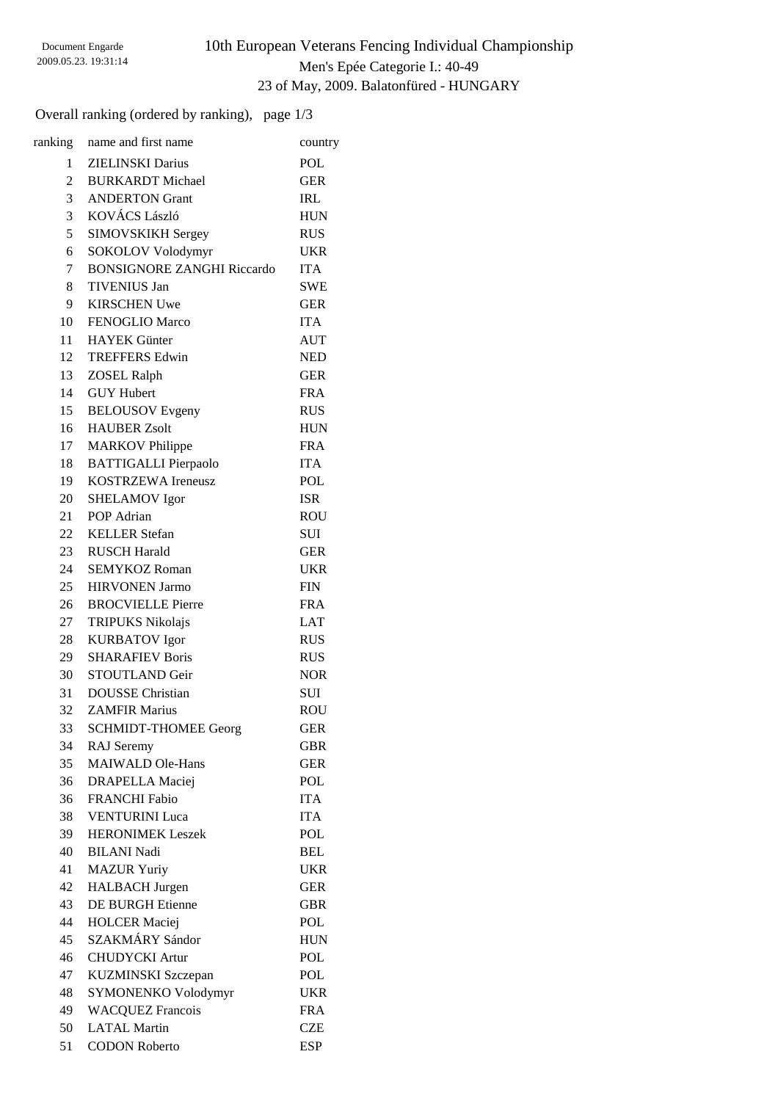### 10th European Veterans Fencing Individual Championship Men's Epée Categorie I.: 40-49 23 of May, 2009. Balatonfüred - HUNGARY

Overall ranking (ordered by ranking), page 1/3

| ranking      | name and first name                            | country                  |
|--------------|------------------------------------------------|--------------------------|
| $\mathbf{1}$ | <b>ZIELINSKI</b> Darius                        | POL                      |
| 2            | <b>BURKARDT</b> Michael                        | <b>GER</b>               |
| 3            | <b>ANDERTON Grant</b>                          | <b>IRL</b>               |
| 3            | KOVÁCS László                                  | <b>HUN</b>               |
| 5            | <b>SIMOVSKIKH Sergey</b>                       | <b>RUS</b>               |
| 6            | SOKOLOV Volodymyr                              | <b>UKR</b>               |
| $7\degree$   | <b>BONSIGNORE ZANGHI Riccardo</b>              | <b>ITA</b>               |
| 8            | <b>TIVENIUS Jan</b>                            | <b>SWE</b>               |
| 9            | <b>KIRSCHEN Uwe</b>                            | <b>GER</b>               |
| 10           | FENOGLIO Marco                                 | <b>ITA</b>               |
| 11           | <b>HAYEK</b> Günter                            | <b>AUT</b>               |
| 12           | <b>TREFFERS Edwin</b>                          | <b>NED</b>               |
| 13           | <b>ZOSEL Ralph</b>                             | <b>GER</b>               |
| 14           | <b>GUY Hubert</b>                              | <b>FRA</b>               |
| 15           | <b>BELOUSOV</b> Evgeny                         | <b>RUS</b>               |
| 16           | <b>HAUBER Zsolt</b>                            | <b>HUN</b>               |
| 17           | <b>MARKOV</b> Philippe                         | <b>FRA</b>               |
| 18           | <b>BATTIGALLI</b> Pierpaolo                    | <b>ITA</b>               |
| 19           | <b>KOSTRZEWA Ireneusz</b>                      | POL                      |
| 20           | <b>SHELAMOV</b> Igor                           | <b>ISR</b>               |
| 21           | POP Adrian                                     | <b>ROU</b>               |
| 22           | <b>KELLER</b> Stefan                           | SUI                      |
| 23           | <b>RUSCH Harald</b>                            | <b>GER</b>               |
| 24           | <b>SEMYKOZ Roman</b>                           | <b>UKR</b>               |
| 25           | <b>HIRVONEN Jarmo</b>                          | <b>FIN</b>               |
| 26           | <b>BROCVIELLE Pierre</b>                       | <b>FRA</b>               |
|              |                                                | <b>LAT</b>               |
| 27<br>28     | <b>TRIPUKS Nikolajs</b>                        | <b>RUS</b>               |
| 29           | <b>KURBATOV</b> Igor<br><b>SHARAFIEV Boris</b> |                          |
| 30           | STOUTLAND Geir                                 | <b>RUS</b><br><b>NOR</b> |
| 31           | <b>DOUSSE</b> Christian                        |                          |
| 32           | <b>ZAMFIR Marius</b>                           | SUI                      |
|              |                                                | <b>ROU</b><br><b>GER</b> |
| 33           | <b>SCHMIDT-THOMEE Georg</b>                    |                          |
| 34           | RAJ Seremy                                     | <b>GBR</b>               |
| 35           | <b>MAIWALD Ole-Hans</b>                        | <b>GER</b>               |
| 36           | <b>DRAPELLA</b> Maciej                         | <b>POL</b>               |
| 36           | <b>FRANCHI</b> Fabio                           | <b>ITA</b>               |
| 38           | <b>VENTURINI Luca</b>                          | <b>ITA</b>               |
| 39           | <b>HERONIMEK Leszek</b>                        | POL                      |
| 40           | <b>BILANI Nadi</b>                             | <b>BEL</b>               |
| 41           | <b>MAZUR Yuriy</b>                             | <b>UKR</b>               |
| 42           | <b>HALBACH</b> Jurgen                          | <b>GER</b>               |
| 43           | <b>DE BURGH Etienne</b>                        | <b>GBR</b>               |
| 44           | <b>HOLCER Maciej</b>                           | POL                      |
| 45           | SZAKMÁRY Sándor                                | <b>HUN</b>               |
| 46           | <b>CHUDYCKI</b> Artur                          | POL                      |
| 47           | KUZMINSKI Szczepan                             | POL                      |
| 48           | SYMONENKO Volodymyr                            | <b>UKR</b>               |
| 49           | <b>WACQUEZ Francois</b>                        | <b>FRA</b>               |
| 50           | <b>LATAL Martin</b>                            | <b>CZE</b>               |
| 51           | <b>CODON Roberto</b>                           | <b>ESP</b>               |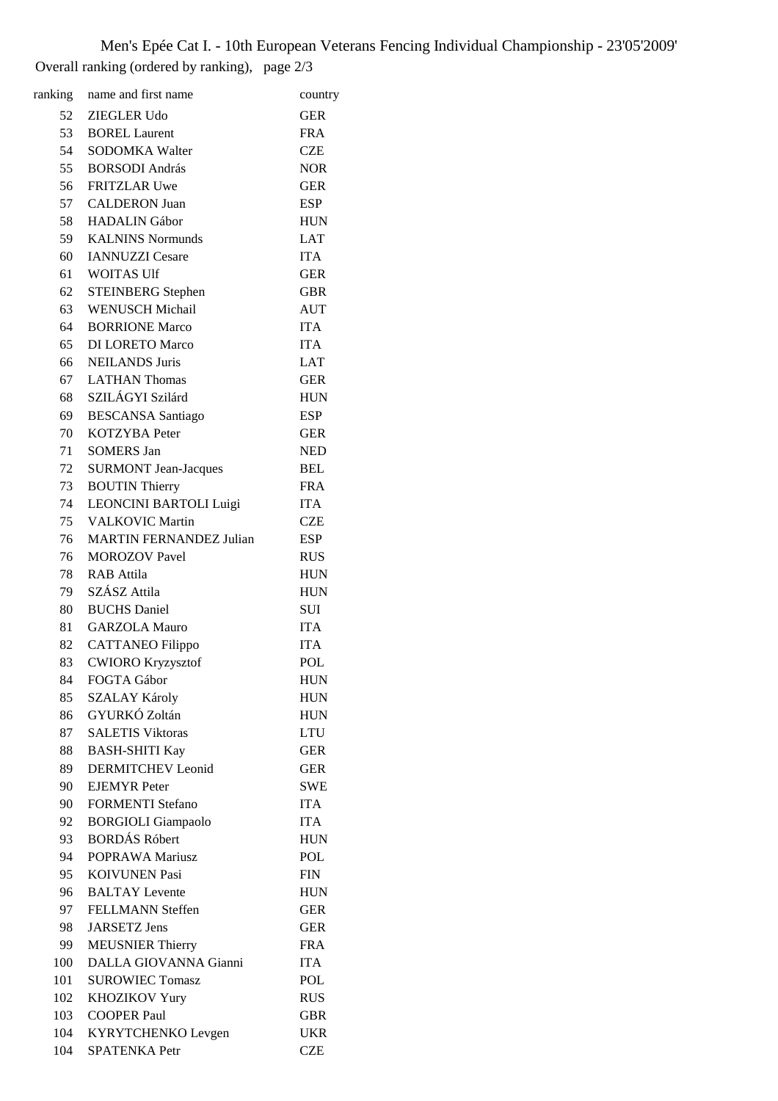Men's Epée Cat I. - 10th European Veterans Fencing Individual Championship - 23'05'2009' Overall ranking (ordered by ranking), page 2/3

| ranking | name and first name                     | country    |
|---------|-----------------------------------------|------------|
|         | 52 ZIEGLER Udo                          | <b>GER</b> |
|         | 53 BOREL Laurent                        | <b>FRA</b> |
| 54      | <b>SODOMKA Walter</b>                   | <b>CZE</b> |
| 55      | <b>BORSODI</b> András                   | <b>NOR</b> |
| 56      | <b>FRITZLAR Uwe</b>                     | <b>GER</b> |
|         | 57 CALDERON Juan                        | <b>ESP</b> |
|         | 58 HADALIN Gábor                        | <b>HUN</b> |
|         | 59 KALNINS Normunds                     | <b>LAT</b> |
|         | 60 IANNUZZI Cesare                      | <b>ITA</b> |
| 61      | <b>WOITAS Ulf</b>                       | <b>GER</b> |
| 62      | <b>STEINBERG</b> Stephen                | <b>GBR</b> |
| 63      | <b>WENUSCH Michail</b>                  | <b>AUT</b> |
| 64      | <b>BORRIONE Marco</b>                   | <b>ITA</b> |
| 65      | <b>DI LORETO Marco</b>                  | <b>ITA</b> |
|         | 66 NEILANDS Juris                       |            |
|         |                                         | LAT        |
|         | 67 LATHAN Thomas<br>68 SZILÁGYI Szilárd | <b>GER</b> |
|         |                                         | <b>HUN</b> |
| 69      | <b>BESCANSA</b> Santiago                | <b>ESP</b> |
| 70      | <b>KOTZYBA</b> Peter                    | <b>GER</b> |
| 71      | <b>SOMERS Jan</b>                       | <b>NED</b> |
| 72      | <b>SURMONT Jean-Jacques</b>             | <b>BEL</b> |
| 73      | <b>BOUTIN Thierry</b>                   | <b>FRA</b> |
| 74      | LEONCINI BARTOLI Luigi                  | <b>ITA</b> |
|         | 75 VALKOVIC Martin                      | <b>CZE</b> |
| 76      | <b>MARTIN FERNANDEZ Julian</b>          | <b>ESP</b> |
| 76      | <b>MOROZOV</b> Pavel                    | <b>RUS</b> |
| 78      | <b>RAB</b> Attila                       | <b>HUN</b> |
| 79      | SZÁSZ Attila                            | <b>HUN</b> |
| 80      | <b>BUCHS</b> Daniel                     | SUI        |
|         | 81 GARZOLA Mauro                        | <b>ITA</b> |
|         | 82 CATTANEO Filippo                     | <b>ITA</b> |
| 83      | <b>CWIORO Kryzysztof</b>                | POL        |
| 84      | FOGTA Gábor                             | <b>HUN</b> |
| 85      | <b>SZALAY Károly</b>                    | <b>HUN</b> |
| 86      | GYURKÓ Zoltán                           | <b>HUN</b> |
| 87      | <b>SALETIS Viktoras</b>                 | <b>LTU</b> |
| 88      | <b>BASH-SHITI Kay</b>                   | <b>GER</b> |
| 89      | <b>DERMITCHEV Leonid</b>                | <b>GER</b> |
| 90      | <b>EJEMYR</b> Peter                     | <b>SWE</b> |
| 90      | <b>FORMENTI Stefano</b>                 | <b>ITA</b> |
| 92      | <b>BORGIOLI</b> Giampaolo               | <b>ITA</b> |
| 93      | <b>BORDÁS Róbert</b>                    | <b>HUN</b> |
| 94      | POPRAWA Mariusz                         | <b>POL</b> |
| 95      | <b>KOIVUNEN Pasi</b>                    | <b>FIN</b> |
| 96      | <b>BALTAY</b> Levente                   | <b>HUN</b> |
| 97      | FELLMANN Steffen                        | <b>GER</b> |
| 98      | <b>JARSETZ Jens</b>                     | <b>GER</b> |
| 99      | <b>MEUSNIER Thierry</b>                 | <b>FRA</b> |
| 100     | DALLA GIOVANNA Gianni                   | <b>ITA</b> |
| 101     | <b>SUROWIEC Tomasz</b>                  | POL        |
| 102     | <b>KHOZIKOV Yury</b>                    | <b>RUS</b> |
| 103     | <b>COOPER Paul</b>                      | <b>GBR</b> |
| 104     | KYRYTCHENKO Levgen                      | <b>UKR</b> |
| 104     | SPATENKA Petr                           | <b>CZE</b> |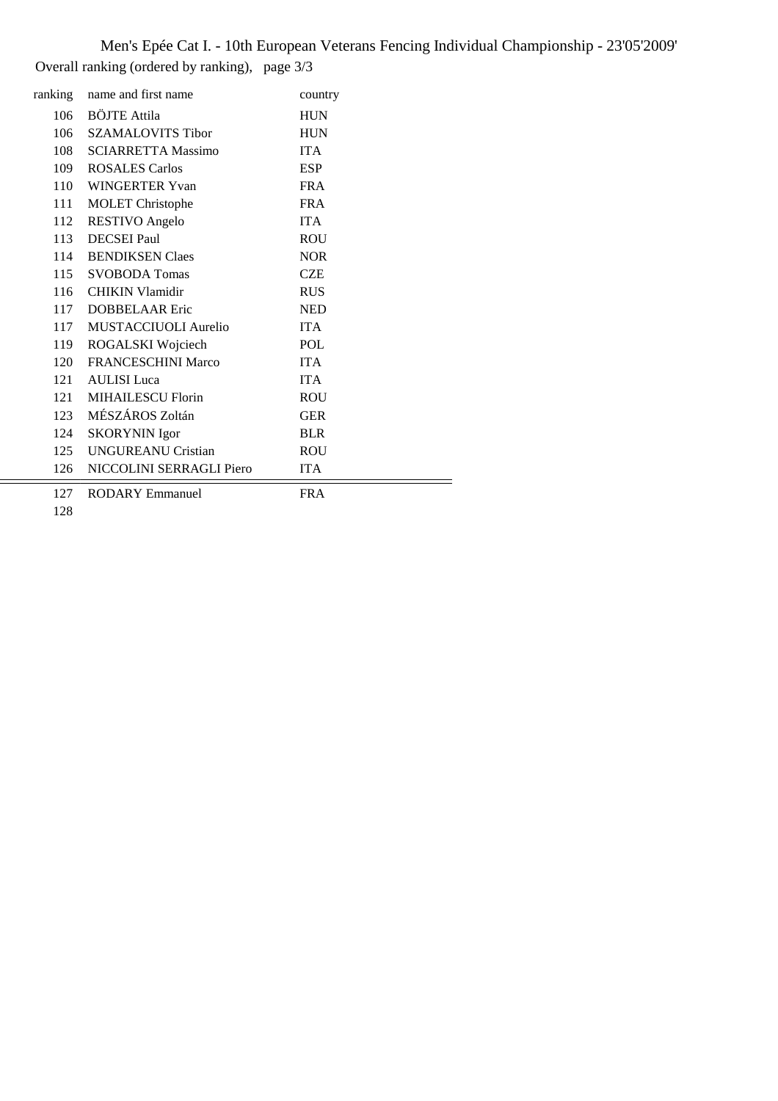Men's Epée Cat I. - 10th European Veterans Fencing Individual Championship - 23'05'2009' Overall ranking (ordered by ranking), page 3/3

| ranking | name and first name       | country    |
|---------|---------------------------|------------|
| 106     | <b>BÖJTE Attila</b>       | <b>HUN</b> |
| 106     | <b>SZAMALOVITS Tibor</b>  | <b>HUN</b> |
| 108     | <b>SCIARRETTA Massimo</b> | <b>ITA</b> |
| 109     | <b>ROSALES Carlos</b>     | <b>ESP</b> |
| 110     | WINGERTER Yvan            | <b>FRA</b> |
| 111     | <b>MOLET</b> Christophe   | <b>FRA</b> |
| 112     | <b>RESTIVO</b> Angelo     | <b>ITA</b> |
| 113     | <b>DECSEI</b> Paul        | <b>ROU</b> |
| 114     | <b>BENDIKSEN Claes</b>    | <b>NOR</b> |
| 115     | <b>SVOBODA</b> Tomas      | <b>CZE</b> |
| 116     | <b>CHIKIN Vlamidir</b>    | <b>RUS</b> |
| 117     | <b>DOBBELAAR</b> Eric     | <b>NED</b> |
| 117     | MUSTACCIUOLI Aurelio      | <b>ITA</b> |
| 119     | ROGALSKI Wojciech         | <b>POL</b> |
| 120     | <b>FRANCESCHINI Marco</b> | <b>ITA</b> |
| 121     | <b>AULISI</b> Luca        | <b>ITA</b> |
| 121     | <b>MIHAILESCU Florin</b>  | <b>ROU</b> |
| 123     | MÉSZÁROS Zoltán           | <b>GER</b> |
| 124     | <b>SKORYNIN</b> Igor      | <b>BLR</b> |
| 125     | <b>UNGUREANU Cristian</b> | <b>ROU</b> |
| 126     | NICCOLINI SERRAGLI Piero  | <b>ITA</b> |
| 127     | <b>RODARY Emmanuel</b>    | <b>FRA</b> |

İ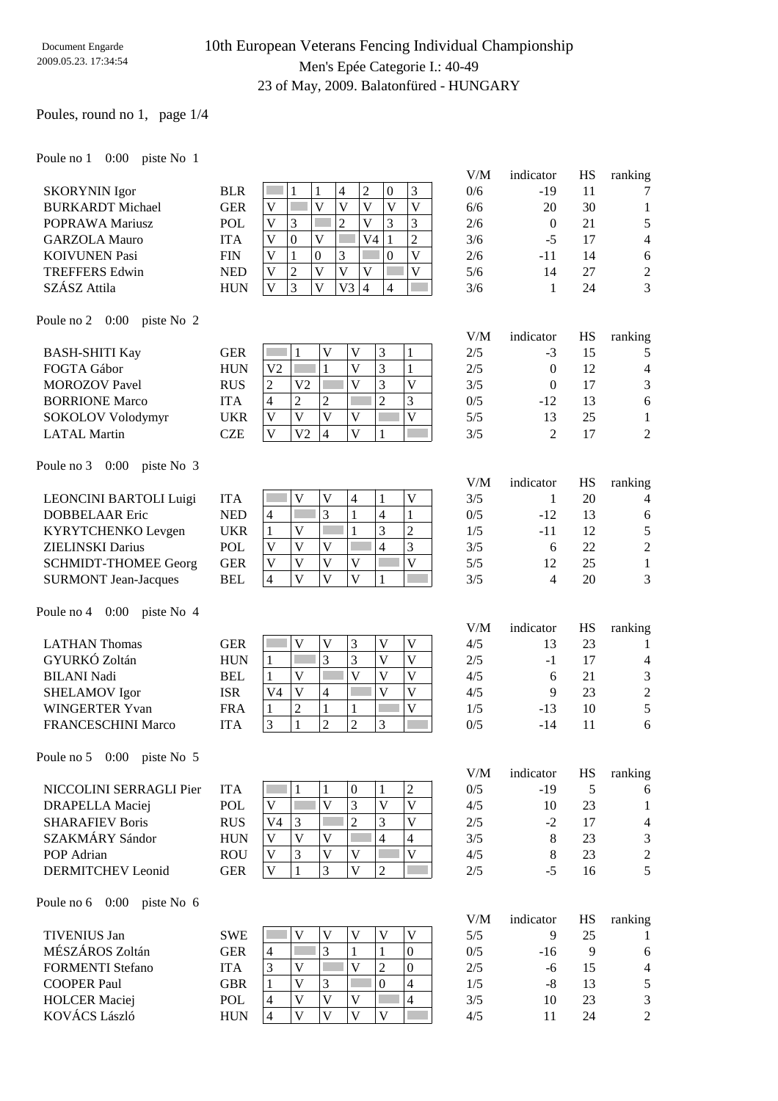### 10th European Veterans Fencing Individual Championship Men's Epée Categorie I.: 40-49 23 of May, 2009. Balatonfüred - HUNGARY

#### Poules, round no 1, page 1/4

#### Poule no 1 0:00 piste No 1

|                         |            |   |          |   |    |    |          |   | V/M | indicator | HS | ranking        |
|-------------------------|------------|---|----------|---|----|----|----------|---|-----|-----------|----|----------------|
| <b>SKORYNIN</b> Igor    | <b>BLR</b> |   |          |   |    | 2  | $\Omega$ |   | 0/6 | -19       |    | 7              |
| <b>BURKARDT</b> Michael | GER        | V |          |   |    | V  |          | v | 6/6 | 20        | 30 |                |
| POPRAWA Mariusz         | <b>POL</b> | V | 3        |   |    | V  |          |   | 2/6 | $\theta$  | 21 | 5              |
| <b>GARZOLA Mauro</b>    | <b>ITA</b> | V | $\Omega$ | V |    | V4 |          |   | 3/6 | -5        |    | 4              |
| <b>KOIVUNEN Pasi</b>    | <b>FIN</b> | V |          | 0 |    |    | 0        | V | 2/6 | -11       | 14 | 6              |
| <b>TREFFERS Edwin</b>   | <b>NED</b> | V | റ        |   |    | V  |          | V | 5/6 | 14        | 27 | $\overline{2}$ |
| SZÁSZ Attila            | <b>HUN</b> | V | 3        |   | V3 | 4  | 4        |   | 3/6 |           | 24 | 3              |
|                         |            |   |          |   |    |    |          |   |     |           |    |                |

#### Poule no 2 0:00 piste No 2

|                       |            |                |    |   |  |     |       |    | J              |
|-----------------------|------------|----------------|----|---|--|-----|-------|----|----------------|
| <b>BASH-SHITI Kay</b> | GER        |                |    |   |  | 2/5 | $-3$  | 15 |                |
| FOGTA Gábor           | <b>HUN</b> | V <sub>2</sub> |    |   |  | 2/5 |       | 12 | $\overline{4}$ |
| <b>MOROZOV</b> Pavel  | <b>RUS</b> | ◠<br>∠         | V2 |   |  | 3/5 |       |    | 3              |
| <b>BORRIONE Marco</b> | UТА        | 4              |    | ∠ |  | 0/5 | $-12$ | 13 | 6              |
| SOKOLOV Volodymyr     | UKR        | ۲.             |    |   |  | 5/5 |       | 25 |                |
| <b>LATAL Martin</b>   | CZE        | $\bf{V}$       | V2 | Δ |  | 3/5 |       |    | $\overline{2}$ |
|                       |            |                |    |   |  |     |       |    |                |

#### Poule no 3 0:00 piste No 3

| LEONCINI BARTOLI Luigi      | UТА        |   |  |  |   | 3/5 |        |    |               |
|-----------------------------|------------|---|--|--|---|-----|--------|----|---------------|
| DOBBELAAR Eric              | NED        | 4 |  |  |   | 0/5 | $-12.$ | 13 |               |
| KYRYTCHENKO Levgen          | UKR        |   |  |  | ∠ | 1/5 | -11    |    |               |
| <b>ZIELINSKI</b> Darius     | <b>POL</b> |   |  |  |   | 3/5 |        | 22 | $\mathcal{D}$ |
| <b>SCHMIDT-THOMEE Georg</b> | GER        |   |  |  |   | 5/5 |        |    |               |
| <b>SURMONT Jean-Jacques</b> | <b>BEL</b> |   |  |  |   | 3/5 |        |    | $\mathcal{R}$ |

#### Poule no 4 0:00 piste No 4

| <b>LATHAN Thomas</b>      | GER        |    |   |  | 4/5 |       | 23 |                |
|---------------------------|------------|----|---|--|-----|-------|----|----------------|
| GYURKÓ Zoltán             | <b>HUN</b> |    |   |  | 2/5 | - 1   |    | 4              |
| <b>BILANI Nadi</b>        | <b>BEL</b> |    |   |  | 4/5 |       | 21 | 3              |
| <b>SHELAMOV</b> Igor      | ISR        | V4 | 4 |  | 4/5 |       | 23 | $\overline{2}$ |
| WINGERTER Yvan            | FRA        |    |   |  | 1/5 | $-13$ | 10 |                |
| <b>FRANCESCHINI Marco</b> | 'TA        |    |   |  | 0/5 | -14   |    |                |

#### Poule no 5 0:00 piste No 5

| NICCOLINI SERRAGLI Pier | <b>ITA</b> |    |  |  | 0/5 | -19 |               |
|-------------------------|------------|----|--|--|-----|-----|---------------|
| DRAPELLA Maciej         | <b>POL</b> |    |  |  | 4/5 |     |               |
| <b>SHARAFIEV Boris</b>  | <b>RUS</b> | V4 |  |  | 2/5 |     | 4             |
| SZAKMÁRY Sándor         | <b>HUN</b> |    |  |  | 3/5 |     | 3             |
| POP Adrian              | <b>ROU</b> |    |  |  | 4/5 |     | $\mathcal{D}$ |
| DERMITCHEV Leonid       | GER        |    |  |  | 2/5 |     |               |

#### Poule no 6 0:00 piste No 6

| <b>TIVENIUS Jan</b>     | <b>SWE</b> |   |  |              | 5/5 |       |    |                |
|-------------------------|------------|---|--|--------------|-----|-------|----|----------------|
| MÉSZÁROS Zoltán         | GER        | 4 |  |              | 0/5 | $-16$ |    |                |
| <b>FORMENTI Stefano</b> | ITA        | ⌒ |  |              | 2/5 | -h    |    | 4              |
| <b>COOPER Paul</b>      | <b>GBR</b> |   |  |              | 1/5 | -8    |    | 5              |
| <b>HOLCER Maciej</b>    | <b>POL</b> | 4 |  |              | 3/5 | 10    | 23 | 3              |
| <b>KOVÁCS László</b>    | HUN        | 4 |  | $\mathbf{V}$ |     |       | 24 | $\overline{2}$ |

| 2/6 | -11          | 14        | 6              |
|-----|--------------|-----------|----------------|
| 5/6 | 14           | 27        | $\mathfrak{2}$ |
| 3/6 | 1            | 24        | 3              |
|     |              |           |                |
| V/M | indicator    | <b>HS</b> | ranking        |
| 2/5 | $-3$         | 15        | 5              |
| 2/5 | $\mathbf{0}$ | 12        | 4              |
| 3/5 | $\theta$     | 17        | $\sqrt{3}$     |
| 0/5 | $-12$        | 13        | 6              |
| 5/5 | 13           | 25        | 1              |

| V/M | indicator | HS. | ranking |
|-----|-----------|-----|---------|
| 3/5 |           | 20  |         |
| 0/5 | $-12$     | 13  | 6       |
| 1/5 | -11       | 12  | 5       |
| 3/5 | 6         | 22  | 2       |
| 5/5 | 12        | 25  |         |
| 3/5 |           | 20  | 3       |

| V/M | indicator | <b>HS</b> | ranking        |
|-----|-----------|-----------|----------------|
| 4/5 | 13        | 23        |                |
| 2/5 | $-1$      | 17        | 4              |
| 4/5 | 6         | 21        | 3              |
| 4/5 | 9         | 23        | $\overline{2}$ |
| 1/5 | -13       | 10        | 5              |
| 0/5 | -14       | 11        | 6              |

| V/M | indicator | HS | ranking |
|-----|-----------|----|---------|
| 0/5 | $-19$     | 5  | 6       |
| 4/5 | 10        | 23 | 1       |
| 2/5 | $-2$      | 17 | 4       |
| 3/5 | 8         | 23 | 3       |
| 4/5 | 8         | 23 | 2       |
| 2/5 | -5        | 16 | 5       |

| V/M | indicator | HS | ranking |
|-----|-----------|----|---------|
| 5/5 | 9         | 25 |         |
| 0/5 | $-16$     | 9  | 6       |
| 2/5 | -6        | 15 | 4       |
| 1/5 | -8        | 13 | 5       |
| 3/5 | 10        | 23 | 3       |
| 4/5 | 11        | 24 | 2       |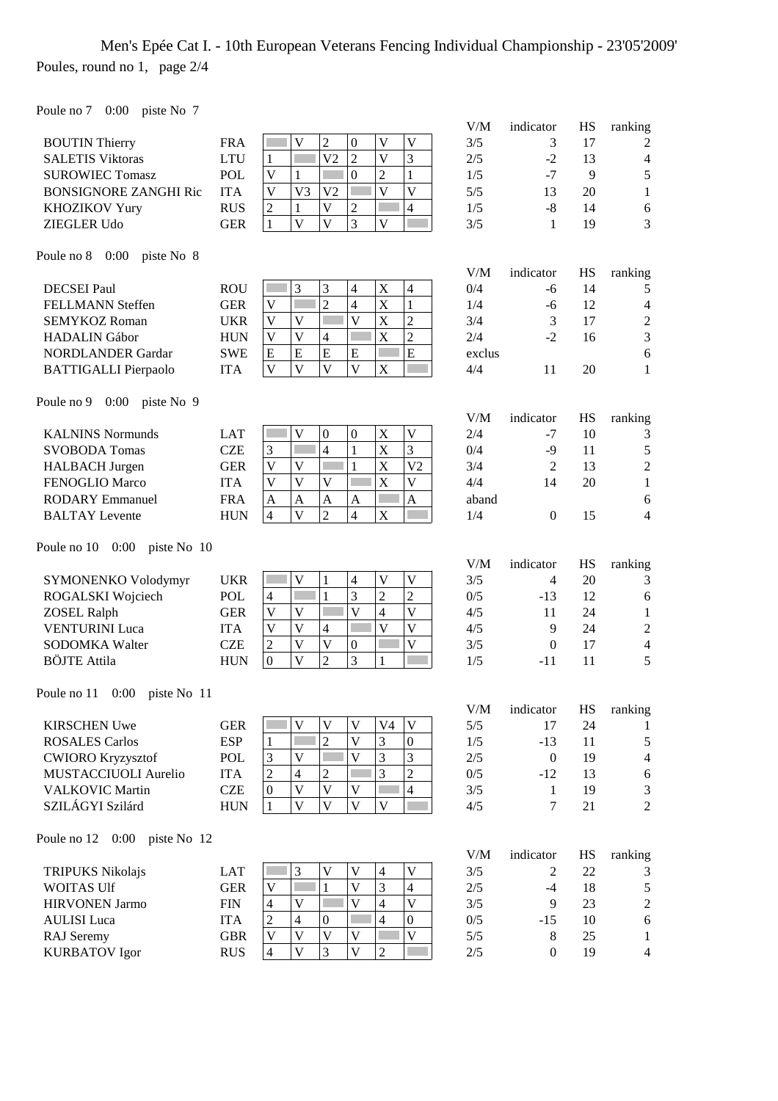## Men's Epée Cat I. - 10th European Veterans Fencing Individual Championship - 23'05'2009' Poules, round no 1, page 2/4

Poule no 7 0:00 piste No 7

| $1 \text{ O}$ $\mu$ $\mu$ $\sigma$ $\mu$ $\sigma$ $\sigma$ $\sigma$ |            |                                                                                                                          | V/M       |                   |           |                              |
|---------------------------------------------------------------------|------------|--------------------------------------------------------------------------------------------------------------------------|-----------|-------------------|-----------|------------------------------|
|                                                                     | <b>FRA</b> | $\overline{c}$<br>$\overline{V}$<br>$\overline{V}$<br>$\mathbf{V}$<br>$\boldsymbol{0}$                                   | 3/5       | indicator<br>3    | HS<br>17  | ranking                      |
| <b>BOUTIN Thierry</b><br><b>SALETIS Viktoras</b>                    | <b>LTU</b> | $\overline{2}$<br>$\overline{\mathsf{V}}$<br>3<br>V <sub>2</sub>                                                         | 2/5       | $-2$              | 13        | 2                            |
| <b>SUROWIEC Tomasz</b>                                              | POL        | 1<br>$\overline{0}$<br>$\overline{2}$<br>$\mathbf{1}$<br>V<br>1                                                          | 1/5       | $-7$              | 9         | $\overline{4}$<br>$\sqrt{5}$ |
|                                                                     |            | $\overline{V}$<br>$\overline{V}$<br>V <sub>3</sub><br>V <sub>2</sub>                                                     |           |                   |           |                              |
| <b>BONSIGNORE ZANGHI Ric</b>                                        | <b>ITA</b> | V<br>$\overline{4}$<br>$\overline{V}$<br>$\overline{c}$                                                                  | 5/5       | 13                | 20        | $\mathbf{1}$                 |
| <b>KHOZIKOV Yury</b>                                                | <b>RUS</b> | $\sqrt{2}$<br>$\mathbf{1}$<br>3<br>$\overline{\mathbf{V}}$<br>$\overline{V}$                                             | 1/5       | $-8$              | 14        | $\sqrt{6}$<br>3              |
| <b>ZIEGLER Udo</b>                                                  | <b>GER</b> | $\mathbf V$<br>$\mathbf{1}$                                                                                              | 3/5       | 1                 | 19        |                              |
| Poule no $8$ 0:00<br>piste No 8                                     |            |                                                                                                                          | V/M       | indicator         | <b>HS</b> | ranking                      |
| <b>DECSEI</b> Paul                                                  | <b>ROU</b> | 3<br>3<br>H.<br>$\mathbf X$<br>$\overline{\mathcal{A}}$<br>$\overline{4}$                                                | 0/4       | -6                | 14        | 5                            |
| FELLMANN Steffen                                                    | <b>GER</b> | $\overline{2}$<br>X<br>$\overline{4}$<br>$\mathbf{1}$<br>V                                                               | 1/4       | $-6$              | 12        | $\overline{4}$               |
| <b>SEMYKOZ Roman</b>                                                | <b>UKR</b> | $\overline{\mathsf{V}}$<br>$\overline{2}$<br>$\mathbf V$<br>V<br>$\mathbf X$                                             | 3/4       | 3                 | 17        | $\boldsymbol{2}$             |
| <b>HADALIN</b> Gábor                                                | <b>HUN</b> | X<br>$\overline{\mathbf{V}}$<br>$\overline{2}$<br>$\mathbf V$<br>4                                                       | 2/4       | $-2$              | 16        | $\mathfrak{Z}$               |
| <b>NORDLANDER Gardar</b>                                            | <b>SWE</b> | E<br>${\bf E}$<br>${\bf E}$<br>Г<br>${\bf E}$<br>E                                                                       | exclus    |                   |           | $\sqrt{6}$                   |
| <b>BATTIGALLI Pierpaolo</b>                                         | <b>ITA</b> | $\overline{V}$<br>$\overline{V}$<br>$\overline{V}$<br>$\mathbf{V}$<br>$\mathbf X$                                        | 4/4       | 11                | 20        | $\mathbf{1}$                 |
|                                                                     |            |                                                                                                                          |           |                   |           |                              |
| Poule no $9 \quad 0:00$<br>piste No 9                               |            |                                                                                                                          | V/M       |                   | <b>HS</b> |                              |
| <b>KALNINS Normunds</b>                                             | <b>LAT</b> | X<br>$\ensuremath{\mathbf{V}}$<br>$\mathbf V$<br>$\boldsymbol{0}$<br>$\boldsymbol{0}$                                    | 2/4       | indicator<br>$-7$ | 10        | ranking                      |
|                                                                     | <b>CZE</b> | $\overline{X}$<br>3<br>$\overline{4}$<br>3<br>$\,1\,$                                                                    |           |                   |           | 3                            |
| <b>SVOBODA Tomas</b>                                                |            | $\mathbf{1}$<br>X<br>$\overline{\mathsf{V}}$<br>V <sub>2</sub><br>$\mathbf V$                                            | 0/4       | $-9$              | 11        | $\sqrt{5}$                   |
| <b>HALBACH</b> Jurgen                                               | <b>GER</b> | X<br>$\overline{\mathbf{V}}$<br>Г                                                                                        | 3/4       | $\overline{2}$    | 13        | $\sqrt{2}$                   |
| FENOGLIO Marco                                                      | <b>ITA</b> | V<br>$\bar{V}$<br>V                                                                                                      | 4/4       | 14                | 20        | $\mathbf{1}$                 |
| <b>RODARY Emmanuel</b>                                              | <b>FRA</b> | $\overline{A}$<br>$\overline{A}$<br>A<br>$\mathbf{A}$<br>A<br>$\overline{\mathbf{V}}$<br>$\overline{4}$                  | aband     |                   |           | 6<br>$\overline{4}$          |
| <b>BALTAY</b> Levente                                               | <b>HUN</b> | $\overline{c}$<br>X<br>$\overline{4}$                                                                                    | 1/4       | $\boldsymbol{0}$  | 15        |                              |
| Poule no 10 0:00 piste No 10                                        |            |                                                                                                                          |           |                   |           |                              |
|                                                                     |            |                                                                                                                          | V/M       | indicator         | HS        | ranking                      |
| SYMONENKO Volodymyr                                                 | <b>UKR</b> | $\mathbf V$<br>$\mathbf V$<br>$\mathbf V$<br>$\mathbf{1}$<br>$\overline{4}$                                              | 3/5       | 4                 | 20        | 3                            |
| ROGALSKI Wojciech                                                   | <b>POL</b> | 3<br>$\overline{2}$<br>$\overline{2}$<br>$\mathbf{1}$<br>4                                                               | 0/5       | $-13$             | 12        | $\sqrt{6}$                   |
| <b>ZOSEL Ralph</b>                                                  | <b>GER</b> | $\overline{\mathsf{V}}$<br>$\overline{\mathbf{V}}$<br>$\overline{\mathsf{V}}$<br>V<br>$\overline{4}$                     | 4/5       | 11                | 24        | $\mathbf{1}$                 |
| <b>VENTURINI Luca</b>                                               | <b>ITA</b> | $\overline{\mathsf{V}}$<br>$\overline{V}$<br>Г<br>$\overline{V}$<br>$\mathbf V$<br>$\overline{4}$                        | 4/5       | 9                 | 24        | $\sqrt{2}$                   |
| SODOMKA Walter                                                      | <b>CZE</b> | $\overline{\mathsf{V}}$<br>$\overline{\mathsf{V}}$<br>$\overline{\mathsf{V}}$<br>$\overline{c}$<br>$\boldsymbol{0}$<br>Г | 3/5       | $\mathbf{0}$      | 17        | $\overline{\mathbf{4}}$      |
| <b>BÖJTE</b> Attila                                                 | <b>HUN</b> | 3<br>$\overline{\mathbf{V}}$<br>$\overline{2}$<br>$\boldsymbol{0}$<br>$\mathbf{1}$                                       | 1/5       | $-11$             | 11        | 5                            |
| Poule no $11 \quad 0:00$<br>piste No 11                             |            |                                                                                                                          |           |                   |           |                              |
|                                                                     |            |                                                                                                                          | $V\!/\!M$ | indicator         | HS        | ranking                      |
| <b>KIRSCHEN Uwe</b>                                                 | <b>GER</b> | $\mathbf V$<br>$\overline{\mathsf{V}}$<br>V <sub>4</sub><br>$\mathbf V$<br>V                                             | 5/5       | 17                | 24        | 1                            |
| <b>ROSALES Carlos</b>                                               | <b>ESP</b> | $\overline{2}$<br>$\overline{\mathsf{V}}$<br>3<br>$\mathbf{0}$<br>1                                                      | 1/5       | $-13$             | 11        | $\mathfrak{S}$               |
| <b>CWIORO Kryzysztof</b>                                            | <b>POL</b> | $\overline{\mathsf{V}}$<br>3<br>3<br>3<br>$\mathbf V$                                                                    | 2/5       | $\boldsymbol{0}$  | 19        | $\overline{4}$               |
| MUSTACCIUOLI Aurelio                                                | <b>ITA</b> | 3<br>$\overline{c}$<br>$\overline{c}$<br>$\overline{c}$<br>$\overline{4}$                                                | 0/5       | $-12$             | 13        | $\sqrt{6}$                   |
| <b>VALKOVIC Martin</b>                                              | <b>CZE</b> | $\overline{4}$<br>$\mathbf V$<br>$\bar{V}$<br>$\mathbf V$<br>$\boldsymbol{0}$                                            | 3/5       | 1                 | 19        | 3                            |
| SZILÁGYI Szilárd                                                    | <b>HUN</b> | $\mathbf V$<br>$\mathbf V$<br>V<br>$\mathbf V$<br>$\mathbf{1}$                                                           | 4/5       | $\tau$            | 21        | $\overline{2}$               |
| Poule no 12 0:00 piste No 12                                        |            |                                                                                                                          |           |                   |           |                              |
|                                                                     |            |                                                                                                                          | V/M       | indicator         | HS        | ranking                      |
| <b>TRIPUKS Nikolajs</b>                                             | <b>LAT</b> | V<br>$\mathbf V$<br>$\mathbf V$<br>3<br>$\overline{4}$                                                                   | 3/5       | $\mathfrak{2}$    | 22        | 3                            |
| WOITAS Ulf                                                          | <b>GER</b> | 3<br>$\overline{\mathsf{V}}$<br>$\overline{4}$<br>$\ensuremath{\mathsf{V}}$<br>$\mathbf{1}$                              | 2/5       | $-4$              | 18        | $\sqrt{5}$                   |
| <b>HIRVONEN Jarmo</b>                                               | <b>FIN</b> | $\overline{\mathsf{V}}$<br>$\overline{4}$<br>$\overline{V}$<br>$\overline{4}$<br>$\mathbf V$                             | 3/5       | 9                 | 23        | $\sqrt{2}$                   |
| <b>AULISI</b> Luca                                                  | <b>ITA</b> | $\mathfrak{2}$<br>$\overline{4}$<br>$\overline{4}$<br>$\boldsymbol{0}$<br>$\boldsymbol{0}$                               | 0/5       | $-15$             | 10        | $\sqrt{6}$                   |
| <b>RAJ</b> Seremy                                                   | <b>GBR</b> | $\overline{\mathsf{V}}$<br>$\overline{\mathsf{V}}$<br>$\mathbf V$<br>$\mathbf V$<br>$\mathbf V$                          | 5/5       | $\,8\,$           | 25        | $\mathbf{1}$                 |
| <b>KURBATOV</b> Igor                                                | <b>RUS</b> | $\overline{V}$<br>3<br>$\overline{\mathsf{V}}$<br>$\overline{2}$<br>$\overline{4}$                                       | $2/5$     | $\boldsymbol{0}$  | 19        | $\overline{4}$               |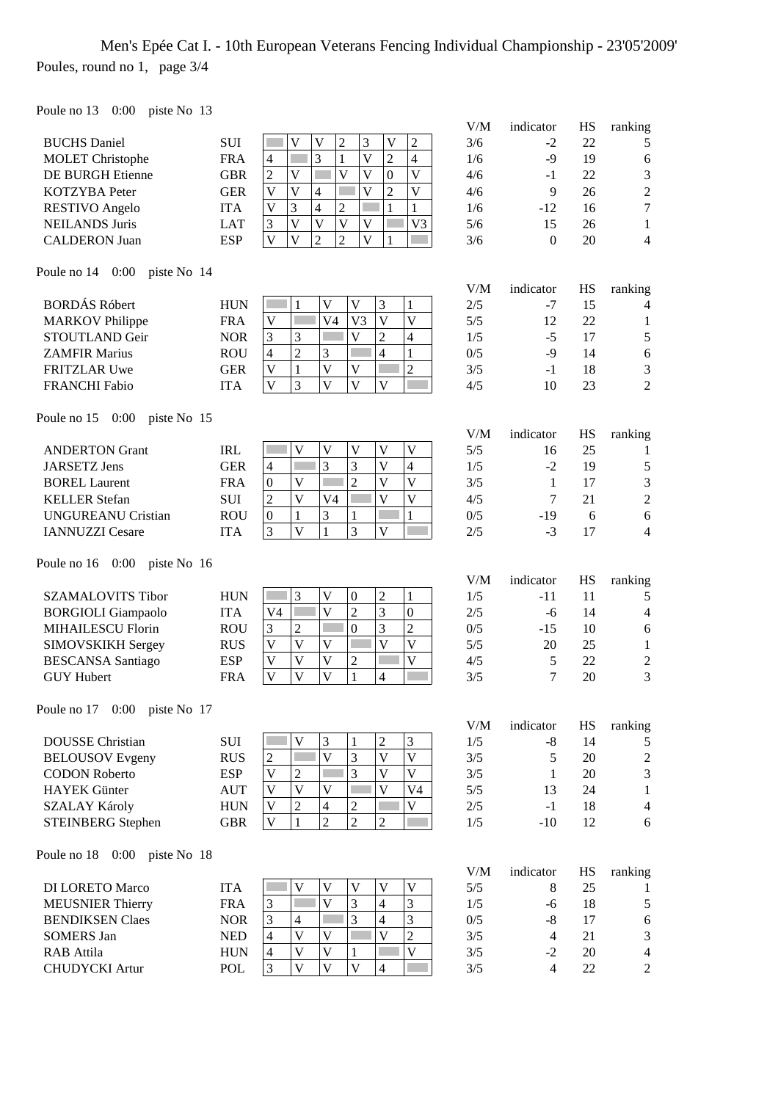# Men's Epée Cat I. - 10th European Veterans Fencing Individual Championship - 23'05'2009' Poules, round no 1, page 3/4

Poule no 13 0:00 piste No 13

| $1 \text{ our time}$ $10 \text{ V}$ |            |                                                                                                                                                        | V/M | indicator                | HS        | ranking          |
|-------------------------------------|------------|--------------------------------------------------------------------------------------------------------------------------------------------------------|-----|--------------------------|-----------|------------------|
| <b>BUCHS</b> Daniel                 | <b>SUI</b> | $\overline{\mathsf{V}}$<br>$\overline{c}$<br>3<br>$\overline{\mathsf{V}}$<br>$\overline{c}$<br>$\overline{\mathsf{V}}$                                 | 3/6 | $-2$                     | 22        | 5                |
| <b>MOLET</b> Christophe             | <b>FRA</b> | 3<br>$\overline{\mathsf{V}}$<br>$\overline{2}$<br>$\overline{4}$<br><b>Side</b><br>1<br>4                                                              | 1/6 | $-9$                     | 19        | $\boldsymbol{6}$ |
| <b>DE BURGH Etienne</b>             | <b>GBR</b> | $\overline{\mathsf{V}}$<br>$\overline{V}$<br>$\overline{\mathsf{V}}$<br>$\boldsymbol{0}$<br>$\overline{\mathsf{V}}$<br>$\overline{c}$                  | 4/6 | $-1$                     | 22        | $\mathfrak{Z}$   |
| KOTZYBA Peter                       | <b>GER</b> | $\overline{\mathsf{V}}$<br>$\overline{\mathsf{V}}$<br>$\overline{2}$<br>$\overline{\mathsf{V}}$<br>$\overline{\mathsf{V}}$<br>$\overline{4}$           | 4/6 | 9                        | 26        | $\sqrt{2}$       |
| <b>RESTIVO</b> Angelo               | <b>ITA</b> | 3<br>$\overline{\mathsf{V}}$<br>$\overline{4}$<br>$\overline{2}$<br>$\mathbf{1}$<br>$\mathbf{1}$                                                       | 1/6 | $-12$                    | 16        | $\tau$           |
| <b>NEILANDS Juris</b>               | <b>LAT</b> | $\overline{V}$<br>$\overline{\mathsf{V}}$<br>$\overline{\mathbf{V}}$<br>$\mathfrak{Z}$<br>$\mathbf V$<br>V <sub>3</sub>                                | 5/6 | 15                       | 26        | $\mathbf{1}$     |
| <b>CALDERON</b> Juan                | <b>ESP</b> | $\overline{V}$<br>$\overline{\mathsf{V}}$<br>$\overline{2}$<br>$\overline{2}$<br>$\overline{\mathsf{V}}$<br>1                                          | 3/6 | $\mathbf{0}$             | 20        | $\overline{4}$   |
| Poule no $14$ 0:00<br>piste No 14   |            |                                                                                                                                                        |     |                          |           |                  |
|                                     |            |                                                                                                                                                        | V/M | indicator                | HS        | ranking          |
| <b>BORDÁS Róbert</b>                | <b>HUN</b> | 3<br>$\mathbf V$<br>$\mathbf{V}$<br>$\mathbf{1}$<br>1                                                                                                  | 2/5 | -7                       | 15        | 4                |
| <b>MARKOV</b> Philippe              | <b>FRA</b> | V <sub>4</sub><br>V <sub>3</sub><br>$\overline{\mathsf{V}}$<br>$\mathbf V$<br>V                                                                        | 5/5 | 12                       | 22        | $\mathbf{1}$     |
| STOUTLAND Geir                      | <b>NOR</b> | 3<br>$\mathbf V$<br>$\overline{2}$<br>3<br>$\overline{4}$                                                                                              | 1/5 | $-5$                     | 17        | $\sqrt{5}$       |
| <b>ZAMFIR Marius</b>                | <b>ROU</b> | $\overline{c}$<br>3<br>$\overline{4}$<br>$\overline{4}$<br>$\mathbf{1}$                                                                                | 0/5 | $-9$                     | 14        | $\sqrt{6}$       |
| <b>FRITZLAR Uwe</b>                 | <b>GER</b> | $\overline{\mathsf{V}}$<br>$\overline{2}$<br>$\mathbf V$<br>$\mathbf{1}$<br>$\mathbf V$                                                                | 3/5 | $-1$                     | 18        | $\mathfrak{Z}$   |
| <b>FRANCHI Fabio</b>                | <b>ITA</b> | $\overline{\mathsf{V}}$<br>3<br>$\overline{V}$<br>$\overline{\mathbf{V}}$<br>$\overline{\mathsf{V}}$                                                   | 4/5 | 10                       | 23        | $\overline{c}$   |
| Poule no 15<br>0:00<br>piste No 15  |            |                                                                                                                                                        |     |                          |           |                  |
|                                     |            |                                                                                                                                                        | V/M | indicator                | <b>HS</b> | ranking          |
| <b>ANDERTON Grant</b>               | <b>IRL</b> | $\overline{\mathsf{V}}$<br>$\overline{\mathsf{V}}$<br>$\overline{\mathsf{V}}$<br>V<br>$\overline{\mathsf{V}}$<br>3<br>$\overline{4}$<br>$\overline{V}$ | 5/5 | 16                       | 25        | 1                |
| <b>JARSETZ Jens</b>                 | <b>GER</b> | 3<br>$\overline{4}$<br>$\overline{V}$                                                                                                                  | 1/5 | $-2$                     | 19        | $\sqrt{5}$       |
| <b>BOREL Laurent</b>                | <b>FRA</b> | $\overline{2}$<br>$\overline{\mathsf{V}}$<br>$\boldsymbol{0}$<br>$\mathbf V$                                                                           | 3/5 | 1                        | 17        | 3                |
| <b>KELLER Stefan</b>                | <b>SUI</b> | $\overline{\mathsf{V}}$<br>$\overline{\mathsf{V}}$<br>$\overline{\mathbf{V}}$<br>$\overline{2}$<br>V <sub>4</sub>                                      | 4/5 | 7                        | 21        | $\overline{c}$   |
| <b>UNGUREANU Cristian</b>           | <b>ROU</b> | 3<br>$\mathbf{1}$<br>$\mathbf{1}$<br>$\boldsymbol{0}$<br>$\mathbf{1}$                                                                                  | 0/5 | $-19$                    | 6         | 6                |
| <b>IANNUZZI Cesare</b>              | <b>ITA</b> | 3<br>$\overline{\mathsf{V}}$<br>3<br>$\mathbf{1}$<br>$\overline{\mathsf{V}}$                                                                           | 2/5 | $-3$                     | 17        | $\overline{4}$   |
| $0:00$ piste No 16<br>Poule no 16   |            |                                                                                                                                                        | V/M | indicator                | HS        | ranking          |
| <b>SZAMALOVITS Tibor</b>            | <b>HUN</b> | 3<br>$\mathbf V$<br>$\boldsymbol{0}$<br>$\overline{2}$<br>$\mathbf{1}$                                                                                 | 1/5 | $-11$                    | 11        | 5                |
| <b>BORGIOLI</b> Giampaolo           | <b>ITA</b> | $\overline{c}$<br>$\overline{\mathsf{V}}$<br>3<br>V <sub>4</sub><br>$\boldsymbol{0}$                                                                   | 2/5 | $-6$                     | 14        | $\overline{4}$   |
| <b>MIHAILESCU Florin</b>            | <b>ROU</b> | 3<br>$\overline{2}$<br>$\overline{2}$<br>Г<br>$\overline{0}$<br>3                                                                                      | 0/5 | $-15$                    | 10        | $\sqrt{6}$       |
| SIMOVSKIKH Sergey                   | <b>RUS</b> | $\overline{\mathsf{V}}$<br>$\mathbf V$<br>$\overline{\mathsf{V}}$<br>$\mathbf{V}$<br>V                                                                 | 5/5 | 20                       | 25        | $\mathbf{1}$     |
| <b>BESCANSA</b> Santiago            | <b>ESP</b> | $\overline{\mathsf{V}}$<br>$\overline{2}$<br>$\mathbf{V}$<br>$\mathbf V$<br>$\mathbf{V}$                                                               | 4/5 | 5                        | 22        | $\boldsymbol{2}$ |
| <b>GUY Hubert</b>                   | <b>FRA</b> | $\overline{V}$<br>$\overline{\mathsf{V}}$<br>$\overline{V}$<br>$\mathbf{1}$<br>4                                                                       | 3/5 | 7                        | 20        | 3                |
|                                     |            |                                                                                                                                                        |     |                          |           |                  |
| Poule no 17 0:00 piste No 17        |            |                                                                                                                                                        | V/M | indicator                | HS        | ranking          |
| <b>DOUSSE</b> Christian             | <b>SUI</b> | 3<br>$\overline{c}$<br>$\mathfrak{Z}$<br>V<br>1                                                                                                        | 1/5 | $-8$                     | 14        | 5                |
| <b>BELOUSOV</b> Evgeny              | <b>RUS</b> | $\overline{\mathsf{V}}$<br>$\overline{\mathsf{V}}$<br>3<br>$\overline{\mathsf{V}}$<br>$\boldsymbol{2}$                                                 | 3/5 | 5                        | 20        | $\sqrt{2}$       |
| <b>CODON Roberto</b>                | <b>ESP</b> | 3<br>$\overline{\mathsf{V}}$<br>$\overline{\mathbf{V}}$<br>$\mathbf V$<br>$\boldsymbol{2}$                                                             | 3/5 | 1                        | 20        | $\overline{3}$   |
| <b>HAYEK</b> Günter                 | <b>AUT</b> | $\overline{\mathsf{V}}$<br>V<br>$\mathbf V$<br>V <sub>4</sub><br>V                                                                                     | 5/5 | 13                       | 24        | $\mathbf{1}$     |
| SZALAY Károly                       | <b>HUN</b> | $\boldsymbol{2}$<br>$\boldsymbol{\mathrm{V}}$<br>$\overline{c}$<br>$\mathbf V$<br>$\overline{4}$                                                       | 2/5 | $-1$                     | 18        | $\overline{4}$   |
| <b>STEINBERG</b> Stephen            | <b>GBR</b> | $\overline{2}$<br>$\overline{c}$<br>$\overline{c}$<br>V<br>1                                                                                           | 1/5 | $-10$                    | 12        | 6                |
| Poule no 18<br>$0:00$ piste No 18   |            |                                                                                                                                                        |     |                          |           |                  |
|                                     |            |                                                                                                                                                        | V/M | indicator                | HS        | ranking          |
| <b>DI LORETO Marco</b>              | <b>ITA</b> | $\mathbf V$<br>$\overline{\mathsf{V}}$<br>$\mathbf V$<br>V<br>$\ensuremath{\mathsf{V}}$                                                                | 5/5 | 8                        | 25        | 1                |
| <b>MEUSNIER Thierry</b>             | <b>FRA</b> | $\overline{\mathsf{V}}$<br>$\mathfrak{Z}$<br>3<br>$\overline{4}$<br>3                                                                                  | 1/5 | $-6$                     | 18        | $\mathfrak s$    |
| <b>BENDIKSEN Claes</b>              | <b>NOR</b> | 3<br>$\overline{4}$<br>3<br>3<br>$\overline{4}$                                                                                                        | 0/5 | $-8$                     | 17        | $\sqrt{6}$       |
| <b>SOMERS Jan</b>                   | <b>NED</b> | $\overline{\mathsf{V}}$<br>$\overline{2}$<br>$\mathbf V$<br>4<br>V                                                                                     | 3/5 | $\overline{\mathcal{A}}$ | 21        | $\mathfrak{Z}$   |
| <b>RAB</b> Attila                   | <b>HUN</b> | $\mathbf V$<br>V<br>V<br>$\overline{4}$<br>$\mathbf{1}$                                                                                                | 3/5 | $-2$                     | 20        | $\overline{4}$   |
| <b>CHUDYCKI</b> Artur               | POL        | $\overline{\mathsf{V}}$<br>3<br>$\overline{V}$<br>$\mathbf{V}$<br>4                                                                                    | 3/5 | $\overline{4}$           | 22        | $\overline{2}$   |
|                                     |            |                                                                                                                                                        |     |                          |           |                  |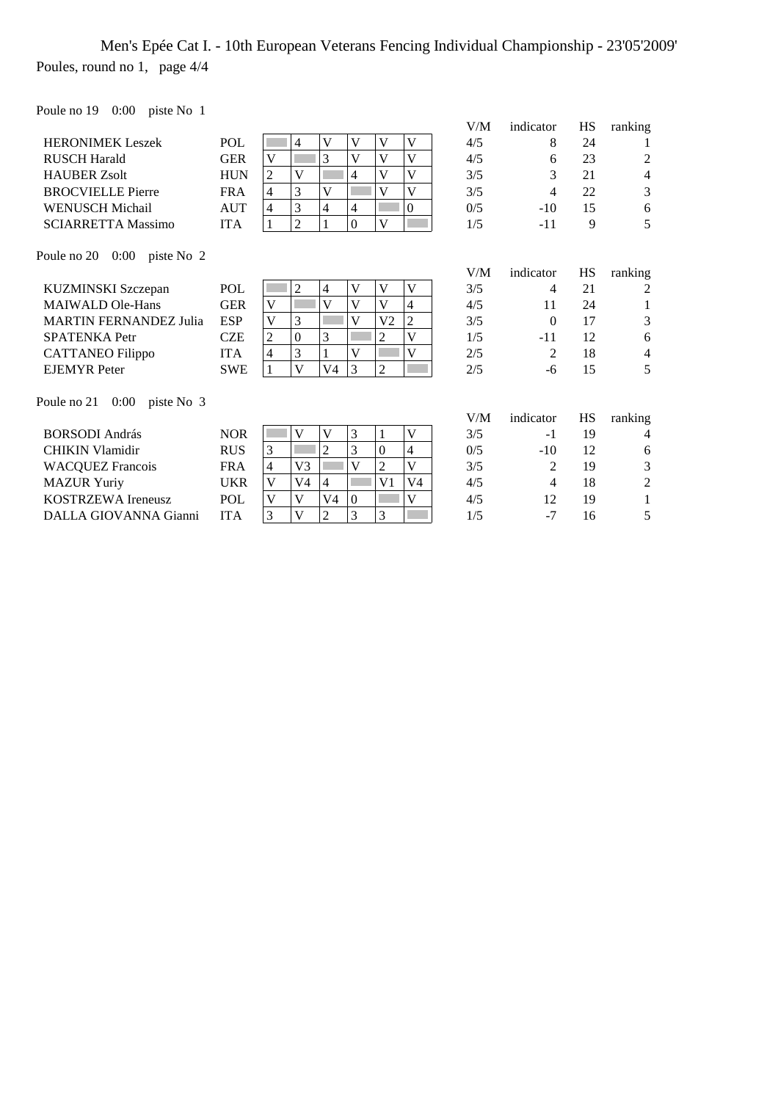### Men's Epée Cat I. - 10th European Veterans Fencing Individual Championship - 23'05'2009' Poules, round no 1, page 4/4

Poule no 19 0:00 piste No 1

|                                       |            |                |                |                |                  |                |                | V/M | indicator | HS        | ranking        |
|---------------------------------------|------------|----------------|----------------|----------------|------------------|----------------|----------------|-----|-----------|-----------|----------------|
| <b>HERONIMEK Leszek</b>               | POL        |                | 4              | V              | V                | V              | V              | 4/5 | 8         | 24        |                |
| <b>RUSCH Harald</b>                   | <b>GER</b> | V              |                | 3              | V                | V              | V              | 4/5 | 6         | 23        | 2              |
| <b>HAUBER Zsolt</b>                   | <b>HUN</b> | 2              | V              |                | 4                | $\mathbf{V}$   | V              | 3/5 | 3         | 21        | 4              |
| <b>BROCVIELLE Pierre</b>              | <b>FRA</b> | $\overline{4}$ | 3              | V              |                  | V              | V              | 3/5 | 4         | 22        | 3              |
| <b>WENUSCH Michail</b>                | <b>AUT</b> | $\overline{4}$ | 3              | $\overline{4}$ | 4                |                | $\Omega$       | 0/5 | $-10$     | 15        | 6              |
| <b>SCIARRETTA Massimo</b>             | <b>ITA</b> | $\mathbf{1}$   | $\overline{2}$ | 1              | $\boldsymbol{0}$ | V              |                | 1/5 | $-11$     | 9         | 5              |
| Poule no $20 \quad 0:00$ piste No $2$ |            |                |                |                |                  |                |                | V/M | indicator | <b>HS</b> | ranking        |
| KUZMINSKI Szczepan                    | POL        |                | $\overline{c}$ | 4              | V                | V              | V              | 3/5 | 4         | 21        | 2              |
| <b>MAIWALD Ole-Hans</b>               | <b>GER</b> | V              |                | V              | V                | $\mathbf{V}$   | 4              | 4/5 | 11        | 24        | 1              |
| <b>MARTIN FERNANDEZ Julia</b>         | <b>ESP</b> | V              | 3              |                | V                | V <sub>2</sub> | $\overline{c}$ | 3/5 | $\Omega$  | 17        | 3              |
| <b>SPATENKA Petr</b>                  | <b>CZE</b> | $\sqrt{2}$     | $\Omega$       | 3              |                  | $\overline{c}$ | V              | 1/5 | -11       | 12        | 6              |
| <b>CATTANEO</b> Filippo               | <b>ITA</b> | $\overline{4}$ | 3              |                | V                |                | V              | 2/5 | 2         | 18        | $\overline{4}$ |
| <b>EJEMYR</b> Peter                   | <b>SWE</b> | 1              | V              | V4             | 3                | $\overline{2}$ |                | 2/5 | -6        | 15        | 5              |
| $0:00$ piste No 3<br>Poule no 21      |            |                |                |                |                  |                |                |     |           |           |                |
|                                       |            |                |                |                |                  |                |                | V/M | indicator | <b>HS</b> | ranking        |
| <b>BORSODI</b> András                 | <b>NOR</b> |                | V              | V              | 3                | 1              | V              | 3/5 | $-1$      | 19        | 4              |
|                                       |            |                |                |                |                  |                |                |     |           |           |                |

| DUNJULI AIIUI 45          | IVUN       |    |   |  |    | ر رد | - 1   | $\mathbf{1}$ | ∸            |
|---------------------------|------------|----|---|--|----|------|-------|--------------|--------------|
| <b>CHIKIN Vlamidir</b>    | <b>RUS</b> |    | ∠ |  |    | 0/5  | $-10$ |              | <sub>6</sub> |
| <b>WACQUEZ Francois</b>   | FRA        | V3 |   |  |    | 3/5  |       |              |              |
| <b>MAZUR Yuriy</b>        | UKR        | V4 |   |  | V4 | 4/5  |       |              |              |
| <b>KOSTRZEWA</b> Ireneusz | <b>POL</b> |    |   |  |    | 4/5  |       | 19           |              |
| DALLA GIOVANNA Gianni     | ITA        |    |   |  |    |      | ۰.    |              |              |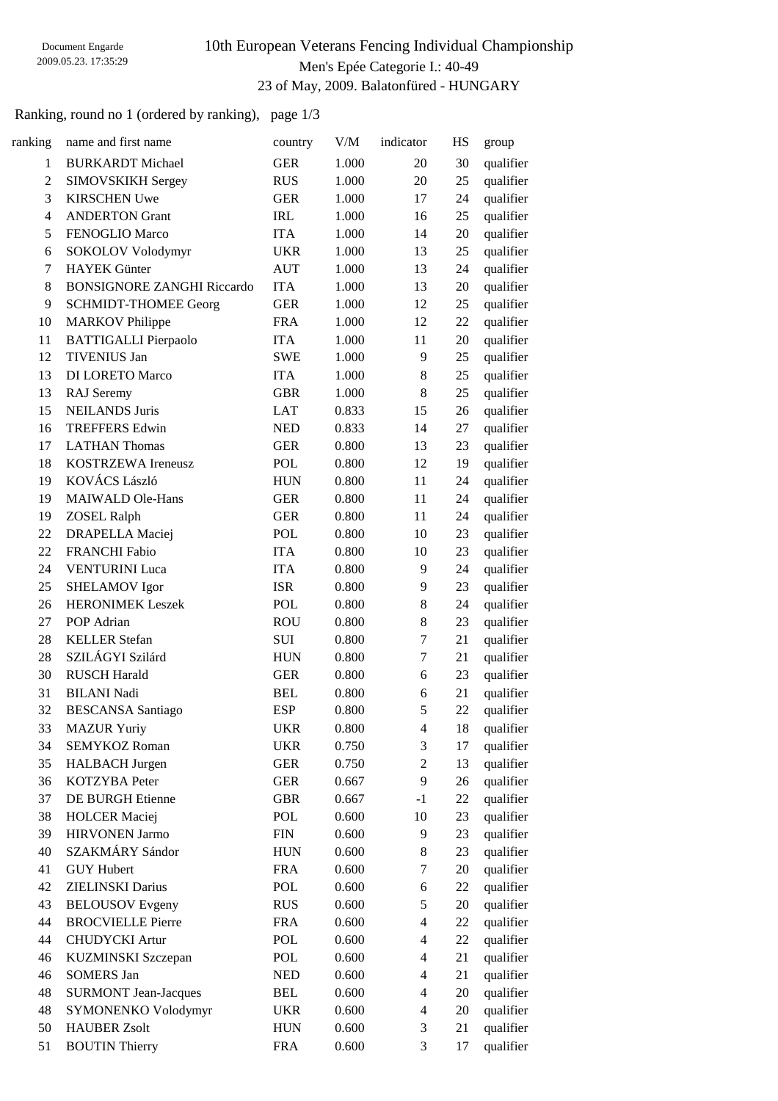### 10th European Veterans Fencing Individual Championship Men's Epée Categorie I.: 40-49 23 of May, 2009. Balatonfüred - HUNGARY

### Ranking, round no 1 (ordered by ranking), page 1/3

| ranking                  | name and first name               | country    | V/M   | indicator                | HS | group     |
|--------------------------|-----------------------------------|------------|-------|--------------------------|----|-----------|
| 1                        | <b>BURKARDT</b> Michael           | <b>GER</b> | 1.000 | 20                       | 30 | qualifier |
| $\overline{c}$           | SIMOVSKIKH Sergey                 | <b>RUS</b> | 1.000 | 20                       | 25 | qualifier |
| 3                        | <b>KIRSCHEN Uwe</b>               | <b>GER</b> | 1.000 | 17                       | 24 | qualifier |
| $\overline{\mathcal{L}}$ | <b>ANDERTON Grant</b>             | <b>IRL</b> | 1.000 | 16                       | 25 | qualifier |
| 5                        | FENOGLIO Marco                    | <b>ITA</b> | 1.000 | 14                       | 20 | qualifier |
| 6                        | SOKOLOV Volodymyr                 | <b>UKR</b> | 1.000 | 13                       | 25 | qualifier |
| 7                        | <b>HAYEK</b> Günter               | <b>AUT</b> | 1.000 | 13                       | 24 | qualifier |
| 8                        | <b>BONSIGNORE ZANGHI Riccardo</b> | <b>ITA</b> | 1.000 | 13                       | 20 | qualifier |
| 9                        | <b>SCHMIDT-THOMEE Georg</b>       | <b>GER</b> | 1.000 | 12                       | 25 | qualifier |
| 10                       | <b>MARKOV</b> Philippe            | <b>FRA</b> | 1.000 | 12                       | 22 | qualifier |
| 11                       | <b>BATTIGALLI Pierpaolo</b>       | <b>ITA</b> | 1.000 | 11                       | 20 | qualifier |
| 12                       | <b>TIVENIUS Jan</b>               | <b>SWE</b> | 1.000 | 9                        | 25 | qualifier |
| 13                       | <b>DI LORETO Marco</b>            | <b>ITA</b> | 1.000 | 8                        | 25 | qualifier |
| 13                       | RAJ Seremy                        | <b>GBR</b> | 1.000 | 8                        | 25 | qualifier |
| 15                       | <b>NEILANDS Juris</b>             | <b>LAT</b> | 0.833 | 15                       | 26 | qualifier |
| 16                       | <b>TREFFERS Edwin</b>             | <b>NED</b> | 0.833 | 14                       | 27 | qualifier |
| 17                       | <b>LATHAN Thomas</b>              | <b>GER</b> | 0.800 | 13                       | 23 | qualifier |
| 18                       | KOSTRZEWA Ireneusz                | POL        | 0.800 | 12                       | 19 | qualifier |
| 19                       | KOVÁCS László                     | <b>HUN</b> | 0.800 | 11                       | 24 | qualifier |
| 19                       | <b>MAIWALD Ole-Hans</b>           | <b>GER</b> | 0.800 | 11                       | 24 | qualifier |
| 19                       | <b>ZOSEL Ralph</b>                | <b>GER</b> | 0.800 | 11                       | 24 | qualifier |
| 22                       | <b>DRAPELLA</b> Maciej            | POL        | 0.800 | 10                       | 23 | qualifier |
| 22                       | <b>FRANCHI Fabio</b>              | <b>ITA</b> | 0.800 | 10                       | 23 | qualifier |
| 24                       | <b>VENTURINI Luca</b>             | <b>ITA</b> | 0.800 | 9                        | 24 | qualifier |
| 25                       | <b>SHELAMOV</b> Igor              | <b>ISR</b> | 0.800 | 9                        | 23 | qualifier |
| 26                       | <b>HERONIMEK Leszek</b>           | POL        | 0.800 | 8                        | 24 | qualifier |
| 27                       | POP Adrian                        | <b>ROU</b> | 0.800 | 8                        | 23 | qualifier |
| 28                       | <b>KELLER</b> Stefan              | SUI        | 0.800 | 7                        | 21 | qualifier |
| 28                       | SZILÁGYI Szilárd                  | <b>HUN</b> | 0.800 | 7                        | 21 | qualifier |
| 30                       | <b>RUSCH Harald</b>               | <b>GER</b> | 0.800 | 6                        | 23 | qualifier |
| 31                       | <b>BILANI Nadi</b>                | <b>BEL</b> | 0.800 | 6                        | 21 | qualifier |
| 32                       | <b>BESCANSA</b> Santiago          | <b>ESP</b> | 0.800 | 5                        | 22 | qualifier |
| 33                       | <b>MAZUR Yuriy</b>                | <b>UKR</b> | 0.800 | $\overline{\mathcal{A}}$ | 18 | qualifier |
| 34                       | <b>SEMYKOZ Roman</b>              | <b>UKR</b> | 0.750 | 3                        | 17 | qualifier |
| 35                       | <b>HALBACH</b> Jurgen             | <b>GER</b> | 0.750 | $\overline{c}$           | 13 | qualifier |
| 36                       | KOTZYBA Peter                     | <b>GER</b> | 0.667 | 9                        | 26 | qualifier |
| 37                       | DE BURGH Etienne                  | <b>GBR</b> | 0.667 | $-1$                     | 22 | qualifier |
| 38                       | <b>HOLCER</b> Maciej              | POL        | 0.600 | 10                       | 23 | qualifier |
| 39                       | <b>HIRVONEN Jarmo</b>             | <b>FIN</b> | 0.600 | 9                        | 23 | qualifier |
| 40                       | SZAKMÁRY Sándor                   | <b>HUN</b> | 0.600 | 8                        | 23 | qualifier |
| 41                       | <b>GUY Hubert</b>                 | <b>FRA</b> | 0.600 | 7                        | 20 | qualifier |
| 42                       | <b>ZIELINSKI</b> Darius           | POL        | 0.600 | 6                        | 22 | qualifier |
| 43                       | <b>BELOUSOV</b> Evgeny            | <b>RUS</b> | 0.600 | 5                        | 20 | qualifier |
| 44                       | <b>BROCVIELLE Pierre</b>          | <b>FRA</b> | 0.600 | 4                        | 22 | qualifier |
| 44                       | <b>CHUDYCKI</b> Artur             | POL        | 0.600 | 4                        | 22 | qualifier |
| 46                       | KUZMINSKI Szczepan                | POL        | 0.600 | $\overline{4}$           | 21 | qualifier |
| 46                       | <b>SOMERS Jan</b>                 | <b>NED</b> | 0.600 | $\overline{\mathcal{A}}$ | 21 | qualifier |
| 48                       | <b>SURMONT Jean-Jacques</b>       | <b>BEL</b> | 0.600 | 4                        | 20 | qualifier |
| 48                       | SYMONENKO Volodymyr               | <b>UKR</b> | 0.600 | $\overline{4}$           | 20 | qualifier |
| 50                       | <b>HAUBER Zsolt</b>               | <b>HUN</b> | 0.600 | 3                        | 21 | qualifier |
| 51                       | <b>BOUTIN Thierry</b>             | <b>FRA</b> | 0.600 | 3                        | 17 | qualifier |
|                          |                                   |            |       |                          |    |           |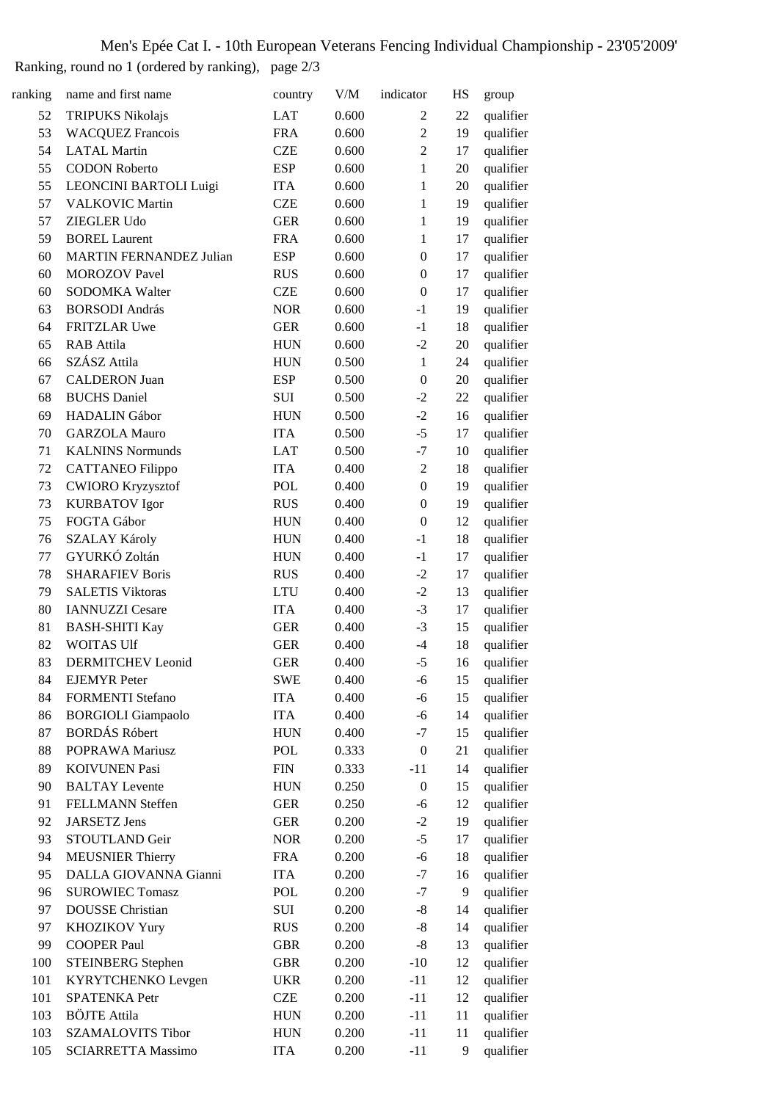# Men's Epée Cat I. - 10th European Veterans Fencing Individual Championship - 23'05'2009'

Ranking, round no 1 (ordered by ranking), page 2/3

| ranking | name and first name            | country    | V/M   | indicator        | HS | group     |
|---------|--------------------------------|------------|-------|------------------|----|-----------|
| 52      | <b>TRIPUKS Nikolajs</b>        | <b>LAT</b> | 0.600 | $\overline{2}$   | 22 | qualifier |
| 53      | <b>WACQUEZ Francois</b>        | <b>FRA</b> | 0.600 | $\overline{2}$   | 19 | qualifier |
| 54      | <b>LATAL Martin</b>            | <b>CZE</b> | 0.600 | $\overline{2}$   | 17 | qualifier |
| 55      | <b>CODON Roberto</b>           | <b>ESP</b> | 0.600 | 1                | 20 | qualifier |
| 55      | LEONCINI BARTOLI Luigi         | <b>ITA</b> | 0.600 | $\,1$            | 20 | qualifier |
| 57      | <b>VALKOVIC Martin</b>         | <b>CZE</b> | 0.600 | $\mathbf{1}$     | 19 | qualifier |
| 57      | <b>ZIEGLER Udo</b>             | <b>GER</b> | 0.600 | $\mathbf{1}$     | 19 | qualifier |
| 59      | <b>BOREL Laurent</b>           | <b>FRA</b> | 0.600 | $\mathbf{1}$     | 17 | qualifier |
| 60      | <b>MARTIN FERNANDEZ Julian</b> | <b>ESP</b> | 0.600 | $\boldsymbol{0}$ | 17 | qualifier |
| 60      | <b>MOROZOV Pavel</b>           | <b>RUS</b> | 0.600 | $\boldsymbol{0}$ | 17 | qualifier |
| 60      | SODOMKA Walter                 | <b>CZE</b> | 0.600 | $\boldsymbol{0}$ | 17 | qualifier |
| 63      | <b>BORSODI</b> András          | <b>NOR</b> | 0.600 | $-1$             | 19 | qualifier |
| 64      | FRITZLAR Uwe                   | <b>GER</b> | 0.600 | $-1$             | 18 | qualifier |
| 65      | RAB Attila                     | <b>HUN</b> | 0.600 | $-2$             | 20 | qualifier |
| 66      | SZÁSZ Attila                   | <b>HUN</b> | 0.500 | $\mathbf{1}$     | 24 | qualifier |
| 67      | <b>CALDERON Juan</b>           | <b>ESP</b> | 0.500 | $\boldsymbol{0}$ | 20 | qualifier |
| 68      | <b>BUCHS</b> Daniel            | SUI        | 0.500 | $-2$             | 22 | qualifier |
| 69      | <b>HADALIN</b> Gábor           | <b>HUN</b> | 0.500 | $-2$             | 16 | qualifier |
| 70      | <b>GARZOLA Mauro</b>           | <b>ITA</b> | 0.500 | $-5$             | 17 | qualifier |
| 71      | <b>KALNINS Normunds</b>        | <b>LAT</b> | 0.500 | $-7$             | 10 | qualifier |
| 72      | <b>CATTANEO Filippo</b>        | <b>ITA</b> | 0.400 | $\boldsymbol{2}$ | 18 | qualifier |
| 73      | <b>CWIORO Kryzysztof</b>       | <b>POL</b> | 0.400 | $\boldsymbol{0}$ | 19 | qualifier |
| 73      | <b>KURBATOV</b> Igor           | <b>RUS</b> | 0.400 | $\boldsymbol{0}$ | 19 | qualifier |
| 75      | FOGTA Gábor                    | <b>HUN</b> | 0.400 | $\boldsymbol{0}$ | 12 |           |
|         |                                |            |       |                  |    | qualifier |
| 76      | <b>SZALAY Károly</b>           | <b>HUN</b> | 0.400 | $-1$             | 18 | qualifier |
| 77      | GYURKÓ Zoltán                  | <b>HUN</b> | 0.400 | $-1$             | 17 | qualifier |
| 78      | <b>SHARAFIEV Boris</b>         | <b>RUS</b> | 0.400 | $-2$             | 17 | qualifier |
| 79      | <b>SALETIS Viktoras</b>        | <b>LTU</b> | 0.400 | $-2$             | 13 | qualifier |
| 80      | <b>IANNUZZI Cesare</b>         | <b>ITA</b> | 0.400 | $-3$             | 17 | qualifier |
| 81      | <b>BASH-SHITI Kay</b>          | <b>GER</b> | 0.400 | $-3$             | 15 | qualifier |
| 82      | <b>WOITAS Ulf</b>              | <b>GER</b> | 0.400 | $-4$             | 18 | qualifier |
| 83      | <b>DERMITCHEV Leonid</b>       | <b>GER</b> | 0.400 | $-5$             | 16 | qualifier |
| 84      | <b>EJEMYR</b> Peter            | <b>SWE</b> | 0.400 | $-6$             | 15 | qualifier |
| 84      | <b>FORMENTI</b> Stefano        | <b>ITA</b> | 0.400 | $-6$             | 15 | qualifier |
| 86      | <b>BORGIOLI</b> Giampaolo      | <b>ITA</b> | 0.400 | $-6$             | 14 | qualifier |
| 87      | <b>BORDÁS Róbert</b>           | <b>HUN</b> | 0.400 | $-7$             | 15 | qualifier |
| 88      | POPRAWA Mariusz                | POL        | 0.333 | $\boldsymbol{0}$ | 21 | qualifier |
| 89      | <b>KOIVUNEN Pasi</b>           | <b>FIN</b> | 0.333 | $-11$            | 14 | qualifier |
| 90      | <b>BALTAY</b> Levente          | <b>HUN</b> | 0.250 | $\boldsymbol{0}$ | 15 | qualifier |
| 91      | FELLMANN Steffen               | <b>GER</b> | 0.250 | $-6$             | 12 | qualifier |
| 92      | <b>JARSETZ Jens</b>            | <b>GER</b> | 0.200 | $-2$             | 19 | qualifier |
| 93      | STOUTLAND Geir                 | <b>NOR</b> | 0.200 | $-5$             | 17 | qualifier |
| 94      | <b>MEUSNIER Thierry</b>        | <b>FRA</b> | 0.200 | $-6$             | 18 | qualifier |
| 95      | DALLA GIOVANNA Gianni          | <b>ITA</b> | 0.200 | $-7$             | 16 | qualifier |
| 96      | <b>SUROWIEC Tomasz</b>         | POL        | 0.200 | $-7$             | 9  | qualifier |
| 97      | <b>DOUSSE</b> Christian        | SUI        | 0.200 | $-8$             | 14 | qualifier |
| 97      | KHOZIKOV Yury                  | <b>RUS</b> | 0.200 | $-8$             | 14 | qualifier |
| 99      | <b>COOPER Paul</b>             | <b>GBR</b> | 0.200 | $-8$             | 13 | qualifier |
| 100     | STEINBERG Stephen              | <b>GBR</b> | 0.200 | $-10$            | 12 | qualifier |
| 101     | KYRYTCHENKO Levgen             | <b>UKR</b> | 0.200 | $-11$            | 12 | qualifier |
| 101     | SPATENKA Petr                  | <b>CZE</b> | 0.200 | $-11$            | 12 | qualifier |
| 103     | <b>BÖJTE Attila</b>            | <b>HUN</b> | 0.200 | $-11$            | 11 | qualifier |
| 103     | <b>SZAMALOVITS Tibor</b>       | <b>HUN</b> | 0.200 | $-11$            | 11 | qualifier |
| 105     | <b>SCIARRETTA Massimo</b>      | <b>ITA</b> | 0.200 | $-11$            | 9  | qualifier |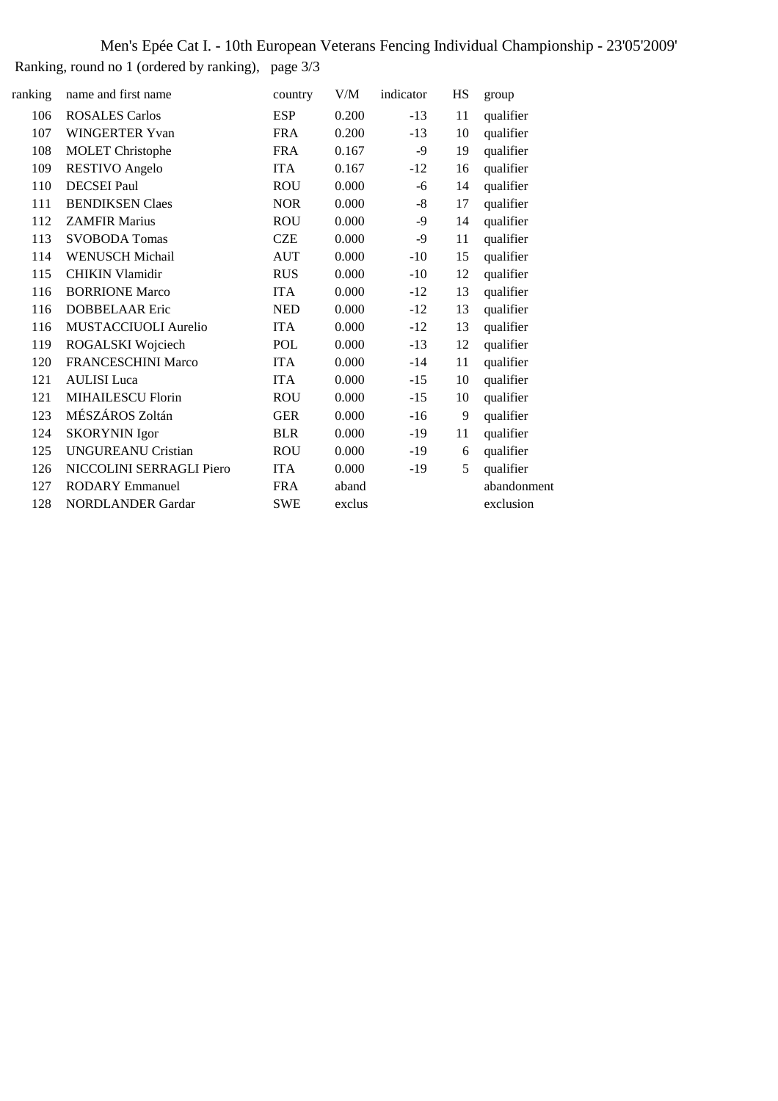### Men's Epée Cat I. - 10th European Veterans Fencing Individual Championship - 23'05'2009' Ranking, round no 1 (ordered by ranking), page 3/3

| ranking | name and first name       | country    | V/M    | indicator | HS | group       |
|---------|---------------------------|------------|--------|-----------|----|-------------|
| 106     | <b>ROSALES Carlos</b>     | <b>ESP</b> | 0.200  | $-13$     | 11 | qualifier   |
| 107     | <b>WINGERTER Yvan</b>     | <b>FRA</b> | 0.200  | $-13$     | 10 | qualifier   |
| 108     | <b>MOLET</b> Christophe   | <b>FRA</b> | 0.167  | -9        | 19 | qualifier   |
| 109     | <b>RESTIVO</b> Angelo     | <b>ITA</b> | 0.167  | $-12$     | 16 | qualifier   |
| 110     | <b>DECSEI</b> Paul        | <b>ROU</b> | 0.000  | -6        | 14 | qualifier   |
| 111     | <b>BENDIKSEN Claes</b>    | <b>NOR</b> | 0.000  | -8        | 17 | qualifier   |
| 112     | <b>ZAMFIR Marius</b>      | <b>ROU</b> | 0.000  | $-9$      | 14 | qualifier   |
| 113     | <b>SVOBODA Tomas</b>      | <b>CZE</b> | 0.000  | $-9$      | 11 | qualifier   |
| 114     | <b>WENUSCH Michail</b>    | <b>AUT</b> | 0.000  | $-10$     | 15 | qualifier   |
| 115     | <b>CHIKIN Vlamidir</b>    | <b>RUS</b> | 0.000  | $-10$     | 12 | qualifier   |
| 116     | <b>BORRIONE Marco</b>     | <b>ITA</b> | 0.000  | $-12$     | 13 | qualifier   |
| 116     | <b>DOBBELAAR Eric</b>     | <b>NED</b> | 0.000  | $-12$     | 13 | qualifier   |
| 116     | MUSTACCIUOLI Aurelio      | <b>ITA</b> | 0.000  | $-12$     | 13 | qualifier   |
| 119     | ROGALSKI Wojciech         | POL        | 0.000  | $-13$     | 12 | qualifier   |
| 120     | FRANCESCHINI Marco        | <b>ITA</b> | 0.000  | $-14$     | 11 | qualifier   |
| 121     | <b>AULISI</b> Luca        | <b>ITA</b> | 0.000  | $-15$     | 10 | qualifier   |
| 121     | <b>MIHAILESCU Florin</b>  | <b>ROU</b> | 0.000  | $-15$     | 10 | qualifier   |
| 123     | MÉSZÁROS Zoltán           | <b>GER</b> | 0.000  | $-16$     | 9  | qualifier   |
| 124     | <b>SKORYNIN</b> Igor      | <b>BLR</b> | 0.000  | $-19$     | 11 | qualifier   |
| 125     | <b>UNGUREANU Cristian</b> | <b>ROU</b> | 0.000  | $-19$     | 6  | qualifier   |
| 126     | NICCOLINI SERRAGLI Piero  | <b>ITA</b> | 0.000  | $-19$     | 5  | qualifier   |
| 127     | <b>RODARY Emmanuel</b>    | <b>FRA</b> | aband  |           |    | abandonment |
| 128     | <b>NORDLANDER Gardar</b>  | <b>SWE</b> | exclus |           |    | exclusion   |
|         |                           |            |        |           |    |             |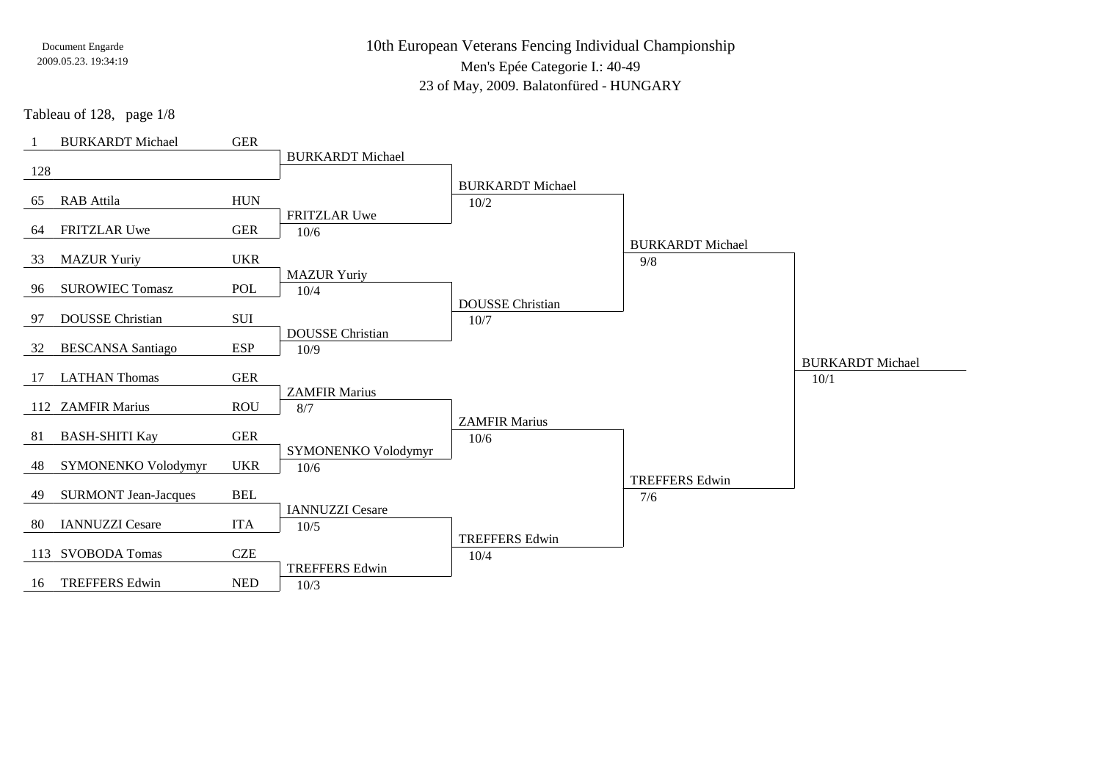10th European Veterans Fencing Individual Championship

Men's Epée Categorie I.: 40-49

23 of May, 2009. Balatonfüred - HUNGARY

Tableau of 128, page 1/8

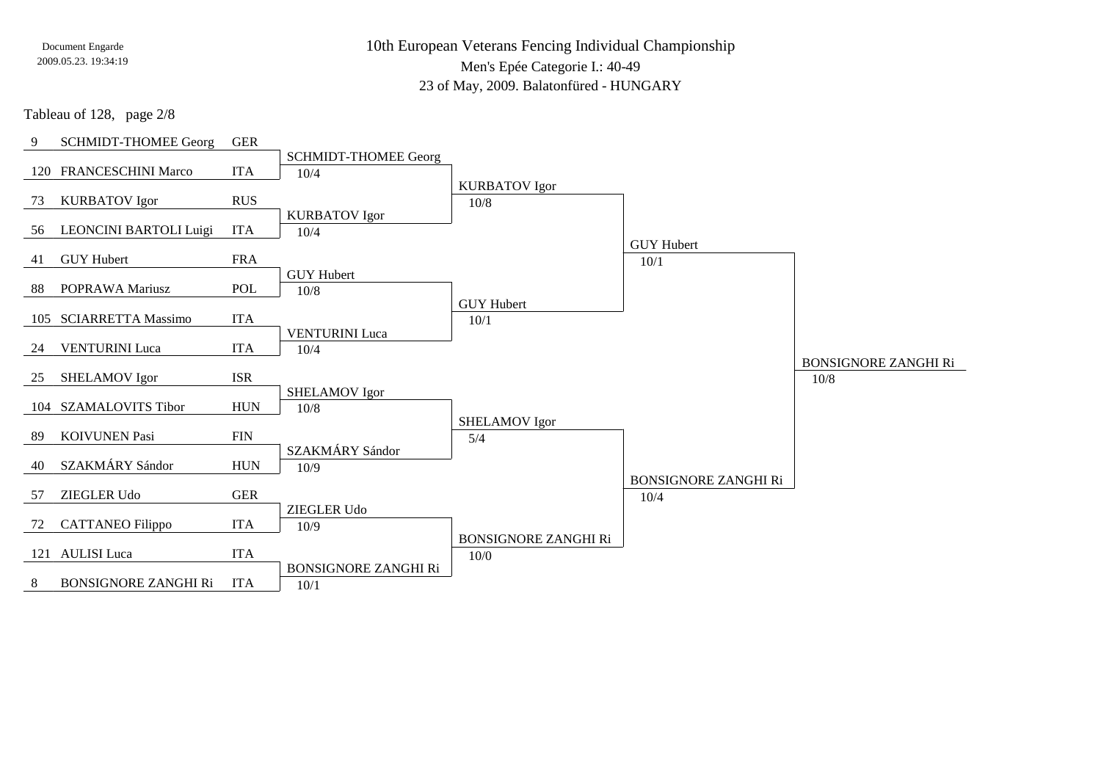10th European Veterans Fencing Individual ChampionshipMen's Epée Categorie I.: 40-49

23 of May, 2009. Balatonfüred - HUNGARY

Tableau of 128, page 2/8

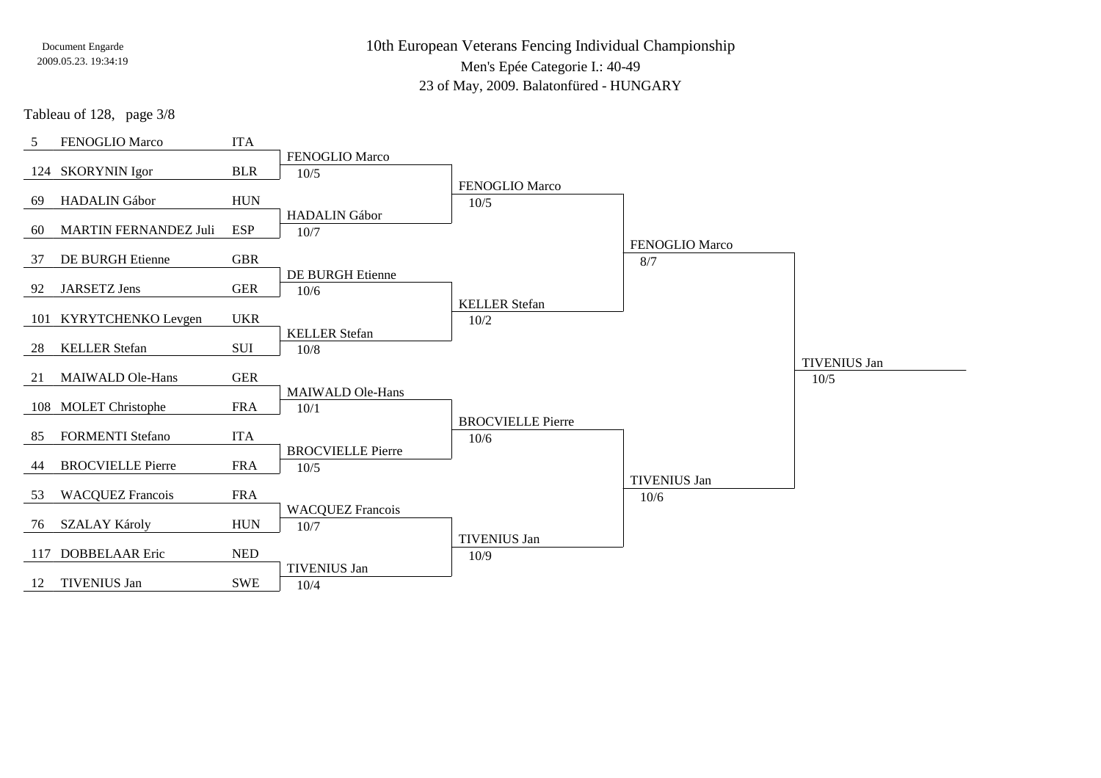10th European Veterans Fencing Individual Championship

Men's Epée Categorie I.: 40-49

23 of May, 2009. Balatonfüred - HUNGARY

Tableau of 128, page 3/8

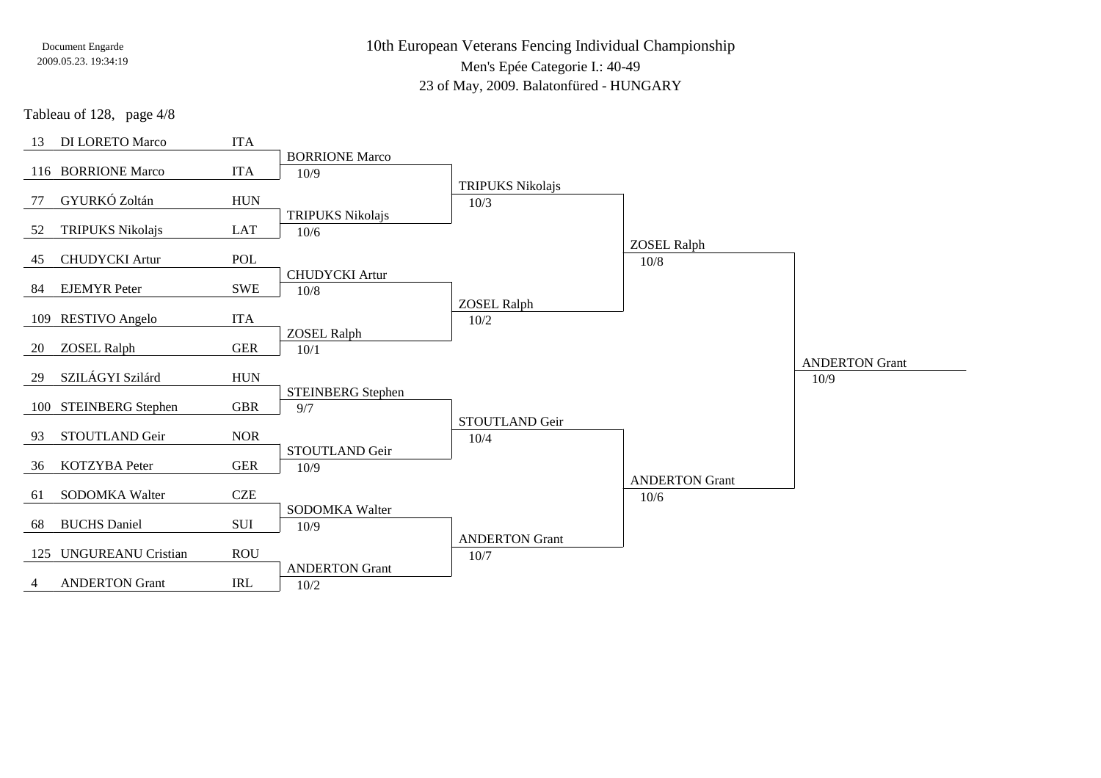10th European Veterans Fencing Individual ChampionshipMen's Epée Categorie I.: 40-49

23 of May, 2009. Balatonfüred - HUNGARY

Tableau of 128, page 4/8

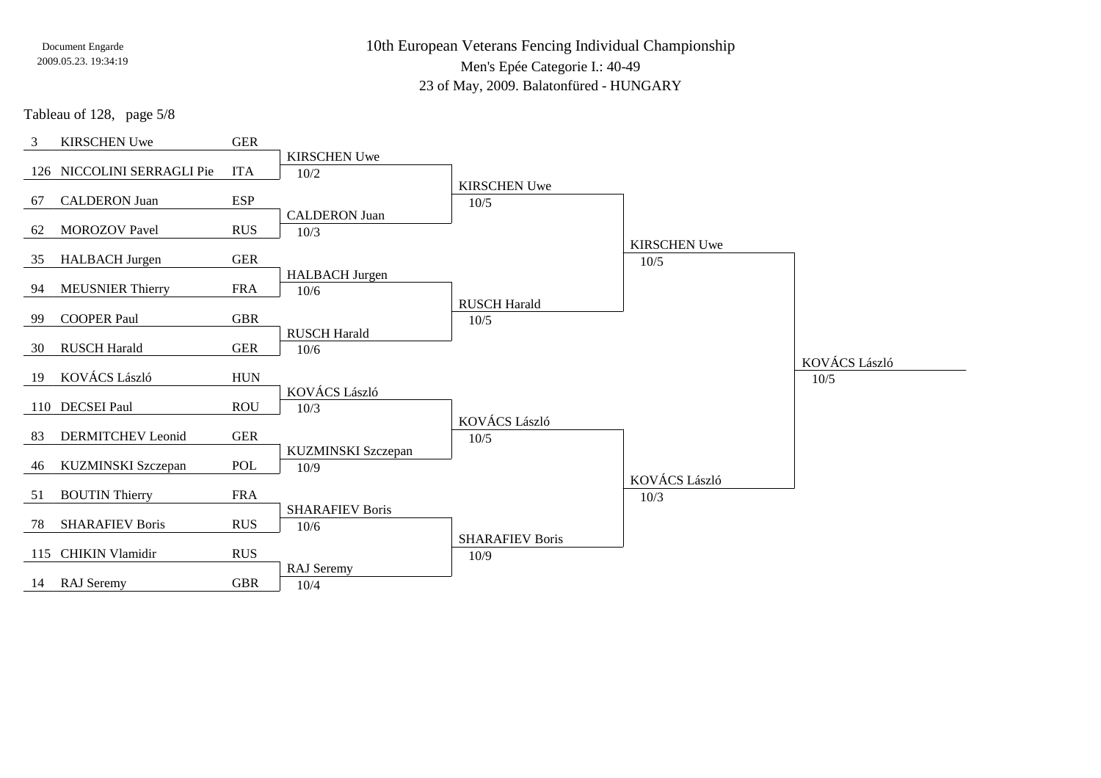10th European Veterans Fencing Individual ChampionshipMen's Epée Categorie I.: 40-49

23 of May, 2009. Balatonfüred - HUNGARY

Tableau of 128, page 5/8

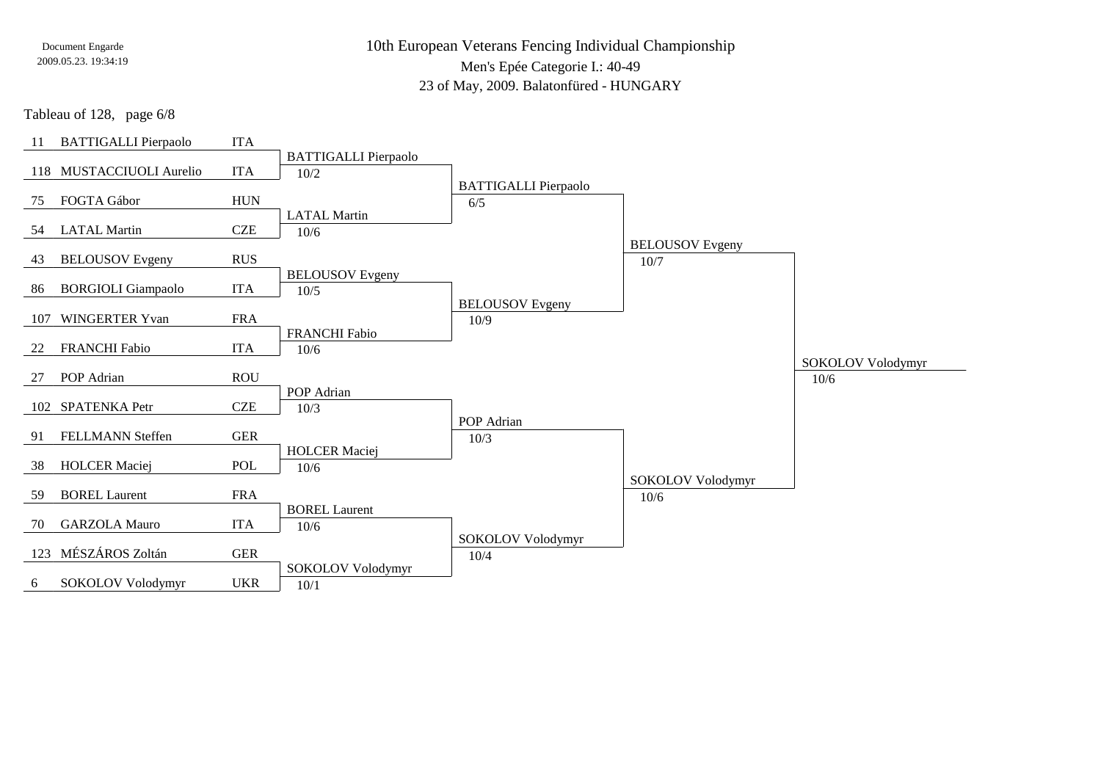10th European Veterans Fencing Individual ChampionshipMen's Epée Categorie I.: 40-49

23 of May, 2009. Balatonfüred - HUNGARY

Tableau of 128, page 6/8

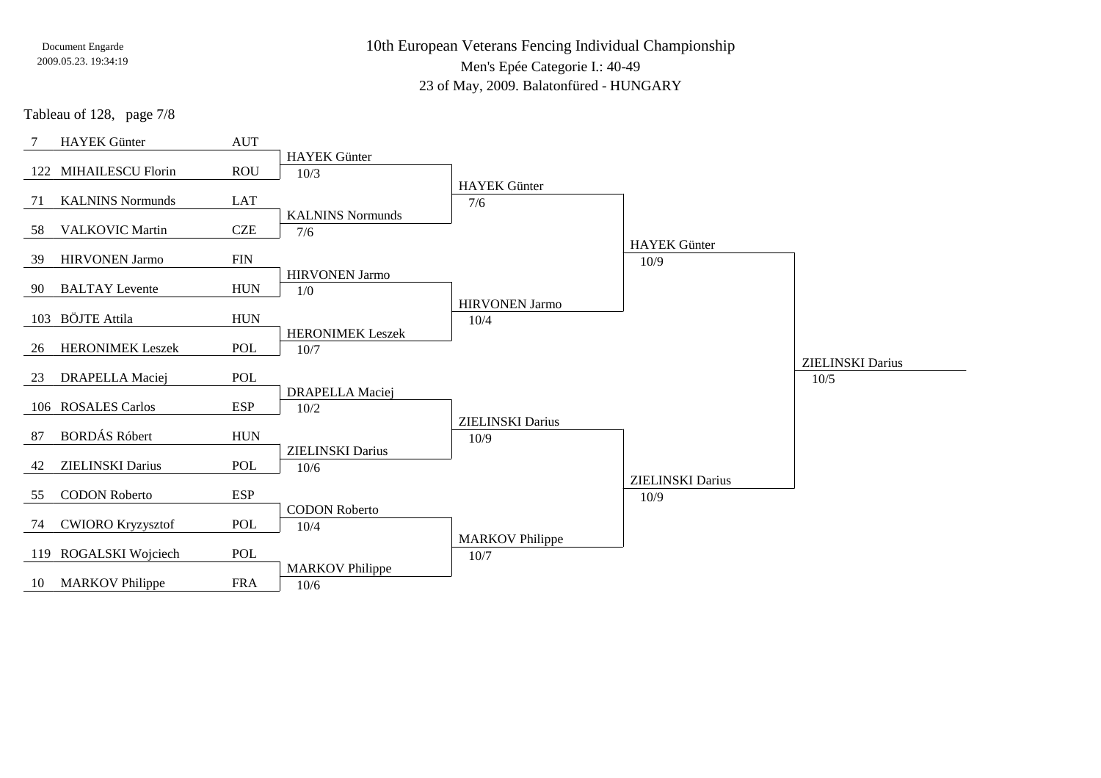10th European Veterans Fencing Individual ChampionshipMen's Epée Categorie I.: 40-49

23 of May, 2009. Balatonfüred - HUNGARY

Tableau of 128, page 7/8

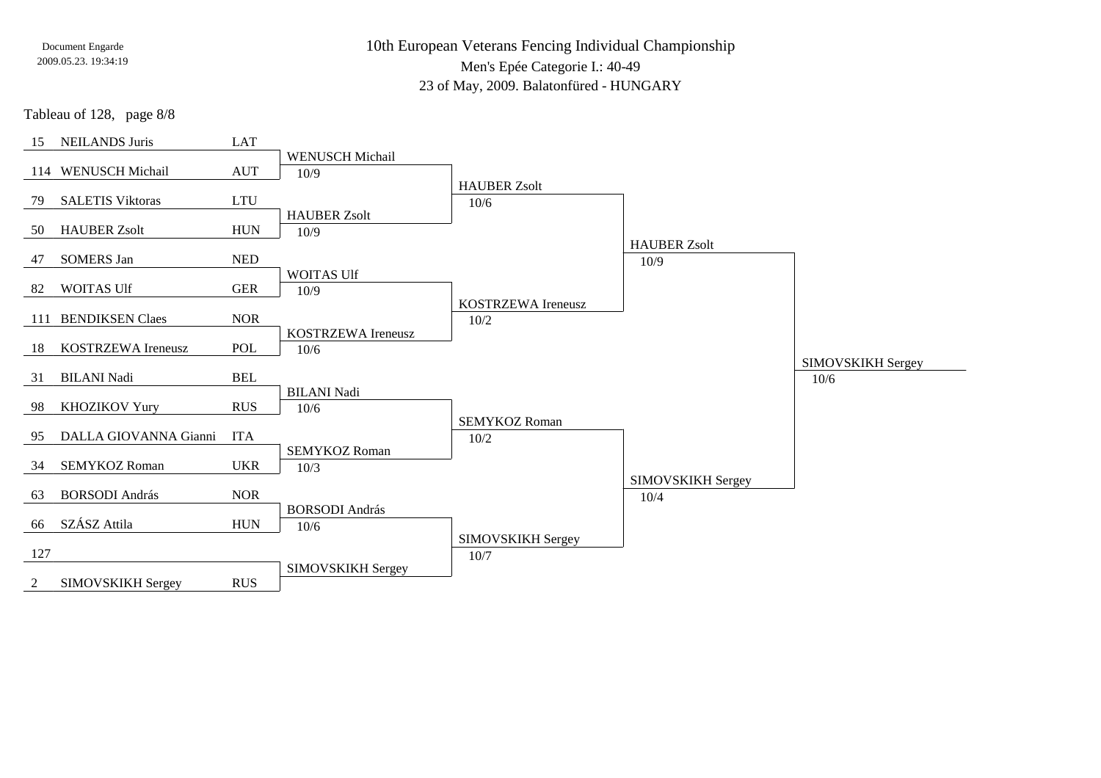10th European Veterans Fencing Individual ChampionshipMen's Epée Categorie I.: 40-49

23 of May, 2009. Balatonfüred - HUNGARY

Tableau of 128, page 8/8

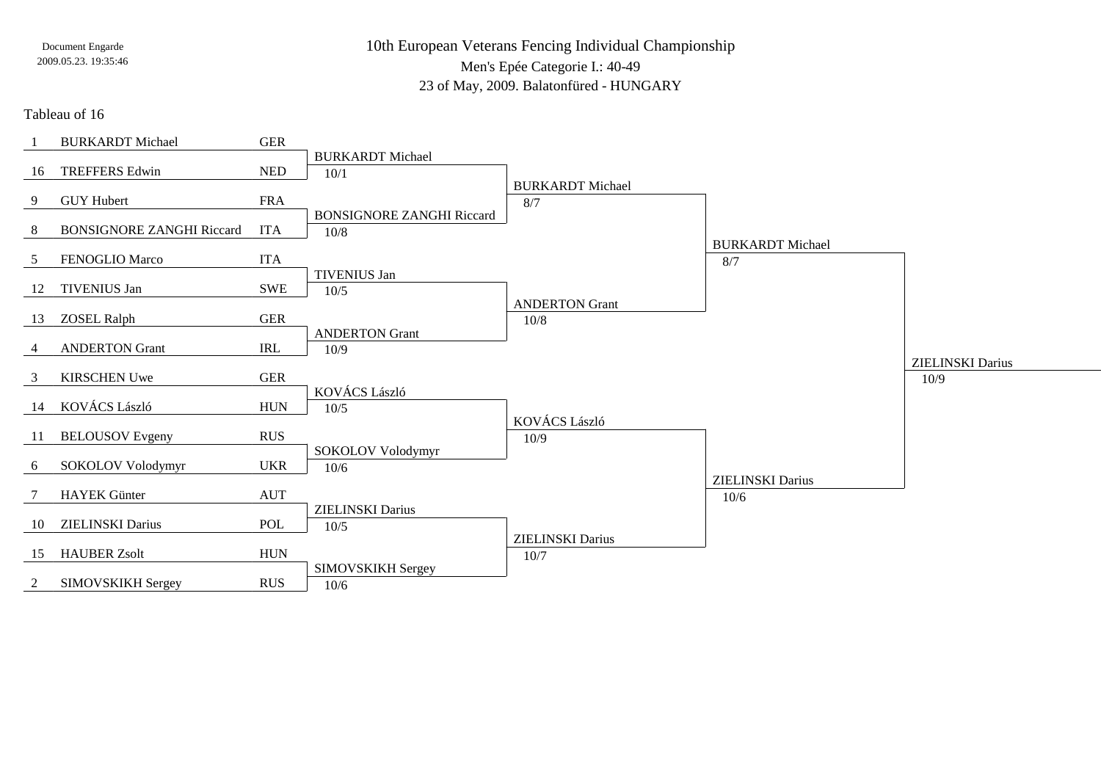10th European Veterans Fencing Individual ChampionshipMen's Epée Categorie I.: 40-49

23 of May, 2009. Balatonfüred - HUNGARY

Tableau of 16

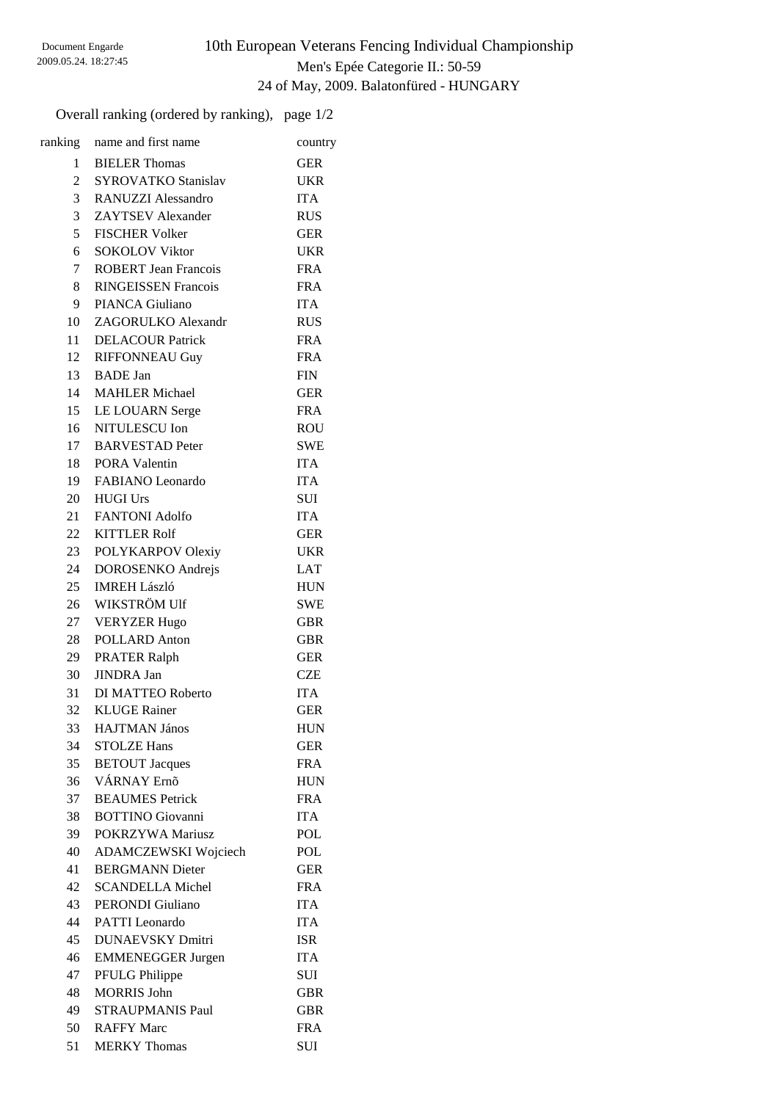### 10th European Veterans Fencing Individual Championship Men's Epée Categorie II.: 50-59 24 of May, 2009. Balatonfüred - HUNGARY

Overall ranking (ordered by ranking), page 1/2

| ranking        | name and first name         | country    |
|----------------|-----------------------------|------------|
| 1              | <b>BIELER</b> Thomas        | <b>GER</b> |
| $\overline{2}$ | <b>SYROVATKO Stanislav</b>  | <b>UKR</b> |
| 3 <sup>7</sup> | <b>RANUZZI Alessandro</b>   | <b>ITA</b> |
| $\overline{3}$ | <b>ZAYTSEV</b> Alexander    | <b>RUS</b> |
| 5              | <b>FISCHER Volker</b>       | <b>GER</b> |
| 6              | <b>SOKOLOV Viktor</b>       | <b>UKR</b> |
| $7\degree$     | <b>ROBERT</b> Jean Francois | <b>FRA</b> |
| 8              | <b>RINGEISSEN Francois</b>  | <b>FRA</b> |
| 9              | PIANCA Giuliano             | <b>ITA</b> |
| 10             | ZAGORULKO Alexandr          | <b>RUS</b> |
| 11             | <b>DELACOUR Patrick</b>     | <b>FRA</b> |
| 12             | <b>RIFFONNEAU Guy</b>       | <b>FRA</b> |
|                | 13 BADE Jan                 | <b>FIN</b> |
|                | 14 MAHLER Michael           | <b>GER</b> |
|                | 15 LE LOUARN Serge          | <b>FRA</b> |
|                | 16 NITULESCU Ion            | <b>ROU</b> |
|                | 17 BARVESTAD Peter          | <b>SWE</b> |
|                | 18 PORA Valentin            | <b>ITA</b> |
|                | 19 FABIANO Leonardo         | <b>ITA</b> |
| 20             | <b>HUGI Urs</b>             | <b>SUI</b> |
|                | 21 FANTONI Adolfo           | <b>ITA</b> |
|                | 22 KITTLER Rolf             | <b>GER</b> |
|                | 23 POLYKARPOV Olexiy        | <b>UKR</b> |
| 24             | DOROSENKO Andrejs           | LAT        |
| 25             | <b>IMREH László</b>         | <b>HUN</b> |
|                | 26 WIKSTRÖM Ulf             | <b>SWE</b> |
| 27             | <b>VERYZER Hugo</b>         | <b>GBR</b> |
| 28             | POLLARD Anton               | <b>GBR</b> |
| 29             | <b>PRATER Ralph</b>         | <b>GER</b> |
| 30             | <b>JINDRA Jan</b>           | <b>CZE</b> |
| 31             | DI MATTEO Roberto           | <b>ITA</b> |
| 32             | <b>KLUGE Rainer</b>         | <b>GER</b> |
| 33             | <b>HAJTMAN János</b>        | <b>HUN</b> |
| 34             | <b>STOLZE Hans</b>          | <b>GER</b> |
| 35             | <b>BETOUT</b> Jacques       | <b>FRA</b> |
| 36             | VÁRNAY Ernő                 | <b>HUN</b> |
| 37             | <b>BEAUMES</b> Petrick      | <b>FRA</b> |
| 38             | <b>BOTTINO</b> Giovanni     | <b>ITA</b> |
| 39             | POKRZYWA Mariusz            | <b>POL</b> |
| 40             | ADAMCZEWSKI Wojciech        | <b>POL</b> |
| 41             | <b>BERGMANN Dieter</b>      | <b>GER</b> |
| 42             | <b>SCANDELLA Michel</b>     | <b>FRA</b> |
| 43             | <b>PERONDI</b> Giuliano     | <b>ITA</b> |
| 44             | PATTI Leonardo              | <b>ITA</b> |
| 45             | <b>DUNAEVSKY Dmitri</b>     | <b>ISR</b> |
| 46             | <b>EMMENEGGER Jurgen</b>    | <b>ITA</b> |
| 47             | PFULG Philippe              | SUI        |
| 48             | <b>MORRIS John</b>          | <b>GBR</b> |
| 49             | <b>STRAUPMANIS Paul</b>     | <b>GBR</b> |
| 50             | <b>RAFFY Marc</b>           | <b>FRA</b> |
| 51             | <b>MERKY</b> Thomas         | SUI        |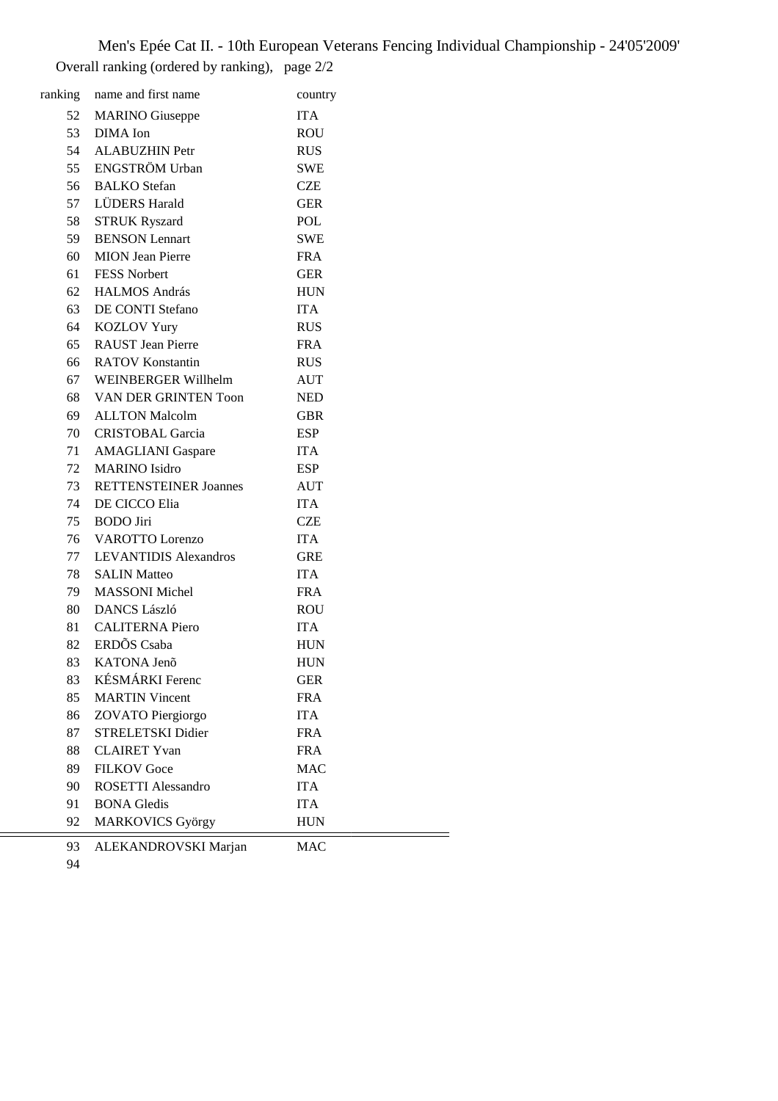Men's Epée Cat II. - 10th European Veterans Fencing Individual Championship - 24'05'2009' Overall ranking (ordered by ranking), page 2/2

|    | ranking name and first name  | country    |
|----|------------------------------|------------|
| 52 | <b>MARINO</b> Giuseppe       | <b>ITA</b> |
| 53 | DIMA Ion                     | <b>ROU</b> |
|    | 54 ALABUZHIN Petr            | <b>RUS</b> |
|    | 55 ENGSTRÖM Urban            | <b>SWE</b> |
| 56 | <b>BALKO</b> Stefan          | <b>CZE</b> |
|    | 57 LÜDERS Harald             | <b>GER</b> |
| 58 | <b>STRUK Ryszard</b>         | POL        |
| 59 | <b>BENSON</b> Lennart        | <b>SWE</b> |
| 60 | <b>MION</b> Jean Pierre      | <b>FRA</b> |
| 61 | <b>FESS Norbert</b>          | <b>GER</b> |
| 62 | <b>HALMOS András</b>         | <b>HUN</b> |
| 63 | DE CONTI Stefano             | <b>ITA</b> |
| 64 | <b>KOZLOV Yury</b>           | <b>RUS</b> |
| 65 | <b>RAUST</b> Jean Pierre     | <b>FRA</b> |
| 66 | <b>RATOV Konstantin</b>      | <b>RUS</b> |
| 67 | WEINBERGER Willhelm          | AUT        |
|    | 68 VAN DER GRINTEN Toon      | <b>NED</b> |
|    | 69 ALLTON Malcolm            | <b>GBR</b> |
| 70 | <b>CRISTOBAL Garcia</b>      | <b>ESP</b> |
| 71 | <b>AMAGLIANI</b> Gaspare     | <b>ITA</b> |
| 72 | <b>MARINO</b> Isidro         | <b>ESP</b> |
|    | 73 RETTENSTEINER Joannes     | <b>AUT</b> |
|    | 74 DE CICCO Elia             | <b>ITA</b> |
| 75 | <b>BODO</b> Jiri             | <b>CZE</b> |
| 76 | <b>VAROTTO</b> Lorenzo       | <b>ITA</b> |
| 77 | <b>LEVANTIDIS Alexandros</b> | <b>GRE</b> |
| 78 | <b>SALIN Matteo</b>          | <b>ITA</b> |
| 79 | <b>MASSONI</b> Michel        | <b>FRA</b> |
|    | 80 DANCS László              | <b>ROU</b> |
| 81 | <b>CALITERNA</b> Piero       | <b>ITA</b> |
|    | 82 ERDÕS Csaba               | <b>HUN</b> |
| 83 | KATONA Jenõ                  | <b>HUN</b> |
| 83 | KÉSMÁRKI Ferenc              | <b>GER</b> |
| 85 | <b>MARTIN Vincent</b>        | <b>FRA</b> |
| 86 | ZOVATO Piergiorgo            | <b>ITA</b> |
| 87 | STRELETSKI Didier            | <b>FRA</b> |
| 88 | <b>CLAIRET Yvan</b>          | <b>FRA</b> |
| 89 | <b>FILKOV</b> Goce           | <b>MAC</b> |
| 90 | <b>ROSETTI Alessandro</b>    | <b>ITA</b> |
| 91 | <b>BONA</b> Gledis           | <b>ITA</b> |
| 92 | <b>MARKOVICS György</b>      | <b>HUN</b> |
|    |                              |            |

93 ALEKANDROVSKI Marjan MAC

÷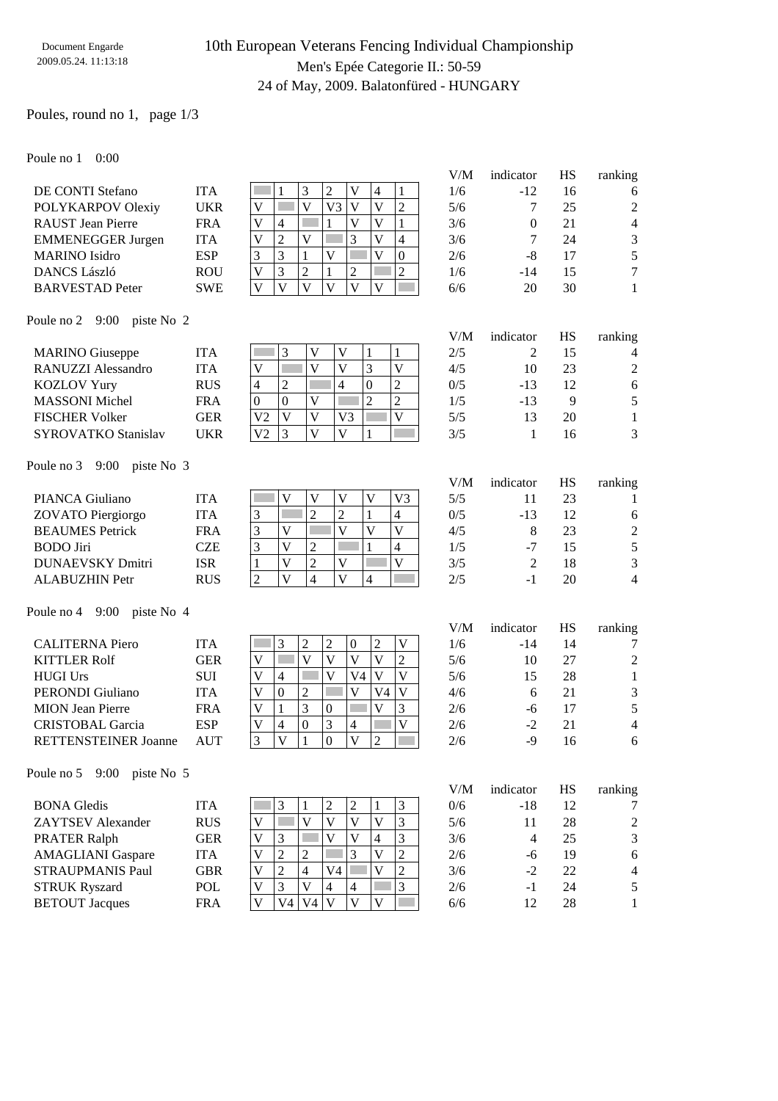### 10th European Veterans Fencing Individual Championship Men's Epée Categorie II.: 50-59 24 of May, 2009. Balatonfüred - HUNGARY

### Poules, round no 1, page 1/3

Poule no 1 0:00

| t vuiv ilv t             |            |   |                |   |    |                |   |          |     |           |    |                |
|--------------------------|------------|---|----------------|---|----|----------------|---|----------|-----|-----------|----|----------------|
|                          |            |   |                |   |    |                |   |          | V/M | indicator | НS | ranking        |
| DE CONTI Stefano         | <b>ITA</b> |   |                | 3 |    | V              | 4 |          | 1/6 | $-12$     | 16 | 6              |
| POLYKARPOV Olexiy        | <b>UKR</b> | V |                | V | V3 | V              | V | ∍        | 5/6 |           | 25 | $\overline{2}$ |
| <b>RAUST</b> Jean Pierre | <b>FRA</b> | V | 4              |   |    |                | V |          | 3/6 | 0         | 21 | 4              |
| <b>EMMENEGGER Jurgen</b> | <b>ITA</b> | V | $\overline{ }$ | V |    |                | V | 4        | 3/6 |           | 24 | 3              |
| <b>MARINO</b> Isidro     | <b>ESP</b> | 3 |                |   |    |                |   | $\theta$ | 2/6 | -8        | 17 | 5              |
| <b>DANCS László</b>      | <b>ROU</b> | V | 3              | 2 |    | $\overline{2}$ |   | 2        | 1/6 | $-14$     | 15 | 7              |
| <b>BARVESTAD</b> Peter   | <b>SWE</b> | V | V              | V |    | V              |   |          | 6/6 | 20        | 30 |                |
|                          |            |   |                |   |    |                |   |          |     |           |    |                |

#### Poule no 2 9:00 piste No 2

|                            |            |                |   |    |   | V/M | indicator | НS | ranking        |
|----------------------------|------------|----------------|---|----|---|-----|-----------|----|----------------|
| <b>MARINO</b> Giuseppe     | <b>ITA</b> |                |   |    |   | 2/5 |           | 15 | 4              |
| RANUZZI Alessandro         | <b>ITA</b> |                |   | V) |   | 4/5 | 10        | 23 | $\overline{2}$ |
| <b>KOZLOV Yury</b>         | <b>RUS</b> |                | ∠ | 4  | ∠ | 0/5 | $-13$     | 12 | 6              |
| <b>MASSONI</b> Michel      | <b>FRA</b> |                | 0 |    | ∍ | 1/5 | $-13$     | Q  | 5              |
| <b>FISCHER Volker</b>      | GER        | V <sub>2</sub> | V | V3 |   | 5/5 |           | 20 |                |
| <b>SYROVATKO Stanislav</b> | <b>UKR</b> | V2             |   |    |   | 3/5 |           | 16 | 3              |

#### Poule no 3 9:00 piste No 3

|                         |            |   |  |              |    | V/M | indicator | НS | ranking        |
|-------------------------|------------|---|--|--------------|----|-----|-----------|----|----------------|
| PIANCA Giuliano         | <b>ITA</b> |   |  |              | V3 | 5/5 |           | 23 |                |
| ZOVATO Piergiorgo       | <b>ITA</b> | 3 |  | ↵            |    | 0/5 | $-13$     | 12 | 6              |
| <b>BEAUMES</b> Petrick  | <b>FRA</b> | 3 |  |              |    | 4/5 |           | 23 | $\overline{2}$ |
| <b>BODO</b> Jiri        | CZE        | 3 |  |              |    | 1/5 | -7        | 15 | 5              |
| <b>DUNAEVSKY Dmitri</b> | <b>ISR</b> |   |  | V            |    | 3/5 |           | 18 | 3              |
| <b>ALABUZHIN Petr</b>   | <b>RUS</b> |   |  | $\mathbf{V}$ |    | 2/5 | - 1       | 20 | 4              |

#### Poule no 4 9:00 piste No 4

|                             |            |   |   |          |                |    |        | V/M | indicator | НS | ranking        |
|-----------------------------|------------|---|---|----------|----------------|----|--------|-----|-----------|----|----------------|
| <b>CALITERNA Piero</b>      | <b>ITA</b> |   |   |          | 0              | ി  |        | 1/6 | $-14$     | 14 | $\tau$         |
| <b>KITTLER Rolf</b>         | <b>GER</b> | V |   |          | V              |    | ာ<br>∠ | 5/6 | 10        | 27 | 2              |
| <b>HUGI Urs</b>             | <b>SUI</b> |   | 4 |          | V4             |    |        | 5/6 | 15        | 28 |                |
| PERONDI Giuliano            | <b>ITA</b> |   | 0 | ∠        |                | V4 |        | 4/6 | h         | 21 | 3              |
| <b>MION</b> Jean Pierre     | <b>FRA</b> |   |   | 3        |                | V  | 3      | 2/6 | -ი        | 17 | 5              |
| <b>CRISTOBAL Garcia</b>     | <b>ESP</b> |   | 4 | $\Omega$ | $\overline{4}$ |    |        | 2/6 | $-2$      | 21 | $\overline{4}$ |
| <b>RETTENSTEINER Joanne</b> | AUT        |   |   |          | V              |    |        | 2/6 | -9        | 16 | 6              |

#### Poule no 5 9:00 piste No 5

|                          |            |              |     |    |                |   |   | V/M | indicator | НS | ranking |
|--------------------------|------------|--------------|-----|----|----------------|---|---|-----|-----------|----|---------|
| <b>BONA</b> Gledis       | <b>ITA</b> |              |     |    |                | っ |   | 0/6 | $-18$     | 12 | 7       |
| <b>ZAYTSEV</b> Alexander | <b>RUS</b> | V            |     | v  |                |   |   | 5/6 | 11        | 28 | 2       |
| <b>PRATER Ralph</b>      | GER        | $\mathbf{V}$ | 3   |    |                | V | 3 | 3/6 | 4         | 25 | 3       |
| <b>AMAGLIANI</b> Gaspare | ITA        | V            |     |    |                | 3 |   | 2/6 | -6        | 19 | 6       |
| <b>STRAUPMANIS Paul</b>  | GBR        | v            |     | 4  | V4             |   | ↑ | 3/6 | $-2$      | 22 | 4       |
| <b>STRUK Ryszard</b>     | POL        | V            |     | V  | $\overline{4}$ | 4 | 3 | 2/6 | - 1       | 24 | 5       |
| <b>BETOUT Jacques</b>    | <b>FRA</b> |              | V4. | V4 |                |   |   | 6/6 | 12        | 28 |         |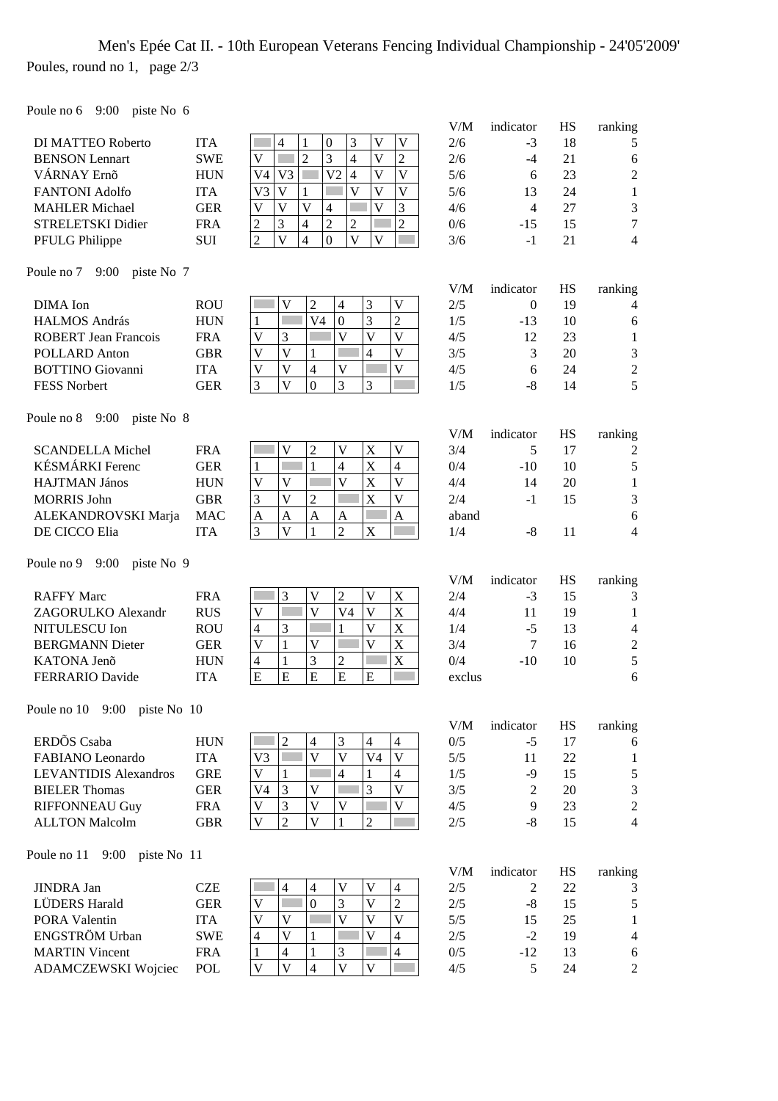## Men's Epée Cat II. - 10th European Veterans Fencing Individual Championship - 24'05'2009' Poules, round no 1, page 2/3

Poule no 6 9:00 piste No 6

|                                                     |                          |                                                                                                                                                                  | V/M        | indicator      | HS       | ranking             |
|-----------------------------------------------------|--------------------------|------------------------------------------------------------------------------------------------------------------------------------------------------------------|------------|----------------|----------|---------------------|
| DI MATTEO Roberto                                   | <b>ITA</b>               | $\boldsymbol{0}$<br>$\mathbf V$<br>V<br>$\overline{4}$<br>$\mathbf{1}$<br>3                                                                                      | 2/6        | $-3$           | 18       | 5                   |
| <b>BENSON</b> Lennart                               | <b>SWE</b>               | $\overline{2}$<br>$\overline{3}$<br>$\overline{\mathsf{V}}$<br>$\overline{2}$<br>V<br>4                                                                          | 2/6        | $-4$           | 21       | 6                   |
| VÁRNAY Ernő                                         | <b>HUN</b>               | V <sub>2</sub><br>$\overline{4}$<br>$\overline{\mathsf{V}}$<br>$\overline{V}$<br>V <sub>3</sub><br>V4                                                            | 5/6        | 6              | 23       | $\overline{c}$      |
| <b>FANTONI Adolfo</b>                               | <b>ITA</b>               | $\overline{V}$<br>$\overline{V}$<br>V<br>$\mathbf{V}$<br>V <sub>3</sub><br>1                                                                                     | 5/6        | 13             | 24       | 1                   |
| <b>MAHLER Michael</b>                               | <b>GER</b>               | $\overline{\mathsf{V}}$<br>$\overline{\mathsf{V}}$<br>3<br>$\mathbf{V}$<br>V<br>$\overline{4}$                                                                   | 4/6        | $\overline{4}$ | 27       | 3                   |
| STRELETSKI Didier                                   | <b>FRA</b>               | $\overline{2}$<br>$\overline{c}$<br>3<br>$\overline{4}$<br>$\overline{c}$<br>$\overline{c}$                                                                      | 0/6        | $-15$          | 15       | $\overline{7}$      |
| PFULG Philippe                                      | <b>SUI</b>               | $\overline{\mathbf{V}}$<br>$\overline{\mathbf{V}}$<br>$\overline{c}$<br>$\overline{4}$<br>$\overline{0}$<br>V                                                    | 3/6        | $-1$           | 21       | $\overline{4}$      |
| Poule no 7 9:00 piste No 7                          |                          |                                                                                                                                                                  |            |                |          |                     |
|                                                     |                          |                                                                                                                                                                  | V/M        | indicator      | HS       | ranking             |
| DIMA Ion                                            | <b>ROU</b>               | $\mathbf V$<br>V<br>$\overline{2}$<br>$\overline{4}$<br>3<br>V <sub>4</sub><br>П                                                                                 | 2/5        | $\Omega$       | 19       | 4                   |
| <b>HALMOS András</b>                                | <b>HUN</b>               | $\overline{2}$<br>3<br>$\boldsymbol{0}$<br>1<br>$\overline{\mathsf{V}}$<br>$\overline{\mathsf{V}}$<br>$\mathbf{V}$<br>$\mathbf V$<br>3                           | 1/5        | -13            | 10       | 6                   |
| <b>ROBERT</b> Jean Francois<br><b>POLLARD Anton</b> | <b>FRA</b><br><b>GBR</b> | $\overline{V}$<br>$\overline{\mathbf{V}}$<br>$\mathbf V$<br>$\,1$<br>$\overline{4}$                                                                              | 4/5<br>3/5 | 12<br>3        | 23<br>20 | 1                   |
| <b>BOTTINO</b> Giovanni                             | <b>ITA</b>               | $\overline{4}$<br>$\mathbf{V}$<br>$\mathbf V$<br>V<br>$\mathbf V$                                                                                                | 4/5        | 6              | 24       | 3<br>$\overline{2}$ |
| FESS Norbert                                        | <b>GER</b>               | $\overline{V}$<br>3<br>$\mathbf{0}$<br>3<br>3                                                                                                                    | 1/5        | $-8$           | 14       | 5                   |
|                                                     |                          |                                                                                                                                                                  |            |                |          |                     |
| Poule no 8<br>9:00 piste No $8$                     |                          |                                                                                                                                                                  | V/M        | indicator      | HS       | ranking             |
| <b>SCANDELLA Michel</b>                             | <b>FRA</b>               | V<br>V<br>$\overline{c}$<br>V<br>$\mathbf X$                                                                                                                     | 3/4        | 5              | 17       | $\overline{c}$      |
| KÉSMÁRKI Ferenc                                     | <b>GER</b>               | $\mathbf{1}$<br>X<br>$\overline{4}$<br>$\overline{4}$<br>$\mathbf{1}$                                                                                            | 0/4        | $-10$          | 10       | 5                   |
| <b>HAJTMAN János</b>                                | <b>HUN</b>               | $\overline{\mathsf{V}}$<br>X<br>$\overline{\mathbf{V}}$<br>$\mathbf V$<br>$\mathbf V$                                                                            | 4/4        | 14             | 20       | $\mathbf{1}$        |
| <b>MORRIS John</b>                                  | <b>GBR</b>               | $\overline{2}$<br>X<br>V<br>V<br>3                                                                                                                               | 2/4        | $-1$           | 15       | 3                   |
| ALEKANDROVSKI Marja                                 | <b>MAC</b>               | $\boldsymbol{A}$<br>$\mathbf{A}$<br>$\mathbf{A}$<br>$\mathbf{A}$<br>A                                                                                            | aband      |                |          | 6                   |
| DE CICCO Elia                                       | <b>ITA</b>               | $\overline{2}$<br>3<br>V<br>$\mathbf{1}$<br>$\mathbf X$                                                                                                          | 1/4        | $-8$           | 11       | 4                   |
| Poule no $9 \quad 9:00$<br>piste No 9               |                          |                                                                                                                                                                  |            |                |          |                     |
|                                                     |                          |                                                                                                                                                                  | V/M        | indicator      | HS       | ranking             |
| <b>RAFFY Marc</b>                                   | <b>FRA</b>               | 3<br>$\mathbf V$<br>$\overline{2}$<br>$\mathbf V$<br>$\mathbf X$                                                                                                 | 2/4        | $-3$           | 15       | 3                   |
| ZAGORULKO Alexandr                                  | <b>RUS</b>               | X<br>П<br>$\mathbf{V}$<br>V <sub>4</sub><br>$\overline{\mathbf{V}}$<br>$\ensuremath{\mathsf{V}}$                                                                 | 4/4        | 11             | 19       | 1                   |
| NITULESCU Ion                                       | <b>ROU</b>               | $\overline{V}$<br>$\mathbf X$<br>3<br>$\overline{4}$<br>1                                                                                                        | 1/4        | $-5$           | 13       | 4                   |
| <b>BERGMANN Dieter</b>                              | <b>GER</b>               | $\overline{\mathsf{V}}$<br>$\mathbf X$<br>$\ensuremath{\mathsf{V}}$<br>$1\,$<br>$\mathbf V$                                                                      | 3/4        | $\overline{7}$ | 16       | $\overline{2}$      |
| KATONA Jenõ                                         | <b>HUN</b>               | 3<br>$\mathbf X$<br>$\mathbf{1}$<br>$\overline{2}$<br>$\overline{4}$                                                                                             | 0/4        | $-10$          | 10       | 5                   |
| <b>FERRARIO Davide</b>                              | <b>ITA</b>               | E<br>E<br>E<br>E<br>E                                                                                                                                            | exclus     |                |          | 6                   |
| Poule no 10 9:00 piste No 10                        |                          |                                                                                                                                                                  |            |                |          |                     |
|                                                     |                          |                                                                                                                                                                  | V/M        | indicator      | HS       | ranking             |
| ERDÕS Csaba                                         | <b>HUN</b>               | $\boldsymbol{2}$<br>3<br>$\overline{4}$<br>4<br>$\overline{4}$                                                                                                   | 0/5        | $-5$           | 17       | 6                   |
| FABIANO Leonardo                                    | <b>ITA</b>               | $\overline{V}$<br>$\overline{\mathsf{V}}$<br>V<br>V <sub>3</sub><br>V <sub>4</sub>                                                                               | 5/5        | 11             | 22       | 1                   |
| <b>LEVANTIDIS Alexandros</b>                        | <b>GRE</b>               | $\mathbf V$<br>$\overline{4}$<br>$\overline{4}$<br>1<br>1                                                                                                        | 1/5        | $-9$           | 15       | 5                   |
| <b>BIELER Thomas</b>                                | <b>GER</b>               | 3<br>$\overline{\mathsf{V}}$<br>3<br>V<br>V4                                                                                                                     | 3/5        | $\overline{c}$ | 20       | 3                   |
| <b>RIFFONNEAU Guy</b>                               | <b>FRA</b>               | 3<br>$\mathbf V$<br>$\mathbf V$<br>$\mathbf V$<br>$\mathbf V$                                                                                                    | 4/5        | 9              | 23       | $\overline{c}$      |
| <b>ALLTON Malcolm</b>                               | <b>GBR</b>               | $\overline{2}$<br>$\mathbf V$<br>$\mathbf V$<br>$\overline{2}$<br>$\mathbf{1}$                                                                                   | $2/5$      | $-8$           | 15       | 4                   |
| 9:00<br>Poule no 11<br>piste No 11                  |                          |                                                                                                                                                                  |            |                |          |                     |
|                                                     |                          |                                                                                                                                                                  | V/M        | indicator      | HS       | ranking             |
| <b>JINDRA Jan</b><br>LÜDERS Harald                  | <b>CZE</b>               | $\mathbf V$<br>$\overline{\mathsf{V}}$<br>$\overline{4}$<br>$\overline{4}$<br>$\overline{4}$<br>$\overline{0}$<br>$\overline{2}$<br>3<br>$\overline{\mathsf{V}}$ | 2/5        | 2              | 22       | 3                   |
| PORA Valentin                                       | <b>GER</b><br><b>ITA</b> | $\mathbf V$<br>$\overline{\mathsf{V}}$<br>$\mathbf{V}$<br>$\mathbf V$<br>$\overline{\mathsf{V}}$<br>$\mathbf V$                                                  | 2/5<br>5/5 | $-8$<br>15     | 15<br>25 | 5<br>1              |
| ENGSTRÖM Urban                                      | <b>SWE</b>               | $\overline{\mathbf{V}}$<br>$\overline{4}$<br>$\overline{\mathcal{L}}$<br>V<br>$\mathbf{1}$                                                                       | 2/5        | $-2$           | 19       | 4                   |
| <b>MARTIN Vincent</b>                               |                          |                                                                                                                                                                  |            |                |          |                     |
|                                                     |                          |                                                                                                                                                                  |            |                |          |                     |
| ADAMCZEWSKI Wojciec                                 | <b>FRA</b><br>POL        | $\overline{4}$<br>$\overline{4}$<br>$\mathbf{1}$<br>3<br>1<br>$\overline{V}$<br>$\overline{4}$<br>$\overline{V}$<br>$\mathbf V$<br>$\mathbf V$                   | 0/5<br>4/5 | $-12$<br>5     | 13<br>24 | 6<br>$\mathfrak{2}$ |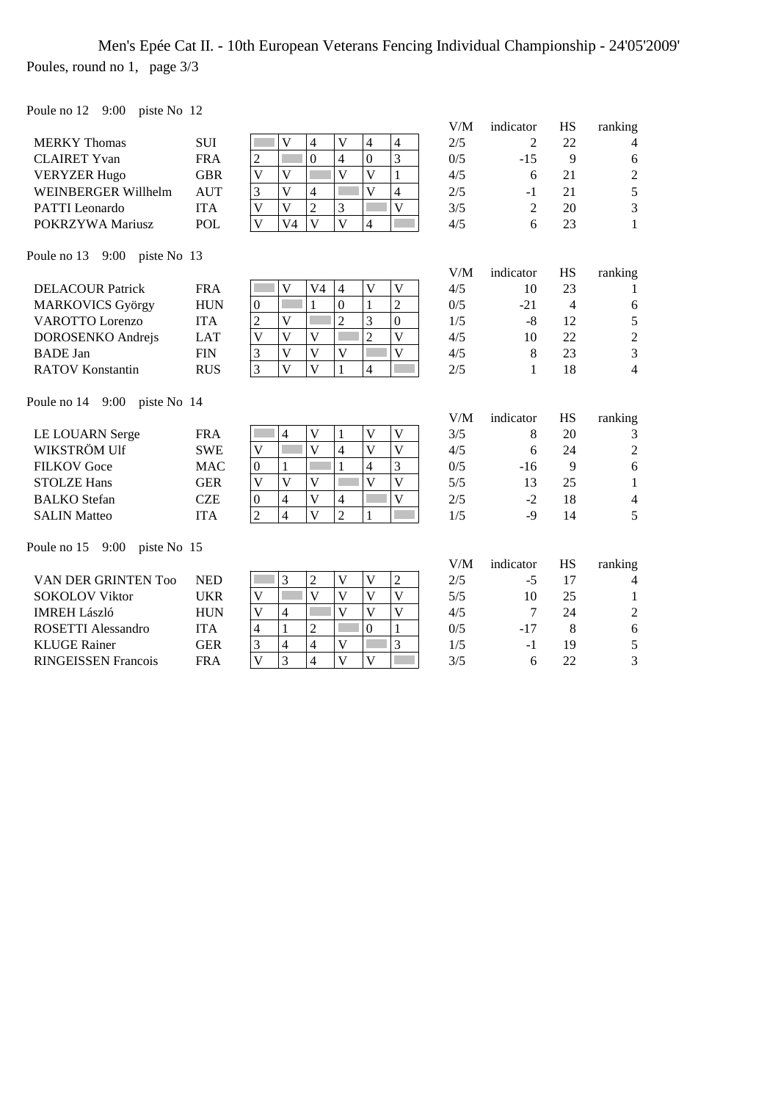### Men's Epée Cat II. - 10th European Veterans Fencing Individual Championship - 24'05'2009' Poules, round no 1, page 3/3

Poule no 12 9:00 piste No 12

| $1 \text{ value in } 12 \dots$          |            |                                                                                                                         |     |                |                |                |
|-----------------------------------------|------------|-------------------------------------------------------------------------------------------------------------------------|-----|----------------|----------------|----------------|
|                                         |            |                                                                                                                         | V/M | indicator      | <b>HS</b>      | ranking        |
| <b>MERKY Thomas</b>                     | <b>SUI</b> | V<br>$\mathbf{V}$<br>$\overline{4}$<br>$\overline{4}$<br>$\overline{4}$                                                 | 2/5 | 2              | 22             | $\overline{4}$ |
| <b>CLAIRET Yvan</b>                     | <b>FRA</b> | $\overline{3}$<br>$\overline{0}$<br>$\overline{4}$<br>$\overline{0}$<br>$\overline{c}$                                  | 0/5 | $-15$          | 9              | 6              |
| <b>VERYZER Hugo</b>                     | <b>GBR</b> | $\overline{\mathsf{V}}$<br>$\overline{\mathsf{V}}$<br>$\mathbf{1}$<br>V<br>V                                            | 4/5 | 6              | 21             | $\overline{2}$ |
| WEINBERGER Willhelm                     | <b>AUT</b> | 3<br>$\overline{V}$<br>$\overline{\mathsf{V}}$<br>$\overline{4}$<br>$\overline{4}$                                      | 2/5 | $-1$           | 21             | 5              |
| PATTI Leonardo                          | <b>ITA</b> | $\overline{2}$<br>3<br>$\overline{V}$<br>$\overline{\mathsf{V}}$<br>$\overline{\mathsf{V}}$                             | 3/5 | $\overline{2}$ | 20             | 3              |
| POKRZYWA Mariusz                        | POL        | $\overline{\mathsf{V}}$<br>$\overline{\mathbf{V}}$<br>$\bar{V}$<br>V <sub>4</sub><br>4                                  | 4/5 | 6              | 23             | 1              |
| Poule no $13 \quad 9:00$<br>piste No 13 |            |                                                                                                                         |     |                |                |                |
|                                         |            |                                                                                                                         | V/M | indicator      | HS             | ranking        |
| <b>DELACOUR Patrick</b>                 | <b>FRA</b> | V <sub>4</sub><br>V<br>$\mathbf V$<br>V<br>$\overline{4}$                                                               | 4/5 | 10             | 23             | 1              |
| <b>MARKOVICS György</b>                 | <b>HUN</b> | $\overline{2}$<br>$\mathbf{1}$<br>$\mathbf{0}$<br>$\boldsymbol{0}$<br>$\mathbf{1}$                                      | 0/5 | $-21$          | $\overline{4}$ | 6              |
| <b>VAROTTO Lorenzo</b>                  | <b>ITA</b> | $\overline{2}$<br>$\overline{V}$<br>3<br>$\overline{0}$<br>$\overline{c}$                                               | 1/5 | -8             | 12             | 5              |
| DOROSENKO Andrejs                       | <b>LAT</b> | $\overline{2}$<br>$\overline{V}$<br>$\overline{\mathsf{V}}$<br>$\overline{\mathsf{V}}$<br>$\overline{\mathsf{V}}$       | 4/5 | 10             | 22             | $\sqrt{2}$     |
| <b>BADE</b> Jan                         | <b>FIN</b> | $\overline{\mathsf{V}}$<br>3<br>V<br>V<br>V                                                                             | 4/5 | 8              | 23             | $\overline{3}$ |
| <b>RATOV Konstantin</b>                 | <b>RUS</b> | $\overline{3}$<br>$\overline{V}$<br>$\overline{\mathsf{V}}$<br>$\mathbf{1}$<br>$\overline{4}$                           | 2/5 | $\mathbf{1}$   | 18             | $\overline{4}$ |
| Poule no $14$ 9:00<br>piste No 14       |            |                                                                                                                         |     |                |                |                |
|                                         |            |                                                                                                                         | V/M | indicator      | <b>HS</b>      | ranking        |
| <b>LE LOUARN Serge</b>                  | <b>FRA</b> | $\mathbf V$<br>$\mathbf{V}$<br>$\mathbf V$<br>4<br>1                                                                    | 3/5 | 8              | 20             | 3              |
| WIKSTRÖM Ulf                            | <b>SWE</b> | $\overline{\mathsf{V}}$<br>$\overline{V}$<br>$\overline{\mathsf{V}}$<br>$\overline{4}$<br>$\overline{\mathsf{V}}$       | 4/5 | 6              | 24             | $\overline{2}$ |
| <b>FILKOV</b> Goce                      | <b>MAC</b> | $\mathbf{1}$<br>$\overline{3}$<br>$\overline{\mathbf{4}}$<br>$\mathbf{0}$<br>$\mathbf{1}$                               | 0/5 | $-16$          | 9              | 6              |
| <b>STOLZE Hans</b>                      | <b>GER</b> | $\overline{\mathbf{V}}$<br>$\overline{\mathsf{V}}$<br>$\overline{\mathsf{V}}$<br>V<br>V                                 | 5/5 | 13             | 25             | $\mathbf{1}$   |
| <b>BALKO</b> Stefan                     | <b>CZE</b> | $\overline{\mathsf{V}}$<br>$\overline{\mathbf{V}}$<br>$\overline{4}$<br>$\boldsymbol{0}$<br>$\overline{4}$              | 2/5 | $-2$           | 18             | $\overline{4}$ |
| <b>SALIN Matteo</b>                     | <b>ITA</b> | $\overline{2}$<br>$\overline{\mathsf{V}}$<br>$\overline{c}$<br>$\overline{4}$<br>1                                      | 1/5 | $-9$           | 14             | 5              |
| Poule no $15$ 9:00<br>piste No 15       |            |                                                                                                                         |     |                |                |                |
|                                         |            |                                                                                                                         | V/M | indicator      | HS             | ranking        |
| VAN DER GRINTEN Too                     | <b>NED</b> | 3<br>$\overline{c}$<br>$\overline{2}$<br>$\mathbf V$<br>$\overline{\mathsf{V}}$                                         | 2/5 | $-5$           | 17             | 4              |
| <b>SOKOLOV Viktor</b>                   | <b>UKR</b> | $\overline{\mathbf{v}}$<br>$\overline{\mathbf{v}}$<br>$\overline{\mathsf{V}}$<br>$\overline{\mathsf{V}}$<br>$\mathbf V$ | 5/5 | 10             | 25             | 1              |
| <b>IMREH László</b>                     | <b>HUN</b> | $\overline{\mathsf{V}}$<br>$\overline{V}$<br>$\overline{\mathsf{V}}$<br>V<br>$\overline{4}$                             | 4/5 | $\tau$         | 24             | $\overline{2}$ |
| <b>ROSETTI Alessandro</b>               | <b>ITA</b> | $\overline{2}$<br>$\overline{\mathbf{4}}$<br>$\overline{0}$<br>$\mathbf{1}$<br>$\mathbf{1}$                             | 0/5 | $-17$          | 8              | $\sqrt{6}$     |
| <b>KLUGE Rainer</b>                     | <b>GER</b> | $\overline{3}$<br>$\overline{\mathbf{4}}$<br>3<br>$\overline{4}$<br>$\overline{\mathsf{V}}$                             | 1/5 | $-1$           | 19             | 5              |
| <b>RINGEISSEN Francois</b>              | <b>FRA</b> | $\overline{\mathsf{V}}$<br>3<br>$\overline{\mathsf{V}}$<br>$\overline{4}$<br>$\overline{\mathbf{V}}$                    | 3/5 | 6              | 22             | 3              |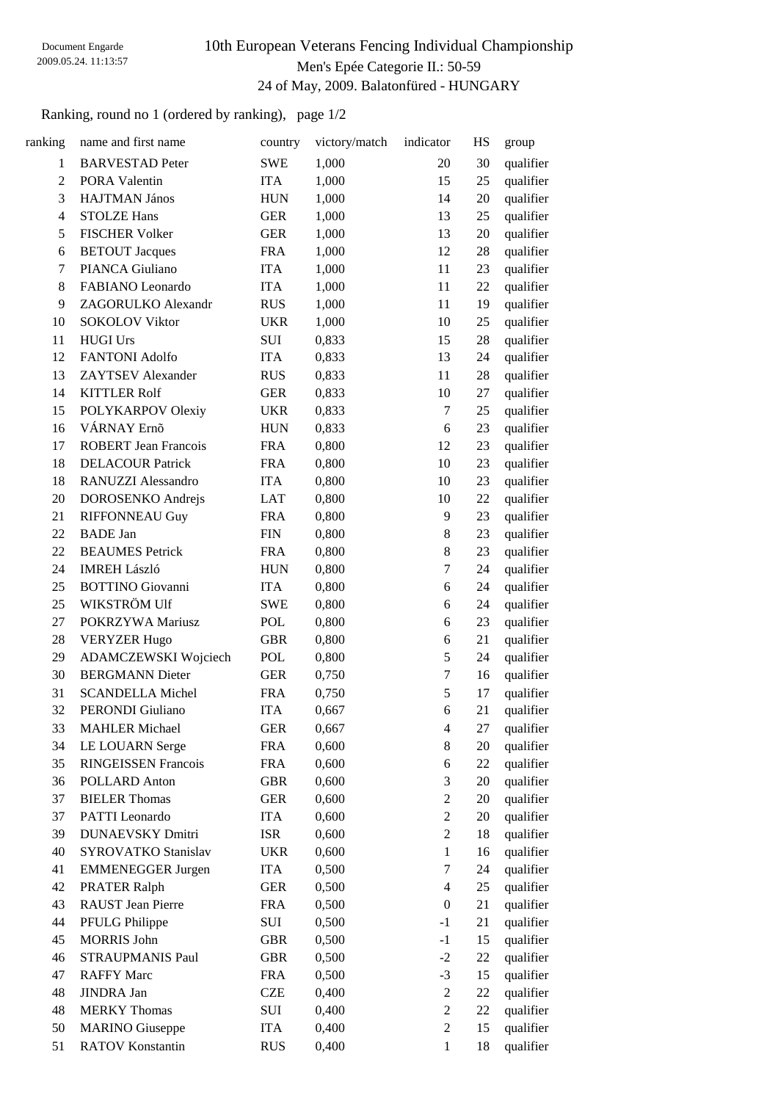### 10th European Veterans Fencing Individual Championship Men's Epée Categorie II.: 50-59 24 of May, 2009. Balatonfüred - HUNGARY

Ranking, round no 1 (ordered by ranking), page 1/2

| ranking        | name and first name         | country     | victory/match | indicator                | HS | group     |
|----------------|-----------------------------|-------------|---------------|--------------------------|----|-----------|
| $\mathbf{1}$   | <b>BARVESTAD Peter</b>      | <b>SWE</b>  | 1,000         | 20                       | 30 | qualifier |
| $\overline{c}$ | <b>PORA Valentin</b>        | <b>ITA</b>  | 1,000         | 15                       | 25 | qualifier |
| 3              | HAJTMAN János               | <b>HUN</b>  | 1,000         | 14                       | 20 | qualifier |
| $\overline{4}$ | <b>STOLZE Hans</b>          | <b>GER</b>  | 1,000         | 13                       | 25 | qualifier |
| 5              | <b>FISCHER Volker</b>       | <b>GER</b>  | 1,000         | 13                       | 20 | qualifier |
| 6              | <b>BETOUT Jacques</b>       | <b>FRA</b>  | 1,000         | 12                       | 28 | qualifier |
| 7              | PIANCA Giuliano             | <b>ITA</b>  | 1,000         | 11                       | 23 | qualifier |
| 8              | FABIANO Leonardo            | <b>ITA</b>  | 1,000         | 11                       | 22 | qualifier |
| 9              | ZAGORULKO Alexandr          | <b>RUS</b>  | 1,000         | 11                       | 19 | qualifier |
| 10             | <b>SOKOLOV Viktor</b>       | <b>UKR</b>  | 1,000         | 10                       | 25 | qualifier |
| 11             | <b>HUGI Urs</b>             | SUI         | 0,833         | 15                       | 28 | qualifier |
| 12             | <b>FANTONI Adolfo</b>       | <b>ITA</b>  | 0,833         | 13                       | 24 | qualifier |
| 13             | <b>ZAYTSEV</b> Alexander    | <b>RUS</b>  | 0,833         | 11                       | 28 | qualifier |
| 14             | <b>KITTLER Rolf</b>         | <b>GER</b>  | 0,833         | 10                       | 27 | qualifier |
| 15             | POLYKARPOV Olexiy           | <b>UKR</b>  | 0,833         | $\tau$                   | 25 | qualifier |
| 16             | VÁRNAY Ernő                 | <b>HUN</b>  | 0,833         | 6                        | 23 | qualifier |
| 17             | <b>ROBERT</b> Jean Francois | <b>FRA</b>  | 0,800         | 12                       | 23 | qualifier |
| 18             | <b>DELACOUR Patrick</b>     | <b>FRA</b>  | 0,800         | 10                       | 23 | qualifier |
| 18             | RANUZZI Alessandro          | <b>ITA</b>  | 0,800         | 10                       | 23 | qualifier |
| 20             | DOROSENKO Andrejs           | <b>LAT</b>  | 0,800         | 10                       | 22 | qualifier |
| 21             | <b>RIFFONNEAU Guy</b>       | <b>FRA</b>  | 0,800         | 9                        | 23 | qualifier |
| 22             | <b>BADE</b> Jan             | ${\rm FIN}$ | 0,800         | 8                        | 23 | qualifier |
| 22             | <b>BEAUMES</b> Petrick      | <b>FRA</b>  | 0,800         | 8                        | 23 | qualifier |
| 24             | <b>IMREH László</b>         | <b>HUN</b>  | 0,800         | $\boldsymbol{7}$         | 24 | qualifier |
| 25             | <b>BOTTINO</b> Giovanni     | <b>ITA</b>  | 0,800         | 6                        | 24 | qualifier |
| 25             | WIKSTRÖM Ulf                | <b>SWE</b>  | 0,800         | 6                        | 24 | qualifier |
| 27             | POKRZYWA Mariusz            | POL         | 0,800         | 6                        | 23 | qualifier |
| 28             | <b>VERYZER Hugo</b>         | <b>GBR</b>  | 0,800         | 6                        | 21 | qualifier |
| 29             | ADAMCZEWSKI Wojciech        | POL         | 0,800         | 5                        | 24 | qualifier |
| 30             | <b>BERGMANN Dieter</b>      | <b>GER</b>  | 0,750         | $\tau$                   | 16 | qualifier |
| 31             | <b>SCANDELLA Michel</b>     | <b>FRA</b>  | 0,750         | $\sqrt{5}$               | 17 | qualifier |
| 32             | PERONDI Giuliano            | <b>ITA</b>  | 0,667         | 6                        | 21 | qualifier |
| 33             | <b>MAHLER Michael</b>       | <b>GER</b>  | 0,667         | $\overline{\mathcal{A}}$ | 27 | qualifier |
| 34             | LE LOUARN Serge             | <b>FRA</b>  | 0,600         | 8                        | 20 | qualifier |
| 35             | <b>RINGEISSEN Francois</b>  | <b>FRA</b>  | 0,600         | 6                        | 22 | qualifier |
| 36             | POLLARD Anton               | <b>GBR</b>  | 0,600         | 3                        | 20 | qualifier |
| 37             | <b>BIELER Thomas</b>        | <b>GER</b>  | 0,600         | $\boldsymbol{2}$         | 20 | qualifier |
| 37             | PATTI Leonardo              | <b>ITA</b>  | 0,600         | $\mathbf{2}$             | 20 | qualifier |
| 39             | <b>DUNAEVSKY Dmitri</b>     | <b>ISR</b>  | 0,600         | $\mathfrak{2}$           | 18 | qualifier |
| 40             | SYROVATKO Stanislav         | <b>UKR</b>  | 0,600         | $\mathbf{1}$             | 16 | qualifier |
| 41             | <b>EMMENEGGER Jurgen</b>    | <b>ITA</b>  | 0,500         | 7                        | 24 | qualifier |
| 42             | <b>PRATER Ralph</b>         | <b>GER</b>  | 0,500         | $\overline{\mathcal{A}}$ | 25 | qualifier |
| 43             | RAUST Jean Pierre           | <b>FRA</b>  | 0,500         | $\boldsymbol{0}$         | 21 | qualifier |
| 44             | PFULG Philippe              | SUI         | 0,500         | $-1$                     | 21 | qualifier |
| 45             | <b>MORRIS John</b>          | <b>GBR</b>  | 0,500         | $-1$                     | 15 | qualifier |
| 46             | STRAUPMANIS Paul            | <b>GBR</b>  | 0,500         | $-2$                     | 22 | qualifier |
| 47             | <b>RAFFY Marc</b>           | <b>FRA</b>  | 0,500         | $-3$                     | 15 | qualifier |
| 48             | JINDRA Jan                  | <b>CZE</b>  | 0,400         | $\boldsymbol{2}$         | 22 | qualifier |
| 48             | <b>MERKY</b> Thomas         | SUI         | 0,400         | $\boldsymbol{2}$         | 22 | qualifier |
| 50             | <b>MARINO</b> Giuseppe      | <b>ITA</b>  | 0,400         | $\mathfrak{2}$           | 15 | qualifier |
| 51             | <b>RATOV Konstantin</b>     | <b>RUS</b>  | 0,400         | $\mathbf{1}$             | 18 | qualifier |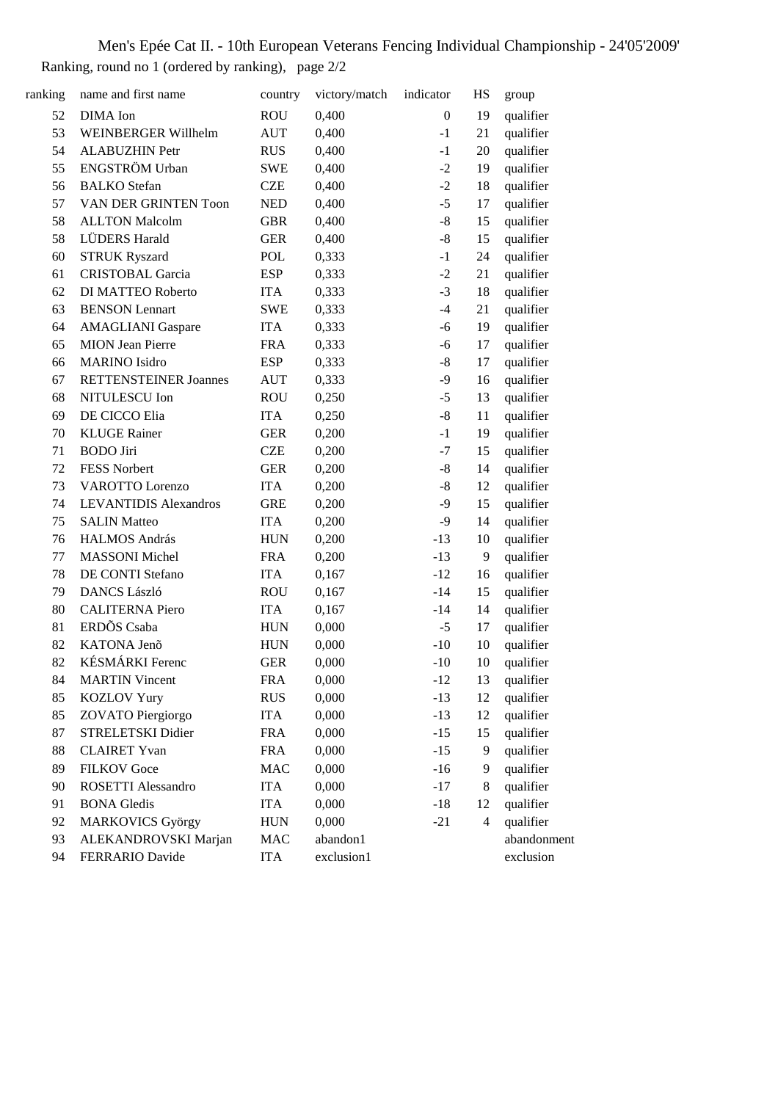Men's Epée Cat II. - 10th European Veterans Fencing Individual Championship - 24'05'2009' Ranking, round no 1 (ordered by ranking), page 2/2

| ranking | name and first name          | country    | victory/match | indicator        | HS                       | group       |
|---------|------------------------------|------------|---------------|------------------|--------------------------|-------------|
| 52      | DIMA Ion                     | <b>ROU</b> | 0,400         | $\boldsymbol{0}$ | 19                       | qualifier   |
| 53      | <b>WEINBERGER Willhelm</b>   | <b>AUT</b> | 0,400         | $-1$             | 21                       | qualifier   |
| 54      | <b>ALABUZHIN Petr</b>        | <b>RUS</b> | 0,400         | $-1$             | 20                       | qualifier   |
| 55      | ENGSTRÖM Urban               | <b>SWE</b> | 0,400         | $-2$             | 19                       | qualifier   |
| 56      | <b>BALKO</b> Stefan          | <b>CZE</b> | 0,400         | $-2$             | 18                       | qualifier   |
| 57      | VAN DER GRINTEN Toon         | <b>NED</b> | 0,400         | $-5$             | 17                       | qualifier   |
| 58      | <b>ALLTON Malcolm</b>        | <b>GBR</b> | 0,400         | $-8$             | 15                       | qualifier   |
| 58      | <b>LÜDERS Harald</b>         | <b>GER</b> | 0,400         | $-8$             | 15                       | qualifier   |
| 60      | <b>STRUK Ryszard</b>         | <b>POL</b> | 0,333         | $-1$             | 24                       | qualifier   |
| 61      | <b>CRISTOBAL Garcia</b>      | <b>ESP</b> | 0,333         | $-2$             | 21                       | qualifier   |
| 62      | DI MATTEO Roberto            | <b>ITA</b> | 0,333         | $-3$             | 18                       | qualifier   |
| 63      | <b>BENSON</b> Lennart        | <b>SWE</b> | 0,333         | $-4$             | 21                       | qualifier   |
| 64      | <b>AMAGLIANI</b> Gaspare     | <b>ITA</b> | 0,333         | $-6$             | 19                       | qualifier   |
| 65      | <b>MION</b> Jean Pierre      | <b>FRA</b> | 0,333         | $-6$             | 17                       | qualifier   |
| 66      | <b>MARINO</b> Isidro         | <b>ESP</b> | 0,333         | $-8$             | 17                       | qualifier   |
| 67      | <b>RETTENSTEINER Joannes</b> | <b>AUT</b> | 0,333         | $-9$             | 16                       | qualifier   |
| 68      | NITULESCU Ion                | <b>ROU</b> | 0,250         | $-5$             | 13                       | qualifier   |
| 69      | DE CICCO Elia                | <b>ITA</b> | 0,250         | $-8$             | 11                       | qualifier   |
| 70      | <b>KLUGE Rainer</b>          | <b>GER</b> | 0,200         | $-1$             | 19                       | qualifier   |
| 71      | <b>BODO</b> Jiri             | <b>CZE</b> | 0,200         | $-7$             | 15                       | qualifier   |
| 72      | FESS Norbert                 | <b>GER</b> | 0,200         | $-8$             | 14                       | qualifier   |
| 73      | <b>VAROTTO</b> Lorenzo       | <b>ITA</b> | 0,200         | $-8$             | 12                       | qualifier   |
| 74      | <b>LEVANTIDIS Alexandros</b> | <b>GRE</b> | 0,200         | $-9$             | 15                       | qualifier   |
| 75      | <b>SALIN Matteo</b>          | <b>ITA</b> | 0,200         | $-9$             | 14                       | qualifier   |
| 76      | HALMOS András                | <b>HUN</b> | 0,200         | $-13$            | 10                       | qualifier   |
| 77      | <b>MASSONI</b> Michel        | <b>FRA</b> | 0,200         | $-13$            | 9                        | qualifier   |
| 78      | DE CONTI Stefano             | <b>ITA</b> | 0,167         | $-12$            | 16                       | qualifier   |
| 79      | <b>DANCS László</b>          | <b>ROU</b> | 0,167         | $-14$            | 15                       | qualifier   |
| 80      | <b>CALITERNA Piero</b>       | <b>ITA</b> | 0,167         | $-14$            | 14                       | qualifier   |
| 81      | ERDÕS Csaba                  | <b>HUN</b> | 0,000         | $-5$             | 17                       | qualifier   |
| 82      | KATONA Jenõ                  | <b>HUN</b> | 0,000         | $-10$            | 10                       | qualifier   |
| 82      | KÉSMÁRKI Ferenc              | <b>GER</b> | 0,000         | $-10$            | 10                       | qualifier   |
| 84      | <b>MARTIN Vincent</b>        | <b>FRA</b> | 0,000         | $-12$            | 13                       | qualifier   |
| 85      | <b>KOZLOV Yury</b>           | <b>RUS</b> | 0,000         | $-13$            | 12                       | qualifier   |
| 85      | ZOVATO Piergiorgo            | <b>ITA</b> | 0,000         | $-13$            | 12                       | qualifier   |
| 87      | STRELETSKI Didier            | <b>FRA</b> | 0,000         | $-15$            | 15                       | qualifier   |
| 88      | <b>CLAIRET Yvan</b>          | <b>FRA</b> | 0,000         | $-15$            | 9                        | qualifier   |
| 89      | <b>FILKOV</b> Goce           | <b>MAC</b> | 0,000         | $-16$            | 9                        | qualifier   |
| 90      | ROSETTI Alessandro           | <b>ITA</b> | 0,000         | $-17$            | 8                        | qualifier   |
| 91      | <b>BONA</b> Gledis           | <b>ITA</b> | 0,000         | $-18$            | 12                       | qualifier   |
| 92      | <b>MARKOVICS György</b>      | <b>HUN</b> | 0,000         | $-21$            | $\overline{\mathcal{A}}$ | qualifier   |
| 93      | ALEKANDROVSKI Marjan         | MAC        | abandon1      |                  |                          | abandonment |
| 94      | FERRARIO Davide              | <b>ITA</b> | exclusion1    |                  |                          | exclusion   |
|         |                              |            |               |                  |                          |             |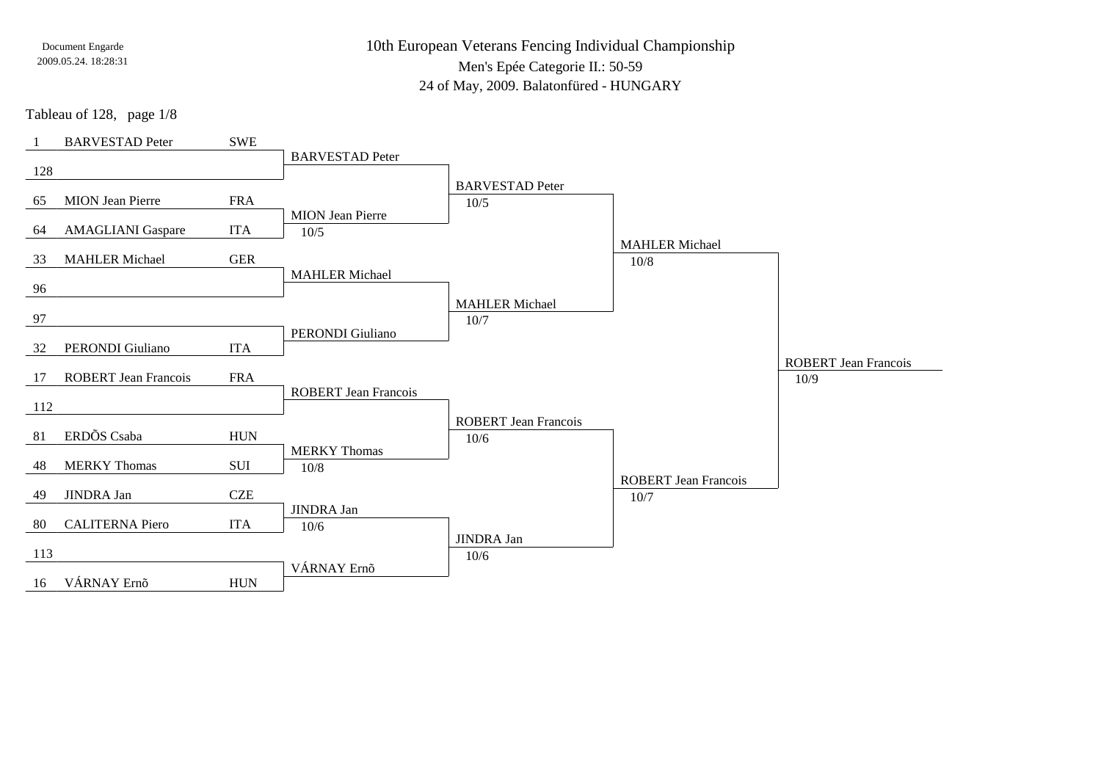10th European Veterans Fencing Individual ChampionshipMen's Epée Categorie II.: 50-59

24 of May, 2009. Balatonfüred - HUNGARY

Tableau of 128, page 1/8

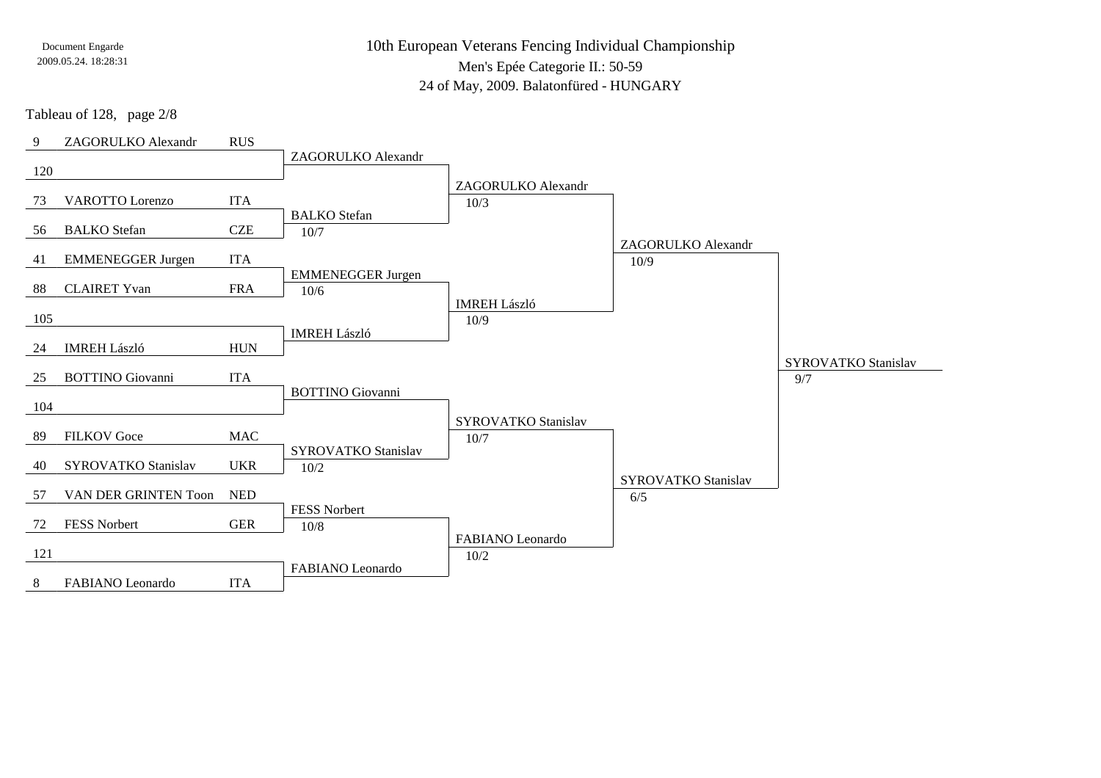10th European Veterans Fencing Individual ChampionshipMen's Epée Categorie II.: 50-59

24 of May, 2009. Balatonfüred - HUNGARY

Tableau of 128, page 2/8

| 9   | ZAGORULKO Alexandr         | <b>RUS</b>                  |                            |                            |                            |                            |
|-----|----------------------------|-----------------------------|----------------------------|----------------------------|----------------------------|----------------------------|
|     |                            |                             | ZAGORULKO Alexandr         |                            |                            |                            |
| 120 |                            |                             |                            | ZAGORULKO Alexandr         |                            |                            |
| 73  | VAROTTO Lorenzo            | <b>ITA</b>                  |                            | 10/3                       |                            |                            |
|     |                            |                             | <b>BALKO</b> Stefan        |                            |                            |                            |
| 56  | <b>BALKO</b> Stefan        | <b>CZE</b>                  | 10/7                       |                            |                            |                            |
| 41  | <b>EMMENEGGER Jurgen</b>   | <b>ITA</b>                  |                            |                            | ZAGORULKO Alexandr<br>10/9 |                            |
|     |                            |                             | <b>EMMENEGGER Jurgen</b>   |                            |                            |                            |
| 88  | <b>CLAIRET Yvan</b>        | <b>FRA</b>                  | 10/6                       |                            |                            |                            |
| 105 |                            |                             |                            | <b>IMREH László</b>        |                            |                            |
|     |                            |                             | <b>IMREH László</b>        | 10/9                       |                            |                            |
| 24  | <b>IMREH László</b>        | <b>HUN</b>                  |                            |                            |                            |                            |
|     |                            |                             |                            |                            |                            | <b>SYROVATKO Stanislav</b> |
| 25  | <b>BOTTINO</b> Giovanni    | <b>ITA</b>                  | <b>BOTTINO</b> Giovanni    |                            |                            | 9/7                        |
| 104 |                            |                             |                            |                            |                            |                            |
|     |                            |                             |                            | <b>SYROVATKO Stanislav</b> |                            |                            |
| 89  | <b>FILKOV</b> Goce         | <b>MAC</b>                  |                            | 10/7                       |                            |                            |
| 40  | <b>SYROVATKO Stanislav</b> | <b>UKR</b>                  | <b>SYROVATKO Stanislav</b> |                            |                            |                            |
|     |                            |                             | 10/2                       |                            | SYROVATKO Stanislav        |                            |
| 57  | VAN DER GRINTEN Toon       | $\ensuremath{\mathsf{NED}}$ |                            |                            | 6/5                        |                            |
|     |                            |                             | FESS Norbert               |                            |                            |                            |
| 72  | FESS Norbert               | <b>GER</b>                  | $10/8$                     | FABIANO Leonardo           |                            |                            |
| 121 |                            |                             |                            | $10/2$                     |                            |                            |
|     |                            |                             | FABIANO Leonardo           |                            |                            |                            |
| 8   | FABIANO Leonardo           | <b>ITA</b>                  |                            |                            |                            |                            |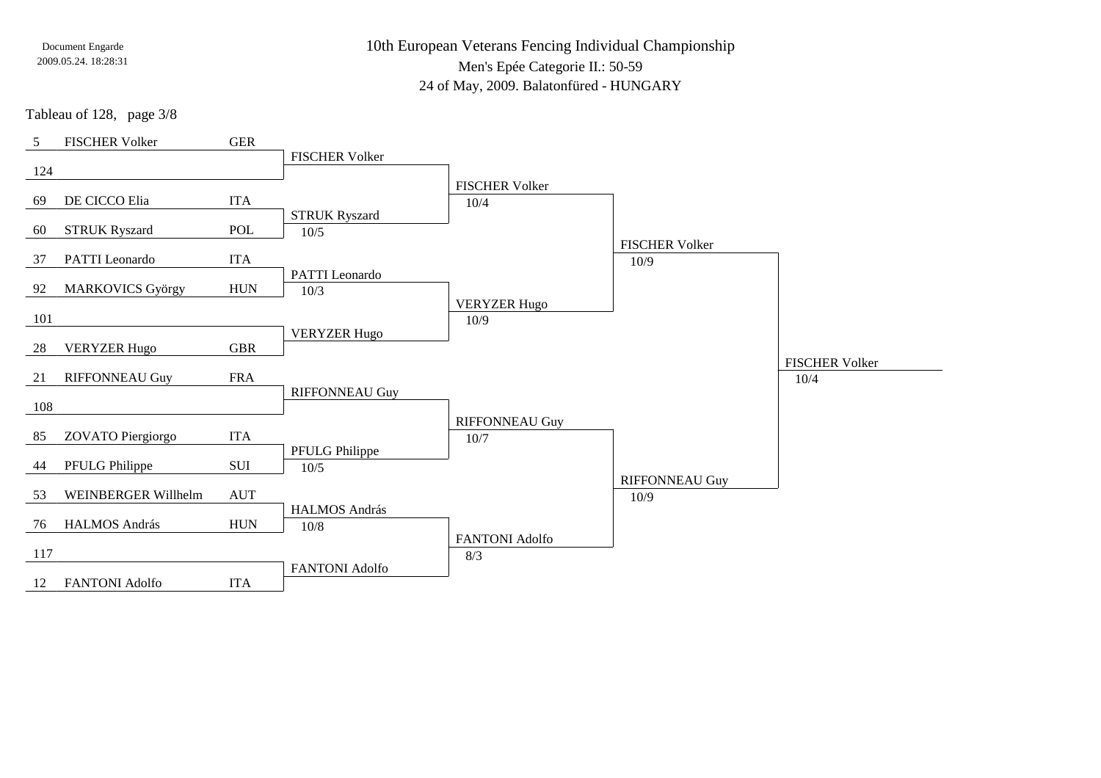10th European Veterans Fencing Individual ChampionshipMen's Epée Categorie II.: 50-59

24 of May, 2009. Balatonfüred - HUNGARY

Tableau of 128, page 3/8

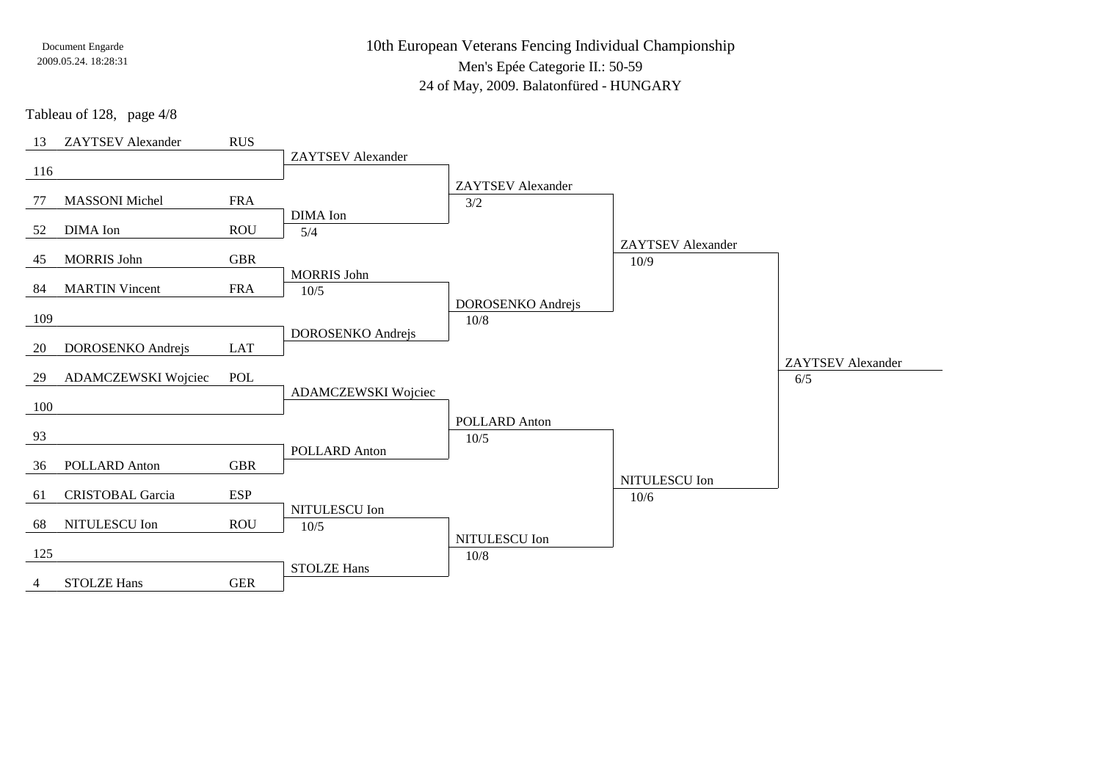10th European Veterans Fencing Individual ChampionshipMen's Epée Categorie II.: 50-59

24 of May, 2009. Balatonfüred - HUNGARY

Tableau of 128, page 4/8

| 13  | <b>ZAYTSEV</b> Alexander | RUS        |                          |                          |                          |                          |
|-----|--------------------------|------------|--------------------------|--------------------------|--------------------------|--------------------------|
|     |                          |            | <b>ZAYTSEV</b> Alexander |                          |                          |                          |
| 116 |                          |            |                          | <b>ZAYTSEV</b> Alexander |                          |                          |
| 77  | <b>MASSONI</b> Michel    | <b>FRA</b> |                          | 3/2                      |                          |                          |
|     |                          |            | DIMA Ion                 |                          |                          |                          |
| 52  | DIMA Ion                 | <b>ROU</b> | 5/4                      |                          |                          |                          |
|     |                          |            |                          |                          | <b>ZAYTSEV</b> Alexander |                          |
| 45  | <b>MORRIS John</b>       | <b>GBR</b> | <b>MORRIS John</b>       |                          | 10/9                     |                          |
| 84  | <b>MARTIN Vincent</b>    | <b>FRA</b> | 10/5                     |                          |                          |                          |
|     |                          |            |                          | DOROSENKO Andrejs        |                          |                          |
| 109 |                          |            |                          | $10/8$                   |                          |                          |
|     |                          |            | DOROSENKO Andrejs        |                          |                          |                          |
| 20  | DOROSENKO Andrejs        | LAT        |                          |                          |                          | <b>ZAYTSEV</b> Alexander |
| 29  | ADAMCZEWSKI Wojciec      | POL        |                          |                          |                          | 6/5                      |
|     |                          |            | ADAMCZEWSKI Wojciec      |                          |                          |                          |
| 100 |                          |            |                          |                          |                          |                          |
| 93  |                          |            |                          | <b>POLLARD Anton</b>     |                          |                          |
|     |                          |            | POLLARD Anton            | 10/5                     |                          |                          |
| 36  | POLLARD Anton            | <b>GBR</b> |                          |                          |                          |                          |
|     |                          |            |                          |                          | NITULESCU Ion            |                          |
| 61  | <b>CRISTOBAL Garcia</b>  | <b>ESP</b> |                          |                          | 10/6                     |                          |
| 68  | NITULESCU Ion            | <b>ROU</b> | NITULESCU Ion            |                          |                          |                          |
|     |                          |            | $10/5$                   | NITULESCU Ion            |                          |                          |
| 125 |                          |            |                          | $10/8$                   |                          |                          |
|     |                          |            | <b>STOLZE Hans</b>       |                          |                          |                          |
| 4   | <b>STOLZE Hans</b>       | <b>GER</b> |                          |                          |                          |                          |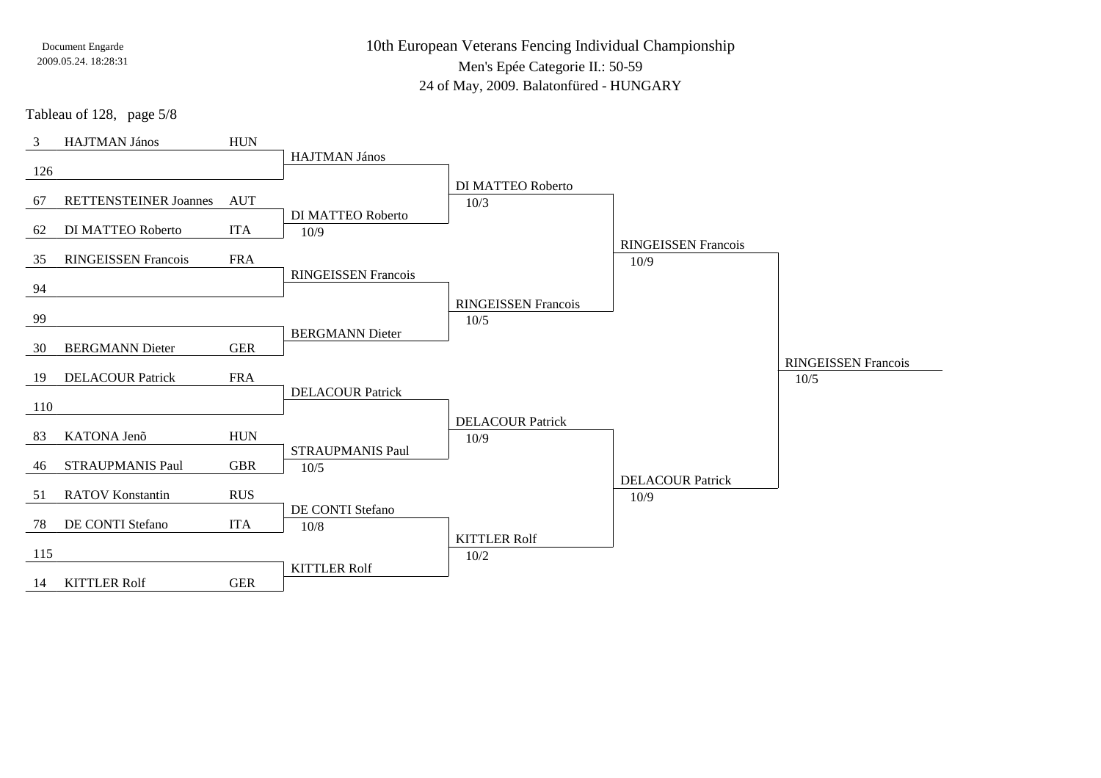10th European Veterans Fencing Individual ChampionshipMen's Epée Categorie II.: 50-59

24 of May, 2009. Balatonfüred - HUNGARY

Tableau of 128, page 5/8

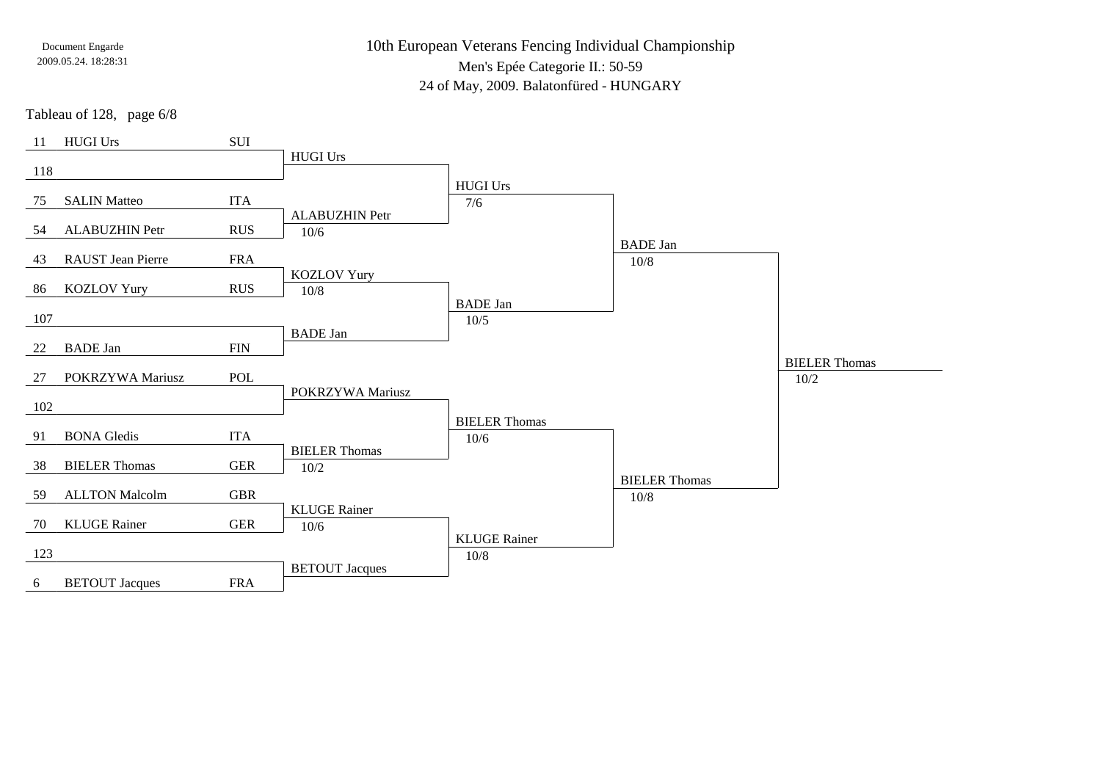10th European Veterans Fencing Individual Championship

Men's Epée Categorie II.: 50-59

24 of May, 2009. Balatonfüred - HUNGARY

Tableau of 128, page 6/8

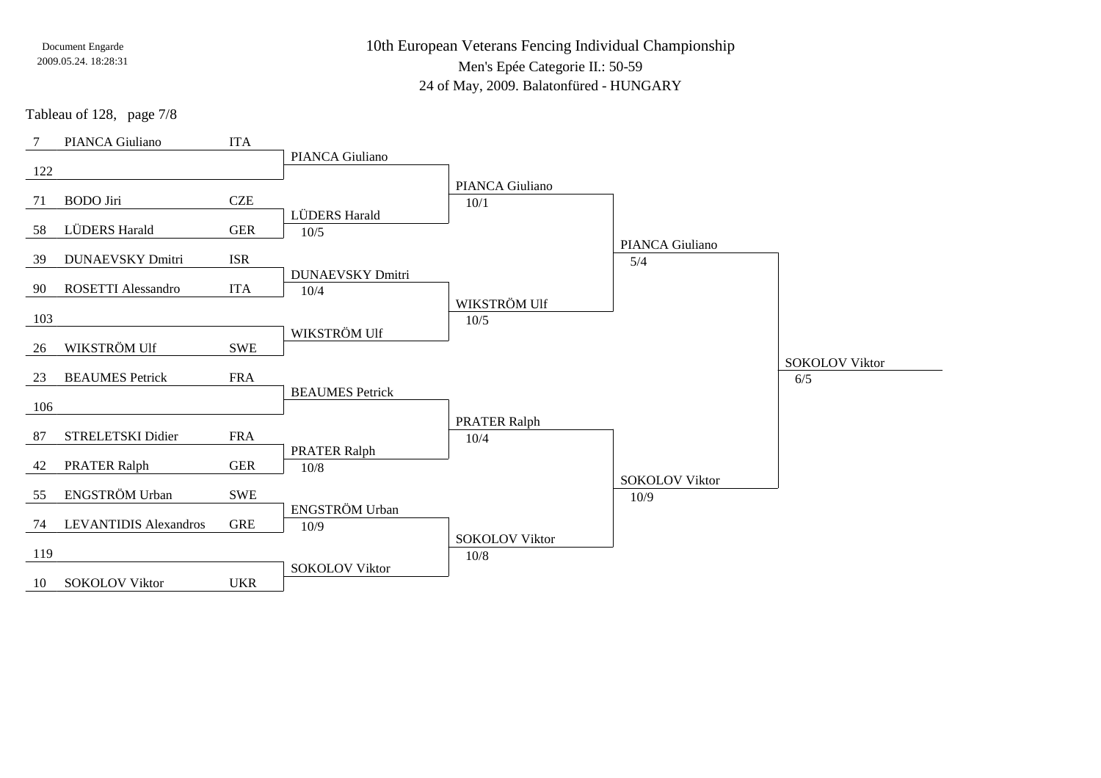10th European Veterans Fencing Individual ChampionshipMen's Epée Categorie II.: 50-59

24 of May, 2009. Balatonfüred - HUNGARY

Tableau of 128, page 7/8

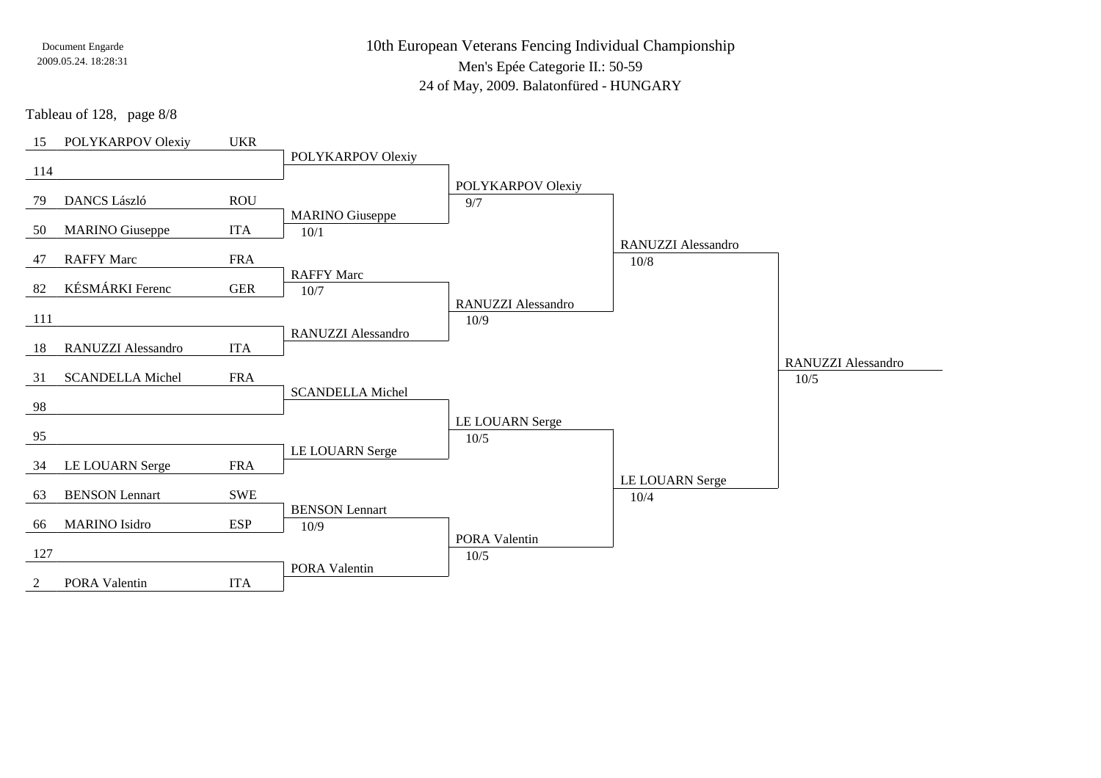10th European Veterans Fencing Individual ChampionshipMen's Epée Categorie II.: 50-59

24 of May, 2009. Balatonfüred - HUNGARY

Tableau of 128, page 8/8

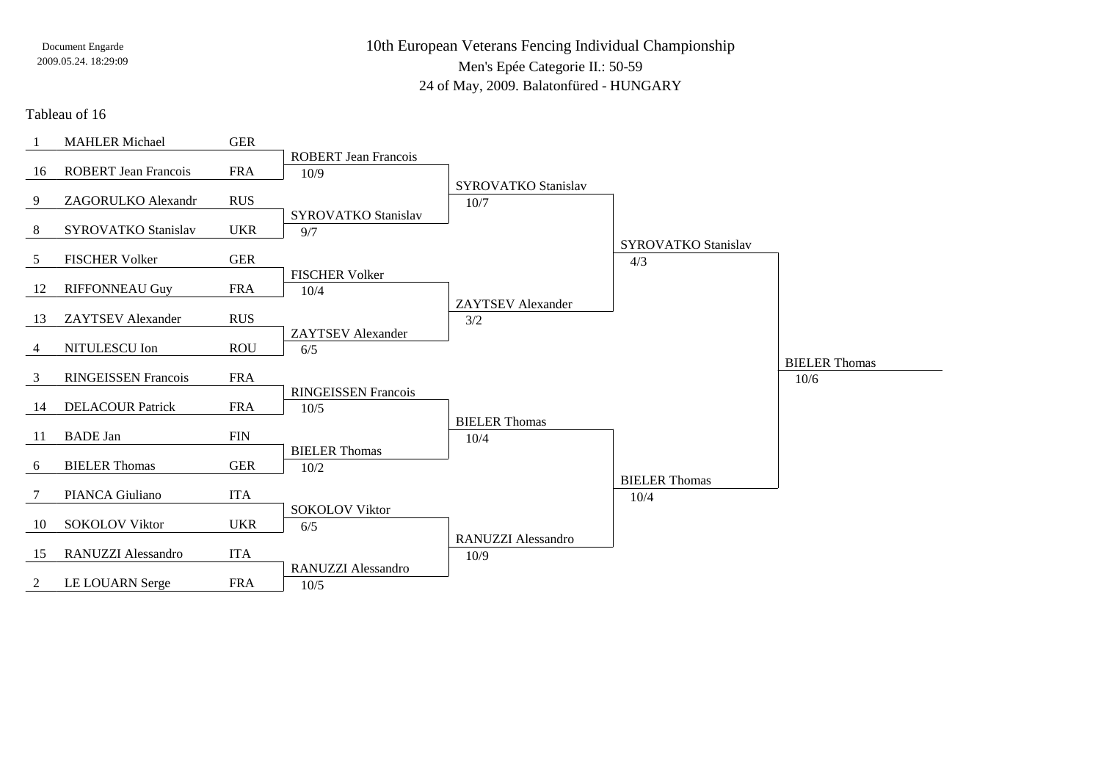10th European Veterans Fencing Individual ChampionshipMen's Epée Categorie II.: 50-5924 of May, 2009. Balatonfüred - HUNGARY

#### Tableau of 16

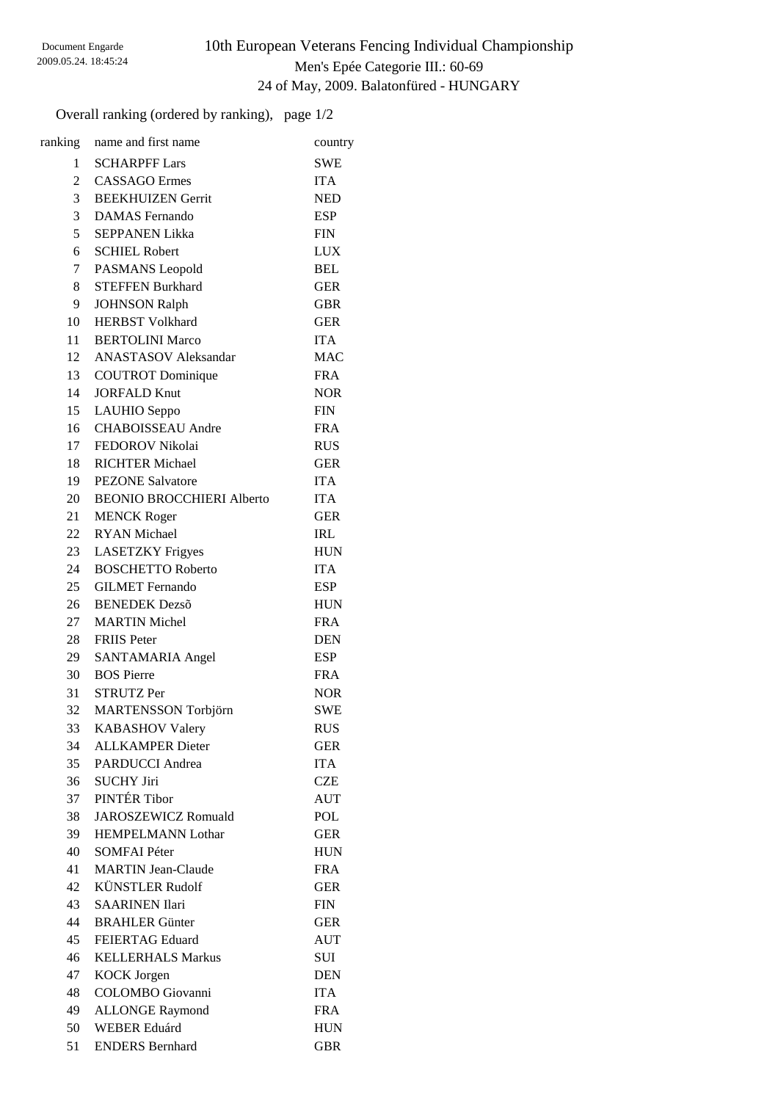### 10th European Veterans Fencing Individual Championship Men's Epée Categorie III.: 60-69 24 of May, 2009. Balatonfüred - HUNGARY

Overall ranking (ordered by ranking), page 1/2

| ranking        | name and first name              | country    |
|----------------|----------------------------------|------------|
| 1              | <b>SCHARPFF Lars</b>             | <b>SWE</b> |
| 2              | <b>CASSAGO</b> Ermes             | <b>ITA</b> |
| 3 <sup>7</sup> | <b>BEEKHUIZEN Gerrit</b>         | <b>NED</b> |
| 3              | <b>DAMAS</b> Fernando            | <b>ESP</b> |
| 5              | <b>SEPPANEN Likka</b>            | <b>FIN</b> |
| 6              | <b>SCHIEL Robert</b>             | <b>LUX</b> |
| $7\degree$     | PASMANS Leopold                  | <b>BEL</b> |
| 8              | <b>STEFFEN Burkhard</b>          | <b>GER</b> |
| 9              | <b>JOHNSON Ralph</b>             | GBR        |
| 10             | <b>HERBST Volkhard</b>           | <b>GER</b> |
| 11             | <b>BERTOLINI Marco</b>           | <b>ITA</b> |
|                | 12 ANASTASOV Aleksandar          | <b>MAC</b> |
| 13             | <b>COUTROT</b> Dominique         | <b>FRA</b> |
| 14             | <b>JORFALD Knut</b>              | <b>NOR</b> |
|                | 15 LAUHIO Seppo                  | <b>FIN</b> |
|                | 16 CHABOISSEAU Andre             | <b>FRA</b> |
| 17             | FEDOROV Nikolai                  | <b>RUS</b> |
| 18             | <b>RICHTER Michael</b>           | <b>GER</b> |
| 19             | <b>PEZONE Salvatore</b>          | <b>ITA</b> |
| 20             | <b>BEONIO BROCCHIERI Alberto</b> | <b>ITA</b> |
| 21             | <b>MENCK Roger</b>               | <b>GER</b> |
| 22             | <b>RYAN</b> Michael              | <b>IRL</b> |
| 23             | <b>LASETZKY Frigyes</b>          | <b>HUN</b> |
| 24             | <b>BOSCHETTO Roberto</b>         | <b>ITA</b> |
| 25             | <b>GILMET</b> Fernando           | <b>ESP</b> |
| 26             | <b>BENEDEK</b> Dezsõ             | <b>HUN</b> |
| 27             | <b>MARTIN Michel</b>             | <b>FRA</b> |
| 28             | <b>FRIIS Peter</b>               | <b>DEN</b> |
| 29             | SANTAMARIA Angel                 | ESP        |
| 30             | <b>BOS</b> Pierre                | <b>FRA</b> |
| 31             | <b>STRUTZ Per</b>                | <b>NOR</b> |
| 32             | <b>MARTENSSON</b> Torbjörn       | <b>SWE</b> |
| 33             | <b>KABASHOV Valery</b>           | <b>RUS</b> |
| 34             | <b>ALLKAMPER Dieter</b>          | <b>GER</b> |
| 35             | <b>PARDUCCI</b> Andrea           | <b>ITA</b> |
| 36             | <b>SUCHY Jiri</b>                | <b>CZE</b> |
| 37             | PINTÉR Tibor                     | <b>AUT</b> |
| 38             | <b>JAROSZEWICZ Romuald</b>       | <b>POL</b> |
| 39             | <b>HEMPELMANN Lothar</b>         | <b>GER</b> |
| 40             | <b>SOMFAI Péter</b>              | <b>HUN</b> |
| 41             | <b>MARTIN Jean-Claude</b>        | <b>FRA</b> |
| 42             | <b>KÜNSTLER Rudolf</b>           | <b>GER</b> |
| 43             | <b>SAARINEN Ilari</b>            | <b>FIN</b> |
| 44             | <b>BRAHLER Günter</b>            | <b>GER</b> |
| 45             | <b>FEIERTAG Eduard</b>           | <b>AUT</b> |
| 46             | <b>KELLERHALS Markus</b>         | SUI        |
| 47             | <b>KOCK Jorgen</b>               | <b>DEN</b> |
| 48             | <b>COLOMBO</b> Giovanni          | <b>ITA</b> |
| 49             | <b>ALLONGE Raymond</b>           | <b>FRA</b> |
| 50             | <b>WEBER Eduárd</b>              | <b>HUN</b> |
| 51             | <b>ENDERS Bernhard</b>           | <b>GBR</b> |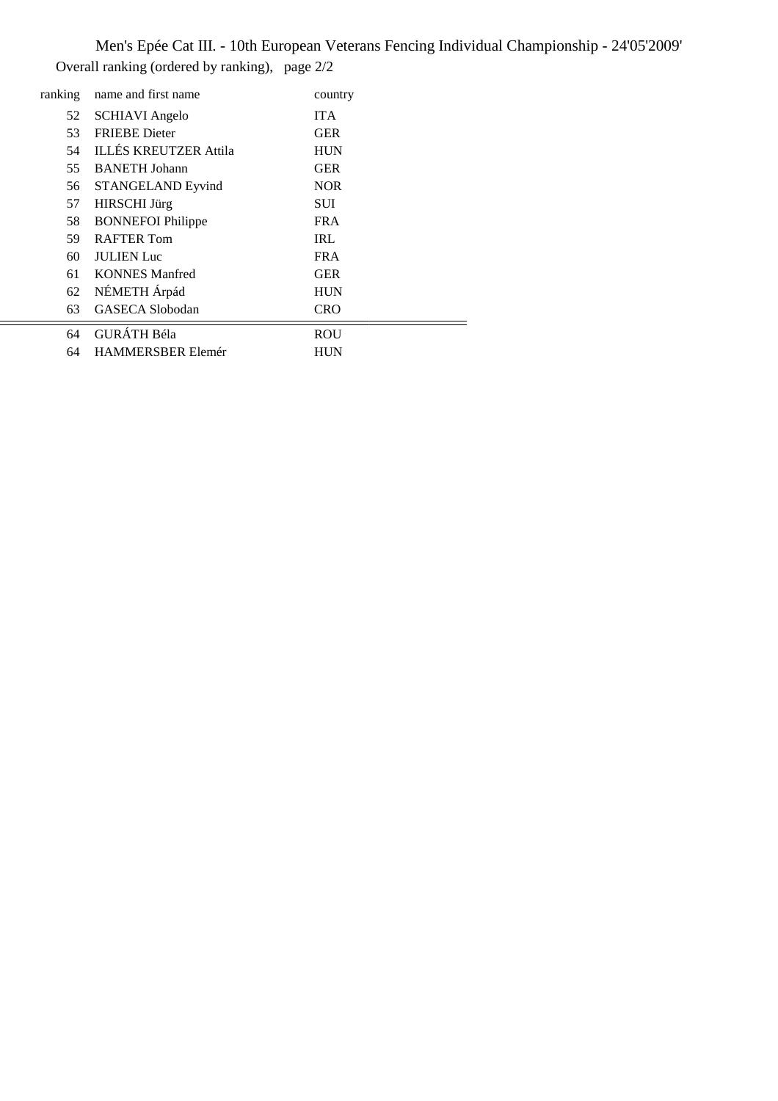Men's Epée Cat III. - 10th European Veterans Fencing Individual Championship - 24'05'2009' Overall ranking (ordered by ranking), page 2/2

| ranking | name and first name          | country    |
|---------|------------------------------|------------|
| 52      | <b>SCHIAVI</b> Angelo        | <b>ITA</b> |
| 53      | <b>FRIEBE</b> Dieter         | <b>GER</b> |
| 54      | <b>ILLÉS KREUTZER Attila</b> | <b>HUN</b> |
| 55      | <b>BANETH</b> Johann         | <b>GER</b> |
| 56      | <b>STANGELAND Eyvind</b>     | <b>NOR</b> |
| 57      | <b>HIRSCHI</b> Jürg          | SUI        |
| 58      | <b>BONNEFOI Philippe</b>     | <b>FRA</b> |
| 59.     | <b>RAFTER Tom</b>            | <b>IRL</b> |
| 60      | <b>JULIEN</b> Luc            | <b>FRA</b> |
| 61      | <b>KONNES</b> Manfred        | <b>GER</b> |
| 62      | NÉMETH Árpád                 | <b>HUN</b> |
| 63      | GASECA Slobodan              | <b>CRO</b> |
| 64      | <b>GURÁTH Béla</b>           | ROU        |
| 64      | <b>HAMMERSBER Elemér</b>     | <b>HUN</b> |
|         |                              |            |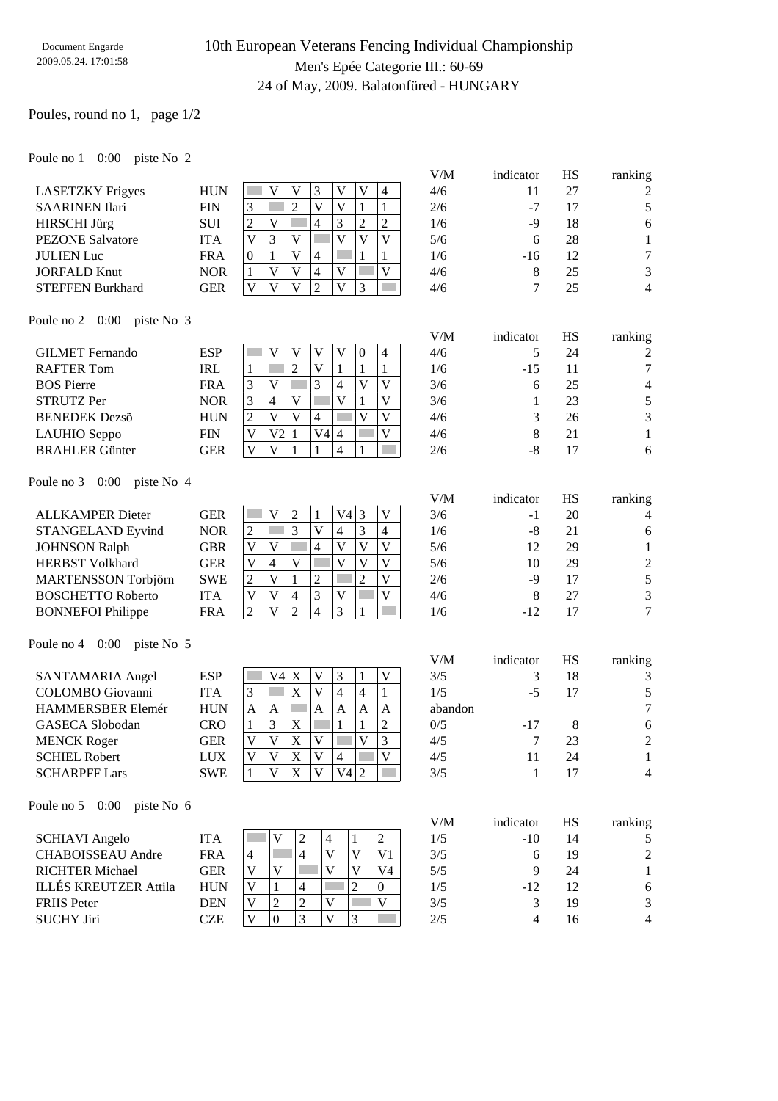## 10th European Veterans Fencing Individual Championship Men's Epée Categorie III.: 60-69 24 of May, 2009. Balatonfüred - HUNGARY

V/M indicator HS ranking

V/M indicator HS ranking

V/M indicator HS ranking

### Poules, round no 1, page 1/2

#### Poule no 1 0:00 piste No 2

|                         |            |              |   |    |   |   |    |   | V/M | indicator | HS | ranking        |
|-------------------------|------------|--------------|---|----|---|---|----|---|-----|-----------|----|----------------|
| <b>LASETZKY</b> Frigyes | <b>HUN</b> |              |   |    |   |   | V) | 4 | 4/6 | 11        | 27 | 2              |
| <b>SAARINEN Ilari</b>   | <b>FIN</b> | 3            |   |    |   | V |    |   | 2/6 | $-7$      |    | 5              |
| HIRSCHI Jürg            | <b>SUI</b> | 2            |   |    | 4 | 3 |    | 2 | 1/6 | -9        | 18 | 6              |
| <b>PEZONE</b> Salvatore | <b>ITA</b> | V            | 3 | V  |   |   | V  | V | 5/6 | h         | 28 |                |
| <b>JULIEN</b> Luc       | <b>FRA</b> | $\theta$     |   | V) | 4 |   |    |   | 1/6 | -16       | 12 | 7              |
| <b>JORFALD Knut</b>     | <b>NOR</b> |              |   | V) | 4 | V |    | V | 4/6 |           | 25 | 3              |
| <b>STEFFEN Burkhard</b> | <b>GER</b> | $\mathbf{V}$ |   |    |   |   |    |   | 4/6 |           | 25 | $\overline{4}$ |

#### Poule no 2 0:00 piste No 3

| <b>GILMET</b> Fernando | <b>ESP</b> |                         |                |   |    |                 | $\Omega$ | 4            | 4/6 |       | 24 | $\overline{c}$ |
|------------------------|------------|-------------------------|----------------|---|----|-----------------|----------|--------------|-----|-------|----|----------------|
| <b>RAFTER Tom</b>      | <b>IRL</b> |                         |                |   |    |                 |          |              | 1/6 | $-15$ |    | 7              |
| <b>BOS</b> Pierre      | <b>FRA</b> | $\mathbf{\overline{3}}$ |                |   |    |                 |          |              | 3/6 |       | 25 | 4              |
| <b>STRUTZ Per</b>      | NOR        | 3                       | $\overline{4}$ | V |    |                 |          | $\mathbf{V}$ | 3/6 |       | 23 | 5              |
| <b>BENEDEK</b> Dezsõ   | <b>HUN</b> | ⌒                       |                | V |    |                 |          | $\mathbf{V}$ | 4/6 |       | 26 | 3              |
| LAUHIO Seppo           | FIN        |                         | V2             |   | V4 | $\overline{14}$ |          |              | 4/6 |       |    |                |
| <b>BRAHLER Günter</b>  | GER        |                         |                |   |    |                 |          |              | 2/6 | -8    |    |                |

#### Poule no 3 0:00 piste No 4

| <b>ALLKAMPER Dieter</b>    | GER        |              |   |              | V4l |   |   | 3/6 | - 1   | 20 | 4              |
|----------------------------|------------|--------------|---|--------------|-----|---|---|-----|-------|----|----------------|
| <b>STANGELAND Eyvind</b>   | <b>NOR</b> | ∸            |   |              | 4   |   | 4 | 1/6 | -8    |    |                |
| <b>JOHNSON Ralph</b>       | GBR        | $\mathbf{V}$ |   |              | V)  | V |   | 5/6 |       | 29 |                |
| <b>HERBST Volkhard</b>     | GER        |              | 4 | $\mathbf{V}$ |     |   |   | 5/6 | 10    | 29 | $\overline{2}$ |
| <b>MARTENSSON Torbjörn</b> | <b>SWE</b> |              |   |              |     |   |   | 2/6 | -9    |    |                |
| <b>BOSCHETTO Roberto</b>   | ITA        |              |   | 4            | v   |   |   | 4/6 |       | 27 | 3              |
| <b>BONNEFOI Philippe</b>   | <b>FRA</b> |              |   | ↑            | 3   |   |   | 1/6 | $-12$ |    | 7              |
|                            |            |              |   |              |     |   |   |     |       |    |                |

#### Poule no 4 0:00 piste No 5

|                          |            |              |    |   |              |    |   |              | V/M     | indicator | <b>HS</b> | ranking        |
|--------------------------|------------|--------------|----|---|--------------|----|---|--------------|---------|-----------|-----------|----------------|
| SANTAMARIA Angel         | <b>ESP</b> |              | V4 | X | V            | 3  |   |              | 3/5     |           | 18        | 3              |
| <b>COLOMBO</b> Giovanni  | ITA        | 3            |    | X | V            | 4  | 4 |              | 1/5     | -5        |           | 5              |
| <b>HAMMERSBER Elemér</b> | <b>HUN</b> | А            | A  |   | A            | A  | A | $\mathsf{A}$ | abandon |           |           | $\tau$         |
| GASECA Slobodan          | CRO        |              | 3  | X |              |    |   |              | 0/5     | $-17$     | 8         | 6              |
| <b>MENCK Roger</b>       | GER        | V            |    | X | V            |    | V |              | 4/5     |           | 23        | $\overline{2}$ |
| <b>SCHIEL Robert</b>     | LUX        | $\mathbf{V}$ | V  | X | $\mathbf{V}$ | 4  |   |              | 4/5     | 11        | 24        |                |
| <b>SCHARPFF Lars</b>     | <b>SWE</b> |              |    | X |              | V4 | 2 |              | 3/5     |           |           | $\overline{4}$ |
|                          |            |              |    |   |              |    |   |              |         |           |           |                |

#### Poule no 5 0:00 piste No 6

| <b>SCHIAVI</b> Angelo        | ITA        |                |   |    |                | 1/5 | $-10^{-}$ | $\overline{4}$ |   |
|------------------------------|------------|----------------|---|----|----------------|-----|-----------|----------------|---|
| <b>CHABOISSEAU</b> Andre     | <b>FRA</b> | $\overline{4}$ |   |    | V <sub>1</sub> | 3/5 |           | 19             | 2 |
| <b>RICHTER Michael</b>       | GER        | v              |   |    | V4             | 5/5 |           | 24             |   |
| <b>ILLÉS KREUTZER Attila</b> | <b>HUN</b> |                |   |    | $\overline{0}$ | 1/5 | -12       |                | 6 |
| <b>FRIIS</b> Peter           | DEN        | V              | ∸ | ٦Z | V              | 3/5 |           | 19             | 3 |
| <b>SUCHY Jiri</b>            | CZE        |                |   |    |                | 2/5 |           |                | 4 |
|                              |            |                |   |    |                |     |           |                |   |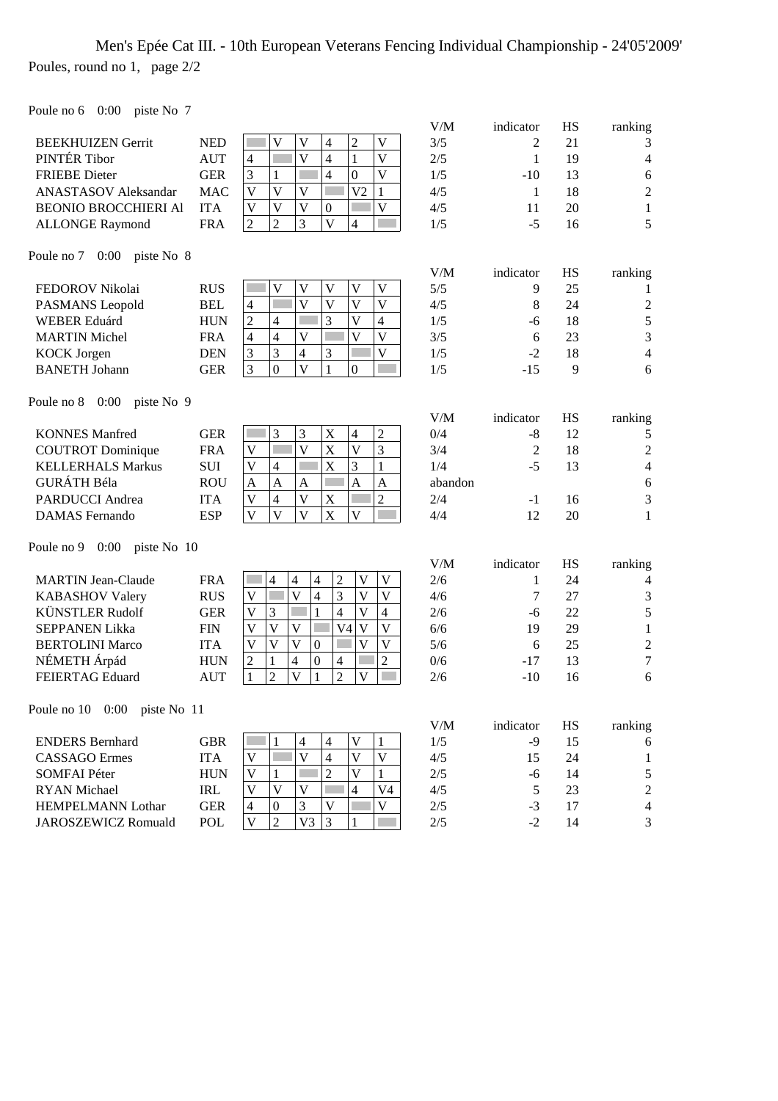# Men's Epée Cat III. - 10th European Veterans Fencing Individual Championship - 24'05'2009' Poules, round no 1, page 2/2

Poule no 6 0:00 piste No 7

|                                   |            |                                                                                                                                             | V/M     | indicator      | HS        | ranking          |
|-----------------------------------|------------|---------------------------------------------------------------------------------------------------------------------------------------------|---------|----------------|-----------|------------------|
| <b>BEEKHUIZEN Gerrit</b>          | <b>NED</b> | $\overline{c}$<br>V<br>$\mathbf V$<br>$\overline{4}$<br>$\mathbf{V}$                                                                        | 3/5     | 2              | 21        | 3                |
| PINTÉR Tibor                      | <b>AUT</b> | $\overline{\mathsf{V}}$<br>$\overline{V}$<br>$\overline{4}$<br>$\mathbf{1}$<br>$\overline{4}$                                               | 2/5     | 1              | 19        | 4                |
| <b>FRIEBE</b> Dieter              | <b>GER</b> | 3<br>$\boldsymbol{0}$<br>$\overline{\mathsf{V}}$<br>$\overline{4}$<br>$\mathbf{1}$                                                          | 1/5     | $-10$          | 13        | 6                |
| <b>ANASTASOV</b> Aleksandar       | <b>MAC</b> | $\overline{\mathsf{V}}$<br>$\mathbf{1}$<br>$\overline{\mathsf{V}}$<br>$\mathbf V$<br>V <sub>2</sub>                                         | 4/5     | $\mathbf{1}$   | 18        | $\overline{2}$   |
| <b>BEONIO BROCCHIERI AI</b>       | <b>ITA</b> | $\overline{\mathsf{V}}$<br>$\overline{\mathsf{V}}$<br>$\mathbf{V}$<br>$\overline{\mathsf{V}}$<br>$\mathbf{0}$                               | 4/5     | 11             | 20        | $\mathbf{1}$     |
| <b>ALLONGE Raymond</b>            | <b>FRA</b> | $\overline{3}$<br>$\overline{\mathsf{V}}$<br>$\overline{2}$<br>$\overline{2}$<br>$\overline{4}$                                             | 1/5     | $-5$           | 16        | 5                |
| Poule no 7 0:00 piste No 8        |            |                                                                                                                                             |         |                |           |                  |
|                                   |            |                                                                                                                                             | V/M     | indicator      | <b>HS</b> | ranking          |
| FEDOROV Nikolai                   | <b>RUS</b> | $\mathbf{V}$<br>V<br>$\mathbf V$<br>$\overline{\mathsf{V}}$<br>$\mathbf V$                                                                  | 5/5     | 9              | 25        | 1                |
| PASMANS Leopold                   | <b>BEL</b> | V<br>V<br>V<br>V<br>$\overline{\mathcal{A}}$                                                                                                | 4/5     | 8              | 24        | $\boldsymbol{2}$ |
| <b>WEBER Eduárd</b>               | <b>HUN</b> | $\overline{c}$<br>3<br>V<br>$\overline{4}$<br>$\overline{4}$                                                                                | 1/5     | -6             | 18        | 5                |
| <b>MARTIN Michel</b>              | <b>FRA</b> | $\overline{\mathsf{V}}$<br>$\overline{\mathsf{V}}$<br>$\overline{\mathsf{V}}$<br>$\overline{4}$<br>$\overline{4}$                           | 3/5     | 6              | 23        | 3                |
| <b>KOCK</b> Jorgen                | <b>DEN</b> | 3<br>3<br>$\overline{\mathsf{V}}$<br>$\overline{4}$<br>3                                                                                    | 1/5     | $-2$           | 18        | $\overline{4}$   |
| <b>BANETH Johann</b>              | <b>GER</b> | 3<br>$\overline{V}$<br>$\boldsymbol{0}$<br>$\mathbf{1}$<br>$\overline{0}$                                                                   | 1/5     | $-15$          | 9         | 6                |
| Poule no 8 0:00 piste No 9        |            |                                                                                                                                             |         |                |           |                  |
|                                   |            |                                                                                                                                             | V/M     | indicator      | <b>HS</b> | ranking          |
| <b>KONNES Manfred</b>             | <b>GER</b> | 3<br>$\overline{c}$<br>3<br>$\mathbf X$<br>4                                                                                                | 0/4     | $-8$           | 12        | 5                |
| <b>COUTROT</b> Dominique          | <b>FRA</b> | $\overline{\mathsf{V}}$<br>$\overline{\mathsf{V}}$<br>$\overline{3}$<br>X<br>$\overline{\mathsf{V}}$                                        | 3/4     | $\mathfrak{2}$ | 18        | $\overline{2}$   |
| <b>KELLERHALS Markus</b>          | <b>SUI</b> | X<br>3<br>$\mathbf{1}$<br>$\overline{\mathbf{V}}$<br>$\overline{4}$                                                                         | 1/4     | $-5$           | 13        | $\overline{4}$   |
| <b>GURÁTH Béla</b>                | <b>ROU</b> | $\mathbf{A}$<br>$\overline{A}$<br>$\overline{A}$<br>$\overline{A}$<br>$\mathbf{A}$                                                          | abandon |                |           | 6                |
| <b>PARDUCCI</b> Andrea            | <b>ITA</b> | $\overline{2}$<br>$\overline{\mathsf{V}}$<br>$\overline{4}$<br>$\overline{\mathsf{V}}$<br>$\mathbf X$                                       | 2/4     | $-1$           | 16        | 3                |
| <b>DAMAS</b> Fernando             | <b>ESP</b> | $\overline{V}$<br>$\overline{\mathbf{V}}$<br>$\overline{\mathsf{V}}$<br>X<br>$\overline{\mathsf{V}}$                                        | 4/4     | 12             | 20        | $\mathbf{1}$     |
| 0:00<br>piste No 10<br>Poule no 9 |            |                                                                                                                                             |         |                |           |                  |
|                                   |            |                                                                                                                                             | V/M     | indicator      | <b>HS</b> | ranking          |
| <b>MARTIN Jean-Claude</b>         | <b>FRA</b> | $\overline{\mathcal{L}}$<br>$\overline{c}$<br>V<br>$\overline{4}$<br>V<br>$\overline{\mathcal{A}}$                                          | 2/6     | 1              | 24        | 4                |
| <b>KABASHOV Valery</b>            | <b>RUS</b> | 3<br>$\overline{\mathbf{V}}$<br>$\overline{\mathsf{V}}$<br>$\overline{\mathbf{4}}$<br>$\overline{\mathsf{V}}$<br>$\mathbf V$                | 4/6     | 7              | 27        | 3                |
| <b>KÜNSTLER Rudolf</b>            | <b>GER</b> | $\overline{\mathbf{V}}$<br>3<br>4<br>V<br>4                                                                                                 | 2/6     | -6             | 22        | 5                |
| <b>SEPPANEN Likka</b>             | <b>FIN</b> | $\overline{\mathsf{V}}$<br>$\overline{\mathsf{V}}$<br>$\overline{\mathbf{V}}$<br>$\mathbf{V}$<br>V <sub>4</sub><br>$\mathbf V$              | 6/6     | 19             | 29        | $\mathbf{1}$     |
| <b>BERTOLINI Marco</b>            | <b>ITA</b> | $\overline{\mathsf{V}}$<br>$\overline{\mathsf{V}}$<br>$\overline{\mathsf{V}}$<br>$\overline{\mathsf{V}}$<br>$\mathbf V$<br>$\boldsymbol{0}$ | 5/6     | 6              | 25        | $\overline{c}$   |
| NÉMETH Árpád                      | <b>HUN</b> | $\overline{c}$<br>$\overline{c}$<br>$\mathbf{1}$<br>$\overline{4}$<br>$\boldsymbol{0}$<br>$\overline{4}$                                    | 0/6     | $-17$          | 13        | $\overline{7}$   |
| FEIERTAG Eduard                   | <b>AUT</b> | $\overline{2}$<br>$\overline{\mathsf{V}}$<br>$\overline{2}$<br>$\overline{\mathsf{V}}$<br>$\mathbf{1}$<br>1                                 | 2/6     | $-10$          | 16        | 6                |
| Poule no 10 0:00 piste No 11      |            |                                                                                                                                             |         |                |           |                  |
|                                   |            |                                                                                                                                             | $V/M$   | indicator      | HS        | ranking          |
| <b>ENDERS Bernhard</b>            | <b>GBR</b> | $\overline{4}$<br>$\overline{4}$<br>V<br>1<br>1                                                                                             | 1/5     | $-9$           | 15        | 6                |
| <b>CASSAGO</b> Ermes              | <b>ITA</b> | $\overline{\mathsf{V}}$<br>$\overline{4}$<br>$\overline{\mathsf{V}}$<br>$\overline{V}$<br>$\mathbf V$                                       | 4/5     | 15             | 24        | $\mathbf{1}$     |
| <b>SOMFAI Péter</b>               | <b>HUN</b> | $\mathbf V$<br>$\sqrt{2}$<br>$\overline{\mathsf{V}}$<br>1                                                                                   | 2/5     | -6             | 14        | 5                |
| <b>RYAN</b> Michael               | IRL        | $\mathbf V$<br>V<br>V<br>V <sub>4</sub><br>4                                                                                                | 4/5     | 5              | 23        | $\overline{c}$   |
| <b>HEMPELMANN Lothar</b>          | <b>GER</b> | $\mathbf V$<br>3<br>$\overline{\mathbf{4}}$<br>V<br>$\boldsymbol{0}$                                                                        | 2/5     | $-3$           | 17        | 4                |
| JAROSZEWICZ Romuald               | POL        | V<br>$\overline{2}$<br>V <sub>3</sub><br>$\mathfrak{Z}$<br>1                                                                                | $2/5$   | $-2$           | 14        | 3                |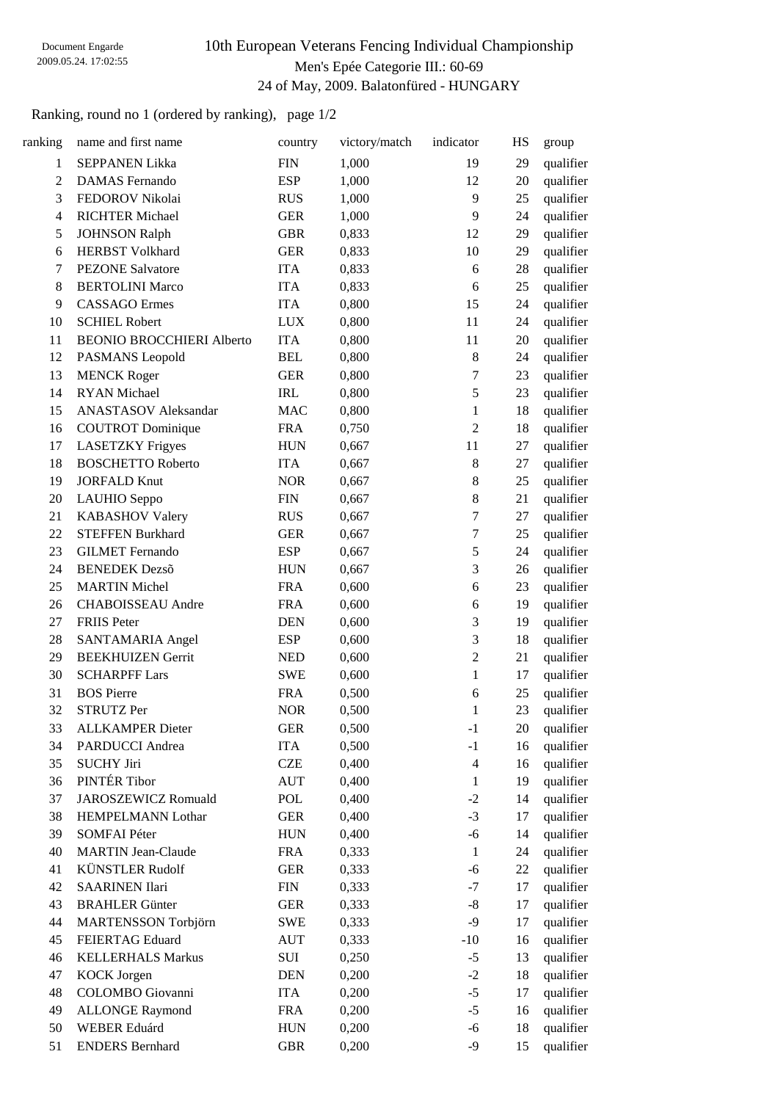# 10th European Veterans Fencing Individual Championship Men's Epée Categorie III.: 60-69 24 of May, 2009. Balatonfüred - HUNGARY

Ranking, round no 1 (ordered by ranking), page 1/2

| ranking          | name and first name              | country     | victory/match | indicator        | HS | group     |
|------------------|----------------------------------|-------------|---------------|------------------|----|-----------|
| 1                | <b>SEPPANEN Likka</b>            | <b>FIN</b>  | 1,000         | 19               | 29 | qualifier |
| $\boldsymbol{2}$ | <b>DAMAS</b> Fernando            | <b>ESP</b>  | 1,000         | 12               | 20 | qualifier |
| 3                | FEDOROV Nikolai                  | <b>RUS</b>  | 1,000         | 9                | 25 | qualifier |
| $\overline{4}$   | <b>RICHTER Michael</b>           | <b>GER</b>  | 1,000         | 9                | 24 | qualifier |
| $\mathfrak s$    | <b>JOHNSON Ralph</b>             | <b>GBR</b>  | 0,833         | 12               | 29 | qualifier |
| 6                | <b>HERBST Volkhard</b>           | <b>GER</b>  | 0,833         | 10               | 29 | qualifier |
| 7                | <b>PEZONE Salvatore</b>          | <b>ITA</b>  | 0,833         | $\boldsymbol{6}$ | 28 | qualifier |
| 8                | <b>BERTOLINI Marco</b>           | <b>ITA</b>  | 0,833         | 6                | 25 | qualifier |
| 9                | <b>CASSAGO</b> Ermes             | <b>ITA</b>  | 0,800         | 15               | 24 | qualifier |
| 10               | <b>SCHIEL Robert</b>             | <b>LUX</b>  | 0,800         | 11               | 24 | qualifier |
| 11               | <b>BEONIO BROCCHIERI Alberto</b> | <b>ITA</b>  | 0,800         | 11               | 20 | qualifier |
| 12               | PASMANS Leopold                  | <b>BEL</b>  | 0,800         | $\,8\,$          | 24 | qualifier |
| 13               | <b>MENCK Roger</b>               | <b>GER</b>  | 0,800         | $\tau$           | 23 | qualifier |
| 14               | <b>RYAN</b> Michael              | IRL         | 0,800         | $\sqrt{5}$       | 23 | qualifier |
| 15               | <b>ANASTASOV</b> Aleksandar      | <b>MAC</b>  | 0,800         | $\mathbf{1}$     | 18 | qualifier |
| 16               | <b>COUTROT</b> Dominique         | <b>FRA</b>  | 0,750         | $\sqrt{2}$       | 18 | qualifier |
| 17               | <b>LASETZKY</b> Frigyes          | <b>HUN</b>  | 0,667         | 11               | 27 | qualifier |
| 18               | <b>BOSCHETTO Roberto</b>         | <b>ITA</b>  | 0,667         | $\,8\,$          | 27 | qualifier |
| 19               | <b>JORFALD Knut</b>              | <b>NOR</b>  | 0,667         | $8\,$            | 25 | qualifier |
| 20               | LAUHIO Seppo                     | <b>FIN</b>  | 0,667         | $8\,$            | 21 | qualifier |
| 21               | <b>KABASHOV Valery</b>           | <b>RUS</b>  | 0,667         | $\tau$           | 27 | qualifier |
| 22               | <b>STEFFEN Burkhard</b>          | <b>GER</b>  | 0,667         | $\boldsymbol{7}$ | 25 | qualifier |
| 23               | <b>GILMET</b> Fernando           | <b>ESP</b>  | 0,667         | $\sqrt{5}$       | 24 | qualifier |
| 24               | <b>BENEDEK Dezső</b>             | <b>HUN</b>  | 0,667         | $\mathfrak{Z}$   | 26 | qualifier |
| 25               | <b>MARTIN Michel</b>             | <b>FRA</b>  | 0,600         | $\sqrt{6}$       | 23 | qualifier |
| 26               | CHABOISSEAU Andre                | <b>FRA</b>  | 0,600         | 6                | 19 | qualifier |
| 27               | <b>FRIIS</b> Peter               | <b>DEN</b>  | 0,600         | $\mathfrak{Z}$   | 19 | qualifier |
| 28               | SANTAMARIA Angel                 | <b>ESP</b>  | 0,600         | $\mathfrak{Z}$   | 18 | qualifier |
| 29               | <b>BEEKHUIZEN Gerrit</b>         | <b>NED</b>  | 0,600         | $\boldsymbol{2}$ | 21 | qualifier |
| 30               | <b>SCHARPFF Lars</b>             | <b>SWE</b>  | 0,600         | $\mathbf{1}$     | 17 | qualifier |
| 31               | <b>BOS</b> Pierre                | <b>FRA</b>  | 0,500         | 6                | 25 | qualifier |
| 32               | <b>STRUTZ Per</b>                | <b>NOR</b>  | 0,500         | $\mathbf{1}$     | 23 | qualifier |
| 33               | <b>ALLKAMPER Dieter</b>          | <b>GER</b>  | 0,500         | $-1$             | 20 | qualifier |
| 34               | PARDUCCI Andrea                  | <b>ITA</b>  | 0,500         | $-1$             | 16 | qualifier |
| 35               | <b>SUCHY Jiri</b>                | <b>CZE</b>  | 0,400         | $\overline{4}$   | 16 | qualifier |
| 36               | PINTÉR Tibor                     | <b>AUT</b>  | 0,400         | $\mathbf{1}$     | 19 | qualifier |
| 37               | <b>JAROSZEWICZ Romuald</b>       | POL         | 0,400         | $-2$             | 14 | qualifier |
| 38               | HEMPELMANN Lothar                | <b>GER</b>  | 0,400         | $-3$             | 17 | qualifier |
| 39               | <b>SOMFAI Péter</b>              | <b>HUN</b>  | 0,400         | $-6$             | 14 | qualifier |
| 40               | <b>MARTIN Jean-Claude</b>        | <b>FRA</b>  | 0,333         | $\mathbf{1}$     | 24 | qualifier |
| 41               | <b>KÜNSTLER Rudolf</b>           | <b>GER</b>  | 0,333         | $-6$             | 22 | qualifier |
| 42               | <b>SAARINEN Ilari</b>            | <b>FIN</b>  | 0,333         | $-7$             | 17 | qualifier |
| 43               | <b>BRAHLER Günter</b>            | <b>GER</b>  | 0,333         | $-8$             | 17 | qualifier |
| 44               | MARTENSSON Torbjörn              | SWE         | 0,333         | $-9$             | 17 | qualifier |
| 45               | FEIERTAG Eduard                  | AUT         | 0,333         | $-10$            | 16 | qualifier |
| 46               | <b>KELLERHALS Markus</b>         | SUI         | 0,250         | $-5$             | 13 | qualifier |
| 47               | <b>KOCK</b> Jorgen               | <b>DEN</b>  | 0,200         | $-2$             | 18 | qualifier |
| 48               | COLOMBO Giovanni                 | <b>ITA</b>  | 0,200         | $-5$             | 17 | qualifier |
| 49               | <b>ALLONGE Raymond</b>           | <b>FRA</b>  | 0,200         | $-5$             | 16 | qualifier |
| 50               | WEBER Eduárd                     | ${\rm HUN}$ | 0,200         | $-6$             | 18 | qualifier |
| 51               | <b>ENDERS Bernhard</b>           | <b>GBR</b>  | 0,200         | $-9$             | 15 | qualifier |
|                  |                                  |             |               |                  |    |           |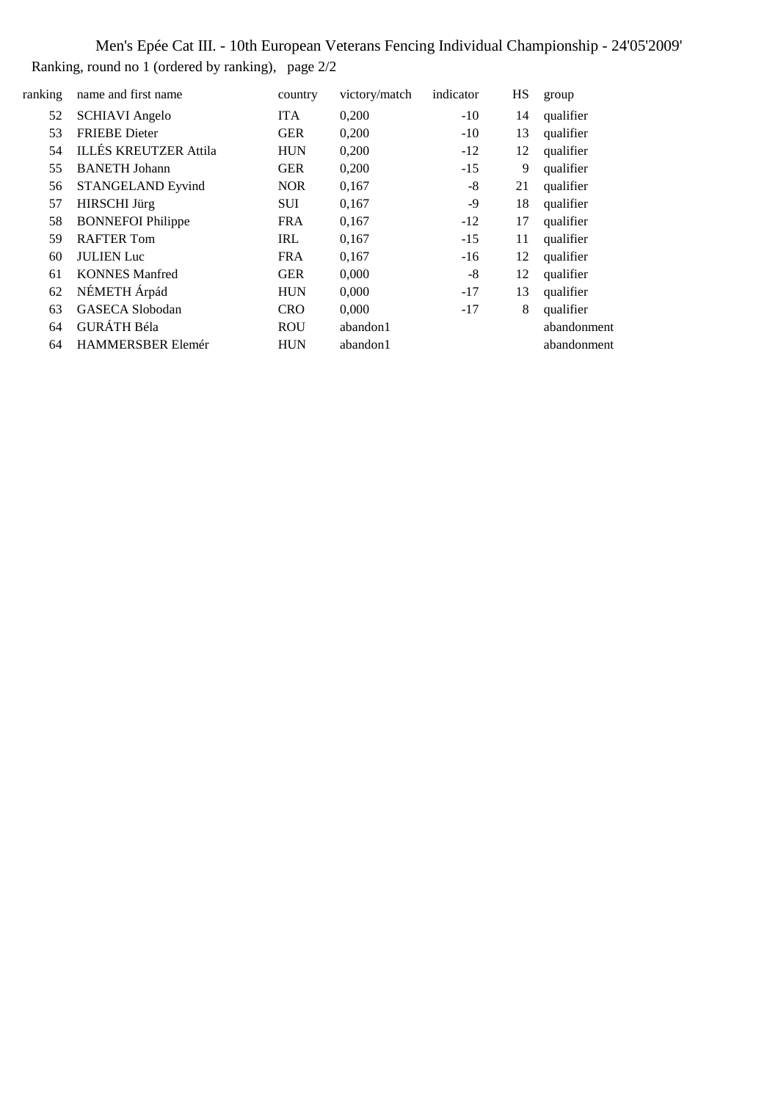Men's Epée Cat III. - 10th European Veterans Fencing Individual Championship - 24'05'2009' Ranking, round no 1 (ordered by ranking), page 2/2

| ranking | name and first name          | country    | victory/match | indicator | HS | group       |
|---------|------------------------------|------------|---------------|-----------|----|-------------|
| 52      | <b>SCHIAVI</b> Angelo        | <b>ITA</b> | 0,200         | $-10$     | 14 | qualifier   |
| 53      | <b>FRIEBE</b> Dieter         | <b>GER</b> | 0,200         | $-10$     | 13 | qualifier   |
| 54      | <b>ILLÉS KREUTZER Attila</b> | <b>HUN</b> | 0,200         | $-12$     | 12 | qualifier   |
| 55      | <b>BANETH</b> Johann         | <b>GER</b> | 0,200         | $-15$     | 9  | qualifier   |
| 56      | <b>STANGELAND Eyvind</b>     | <b>NOR</b> | 0,167         | -8        | 21 | qualifier   |
| 57      | <b>HIRSCHI</b> Jürg          | <b>SUI</b> | 0,167         | -9        | 18 | qualifier   |
| 58      | <b>BONNEFOI Philippe</b>     | <b>FRA</b> | 0,167         | $-12$     | 17 | qualifier   |
| 59      | <b>RAFTER Tom</b>            | <b>IRL</b> | 0,167         | $-15$     | 11 | qualifier   |
| 60      | <b>JULIEN</b> Luc            | <b>FRA</b> | 0,167         | $-16$     | 12 | qualifier   |
| 61      | <b>KONNES Manfred</b>        | <b>GER</b> | 0,000         | -8        | 12 | qualifier   |
| 62      | NÉMETH Árpád                 | <b>HUN</b> | 0,000         | $-17$     | 13 | qualifier   |
| 63      | <b>GASECA Slobodan</b>       | <b>CRO</b> | 0,000         | $-17$     | 8  | qualifier   |
| 64      | <b>GURÁTH Béla</b>           | <b>ROU</b> | abandon1      |           |    | abandonment |
| 64      | HAMMERSBER Elemér            | <b>HUN</b> | abandon1      |           |    | abandonment |
|         |                              |            |               |           |    |             |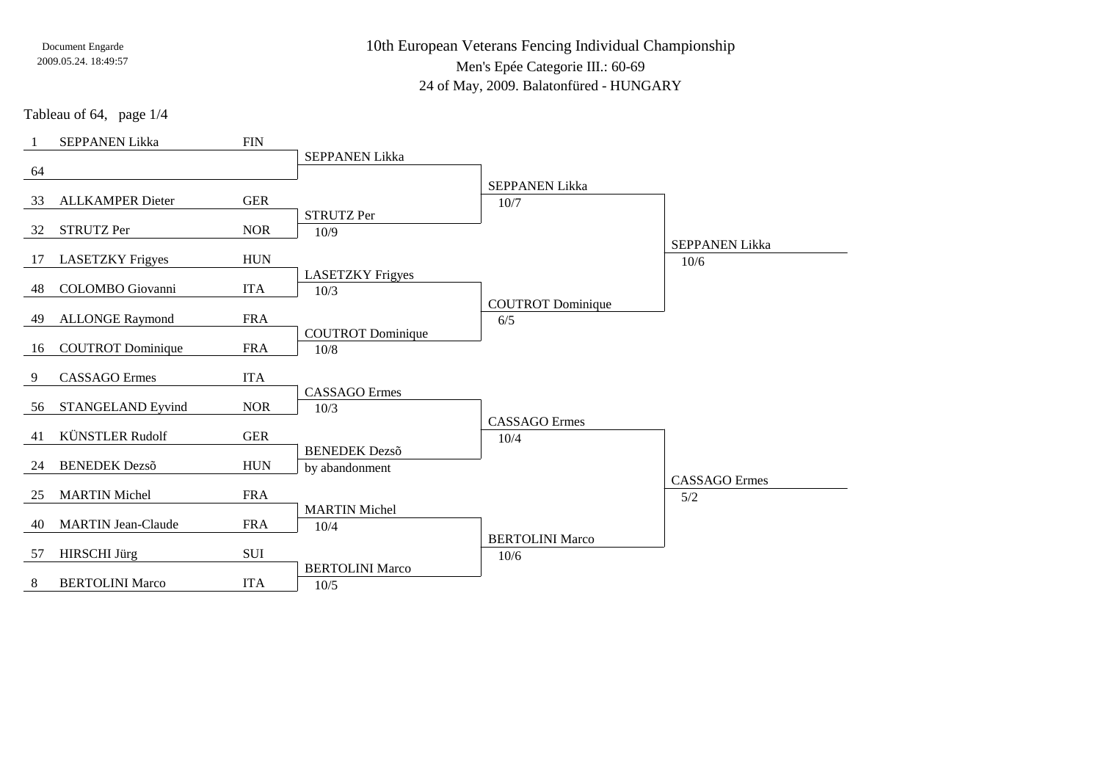10th European Veterans Fencing Individual ChampionshipMen's Epée Categorie III.: 60-69

24 of May, 2009. Balatonfüred - HUNGARY

Tableau of 64, page 1/4

|    | <b>SEPPANEN Likka</b>     | <b>FIN</b> |                                 |                                |                       |
|----|---------------------------|------------|---------------------------------|--------------------------------|-----------------------|
|    |                           |            | <b>SEPPANEN Likka</b>           |                                |                       |
| 64 |                           |            |                                 | <b>SEPPANEN Likka</b>          |                       |
| 33 | <b>ALLKAMPER Dieter</b>   | <b>GER</b> |                                 | 10/7                           |                       |
|    |                           |            | <b>STRUTZ Per</b>               |                                |                       |
| 32 | <b>STRUTZ Per</b>         | <b>NOR</b> | 10/9                            |                                |                       |
|    |                           |            |                                 |                                | <b>SEPPANEN Likka</b> |
| 17 | <b>LASETZKY Frigyes</b>   | <b>HUN</b> |                                 |                                | 10/6                  |
| 48 | <b>COLOMBO</b> Giovanni   | <b>ITA</b> | <b>LASETZKY Frigyes</b><br>10/3 |                                |                       |
|    |                           |            |                                 | <b>COUTROT</b> Dominique       |                       |
| 49 | <b>ALLONGE Raymond</b>    | <b>FRA</b> |                                 | 6/5                            |                       |
|    |                           |            | <b>COUTROT</b> Dominique        |                                |                       |
| 16 | <b>COUTROT</b> Dominique  | <b>FRA</b> | 10/8                            |                                |                       |
| 9  | <b>CASSAGO</b> Ermes      | <b>ITA</b> |                                 |                                |                       |
|    |                           |            | <b>CASSAGO</b> Ermes            |                                |                       |
| 56 | STANGELAND Eyvind         | <b>NOR</b> | 10/3                            |                                |                       |
|    |                           |            |                                 | <b>CASSAGO</b> Ermes           |                       |
| 41 | <b>KÜNSTLER Rudolf</b>    | <b>GER</b> | <b>BENEDEK</b> Dezső            | 10/4                           |                       |
| 24 | <b>BENEDEK Dezső</b>      | <b>HUN</b> | by abandonment                  |                                |                       |
|    |                           |            |                                 |                                | <b>CASSAGO</b> Ermes  |
| 25 | <b>MARTIN Michel</b>      | <b>FRA</b> |                                 |                                | 5/2                   |
|    |                           |            | <b>MARTIN Michel</b>            |                                |                       |
| 40 | <b>MARTIN Jean-Claude</b> | <b>FRA</b> | 10/4                            |                                |                       |
| 57 | <b>HIRSCHI</b> Jürg       | <b>SUI</b> |                                 | <b>BERTOLINI Marco</b><br>10/6 |                       |
|    |                           |            | <b>BERTOLINI Marco</b>          |                                |                       |
| 8  | <b>BERTOLINI Marco</b>    | <b>ITA</b> | 10/5                            |                                |                       |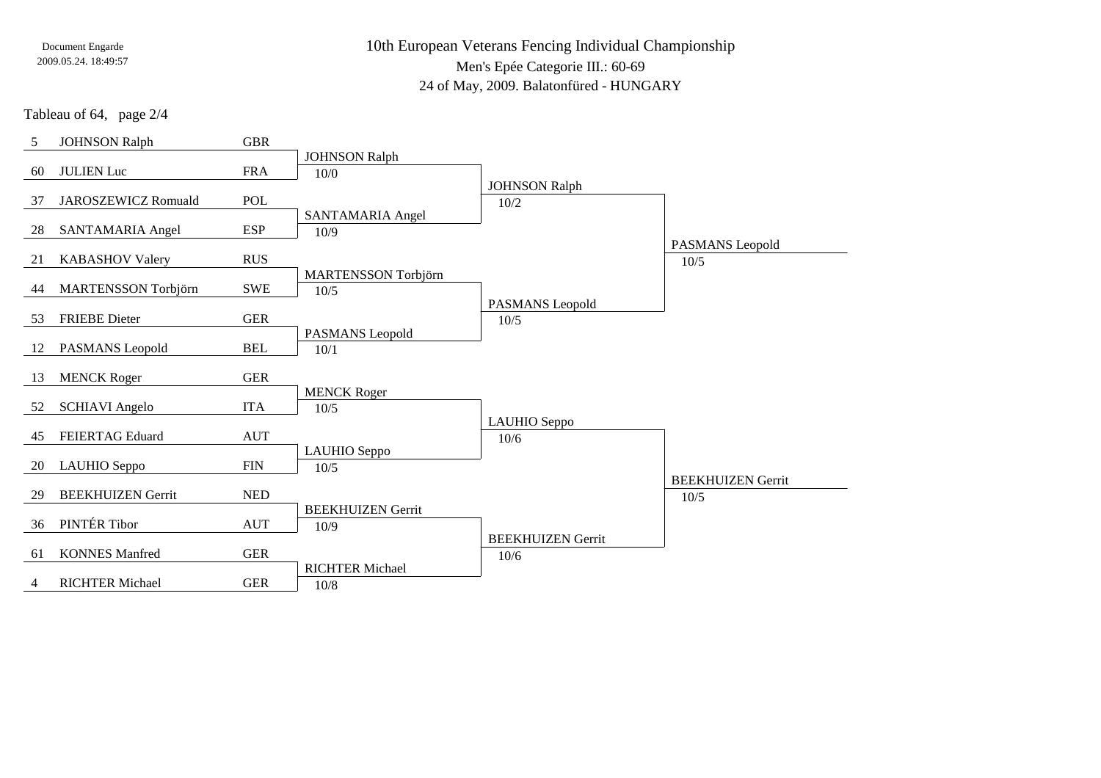10th European Veterans Fencing Individual ChampionshipMen's Epée Categorie III.: 60-69

24 of May, 2009. Balatonfüred - HUNGARY

Tableau of 64, page 2/4

| 5  | <b>JOHNSON Ralph</b>       | <b>GBR</b>   |                                  |                              |                          |
|----|----------------------------|--------------|----------------------------------|------------------------------|--------------------------|
|    |                            |              | <b>JOHNSON Ralph</b>             |                              |                          |
| 60 | <b>JULIEN Luc</b>          | <b>FRA</b>   | 10/0                             |                              |                          |
| 37 | <b>JAROSZEWICZ Romuald</b> | POL          |                                  | <b>JOHNSON Ralph</b><br>10/2 |                          |
|    |                            |              | SANTAMARIA Angel                 |                              |                          |
| 28 | SANTAMARIA Angel           | <b>ESP</b>   | 10/9                             |                              |                          |
|    |                            |              |                                  |                              | PASMANS Leopold          |
| 21 | <b>KABASHOV Valery</b>     | <b>RUS</b>   |                                  |                              | $10/5$                   |
|    |                            |              | MARTENSSON Torbjörn              |                              |                          |
| 44 | <b>MARTENSSON Torbjörn</b> | <b>SWE</b>   | 10/5                             | PASMANS Leopold              |                          |
| 53 | <b>FRIEBE</b> Dieter       | <b>GER</b>   |                                  | $10/5$                       |                          |
|    |                            |              | PASMANS Leopold                  |                              |                          |
| 12 | PASMANS Leopold            | <b>BEL</b>   | 10/1                             |                              |                          |
|    |                            |              |                                  |                              |                          |
| 13 | <b>MENCK Roger</b>         | <b>GER</b>   | <b>MENCK Roger</b>               |                              |                          |
| 52 | <b>SCHIAVI</b> Angelo      | <b>ITA</b>   | 10/5                             |                              |                          |
|    |                            |              |                                  | LAUHIO Seppo                 |                          |
| 45 | <b>FEIERTAG Eduard</b>     | <b>AUT</b>   |                                  | 10/6                         |                          |
|    |                            |              | LAUHIO Seppo                     |                              |                          |
| 20 | LAUHIO Seppo               | $\text{FIN}$ | 10/5                             |                              | <b>BEEKHUIZEN Gerrit</b> |
| 29 | <b>BEEKHUIZEN Gerrit</b>   | <b>NED</b>   |                                  |                              | 10/5                     |
|    |                            |              | <b>BEEKHUIZEN Gerrit</b>         |                              |                          |
| 36 | PINTÉR Tibor               | <b>AUT</b>   | 10/9                             |                              |                          |
|    |                            |              |                                  | <b>BEEKHUIZEN Gerrit</b>     |                          |
| 61 | <b>KONNES Manfred</b>      | ${\tt GER}$  |                                  | 10/6                         |                          |
| 4  | <b>RICHTER Michael</b>     | <b>GER</b>   | <b>RICHTER Michael</b><br>$10/8$ |                              |                          |
|    |                            |              |                                  |                              |                          |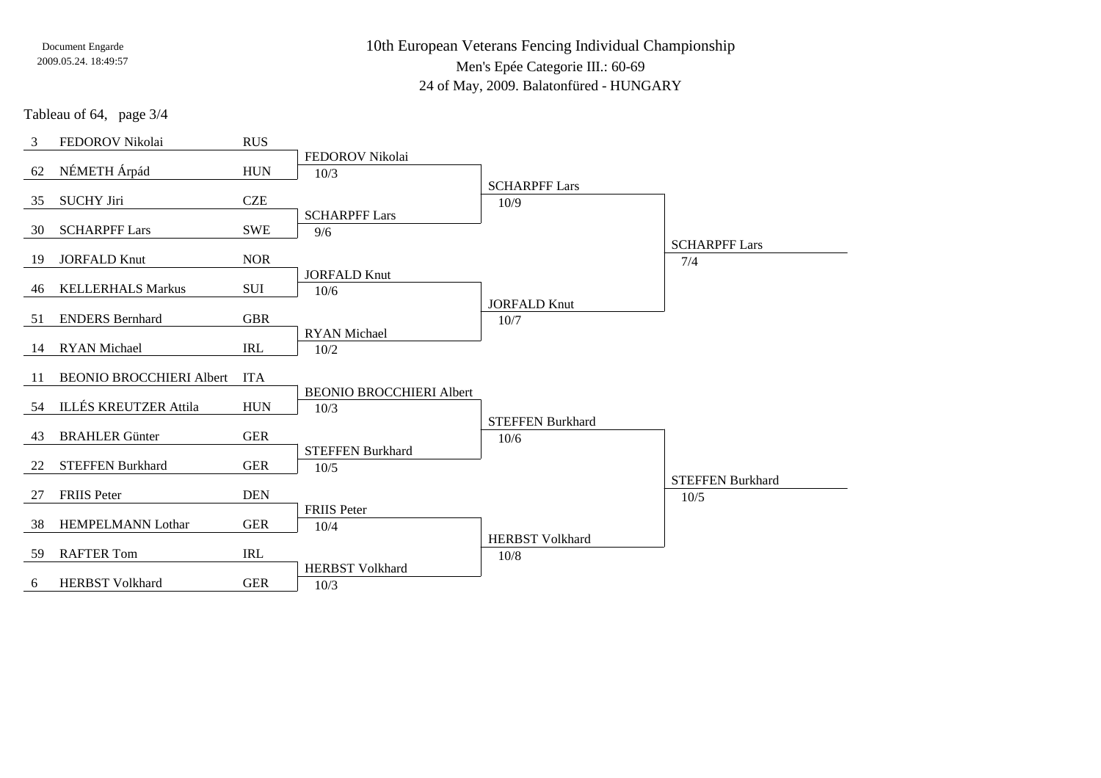10th European Veterans Fencing Individual ChampionshipMen's Epée Categorie III.: 60-69

24 of May, 2009. Balatonfüred - HUNGARY

Tableau of 64, page 3/4

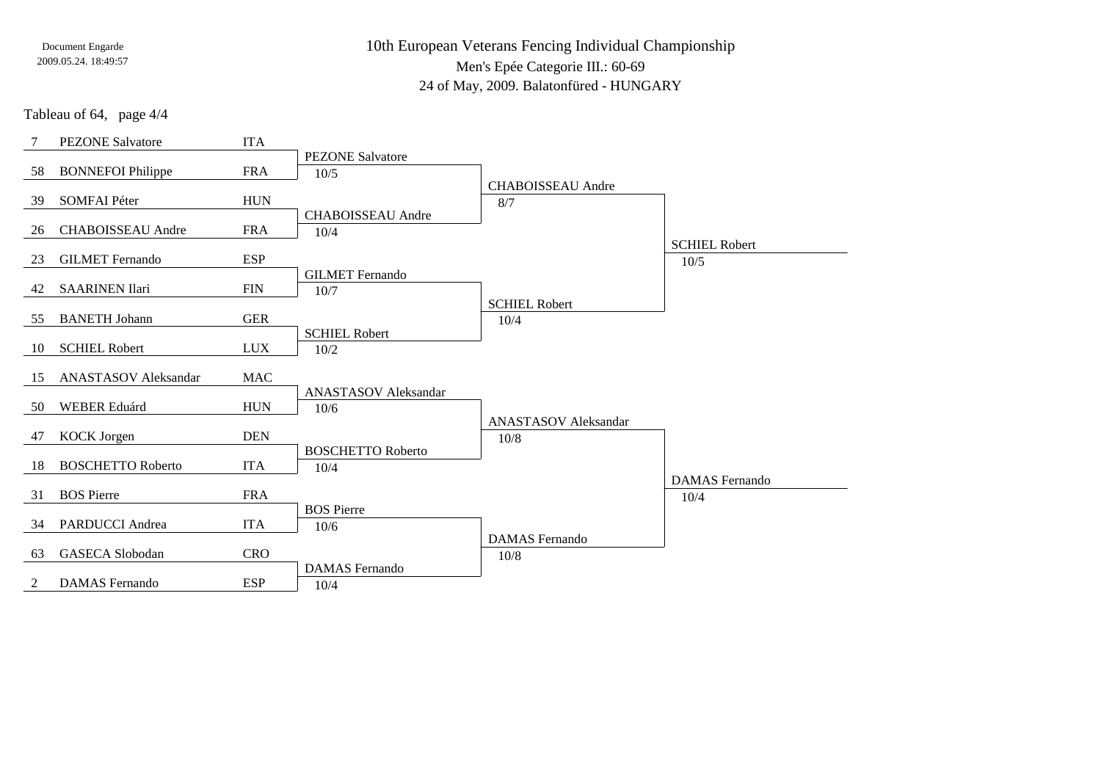10th European Veterans Fencing Individual ChampionshipMen's Epée Categorie III.: 60-6924 of May, 2009. Balatonfüred - HUNGARY

Tableau of 64, page 4/4

| 7  | <b>PEZONE Salvatore</b>     | <b>ITA</b> |                                     |                               |                               |
|----|-----------------------------|------------|-------------------------------------|-------------------------------|-------------------------------|
| 58 | <b>BONNEFOI Philippe</b>    | <b>FRA</b> | <b>PEZONE Salvatore</b><br>10/5     | <b>CHABOISSEAU</b> Andre      |                               |
| 39 | <b>SOMFAI Péter</b>         | <b>HUN</b> |                                     | 8/7                           |                               |
| 26 | <b>CHABOISSEAU</b> Andre    | <b>FRA</b> | <b>CHABOISSEAU</b> Andre<br>10/4    |                               | <b>SCHIEL Robert</b>          |
| 23 | <b>GILMET</b> Fernando      | <b>ESP</b> |                                     |                               | $10/5$                        |
| 42 | <b>SAARINEN Ilari</b>       | <b>FIN</b> | <b>GILMET</b> Fernando<br>10/7      | <b>SCHIEL Robert</b>          |                               |
| 55 | <b>BANETH Johann</b>        | <b>GER</b> |                                     | 10/4                          |                               |
| 10 | <b>SCHIEL Robert</b>        | <b>LUX</b> | <b>SCHIEL Robert</b><br>10/2        |                               |                               |
| 15 | <b>ANASTASOV</b> Aleksandar | <b>MAC</b> |                                     |                               |                               |
| 50 | WEBER Eduárd                | <b>HUN</b> | <b>ANASTASOV Aleksandar</b><br>10/6 | <b>ANASTASOV</b> Aleksandar   |                               |
| 47 | <b>KOCK</b> Jorgen          | <b>DEN</b> |                                     | 10/8                          |                               |
| 18 | <b>BOSCHETTO Roberto</b>    | <b>ITA</b> | <b>BOSCHETTO Roberto</b><br>10/4    |                               |                               |
| 31 | <b>BOS</b> Pierre           | <b>FRA</b> |                                     |                               | <b>DAMAS</b> Fernando<br>10/4 |
| 34 | <b>PARDUCCI</b> Andrea      | <b>ITA</b> | <b>BOS</b> Pierre<br>10/6           |                               |                               |
| 63 | <b>GASECA Slobodan</b>      | <b>CRO</b> |                                     | <b>DAMAS</b> Fernando<br>10/8 |                               |
| 2  | <b>DAMAS</b> Fernando       | <b>ESP</b> | <b>DAMAS</b> Fernando<br>10/4       |                               |                               |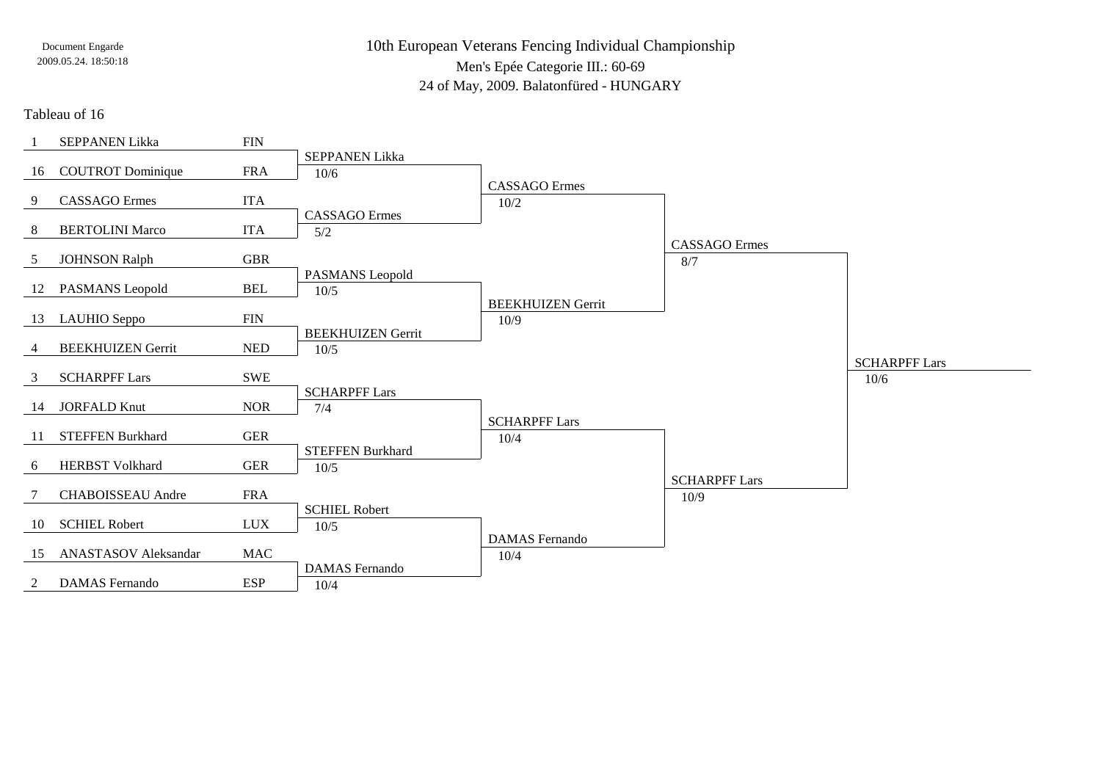10th European Veterans Fencing Individual ChampionshipMen's Epée Categorie III.: 60-6924 of May, 2009. Balatonfüred - HUNGARY

#### Tableau of 16

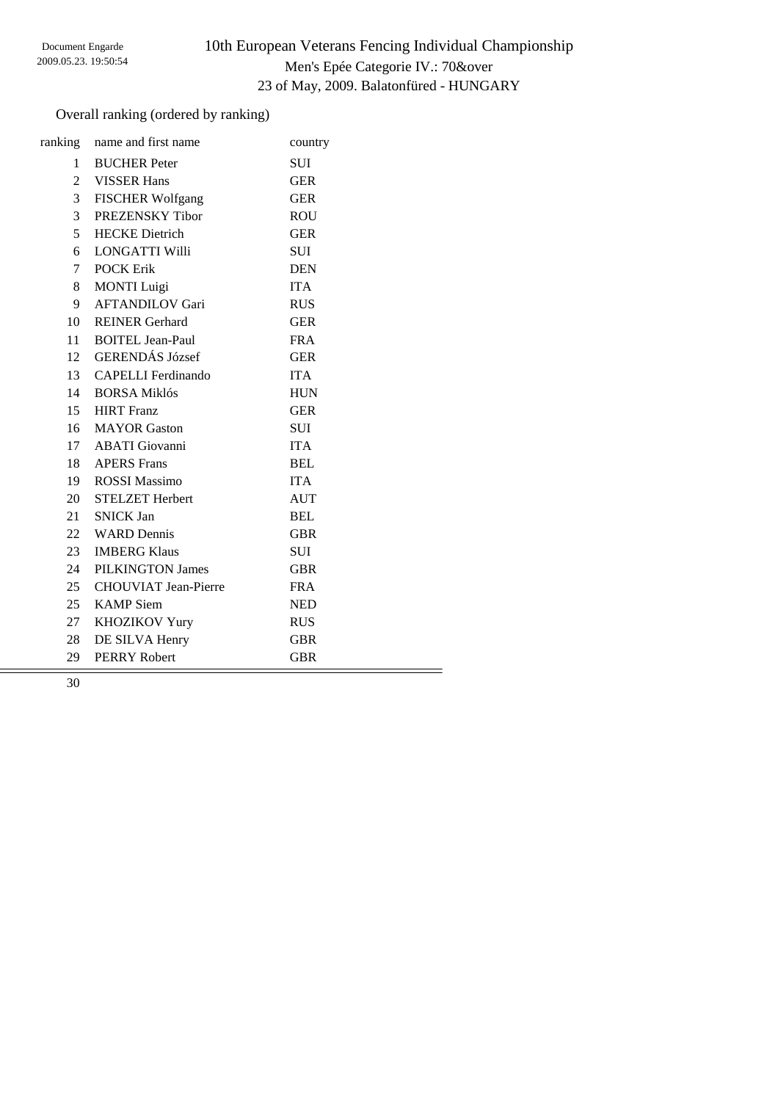# 10th European Veterans Fencing Individual Championship Men's Epée Categorie IV.: 70&over 23 of May, 2009. Balatonfüred - HUNGARY

## Overall ranking (ordered by ranking)

|                | ranking name and first name | country    |
|----------------|-----------------------------|------------|
| $1 \quad$      | <b>BUCHER</b> Peter         | <b>SUI</b> |
|                | 2 VISSER Hans               | <b>GER</b> |
| 3 <sup>7</sup> | <b>FISCHER Wolfgang</b>     | <b>GER</b> |
| 3 <sup>7</sup> | PREZENSKY Tibor             | <b>ROU</b> |
| 5 <sup>5</sup> | <b>HECKE</b> Dietrich       | <b>GER</b> |
| 6              | <b>LONGATTI Willi</b>       | <b>SUI</b> |
| $7\degree$     | <b>POCK Erik</b>            | <b>DEN</b> |
| 8              | <b>MONTI</b> Luigi          | <b>ITA</b> |
| 9              | <b>AFTANDILOV Gari</b>      | <b>RUS</b> |
| 10             | <b>REINER Gerhard</b>       | <b>GER</b> |
| 11             | <b>BOITEL Jean-Paul</b>     | <b>FRA</b> |
|                | 12 GERENDÁS József          | <b>GER</b> |
|                | 13 CAPELLI Ferdinando       | <b>ITA</b> |
| 14             | <b>BORSA Miklós</b>         | <b>HUN</b> |
|                | 15 HIRT Franz               | <b>GER</b> |
|                | 16 MAYOR Gaston             | <b>SUI</b> |
|                | 17 ABATI Giovanni           | <b>ITA</b> |
|                | 18 APERS Frans              | <b>BEL</b> |
|                | 19 ROSSI Massimo            | <b>ITA</b> |
|                | 20 STELZET Herbert          | <b>AUT</b> |
|                | 21 SNICK Jan                | <b>BEL</b> |
|                | 22 WARD Dennis              | <b>GBR</b> |
| 23             | <b>IMBERG Klaus</b>         | <b>SUI</b> |
| 24             | PILKINGTON James            | <b>GBR</b> |
|                | 25 CHOUVIAT Jean-Pierre     | <b>FRA</b> |
| 25             | <b>KAMP</b> Siem            | <b>NED</b> |
| 27             | <b>KHOZIKOV Yury</b>        | <b>RUS</b> |
| 28             | DE SILVA Henry              | <b>GBR</b> |
| 29             | <b>PERRY Robert</b>         | <b>GBR</b> |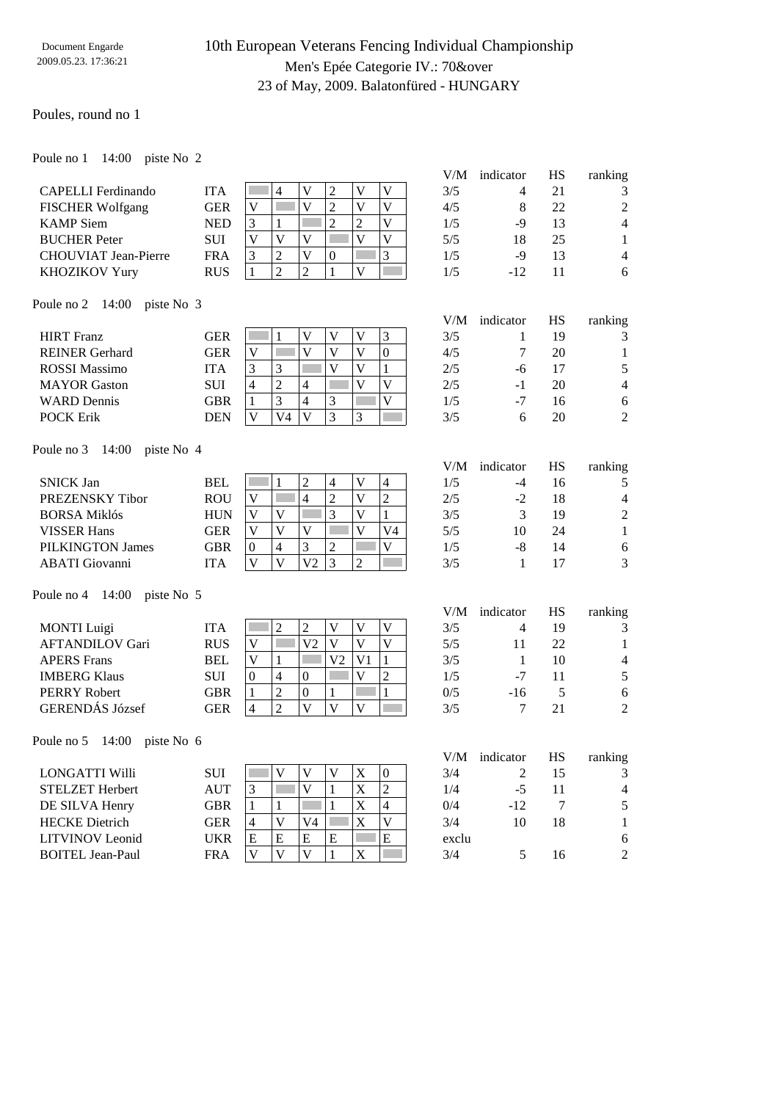## 10th European Veterans Fencing Individual Championship Men's Epée Categorie IV.: 70&over 23 of May, 2009. Balatonfüred - HUNGARY

### Poules, round no 1

| 14:00 piste No 2<br>Poule no 1 |
|--------------------------------|
|--------------------------------|

|                                   |            |                                                                                                          | V/M   | indicator      | HS        | ranking        |
|-----------------------------------|------------|----------------------------------------------------------------------------------------------------------|-------|----------------|-----------|----------------|
| <b>CAPELLI</b> Ferdinando         | <b>ITA</b> | $\overline{2}$<br>$\mathbf V$<br>$\overline{\mathsf{V}}$<br>$\overline{4}$<br>V                          | 3/5   | 4              | 21        | 3              |
| <b>FISCHER Wolfgang</b>           | <b>GER</b> | $\overline{2}$<br>$\overline{\mathsf{V}}$<br>$\overline{V}$<br>$\overline{V}$<br>$\overline{\mathsf{V}}$ | 4/5   | $\,8\,$        | 22        | $\overline{2}$ |
| <b>KAMP</b> Siem                  | <b>NED</b> | $\overline{2}$<br>$\overline{\mathsf{V}}$<br>$\overline{2}$<br>3<br>1                                    | 1/5   | -9             | 13        | $\overline{4}$ |
| <b>BUCHER Peter</b>               | SUI        | $\overline{V}$<br>$\overline{\mathbf{V}}$<br>$\overline{\mathsf{V}}$<br>$\mathbf V$<br>$\mathbf V$       | 5/5   | 18             | 25        | $\mathbf{1}$   |
| <b>CHOUVIAT Jean-Pierre</b>       | <b>FRA</b> | $\overline{3}$<br>3<br>$\overline{2}$<br>$\overline{\mathsf{V}}$<br>$\mathbf{0}$                         | 1/5   | $-9$           | 13        | $\overline{4}$ |
| KHOZIKOV Yury                     | <b>RUS</b> | $\overline{2}$<br>$\overline{c}$<br>$\mathbf{1}$<br>$\mathbf{V}$<br>$\mathbf{1}$                         | 1/5   | $-12$          | 11        | 6              |
| 14:00<br>piste No 3<br>Poule no 2 |            |                                                                                                          |       |                |           |                |
|                                   |            |                                                                                                          | V/M   | indicator      | HS        | ranking        |
| <b>HIRT</b> Franz                 | <b>GER</b> | $\mathbf V$<br>$\mathbf{V}$<br>3<br>V<br>1                                                               | 3/5   | 1              | 19        | 3              |
| <b>REINER Gerhard</b>             | <b>GER</b> | $\mathbf V$<br>V<br>$\mathbf{V}$<br>$\boldsymbol{0}$<br>V                                                | 4/5   | 7              | 20        | 1              |
| <b>ROSSI</b> Massimo              | <b>ITA</b> | $\overline{\mathsf{V}}$<br>3<br>V<br>3<br>1                                                              | 2/5   | -6             | 17        | 5              |
| <b>MAYOR</b> Gaston               | <b>SUI</b> | $\overline{2}$<br>$\overline{\mathsf{V}}$<br>$\overline{\mathbf{V}}$<br>$\overline{4}$<br>$\overline{4}$ | 2/5   | $-1$           | 20        | $\overline{4}$ |
| <b>WARD</b> Dennis                | <b>GBR</b> | 3<br>$\overline{V}$<br>$\overline{4}$<br>3<br>$\mathbf{1}$                                               | 1/5   | $-7$           | 16        | $\sqrt{6}$     |
| <b>POCK Erik</b>                  | <b>DEN</b> | $\overline{\mathsf{V}}$<br>V <sub>4</sub><br>V<br>3<br>3                                                 | 3/5   | 6              | 20        | $\overline{2}$ |
| 14:00<br>Poule no 3<br>piste No 4 |            |                                                                                                          |       |                |           |                |
|                                   |            |                                                                                                          | V/M   | indicator      | <b>HS</b> | ranking        |
| <b>SNICK Jan</b>                  | <b>BEL</b> | $\overline{c}$<br>$\mathbf{V}$<br>$\overline{4}$<br>$\overline{4}$<br>1                                  | 1/5   | -4             | 16        | 5              |
| PREZENSKY Tibor                   | <b>ROU</b> | $\overline{c}$<br>$\overline{V}$<br>$\overline{c}$<br>$\mathbf V$<br>$\overline{4}$                      | 2/5   | $-2$           | 18        | $\overline{4}$ |
| <b>BORSA Miklós</b>               | <b>HUN</b> | $\overline{3}$<br>$\overline{V}$<br>$\mathbf{1}$<br>$\overline{\mathsf{V}}$<br>$\mathbf{V}$              | 3/5   | 3              | 19        | $\overline{2}$ |
| <b>VISSER Hans</b>                | <b>GER</b> | $\overline{V}$<br>$\mathbf V$<br>V<br>V <sub>4</sub><br>V                                                | 5/5   | 10             | 24        | $\mathbf{1}$   |
| <b>PILKINGTON James</b>           | <b>GBR</b> | 3<br>$\mathbf V$<br>$\overline{4}$<br>$\overline{c}$<br>$\theta$                                         | 1/5   | $-8$           | 14        | $\sqrt{6}$     |
| <b>ABATI</b> Giovanni             | <b>ITA</b> | V <sub>2</sub><br>3<br>V<br>$\overline{2}$<br>V                                                          | 3/5   | 1              | 17        | 3              |
| 14:00<br>Poule no 4<br>piste No 5 |            |                                                                                                          |       |                |           |                |
|                                   |            |                                                                                                          | V/M   | indicator      | HS        | ranking        |
| <b>MONTI</b> Luigi                | <b>ITA</b> | $\overline{c}$<br>$\mathbf V$<br>$\overline{c}$<br>V<br>V                                                | 3/5   | 4              | 19        | 3              |
| <b>AFTANDILOV Gari</b>            | <b>RUS</b> | V <sub>2</sub><br>$\mathbf V$<br>$\overline{\mathsf{V}}$<br>$\mathbf V$<br>V                             | 5/5   | 11             | 22        | 1              |
| <b>APERS Frans</b>                | <b>BEL</b> | $\mathbf{1}$<br>V<br>$\mathbf{1}$<br>V <sub>2</sub><br>V <sub>1</sub>                                    | 3/5   | $\mathbf{1}$   | 10        | $\overline{4}$ |
| <b>IMBERG Klaus</b>               | <b>SUI</b> | $\overline{2}$<br>$\overline{4}$<br>$\overline{\mathbf{V}}$<br>$\boldsymbol{0}$<br>$\mathbf{0}$          | 1/5   | $-7$           | 11        | 5              |
| <b>PERRY Robert</b>               | <b>GBR</b> | $\overline{c}$<br>$\boldsymbol{0}$<br>$\mathbf{1}$<br>$\mathbf{1}$<br>1                                  | 0/5   | $-16$          | 5         | $\sqrt{6}$     |
| <b>GERENDÁS József</b>            | <b>GER</b> | $\overline{2}$<br>$\overline{V}$<br>$\overline{V}$<br>$\overline{\mathbf{V}}$<br>$\overline{4}$          | 3/5   | 7              | 21        | $\overline{2}$ |
| 14:00 piste No 6<br>Poule no 5    |            |                                                                                                          |       |                |           |                |
|                                   |            |                                                                                                          |       | V/M indicator  | $\rm HS$  | ranking        |
| LONGATTI Willi                    | SUI        | $\mathbf X$<br>V<br>$\mathbf V$<br>V<br>$\boldsymbol{0}$                                                 | 3/4   | $\overline{c}$ | 15        | 3              |
| <b>STELZET Herbert</b>            | <b>AUT</b> | $\mathbf X$<br>$\overline{c}$<br>$\mathfrak{Z}$<br>$\overline{V}$<br>1                                   | 1/4   | $-5$           | 11        | $\overline{4}$ |
| DE SILVA Henry                    | <b>GBR</b> | $\mathbf X$<br>$\overline{\mathcal{L}}$<br>1<br>$\mathbf{1}$<br>1                                        | 0/4   | $-12$          | 7         | 5              |
| <b>HECKE</b> Dietrich             | <b>GER</b> | $\mathbf{V}$<br>$\mathbf X$<br>$\mathbf V$<br>4<br>V4                                                    | 3/4   | 10             | 18        | $\mathbf{1}$   |
| <b>LITVINOV</b> Leonid            | <b>UKR</b> | ${\bf E}$<br>E<br>${\bf E}$<br>$\mathbf E$<br>E                                                          | exclu |                |           | 6              |
| <b>BOITEL Jean-Paul</b>           | <b>FRA</b> | $\mathbf V$<br>$\mathbf{V}$<br>$\mathbf X$<br>$\mathbf V$<br>$\mathbf{1}$                                | 3/4   | 5              | 16        | $\overline{c}$ |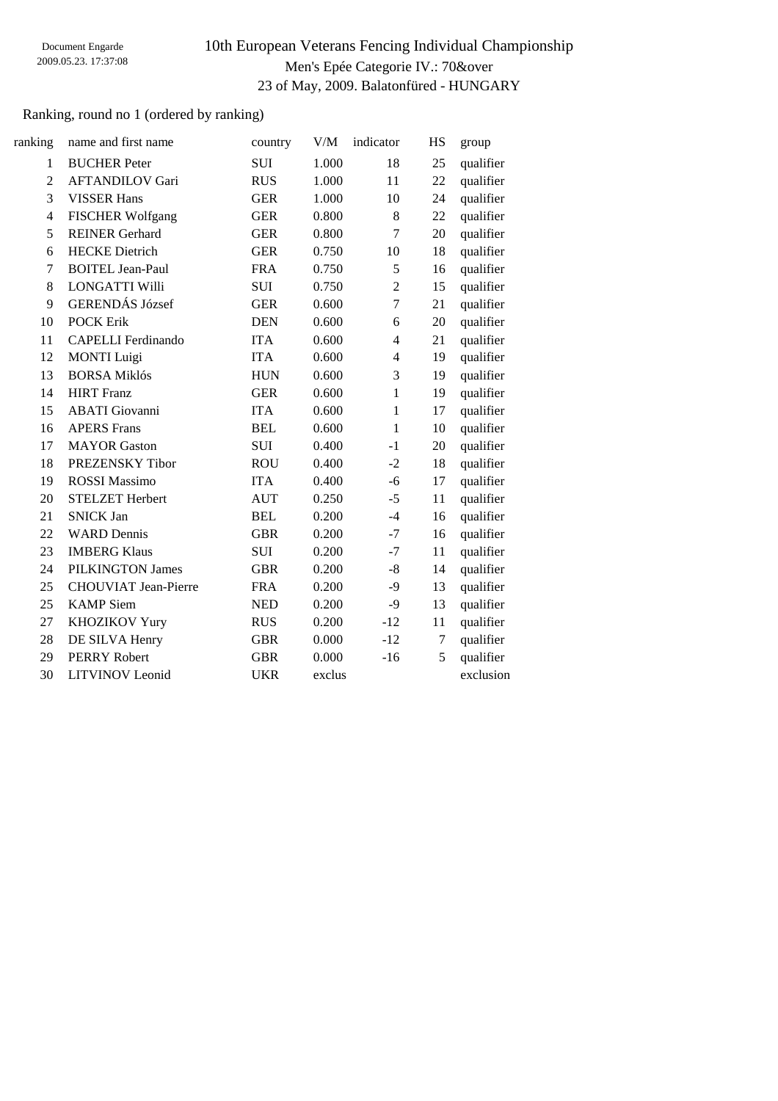## 10th European Veterans Fencing Individual Championship Men's Epée Categorie IV.: 70&over 23 of May, 2009. Balatonfüred - HUNGARY

## Ranking, round no 1 (ordered by ranking)

| ranking        | name and first name         | country    | V/M    | indicator      | HS     | group     |
|----------------|-----------------------------|------------|--------|----------------|--------|-----------|
| $\mathbf{1}$   | <b>BUCHER Peter</b>         | <b>SUI</b> | 1.000  | 18             | 25     | qualifier |
| $\overline{2}$ | <b>AFTANDILOV Gari</b>      | <b>RUS</b> | 1.000  | 11             | 22     | qualifier |
| $\overline{3}$ | <b>VISSER Hans</b>          | <b>GER</b> | 1.000  | 10             | 24     | qualifier |
| 4              | <b>FISCHER Wolfgang</b>     | <b>GER</b> | 0.800  | 8              | 22     | qualifier |
| 5              | <b>REINER Gerhard</b>       | <b>GER</b> | 0.800  | $\overline{7}$ | 20     | qualifier |
| 6              | <b>HECKE</b> Dietrich       | <b>GER</b> | 0.750  | 10             | 18     | qualifier |
| 7              | <b>BOITEL Jean-Paul</b>     | <b>FRA</b> | 0.750  | 5              | 16     | qualifier |
| 8              | <b>LONGATTI Willi</b>       | <b>SUI</b> | 0.750  | $\overline{2}$ | 15     | qualifier |
| 9              | <b>GERENDÁS József</b>      | <b>GER</b> | 0.600  | $\overline{7}$ | 21     | qualifier |
| 10             | <b>POCK Erik</b>            | <b>DEN</b> | 0.600  | 6              | 20     | qualifier |
| 11             | <b>CAPELLI</b> Ferdinando   | <b>ITA</b> | 0.600  | $\overline{4}$ | 21     | qualifier |
| 12             | <b>MONTI</b> Luigi          | <b>ITA</b> | 0.600  | $\overline{4}$ | 19     | qualifier |
| 13             | <b>BORSA Miklós</b>         | <b>HUN</b> | 0.600  | 3              | 19     | qualifier |
| 14             | <b>HIRT</b> Franz           | <b>GER</b> | 0.600  | 1              | 19     | qualifier |
| 15             | <b>ABATI</b> Giovanni       | <b>ITA</b> | 0.600  | $\mathbf{1}$   | 17     | qualifier |
| 16             | <b>APERS Frans</b>          | <b>BEL</b> | 0.600  | $\mathbf{1}$   | 10     | qualifier |
| 17             | <b>MAYOR</b> Gaston         | <b>SUI</b> | 0.400  | $-1$           | 20     | qualifier |
| 18             | PREZENSKY Tibor             | <b>ROU</b> | 0.400  | $-2$           | 18     | qualifier |
| 19             | <b>ROSSI Massimo</b>        | <b>ITA</b> | 0.400  | $-6$           | 17     | qualifier |
| 20             | <b>STELZET Herbert</b>      | <b>AUT</b> | 0.250  | $-5$           | 11     | qualifier |
| 21             | <b>SNICK Jan</b>            | <b>BEL</b> | 0.200  | $-4$           | 16     | qualifier |
| 22             | <b>WARD</b> Dennis          | <b>GBR</b> | 0.200  | $-7$           | 16     | qualifier |
| 23             | <b>IMBERG Klaus</b>         | <b>SUI</b> | 0.200  | $-7$           | 11     | qualifier |
| 24             | <b>PILKINGTON James</b>     | <b>GBR</b> | 0.200  | $-8$           | 14     | qualifier |
| 25             | <b>CHOUVIAT Jean-Pierre</b> | <b>FRA</b> | 0.200  | $-9$           | 13     | qualifier |
| 25             | <b>KAMP</b> Siem            | <b>NED</b> | 0.200  | $-9$           | 13     | qualifier |
| 27             | KHOZIKOV Yury               | <b>RUS</b> | 0.200  | $-12$          | 11     | qualifier |
| 28             | DE SILVA Henry              | <b>GBR</b> | 0.000  | $-12$          | $\tau$ | qualifier |
| 29             | <b>PERRY Robert</b>         | <b>GBR</b> | 0.000  | $-16$          | 5      | qualifier |
| 30             | <b>LITVINOV</b> Leonid      | <b>UKR</b> | exclus |                |        | exclusion |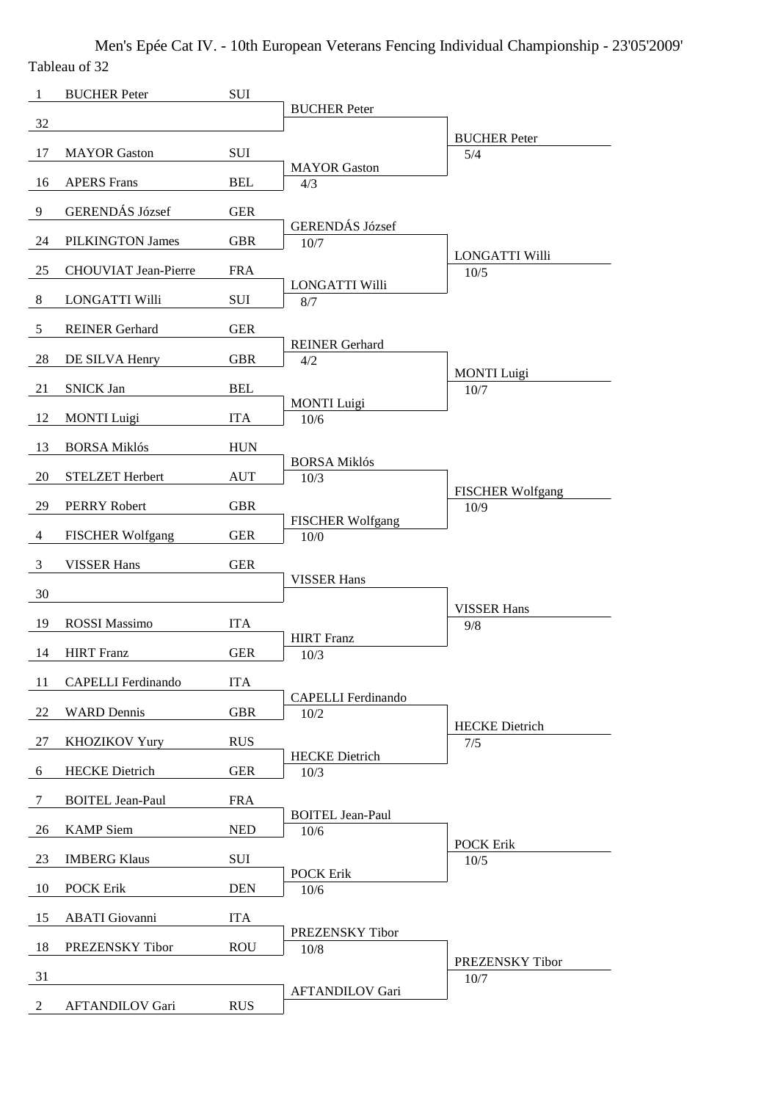Men's Epée Cat IV. - 10th European Veterans Fencing Individual Championship - 23'05'2009' Tableau of 32

| $\mathbf{1}$   | <b>BUCHER Peter</b>         | SUI        |                                   |                                 |
|----------------|-----------------------------|------------|-----------------------------------|---------------------------------|
| 32             |                             |            | <b>BUCHER</b> Peter               |                                 |
| 17             | <b>MAYOR</b> Gaston         | SUI        |                                   | <b>BUCHER Peter</b><br>5/4      |
| 16             | <b>APERS</b> Frans          | <b>BEL</b> | <b>MAYOR</b> Gaston<br>4/3        |                                 |
| 9              | GERENDÁS József             | <b>GER</b> |                                   |                                 |
|                |                             |            | <b>GERENDÁS József</b>            |                                 |
| 24             | PILKINGTON James            | <b>GBR</b> | 10/7                              | <b>LONGATTI Willi</b>           |
| 25             | <b>CHOUVIAT Jean-Pierre</b> | <b>FRA</b> | LONGATTI Willi                    | 10/5                            |
| 8              | LONGATTI Willi              | SUI        | 8/7                               |                                 |
| 5              | <b>REINER Gerhard</b>       | <b>GER</b> | <b>REINER Gerhard</b>             |                                 |
| 28             | DE SILVA Henry              | <b>GBR</b> | 4/2                               | <b>MONTI</b> Luigi              |
| 21             | <b>SNICK Jan</b>            | <b>BEL</b> |                                   | $10/7$                          |
| 12             | <b>MONTI</b> Luigi          | <b>ITA</b> | <b>MONTI</b> Luigi<br>10/6        |                                 |
| 13             | <b>BORSA Miklós</b>         | <b>HUN</b> |                                   |                                 |
| 20             | STELZET Herbert             | <b>AUT</b> | <b>BORSA Miklós</b><br>10/3       |                                 |
| 29             | <b>PERRY Robert</b>         | <b>GBR</b> |                                   | <b>FISCHER Wolfgang</b><br>10/9 |
| $\overline{4}$ | <b>FISCHER Wolfgang</b>     | <b>GER</b> | <b>FISCHER Wolfgang</b><br>$10/0$ |                                 |
| 3              | <b>VISSER Hans</b>          | <b>GER</b> |                                   |                                 |
|                |                             |            | <b>VISSER Hans</b>                |                                 |
| 30             |                             |            |                                   | <b>VISSER Hans</b>              |
| 19             | <b>ROSSI</b> Massimo        | <b>ITA</b> | <b>HIRT</b> Franz                 | 9/8                             |
| 14             | <b>HIRT</b> Franz           | <b>GER</b> | 10/3                              |                                 |
| 11             | <b>CAPELLI</b> Ferdinando   | <b>ITA</b> | <b>CAPELLI</b> Ferdinando         |                                 |
| 22             | <b>WARD</b> Dennis          | <b>GBR</b> | 10/2                              |                                 |
| 27             | <b>KHOZIKOV Yury</b>        | <b>RUS</b> |                                   | <b>HECKE</b> Dietrich<br>7/5    |
| 6              | <b>HECKE</b> Dietrich       | <b>GER</b> | <b>HECKE</b> Dietrich<br>10/3     |                                 |
| 7              | <b>BOITEL Jean-Paul</b>     | <b>FRA</b> |                                   |                                 |
| 26             | <b>KAMP</b> Siem            | <b>NED</b> | <b>BOITEL Jean-Paul</b><br>10/6   |                                 |
| 23             | <b>IMBERG Klaus</b>         | SUI        |                                   | <b>POCK Erik</b>                |
|                |                             |            | <b>POCK Erik</b>                  | 10/5                            |
| 10             | <b>POCK Erik</b>            | <b>DEN</b> | 10/6                              |                                 |
| 15             | <b>ABATI</b> Giovanni       | <b>ITA</b> | PREZENSKY Tibor                   |                                 |
| 18             | PREZENSKY Tibor             | <b>ROU</b> | 10/8                              | PREZENSKY Tibor                 |
| 31             |                             |            |                                   | 10/7                            |
| $\overline{2}$ | <b>AFTANDILOV Gari</b>      | <b>RUS</b> | <b>AFTANDILOV Gari</b>            |                                 |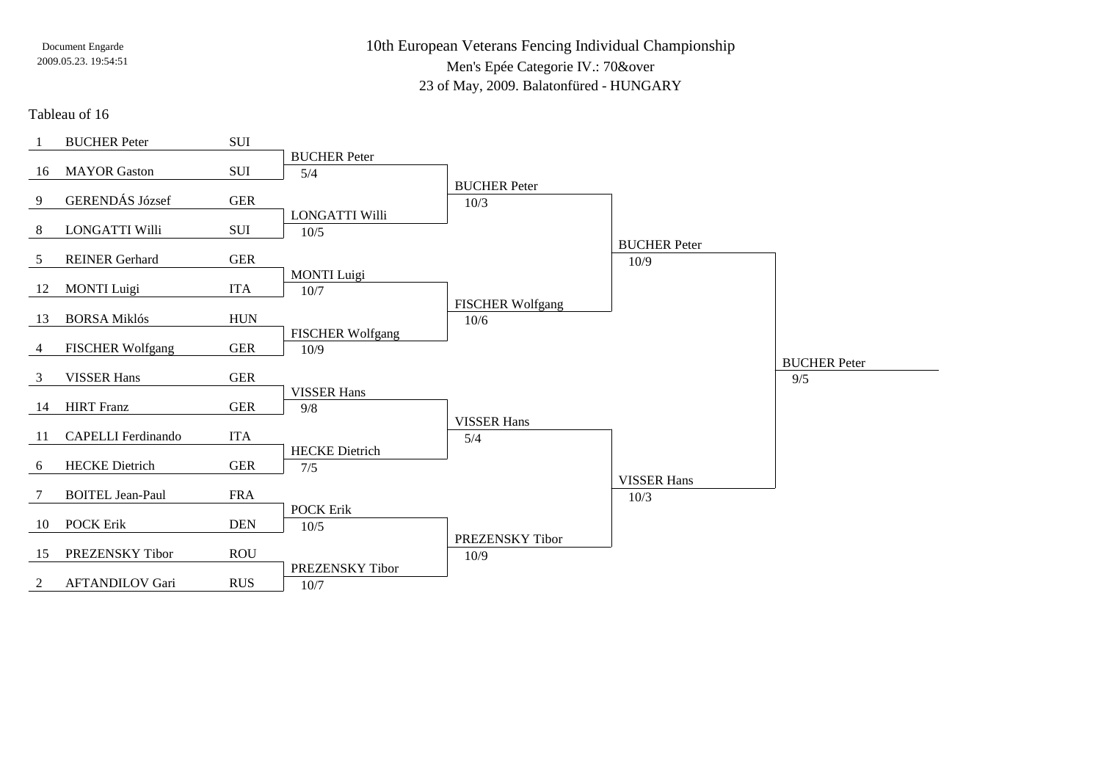10th European Veterans Fencing Individual ChampionshipMen's Epée Categorie IV.: 70&over23 of May, 2009. Balatonfüred - HUNGARY

Tableau of 16

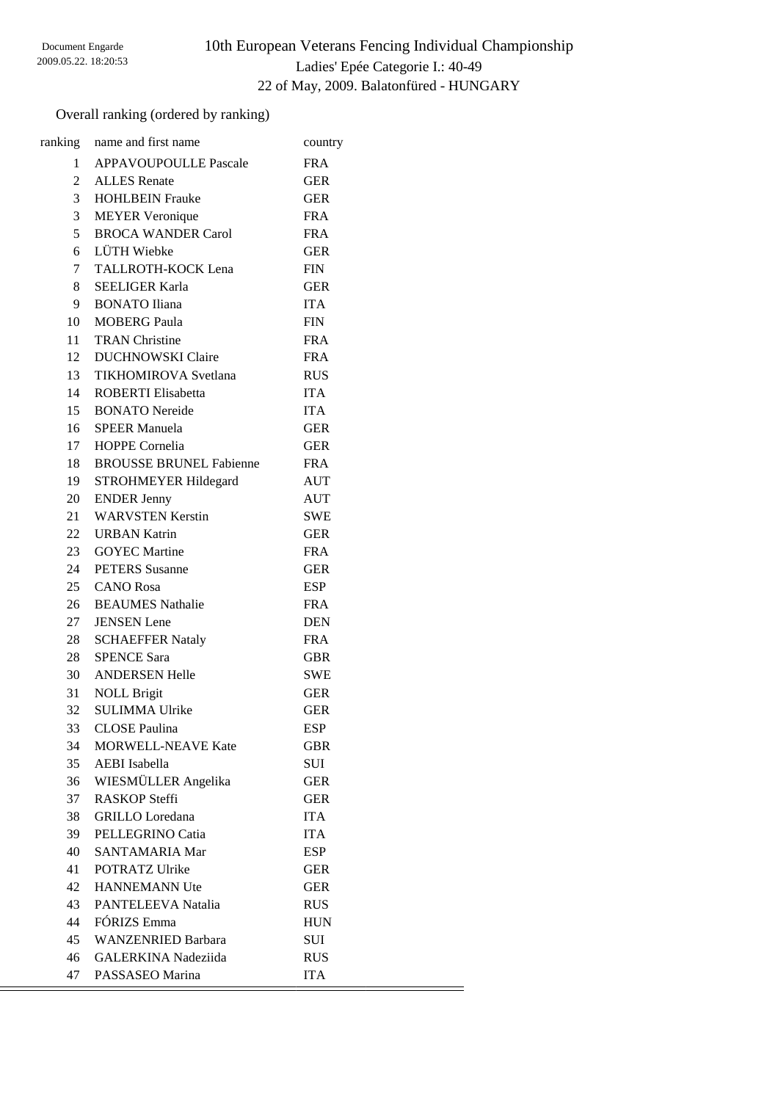# 10th European Veterans Fencing Individual Championship Ladies' Epée Categorie I.: 40-49 22 of May, 2009. Balatonfüred - HUNGARY

## Overall ranking (ordered by ranking)

|                | ranking name and first name | country    |
|----------------|-----------------------------|------------|
|                | 1 APPAVOUPOULLE Pascale     | <b>FRA</b> |
| 2              | <b>ALLES</b> Renate         | <b>GER</b> |
| 3 <sup>7</sup> | <b>HOHLBEIN Frauke</b>      | <b>GER</b> |
| 3              | <b>MEYER Veronique</b>      | <b>FRA</b> |
| 5              | <b>BROCA WANDER Carol</b>   | <b>FRA</b> |
| 6              | LÜTH Wiebke                 | <b>GER</b> |
| $7\degree$     | TALLROTH-KOCK Lena          | <b>FIN</b> |
| 8              | <b>SEELIGER Karla</b>       | <b>GER</b> |
|                | 9 BONATO Iliana             | <b>ITA</b> |
| 10             | <b>MOBERG Paula</b>         | <b>FIN</b> |
| 11             | <b>TRAN</b> Christine       | <b>FRA</b> |
| 12             | <b>DUCHNOWSKI Claire</b>    | <b>FRA</b> |
|                | 13 TIKHOMIROVA Svetlana     | <b>RUS</b> |
| 14             | <b>ROBERTI</b> Elisabetta   | <b>ITA</b> |
| 15             | <b>BONATO Nereide</b>       | <b>ITA</b> |
|                | 16 SPEER Manuela            | <b>GER</b> |
|                | 17 HOPPE Cornelia           | <b>GER</b> |
|                | 18 BROUSSE BRUNEL Fabienne  | <b>FRA</b> |
| 19             | <b>STROHMEYER Hildegard</b> | <b>AUT</b> |
| 20             | <b>ENDER Jenny</b>          | AUT        |
|                | 21 WARVSTEN Kerstin         | <b>SWE</b> |
|                | 22 URBAN Katrin             | <b>GER</b> |
|                | 23 GOYEC Martine            | <b>FRA</b> |
|                | 24 PETERS Susanne           | <b>GER</b> |
|                | 25 CANO Rosa                | <b>ESP</b> |
|                | 26 BEAUMES Nathalie         | <b>FRA</b> |
| 27             | <b>JENSEN</b> Lene          | <b>DEN</b> |
| 28             | <b>SCHAEFFER Nataly</b>     | <b>FRA</b> |
| 28             | <b>SPENCE Sara</b>          | <b>GBR</b> |
| 30             | <b>ANDERSEN Helle</b>       | <b>SWE</b> |
| 31             | <b>NOLL Brigit</b>          | <b>GER</b> |
| 32             | <b>SULIMMA Ulrike</b>       | <b>GER</b> |
| 33             | <b>CLOSE Paulina</b>        | ESP        |
| 34             | <b>MORWELL-NEAVE Kate</b>   | <b>GBR</b> |
| 35             | <b>AEBI</b> Isabella        | SUI        |
| 36             | WIESMÜLLER Angelika         | <b>GER</b> |
| 37             | <b>RASKOP Steffi</b>        | <b>GER</b> |
| 38             | <b>GRILLO</b> Loredana      | <b>ITA</b> |
| 39             | PELLEGRINO Catia            | <b>ITA</b> |
| 40             | SANTAMARIA Mar              | <b>ESP</b> |
| 41             | POTRATZ Ulrike              | <b>GER</b> |
| 42             | <b>HANNEMANN Ute</b>        | <b>GER</b> |
| 43             | PANTELEEVA Natalia          | <b>RUS</b> |
| 44             | FÓRIZS Emma                 | <b>HUN</b> |
| 45             | <b>WANZENRIED Barbara</b>   | SUI        |
| 46             | <b>GALERKINA Nadeziida</b>  | <b>RUS</b> |
| 47             | PASSASEO Marina             | <b>ITA</b> |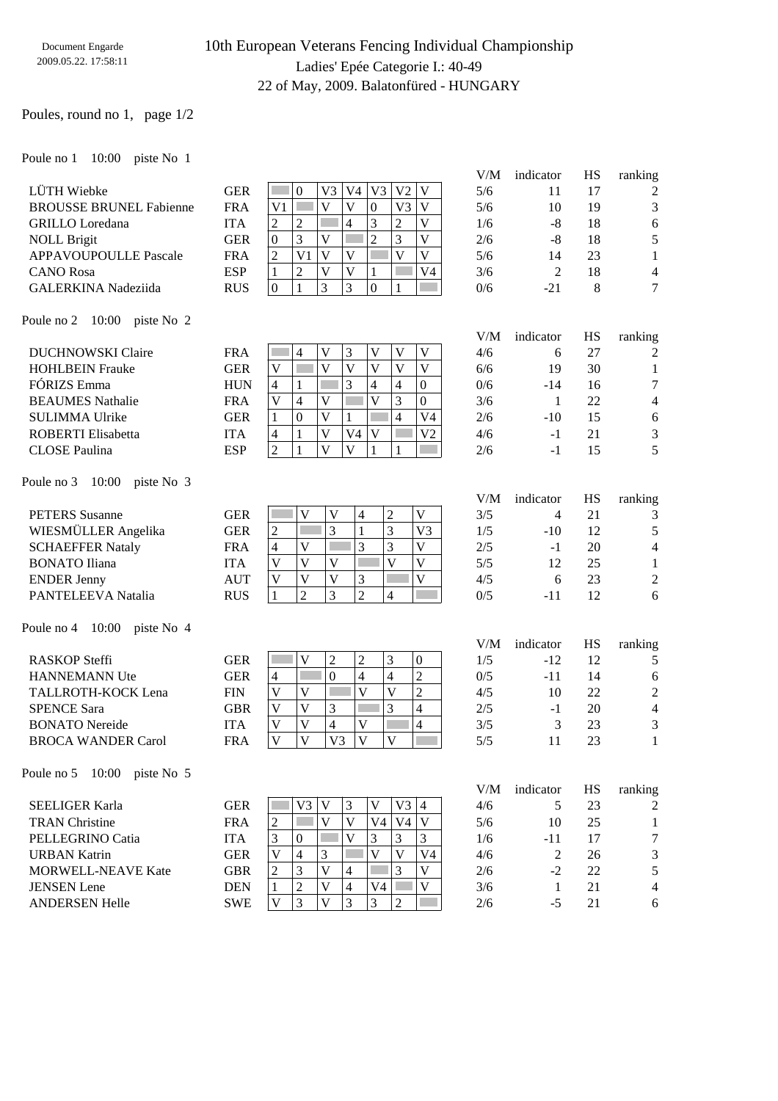# 10th European Veterans Fencing Individual Championship Ladies' Epée Categorie I.: 40-49 22 of May, 2009. Balatonfüred - HUNGARY

## Poules, round no 1, page 1/2

Poule no 1 10:00 piste No 1

|                                       |            | V/M<br>indicator                                                                                                                                                                                | HS                                  | ranking        |
|---------------------------------------|------------|-------------------------------------------------------------------------------------------------------------------------------------------------------------------------------------------------|-------------------------------------|----------------|
| LÜTH Wiebke                           | <b>GER</b> | V <sub>3</sub><br>V <sub>3</sub><br>V <sub>2</sub><br>V<br>$\overline{0}$<br>V <sub>4</sub><br>5/6                                                                                              | 17<br>11                            | 2              |
| <b>BROUSSE BRUNEL Fabienne</b>        | <b>FRA</b> | $\overline{V}$<br>$\overline{V}$<br>$\mathbf{V}$<br>V <sub>1</sub><br>$\boldsymbol{0}$<br>V <sub>3</sub><br>5/6                                                                                 | 19<br>10                            | 3              |
| <b>GRILLO</b> Loredana                | <b>ITA</b> | 3<br>$\overline{2}$<br>$\overline{4}$<br>$\overline{c}$<br>$\mathbf{V}$<br>$\overline{c}$<br>1/6                                                                                                | $-8$<br>18                          | 6              |
| <b>NOLL Brigit</b>                    | <b>GER</b> | 3<br>$\overline{2}$<br>3<br>$\mathbf{V}$<br>V<br>$\boldsymbol{0}$<br>2/6                                                                                                                        | $-8$<br>18                          | 5              |
| <b>APPAVOUPOULLE Pascale</b>          | <b>FRA</b> | $\mathbf{V}$<br>$\overline{V}$<br>$\overline{\mathsf{V}}$<br>$\overline{c}$<br>V <sub>1</sub><br>$\bar{V}$<br>5/6                                                                               | 23<br>14                            | 1              |
| <b>CANO</b> Rosa                      | <b>ESP</b> | $\overline{c}$<br>$\overline{\mathsf{V}}$<br>V <sub>4</sub><br>1<br>V<br>$\mathbf{1}$<br>3/6                                                                                                    | 2<br>18                             | 4              |
| <b>GALERKINA</b> Nadeziida            | <b>RUS</b> | 3<br>3<br>0<br>1<br>0/6<br>$\overline{0}$<br>1                                                                                                                                                  | 8<br>$-21$                          | 7              |
| 10:00<br>Poule no 2<br>piste No 2     |            |                                                                                                                                                                                                 |                                     |                |
|                                       |            | V/M<br>indicator                                                                                                                                                                                | HS                                  | ranking        |
| <b>DUCHNOWSKI</b> Claire              | <b>FRA</b> | $\mathbf V$<br>3<br>$\mathbf V$<br>$\mathbf V$<br>$\mathbf V$<br>4<br>4/6<br>$\overline{\mathsf{V}}$<br>$\overline{\mathsf{V}}$<br>$\overline{\mathsf{V}}$<br>$\mathbf V$<br>$\mathbf V$<br>in. | 27<br>6                             | 2              |
| <b>HOHLBEIN Frauke</b><br>FÓRIZS Emma | <b>GER</b> | V<br>6/6<br>3<br>$\overline{4}$<br>$\boldsymbol{0}$                                                                                                                                             | 30<br>19                            | 1              |
|                                       | <b>HUN</b> | 4<br>$\overline{4}$<br>1<br>0/6<br>$\overline{\mathbf{V}}$<br>3<br>$\overline{\mathsf{V}}$<br>$\overline{\mathsf{V}}$<br>$\mathbf{0}$                                                           | $-14$<br>16<br>22<br>$\overline{1}$ | 7              |
| <b>BEAUMES</b> Nathalie               | <b>FRA</b> | $\overline{4}$<br>3/6<br>$\overline{\mathsf{V}}$<br>$\overline{4}$<br>V <sub>4</sub>                                                                                                            | 15                                  | 4              |
| <b>SULIMMA Ulrike</b>                 | <b>GER</b> | $\boldsymbol{0}$<br>$\mathbf{1}$<br>2/6<br>1<br>$\overline{\mathsf{V}}$<br>$\mathbf V$<br>V <sub>2</sub>                                                                                        | $-10$                               | 6              |
| <b>ROBERTI</b> Elisabetta             | <b>ITA</b> | V <sub>4</sub><br>4/6<br>4<br>1<br>$\overline{2}$<br>$\overline{V}$<br>$\overline{V}$<br>1                                                                                                      | $-1$<br>21                          | 3<br>5         |
| <b>CLOSE Paulina</b>                  | <b>ESP</b> | $\mathbf{1}$<br>2/6                                                                                                                                                                             | $-1$<br>15                          |                |
| Poule no 3<br>10:00<br>piste No 3     |            |                                                                                                                                                                                                 |                                     |                |
|                                       |            | V/M<br>indicator                                                                                                                                                                                | <b>HS</b>                           | ranking        |
| <b>PETERS</b> Susanne                 | <b>GER</b> | $\overline{c}$<br>$\mathbf V$<br>l.<br>V<br>V<br>$\overline{4}$<br>3/5                                                                                                                          | 21<br>4                             | 3              |
| WIESMÜLLER Angelika                   | <b>GER</b> | 3<br>$\overline{3}$<br>$\mathbf{1}$<br>V <sub>3</sub><br>$\overline{c}$<br>1/5                                                                                                                  | 12<br>$-10$                         | 5              |
| <b>SCHAEFFER Nataly</b>               | <b>FRA</b> | 3<br>3<br>$\overline{\mathsf{V}}$<br>V<br>2/5<br>4                                                                                                                                              | 20<br>$-1$                          | 4              |
| <b>BONATO</b> Iliana                  | <b>ITA</b> | $\overline{V}$<br>$\mathbf{V}$<br>$\mathbf V$<br>V<br>V<br>5/5                                                                                                                                  | 12<br>25                            | 1              |
| <b>ENDER Jenny</b>                    | <b>AUT</b> | $\mathbf V$<br>$\mathbf V$<br>$\mathbf V$<br>V<br>3<br>4/5                                                                                                                                      | 23<br>6                             | 2              |
| PANTELEEVA Natalia                    | <b>RUS</b> | $\overline{2}$<br>$\overline{2}$<br>3<br>4<br>$\mathbf{1}$<br>0/5                                                                                                                               | 12<br>$-11$                         | 6              |
| 10:00<br>piste No 4<br>Poule no 4     |            |                                                                                                                                                                                                 |                                     |                |
|                                       |            | V/M<br>indicator                                                                                                                                                                                | <b>HS</b>                           | ranking        |
| <b>RASKOP Steffi</b>                  | <b>GER</b> | 3<br>$\mathbf{V}$<br>$\boldsymbol{2}$<br>$\boldsymbol{2}$<br>$\boldsymbol{0}$<br>1/5                                                                                                            | 12<br>$-12$                         | 5              |
| <b>HANNEMANN Ute</b>                  | <b>GER</b> | $\overline{2}$<br>$\mathbf{0}$<br>$\overline{4}$<br>$\overline{\mathcal{L}}$<br>4<br>0/5                                                                                                        | $-11$<br>14                         | 6              |
| TALLROTH-KOCK Lena                    | <b>FIN</b> | $\overline{c}$<br>$\bar{V}$<br>$\overline{\mathsf{V}}$<br>$\overline{\mathsf{V}}$<br>V<br>4/5                                                                                                   | 10<br>22                            | $\overline{c}$ |
| <b>SPENCE Sara</b>                    | <b>GBR</b> | 3<br>$\bar{V}$<br>3<br>$\overline{4}$<br>V<br>2/5                                                                                                                                               | 20<br>$-1$                          | 4              |
| <b>BONATO Nereide</b>                 | <b>ITA</b> | $\overline{\mathbf{V}}$<br>$\overline{\mathbf{4}}$<br>$\overline{\mathsf{V}}$<br>$\overline{4}$<br>V<br>3/5                                                                                     | 3<br>23                             | 3              |
| <b>BROCA WANDER Carol</b>             | <b>FRA</b> | $\overline{\mathsf{V}}$<br>V <sub>3</sub><br>$\overline{V}$<br>$\mathbf V$<br>$\mathbf{V}$<br>5/5                                                                                               | 11<br>23                            | 1              |
| Poule no $5 \quad 10:00$ piste No $5$ |            |                                                                                                                                                                                                 |                                     |                |
|                                       |            | V/M<br>indicator                                                                                                                                                                                | HS                                  | ranking        |
| <b>SEELIGER Karla</b>                 | <b>GER</b> | V3<br>$\mathbf V$<br>3<br>V<br>V3<br>4/6<br>$\overline{4}$                                                                                                                                      | 23<br>5                             | 2              |
| <b>TRAN Christine</b>                 | <b>FRA</b> | V<br>V<br>V4<br>2<br>V4<br>V<br>5/6                                                                                                                                                             | 10<br>25                            | 1              |
| PELLEGRINO Catia                      | <b>ITA</b> | 3<br>V<br>3<br>3<br>3<br>1/6<br>0                                                                                                                                                               | $-11$<br>17                         | 7              |
| <b>URBAN Katrin</b>                   | <b>GER</b> | V<br>V<br>4<br>V<br>V <sub>4</sub><br>3<br>4/6                                                                                                                                                  | 2<br>26                             | 3              |
| <b>MORWELL-NEAVE Kate</b>             | <b>GBR</b> | V<br>V<br>3<br>3<br>2<br>2/6<br>4                                                                                                                                                               | $-2$<br>22                          | 5              |
| <b>JENSEN</b> Lene                    | <b>DEN</b> | $\overline{c}$<br>V<br>V4<br>V<br>4<br>3/6<br>1                                                                                                                                                 | $\mathbf{1}$<br>21                  | 4              |
| <b>ANDERSEN Helle</b>                 | <b>SWE</b> | 3<br>V<br>3<br>V<br>3<br>2<br>2/6                                                                                                                                                               | $-5$<br>21                          | 6              |
|                                       |            |                                                                                                                                                                                                 |                                     |                |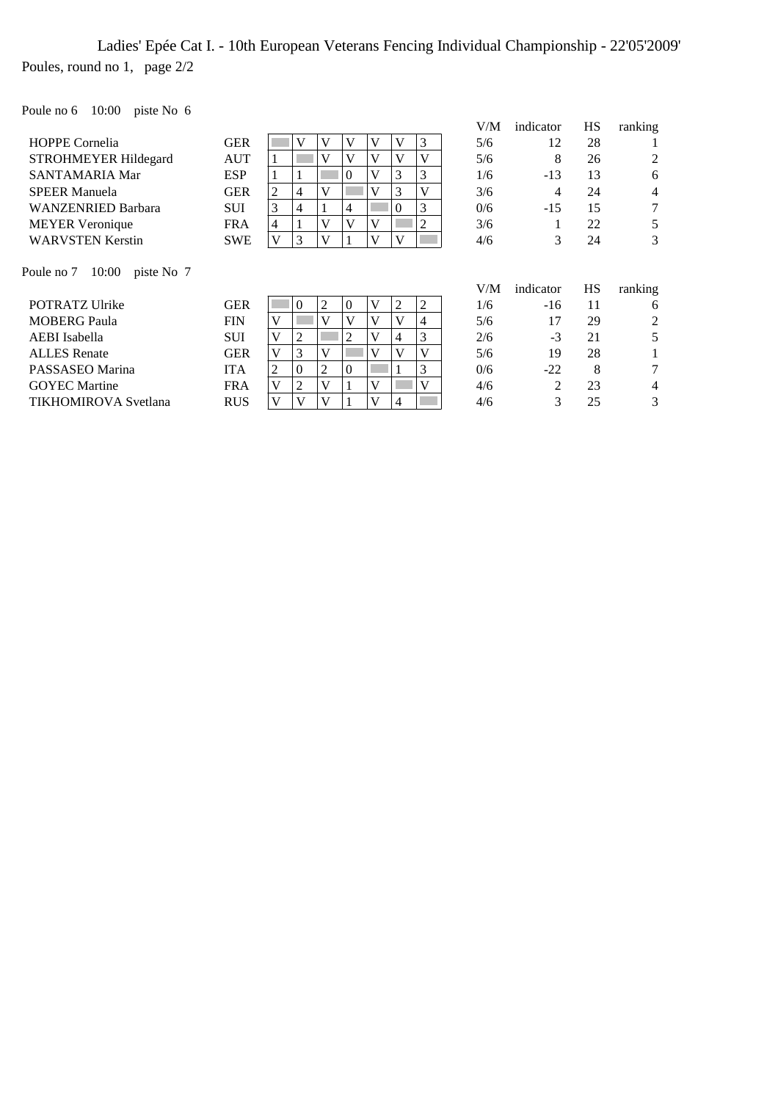# Ladies' Epée Cat I. - 10th European Veterans Fencing Individual Championship - 22'05'2009' Poules, round no 1, page 2/2

Poule no 6 10:00 piste No 6

|                                 |            |   |   |   |          |              |   |   | V/M | indicator | HS | ranking        |
|---------------------------------|------------|---|---|---|----------|--------------|---|---|-----|-----------|----|----------------|
| <b>HOPPE Cornelia</b>           | <b>GER</b> |   | V | v | V        | V            | V | 3 | 5/6 | 12        | 28 |                |
| <b>STROHMEYER Hildegard</b>     | <b>AUT</b> |   |   |   | V        | V            | V |   | 5/6 | 8         | 26 | 2              |
| <b>SANTAMARIA Mar</b>           | <b>ESP</b> |   |   |   | $\theta$ | V            | 3 | 3 | 1/6 | $-13$     | 13 | 6              |
| <b>SPEER Manuela</b>            | <b>GER</b> | 2 | 4 | v |          | V            | 3 |   | 3/6 | 4         | 24 | $\overline{4}$ |
| <b>WANZENRIED Barbara</b>       | <b>SUI</b> | 3 | 4 |   | 4        |              | 0 | 3 | 0/6 | $-15$     | 15 | $\tau$         |
| <b>MEYER</b> Veronique          | <b>FRA</b> | 4 |   | v | V        | $\mathbf{V}$ |   | 2 | 3/6 |           | 22 | 5              |
| <b>WARVSTEN Kerstin</b>         | <b>SWE</b> | v | 3 | V |          | $\mathbf{V}$ | V |   | 4/6 | 3         | 24 | 3              |
|                                 |            |   |   |   |          |              |   |   |     |           |    |                |
| Poule no 7 10:00<br>piste No. 7 |            |   |   |   |          |              |   |   |     |           |    |                |
|                                 |            |   |   |   |          |              |   |   | V/M | indicator | HS | ranking        |

POTRATZ Ulrike GER 0 2 0 V 2 2 1/6 -16 11 6 MOBERG Paula FIN  $V$  V V V V 4 5/6 17 29 2<br>AEBI Isabella SUI V 2 V 4 3 2/6 -3 21 5 AEBI Isabella SUI V 2 V 4 3 2/6 -3 21<br>ALLES Renate GER V 3 V V V V 5/6 19 28 ALLES Renate GER V 3 V V V V 5/6 19 28 1 PASSASEO Marina ITA 2 0 2 0 1 3 0/6 -22 8 7 GOYEC Martine FRA  $|V|2|V|1|V| = |V|$  4/6 2 23 4 TIKHOMIROVA Svetlana RUS V V V 1 V 4  $\boxed{4}$  4/6 3 25 3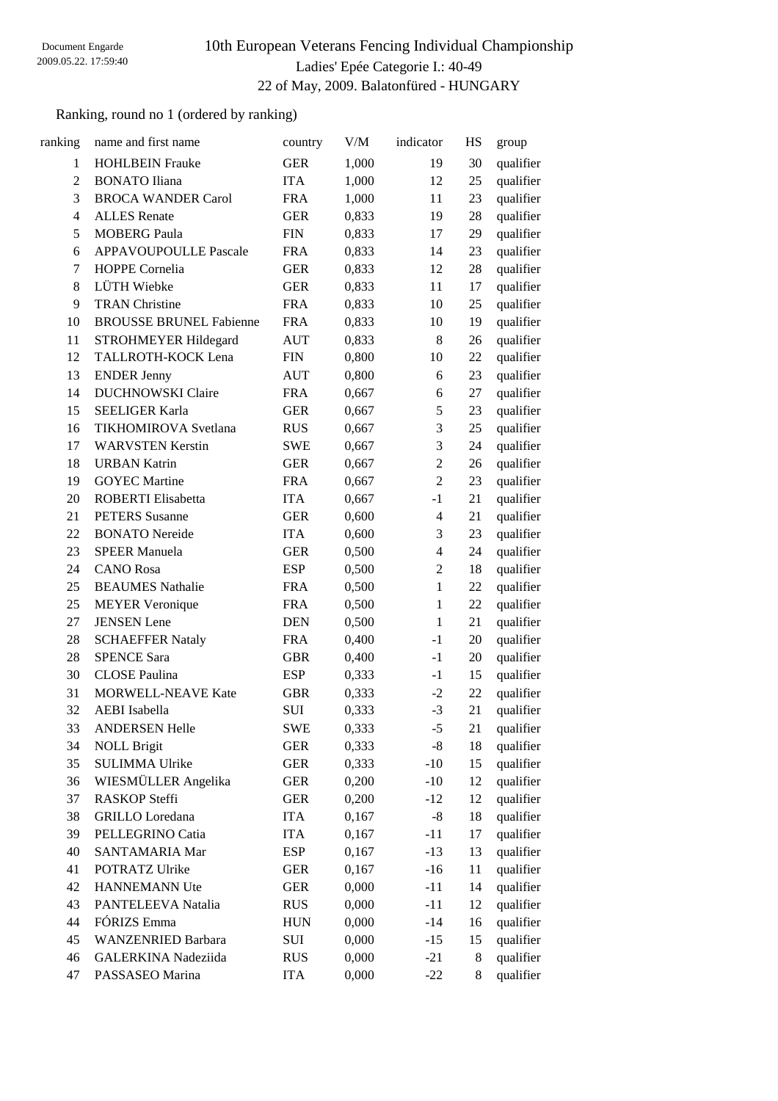# 10th European Veterans Fencing Individual Championship Ladies' Epée Categorie I.: 40-49 22 of May, 2009. Balatonfüred - HUNGARY

## Ranking, round no 1 (ordered by ranking)

| ranking        | name and first name            | country    | V/M   | indicator      | HS | group     |
|----------------|--------------------------------|------------|-------|----------------|----|-----------|
| $\mathbf{1}$   | <b>HOHLBEIN Frauke</b>         | <b>GER</b> | 1,000 | 19             | 30 | qualifier |
| $\overline{c}$ | <b>BONATO Iliana</b>           | <b>ITA</b> | 1,000 | 12             | 25 | qualifier |
| 3              | <b>BROCA WANDER Carol</b>      | <b>FRA</b> | 1,000 | 11             | 23 | qualifier |
| $\overline{4}$ | <b>ALLES</b> Renate            | <b>GER</b> | 0,833 | 19             | 28 | qualifier |
| 5              | <b>MOBERG Paula</b>            | <b>FIN</b> | 0,833 | 17             | 29 | qualifier |
| 6              | <b>APPAVOUPOULLE Pascale</b>   | <b>FRA</b> | 0,833 | 14             | 23 | qualifier |
| 7              | <b>HOPPE Cornelia</b>          | <b>GER</b> | 0,833 | 12             | 28 | qualifier |
| 8              | LÜTH Wiebke                    | <b>GER</b> | 0,833 | 11             | 17 | qualifier |
| 9              | <b>TRAN Christine</b>          | <b>FRA</b> | 0,833 | 10             | 25 | qualifier |
| 10             | <b>BROUSSE BRUNEL Fabienne</b> | <b>FRA</b> | 0,833 | 10             | 19 | qualifier |
| 11             | STROHMEYER Hildegard           | <b>AUT</b> | 0,833 | 8              | 26 | qualifier |
| 12             | TALLROTH-KOCK Lena             | <b>FIN</b> | 0,800 | 10             | 22 | qualifier |
| 13             | <b>ENDER Jenny</b>             | <b>AUT</b> | 0,800 | 6              | 23 | qualifier |
| 14             | <b>DUCHNOWSKI Claire</b>       | <b>FRA</b> | 0,667 | 6              | 27 | qualifier |
| 15             | <b>SEELIGER Karla</b>          | <b>GER</b> | 0,667 | 5              | 23 | qualifier |
| 16             | <b>TIKHOMIROVA</b> Svetlana    | <b>RUS</b> | 0,667 | 3              | 25 | qualifier |
| 17             | <b>WARVSTEN Kerstin</b>        | <b>SWE</b> | 0,667 | 3              | 24 | qualifier |
| 18             | <b>URBAN Katrin</b>            | <b>GER</b> | 0,667 | $\overline{2}$ | 26 | qualifier |
| 19             | <b>GOYEC Martine</b>           | <b>FRA</b> | 0,667 | $\overline{2}$ | 23 | qualifier |
| 20             | ROBERTI Elisabetta             | <b>ITA</b> | 0,667 | $-1$           | 21 | qualifier |
| 21             | <b>PETERS</b> Susanne          | <b>GER</b> | 0,600 | $\overline{4}$ | 21 | qualifier |
| 22             | <b>BONATO</b> Nereide          | <b>ITA</b> | 0,600 | 3              | 23 | qualifier |
| 23             | <b>SPEER Manuela</b>           | <b>GER</b> | 0,500 | $\overline{4}$ | 24 | qualifier |
| 24             | <b>CANO</b> Rosa               | <b>ESP</b> | 0,500 | $\mathfrak{2}$ | 18 | qualifier |
| 25             | <b>BEAUMES</b> Nathalie        | <b>FRA</b> | 0,500 | $\mathbf{1}$   | 22 | qualifier |
| 25             | <b>MEYER Veronique</b>         | <b>FRA</b> | 0,500 | $\mathbf{1}$   | 22 | qualifier |
| 27             | <b>JENSEN</b> Lene             | <b>DEN</b> | 0,500 | $\mathbf{1}$   | 21 | qualifier |
| 28             | <b>SCHAEFFER Nataly</b>        | <b>FRA</b> | 0,400 | $-1$           | 20 | qualifier |
| 28             | <b>SPENCE Sara</b>             | <b>GBR</b> | 0,400 | $-1$           | 20 | qualifier |
| 30             | <b>CLOSE Paulina</b>           | <b>ESP</b> | 0,333 | $-1$           | 15 | qualifier |
| 31             | <b>MORWELL-NEAVE Kate</b>      | <b>GBR</b> | 0,333 | $-2$           | 22 | qualifier |
| 32             | <b>AEBI</b> Isabella           | <b>SUI</b> | 0,333 | $-3$           | 21 | qualifier |
| 33             | <b>ANDERSEN Helle</b>          | <b>SWE</b> | 0,333 | $-5$           | 21 | qualifier |
| 34             | <b>NOLL Brigit</b>             | <b>GER</b> | 0,333 | $-8$           | 18 | qualifier |
| 35             | <b>SULIMMA Ulrike</b>          | <b>GER</b> | 0,333 | $-10$          | 15 | qualifier |
| 36             | WIESMÜLLER Angelika            | <b>GER</b> | 0,200 | $-10$          | 12 | qualifier |
| 37             | RASKOP Steffi                  | <b>GER</b> | 0,200 | $-12$          | 12 | qualifier |
| 38             | <b>GRILLO</b> Loredana         | <b>ITA</b> | 0,167 | $-8$           | 18 | qualifier |
| 39             | PELLEGRINO Catia               | <b>ITA</b> | 0,167 | $-11$          | 17 | qualifier |
| 40             | SANTAMARIA Mar                 | <b>ESP</b> | 0,167 | $-13$          | 13 | qualifier |
| 41             | POTRATZ Ulrike                 | <b>GER</b> | 0,167 | $-16$          | 11 | qualifier |
| 42             | HANNEMANN Ute                  | <b>GER</b> | 0,000 | $-11$          | 14 | qualifier |
| 43             | PANTELEEVA Natalia             | <b>RUS</b> | 0,000 | $-11$          | 12 | qualifier |
| 44             | FÓRIZS Emma                    | <b>HUN</b> | 0,000 | $-14$          | 16 | qualifier |
| 45             | <b>WANZENRIED Barbara</b>      | SUI        | 0,000 | $-15$          | 15 | qualifier |
| 46             | <b>GALERKINA Nadeziida</b>     | <b>RUS</b> | 0,000 | $-21$          | 8  | qualifier |
| 47             | PASSASEO Marina                | <b>ITA</b> | 0,000 | $-22$          | 8  | qualifier |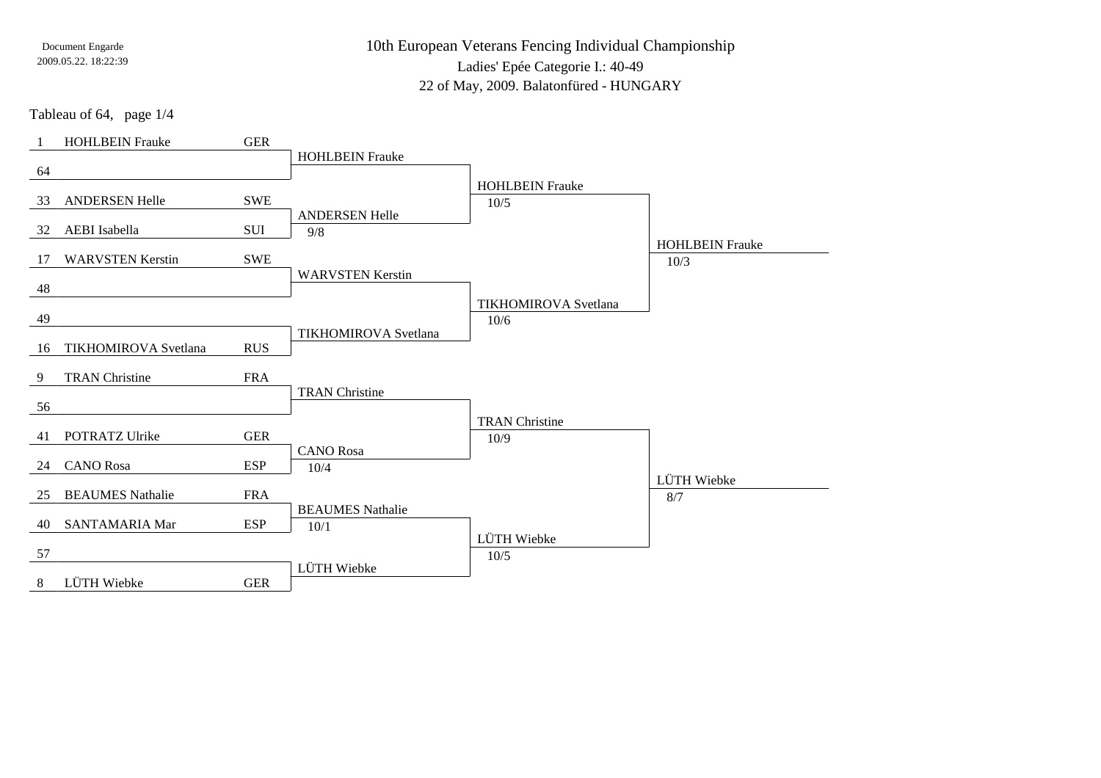10th European Veterans Fencing Individual Championship

Ladies' Epée Categorie I.: 40-49

22 of May, 2009. Balatonfüred - HUNGARY

Tableau of 64, page 1/4

| $\overline{1}$ | <b>HOHLBEIN Frauke</b>  | <b>GER</b> |                             |                             |                        |
|----------------|-------------------------|------------|-----------------------------|-----------------------------|------------------------|
| 64             |                         |            | <b>HOHLBEIN Frauke</b>      |                             |                        |
|                |                         |            |                             | <b>HOHLBEIN Frauke</b>      |                        |
| 33             | <b>ANDERSEN Helle</b>   | <b>SWE</b> |                             | 10/5                        |                        |
| 32             | AEBI Isabella           | SUI        | <b>ANDERSEN Helle</b>       |                             |                        |
|                |                         |            | 9/8                         |                             | <b>HOHLBEIN Frauke</b> |
| 17             | <b>WARVSTEN Kerstin</b> | <b>SWE</b> |                             |                             | 10/3                   |
| 48             |                         |            | <b>WARVSTEN Kerstin</b>     |                             |                        |
|                |                         |            |                             | <b>TIKHOMIROVA</b> Svetlana |                        |
| 49             |                         |            |                             | 10/6                        |                        |
| 16             | TIKHOMIROVA Svetlana    | <b>RUS</b> | <b>TIKHOMIROVA</b> Svetlana |                             |                        |
|                |                         |            |                             |                             |                        |
| 9              | <b>TRAN Christine</b>   | <b>FRA</b> | <b>TRAN Christine</b>       |                             |                        |
| 56             |                         |            |                             |                             |                        |
|                |                         |            |                             | <b>TRAN Christine</b>       |                        |
| 41             | <b>POTRATZ Ulrike</b>   | <b>GER</b> | <b>CANO</b> Rosa            | 10/9                        |                        |
| 24             | <b>CANO</b> Rosa        | <b>ESP</b> | 10/4                        |                             |                        |
|                |                         |            |                             |                             | LÜTH Wiebke            |
| 25             | <b>BEAUMES</b> Nathalie | <b>FRA</b> | <b>BEAUMES</b> Nathalie     |                             | 8/7                    |
| 40             | SANTAMARIA Mar          | <b>ESP</b> | 10/1                        |                             |                        |
|                |                         |            |                             | LÜTH Wiebke                 |                        |
| 57             |                         |            | LÜTH Wiebke                 | $10/5$                      |                        |
| 8              | LÜTH Wiebke             | <b>GER</b> |                             |                             |                        |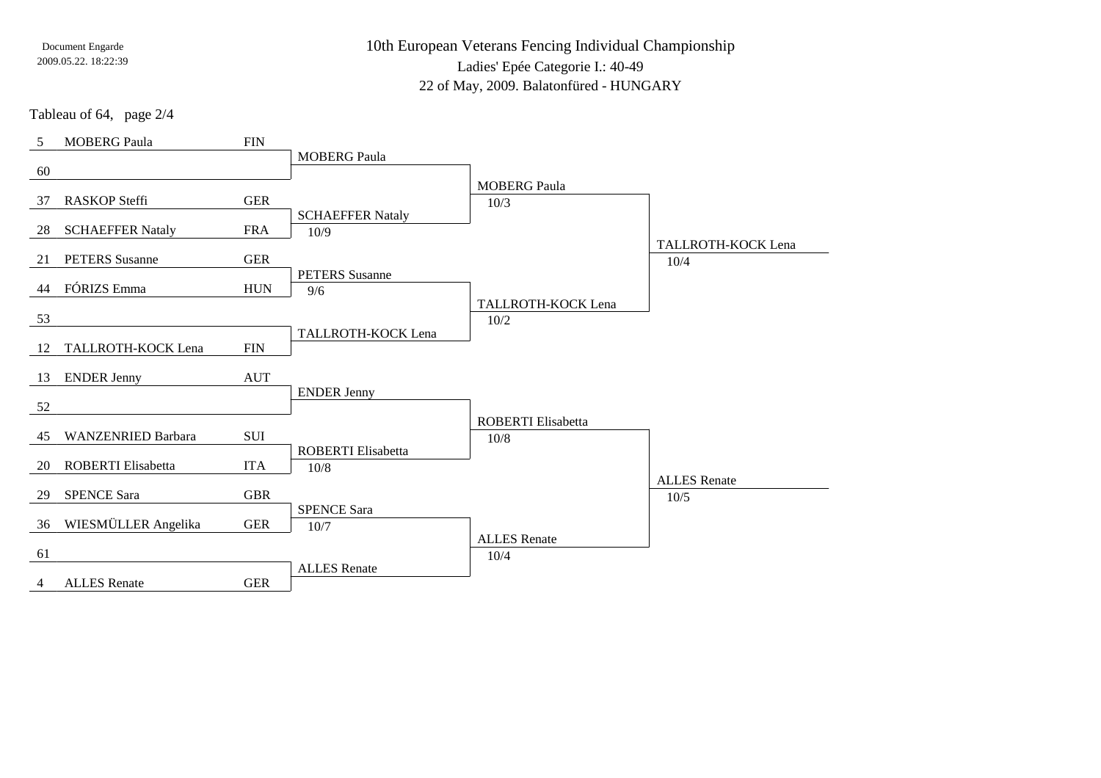10th European Veterans Fencing Individual Championship

Ladies' Epée Categorie I.: 40-49

22 of May, 2009. Balatonfüred - HUNGARY

Tableau of 64, page 2/4

| 5  | <b>MOBERG Paula</b>       | <b>FIN</b> |                                 |                                     |                     |
|----|---------------------------|------------|---------------------------------|-------------------------------------|---------------------|
| 60 |                           |            | <b>MOBERG Paula</b>             |                                     |                     |
|    |                           |            |                                 | <b>MOBERG Paula</b>                 |                     |
| 37 | <b>RASKOP Steffi</b>      | <b>GER</b> |                                 | 10/3                                |                     |
| 28 | <b>SCHAEFFER Nataly</b>   | <b>FRA</b> | <b>SCHAEFFER Nataly</b><br>10/9 |                                     |                     |
|    |                           |            |                                 |                                     | TALLROTH-KOCK Lena  |
| 21 | <b>PETERS</b> Susanne     | <b>GER</b> |                                 |                                     | 10/4                |
| 44 | FÓRIZS Emma               | <b>HUN</b> | <b>PETERS</b> Susanne<br>9/6    |                                     |                     |
|    |                           |            |                                 | TALLROTH-KOCK Lena                  |                     |
| 53 |                           |            | TALLROTH-KOCK Lena              | 10/2                                |                     |
| 12 | TALLROTH-KOCK Lena        | <b>FIN</b> |                                 |                                     |                     |
| 13 | <b>ENDER Jenny</b>        | <b>AUT</b> |                                 |                                     |                     |
|    |                           |            | <b>ENDER Jenny</b>              |                                     |                     |
| 52 |                           |            |                                 |                                     |                     |
| 45 | <b>WANZENRIED Barbara</b> | SUI        |                                 | <b>ROBERTI</b> Elisabetta<br>$10/8$ |                     |
|    |                           |            | <b>ROBERTI</b> Elisabetta       |                                     |                     |
| 20 | ROBERTI Elisabetta        | <b>ITA</b> | 10/8                            |                                     | <b>ALLES</b> Renate |
| 29 | <b>SPENCE Sara</b>        | <b>GBR</b> |                                 |                                     | 10/5                |
|    |                           |            | <b>SPENCE Sara</b>              |                                     |                     |
| 36 | WIESMÜLLER Angelika       | <b>GER</b> | 10/7                            | <b>ALLES</b> Renate                 |                     |
| 61 |                           |            |                                 | 10/4                                |                     |
| 4  | <b>ALLES</b> Renate       | <b>GER</b> | <b>ALLES</b> Renate             |                                     |                     |
|    |                           |            |                                 |                                     |                     |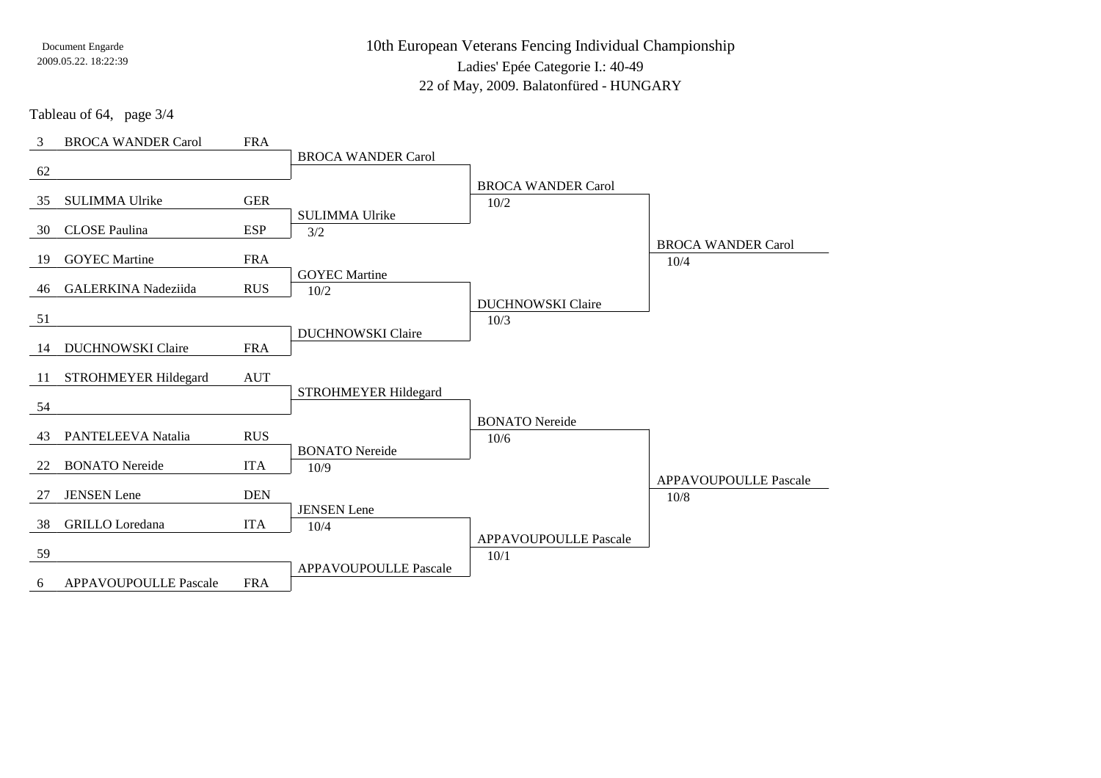10th European Veterans Fencing Individual ChampionshipLadies' Epée Categorie I.: 40-49

22 of May, 2009. Balatonfüred - HUNGARY

Tableau of 64, page 3/4

| 3  | <b>BROCA WANDER Carol</b>  | <b>FRA</b> |                               |                              |                              |
|----|----------------------------|------------|-------------------------------|------------------------------|------------------------------|
| 62 |                            |            | <b>BROCA WANDER Carol</b>     |                              |                              |
|    |                            |            |                               | <b>BROCA WANDER Carol</b>    |                              |
| 35 | <b>SULIMMA Ulrike</b>      | <b>GER</b> |                               | 10/2                         |                              |
| 30 | <b>CLOSE</b> Paulina       | <b>ESP</b> | <b>SULIMMA Ulrike</b>         |                              |                              |
|    |                            |            | 3/2                           |                              | <b>BROCA WANDER Carol</b>    |
| 19 | <b>GOYEC</b> Martine       | <b>FRA</b> |                               |                              | 10/4                         |
| 46 | <b>GALERKINA</b> Nadeziida | <b>RUS</b> | <b>GOYEC Martine</b><br>10/2  |                              |                              |
|    |                            |            |                               | <b>DUCHNOWSKI Claire</b>     |                              |
| 51 |                            |            |                               | 10/3                         |                              |
| 14 | <b>DUCHNOWSKI</b> Claire   | <b>FRA</b> | <b>DUCHNOWSKI Claire</b>      |                              |                              |
|    |                            |            |                               |                              |                              |
| 11 | STROHMEYER Hildegard       | <b>AUT</b> |                               |                              |                              |
| 54 |                            |            | STROHMEYER Hildegard          |                              |                              |
|    |                            |            |                               | <b>BONATO</b> Nereide        |                              |
| 43 | PANTELEEVA Natalia         | <b>RUS</b> |                               | 10/6                         |                              |
| 22 | <b>BONATO</b> Nereide      | <b>ITA</b> | <b>BONATO</b> Nereide<br>10/9 |                              |                              |
|    |                            |            |                               |                              | <b>APPAVOUPOULLE Pascale</b> |
| 27 | <b>JENSEN</b> Lene         | <b>DEN</b> |                               |                              | 10/8                         |
| 38 | <b>GRILLO</b> Loredana     | <b>ITA</b> | <b>JENSEN</b> Lene<br>10/4    |                              |                              |
|    |                            |            |                               | <b>APPAVOUPOULLE Pascale</b> |                              |
| 59 |                            |            | <b>APPAVOUPOULLE Pascale</b>  | 10/1                         |                              |
| 6  | APPAVOUPOULLE Pascale      | <b>FRA</b> |                               |                              |                              |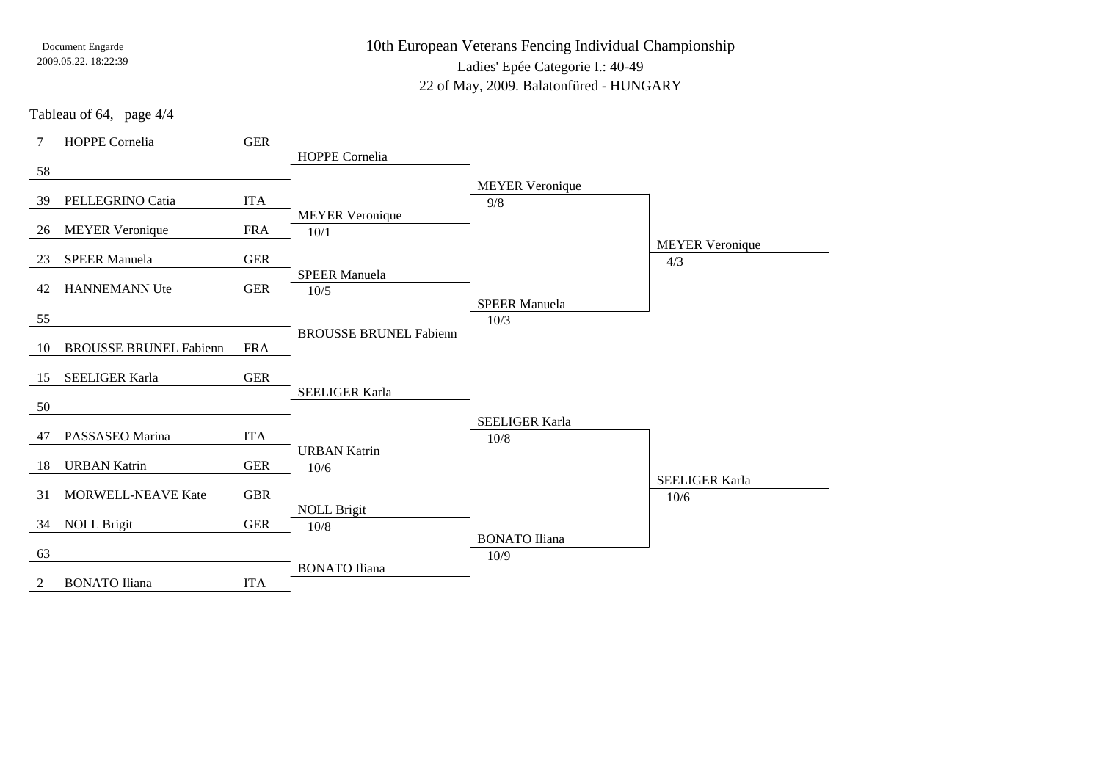10th European Veterans Fencing Individual Championship

Ladies' Epée Categorie I.: 40-49

22 of May, 2009. Balatonfüred - HUNGARY

Tableau of 64, page 4/4

| 7  | HOPPE Cornelia                | <b>GER</b> |                               |                        |                        |
|----|-------------------------------|------------|-------------------------------|------------------------|------------------------|
|    |                               |            | HOPPE Cornelia                |                        |                        |
| 58 |                               |            |                               | <b>MEYER Veronique</b> |                        |
| 39 | PELLEGRINO Catia              | <b>ITA</b> |                               | 9/8                    |                        |
|    |                               |            | <b>MEYER Veronique</b>        |                        |                        |
| 26 | <b>MEYER Veronique</b>        | <b>FRA</b> | 10/1                          |                        | <b>MEYER Veronique</b> |
| 23 | <b>SPEER Manuela</b>          | <b>GER</b> |                               |                        | 4/3                    |
|    |                               |            | <b>SPEER Manuela</b>          |                        |                        |
| 42 | <b>HANNEMANN Ute</b>          | <b>GER</b> | $10/5$                        | <b>SPEER Manuela</b>   |                        |
| 55 |                               |            |                               | 10/3                   |                        |
|    |                               |            | <b>BROUSSE BRUNEL Fabienn</b> |                        |                        |
| 10 | <b>BROUSSE BRUNEL Fabienn</b> | <b>FRA</b> |                               |                        |                        |
| 15 | <b>SEELIGER Karla</b>         | <b>GER</b> |                               |                        |                        |
| 50 |                               |            | <b>SEELIGER Karla</b>         |                        |                        |
|    |                               |            |                               | <b>SEELIGER Karla</b>  |                        |
| 47 | PASSASEO Marina               | <b>ITA</b> |                               | $10/8$                 |                        |
|    | <b>URBAN Katrin</b>           | <b>GER</b> | <b>URBAN Katrin</b>           |                        |                        |
| 18 |                               |            | 10/6                          |                        | <b>SEELIGER Karla</b>  |
| 31 | <b>MORWELL-NEAVE Kate</b>     | <b>GBR</b> |                               |                        | 10/6                   |
| 34 | <b>NOLL Brigit</b>            | <b>GER</b> | <b>NOLL Brigit</b>            |                        |                        |
|    |                               |            | $10/8$                        | <b>BONATO</b> Iliana   |                        |
| 63 |                               |            |                               | 10/9                   |                        |
|    | <b>BONATO</b> Iliana          | <b>ITA</b> | <b>BONATO</b> Iliana          |                        |                        |
| 2  |                               |            |                               |                        |                        |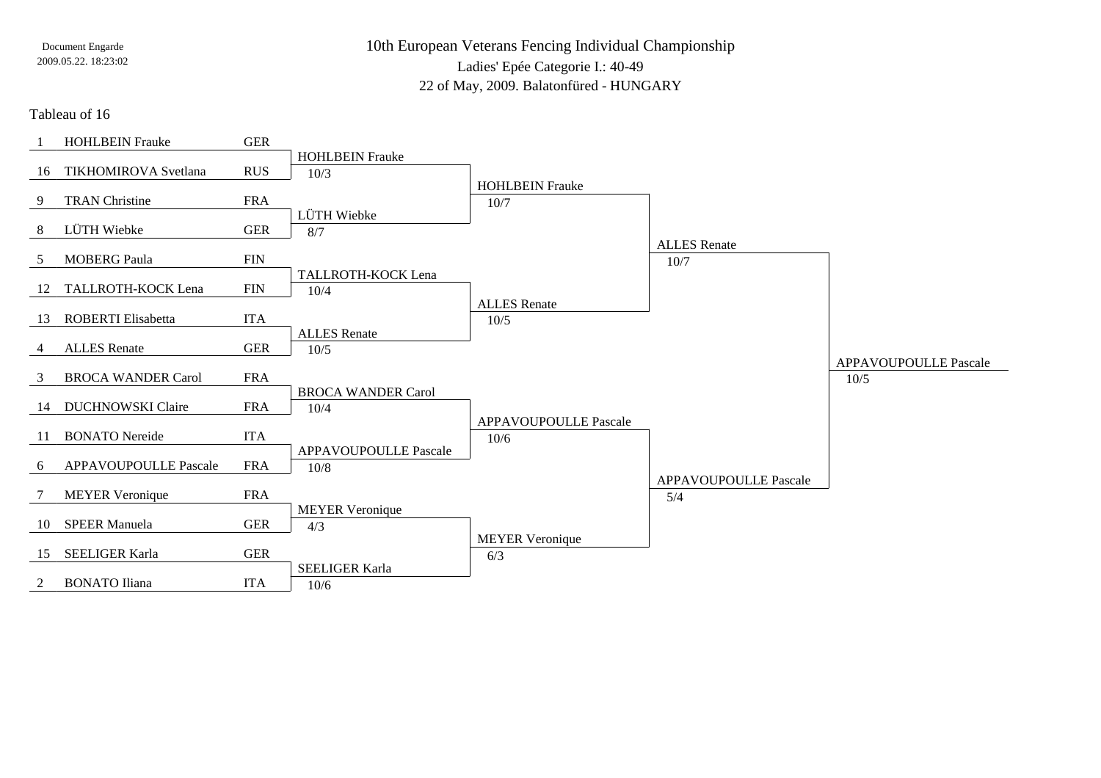10th European Veterans Fencing Individual ChampionshipLadies' Epée Categorie I.: 40-49

22 of May, 2009. Balatonfüred - HUNGARY

#### Tableau of 16

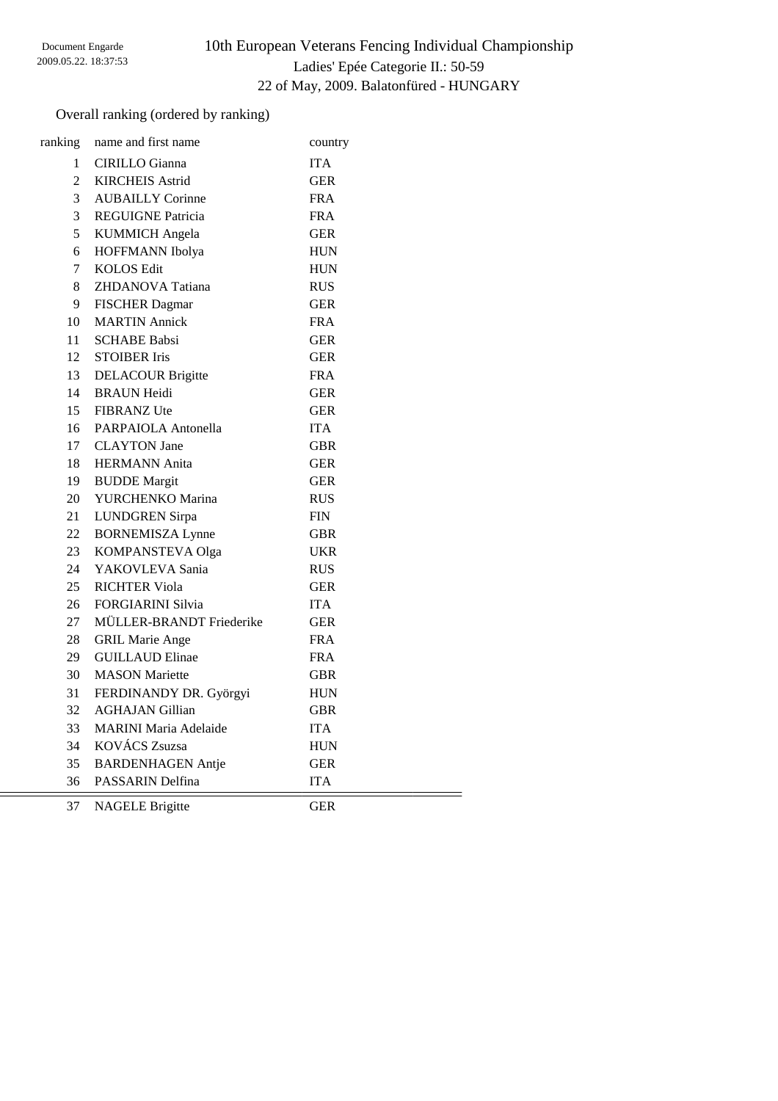# 10th European Veterans Fencing Individual Championship Ladies' Epée Categorie II.: 50-59 22 of May, 2009. Balatonfüred - HUNGARY

## Overall ranking (ordered by ranking)

| ranking        | name and first name          | country    |
|----------------|------------------------------|------------|
| $\mathbf{1}$   | CIRILLO Gianna               | <b>ITA</b> |
| $\mathfrak{D}$ | <b>KIRCHEIS Astrid</b>       | <b>GER</b> |
| 3              | <b>AUBAILLY Corinne</b>      | <b>FRA</b> |
| 3              | <b>REGUIGNE Patricia</b>     | <b>FRA</b> |
| 5              | <b>KUMMICH</b> Angela        | <b>GER</b> |
| 6              | HOFFMANN Ibolya              | HUN        |
| $\overline{7}$ | <b>KOLOS Edit</b>            | <b>HUN</b> |
| 8              | ZHDANOVA Tatiana             | <b>RUS</b> |
| 9              | <b>FISCHER Dagmar</b>        | <b>GER</b> |
| 10             | <b>MARTIN</b> Annick         | FRA        |
| 11             | <b>SCHABE Babsi</b>          | <b>GER</b> |
| 12             | <b>STOIBER Iris</b>          | <b>GER</b> |
| 13             | <b>DELACOUR Brigitte</b>     | <b>FRA</b> |
| 14             | <b>BRAUN Heidi</b>           | <b>GER</b> |
| 15             | <b>FIBRANZ</b> Ute           | GER        |
| 16             | PARPAIOLA Antonella          | <b>ITA</b> |
| 17             | <b>CLAYTON</b> Jane          | GBR        |
| 18             | <b>HERMANN</b> Anita         | <b>GER</b> |
| 19             | <b>BUDDE</b> Margit          | GER        |
| 20             | YURCHENKO Marina             | <b>RUS</b> |
| 21             | <b>LUNDGREN</b> Sirpa        | <b>FIN</b> |
| 22             | <b>BORNEMISZA Lynne</b>      | <b>GBR</b> |
| 23             | KOMPANSTEVA Olga             | <b>UKR</b> |
| 24             | YAKOVLEVA Sania              | <b>RUS</b> |
| 25             | <b>RICHTER Viola</b>         | <b>GER</b> |
| 26             | <b>FORGIARINI Silvia</b>     | <b>ITA</b> |
| 27             | MÜLLER-BRANDT Friederike     | <b>GER</b> |
| 28             | <b>GRIL Marie Ange</b>       | <b>FRA</b> |
| 29             | <b>GUILLAUD Elinae</b>       | <b>FRA</b> |
| 30             | <b>MASON</b> Mariette        | <b>GBR</b> |
| 31             | FERDINANDY DR. Györgyi       | <b>HUN</b> |
| 32             | <b>AGHAJAN Gillian</b>       | <b>GBR</b> |
| 33             | <b>MARINI Maria Adelaide</b> | <b>ITA</b> |
| 34             | KOVÁCS Zsuzsa                | <b>HUN</b> |
| 35             | <b>BARDENHAGEN Antje</b>     | <b>GER</b> |
| 36             | PASSARIN Delfina             | <b>ITA</b> |
|                |                              |            |

NAGELE Brigitte GER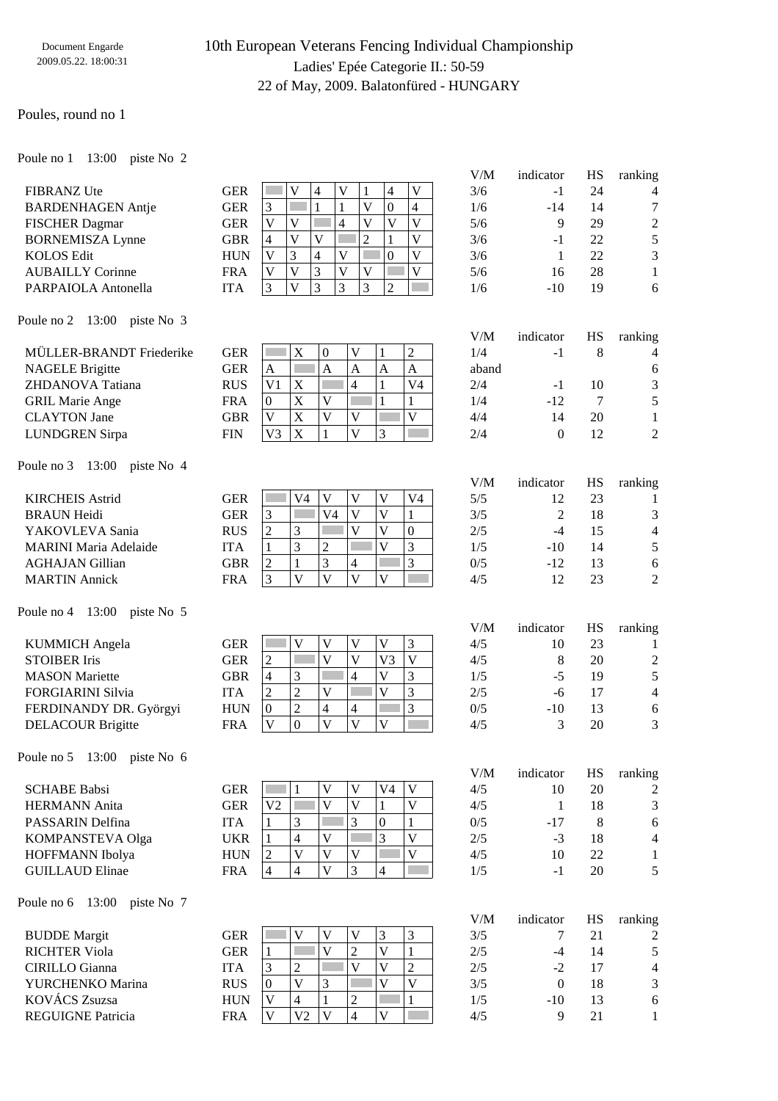## 10th European Veterans Fencing Individual Championship Ladies' Epée Categorie II.: 50-59 22 of May, 2009. Balatonfüred - HUNGARY

#### Poules, round no 1

Poule no 1 13:00 piste No 2

| <b>FIBRANZ</b> Ute       | <b>GER</b> |   |  |   | 4 |  |
|--------------------------|------------|---|--|---|---|--|
| <b>BARDENHAGEN Antie</b> | <b>GER</b> |   |  |   |   |  |
| <b>FISCHER Dagmar</b>    | <b>GER</b> |   |  | 4 |   |  |
| <b>BORNEMISZA Lynne</b>  | <b>GBR</b> | 4 |  |   |   |  |
| <b>KOLOS Edit</b>        | <b>HUN</b> |   |  |   |   |  |
| <b>AUBAILLY Corinne</b>  | <b>FRA</b> |   |  |   |   |  |
| PARPAIOLA Antonella      |            |   |  |   |   |  |

| V/M | indicator | HS | ranking |
|-----|-----------|----|---------|
| 3/6 | $-1$      | 24 |         |
| 1/6 | $-14$     | 14 | 7       |
| 5/6 | 9         | 29 | 2       |
| 3/6 | $-1$      | 22 | 5       |
| 3/6 | 1         | 22 | 3       |
| 5/6 | 16        | 28 | 1       |
| 1/6 | $-10$     | 19 | 6       |
|     |           |    |         |

Poule no 2 13:00 piste No 3

| MÜLLER-BRANDT Friederike | GER        |    | A                 | $\overline{0}$ |   |   | ∠     | 1/4   | - 1 |    | 4              |
|--------------------------|------------|----|-------------------|----------------|---|---|-------|-------|-----|----|----------------|
| <b>NAGELE Brigitte</b>   | GER        | A  |                   | Α              | A | A | A     | aband |     |    |                |
| ZHDANOVA Tatiana         | <b>RUS</b> |    | $\mathbf{v}$<br>л |                |   |   | $V_4$ | 2/4   | - 1 | 10 | 3              |
| <b>GRIL Marie Ange</b>   | FRA        |    |                   | <b>T</b> 7     |   |   |       | 1/4   | -12 |    |                |
| <b>CLAYTON</b> Jane      | GBR        |    |                   |                |   |   |       | 4/4   |     | 20 |                |
| <b>LUNDGREN Sirpa</b>    | FIN        | V3 | X                 |                |   |   |       | 2/4   |     | 12 | $\overline{2}$ |
|                          |            |    |                   |                |   |   |       |       |     |    |                |

Poule no 3 13:00 piste No 4

| <b>KIRCHEIS Astrid</b>       | GER        |   | V4 | $\mathbf{V}$ |  | V <sub>4</sub> | 5/5 |       | 23 |                |
|------------------------------|------------|---|----|--------------|--|----------------|-----|-------|----|----------------|
| <b>BRAUN Heidi</b>           | GER        |   |    | V4           |  |                | 3/5 |       | 18 | 3              |
| YAKOVLEVA Sania              | <b>RUS</b> | ∼ |    |              |  |                | 2/5 |       |    | $\overline{4}$ |
| <b>MARINI Maria Adelaide</b> | <b>ITA</b> |   |    | $\sim$<br>∠  |  |                | 1/5 | $-10$ | 14 |                |
| <b>AGHAJAN Gillian</b>       | GBR        |   |    |              |  |                | 0/5 | $-12$ |    |                |
| <b>MARTIN</b> Annick         | FRA        |   |    |              |  |                | 4/5 |       | 23 | $\overline{2}$ |
|                              |            |   |    |              |  |                |     |       |    |                |

Poule no 4 13:00 piste No 5

| <b>KUMMICH</b> Angela    | GER        |   |   | $\mathbf{V}$ |            |              | 4/5 | 10  | 23 |                |
|--------------------------|------------|---|---|--------------|------------|--------------|-----|-----|----|----------------|
| <b>STOIBER Iris</b>      | GER        |   |   | v            | <b>17つ</b> | $\mathbf{V}$ | 4/5 |     | 20 | $\overline{2}$ |
| <b>MASON</b> Mariette    | GBR        | 4 |   |              | . .        | $\sim$       | 1/5 | - - | 19 |                |
| <b>FORGIARINI Silvia</b> | ITA        | ∠ |   | $\mathbf{V}$ |            | $\sim$       | 2/5 | -ი  |    | 4              |
| FERDINANDY DR. Györgyi   | <b>HUN</b> | 0 | ∼ |              |            |              | 0/5 | -10 | 13 |                |
| <b>DELACOUR Brigitte</b> | FRA        |   |   | V            |            |              | 4/5 |     | 20 | 3              |
|                          |            |   |   |              |            |              |     |     |    |                |

Poule no 5 13:00 piste No 6

| <b>SCHABE Babsi</b>    | GER        |                |  | V4 | 4/5 | 10    | 20 | $\overline{2}$ |
|------------------------|------------|----------------|--|----|-----|-------|----|----------------|
| <b>HERMANN</b> Anita   | GER        | V <sub>2</sub> |  |    | 4/5 |       | 18 | 3              |
| PASSARIN Delfina       | IТA        |                |  |    | 0/5 | $-17$ | 8  |                |
| KOMPANSTEVA Olga       | UKR        |                |  |    | 2/5 | - 1   | 18 | 4              |
| <b>HOFFMANN</b> Ibolya | <b>HUN</b> | ി              |  |    | 4/5 | 10    | 22 |                |
| <b>GUILLAUD Elinae</b> | FRA        | 4              |  | 4  | 1/5 | - 1   | 20 |                |
|                        |            |                |  |    |     |       |    |                |

Poule no 6 13:00 piste No 7

| <b>BUDDE</b> Margit      | GER        |   |        |   |   | 3/5 |      | 21 | $\overline{2}$ |
|--------------------------|------------|---|--------|---|---|-----|------|----|----------------|
| <b>RICHTER Viola</b>     | GER        |   |        |   |   | 2/5 |      | 14 |                |
| <b>CIRILLO</b> Gianna    | ITA        | ◠ |        |   |   | 2/5 | $-2$ |    | 4              |
| YURCHENKO Marina         | <b>RUS</b> |   | $\sim$ |   | V | 3/5 |      | 18 | 3              |
| KOVÁCS Zsuzsa            | <b>HUN</b> |   |        | ∼ |   | 1/5 | -10  | 13 |                |
| <b>REGUIGNE Patricia</b> | FRA        |   |        |   |   | 4/5 |      |    |                |

| V/M   | indicator | HS | ranking |
|-------|-----------|----|---------|
| 1/4   | -1        | 8  | 4       |
| aband |           |    | 6       |
| 2/4   | $-1$      | 10 | 3       |
| 1/4   | $-12$     | 7  | 5       |
| 4/4   | 14        | 20 | 1       |
| 2/4   | 0         | 12 | 2       |

| V/M | indicator                   | HS | ranking |
|-----|-----------------------------|----|---------|
| 5/5 | 12                          | 23 |         |
| 3/5 | $\mathcal{D}_{\mathcal{L}}$ | 18 | 3       |
| 2/5 | $-4$                        | 15 | 4       |
| 1/5 | $-10$                       | 14 | 5       |
| 0/5 | $-12$                       | 13 | 6       |
| 4/5 | 12                          | 23 | 2       |

| indicator | HS | ranking       |
|-----------|----|---------------|
| 10        | 23 |               |
| 8         | 20 | 2             |
| $-5$      | 19 | 5             |
| -6        | 17 | 4             |
| $-10$     | 13 | 6             |
| 3         | 20 | $\mathcal{F}$ |
|           |    |               |

| V/M | indicator | HS | ranking |
|-----|-----------|----|---------|
| 4/5 | 10        | 20 | 2       |
| 4/5 | 1         | 18 | 3       |
| 0/5 | $-17$     | 8  | 6       |
| 2/5 | $-3$      | 18 | 4       |
| 4/5 | 10        | 22 | 1       |
| 1/5 | $-1$      | 20 | 5       |
|     |           |    |         |

| V/M | indicator | HS | ranking |
|-----|-----------|----|---------|
| 3/5 |           | 21 | 2       |
| 2/5 | $-4$      | 14 | 5       |
| 2/5 | $-2$      | 17 | 4       |
| 3/5 | 0         | 18 | 3       |
| 1/5 | $-10$     | 13 | 6       |
| 4/5 | q         | 21 |         |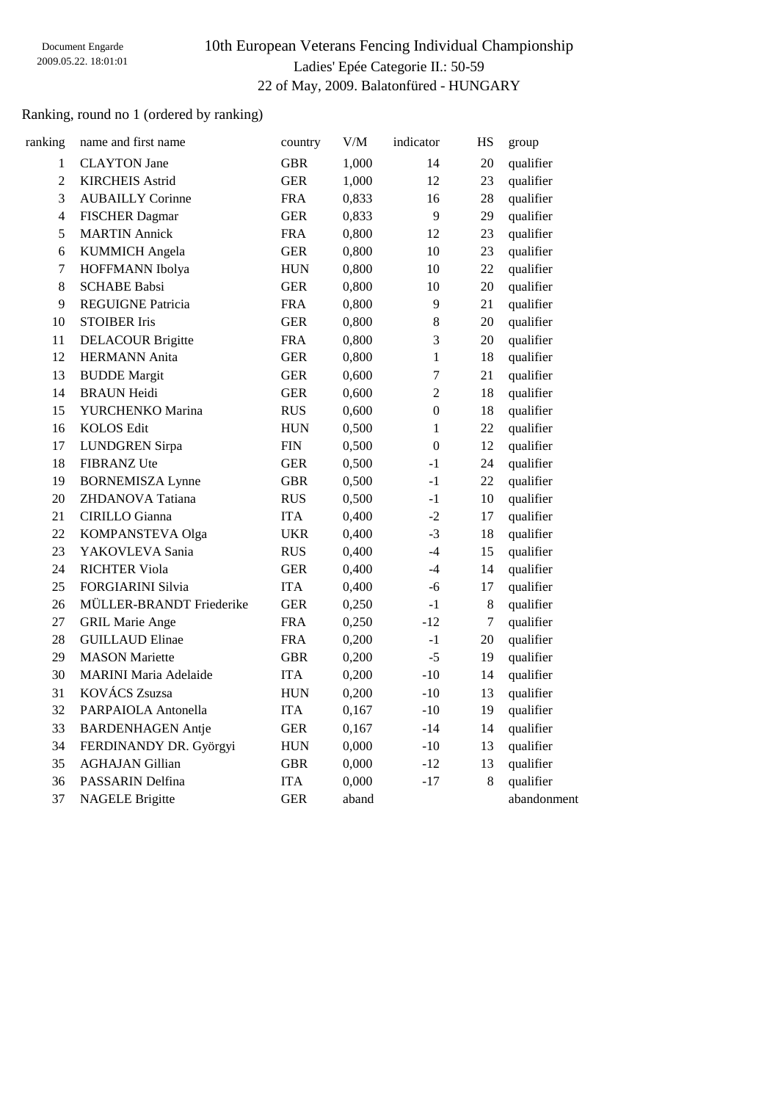# 10th European Veterans Fencing Individual Championship Ladies' Epée Categorie II.: 50-59 22 of May, 2009. Balatonfüred - HUNGARY

## Ranking, round no 1 (ordered by ranking)

| ranking          | name and first name          | country     | $V/M$ | indicator      | HS               | group       |
|------------------|------------------------------|-------------|-------|----------------|------------------|-------------|
| 1                | <b>CLAYTON</b> Jane          | <b>GBR</b>  | 1,000 | 14             | 20               | qualifier   |
| $\overline{2}$   | <b>KIRCHEIS Astrid</b>       | <b>GER</b>  | 1,000 | 12             | 23               | qualifier   |
| 3                | <b>AUBAILLY Corinne</b>      | <b>FRA</b>  | 0,833 | 16             | 28               | qualifier   |
| $\overline{4}$   | <b>FISCHER Dagmar</b>        | <b>GER</b>  | 0,833 | 9              | 29               | qualifier   |
| 5                | <b>MARTIN Annick</b>         | <b>FRA</b>  | 0,800 | 12             | 23               | qualifier   |
| 6                | <b>KUMMICH</b> Angela        | <b>GER</b>  | 0,800 | 10             | 23               | qualifier   |
| $\boldsymbol{7}$ | HOFFMANN Ibolya              | ${\rm HUN}$ | 0,800 | 10             | 22               | qualifier   |
| $8\,$            | <b>SCHABE Babsi</b>          | <b>GER</b>  | 0,800 | 10             | 20               | qualifier   |
| 9                | <b>REGUIGNE Patricia</b>     | <b>FRA</b>  | 0,800 | 9              | 21               | qualifier   |
| 10               | <b>STOIBER Iris</b>          | <b>GER</b>  | 0,800 | $8\,$          | $20\,$           | qualifier   |
| 11               | <b>DELACOUR Brigitte</b>     | <b>FRA</b>  | 0,800 | 3              | 20               | qualifier   |
| 12               | <b>HERMANN</b> Anita         | <b>GER</b>  | 0,800 | $\mathbf{1}$   | 18               | qualifier   |
| 13               | <b>BUDDE</b> Margit          | <b>GER</b>  | 0,600 | $\overline{7}$ | 21               | qualifier   |
| 14               | <b>BRAUN Heidi</b>           | <b>GER</b>  | 0,600 | $\overline{c}$ | 18               | qualifier   |
| 15               | YURCHENKO Marina             | <b>RUS</b>  | 0,600 | $\overline{0}$ | 18               | qualifier   |
| 16               | <b>KOLOS Edit</b>            | ${\rm HUN}$ | 0,500 | $\mathbf{1}$   | 22               | qualifier   |
| 17               | <b>LUNDGREN</b> Sirpa        | ${\rm FIN}$ | 0,500 | $\overline{0}$ | 12               | qualifier   |
| 18               | <b>FIBRANZ Ute</b>           | <b>GER</b>  | 0,500 | $-1$           | 24               | qualifier   |
| 19               | <b>BORNEMISZA Lynne</b>      | <b>GBR</b>  | 0,500 | $-1$           | 22               | qualifier   |
| 20               | ZHDANOVA Tatiana             | <b>RUS</b>  | 0,500 | $-1$           | 10               | qualifier   |
| 21               | <b>CIRILLO</b> Gianna        | <b>ITA</b>  | 0,400 | $-2$           | 17               | qualifier   |
| 22               | KOMPANSTEVA Olga             | <b>UKR</b>  | 0,400 | $-3$           | 18               | qualifier   |
| 23               | YAKOVLEVA Sania              | <b>RUS</b>  | 0,400 | $-4$           | 15               | qualifier   |
| 24               | <b>RICHTER Viola</b>         | <b>GER</b>  | 0,400 | $-4$           | 14               | qualifier   |
| 25               | <b>FORGIARINI Silvia</b>     | <b>ITA</b>  | 0,400 | -6             | 17               | qualifier   |
| 26               | MÜLLER-BRANDT Friederike     | <b>GER</b>  | 0,250 | $-1$           | $\,8\,$          | qualifier   |
| 27               | <b>GRIL Marie Ange</b>       | <b>FRA</b>  | 0,250 | $-12$          | $\boldsymbol{7}$ | qualifier   |
| 28               | <b>GUILLAUD Elinae</b>       | <b>FRA</b>  | 0,200 | $-1$           | $20\,$           | qualifier   |
| 29               | <b>MASON</b> Mariette        | <b>GBR</b>  | 0,200 | $-5$           | 19               | qualifier   |
| 30               | <b>MARINI Maria Adelaide</b> | <b>ITA</b>  | 0,200 | $-10$          | 14               | qualifier   |
| 31               | <b>KOVÁCS Zsuzsa</b>         | <b>HUN</b>  | 0,200 | $-10$          | 13               | qualifier   |
| 32               | PARPAIOLA Antonella          | <b>ITA</b>  | 0,167 | $-10$          | 19               | qualifier   |
| 33               | <b>BARDENHAGEN Antje</b>     | <b>GER</b>  | 0,167 | $-14$          | 14               | qualifier   |
| 34               | FERDINANDY DR. Györgyi       | ${\rm HUN}$ | 0,000 | $-10$          | 13               | qualifier   |
| 35               | <b>AGHAJAN Gillian</b>       | <b>GBR</b>  | 0,000 | $-12$          | 13               | qualifier   |
| 36               | PASSARIN Delfina             | <b>ITA</b>  | 0,000 | $-17$          | 8                | qualifier   |
| 37               | <b>NAGELE Brigitte</b>       | <b>GER</b>  | aband |                |                  | abandonment |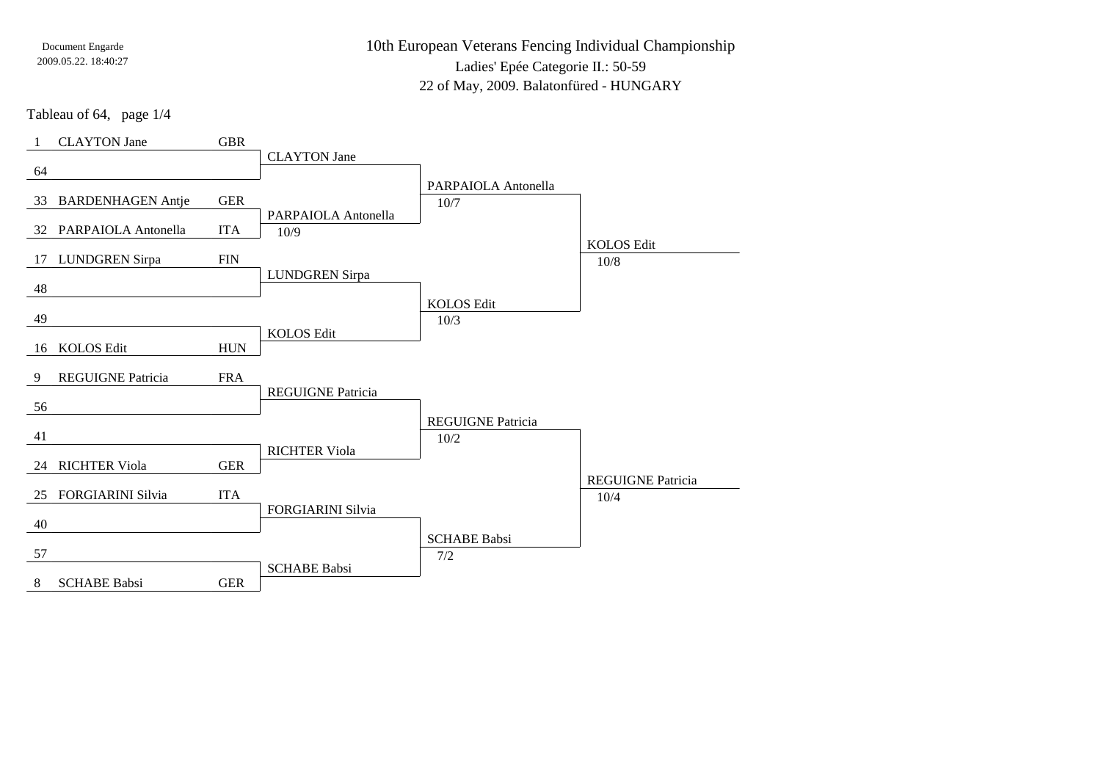10th European Veterans Fencing Individual ChampionshipLadies' Epée Categorie II.: 50-59

22 of May, 2009. Balatonfüred - HUNGARY

Tableau of 64, page 1/4

| $\overline{1}$ | <b>CLAYTON</b> Jane      | <b>GBR</b>  |                          |                          |                                  |
|----------------|--------------------------|-------------|--------------------------|--------------------------|----------------------------------|
|                |                          |             | <b>CLAYTON</b> Jane      |                          |                                  |
| 64             |                          |             |                          | PARPAIOLA Antonella      |                                  |
|                | 33 BARDENHAGEN Antje     | <b>GER</b>  |                          | 10/7                     |                                  |
|                |                          |             | PARPAIOLA Antonella      |                          |                                  |
|                | 32 PARPAIOLA Antonella   | <b>ITA</b>  | 10/9                     |                          |                                  |
| 17             | <b>LUNDGREN Sirpa</b>    | ${\rm FIN}$ |                          |                          | <b>KOLOS Edit</b>                |
|                |                          |             | <b>LUNDGREN</b> Sirpa    |                          | $10/8$                           |
| 48             |                          |             |                          |                          |                                  |
|                |                          |             |                          | <b>KOLOS Edit</b>        |                                  |
| 49             |                          |             | <b>KOLOS Edit</b>        | 10/3                     |                                  |
| 16             | <b>KOLOS Edit</b>        | <b>HUN</b>  |                          |                          |                                  |
|                |                          |             |                          |                          |                                  |
| 9              | REGUIGNE Patricia        | <b>FRA</b>  |                          |                          |                                  |
| 56             |                          |             | <b>REGUIGNE Patricia</b> |                          |                                  |
|                |                          |             |                          | <b>REGUIGNE Patricia</b> |                                  |
| 41             |                          |             |                          | 10/2                     |                                  |
|                |                          |             | <b>RICHTER Viola</b>     |                          |                                  |
| 24             | <b>RICHTER Viola</b>     | <b>GER</b>  |                          |                          |                                  |
| 25             | <b>FORGIARINI Silvia</b> | <b>ITA</b>  |                          |                          | <b>REGUIGNE Patricia</b><br>10/4 |
|                |                          |             | <b>FORGIARINI Silvia</b> |                          |                                  |
| 40             |                          |             |                          |                          |                                  |
|                |                          |             |                          | <b>SCHABE Babsi</b>      |                                  |
| 57             |                          |             | <b>SCHABE Babsi</b>      | 7/2                      |                                  |
| 8              | <b>SCHABE Babsi</b>      | <b>GER</b>  |                          |                          |                                  |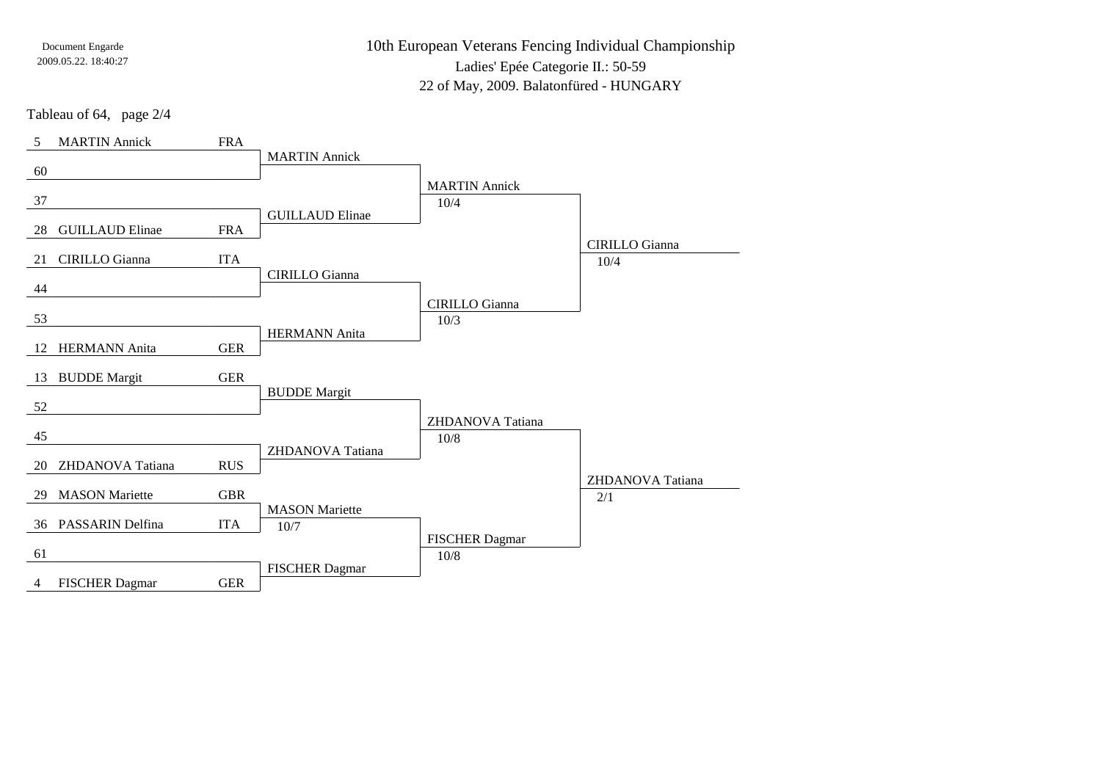10th European Veterans Fencing Individual ChampionshipLadies' Epée Categorie II.: 50-5922 of May, 2009. Balatonfüred - HUNGARY

Tableau of 64, page 2/4

| 5  | <b>MARTIN</b> Annick   | <b>FRA</b> |                        |                          |                       |
|----|------------------------|------------|------------------------|--------------------------|-----------------------|
|    |                        |            | <b>MARTIN Annick</b>   |                          |                       |
| 60 |                        |            |                        | <b>MARTIN</b> Annick     |                       |
| 37 |                        |            |                        | 10/4                     |                       |
|    |                        |            | <b>GUILLAUD Elinae</b> |                          |                       |
| 28 | <b>GUILLAUD Elinae</b> | <b>FRA</b> |                        |                          | <b>CIRILLO</b> Gianna |
| 21 | <b>CIRILLO</b> Gianna  | <b>ITA</b> |                        |                          | 10/4                  |
|    |                        |            | <b>CIRILLO</b> Gianna  |                          |                       |
| 44 |                        |            |                        | <b>CIRILLO</b> Gianna    |                       |
| 53 |                        |            |                        | 10/3                     |                       |
|    |                        |            | <b>HERMANN</b> Anita   |                          |                       |
| 12 | <b>HERMANN</b> Anita   | <b>GER</b> |                        |                          |                       |
| 13 | <b>BUDDE Margit</b>    | <b>GER</b> |                        |                          |                       |
|    |                        |            | <b>BUDDE</b> Margit    |                          |                       |
| 52 |                        |            |                        |                          |                       |
| 45 |                        |            |                        | ZHDANOVA Tatiana<br>10/8 |                       |
|    |                        |            | ZHDANOVA Tatiana       |                          |                       |
| 20 | ZHDANOVA Tatiana       | <b>RUS</b> |                        |                          |                       |
| 29 | <b>MASON</b> Mariette  | <b>GBR</b> |                        |                          | ZHDANOVA Tatiana      |
|    |                        |            | <b>MASON</b> Mariette  |                          | 2/1                   |
|    | 36 PASSARIN Delfina    | <b>ITA</b> | $10/7$                 |                          |                       |
|    |                        |            |                        | <b>FISCHER Dagmar</b>    |                       |
| 61 |                        |            | <b>FISCHER Dagmar</b>  | $10/8$                   |                       |
| 4  | <b>FISCHER Dagmar</b>  | <b>GER</b> |                        |                          |                       |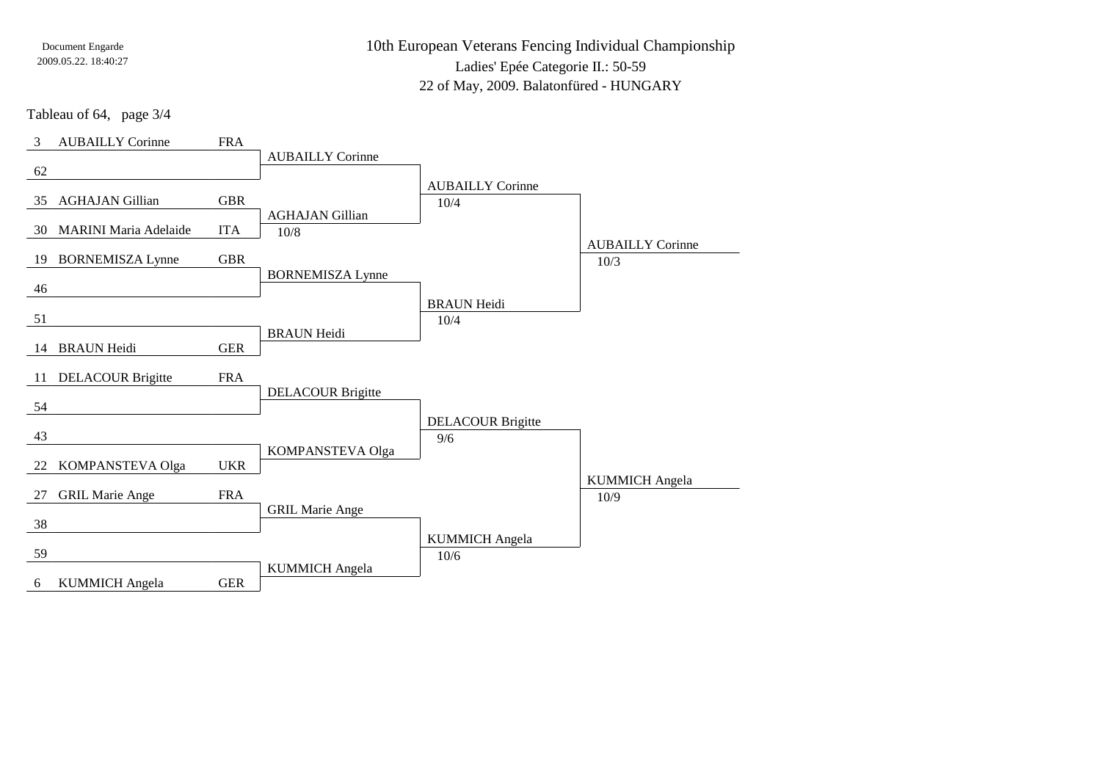10th European Veterans Fencing Individual ChampionshipLadies' Epée Categorie II.: 50-5922 of May, 2009. Balatonfüred - HUNGARY

Tableau of 64, page 3/4

| 3  | <b>AUBAILLY Corinne</b>      | <b>FRA</b> |                          |                            |                         |
|----|------------------------------|------------|--------------------------|----------------------------|-------------------------|
|    |                              |            | <b>AUBAILLY Corinne</b>  |                            |                         |
| 62 |                              |            |                          | <b>AUBAILLY Corinne</b>    |                         |
| 35 | <b>AGHAJAN Gillian</b>       | <b>GBR</b> |                          | 10/4                       |                         |
|    |                              |            | <b>AGHAJAN Gillian</b>   |                            |                         |
| 30 | <b>MARINI Maria Adelaide</b> | <b>ITA</b> | $10/8$                   |                            | <b>AUBAILLY Corinne</b> |
| 19 | <b>BORNEMISZA Lynne</b>      | <b>GBR</b> |                          |                            | 10/3                    |
|    |                              |            | <b>BORNEMISZA Lynne</b>  |                            |                         |
| 46 |                              |            |                          |                            |                         |
| 51 |                              |            |                          | <b>BRAUN Heidi</b><br>10/4 |                         |
|    |                              |            | <b>BRAUN Heidi</b>       |                            |                         |
| 14 | <b>BRAUN Heidi</b>           | <b>GER</b> |                          |                            |                         |
| 11 | <b>DELACOUR Brigitte</b>     | <b>FRA</b> |                          |                            |                         |
|    |                              |            | <b>DELACOUR Brigitte</b> |                            |                         |
| 54 |                              |            |                          |                            |                         |
|    |                              |            |                          | <b>DELACOUR Brigitte</b>   |                         |
| 43 |                              |            | KOMPANSTEVA Olga         | 9/6                        |                         |
| 22 | KOMPANSTEVA Olga             | <b>UKR</b> |                          |                            |                         |
|    |                              |            |                          |                            | <b>KUMMICH</b> Angela   |
| 27 | <b>GRIL Marie Ange</b>       | <b>FRA</b> | <b>GRIL Marie Ange</b>   |                            | 10/9                    |
| 38 |                              |            |                          |                            |                         |
|    |                              |            |                          | <b>KUMMICH Angela</b>      |                         |
| 59 |                              |            |                          | 10/6                       |                         |
| 6  | <b>KUMMICH Angela</b>        | <b>GER</b> | <b>KUMMICH</b> Angela    |                            |                         |
|    |                              |            |                          |                            |                         |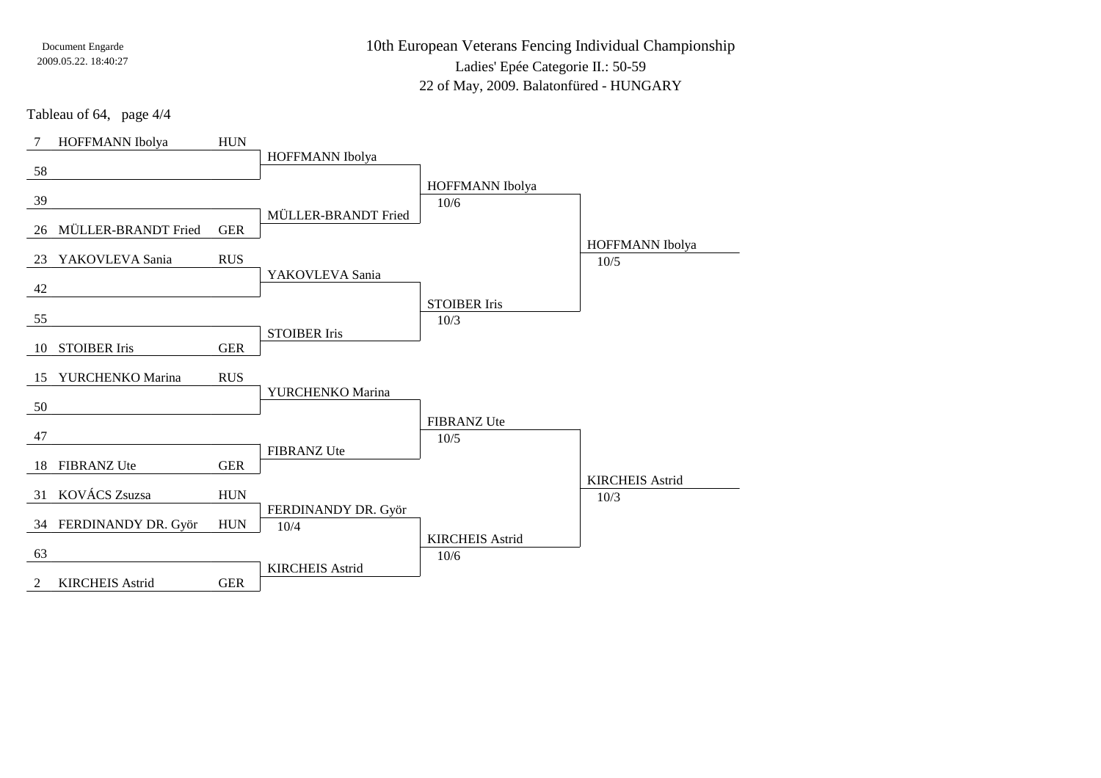10th European Veterans Fencing Individual ChampionshipLadies' Epée Categorie II.: 50-5922 of May, 2009. Balatonfüred - HUNGARY

Tableau of 64, page 4/4

| 7  | HOFFMANN Ibolya        | <b>HUN</b>  |                             |                             |                        |
|----|------------------------|-------------|-----------------------------|-----------------------------|------------------------|
| 58 |                        |             | HOFFMANN Ibolya             |                             |                        |
|    |                        |             |                             | HOFFMANN Ibolya             |                        |
| 39 |                        |             |                             | 10/6                        |                        |
| 26 | MÜLLER-BRANDT Fried    | <b>GER</b>  | MÜLLER-BRANDT Fried         |                             |                        |
|    |                        |             |                             |                             | HOFFMANN Ibolya        |
| 23 | YAKOVLEVA Sania        | <b>RUS</b>  | YAKOVLEVA Sania             |                             | $10/5$                 |
| 42 |                        |             |                             |                             |                        |
| 55 |                        |             |                             | <b>STOIBER Iris</b><br>10/3 |                        |
|    |                        |             | <b>STOIBER Iris</b>         |                             |                        |
| 10 | <b>STOIBER Iris</b>    | <b>GER</b>  |                             |                             |                        |
| 15 | YURCHENKO Marina       | <b>RUS</b>  |                             |                             |                        |
| 50 |                        |             | YURCHENKO Marina            |                             |                        |
|    |                        |             |                             | <b>FIBRANZ Ute</b>          |                        |
| 47 |                        |             |                             | $10/5$                      |                        |
| 18 | <b>FIBRANZ Ute</b>     | <b>GER</b>  | <b>FIBRANZ Ute</b>          |                             |                        |
|    |                        |             |                             |                             | <b>KIRCHEIS Astrid</b> |
| 31 | KOVÁCS Zsuzsa          | ${\rm HUN}$ |                             |                             | 10/3                   |
|    | 34 FERDINANDY DR. Györ | <b>HUN</b>  | FERDINANDY DR. Györ<br>10/4 |                             |                        |
|    |                        |             |                             | <b>KIRCHEIS Astrid</b>      |                        |
| 63 |                        |             | <b>KIRCHEIS Astrid</b>      | 10/6                        |                        |
| 2  | <b>KIRCHEIS Astrid</b> | <b>GER</b>  |                             |                             |                        |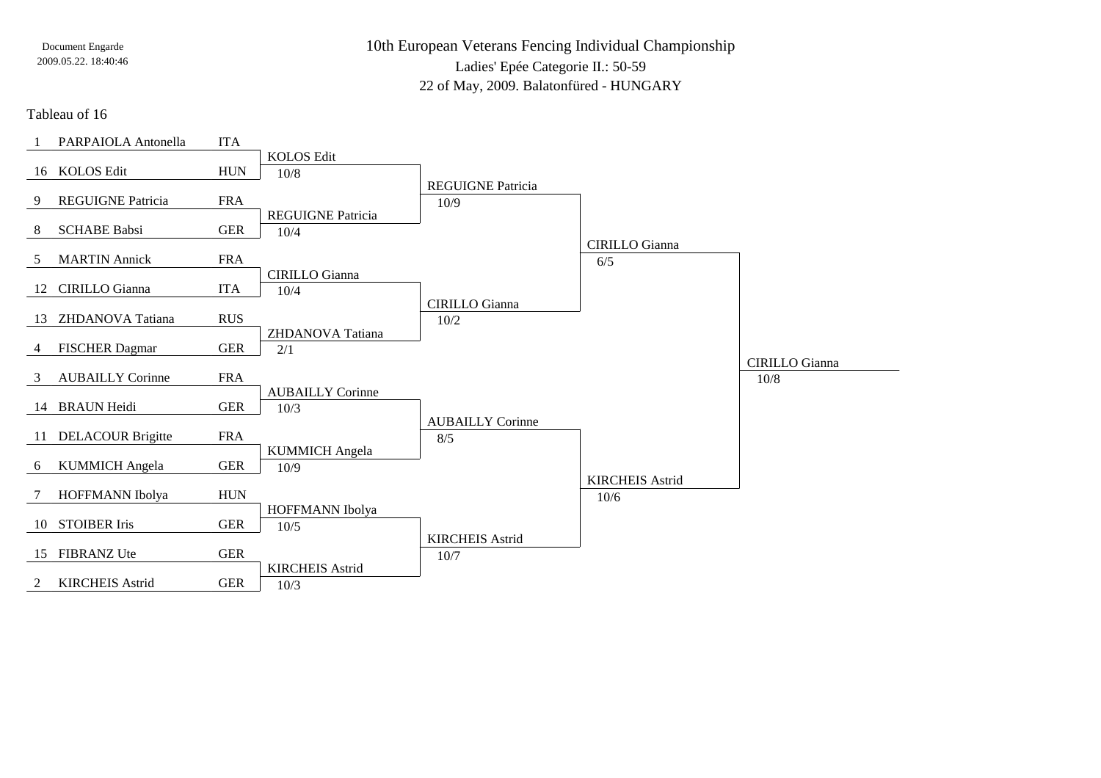10th European Veterans Fencing Individual ChampionshipLadies' Epée Categorie II.: 50-5922 of May, 2009. Balatonfüred - HUNGARY

Tableau of 16

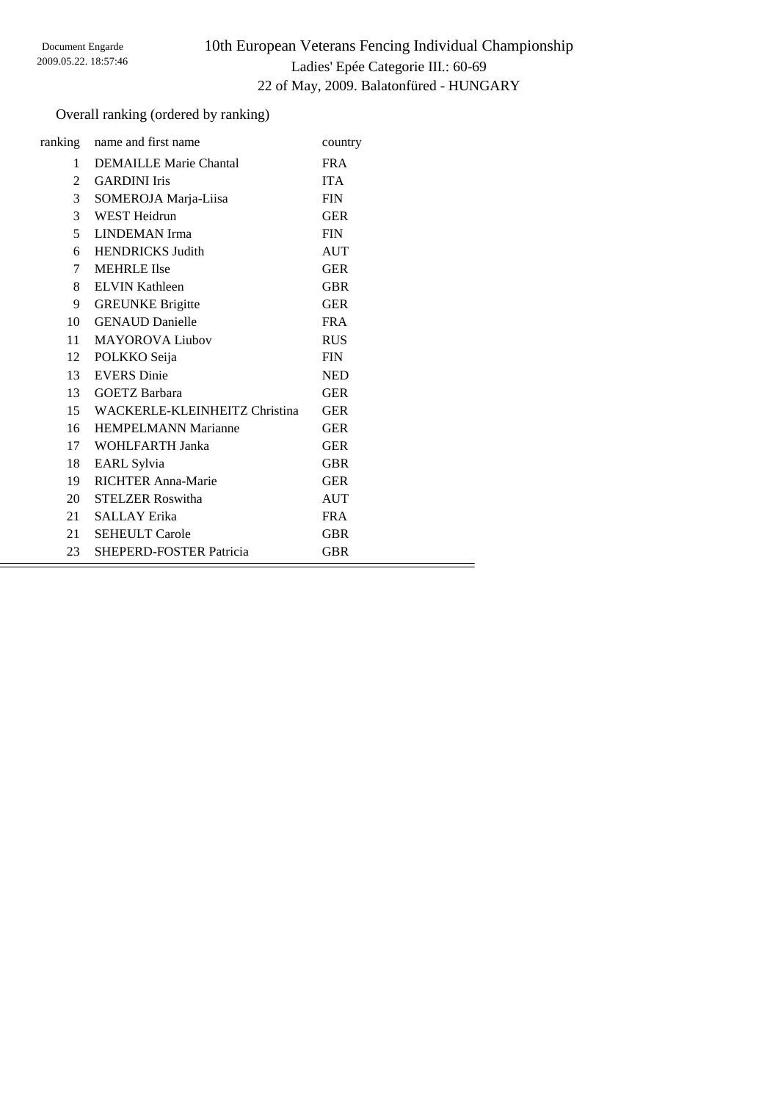# 10th European Veterans Fencing Individual Championship Ladies' Epée Categorie III.: 60-69 22 of May, 2009. Balatonfüred - HUNGARY

## Overall ranking (ordered by ranking)

|              | ranking name and first name      | country    |
|--------------|----------------------------------|------------|
| $\mathbf{1}$ | <b>DEMAILLE Marie Chantal</b>    | <b>FRA</b> |
| 2            | <b>GARDINI</b> Iris              | <b>ITA</b> |
| 3            | SOMEROJA Marja-Liisa             | <b>FIN</b> |
| 3            | <b>WEST Heidrun</b>              | <b>GER</b> |
| 5            | LINDEMAN Irma                    | <b>FIN</b> |
| 6            | <b>HENDRICKS Judith</b>          | <b>AUT</b> |
| 7            | <b>MEHRLE Ilse</b>               | <b>GER</b> |
| 8            | <b>ELVIN Kathleen</b>            | <b>GBR</b> |
| 9            | <b>GREUNKE Brigitte</b>          | <b>GER</b> |
| 10           | <b>GENAUD</b> Danielle           | <b>FRA</b> |
| 11           | <b>MAYOROVA Liubov</b>           | <b>RUS</b> |
| 12           | POLKKO Seija                     | <b>FIN</b> |
| 13           | <b>EVERS</b> Dinie               | <b>NED</b> |
| 13           | GOETZ Barbara                    | <b>GER</b> |
|              | 15 WACKERLE-KLEINHEITZ Christina | <b>GER</b> |
| 16           | <b>HEMPELMANN Marianne</b>       | <b>GER</b> |
| 17           | WOHLFARTH Janka                  | <b>GER</b> |
| 18           | EARL Sylvia                      | <b>GBR</b> |
| 19           | <b>RICHTER Anna-Marie</b>        | <b>GER</b> |
| 20           | <b>STELZER Roswitha</b>          | <b>AUT</b> |
| 21           | <b>SALLAY Erika</b>              | <b>FRA</b> |
| 21           | <b>SEHEULT Carole</b>            | <b>GBR</b> |
| 23           | <b>SHEPERD-FOSTER Patricia</b>   | <b>GBR</b> |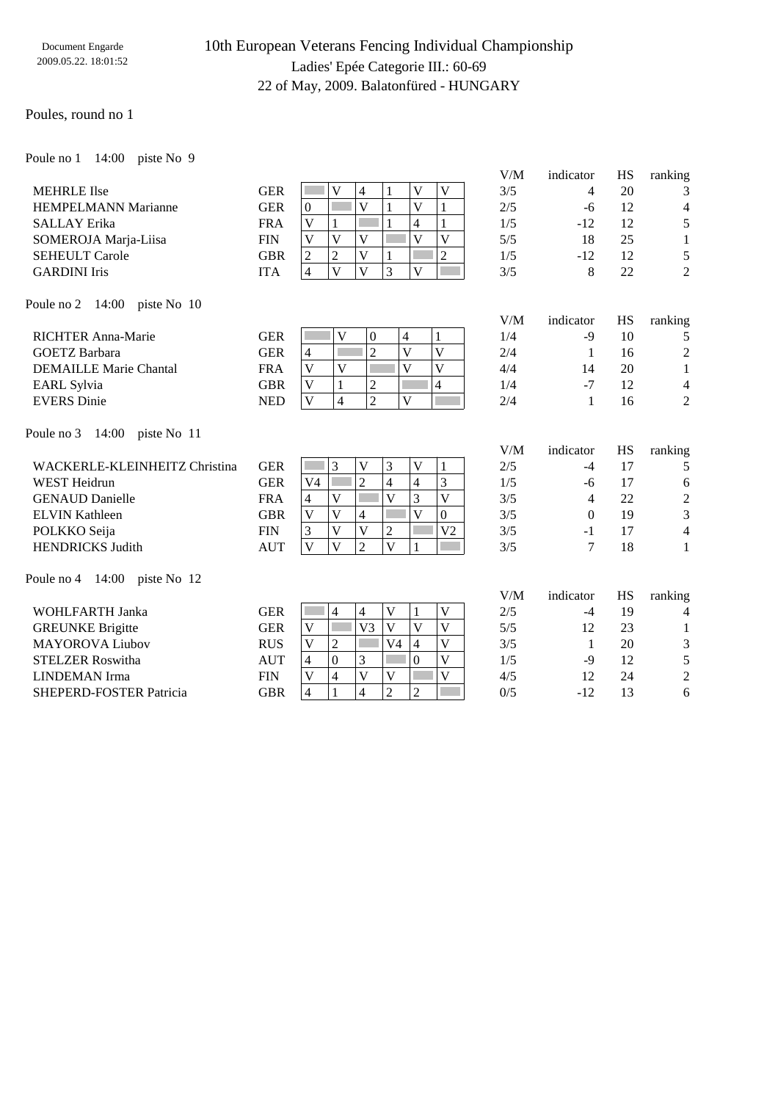## 10th European Veterans Fencing Individual Championship Ladies' Epée Categorie III.: 60-69 22 of May, 2009. Balatonfüred - HUNGARY

#### Poules, round no 1

Poule no 1 14:00 piste No 9

|                                    |            |                                                                                                                                                  | V/M | indicator      | HS | ranking                  |
|------------------------------------|------------|--------------------------------------------------------------------------------------------------------------------------------------------------|-----|----------------|----|--------------------------|
| <b>MEHRLE</b> Ilse                 | <b>GER</b> | V<br>$\overline{V}$<br>$\overline{V}$<br>4<br>1                                                                                                  | 3/5 | 4              | 20 | 3                        |
| <b>HEMPELMANN Marianne</b>         | <b>GER</b> | $\overline{\mathsf{V}}$<br>$\overline{\mathsf{V}}$<br>$\mathbf{1}$<br>$\mathbf{1}$<br>$\boldsymbol{0}$                                           | 2/5 | $-6$           | 12 | $\overline{4}$           |
| <b>SALLAY</b> Erika                | <b>FRA</b> | $\mathbf{1}$<br>$\mathbf{1}$<br>V<br>4<br>1                                                                                                      | 1/5 | $-12$          | 12 | 5                        |
| SOMEROJA Marja-Liisa               | <b>FIN</b> | $\overline{\mathsf{V}}$<br>$\overline{V}$<br>$\overline{V}$<br>$\overline{\mathbf{V}}$<br>$\mathbf{V}$                                           | 5/5 | 18             | 25 | $\mathbf{1}$             |
| <b>SEHEULT Carole</b>              | <b>GBR</b> | $\overline{2}$<br>$\overline{2}$<br>$\overline{2}$<br>$\overline{\mathbf{V}}$<br>1                                                               | 1/5 | $-12$          | 12 | 5                        |
| <b>GARDINI</b> Iris                | <b>ITA</b> | $\overline{3}$<br>$\overline{\mathbf{V}}$<br>$\overline{\mathbf{V}}$<br>$\overline{\mathsf{V}}$<br>$\overline{4}$                                | 3/5 | 8              | 22 | $\overline{2}$           |
| Poule no 2<br>14:00<br>piste No 10 |            |                                                                                                                                                  |     |                |    |                          |
|                                    |            |                                                                                                                                                  | V/M | indicator      | HS | ranking                  |
| <b>RICHTER Anna-Marie</b>          | <b>GER</b> | V<br>$\boldsymbol{0}$<br>4<br>1                                                                                                                  | 1/4 | $-9$           | 10 | 5                        |
| <b>GOETZ</b> Barbara               | <b>GER</b> | $\overline{2}$<br>$\overline{V}$<br>$\overline{V}$<br>$\overline{4}$                                                                             | 2/4 | 1              | 16 | $\overline{2}$           |
| <b>DEMAILLE Marie Chantal</b>      | <b>FRA</b> | $\overline{\mathsf{V}}$<br>$\overline{V}$<br>$\overline{\mathsf{V}}$<br>$\overline{V}$                                                           | 4/4 | 14             | 20 | $\mathbf{1}$             |
| <b>EARL</b> Sylvia                 | <b>GBR</b> | $\overline{4}$<br>V<br>$\overline{c}$<br>$\mathbf{1}$                                                                                            | 1/4 | $-7$           | 12 | $\overline{4}$           |
| <b>EVERS</b> Dinie                 | <b>NED</b> | $\overline{2}$<br>$\mathbf{V}$<br>$\overline{4}$<br>$\overline{\mathbf{V}}$                                                                      | 2/4 | 1              | 16 | $\overline{2}$           |
| 14:00<br>piste No 11<br>Poule no 3 |            |                                                                                                                                                  |     |                |    |                          |
|                                    |            |                                                                                                                                                  |     |                |    |                          |
|                                    |            |                                                                                                                                                  | V/M | indicator      | HS | ranking                  |
| WACKERLE-KLEINHEITZ Christina      | <b>GER</b> | 3<br>3<br>V<br>$\mathbf{V}$<br>1                                                                                                                 | 2/5 | $-4$           | 17 | 5                        |
| <b>WEST</b> Heidrun                | <b>GER</b> | $\overline{\mathbf{3}}$<br>$\overline{2}$<br>$\overline{4}$<br>$\overline{\mathcal{L}}$<br>V <sub>4</sub>                                        | 1/5 | $-6$           | 17 | 6                        |
| <b>GENAUD Danielle</b>             | <b>FRA</b> | $\overline{\mathbf{V}}$<br>3<br>$\overline{V}$<br>V<br>$\overline{4}$                                                                            | 3/5 | $\overline{4}$ | 22 | $\sqrt{2}$               |
| <b>ELVIN Kathleen</b>              | <b>GBR</b> | $\overline{\mathbf{V}}$<br>V<br>$\overline{0}$<br>V<br>4                                                                                         | 3/5 | $\Omega$       | 19 | 3                        |
| POLKKO Seija                       | <b>FIN</b> | $\overline{\mathbf{V}}$<br>$\overline{\mathsf{V}}$<br>$\overline{2}$<br>3<br>V <sub>2</sub>                                                      | 3/5 | $-1$           | 17 | $\overline{\mathcal{L}}$ |
| <b>HENDRICKS Judith</b>            | <b>AUT</b> | $\overline{\mathsf{V}}$<br>$\overline{\mathbf{V}}$<br>$\overline{2}$<br>$\overline{\mathsf{V}}$<br>1                                             | 3/5 | 7              | 18 | $\mathbf{1}$             |
| Poule no 4 14:00 piste No 12       |            |                                                                                                                                                  |     |                |    |                          |
|                                    |            |                                                                                                                                                  | V/M | indicator      | HS | ranking                  |
| <b>WOHLFARTH Janka</b>             | <b>GER</b> | $\mathbf V$<br>$\overline{4}$<br>$\mathbf V$<br>$\overline{4}$<br>$\mathbf{1}$                                                                   | 2/5 | $-4$           | 19 | 4                        |
| <b>GREUNKE Brigitte</b>            | <b>GER</b> | $\overline{\mathsf{V}}$<br>$\overline{V}$<br>$\overline{V}$<br>$\overline{\mathsf{V}}$<br>П<br>V <sub>3</sub>                                    | 5/5 | 12             | 23 | 1                        |
| <b>MAYOROVA Liubov</b>             | <b>RUS</b> | $\overline{2}$<br>$\overline{V}$<br>$\overline{\mathsf{V}}$<br>V <sub>4</sub><br>$\overline{\mathbf{4}}$                                         | 3/5 | 1              | 20 | 3                        |
| <b>STELZER Roswitha</b>            | <b>AUT</b> | $\overline{0}$<br>$\overline{\mathsf{V}}$<br>$\overline{0}$<br>$\overline{4}$<br>3                                                               | 1/5 | $-9$           | 12 | 5                        |
| <b>LINDEMAN</b> Irma               | <b>FIN</b> | $\overline{4}$<br>$\overline{\mathsf{V}}$<br>$\overline{V}$<br>$\mathbf V$<br>$\mathbf{V}$<br>$\overline{2}$<br>$\overline{4}$<br>$\overline{2}$ | 4/5 | 12             | 24 | $\overline{2}$           |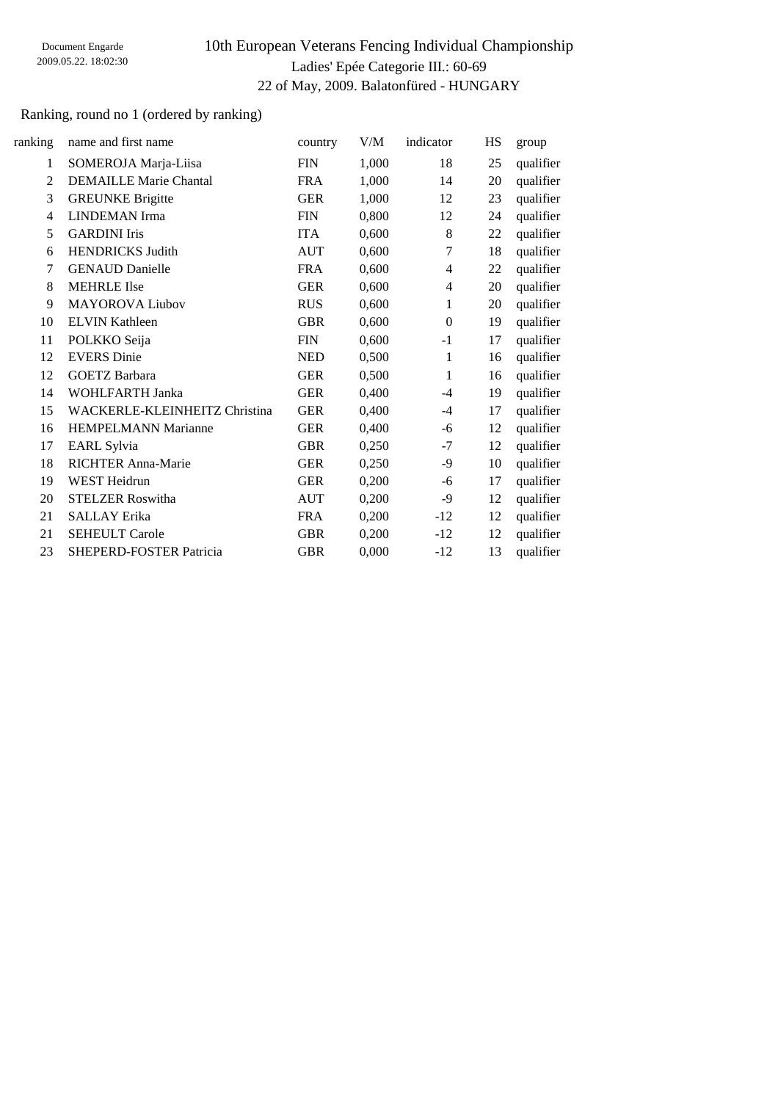## 10th European Veterans Fencing Individual Championship Ladies' Epée Categorie III.: 60-69 22 of May, 2009. Balatonfüred - HUNGARY

## Ranking, round no 1 (ordered by ranking)

| ranking | name and first name            | country    | V/M   | indicator    | HS | group     |
|---------|--------------------------------|------------|-------|--------------|----|-----------|
| 1       | SOMEROJA Marja-Liisa           | <b>FIN</b> | 1,000 | 18           | 25 | qualifier |
| 2       | <b>DEMAILLE Marie Chantal</b>  | <b>FRA</b> | 1,000 | 14           | 20 | qualifier |
| 3       | <b>GREUNKE Brigitte</b>        | <b>GER</b> | 1,000 | 12           | 23 | qualifier |
| 4       | <b>LINDEMAN</b> Irma           | <b>FIN</b> | 0,800 | 12           | 24 | qualifier |
| 5       | <b>GARDINI</b> Iris            | <b>ITA</b> | 0,600 | 8            | 22 | qualifier |
| 6       | <b>HENDRICKS Judith</b>        | <b>AUT</b> | 0,600 | $\tau$       | 18 | qualifier |
| 7       | <b>GENAUD Danielle</b>         | <b>FRA</b> | 0,600 | 4            | 22 | qualifier |
| 8       | <b>MEHRLE</b> Ilse             | <b>GER</b> | 0,600 | 4            | 20 | qualifier |
| 9       | <b>MAYOROVA Liubov</b>         | <b>RUS</b> | 0,600 | 1            | 20 | qualifier |
| 10      | <b>ELVIN Kathleen</b>          | <b>GBR</b> | 0,600 | $\theta$     | 19 | qualifier |
| 11      | POLKKO Seija                   | <b>FIN</b> | 0,600 | $-1$         | 17 | qualifier |
| 12      | <b>EVERS</b> Dinie             | <b>NED</b> | 0,500 | $\mathbf{1}$ | 16 | qualifier |
| 12      | <b>GOETZ Barbara</b>           | <b>GER</b> | 0,500 | 1            | 16 | qualifier |
| 14      | WOHLFARTH Janka                | <b>GER</b> | 0,400 | $-4$         | 19 | qualifier |
| 15      | WACKERLE-KLEINHEITZ Christina  | <b>GER</b> | 0,400 | $-4$         | 17 | qualifier |
| 16      | <b>HEMPELMANN Marianne</b>     | <b>GER</b> | 0,400 | -6           | 12 | qualifier |
| 17      | <b>EARL Sylvia</b>             | <b>GBR</b> | 0,250 | $-7$         | 12 | qualifier |
| 18      | <b>RICHTER Anna-Marie</b>      | <b>GER</b> | 0,250 | -9           | 10 | qualifier |
| 19      | <b>WEST Heidrun</b>            | <b>GER</b> | 0,200 | -6           | 17 | qualifier |
| 20      | <b>STELZER Roswitha</b>        | <b>AUT</b> | 0,200 | -9           | 12 | qualifier |
| 21      | <b>SALLAY</b> Erika            | <b>FRA</b> | 0,200 | $-12$        | 12 | qualifier |
| 21      | <b>SEHEULT Carole</b>          | <b>GBR</b> | 0,200 | $-12$        | 12 | qualifier |
| 23      | <b>SHEPERD-FOSTER Patricia</b> | <b>GBR</b> | 0,000 | $-12$        | 13 | qualifier |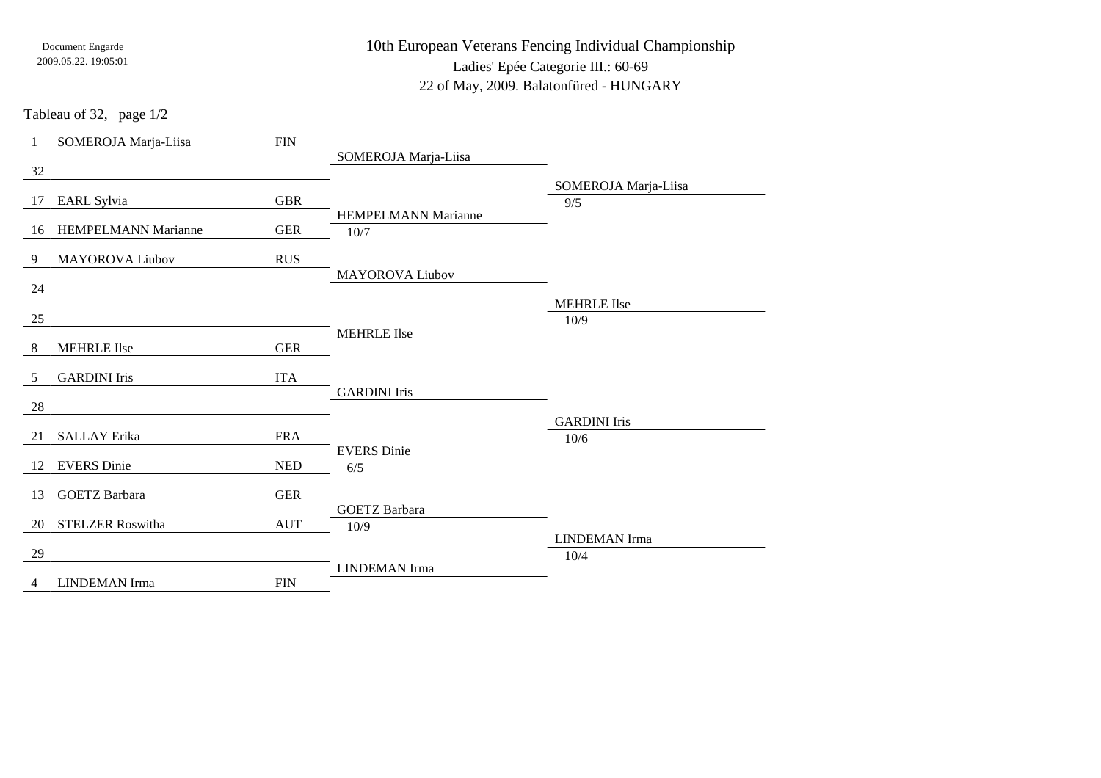10th European Veterans Fencing Individual ChampionshipLadies' Epée Categorie III.: 60-6922 of May, 2009. Balatonfüred - HUNGARY

Tableau of 32, page 1/2

| -1              | SOMEROJA Marja-Liisa       | ${\rm FIN}$ |                                    |                      |
|-----------------|----------------------------|-------------|------------------------------------|----------------------|
| 32              |                            |             | SOMEROJA Marja-Liisa               |                      |
|                 |                            |             |                                    | SOMEROJA Marja-Liisa |
| 17              | EARL Sylvia                | <b>GBR</b>  |                                    | 9/5                  |
| 16              | <b>HEMPELMANN Marianne</b> | ${\tt GER}$ | <b>HEMPELMANN Marianne</b><br>10/7 |                      |
| 9               | <b>MAYOROVA Liubov</b>     | <b>RUS</b>  |                                    |                      |
|                 |                            |             | <b>MAYOROVA Liubov</b>             |                      |
| 24              |                            |             |                                    | <b>MEHRLE Ilse</b>   |
| 25              |                            |             |                                    | 10/9                 |
| $8\phantom{.0}$ | <b>MEHRLE</b> Ilse         | <b>GER</b>  | <b>MEHRLE Ilse</b>                 |                      |
| 5               | <b>GARDINI</b> Iris        | <b>ITA</b>  |                                    |                      |
|                 |                            |             | <b>GARDINI</b> Iris                |                      |
| 28              |                            |             |                                    | <b>GARDINI</b> Iris  |
| 21              | <b>SALLAY Erika</b>        | <b>FRA</b>  |                                    | 10/6                 |
|                 |                            |             | <b>EVERS</b> Dinie                 |                      |
| 12              | <b>EVERS</b> Dinie         | <b>NED</b>  | 6/5                                |                      |
| 13              | <b>GOETZ</b> Barbara       | ${\tt GER}$ |                                    |                      |
| 20              | <b>STELZER Roswitha</b>    | <b>AUT</b>  | <b>GOETZ</b> Barbara<br>10/9       |                      |
|                 |                            |             |                                    | <b>LINDEMAN</b> Irma |
| 29              |                            |             |                                    | 10/4                 |
|                 |                            |             | <b>LINDEMAN</b> Irma               |                      |
| $\overline{4}$  | <b>LINDEMAN</b> Irma       | <b>FIN</b>  |                                    |                      |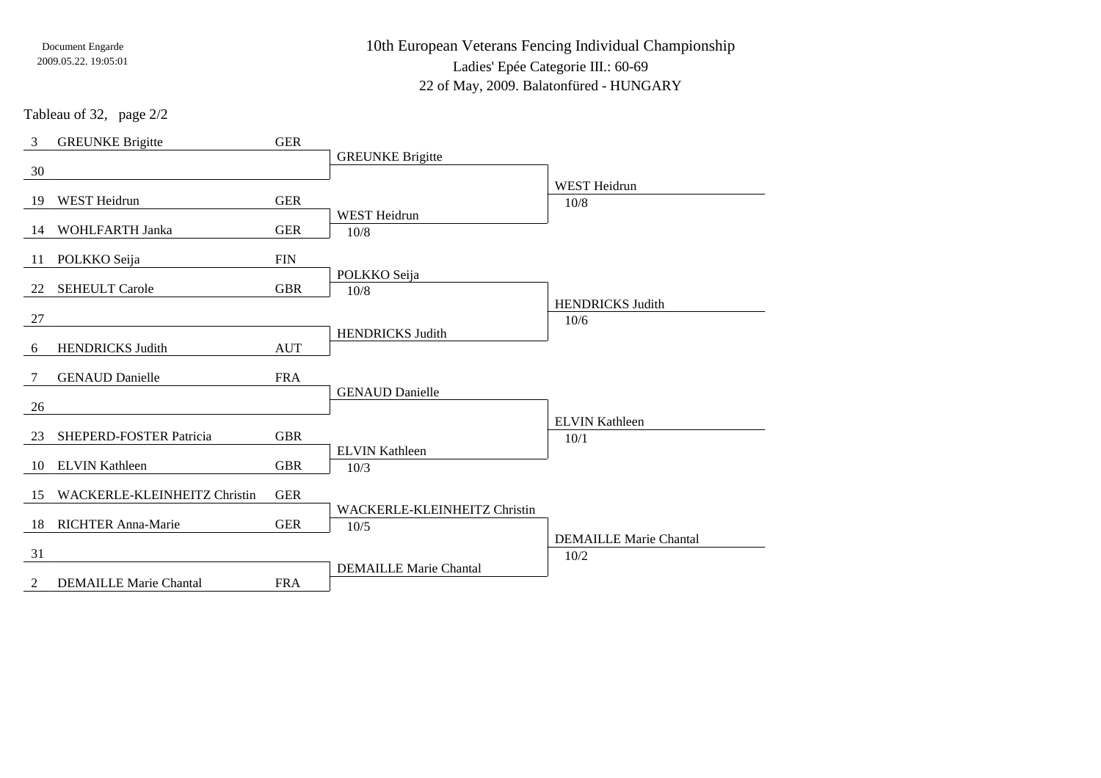10th European Veterans Fencing Individual ChampionshipLadies' Epée Categorie III.: 60-69

22 of May, 2009. Balatonfüred - HUNGARY

Tableau of 32, page 2/2

| 3              | <b>GREUNKE Brigitte</b>       | <b>GER</b>  |                                             |                               |
|----------------|-------------------------------|-------------|---------------------------------------------|-------------------------------|
| 30             |                               |             | <b>GREUNKE Brigitte</b>                     |                               |
|                |                               |             |                                             | <b>WEST Heidrun</b>           |
| 19             | <b>WEST</b> Heidrun           | <b>GER</b>  |                                             | 10/8                          |
| 14             | WOHLFARTH Janka               | ${\tt GER}$ | <b>WEST Heidrun</b><br>10/8                 |                               |
| 11             | POLKKO Seija                  | <b>FIN</b>  |                                             |                               |
|                |                               |             | POLKKO Seija                                |                               |
| 22             | <b>SEHEULT Carole</b>         | <b>GBR</b>  | 10/8                                        | <b>HENDRICKS Judith</b>       |
| $27\,$         |                               |             |                                             | 10/6                          |
| 6              | <b>HENDRICKS Judith</b>       | <b>AUT</b>  | <b>HENDRICKS Judith</b>                     |                               |
| 7              | <b>GENAUD Danielle</b>        | <b>FRA</b>  |                                             |                               |
| 26             |                               |             | <b>GENAUD</b> Danielle                      |                               |
| 23             | SHEPERD-FOSTER Patricia       | <b>GBR</b>  |                                             | <b>ELVIN Kathleen</b>         |
|                |                               |             | <b>ELVIN Kathleen</b>                       | 10/1                          |
| 10             | <b>ELVIN Kathleen</b>         | <b>GBR</b>  | 10/3                                        |                               |
| 15             | WACKERLE-KLEINHEITZ Christin  | <b>GER</b>  |                                             |                               |
| 18             | <b>RICHTER Anna-Marie</b>     | <b>GER</b>  | <b>WACKERLE-KLEINHEITZ Christin</b><br>10/5 |                               |
| 31             |                               |             |                                             | <b>DEMAILLE Marie Chantal</b> |
|                |                               |             | <b>DEMAILLE Marie Chantal</b>               | 10/2                          |
| $\overline{2}$ | <b>DEMAILLE Marie Chantal</b> | <b>FRA</b>  |                                             |                               |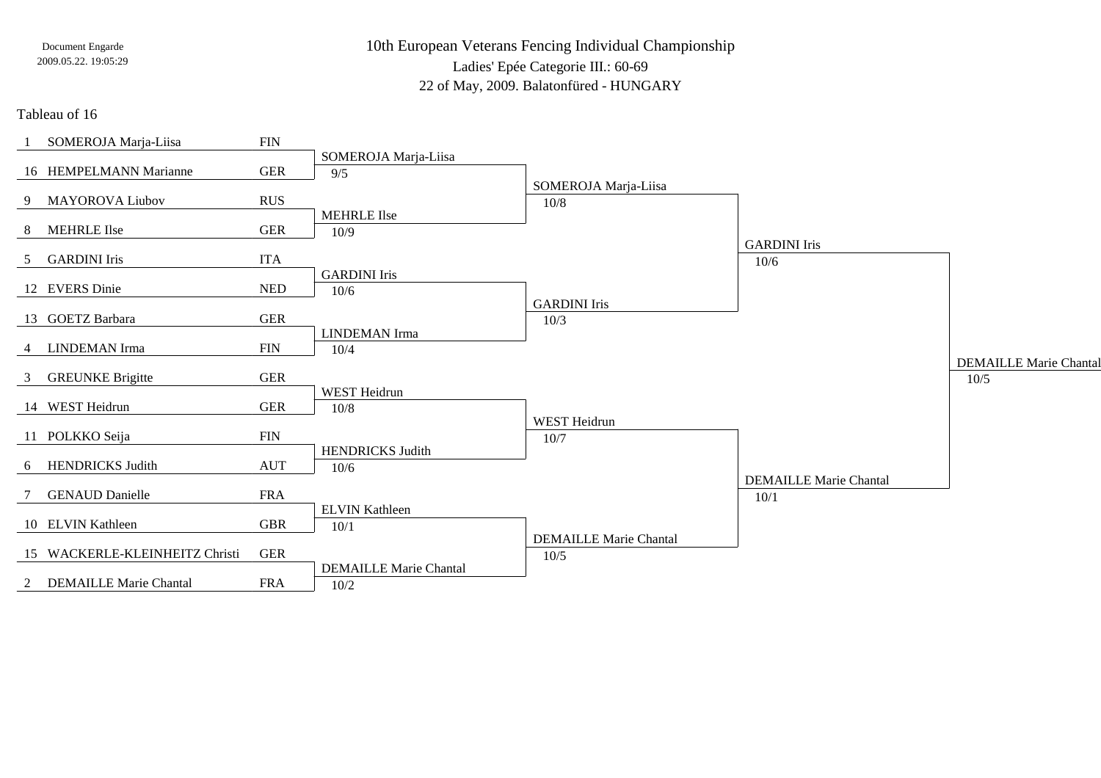10th European Veterans Fencing Individual ChampionshipLadies' Epée Categorie III.: 60-69

22 of May, 2009. Balatonfüred - HUNGARY

### Tableau of 16

|                | SOMEROJA Marja-Liisa           | $\text{FIN}$ |                               |                               |                               |                               |
|----------------|--------------------------------|--------------|-------------------------------|-------------------------------|-------------------------------|-------------------------------|
|                |                                |              | SOMEROJA Marja-Liisa          |                               |                               |                               |
|                | 16 HEMPELMANN Marianne         | <b>GER</b>   | 9/5                           |                               |                               |                               |
|                |                                |              |                               | SOMEROJA Marja-Liisa          |                               |                               |
|                | 9 MAYOROVA Liubov              | <b>RUS</b>   |                               | 10/8                          |                               |                               |
|                | 8 MEHRLE Ilse                  | <b>GER</b>   | <b>MEHRLE</b> Ilse            |                               |                               |                               |
|                |                                |              | 10/9                          |                               | <b>GARDINI</b> Iris           |                               |
| 5              | <b>GARDINI</b> Iris            | <b>ITA</b>   |                               |                               | 10/6                          |                               |
|                |                                |              | <b>GARDINI</b> Iris           |                               |                               |                               |
|                | 12 EVERS Dinie                 | <b>NED</b>   | 10/6                          |                               |                               |                               |
|                |                                |              |                               | <b>GARDINI</b> Iris           |                               |                               |
|                | 13 GOETZ Barbara               | <b>GER</b>   |                               | 10/3                          |                               |                               |
|                |                                |              | <b>LINDEMAN</b> Irma          |                               |                               |                               |
| $\overline{4}$ | <b>LINDEMAN</b> Irma           | $\text{FIN}$ | 10/4                          |                               |                               |                               |
|                | 3 GREUNKE Brigitte             | <b>GER</b>   |                               |                               |                               | <b>DEMAILLE Marie Chantal</b> |
|                |                                |              | WEST Heidrun                  |                               |                               | $10/5$                        |
|                | 14 WEST Heidrun                | <b>GER</b>   | 10/8                          |                               |                               |                               |
|                |                                |              |                               | WEST Heidrun                  |                               |                               |
|                | 11 POLKKO Seija                | $\text{FIN}$ |                               | 10/7                          |                               |                               |
|                |                                |              | <b>HENDRICKS Judith</b>       |                               |                               |                               |
|                | 6 HENDRICKS Judith             | <b>AUT</b>   | 10/6                          |                               |                               |                               |
|                |                                |              |                               |                               | <b>DEMAILLE Marie Chantal</b> |                               |
|                | <b>GENAUD Danielle</b>         | <b>FRA</b>   |                               |                               | 10/1                          |                               |
|                | 10 ELVIN Kathleen              |              | <b>ELVIN Kathleen</b>         |                               |                               |                               |
|                |                                | <b>GBR</b>   | 10/1                          | <b>DEMAILLE Marie Chantal</b> |                               |                               |
|                | 15 WACKERLE-KLEINHEITZ Christi | <b>GER</b>   |                               | 10/5                          |                               |                               |
|                |                                |              | <b>DEMAILLE Marie Chantal</b> |                               |                               |                               |
|                | 2 DEMAILLE Marie Chantal       | <b>FRA</b>   | 10/2                          |                               |                               |                               |
|                |                                |              |                               |                               |                               |                               |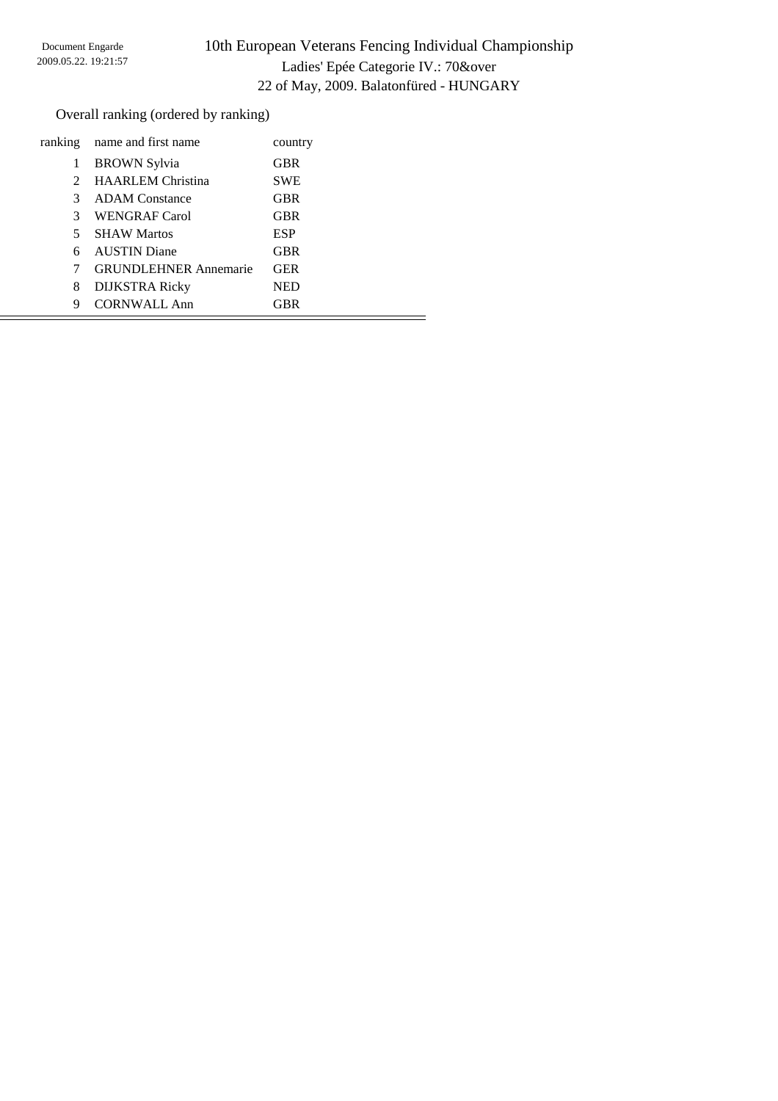# 10th European Veterans Fencing Individual Championship Ladies' Epée Categorie IV.: 70&over 22 of May, 2009. Balatonfüred - HUNGARY

Overall ranking (ordered by ranking)

| ranking       | name and first name          | country    |
|---------------|------------------------------|------------|
| 1             | <b>BROWN</b> Sylvia          | <b>GBR</b> |
| $2^{\circ}$   | <b>HAARLEM</b> Christina     | <b>SWE</b> |
| $\mathcal{F}$ | <b>ADAM</b> Constance        | <b>GBR</b> |
| 3             | WENGRAF Carol                | <b>GBR</b> |
| 5.            | <b>SHAW Martos</b>           | <b>ESP</b> |
|               | <b>AUSTIN Diane</b>          | <b>GBR</b> |
| 7             | <b>GRUNDLEHNER Annemarie</b> | <b>GER</b> |
| 8             | <b>DIJKSTRA Ricky</b>        | <b>NED</b> |
| 9             | <b>CORNWALL Ann</b>          | GBR        |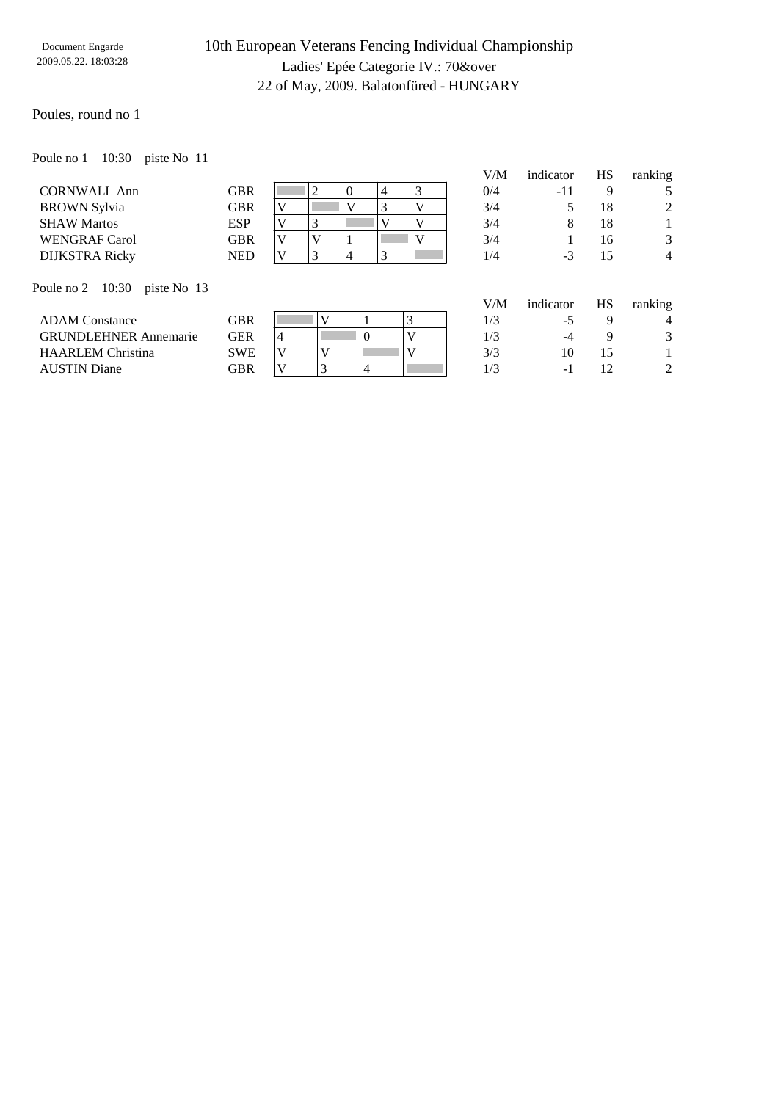### 10th European Veterans Fencing Individual Championship Ladies' Epée Categorie IV.: 70&over 22 of May, 2009. Balatonfüred - HUNGARY

#### Poules, round no 1

Poule no 1 10:30 piste No 11

|                       |            |          |  |  | V/M | indicator | HS | ranking        |
|-----------------------|------------|----------|--|--|-----|-----------|----|----------------|
| <b>CORNWALL Ann</b>   | <b>GBR</b> |          |  |  | 0/4 | -11       |    |                |
| <b>BROWN</b> Sylvia   | GBR        | $\bf{V}$ |  |  | 3/4 |           | 18 | 2              |
| <b>SHAW Martos</b>    | <b>ESP</b> | $\bf{V}$ |  |  | 3/4 |           | 18 |                |
| <b>WENGRAF Carol</b>  | <b>GBR</b> |          |  |  | 3/4 |           | 16 | 3              |
| <b>DIJKSTRA Ricky</b> | <b>NED</b> | $\bf{V}$ |  |  | 1/4 | - 1       | 15 | $\overline{4}$ |
|                       |            |          |  |  |     |           |    |                |

Poule no 2 10:30 piste No 13

|                              |                      |  |  |     |     | J |
|------------------------------|----------------------|--|--|-----|-----|---|
| <b>ADAM Constance</b>        | $\operatorname{GBR}$ |  |  |     | -   |   |
| <b>GRUNDLEHNER Annemarie</b> | GER                  |  |  |     | -4  |   |
| HAARLEM Christina            | SWE                  |  |  | 3/3 |     |   |
| AUSTIN Diane                 | GBR                  |  |  |     | - 1 |   |
|                              |                      |  |  |     |     |   |

| "+  | - 11      |    |                |
|-----|-----------|----|----------------|
| 3/4 | 5         | 18 | $\overline{c}$ |
| 3/4 | 8         | 18 | 1              |
| 3/4 | 1         | 16 | 3              |
| /4  | $-3$      | 15 |                |
|     |           |    |                |
| //M | indicator | HS | ranking        |

| V/M | indicator | <b>HS</b> | ranking |
|-----|-----------|-----------|---------|
| 1/3 | -5        | q         | 4       |
| 1/3 | $-4$      | Q         | 3       |
| 3/3 | 10        | 15        |         |
| 1/3 | $-1$      | 12        | 2       |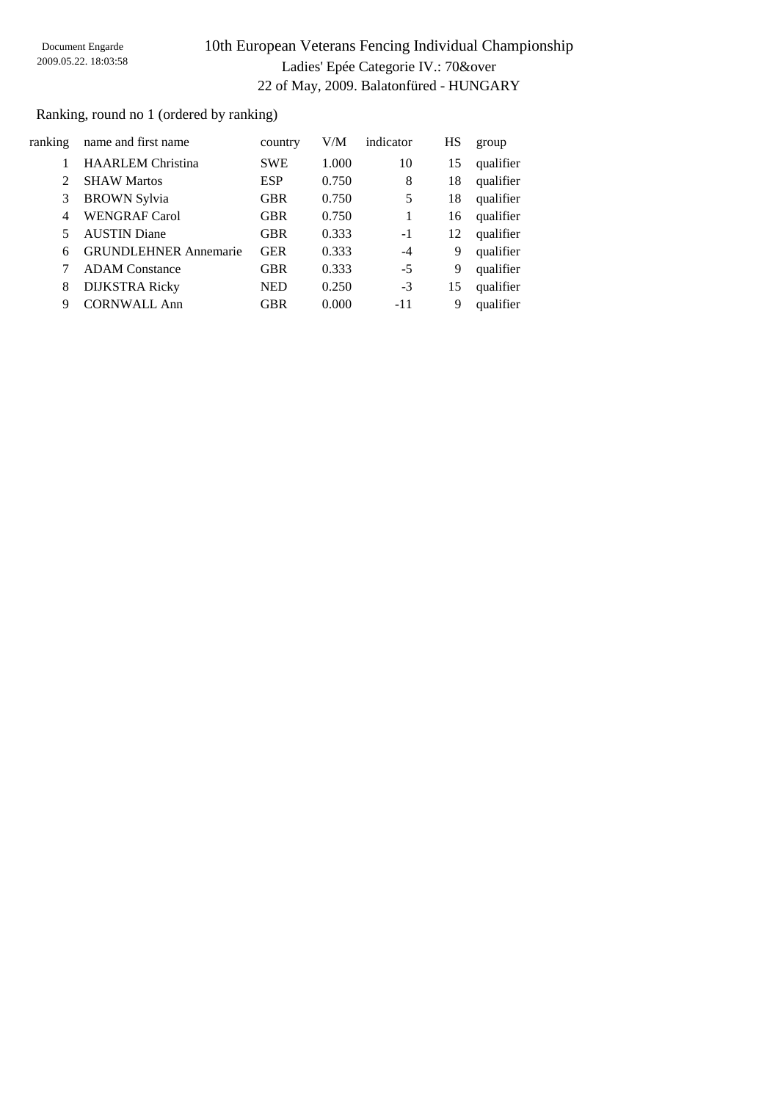# 10th European Veterans Fencing Individual Championship Ladies' Epée Categorie IV.: 70&over 22 of May, 2009. Balatonfüred - HUNGARY

### Ranking, round no 1 (ordered by ranking)

| ranking                     | name and first name          | country    | V/M   | indicator | HS | group     |
|-----------------------------|------------------------------|------------|-------|-----------|----|-----------|
|                             | <b>HAARLEM</b> Christina     | <b>SWE</b> | 1.000 | 10        | 15 | qualifier |
| $\mathcal{D}_{\mathcal{L}}$ | <b>SHAW Martos</b>           | <b>ESP</b> | 0.750 | 8         | 18 | qualifier |
| 3                           | <b>BROWN Sylvia</b>          | <b>GBR</b> | 0.750 | 5         | 18 | qualifier |
| 4                           | <b>WENGRAF Carol</b>         | <b>GBR</b> | 0.750 | 1         | 16 | qualifier |
|                             | <b>AUSTIN</b> Diane          | <b>GBR</b> | 0.333 | $-1$      | 12 | qualifier |
| 6                           | <b>GRUNDLEHNER Annemarie</b> | <b>GER</b> | 0.333 | -4        | 9  | qualifier |
|                             | <b>ADAM</b> Constance        | <b>GBR</b> | 0.333 | $-5$      | 9  | qualifier |
| 8                           | <b>DIJKSTRA Ricky</b>        | <b>NED</b> | 0.250 | $-3$      | 15 | qualifier |
| 9                           | <b>CORNWALL Ann</b>          | <b>GBR</b> | 0.000 | -11       | 9  | qualifier |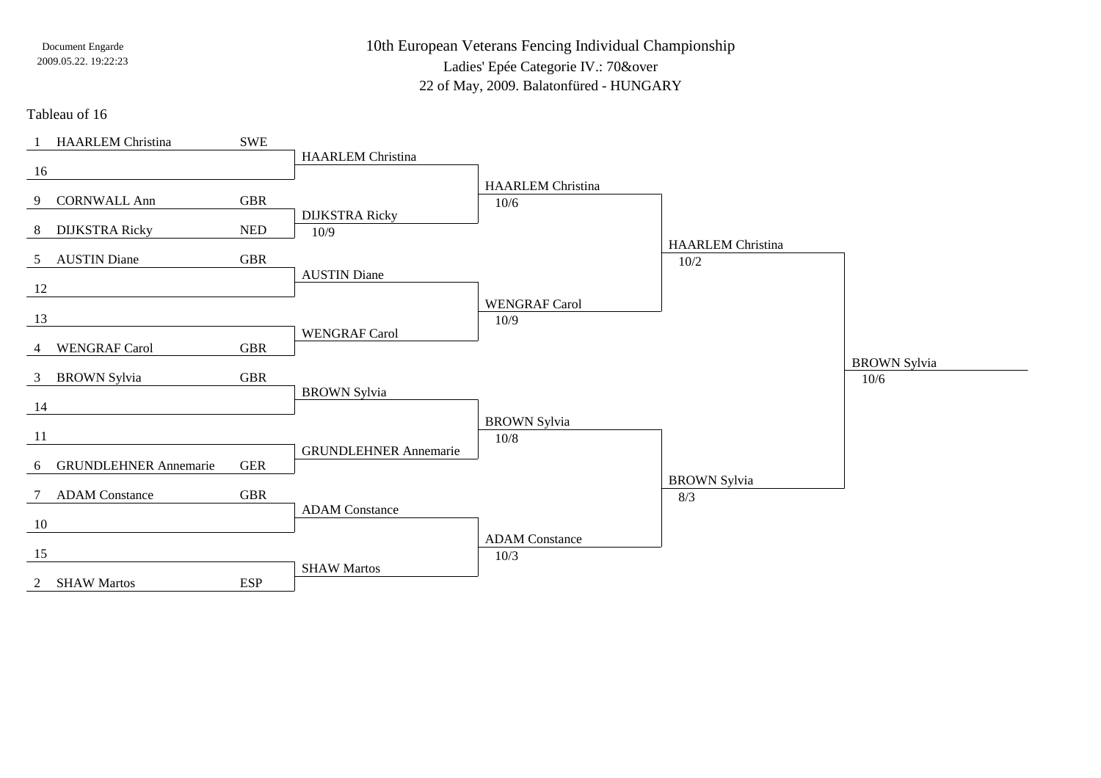10th European Veterans Fencing Individual ChampionshipLadies' Epée Categorie IV.: 70&over22 of May, 2009. Balatonfüred - HUNGARY

Tableau of 16

| <b>HAARLEM</b> Christina              | SWE                  |                               |                          |                          |                     |
|---------------------------------------|----------------------|-------------------------------|--------------------------|--------------------------|---------------------|
| 16                                    |                      | <b>HAARLEM Christina</b>      |                          |                          |                     |
|                                       |                      |                               | <b>HAARLEM</b> Christina |                          |                     |
| <b>CORNWALL Ann</b><br>9              | <b>GBR</b>           |                               | 10/6                     |                          |                     |
| <b>DIJKSTRA Ricky</b><br>8            | <b>NED</b>           | <b>DIJKSTRA Ricky</b><br>10/9 |                          |                          |                     |
|                                       |                      |                               |                          | <b>HAARLEM</b> Christina |                     |
| <b>AUSTIN Diane</b><br>5 <sup>5</sup> | <b>GBR</b>           |                               |                          | $10/2$                   |                     |
| 12                                    |                      | <b>AUSTIN Diane</b>           |                          |                          |                     |
|                                       |                      |                               | <b>WENGRAF Carol</b>     |                          |                     |
| 13                                    |                      | <b>WENGRAF Carol</b>          | 10/9                     |                          |                     |
| 4 WENGRAF Carol                       | <b>GBR</b>           |                               |                          |                          |                     |
|                                       |                      |                               |                          |                          | <b>BROWN</b> Sylvia |
| 3 BROWN Sylvia                        | $\operatorname{GBR}$ | <b>BROWN Sylvia</b>           |                          |                          | 10/6                |
| 14                                    |                      |                               |                          |                          |                     |
|                                       |                      |                               |                          |                          |                     |
|                                       |                      |                               | <b>BROWN</b> Sylvia      |                          |                     |
| 11                                    |                      |                               | $10/8$                   |                          |                     |
| <b>GRUNDLEHNER Annemarie</b><br>6     | <b>GER</b>           | <b>GRUNDLEHNER Annemarie</b>  |                          |                          |                     |
|                                       |                      |                               |                          | <b>BROWN</b> Sylvia      |                     |
| 7 ADAM Constance                      | <b>GBR</b>           |                               |                          | 8/3                      |                     |
| 10                                    |                      | <b>ADAM</b> Constance         |                          |                          |                     |
|                                       |                      |                               | <b>ADAM</b> Constance    |                          |                     |
| 15                                    |                      | <b>SHAW Martos</b>            | 10/3                     |                          |                     |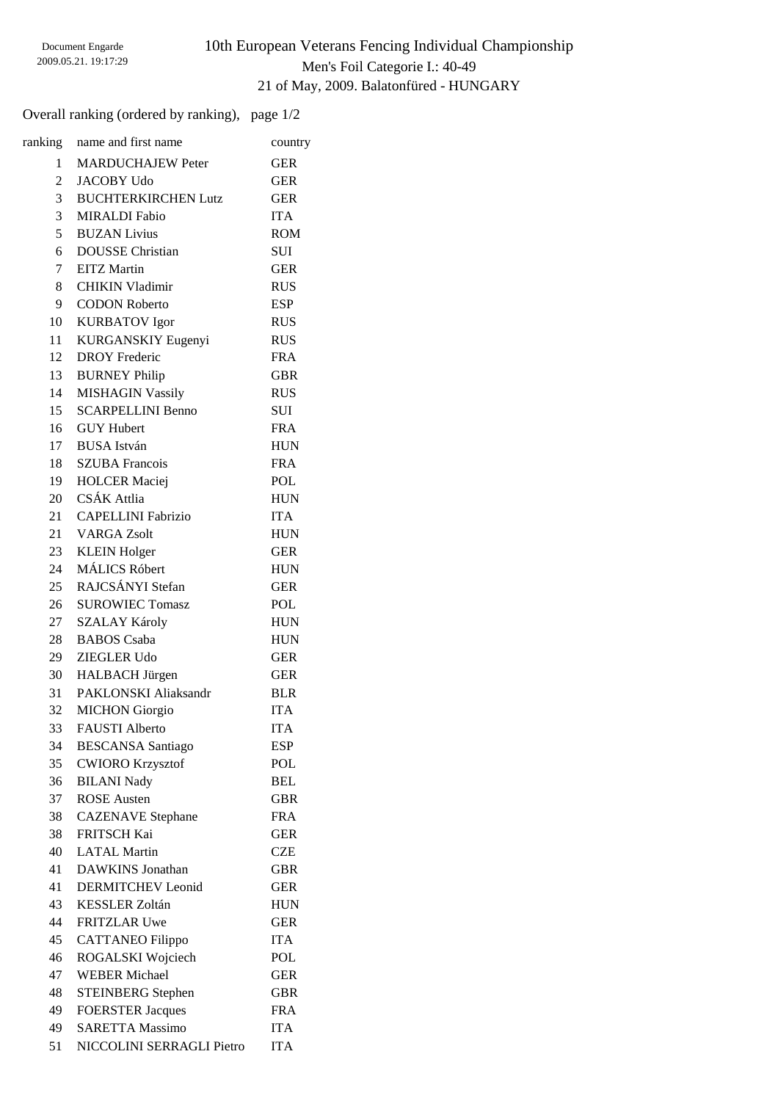# 10th European Veterans Fencing Individual Championship Men's Foil Categorie I.: 40-49 21 of May, 2009. Balatonfüred - HUNGARY

### Overall ranking (ordered by ranking), page 1/2

| ranking        | name and first name         | country    |
|----------------|-----------------------------|------------|
| 1              | <b>MARDUCHAJEW Peter</b>    | <b>GER</b> |
| 2              | <b>JACOBY Udo</b>           | <b>GER</b> |
| 3 <sup>7</sup> | <b>BUCHTERKIRCHEN Lutz</b>  | <b>GER</b> |
| 3              | <b>MIRALDI</b> Fabio        | <b>ITA</b> |
| 5 <sup>5</sup> | <b>BUZAN Livius</b>         | <b>ROM</b> |
| 6              | <b>DOUSSE</b> Christian     | SUI        |
| $7\degree$     | <b>EITZ</b> Martin          | <b>GER</b> |
| 8              | <b>CHIKIN Vladimir</b>      | <b>RUS</b> |
| 9              | <b>CODON Roberto</b>        | ESP        |
| 10             | <b>KURBATOV</b> Igor        | <b>RUS</b> |
| 11 -           | KURGANSKIY Eugenyi          | <b>RUS</b> |
| 12             | <b>DROY</b> Frederic        | <b>FRA</b> |
| 13             | <b>BURNEY Philip</b>        | <b>GBR</b> |
| 14             | <b>MISHAGIN Vassily</b>     | <b>RUS</b> |
| 15             | <b>SCARPELLINI Benno</b>    | SUI        |
|                | 16 GUY Hubert               | <b>FRA</b> |
|                | 17 BUSA István              | <b>HUN</b> |
|                | 18 SZUBA Francois           | <b>FRA</b> |
|                | 19 HOLCER Maciej            | POL        |
|                | 20 CSÁK Attlia              | <b>HUN</b> |
|                | 21 CAPELLINI Fabrizio       | <b>ITA</b> |
|                | 21 VARGA Zsolt              | <b>HUN</b> |
|                | 23 KLEIN Holger             | <b>GER</b> |
|                | 24 MÁLICS Róbert            | <b>HUN</b> |
|                | 25 RAJCSÁNYI Stefan         | <b>GER</b> |
| 26             | <b>SUROWIEC Tomasz</b>      | POL        |
| 27             | <b>SZALAY Károly</b>        | <b>HUN</b> |
| 28             | <b>BABOS</b> Csaba          | <b>HUN</b> |
| 29             | <b>ZIEGLER Udo</b>          | GER        |
| 30             | <b>HALBACH Jürgen</b>       | <b>GER</b> |
| 31             | <b>PAKLONSKI Aliaksandr</b> | <b>BLR</b> |
| 32             | <b>MICHON</b> Giorgio       | <b>ITA</b> |
| 33             | <b>FAUSTI</b> Alberto       | <b>ITA</b> |
| 34             | <b>BESCANSA</b> Santiago    | ESP        |
| 35             | <b>CWIORO Krzysztof</b>     | POL        |
| 36             | <b>BILANI Nady</b>          | <b>BEL</b> |
| 37             | <b>ROSE</b> Austen          | <b>GBR</b> |
| 38             | <b>CAZENAVE</b> Stephane    | <b>FRA</b> |
| 38             | <b>FRITSCH Kai</b>          | <b>GER</b> |
| 40             | <b>LATAL Martin</b>         | <b>CZE</b> |
| 41             | DAWKINS Jonathan            | <b>GBR</b> |
| 41             | <b>DERMITCHEV</b> Leonid    | <b>GER</b> |
| 43             | <b>KESSLER Zoltán</b>       | <b>HUN</b> |
| 44             | <b>FRITZLAR Uwe</b>         | <b>GER</b> |
| 45             | <b>CATTANEO Filippo</b>     | <b>ITA</b> |
| 46             | ROGALSKI Wojciech           | POL        |
| 47             | <b>WEBER Michael</b>        | <b>GER</b> |
| 48             | <b>STEINBERG</b> Stephen    | <b>GBR</b> |
| 49             | <b>FOERSTER Jacques</b>     | <b>FRA</b> |
| 49             | <b>SARETTA Massimo</b>      | <b>ITA</b> |
| 51             | NICCOLINI SERRAGLI Pietro   | <b>ITA</b> |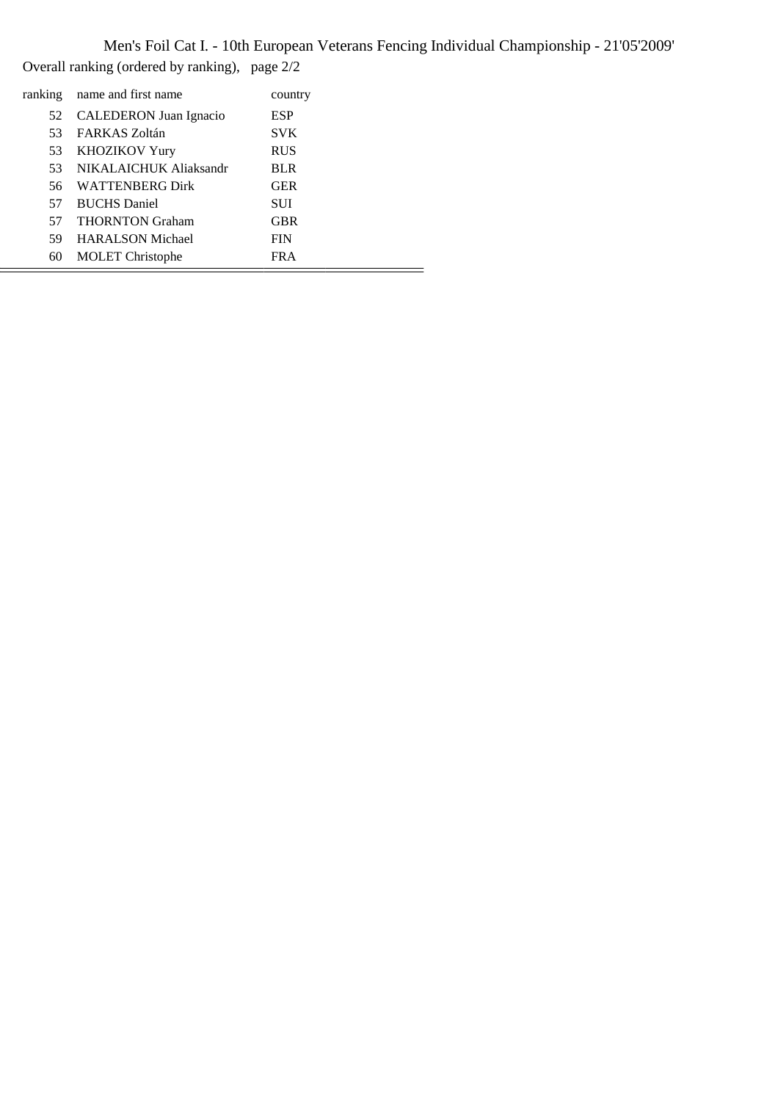Men's Foil Cat I. - 10th European Veterans Fencing Individual Championship - 21'05'2009' Overall ranking (ordered by ranking), page 2/2

| ranking | name and first name     | country    |  |
|---------|-------------------------|------------|--|
| 52      | CALEDERON Juan Ignacio  | <b>ESP</b> |  |
| 53      | FARKAS Zoltán           | <b>SVK</b> |  |
| 53      | <b>KHOZIKOV Yury</b>    | <b>RUS</b> |  |
| 53      | NIKALAICHUK Aliaksandr  | <b>BLR</b> |  |
| 56.     | WATTENBERG Dirk         | <b>GER</b> |  |
| 57      | <b>BUCHS</b> Daniel     | <b>SUI</b> |  |
| 57      | <b>THORNTON Graham</b>  | <b>GBR</b> |  |
| 59      | <b>HARALSON Michael</b> | <b>FIN</b> |  |
| 60      | <b>MOLET</b> Christophe | <b>FRA</b> |  |
|         |                         |            |  |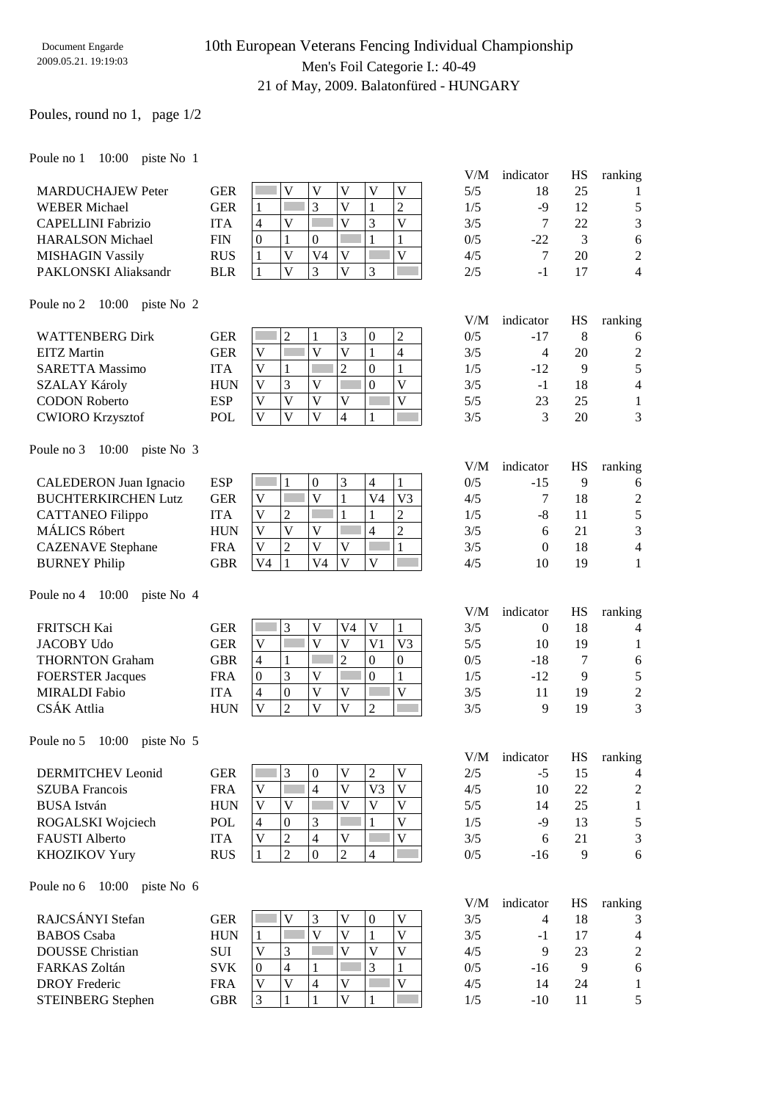## 10th European Veterans Fencing Individual Championship Men's Foil Categorie I.: 40-49 21 of May, 2009. Balatonfüred - HUNGARY

#### Poules, round no 1, page 1/2

#### Poule no 1 10:00 piste No 1

| <b>MARDUCHAJEW Peter</b>  | <b>GER</b> |  |  |  |
|---------------------------|------------|--|--|--|
| <b>WEBER</b> Michael      | <b>GER</b> |  |  |  |
| <b>CAPELLINI</b> Fabrizio | <b>ITA</b> |  |  |  |
| <b>HARALSON Michael</b>   | <b>FIN</b> |  |  |  |
| <b>MISHAGIN Vassily</b>   | <b>RUS</b> |  |  |  |
| PAKLONSKI Aliaksandr      | RI R       |  |  |  |

| V/M | indicator | HS | ranking        |
|-----|-----------|----|----------------|
| 5/5 | 18        | 25 |                |
| 1/5 | -9        | 12 | 5              |
| 3/5 | 7         | 22 | 3              |
| 0/5 | $-22.$    | 3  | 6              |
| 4/5 | 7         | 20 | $\mathfrak{D}$ |
| 2/5 | -1        | 17 |                |

V/M indicator HS ranking

V/M indicator HS ranking

#### Poule no 2 10:00 piste No 2

| <b>WATTENBERG Dirk</b>  | GER |              | ∠ |  | ∸ | 0/5 | $-17$ |    |                |
|-------------------------|-----|--------------|---|--|---|-----|-------|----|----------------|
| <b>EITZ Martin</b>      | GER | $\mathbf{V}$ |   |  |   | 3/5 |       | 20 | $\overline{2}$ |
| <b>SARETTA Massimo</b>  | ITA |              |   |  |   | 1/5 | $-12$ |    |                |
| <b>SZALAY Károly</b>    | HUN |              |   |  |   | 3/5 | - 1   |    | 4              |
| <b>CODON Roberto</b>    | ESP |              |   |  |   | 5/5 |       | 25 |                |
| <b>CWIORO Krzysztof</b> | POL |              |   |  |   | 3/5 |       | 20 | 3              |

#### Poule no 3 10:00 piste No 3

|                               |            |                |   |    |   |    |                | V/M | indicator | HS | ranking |
|-------------------------------|------------|----------------|---|----|---|----|----------------|-----|-----------|----|---------|
| <b>CALEDERON</b> Juan Ignacio | <b>ESP</b> |                |   |    | 3 |    |                | 0/5 | $-15$     |    | 6       |
| <b>BUCHTERKIRCHEN Lutz</b>    | GER        | V              |   |    |   | V4 | V <sub>3</sub> | 4/5 |           | 18 | 2       |
| <b>CATTANEO</b> Filippo       | <b>ITA</b> |                | ∠ |    |   |    |                | 1/5 | -8        |    | 5       |
| <b>MÁLICS Róbert</b>          | <b>HUN</b> | V              |   |    |   |    | ∠              | 3/5 |           | 21 | 3       |
| <b>CAZENAVE</b> Stephane      | FRA        | V              |   |    | v |    |                | 3/5 |           | 18 | 4       |
| <b>BURNEY Philip</b>          | GBR        | V <sub>4</sub> |   | V4 | V |    |                | 4/5 | 10        | 19 |         |

#### Poule no 4 10:00 piste No 4

|                         |            |              |  |    |          |    | V/M | indicator | HS | ranking |
|-------------------------|------------|--------------|--|----|----------|----|-----|-----------|----|---------|
| <b>FRITSCH Kai</b>      | GER        |              |  | V4 |          |    | 3/5 |           | 18 | 4       |
| <b>JACOBY Udo</b>       | GER        | V            |  |    | Vì       | V3 | 5/5 | 10        | 19 |         |
| <b>THORNTON Graham</b>  | GBR        | 4            |  |    | $\theta$ |    | 0/5 | -18       |    | 6       |
| <b>FOERSTER Jacques</b> | FRA        | 0            |  |    |          |    | 1/5 | $-12$     | 9  | 5       |
| <b>MIRALDI</b> Fabio    | ITA        | 4            |  | V  |          |    | 3/5 | 11        | 19 | 2       |
| CSÁK Attlia             | <b>HUN</b> | $\mathbf{V}$ |  | V  | ◠        |    | 3/5 |           | 19 | 3       |

#### Poule no 5 10:00 piste No 5

| <b>DERMITCHEV</b> Leonid | GER        |          |  | ∠ | 2/5 | -2  | 15 | 4              |
|--------------------------|------------|----------|--|---|-----|-----|----|----------------|
| <b>SZUBA</b> Francois    | FRA        | $\bf{V}$ |  |   | 4/5 | 10  | 22 | $\overline{c}$ |
| <b>BUSA</b> István       | HUN        |          |  |   | 5/5 |     | 25 |                |
| ROGALSKI Wojciech        | <b>POL</b> |          |  |   | 1/5 | -9  | 13 |                |
| <b>FAUSTI</b> Alberto    | UТА        |          |  |   | 3/5 |     |    | 3              |
| <b>KHOZIKOV Yury</b>     | RUS        |          |  |   | 0/5 | -16 |    |                |

#### Poule no 6 10:00 piste No 6

|                          |            |                   |   |  |  | V/M | indicator | HS | ranking        |
|--------------------------|------------|-------------------|---|--|--|-----|-----------|----|----------------|
| RAJCSÁNYI Stefan         | <b>GER</b> |                   |   |  |  | 3/5 |           | 18 | 3              |
| <b>BABOS</b> Csaba       | <b>HUN</b> |                   |   |  |  | 3/5 | - 1       |    | 4              |
| DOUSSE Christian         | <b>SUI</b> |                   | ◠ |  |  | 4/5 |           | 23 | $\mathfrak{D}$ |
| FARKAS Zoltán            | <b>SVK</b> |                   |   |  |  | 0/5 | $-16$     |    | 6              |
| <b>DROY</b> Frederic     | <b>FRA</b> |                   |   |  |  | 4/5 | 14        | 24 |                |
| <b>STEINBERG</b> Stephen | GBR        | $\mathbf{\Omega}$ |   |  |  | 1/5 | $-10^{-}$ |    |                |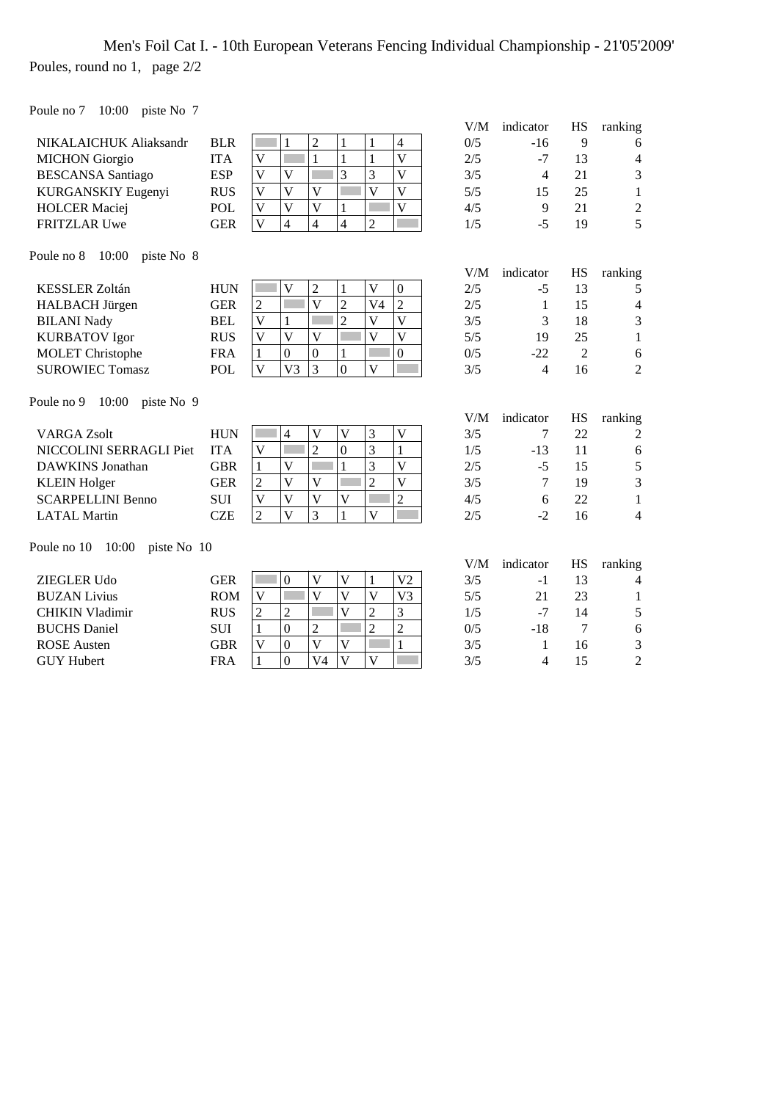# Men's Foil Cat I. - 10th European Veterans Fencing Individual Championship - 21'05'2009' Poules, round no 1, page 2/2

Poule no 7 10:00 piste No 7

|                                     |            |                                                                                                                                     | V/M | indicator                | HS             | ranking                  |
|-------------------------------------|------------|-------------------------------------------------------------------------------------------------------------------------------------|-----|--------------------------|----------------|--------------------------|
| NIKALAICHUK Aliaksandr              | <b>BLR</b> | $\overline{2}$<br>$\overline{4}$<br>$\mathbf{1}$<br>$\mathbf{1}$<br>1                                                               | 0/5 | $-16$                    | 9              | 6                        |
| <b>MICHON</b> Giorgio               | <b>ITA</b> | $\overline{\mathsf{V}}$<br>V<br>1<br>1<br>1                                                                                         | 2/5 | $-7$                     | 13             | $\overline{\mathcal{A}}$ |
| <b>BESCANSA</b> Santiago            | <b>ESP</b> | $\overline{3}$<br>3<br>$\overline{\mathsf{V}}$<br>$\overline{\mathsf{V}}$<br>$\mathbf V$                                            | 3/5 | 4                        | 21             | 3                        |
| KURGANSKIY Eugenyi                  | <b>RUS</b> | $\overline{\mathsf{V}}$<br>$\overline{\mathsf{V}}$<br>$\overline{\mathsf{V}}$<br>$\overline{\mathsf{V}}$<br>$\overline{\mathsf{V}}$ | 5/5 | 15                       | 25             | $\mathbf{1}$             |
| <b>HOLCER Maciej</b>                | <b>POL</b> | $\overline{\mathsf{V}}$<br>$\overline{\mathsf{V}}$<br>$\overline{\mathsf{V}}$<br>V<br>$\mathbf{1}$                                  | 4/5 | 9                        | 21             | $\sqrt{2}$               |
| <b>FRITZLAR Uwe</b>                 | <b>GER</b> | $\mathbf V$<br>$\overline{4}$<br>$\overline{2}$<br>4<br>4                                                                           | 1/5 | $-5$                     | 19             | 5                        |
|                                     |            |                                                                                                                                     |     |                          |                |                          |
| 10:00<br>Poule no 8<br>piste No 8   |            |                                                                                                                                     |     |                          |                |                          |
|                                     |            |                                                                                                                                     | V/M | indicator                | HS             | ranking                  |
| <b>KESSLER Zoltán</b>               | <b>HUN</b> | $\overline{c}$<br>$\mathbf V$<br>$\boldsymbol{0}$<br>V<br>1                                                                         | 2/5 | -5                       | 13             | 5                        |
| <b>HALBACH Jürgen</b>               | <b>GER</b> | $\overline{2}$<br>$\overline{\mathsf{V}}$<br>$\overline{2}$<br>$\overline{c}$<br>V <sub>4</sub>                                     | 2/5 | $\mathbf{1}$             | 15             | 4                        |
| <b>BILANI Nady</b>                  | <b>BEL</b> | $\overline{2}$<br>$\overline{\mathsf{V}}$<br>$\overline{\mathbf{V}}$<br>$\overline{V}$<br>$\mathbf{1}$                              | 3/5 | 3                        | 18             | 3                        |
| <b>KURBATOV</b> Igor                | <b>RUS</b> | $\overline{\mathsf{V}}$<br>$\overline{V}$<br>$\overline{\mathsf{V}}$<br>$\overline{V}$<br>$\overline{\mathsf{V}}$                   | 5/5 | 19                       | 25             | $\mathbf{1}$             |
| <b>MOLET</b> Christophe             | <b>FRA</b> | $\mathbf{0}$<br>$\boldsymbol{0}$<br>$\boldsymbol{0}$<br>T.<br>1<br>1                                                                | 0/5 | $-22$                    | $\overline{2}$ | 6                        |
| <b>SUROWIEC Tomasz</b>              | <b>POL</b> | $\overline{3}$<br>V <sub>3</sub><br>$\overline{0}$<br>$\overline{\mathsf{V}}$<br>$\overline{\mathsf{V}}$                            | 3/5 | $\overline{4}$           | 16             | $\overline{2}$           |
| 10:00<br>Poule no 9<br>piste No 9   |            |                                                                                                                                     |     |                          |                |                          |
|                                     |            |                                                                                                                                     | V/M | indicator                | <b>HS</b>      | ranking                  |
| <b>VARGA Zsolt</b>                  | <b>HUN</b> | $\overline{\mathsf{V}}$<br>3<br>$\overline{\mathsf{V}}$<br>$\overline{\mathsf{V}}$<br>$\overline{\mathcal{L}}$                      | 3/5 | 7                        | 22             | 2                        |
| NICCOLINI SERRAGLI Piet             | <b>ITA</b> | $\overline{2}$<br>3<br>$\mathbf{1}$<br>$\overline{\mathbf{V}}$<br>$\overline{0}$                                                    | 1/5 | $-13$                    | 11             | 6                        |
| <b>DAWKINS</b> Jonathan             | <b>GBR</b> | $\overline{3}$<br>$\overline{\mathsf{V}}$<br>$\mathbf{1}$<br>$\overline{\mathsf{V}}$<br>$\mathbf{1}$                                | 2/5 | $-5$                     | 15             | 5                        |
| <b>KLEIN Holger</b>                 | <b>GER</b> | $\overline{2}$<br>$\overline{\mathsf{V}}$<br>$\overline{V}$<br>$\overline{c}$<br>$\overline{\mathsf{V}}$                            | 3/5 | $\tau$                   | 19             | 3                        |
| <b>SCARPELLINI Benno</b>            | SUI        | $\overline{2}$<br>$\overline{V}$<br>$\overline{\mathsf{V}}$<br>$\overline{\mathsf{V}}$<br>$\overline{\mathsf{V}}$                   | 4/5 | 6                        | 22             | 1                        |
| <b>LATAL Martin</b>                 | <b>CZE</b> | $\overline{\mathsf{V}}$<br>3<br>$\overline{c}$<br>$\mathbf{1}$<br>$\overline{\mathbf{V}}$                                           | 2/5 | $-2$                     | 16             | $\overline{4}$           |
| Poule no 10<br>10:00<br>piste No 10 |            |                                                                                                                                     | V/M | indicator                | HS             | ranking                  |
| <b>ZIEGLER Udo</b>                  | <b>GER</b> | $\mathbf V$<br>V <sub>2</sub><br>$\boldsymbol{0}$<br>$\mathbf V$<br>$\mathbf{1}$                                                    | 3/5 | $-1$                     | 13             | 4                        |
| <b>BUZAN Livius</b>                 | <b>ROM</b> | $\overline{\mathsf{V}}$<br>$\overline{V}$<br>$\overline{\mathbf{V}}$<br>$\overline{\mathbf{V}}$<br>V <sub>3</sub>                   | 5/5 | 21                       | 23             | $\mathbf{1}$             |
| <b>CHIKIN Vladimir</b>              | <b>RUS</b> | $\overline{\mathsf{V}}$<br>$\overline{2}$<br>3<br>$\overline{2}$<br>$\overline{c}$                                                  | 1/5 | $-7$                     | 14             | 5                        |
| <b>BUCHS</b> Daniel                 | <b>SUI</b> | $\overline{2}$<br>$\overline{c}$<br>$\overline{c}$<br>$\boldsymbol{0}$<br>$\mathbf{1}$                                              | 0/5 | $-18$                    | 7              | 6                        |
| <b>ROSE</b> Austen                  | <b>GBR</b> | $\mathbf{1}$<br>$\overline{\mathsf{V}}$<br>$\mathbf V$<br>$\mathbf V$<br>$\boldsymbol{0}$                                           | 3/5 | $\mathbf{1}$             | 16             | 3                        |
| <b>GUY Hubert</b>                   | <b>FRA</b> | $\overline{0}$<br>$\mathbf{V}$<br>$\overline{\mathbf{V}}$<br>V <sub>4</sub><br>1                                                    | 3/5 | $\overline{\mathcal{L}}$ | 15             | $\overline{2}$           |
|                                     |            |                                                                                                                                     |     |                          |                |                          |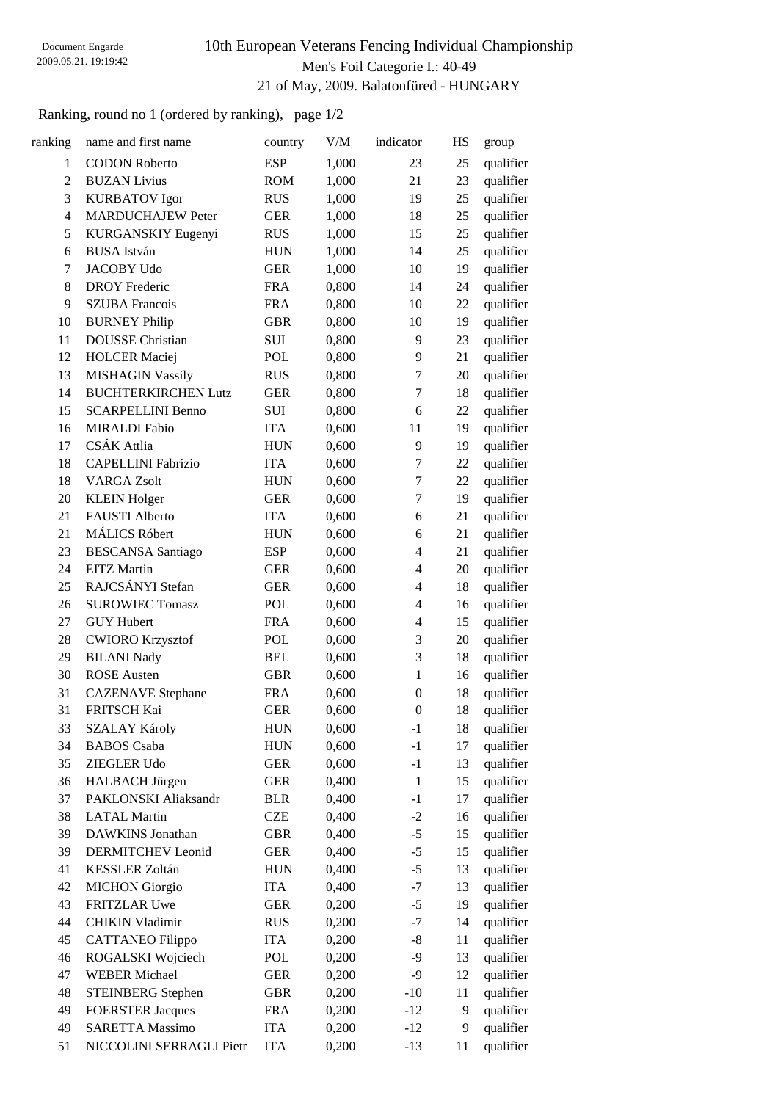# 10th European Veterans Fencing Individual Championship Men's Foil Categorie I.: 40-49 21 of May, 2009. Balatonfüred - HUNGARY

Ranking, round no 1 (ordered by ranking), page 1/2

| ranking        | name and first name        | country    | V/M   | indicator                | HS | group     |
|----------------|----------------------------|------------|-------|--------------------------|----|-----------|
| $\mathbf{1}$   | <b>CODON Roberto</b>       | <b>ESP</b> | 1,000 | 23                       | 25 | qualifier |
| $\overline{c}$ | <b>BUZAN Livius</b>        | <b>ROM</b> | 1,000 | 21                       | 23 | qualifier |
| 3              | <b>KURBATOV</b> Igor       | <b>RUS</b> | 1,000 | 19                       | 25 | qualifier |
| $\overline{4}$ | <b>MARDUCHAJEW Peter</b>   | <b>GER</b> | 1,000 | 18                       | 25 | qualifier |
| 5              | KURGANSKIY Eugenyi         | <b>RUS</b> | 1,000 | 15                       | 25 | qualifier |
| 6              | <b>BUSA</b> István         | <b>HUN</b> | 1,000 | 14                       | 25 | qualifier |
| 7              | <b>JACOBY Udo</b>          | <b>GER</b> | 1,000 | 10                       | 19 | qualifier |
| 8              | <b>DROY</b> Frederic       | <b>FRA</b> | 0,800 | 14                       | 24 | qualifier |
| 9              | <b>SZUBA Francois</b>      | <b>FRA</b> | 0,800 | 10                       | 22 | qualifier |
| 10             | <b>BURNEY Philip</b>       | <b>GBR</b> | 0,800 | 10                       | 19 | qualifier |
| 11             | <b>DOUSSE</b> Christian    | SUI        | 0,800 | 9                        | 23 | qualifier |
| 12             | <b>HOLCER</b> Maciej       | <b>POL</b> | 0,800 | 9                        | 21 | qualifier |
| 13             | <b>MISHAGIN Vassily</b>    | <b>RUS</b> | 0,800 | $\tau$                   | 20 | qualifier |
| 14             | <b>BUCHTERKIRCHEN Lutz</b> | <b>GER</b> | 0,800 | 7                        | 18 | qualifier |
| 15             | <b>SCARPELLINI Benno</b>   | <b>SUI</b> | 0,800 | 6                        | 22 | qualifier |
| 16             | <b>MIRALDI</b> Fabio       | <b>ITA</b> | 0,600 | 11                       | 19 | qualifier |
| 17             | CSÁK Attlia                | <b>HUN</b> | 0,600 | 9                        | 19 | qualifier |
| 18             | <b>CAPELLINI Fabrizio</b>  | <b>ITA</b> | 0,600 | $\tau$                   | 22 | qualifier |
| 18             | <b>VARGA Zsolt</b>         | <b>HUN</b> | 0,600 | $\tau$                   | 22 | qualifier |
| 20             | <b>KLEIN Holger</b>        | <b>GER</b> | 0,600 | $\tau$                   | 19 | qualifier |
| 21             | <b>FAUSTI Alberto</b>      | <b>ITA</b> | 0,600 | 6                        | 21 | qualifier |
| 21             | MÁLICS Róbert              | <b>HUN</b> | 0,600 | 6                        | 21 | qualifier |
| 23             | <b>BESCANSA</b> Santiago   | <b>ESP</b> | 0,600 | 4                        | 21 | qualifier |
| 24             | <b>EITZ</b> Martin         | <b>GER</b> | 0,600 | 4                        | 20 | qualifier |
| 25             | RAJCSÁNYI Stefan           | <b>GER</b> | 0,600 | 4                        | 18 | qualifier |
| 26             | <b>SUROWIEC Tomasz</b>     | <b>POL</b> | 0,600 | 4                        | 16 | qualifier |
| 27             | <b>GUY Hubert</b>          | <b>FRA</b> | 0,600 | $\overline{\mathcal{L}}$ | 15 | qualifier |
| 28             | <b>CWIORO Krzysztof</b>    | <b>POL</b> | 0,600 | 3                        | 20 | qualifier |
| 29             | <b>BILANI Nady</b>         | <b>BEL</b> | 0,600 | 3                        | 18 | qualifier |
| 30             | <b>ROSE</b> Austen         | <b>GBR</b> | 0,600 | $\mathbf{1}$             | 16 | qualifier |
| 31             | <b>CAZENAVE</b> Stephane   | <b>FRA</b> | 0,600 | $\mathbf{0}$             | 18 | qualifier |
| 31             | FRITSCH Kai                | <b>GER</b> | 0,600 | $\boldsymbol{0}$         | 18 | qualifier |
| 33             | <b>SZALAY Károly</b>       | <b>HUN</b> | 0,600 | $-1$                     | 18 | qualifier |
| 34             | <b>BABOS</b> Csaba         | <b>HUN</b> | 0,600 | $-1$                     | 17 | qualifier |
| 35             | ZIEGLER Udo                | <b>GER</b> | 0,600 | $-1$                     | 13 | qualifier |
| 36             | HALBACH Jürgen             | <b>GER</b> | 0,400 | $\mathbf{1}$             | 15 | qualifier |
| 37             | PAKLONSKI Aliaksandr       | <b>BLR</b> | 0,400 | $-1$                     | 17 | qualifier |
| 38             | <b>LATAL Martin</b>        | <b>CZE</b> | 0,400 | $-2$                     | 16 | qualifier |
| 39             | <b>DAWKINS</b> Jonathan    | <b>GBR</b> | 0,400 | $-5$                     | 15 | qualifier |
| 39             | DERMITCHEV Leonid          | <b>GER</b> | 0,400 | $-5$                     | 15 | qualifier |
| 41             | <b>KESSLER Zoltán</b>      | <b>HUN</b> | 0,400 | $-5$                     | 13 | qualifier |
| 42             | <b>MICHON</b> Giorgio      | <b>ITA</b> | 0,400 | $-7$                     | 13 | qualifier |
| 43             | <b>FRITZLAR Uwe</b>        | <b>GER</b> | 0,200 | $-5$                     | 19 | qualifier |
| 44             | <b>CHIKIN Vladimir</b>     | <b>RUS</b> | 0,200 | $-7$                     | 14 | qualifier |
| 45             | <b>CATTANEO Filippo</b>    | <b>ITA</b> | 0,200 | $-8$                     | 11 | qualifier |
| 46             | ROGALSKI Wojciech          | POL        | 0,200 | -9                       | 13 | qualifier |
| 47             | <b>WEBER Michael</b>       | <b>GER</b> | 0,200 | $-9$                     | 12 | qualifier |
| 48             | <b>STEINBERG</b> Stephen   | <b>GBR</b> | 0,200 | $-10$                    | 11 | qualifier |
| 49             | <b>FOERSTER Jacques</b>    | <b>FRA</b> | 0,200 | $-12$                    | 9  | qualifier |
| 49             | <b>SARETTA Massimo</b>     | <b>ITA</b> | 0,200 | $-12$                    | 9  | qualifier |
| 51             | NICCOLINI SERRAGLI Pietr   | <b>ITA</b> | 0,200 | $-13$                    | 11 | qualifier |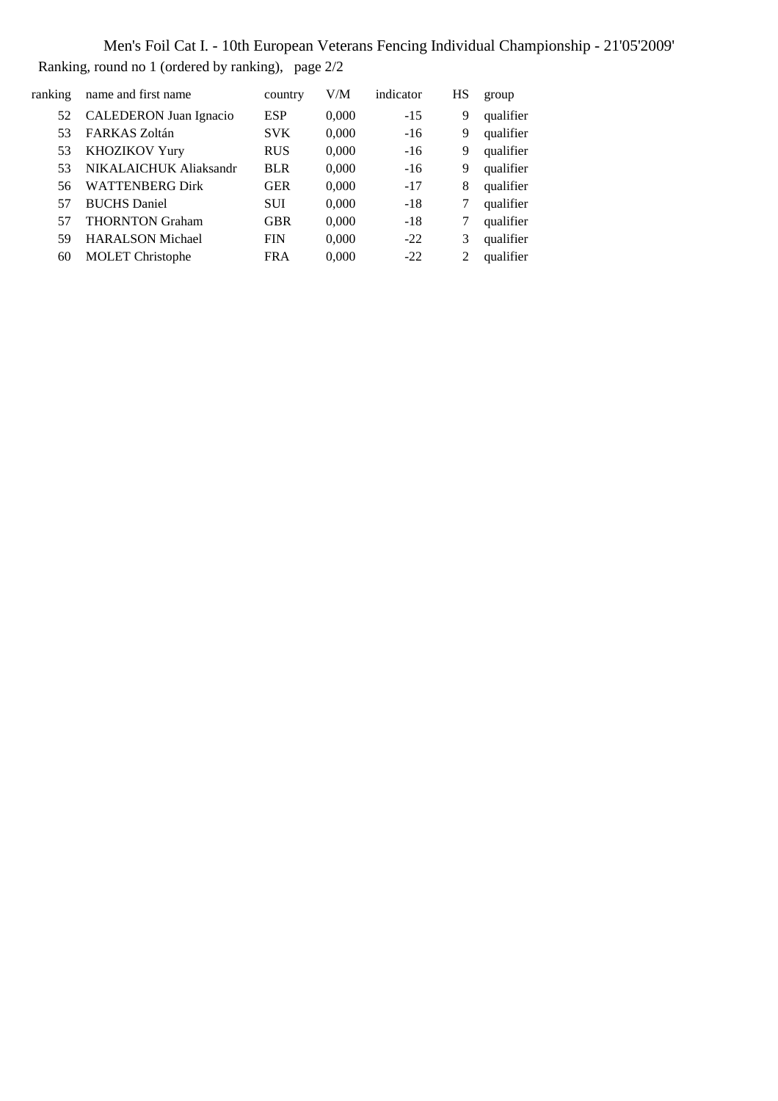Men's Foil Cat I. - 10th European Veterans Fencing Individual Championship - 21'05'2009' Ranking, round no 1 (ordered by ranking), page 2/2

| ranking | name and first name           | country    | V/M   | indicator | HS | group     |
|---------|-------------------------------|------------|-------|-----------|----|-----------|
| 52      | <b>CALEDERON</b> Juan Ignacio | <b>ESP</b> | 0,000 | $-15$     | 9  | qualifier |
| 53      | FARKAS Zoltán                 | <b>SVK</b> | 0,000 | $-16$     | 9  | qualifier |
| 53      | KHOZIKOV Yury                 | <b>RUS</b> | 0,000 | $-16$     | 9  | qualifier |
| 53      | NIKALAICHUK Aliaksandr        | <b>BLR</b> | 0,000 | $-16$     | 9  | qualifier |
| 56      | <b>WATTENBERG Dirk</b>        | <b>GER</b> | 0,000 | $-17$     | 8  | qualifier |
| 57      | <b>BUCHS</b> Daniel           | <b>SUI</b> | 0,000 | $-18$     |    | qualifier |
| 57      | <b>THORNTON Graham</b>        | <b>GBR</b> | 0,000 | $-18$     | 7  | qualifier |
| 59      | <b>HARALSON Michael</b>       | <b>FIN</b> | 0,000 | $-22$     | 3  | qualifier |
| 60      | <b>MOLET</b> Christophe       | <b>FRA</b> | 0,000 | $-22.2$   | 2  | qualifier |
|         |                               |            |       |           |    |           |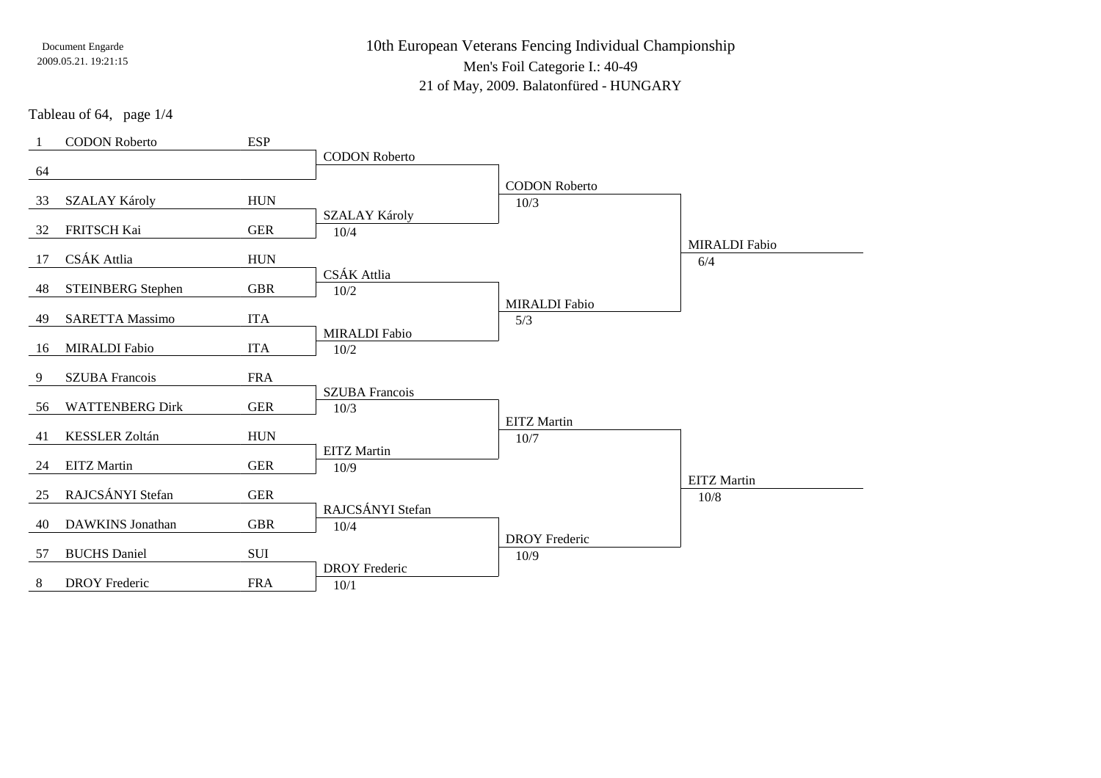# 10th European Veterans Fencing Individual ChampionshipMen's Foil Categorie I.: 40-49

21 of May, 2009. Balatonfüred - HUNGARY

Tableau of 64, page 1/4

|    | <b>CODON Roberto</b>     | <b>ESP</b>  |                       |                      |                      |
|----|--------------------------|-------------|-----------------------|----------------------|----------------------|
|    |                          |             | <b>CODON Roberto</b>  |                      |                      |
| 64 |                          |             |                       |                      |                      |
|    |                          |             |                       | <b>CODON Roberto</b> |                      |
| 33 | <b>SZALAY Károly</b>     | ${\rm HUN}$ |                       | 10/3                 |                      |
| 32 | FRITSCH Kai              | <b>GER</b>  | SZALAY Károly         |                      |                      |
|    |                          |             | 10/4                  |                      | <b>MIRALDI</b> Fabio |
| 17 | CSÁK Attlia              | <b>HUN</b>  |                       |                      | 6/4                  |
|    |                          |             | CSÁK Attlia           |                      |                      |
| 48 | <b>STEINBERG</b> Stephen | <b>GBR</b>  | 10/2                  |                      |                      |
|    |                          |             |                       | <b>MIRALDI</b> Fabio |                      |
| 49 | <b>SARETTA Massimo</b>   | <b>ITA</b>  |                       | 5/3                  |                      |
|    |                          |             | <b>MIRALDI</b> Fabio  |                      |                      |
| 16 | <b>MIRALDI</b> Fabio     | <b>ITA</b>  | 10/2                  |                      |                      |
|    |                          |             |                       |                      |                      |
| 9  | <b>SZUBA Francois</b>    | <b>FRA</b>  |                       |                      |                      |
| 56 | <b>WATTENBERG Dirk</b>   | <b>GER</b>  | <b>SZUBA Francois</b> |                      |                      |
|    |                          |             | 10/3                  | <b>EITZ</b> Martin   |                      |
| 41 | <b>KESSLER Zoltán</b>    | <b>HUN</b>  |                       | 10/7                 |                      |
|    |                          |             | <b>EITZ</b> Martin    |                      |                      |
| 24 | <b>EITZ</b> Martin       | <b>GER</b>  | 10/9                  |                      |                      |
|    |                          |             |                       |                      | <b>EITZ</b> Martin   |
| 25 | RAJCSÁNYI Stefan         | <b>GER</b>  |                       |                      | 10/8                 |
|    |                          |             | RAJCSÁNYI Stefan      |                      |                      |
| 40 | <b>DAWKINS</b> Jonathan  | <b>GBR</b>  | $10/4$                |                      |                      |
|    |                          |             |                       | <b>DROY</b> Frederic |                      |
| 57 | <b>BUCHS</b> Daniel      | SUI         |                       | 10/9                 |                      |
|    | <b>DROY</b> Frederic     | <b>FRA</b>  | <b>DROY</b> Frederic  |                      |                      |
| 8  |                          |             | 10/1                  |                      |                      |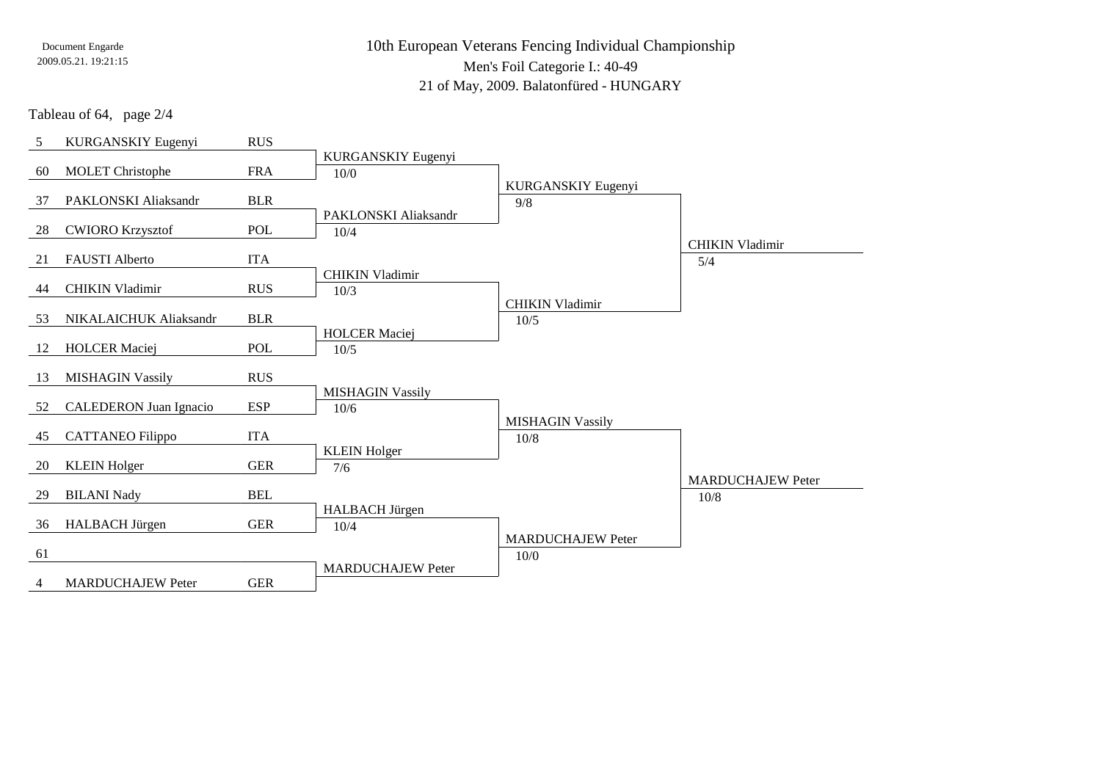10th European Veterans Fencing Individual ChampionshipMen's Foil Categorie I.: 40-4921 of May, 2009. Balatonfüred - HUNGARY

Tableau of 64, page 2/4

| 5  | KURGANSKIY Eugenyi            | <b>RUS</b> |                          |                          |                          |
|----|-------------------------------|------------|--------------------------|--------------------------|--------------------------|
|    |                               |            | KURGANSKIY Eugenyi       |                          |                          |
| 60 | <b>MOLET</b> Christophe       | <b>FRA</b> | 10/0                     |                          |                          |
|    |                               |            |                          | KURGANSKIY Eugenyi       |                          |
| 37 | PAKLONSKI Aliaksandr          | <b>BLR</b> |                          | 9/8                      |                          |
|    |                               |            | PAKLONSKI Aliaksandr     |                          |                          |
| 28 | <b>CWIORO Krzysztof</b>       | <b>POL</b> | 10/4                     |                          |                          |
|    |                               |            |                          |                          | <b>CHIKIN Vladimir</b>   |
| 21 | <b>FAUSTI</b> Alberto         | <b>ITA</b> |                          |                          | 5/4                      |
|    |                               |            | <b>CHIKIN Vladimir</b>   |                          |                          |
| 44 | <b>CHIKIN Vladimir</b>        | <b>RUS</b> | 10/3                     |                          |                          |
|    |                               |            |                          | <b>CHIKIN Vladimir</b>   |                          |
| 53 | NIKALAICHUK Aliaksandr        | <b>BLR</b> |                          | 10/5                     |                          |
|    |                               |            | <b>HOLCER Maciej</b>     |                          |                          |
| 12 | <b>HOLCER Maciej</b>          | POL        | 10/5                     |                          |                          |
|    |                               |            |                          |                          |                          |
| 13 | <b>MISHAGIN Vassily</b>       | <b>RUS</b> |                          |                          |                          |
|    |                               |            | <b>MISHAGIN Vassily</b>  |                          |                          |
| 52 | <b>CALEDERON</b> Juan Ignacio | <b>ESP</b> | 10/6                     |                          |                          |
|    |                               |            |                          | <b>MISHAGIN Vassily</b>  |                          |
| 45 | <b>CATTANEO</b> Filippo       | <b>ITA</b> |                          | 10/8                     |                          |
|    |                               |            | <b>KLEIN Holger</b>      |                          |                          |
| 20 | <b>KLEIN Holger</b>           | <b>GER</b> | 7/6                      |                          | <b>MARDUCHAJEW Peter</b> |
|    |                               | <b>BEL</b> |                          |                          |                          |
| 29 | <b>BILANI Nady</b>            |            |                          |                          | 10/8                     |
| 36 |                               | <b>GER</b> | HALBACH Jürgen           |                          |                          |
|    | HALBACH Jürgen                |            | 10/4                     | <b>MARDUCHAJEW Peter</b> |                          |
| 61 |                               |            |                          |                          |                          |
|    |                               |            | <b>MARDUCHAJEW Peter</b> | 10/0                     |                          |
| 4  | <b>MARDUCHAJEW Peter</b>      | <b>GER</b> |                          |                          |                          |
|    |                               |            |                          |                          |                          |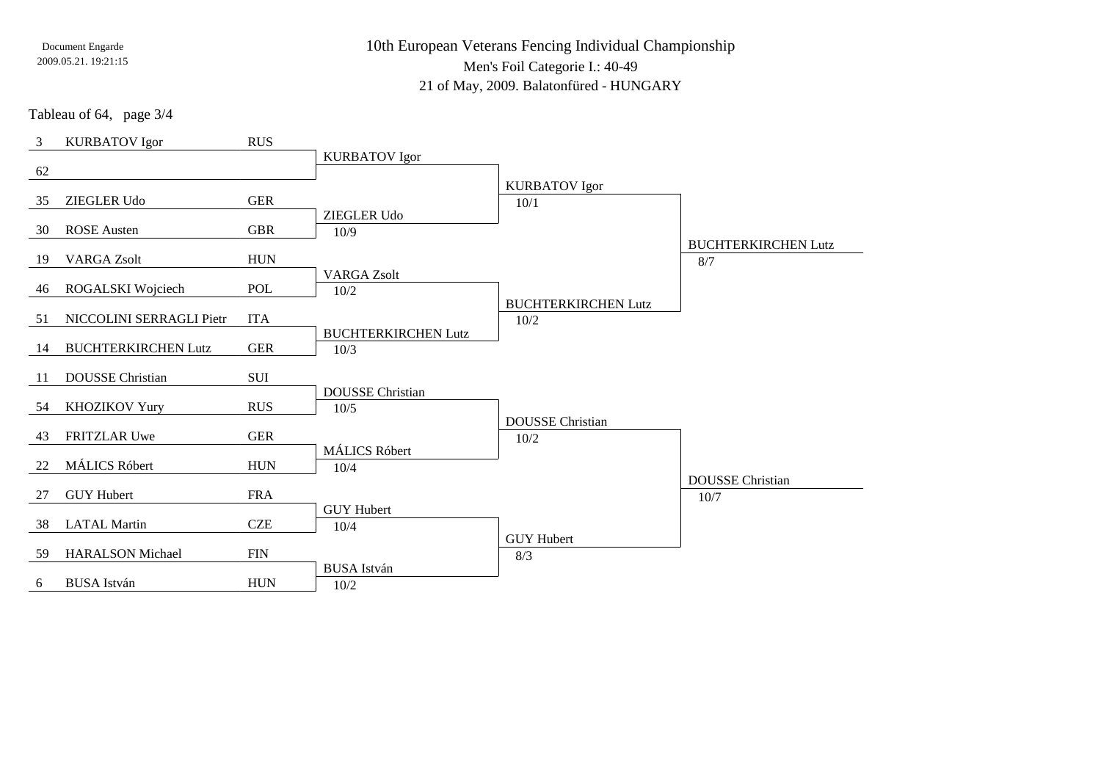10th European Veterans Fencing Individual ChampionshipMen's Foil Categorie I.: 40-49

21 of May, 2009. Balatonfüred - HUNGARY

Tableau of 64, page 3/4

| 3   | <b>KURBATOV</b> Igor       | <b>RUS</b>  |                            |                            |                            |
|-----|----------------------------|-------------|----------------------------|----------------------------|----------------------------|
|     |                            |             | <b>KURBATOV Igor</b>       |                            |                            |
| 62  |                            |             |                            | <b>KURBATOV Igor</b>       |                            |
| 35  | <b>ZIEGLER Udo</b>         | <b>GER</b>  |                            | 10/1                       |                            |
|     |                            |             | ZIEGLER Udo                |                            |                            |
| 30  | <b>ROSE</b> Austen         | <b>GBR</b>  | 10/9                       |                            |                            |
|     |                            |             |                            |                            | <b>BUCHTERKIRCHEN Lutz</b> |
| 19  | <b>VARGA Zsolt</b>         | <b>HUN</b>  | <b>VARGA Zsolt</b>         |                            | 8/7                        |
| 46  | ROGALSKI Wojciech          | POL         | 10/2                       |                            |                            |
|     |                            |             |                            | <b>BUCHTERKIRCHEN Lutz</b> |                            |
| 51  | NICCOLINI SERRAGLI Pietr   | <b>ITA</b>  |                            | 10/2                       |                            |
|     |                            |             | <b>BUCHTERKIRCHEN Lutz</b> |                            |                            |
| 14  | <b>BUCHTERKIRCHEN Lutz</b> | ${\tt GER}$ | 10/3                       |                            |                            |
| -11 | <b>DOUSSE</b> Christian    | SUI         |                            |                            |                            |
|     |                            |             | <b>DOUSSE</b> Christian    |                            |                            |
| 54  | <b>KHOZIKOV Yury</b>       | <b>RUS</b>  | 10/5                       |                            |                            |
|     |                            |             |                            | <b>DOUSSE</b> Christian    |                            |
| 43  | FRITZLAR Uwe               | <b>GER</b>  |                            | 10/2                       |                            |
|     | MÁLICS Róbert              | ${\rm HUN}$ | <b>MÁLICS Róbert</b>       |                            |                            |
| 22  |                            |             | 10/4                       |                            | <b>DOUSSE</b> Christian    |
| 27  | <b>GUY Hubert</b>          | <b>FRA</b>  |                            |                            | 10/7                       |
|     |                            |             | <b>GUY Hubert</b>          |                            |                            |
| 38  | <b>LATAL Martin</b>        | <b>CZE</b>  | 10/4                       |                            |                            |
|     |                            |             |                            | <b>GUY Hubert</b>          |                            |
| 59  | <b>HARALSON</b> Michael    | <b>FIN</b>  | <b>BUSA</b> István         | 8/3                        |                            |
| 6   | <b>BUSA</b> István         | <b>HUN</b>  | $10/2$                     |                            |                            |
|     |                            |             |                            |                            |                            |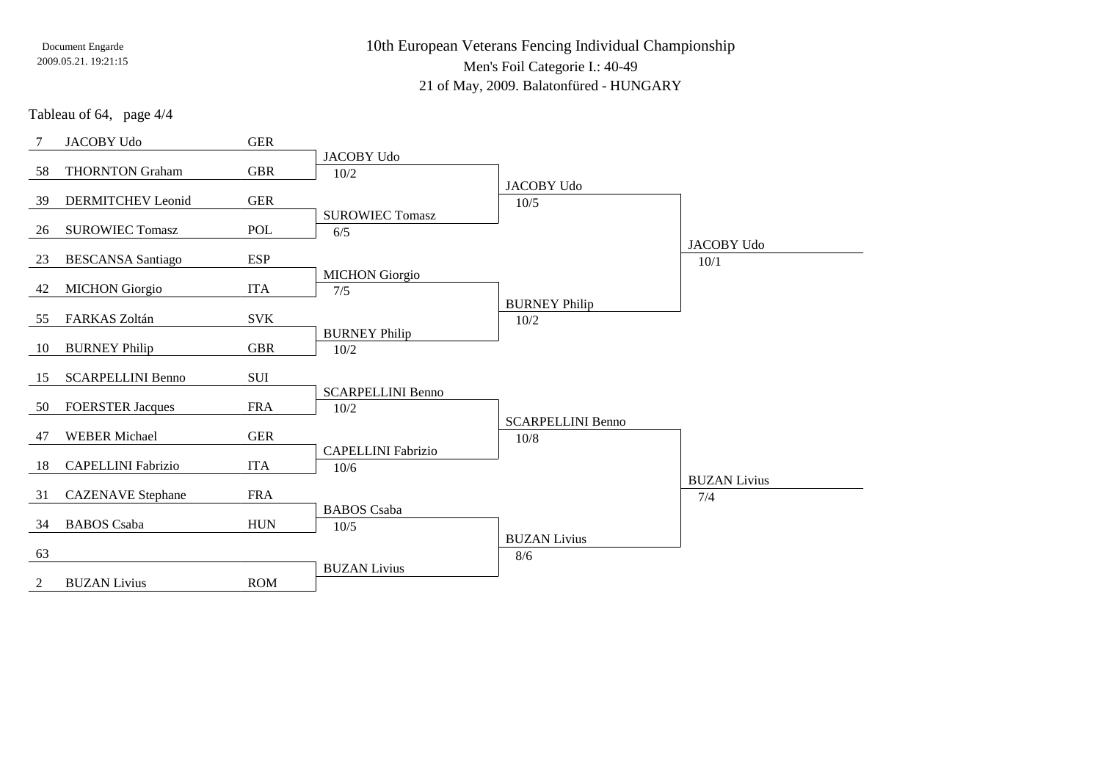10th European Veterans Fencing Individual ChampionshipMen's Foil Categorie I.: 40-49

21 of May, 2009. Balatonfüred - HUNGARY

Tableau of 64, page 4/4

| 7  | JACOBY Udo                | <b>GER</b>  |                           |                          |                     |
|----|---------------------------|-------------|---------------------------|--------------------------|---------------------|
|    |                           |             | <b>JACOBY Udo</b>         |                          |                     |
| 58 | <b>THORNTON Graham</b>    | <b>GBR</b>  | 10/2                      |                          |                     |
|    |                           |             |                           | <b>JACOBY Udo</b>        |                     |
| 39 | <b>DERMITCHEV</b> Leonid  | <b>GER</b>  |                           | 10/5                     |                     |
|    |                           |             | <b>SUROWIEC Tomasz</b>    |                          |                     |
| 26 | <b>SUROWIEC Tomasz</b>    | POL         | 6/5                       |                          |                     |
|    |                           |             |                           |                          | <b>JACOBY Udo</b>   |
| 23 | <b>BESCANSA</b> Santiago  | <b>ESP</b>  |                           |                          | 10/1                |
|    |                           |             | <b>MICHON</b> Giorgio     |                          |                     |
| 42 | <b>MICHON</b> Giorgio     | <b>ITA</b>  | 7/5                       |                          |                     |
|    |                           |             |                           | <b>BURNEY Philip</b>     |                     |
| 55 | FARKAS Zoltán             | <b>SVK</b>  |                           | 10/2                     |                     |
|    |                           | <b>GBR</b>  | <b>BURNEY Philip</b>      |                          |                     |
| 10 | <b>BURNEY Philip</b>      |             | 10/2                      |                          |                     |
| 15 | <b>SCARPELLINI Benno</b>  | SUI         |                           |                          |                     |
|    |                           |             | <b>SCARPELLINI Benno</b>  |                          |                     |
| 50 | <b>FOERSTER Jacques</b>   | <b>FRA</b>  | 10/2                      |                          |                     |
|    |                           |             |                           | <b>SCARPELLINI Benno</b> |                     |
| 47 | <b>WEBER Michael</b>      | <b>GER</b>  |                           | $10/8$                   |                     |
|    |                           |             | <b>CAPELLINI Fabrizio</b> |                          |                     |
| 18 | <b>CAPELLINI Fabrizio</b> | <b>ITA</b>  | 10/6                      |                          |                     |
|    |                           |             |                           |                          | <b>BUZAN Livius</b> |
| 31 | <b>CAZENAVE</b> Stephane  | <b>FRA</b>  |                           |                          | 7/4                 |
|    |                           |             | <b>BABOS</b> Csaba        |                          |                     |
| 34 | <b>BABOS</b> Csaba        | ${\rm HUN}$ | $10/5$                    |                          |                     |
|    |                           |             |                           | <b>BUZAN Livius</b>      |                     |
| 63 |                           |             |                           | 8/6                      |                     |
|    |                           |             | <b>BUZAN Livius</b>       |                          |                     |
| 2  | <b>BUZAN Livius</b>       | <b>ROM</b>  |                           |                          |                     |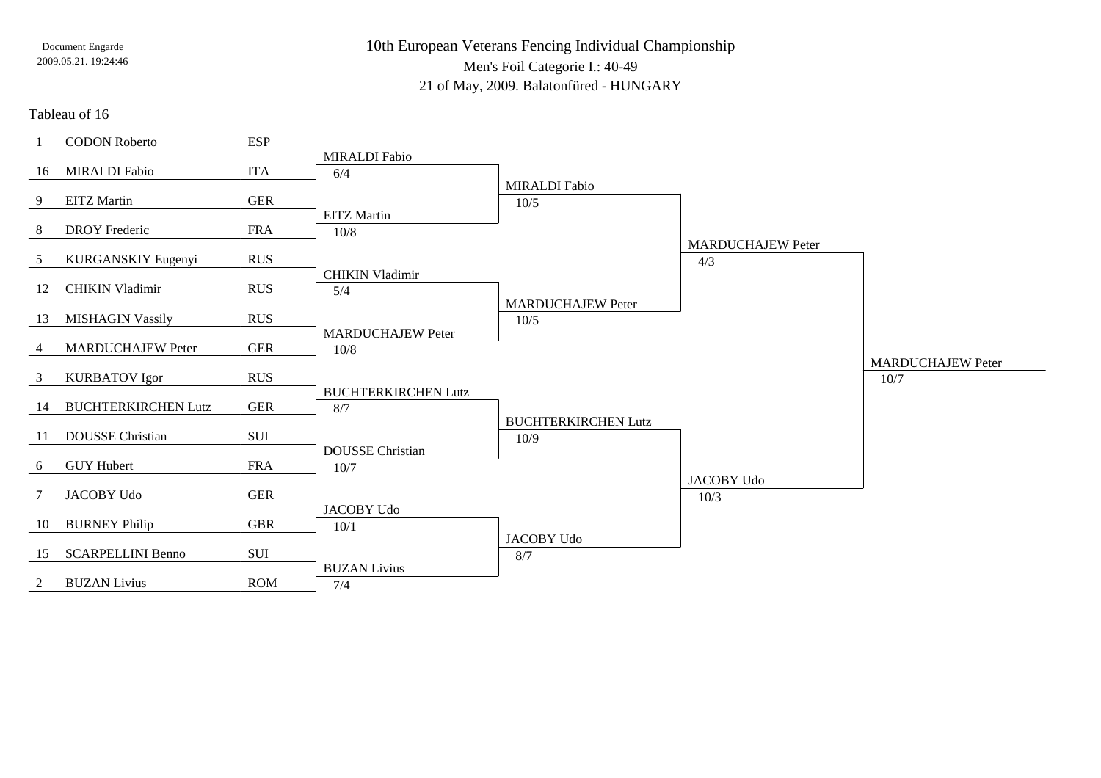10th European Veterans Fencing Individual ChampionshipMen's Foil Categorie I.: 40-4921 of May, 2009. Balatonfüred - HUNGARY

#### Tableau of 16

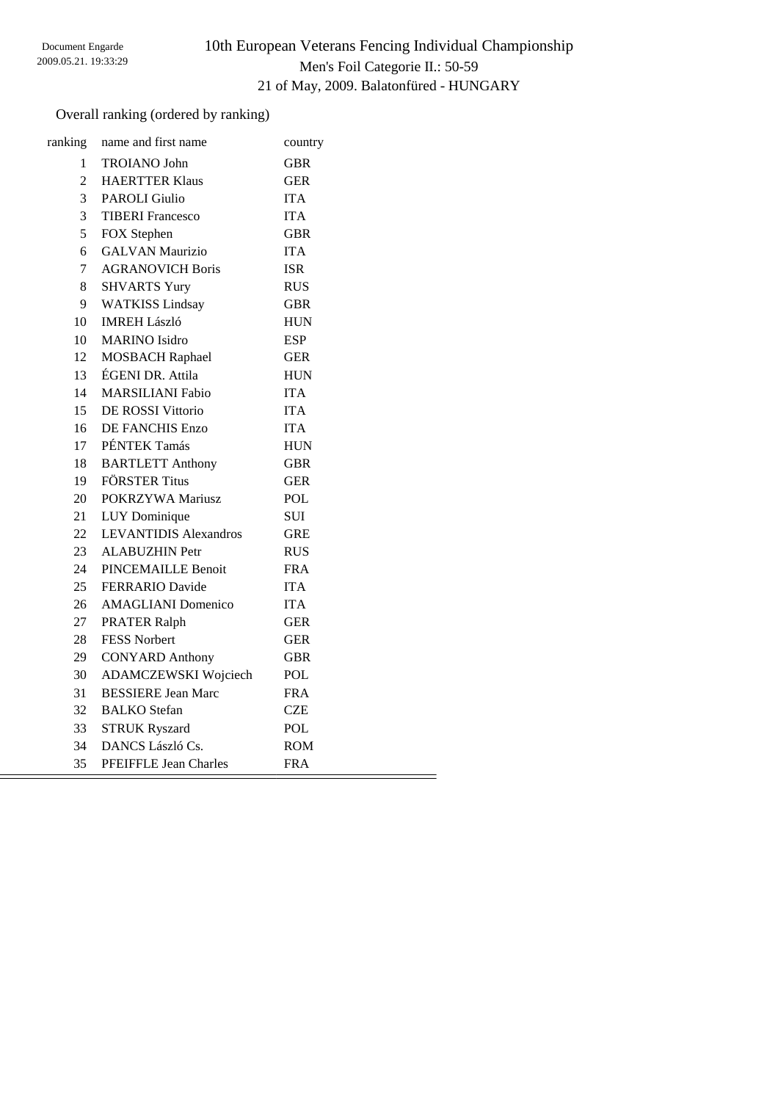# 10th European Veterans Fencing Individual Championship Men's Foil Categorie II.: 50-59 21 of May, 2009. Balatonfüred - HUNGARY

### Overall ranking (ordered by ranking)

| ranking        | name and first name          | country    |
|----------------|------------------------------|------------|
| 1              | <b>TROIANO</b> John          | <b>GBR</b> |
| $\overline{2}$ | <b>HAERTTER Klaus</b>        | <b>GER</b> |
| 3              | <b>PAROLI</b> Giulio         | <b>ITA</b> |
| 3              | <b>TIBERI</b> Francesco      | <b>ITA</b> |
| 5              | FOX Stephen                  | GBR        |
| 6              | <b>GALVAN Maurizio</b>       | <b>ITA</b> |
| 7              | <b>AGRANOVICH Boris</b>      | <b>ISR</b> |
| 8              | <b>SHVARTS Yury</b>          | <b>RUS</b> |
| 9              | <b>WATKISS Lindsay</b>       | GBR        |
| 10             | <b>IMREH László</b>          | <b>HUN</b> |
| 10             | <b>MARINO</b> Isidro         | <b>ESP</b> |
| 12             | <b>MOSBACH Raphael</b>       | <b>GER</b> |
| 13             | ÉGENI DR. Attila             | <b>HUN</b> |
| 14             | <b>MARSILIANI Fabio</b>      | <b>ITA</b> |
| 15             | DE ROSSI Vittorio            | <b>ITA</b> |
| 16             | DE FANCHIS Enzo              | <b>ITA</b> |
| 17             | PÉNTEK Tamás                 | <b>HUN</b> |
| 18             | <b>BARTLETT Anthony</b>      | <b>GBR</b> |
| 19             | <b>FÖRSTER Titus</b>         | <b>GER</b> |
| 20             | POKRZYWA Mariusz             | POL        |
| 21             | LUY Dominique                | SUI        |
| 22             | <b>LEVANTIDIS Alexandros</b> | <b>GRE</b> |
| 23             | <b>ALABUZHIN Petr</b>        | <b>RUS</b> |
| 24             | PINCEMAILLE Benoit           | <b>FRA</b> |
| 25             | <b>FERRARIO Davide</b>       | <b>ITA</b> |
| 26             | <b>AMAGLIANI</b> Domenico    | <b>ITA</b> |
| 27             | <b>PRATER Ralph</b>          | <b>GER</b> |
| 28             | <b>FESS Norbert</b>          | <b>GER</b> |
| 29             | <b>CONYARD Anthony</b>       | <b>GBR</b> |
| 30             | ADAMCZEWSKI Wojciech         | POL        |
| 31             | <b>BESSIERE Jean Marc</b>    | FRA        |
| 32             | <b>BALKO</b> Stefan          | CZE        |
| 33             | <b>STRUK Ryszard</b>         | POL        |
| 34             | DANCS László Cs.             | ROM        |
| 35             | PFEIFFLE Jean Charles        | <b>FRA</b> |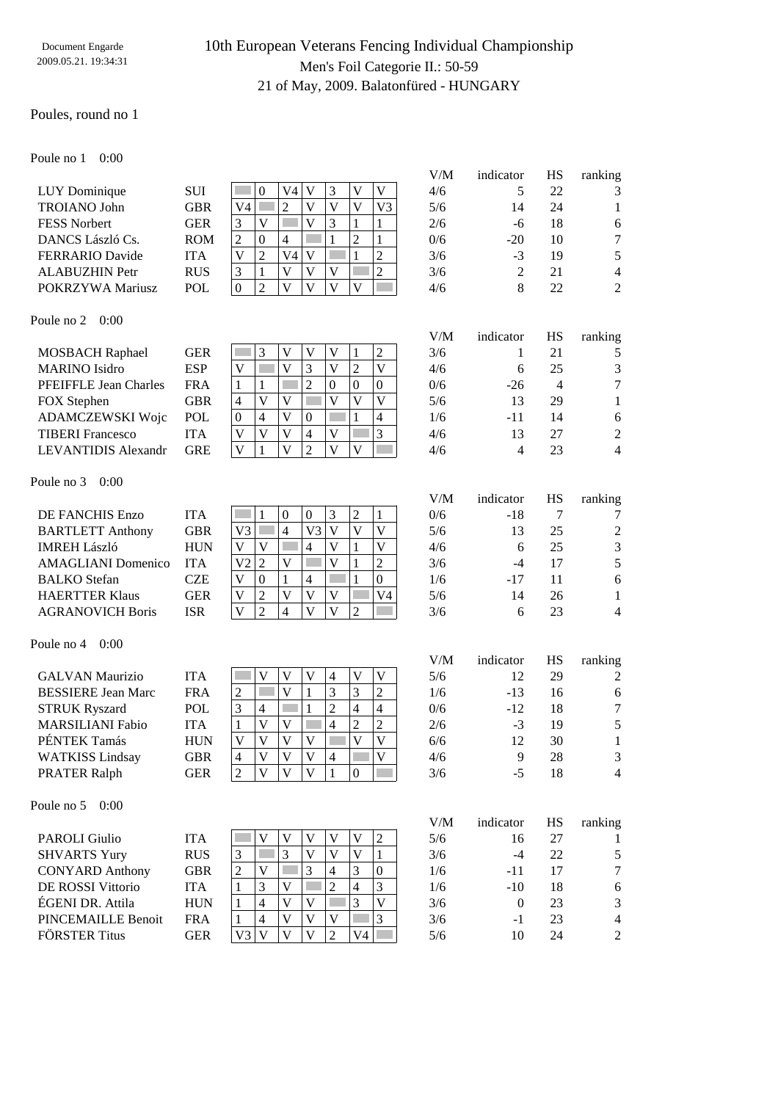### 10th European Veterans Fencing Individual Championship Men's Foil Categorie II.: 50-59 21 of May, 2009. Balatonfüred - HUNGARY

#### Poules, round no 1

Poule no 1 0:00

|                        |            |    |     |   |  |    | V/M | indicator      |
|------------------------|------------|----|-----|---|--|----|-----|----------------|
| LUY Dominique          | <b>SUI</b> |    | V4  |   |  |    | 4/6 |                |
| <b>TROIANO John</b>    | <b>GBR</b> | V4 |     |   |  | V3 | 5/6 | 14             |
| <b>FESS Norbert</b>    | <b>GER</b> |    |     |   |  |    | 2/6 | -6             |
| DANCS László Cs.       | <b>ROM</b> |    | 4   |   |  |    | 0/6 | $-20$          |
| <b>FERRARIO Davide</b> | <b>ITA</b> |    | V4. | V |  |    | 3/6 | $-3$           |
| <b>ALABUZHIN Petr</b>  | <b>RUS</b> | ◠  |     |   |  |    | 3/6 | $\overline{2}$ |
| POKRZYWA Mariusz       | POL        |    |     |   |  |    | 4/6 | 8              |

| V/M           | indicator      | HS | ranking |
|---------------|----------------|----|---------|
| 4/6           | 5              | 22 | 3       |
| 5/6           | 14             | 24 | 1       |
| 2/6           | $-6$           | 18 | 6       |
| 0/6           | $-20$          | 10 | 7       |
| 3/6           | $-3$           | 19 | 5       |
| 3/6           | $\overline{2}$ | 21 | 4       |
| $\frac{1}{6}$ | Q              | つつ | っ       |

#### Poule no 2 0:00

| <b>MOSBACH Raphael</b>       | <b>GER</b> |   |  |          | 2        | 3/6 |       |    |                |
|------------------------------|------------|---|--|----------|----------|-----|-------|----|----------------|
| <b>MARINO</b> Isidro         | <b>ESP</b> | V |  |          |          | 4/6 |       | 25 | 3              |
| <b>PFEIFFLE Jean Charles</b> | <b>FRA</b> |   |  | $\theta$ | $\theta$ | 0/6 | $-26$ |    | 7              |
| FOX Stephen                  | GBR        | 4 |  |          | V        | 5/6 |       | 29 |                |
| ADAMCZEWSKI Wojc             | <b>POL</b> | 0 |  |          | 4        | 1/6 | -11   | 14 | 6              |
| <b>TIBERI</b> Francesco      | <b>ITA</b> |   |  | V        | 3        | 4/6 |       | 27 | $\overline{2}$ |
| LEVANTIDIS Alexandr          | <b>GRE</b> |   |  | V)       |          | 4/6 |       |    | 4              |
|                              |            |   |  |          |          |     |       |    |                |

#### Poule no 3 0:00

| DE FANCHIS Enzo           | <b>ITA</b> |
|---------------------------|------------|
| <b>BARTLETT Anthony</b>   | <b>GBI</b> |
| <b>IMREH László</b>       | HUI        |
| <b>AMAGLIANI</b> Domenico | <b>ITA</b> |
| <b>BALKO</b> Stefan       | <b>CZF</b> |
| <b>HAERTTER Klaus</b>     | <b>GEI</b> |
| <b>AGRANOVICH Boris</b>   | <b>ISR</b> |

#### Poule no 4 0:00

| <b>GALVAN Maurizio</b>    |
|---------------------------|
| <b>BESSIERE Jean Marc</b> |
| <b>STRUK Ryszard</b>      |
| <b>MARSILIANI Fabio</b>   |
| PÉNTEK Tamás              |
| <b>WATKISS Lindsay</b>    |
| <b>PRATER Ralph</b>       |

### Poule no 5 0:00

| <b>PAROLI Giulio</b>   |
|------------------------|
| <b>SHVARTS Yury</b>    |
| <b>CONYARD Anthony</b> |
| DE ROSSI Vittorio      |
| ÉGENI DR. Attila       |
| PINCEMAILLE Benoit     |
| <b>FÖRSTER Titus</b>   |
|                        |

| ┻ | ┻  |                | ↩                | v            | ◡ | v              |
|---|----|----------------|------------------|--------------|---|----------------|
|   | E7 | C Z            |                  | Ū            | Ū | $\overline{1}$ |
|   |    | ۲Z             | 0                |              |   |                |
|   |    |                |                  | $\mathbf{7}$ |   | 3              |
| Ū |    | $\overline{V}$ | 2                | E Z          | Ū |                |
|   |    |                |                  |              |   |                |
|   |    |                |                  |              |   |                |
|   |    |                |                  |              |   |                |
|   |    | 0              | $\boldsymbol{0}$ | 3            | 2 |                |
|   |    |                |                  |              |   |                |

|                |   | ◡ | ◡  | $\check{ }$ |    |                |
|----------------|---|---|----|-------------|----|----------------|
| V <sub>3</sub> |   | 4 | V3 | E 7         | ٢Z | $\overline{I}$ |
|                |   |   |    | E 7         |    | $\overline{1}$ |
| V <sub>2</sub> | 2 |   |    | O           |    | $\overline{c}$ |
|                | 0 |   | 4  |             |    | 0              |
|                | 2 |   |    |             |    |                |
|                | 2 | 4 |    |             | 2  |                |

|                           |            |  |  |   |   |                | Y / 1V 1 | mundu | 11 W | $1411 \text{MHz}$ |
|---------------------------|------------|--|--|---|---|----------------|----------|-------|------|-------------------|
| GALVAN Maurizio           | <b>ITA</b> |  |  |   |   |                | 5/6      |       | 29   | $\overline{c}$    |
| <b>BESSIERE Jean Marc</b> | <b>FRA</b> |  |  |   | 3 | ∍              | 1/6      | $-13$ | 16   | 6                 |
| <b>STRUK Ryszard</b>      | POL        |  |  |   | 4 | $\overline{4}$ | 0/6      | $-12$ | 18   | 7                 |
| <b>MARSILIANI Fabio</b>   | <b>ITA</b> |  |  |   |   | ∍              | 2/6      | $-3$  | 19   |                   |
| PÉNTEK Tamás              | HUN        |  |  |   |   |                | 6/6      |       | 30   |                   |
| WATKISS Lindsay           | GBR        |  |  | 4 |   |                | 4/6      |       | 28   | 3                 |
| PRATER Ralph              | GER        |  |  |   |   |                | 3/6      | -5    |      | 4                 |

|                        |            |  |  |   |                |   | V/IVI | muncator | 11J | Talining       |
|------------------------|------------|--|--|---|----------------|---|-------|----------|-----|----------------|
| PAROLI Giulio          | <b>ITA</b> |  |  |   |                | 2 | 5/6   |          |     |                |
| <b>SHVARTS Yury</b>    | <b>RUS</b> |  |  |   |                |   | 3/6   |          | 22  |                |
| <b>CONYARD Anthony</b> | GBR        |  |  | 4 | 3              |   | 1/6   | -11      |     | 7              |
| DE ROSSI Vittorio      | <b>ITA</b> |  |  |   | $\overline{4}$ | 3 | 1/6   | $-10$    | 18  | 6              |
| ÉGENI DR. Attila       | <b>HUN</b> |  |  |   |                |   | 3/6   |          | 23  | 3              |
| PINCEMAILLE Benoit     | FRA        |  |  |   |                | 3 | 3/6   | $-1$     | 23  | $\overline{4}$ |
| FÖRSTER Titus          | GER        |  |  |   | V4             |   | 5/6   | 10       | 24  | $\mathfrak{D}$ |
|                        |            |  |  |   |                |   |       |          |     |                |

| 5 | $-26$ |    | 7              |
|---|-------|----|----------------|
| 5 | 13    | 29 | 1              |
| 5 | $-11$ | 14 | б              |
| 5 | 13    | 27 | $\overline{2}$ |
| 5 | 4     | 23 | 4              |
|   |       |    |                |
|   |       |    |                |

V/M indicator HS ranking

|                           |            |    |          |   |  |          | V/M | indicator    | НS | ranking        |
|---------------------------|------------|----|----------|---|--|----------|-----|--------------|----|----------------|
| DE FANCHIS Enzo           | <b>ITA</b> |    |          |   |  |          | 0/6 | -18          |    | 7              |
| <b>BARTLETT Anthony</b>   | <b>GBR</b> | V3 |          |   |  |          | 5/6 |              | 25 | $\overline{c}$ |
| IMREH László              | <b>HUN</b> |    |          | 4 |  |          | 4/6 | <sub>6</sub> | 25 | 3              |
| <b>AMAGLIANI Domenico</b> | <b>ITA</b> | V2 |          |   |  | 2        | 3/6 | -4           | 17 | 5              |
| <b>BALKO Stefan</b>       | CZE        |    | $\theta$ | 4 |  | $\Omega$ | 1/6 | -17          |    | 6              |
| <b>HAERTTER Klaus</b>     | <b>GER</b> |    |          |   |  | V4       | 5/6 | 14           | 26 |                |
| <b>AGRANOVICH Boris</b>   | <b>ISR</b> |    |          |   |  |          | 3/6 | <sub>6</sub> | 23 | 4              |
|                           |            |    |          |   |  |          |     |              |    |                |

| V/M | indicator | HS | ranking |
|-----|-----------|----|---------|
| 5/6 | 12        | 29 | 2       |
| 1/6 | $-13$     | 16 | 6       |
| 0/6 | $-12$     | 18 | 7       |
| 2/6 | $-3$      | 19 | 5       |
| 6/6 | 12        | 30 | 1       |
| 4/6 | 9         | 28 | 3       |
| 3/6 | -5        | 18 |         |

| V/M | indicator | HS | ranking        |
|-----|-----------|----|----------------|
| 5/6 | 16        | 27 |                |
| 3/6 | $-4$      | 22 | 5              |
| 1/6 | -11       | 17 | 7              |
| 1/6 | $-10$     | 18 | 6              |
| 3/6 | $\theta$  | 23 | 3              |
| 3/6 | $-1$      | 23 | $\overline{4}$ |
| 5/6 | 10        | 24 | 2              |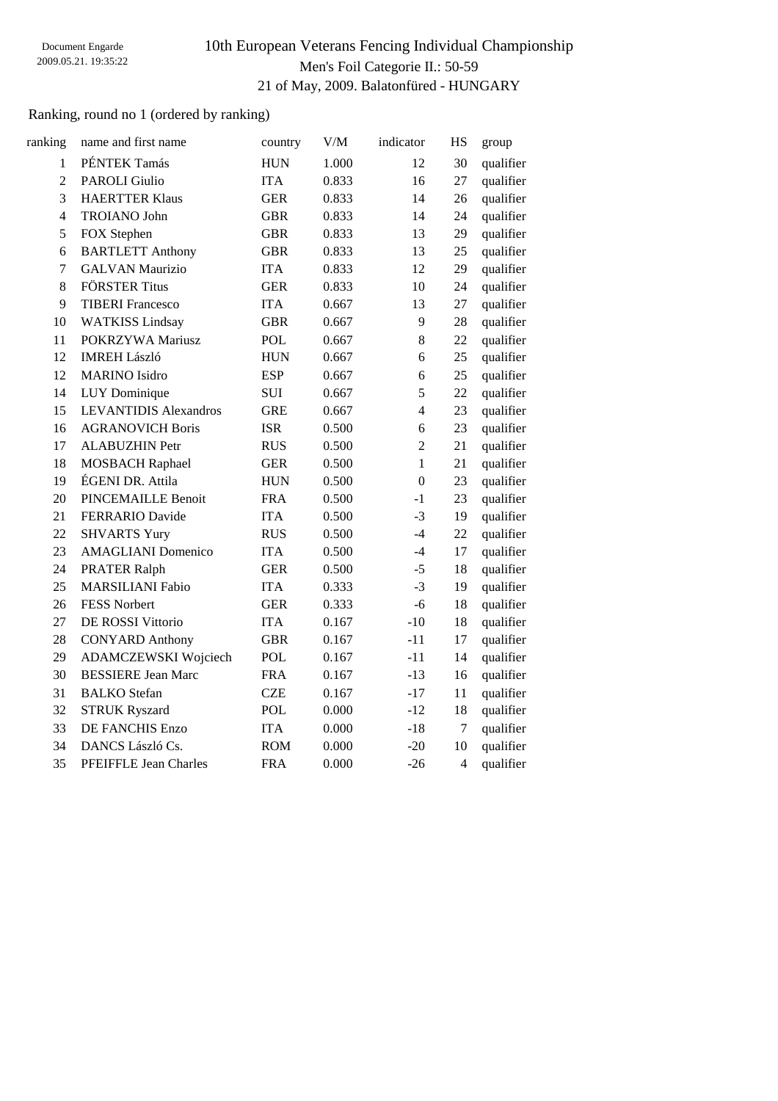# 10th European Veterans Fencing Individual Championship Men's Foil Categorie II.: 50-59 21 of May, 2009. Balatonfüred - HUNGARY

### Ranking, round no 1 (ordered by ranking)

| ranking        | name and first name          | country    | V/M   | indicator      | <b>HS</b> | group     |
|----------------|------------------------------|------------|-------|----------------|-----------|-----------|
| $\mathbf{1}$   | PÉNTEK Tamás                 | <b>HUN</b> | 1.000 | 12             | 30        | qualifier |
| $\overline{2}$ | <b>PAROLI Giulio</b>         | <b>ITA</b> | 0.833 | 16             | 27        | qualifier |
| $\overline{3}$ | <b>HAERTTER Klaus</b>        | <b>GER</b> | 0.833 | 14             | 26        | qualifier |
| $\overline{4}$ | <b>TROIANO John</b>          | <b>GBR</b> | 0.833 | 14             | 24        | qualifier |
| 5              | FOX Stephen                  | <b>GBR</b> | 0.833 | 13             | 29        | qualifier |
| $\epsilon$     | <b>BARTLETT Anthony</b>      | <b>GBR</b> | 0.833 | 13             | 25        | qualifier |
| $\tau$         | <b>GALVAN Maurizio</b>       | <b>ITA</b> | 0.833 | 12             | 29        | qualifier |
| 8              | <b>FÖRSTER Titus</b>         | <b>GER</b> | 0.833 | 10             | 24        | qualifier |
| 9              | <b>TIBERI</b> Francesco      | <b>ITA</b> | 0.667 | 13             | 27        | qualifier |
| 10             | <b>WATKISS Lindsay</b>       | <b>GBR</b> | 0.667 | 9              | 28        | qualifier |
| 11             | POKRZYWA Mariusz             | <b>POL</b> | 0.667 | 8              | 22        | qualifier |
| 12             | <b>IMREH László</b>          | <b>HUN</b> | 0.667 | 6              | 25        | qualifier |
| 12             | <b>MARINO</b> Isidro         | <b>ESP</b> | 0.667 | 6              | 25        | qualifier |
| 14             | LUY Dominique                | <b>SUI</b> | 0.667 | 5              | 22        | qualifier |
| 15             | <b>LEVANTIDIS Alexandros</b> | <b>GRE</b> | 0.667 | $\overline{4}$ | 23        | qualifier |
| 16             | <b>AGRANOVICH Boris</b>      | <b>ISR</b> | 0.500 | 6              | 23        | qualifier |
| 17             | <b>ALABUZHIN Petr</b>        | <b>RUS</b> | 0.500 | $\overline{2}$ | 21        | qualifier |
| 18             | <b>MOSBACH Raphael</b>       | <b>GER</b> | 0.500 | $\mathbf{1}$   | 21        | qualifier |
| 19             | ÉGENI DR. Attila             | <b>HUN</b> | 0.500 | $\mathbf{0}$   | 23        | qualifier |
| 20             | <b>PINCEMAILLE Benoit</b>    | <b>FRA</b> | 0.500 | $-1$           | 23        | qualifier |
| 21             | <b>FERRARIO Davide</b>       | <b>ITA</b> | 0.500 | $-3$           | 19        | qualifier |
| 22             | <b>SHVARTS Yury</b>          | <b>RUS</b> | 0.500 | $-4$           | 22        | qualifier |
| 23             | <b>AMAGLIANI</b> Domenico    | <b>ITA</b> | 0.500 | $-4$           | 17        | qualifier |
| 24             | <b>PRATER Ralph</b>          | <b>GER</b> | 0.500 | $-5$           | 18        | qualifier |
| 25             | <b>MARSILIANI Fabio</b>      | <b>ITA</b> | 0.333 | $-3$           | 19        | qualifier |
| 26             | <b>FESS Norbert</b>          | <b>GER</b> | 0.333 | $-6$           | 18        | qualifier |
| 27             | DE ROSSI Vittorio            | <b>ITA</b> | 0.167 | $-10$          | 18        | qualifier |
| 28             | <b>CONYARD Anthony</b>       | <b>GBR</b> | 0.167 | $-11$          | 17        | qualifier |
| 29             | ADAMCZEWSKI Wojciech         | <b>POL</b> | 0.167 | $-11$          | 14        | qualifier |
| 30             | <b>BESSIERE Jean Marc</b>    | <b>FRA</b> | 0.167 | $-13$          | 16        | qualifier |
| 31             | <b>BALKO</b> Stefan          | <b>CZE</b> | 0.167 | $-17$          | 11        | qualifier |
| 32             | <b>STRUK Ryszard</b>         | POL        | 0.000 | $-12$          | 18        | qualifier |
| 33             | <b>DE FANCHIS Enzo</b>       | <b>ITA</b> | 0.000 | $-18$          | 7         | qualifier |
| 34             | DANCS László Cs.             | <b>ROM</b> | 0.000 | $-20$          | 10        | qualifier |
| 35             | <b>PFEIFFLE Jean Charles</b> | <b>FRA</b> | 0.000 | $-26$          | 4         | qualifier |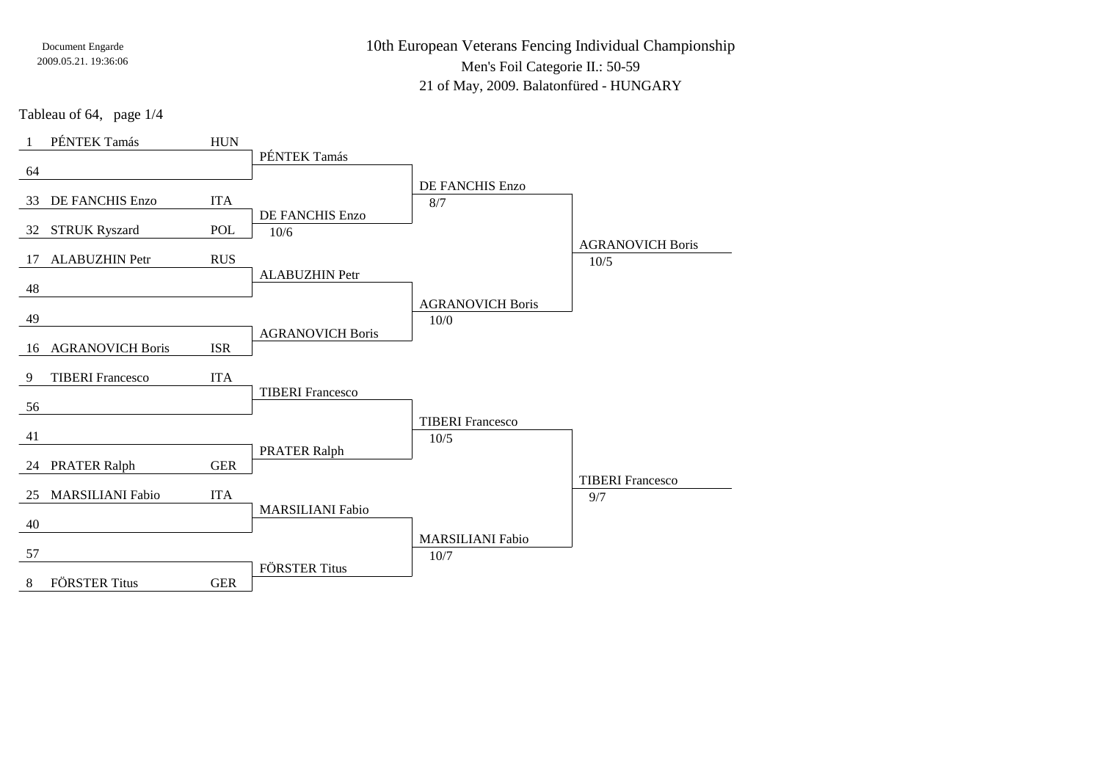10th European Veterans Fencing Individual ChampionshipMen's Foil Categorie II.: 50-5921 of May, 2009. Balatonfüred - HUNGARY

Tableau of 64, page 1/4

| PÉNTEK Tamás                  | ${\rm HUN}$ |                         |                         |                         |
|-------------------------------|-------------|-------------------------|-------------------------|-------------------------|
| 64                            |             | PÉNTEK Tamás            |                         |                         |
|                               |             |                         | DE FANCHIS Enzo         |                         |
| DE FANCHIS Enzo<br>33         | <b>ITA</b>  |                         | 8/7                     |                         |
| <b>STRUK Ryszard</b><br>32    | <b>POL</b>  | DE FANCHIS Enzo<br>10/6 |                         |                         |
|                               |             |                         |                         | <b>AGRANOVICH Boris</b> |
| <b>ALABUZHIN Petr</b><br>17   | <b>RUS</b>  | <b>ALABUZHIN Petr</b>   |                         | 10/5                    |
| 48                            |             |                         |                         |                         |
| 49                            |             |                         | <b>AGRANOVICH Boris</b> |                         |
|                               |             | <b>AGRANOVICH Boris</b> | 10/0                    |                         |
| <b>AGRANOVICH Boris</b><br>16 | <b>ISR</b>  |                         |                         |                         |
| <b>TIBERI</b> Francesco<br>9  | <b>ITA</b>  |                         |                         |                         |
| 56                            |             | <b>TIBERI</b> Francesco |                         |                         |
|                               |             |                         | <b>TIBERI</b> Francesco |                         |
| 41                            |             |                         | 10/5                    |                         |
| <b>PRATER Ralph</b><br>24     | <b>GER</b>  | <b>PRATER Ralph</b>     |                         |                         |
|                               |             |                         |                         | <b>TIBERI</b> Francesco |
| <b>MARSILIANI Fabio</b><br>25 | <b>ITA</b>  | <b>MARSILIANI Fabio</b> |                         | 9/7                     |
| 40                            |             |                         |                         |                         |
|                               |             |                         | <b>MARSILIANI Fabio</b> |                         |
| 57                            |             | <b>FÖRSTER Titus</b>    | 10/7                    |                         |
| <b>FÖRSTER Titus</b><br>8     | <b>GER</b>  |                         |                         |                         |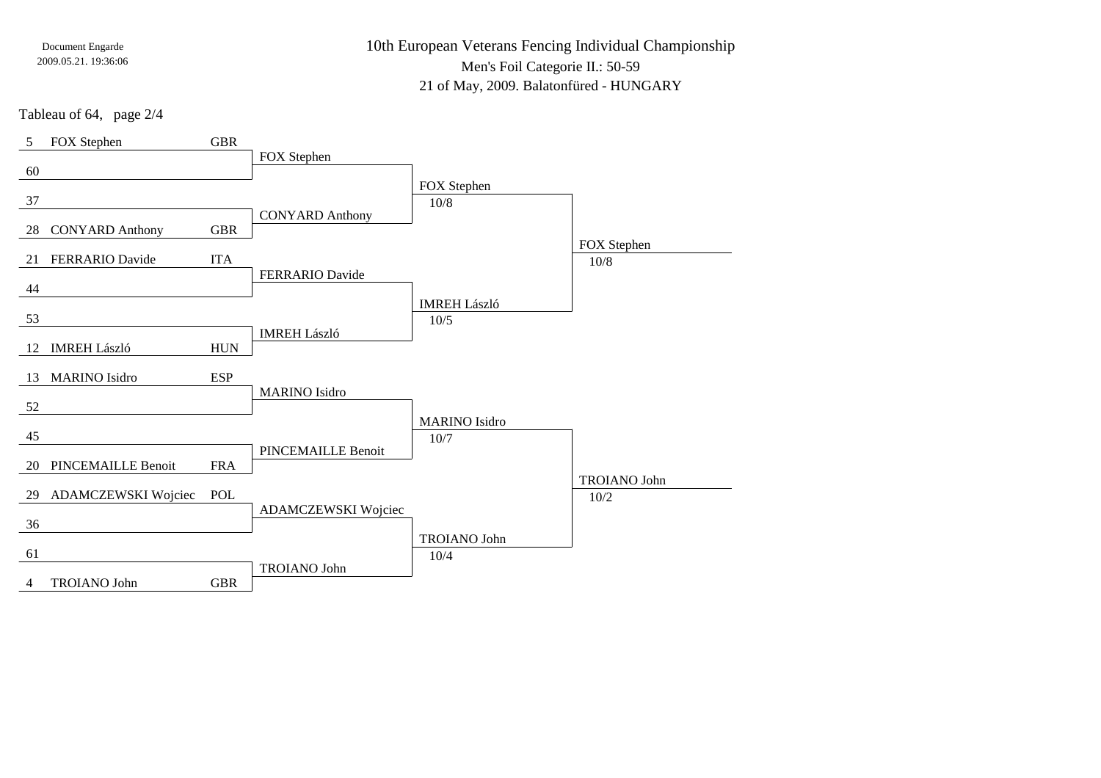10th European Veterans Fencing Individual ChampionshipMen's Foil Categorie II.: 50-5921 of May, 2009. Balatonfüred - HUNGARY

Tableau of 64, page 2/4

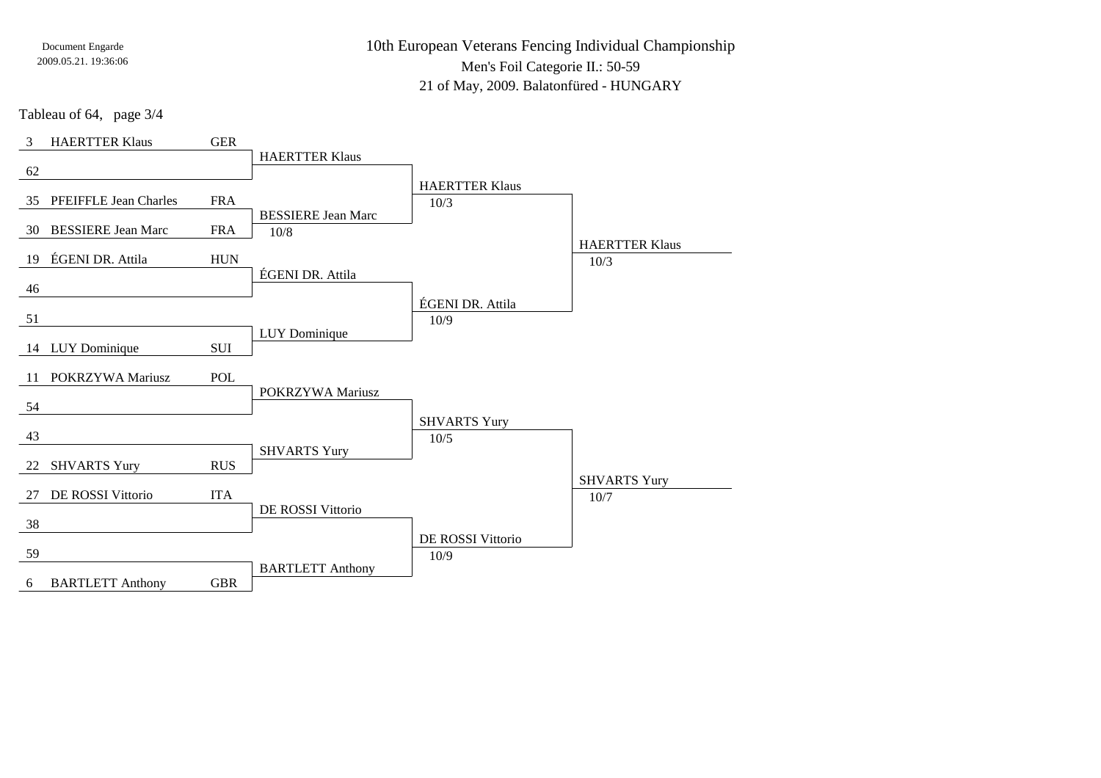10th European Veterans Fencing Individual ChampionshipMen's Foil Categorie II.: 50-5921 of May, 2009. Balatonfüred - HUNGARY

Tableau of 64, page 3/4

| 3  | <b>HAERTTER Klaus</b>        | <b>GER</b> |                           |                       |                       |
|----|------------------------------|------------|---------------------------|-----------------------|-----------------------|
| 62 |                              |            | <b>HAERTTER Klaus</b>     |                       |                       |
|    |                              |            |                           | <b>HAERTTER Klaus</b> |                       |
| 35 | <b>PFEIFFLE Jean Charles</b> | <b>FRA</b> |                           | 10/3                  |                       |
| 30 | <b>BESSIERE Jean Marc</b>    | <b>FRA</b> | <b>BESSIERE Jean Marc</b> |                       |                       |
|    |                              |            | 10/8                      |                       | <b>HAERTTER Klaus</b> |
| 19 | ÉGENI DR. Attila             | <b>HUN</b> |                           |                       | 10/3                  |
| 46 |                              |            | ÉGENI DR. Attila          |                       |                       |
|    |                              |            |                           | ÉGENI DR. Attila      |                       |
| 51 |                              |            |                           | 10/9                  |                       |
|    | 14 LUY Dominique             | <b>SUI</b> | LUY Dominique             |                       |                       |
|    |                              |            |                           |                       |                       |
| 11 | POKRZYWA Mariusz             | POL        |                           |                       |                       |
| 54 |                              |            | POKRZYWA Mariusz          |                       |                       |
|    |                              |            |                           | <b>SHVARTS Yury</b>   |                       |
| 43 |                              |            |                           | $10/5$                |                       |
| 22 | <b>SHVARTS Yury</b>          | <b>RUS</b> | <b>SHVARTS Yury</b>       |                       |                       |
|    |                              |            |                           |                       | <b>SHVARTS Yury</b>   |
| 27 | DE ROSSI Vittorio            | <b>ITA</b> |                           |                       | 10/7                  |
| 38 |                              |            | DE ROSSI Vittorio         |                       |                       |
|    |                              |            |                           | DE ROSSI Vittorio     |                       |
| 59 |                              |            |                           | 10/9                  |                       |
| 6  | <b>BARTLETT Anthony</b>      | <b>GBR</b> | <b>BARTLETT Anthony</b>   |                       |                       |
|    |                              |            |                           |                       |                       |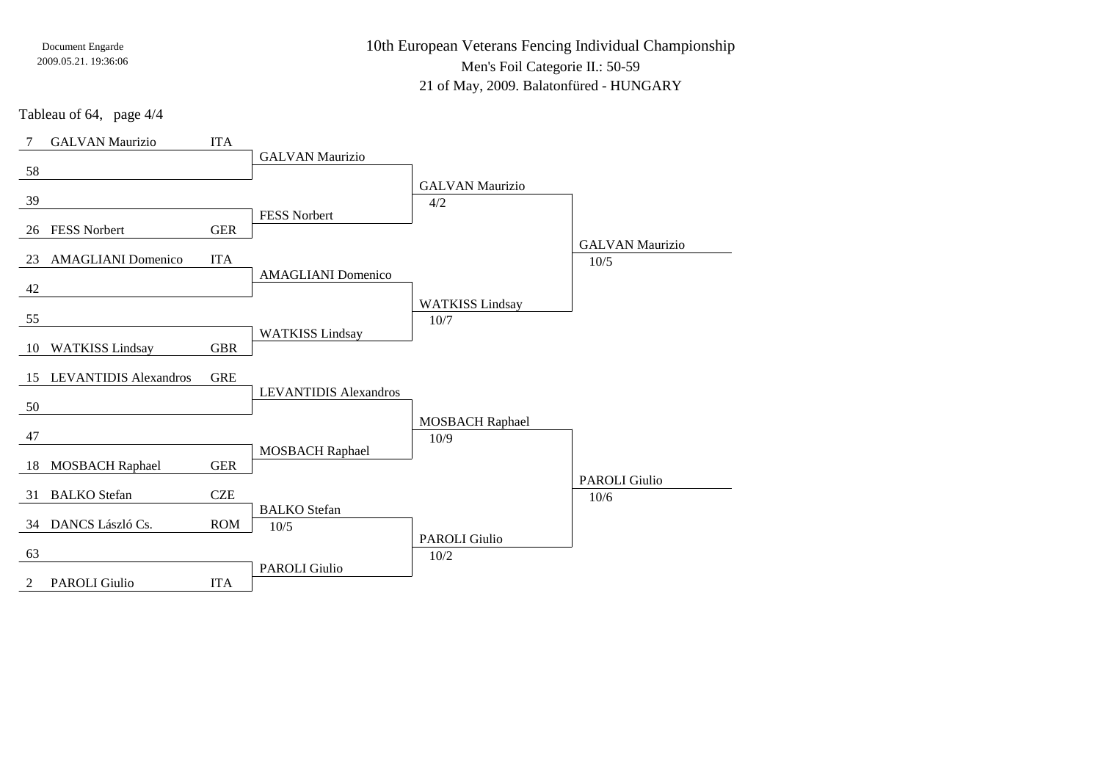10th European Veterans Fencing Individual ChampionshipMen's Foil Categorie II.: 50-5921 of May, 2009. Balatonfüred - HUNGARY

Tableau of 64, page 4/4

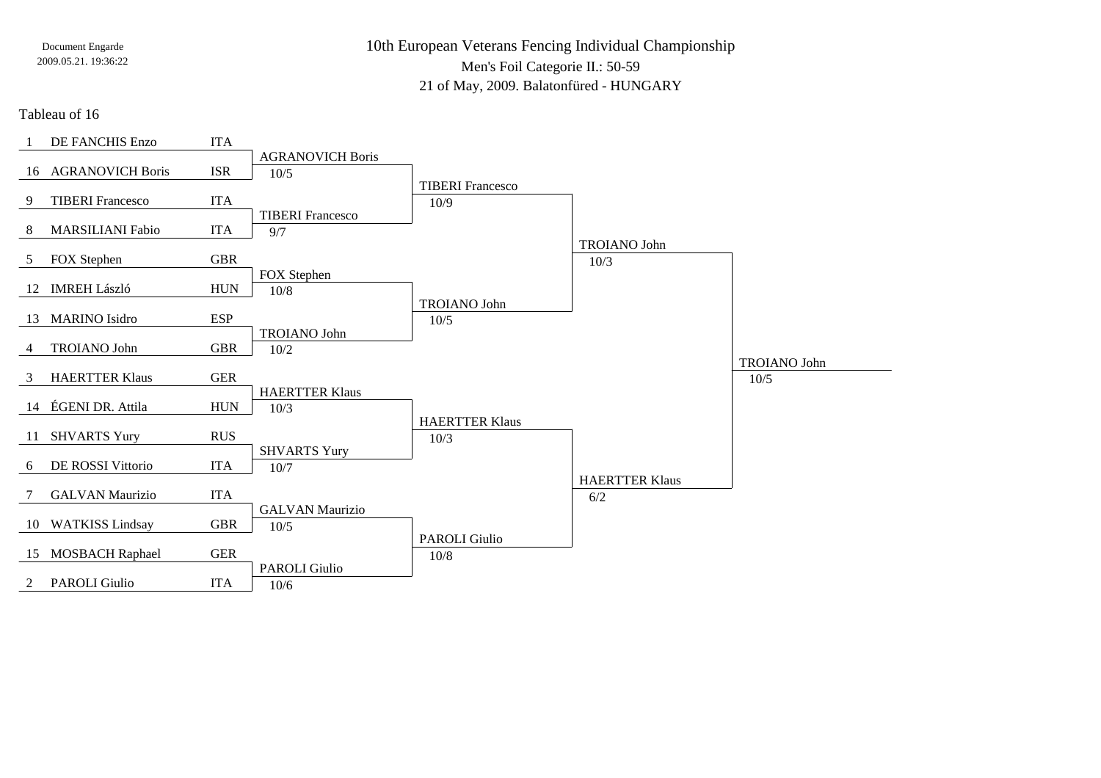10th European Veterans Fencing Individual ChampionshipMen's Foil Categorie II.: 50-5921 of May, 2009. Balatonfüred - HUNGARY

Tableau of 16

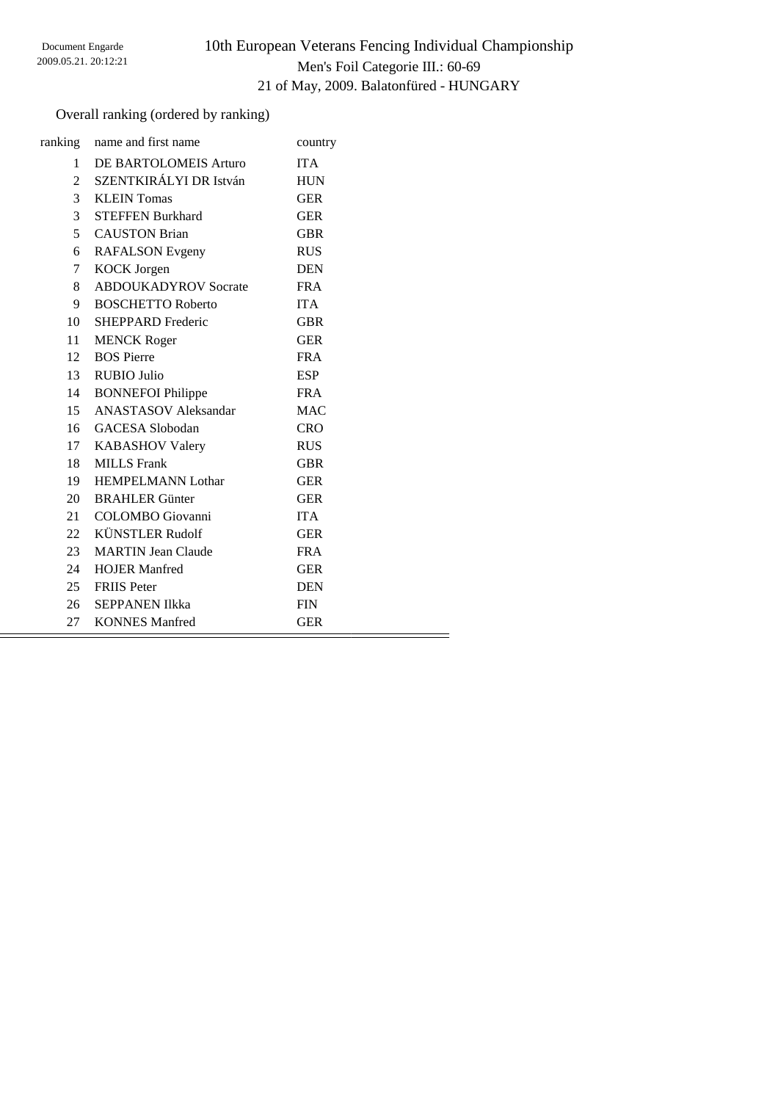# 10th European Veterans Fencing Individual Championship Men's Foil Categorie III.: 60-69 21 of May, 2009. Balatonfüred - HUNGARY

### Overall ranking (ordered by ranking)

|                | ranking name and first name | country    |
|----------------|-----------------------------|------------|
| 1              | DE BARTOLOMEIS Arturo       | <b>ITA</b> |
| $\overline{c}$ | SZENTKIRÁLYI DR István      | <b>HUN</b> |
| 3              | <b>KLEIN</b> Tomas          | <b>GER</b> |
| 3              | <b>STEFFEN Burkhard</b>     | <b>GER</b> |
| $\mathfrak{H}$ | <b>CAUSTON Brian</b>        | <b>GBR</b> |
| 6              | <b>RAFALSON</b> Evgeny      | <b>RUS</b> |
| $\tau$         | <b>KOCK</b> Jorgen          | <b>DEN</b> |
| 8              | <b>ABDOUKADYROV Socrate</b> | <b>FRA</b> |
| 9              | <b>BOSCHETTO Roberto</b>    | <b>ITA</b> |
| 10             | <b>SHEPPARD Frederic</b>    | <b>GBR</b> |
| 11             | <b>MENCK Roger</b>          | <b>GER</b> |
| 12             | <b>BOS</b> Pierre           | <b>FRA</b> |
| 13             | RUBIO Julio                 | <b>ESP</b> |
| 14             | <b>BONNEFOI Philippe</b>    | FR A       |
| 15             | <b>ANASTASOV Aleksandar</b> | <b>MAC</b> |
|                | 16 GACESA Slobodan          | <b>CRO</b> |
|                | 17 KABASHOV Valery          | <b>RUS</b> |
| 18             | <b>MILLS</b> Frank          | <b>GBR</b> |
| 19             | <b>HEMPELMANN Lothar</b>    | <b>GER</b> |
| 20             | <b>BRAHLER</b> Günter       | <b>GER</b> |
| 21             | <b>COLOMBO</b> Giovanni     | <b>ITA</b> |
| 22             | <b>KÜNSTLER Rudolf</b>      | <b>GER</b> |
| 23             | <b>MARTIN Jean Claude</b>   | <b>FRA</b> |
| 24             | <b>HOJER Manfred</b>        | <b>GER</b> |
|                | 25 FRIIS Peter              | <b>DEN</b> |
|                | 26 SEPPANEN Ilkka           | <b>FIN</b> |
| 27             | <b>KONNES</b> Manfred       | <b>GER</b> |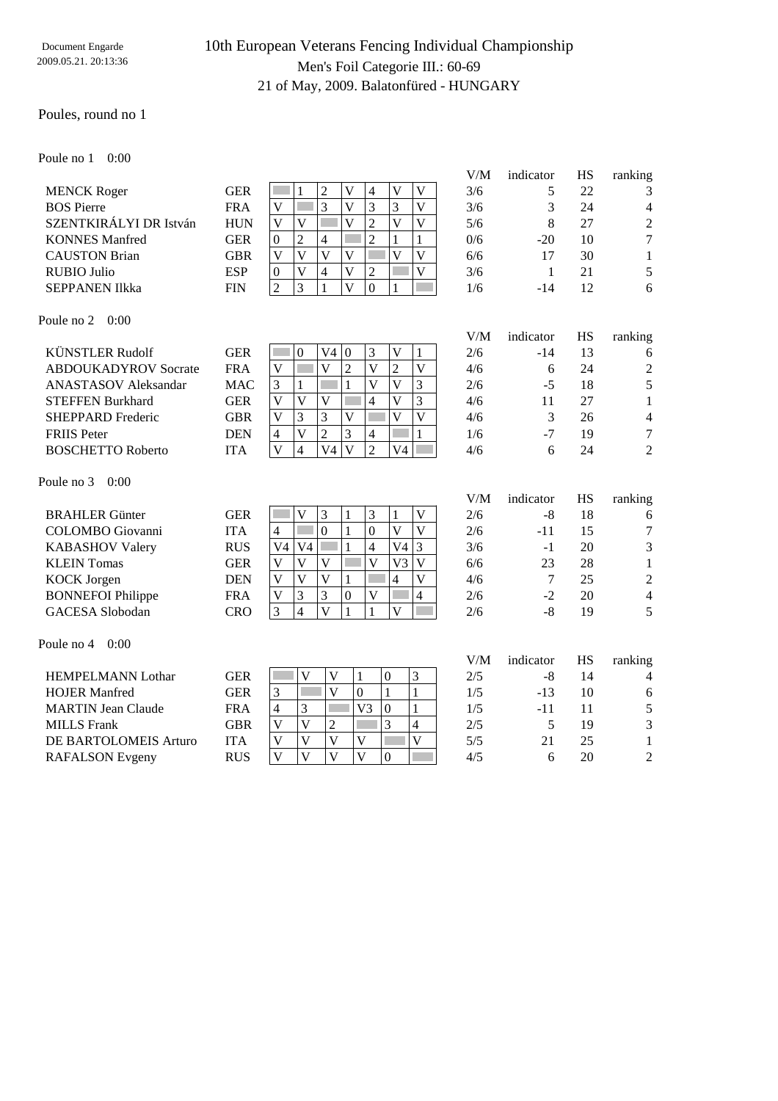# 10th European Veterans Fencing Individual Championship Men's Foil Categorie III.: 60-69 21 of May, 2009. Balatonfüred - HUNGARY

#### Poules, round no 1

Poule no 1 0:00

|                        |            |                |   |   |              |          |   |   | V/M | indicator | НS | ranking        |
|------------------------|------------|----------------|---|---|--------------|----------|---|---|-----|-----------|----|----------------|
| <b>MENCK Roger</b>     | <b>GER</b> |                |   |   | V            | 4        | V | V | 3/6 |           | 22 | 3              |
| <b>BOS</b> Pierre      | <b>FRA</b> | V              |   | 3 | v            |          |   | V | 3/6 | 3         | 24 | 4              |
| SZENTKIRÁLYI DR István | <b>HUN</b> | V              |   |   |              | ∠        | V | V | 5/6 | 8         | 27 | $\overline{2}$ |
| <b>KONNES</b> Manfred  | <b>GER</b> | $\theta$       | 2 | 4 |              | 2        |   |   | 0/6 | $-20$     | 10 | $\tau$         |
| <b>CAUSTON Brian</b>   | GBR        | V              |   |   | v            |          | V | V | 6/6 | 17        | 30 |                |
| RUBIO Julio            | <b>ESP</b> | $\overline{0}$ | V | 4 | $\mathbf{V}$ | 2        |   | V | 3/6 |           | 21 | 5              |
| <b>SEPPANEN IIkka</b>  | <b>FIN</b> | ာ              | 3 |   |              | $\theta$ |   |   | 1/6 | $-14$     | 12 | 6              |
|                        |            |                |   |   |              |          |   |   |     |           |    |                |

Poule no 2 0:00

|                             |            |    |                |             |              |                |                |   | V/M | indicator | <b>HS</b> | ranking        |
|-----------------------------|------------|----|----------------|-------------|--------------|----------------|----------------|---|-----|-----------|-----------|----------------|
| KÜNSTLER Rudolf             | <b>GER</b> |    | $\theta$       | V4          | $\mathbf{0}$ | 3              | V              |   | 2/6 | $-14$     | 13        | 6              |
| <b>ABDOUKADYROV Socrate</b> | <b>FRA</b> | V  |                | V           | 2            | V              | 2              | V | 4/6 | 6         | 24        | 2              |
| <b>ANASTASOV</b> Aleksandar | MAC        | 3  |                |             |              | V              | V              | 3 | 2/6 | $-5$      | 18        | 5              |
| <b>STEFFEN Burkhard</b>     | <b>GER</b> | V  | V              | V           |              | 4              | V              | 3 | 4/6 | 11        | 27        |                |
| <b>SHEPPARD Frederic</b>    | <b>GBR</b> | V  | 3              | 3           | V            |                | V              | V | 4/6 | 3         | 26        | 4              |
| <b>FRIIS</b> Peter          | <b>DEN</b> | 4  | V              | 2           | 3            | $\overline{4}$ |                |   | 1/6 | $-7$      | 19        | 7              |
| <b>BOSCHETTO Roberto</b>    | <b>ITA</b> | V  | 4              | V4          | V            | $\overline{2}$ | V4             |   | 4/6 | 6         | 24        | 2              |
| Poule no $3 \quad 0:00$     |            |    |                |             |              |                |                |   |     |           |           |                |
|                             |            |    |                |             |              |                |                |   | V/M | indicator | <b>HS</b> | ranking        |
| <b>BRAHLER</b> Günter       | <b>GER</b> |    | V              | 3           |              | 3              |                | V | 2/6 | -8        | 18        | 6              |
| <b>COLOMBO</b> Giovanni     | <b>ITA</b> | 4  |                | $\Omega$    |              | $\Omega$       | V              | V | 2/6 | $-11$     | 15        | 7              |
| <b>KABASHOV Valery</b>      | <b>RUS</b> | V4 | V <sub>4</sub> |             |              | $\overline{4}$ | V4             | 3 | 3/6 | $-1$      | 20        | 3              |
| <b>KLEIN</b> Tomas          | <b>GER</b> | V  | V              | $\mathbf V$ |              | V              | V <sub>3</sub> | V | 6/6 | 23        | 28        |                |
| <b>KOCK</b> Jorgen          | <b>DEN</b> | V  | V              | V           | 1            |                | 4              | V | 4/6 | 7         | 25        | $\overline{c}$ |
| <b>BONNEFOI Philippe</b>    | <b>FRA</b> | V  | 3              | 3           | $\mathbf{0}$ | V              |                | 4 | 2/6 | $-2$      | 20        | 4              |
| GACESA Slobodan             | <b>CRO</b> | 3  | 4              | V           |              | 1              | V              |   | 2/6 | $-8$      | 19        | 5              |

|                           |            |              |   |    |          |   | V/M | indicator | HS | ranking        |
|---------------------------|------------|--------------|---|----|----------|---|-----|-----------|----|----------------|
| <b>HEMPELMANN Lothar</b>  | <b>GER</b> |              |   |    | $\theta$ | 3 | 2/5 | -8        | 14 | $\overline{4}$ |
| <b>HOJER Manfred</b>      | GER        | 2            |   |    |          |   | 1/5 | $-13$     | 10 | 6              |
| <b>MARTIN Jean Claude</b> | <b>FRA</b> | 4            | 3 | V3 | $\Omega$ |   | 1/5 | -11       |    | 5              |
| <b>MILLS</b> Frank        | GBR        |              |   |    |          | 4 | 2/5 |           | 19 | 3              |
| DE BARTOLOMEIS Arturo     | <b>ITA</b> |              |   |    |          |   | 5/5 |           | 25 |                |
| <b>RAFALSON</b> Evgeny    | <b>RUS</b> | $\mathbf{V}$ | V |    | $\theta$ |   | 4/5 |           | 20 | $\overline{2}$ |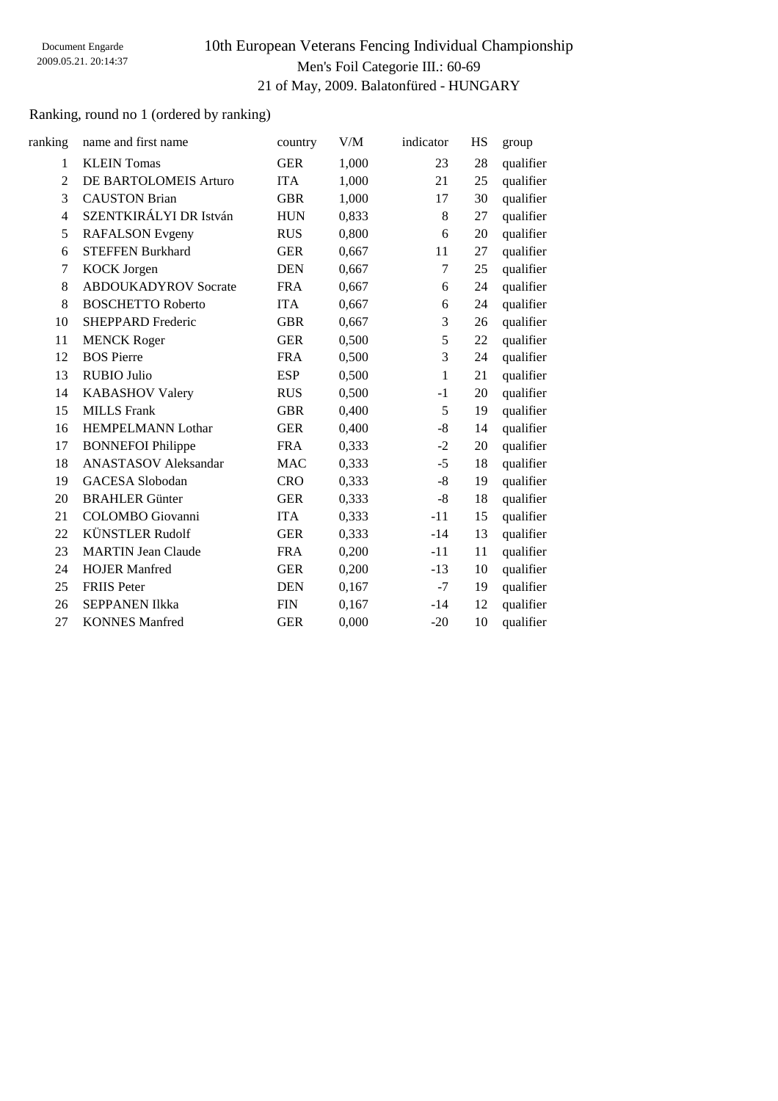# 10th European Veterans Fencing Individual Championship Men's Foil Categorie III.: 60-69 21 of May, 2009. Balatonfüred - HUNGARY

### Ranking, round no 1 (ordered by ranking)

| ranking                  | name and first name         | country    | V/M   | indicator | HS | group     |
|--------------------------|-----------------------------|------------|-------|-----------|----|-----------|
| 1                        | <b>KLEIN</b> Tomas          | <b>GER</b> | 1,000 | 23        | 28 | qualifier |
| $\overline{2}$           | DE BARTOLOMEIS Arturo       | <b>ITA</b> | 1,000 | 21        | 25 | qualifier |
| 3                        | <b>CAUSTON Brian</b>        | <b>GBR</b> | 1,000 | 17        | 30 | qualifier |
| $\overline{\mathcal{L}}$ | SZENTKIRÁLYI DR István      | <b>HUN</b> | 0,833 | 8         | 27 | qualifier |
| 5                        | <b>RAFALSON</b> Evgeny      | <b>RUS</b> | 0,800 | 6         | 20 | qualifier |
| 6                        | <b>STEFFEN Burkhard</b>     | <b>GER</b> | 0,667 | 11        | 27 | qualifier |
| 7                        | <b>KOCK Jorgen</b>          | <b>DEN</b> | 0,667 | 7         | 25 | qualifier |
| 8                        | <b>ABDOUKADYROV Socrate</b> | <b>FRA</b> | 0,667 | 6         | 24 | qualifier |
| 8                        | <b>BOSCHETTO Roberto</b>    | <b>ITA</b> | 0,667 | 6         | 24 | qualifier |
| 10                       | SHEPPARD Frederic           | <b>GBR</b> | 0,667 | 3         | 26 | qualifier |
| 11                       | <b>MENCK Roger</b>          | <b>GER</b> | 0,500 | 5         | 22 | qualifier |
| 12                       | <b>BOS Pierre</b>           | <b>FRA</b> | 0,500 | 3         | 24 | qualifier |
| 13                       | <b>RUBIO Julio</b>          | <b>ESP</b> | 0,500 | 1         | 21 | qualifier |
| 14                       | <b>KABASHOV Valery</b>      | <b>RUS</b> | 0,500 | $-1$      | 20 | qualifier |
| 15                       | <b>MILLS</b> Frank          | <b>GBR</b> | 0,400 | 5         | 19 | qualifier |
| 16                       | <b>HEMPELMANN Lothar</b>    | <b>GER</b> | 0,400 | $-8$      | 14 | qualifier |
| 17                       | <b>BONNEFOI Philippe</b>    | <b>FRA</b> | 0,333 | $-2$      | 20 | qualifier |
| 18                       | <b>ANASTASOV</b> Aleksandar | <b>MAC</b> | 0,333 | $-5$      | 18 | qualifier |
| 19                       | <b>GACESA</b> Slobodan      | <b>CRO</b> | 0,333 | -8        | 19 | qualifier |
| 20                       | <b>BRAHLER Günter</b>       | <b>GER</b> | 0,333 | $-8$      | 18 | qualifier |
| 21                       | <b>COLOMBO</b> Giovanni     | <b>ITA</b> | 0,333 | $-11$     | 15 | qualifier |
| 22                       | <b>KÜNSTLER Rudolf</b>      | <b>GER</b> | 0,333 | $-14$     | 13 | qualifier |
| 23                       | <b>MARTIN Jean Claude</b>   | <b>FRA</b> | 0,200 | $-11$     | 11 | qualifier |
| 24                       | <b>HOJER Manfred</b>        | <b>GER</b> | 0,200 | $-13$     | 10 | qualifier |
| 25                       | <b>FRIIS Peter</b>          | <b>DEN</b> | 0,167 | $-7$      | 19 | qualifier |
| 26                       | <b>SEPPANEN Ilkka</b>       | <b>FIN</b> | 0,167 | $-14$     | 12 | qualifier |
| 27                       | <b>KONNES Manfred</b>       | <b>GER</b> | 0.000 | $-20$     | 10 | qualifier |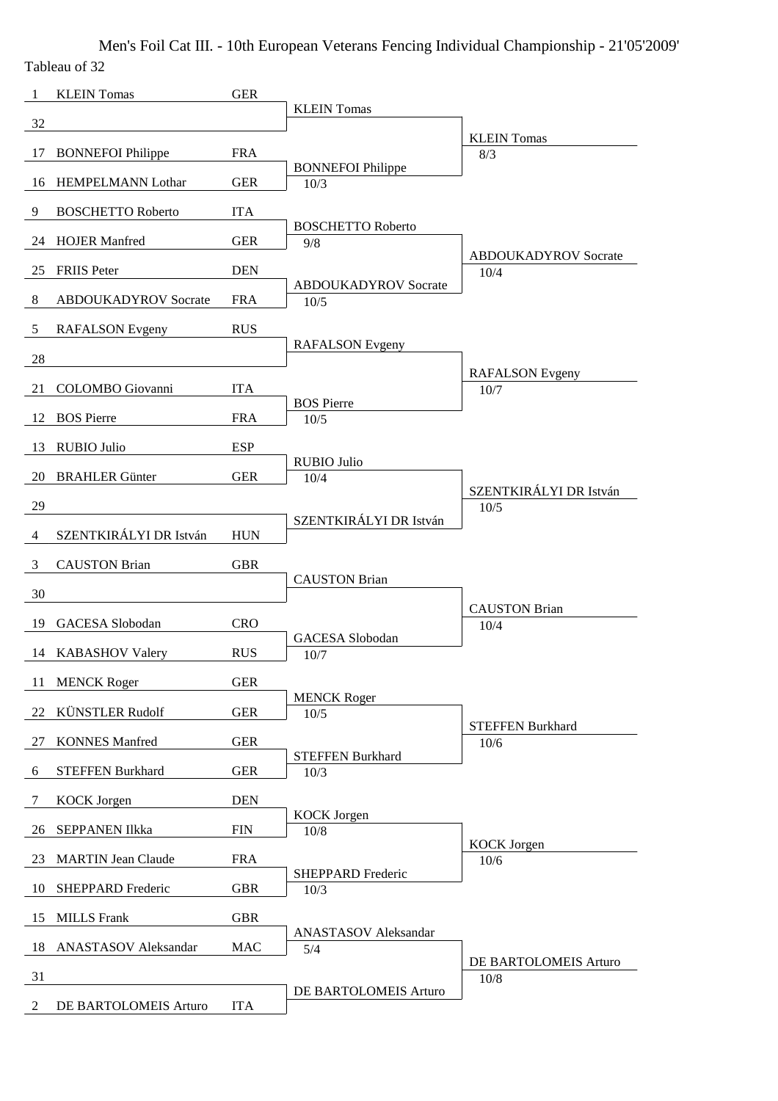Men's Foil Cat III. - 10th European Veterans Fencing Individual Championship - 21'05'2009' Tableau of 32

| -1 | <b>KLEIN</b> Tomas          | <b>GER</b> |                                     |                                     |
|----|-----------------------------|------------|-------------------------------------|-------------------------------------|
| 32 |                             |            | <b>KLEIN Tomas</b>                  |                                     |
| 17 | <b>BONNEFOI Philippe</b>    | <b>FRA</b> |                                     | <b>KLEIN</b> Tomas<br>8/3           |
|    |                             |            | <b>BONNEFOI Philippe</b>            |                                     |
| 16 | HEMPELMANN Lothar           | <b>GER</b> | 10/3                                |                                     |
| 9  | <b>BOSCHETTO Roberto</b>    | <b>ITA</b> | <b>BOSCHETTO Roberto</b>            |                                     |
| 24 | <b>HOJER Manfred</b>        | <b>GER</b> | 9/8                                 |                                     |
| 25 | <b>FRIIS</b> Peter          | <b>DEN</b> |                                     | <b>ABDOUKADYROV</b> Socrate<br>10/4 |
| 8  | <b>ABDOUKADYROV Socrate</b> | <b>FRA</b> | <b>ABDOUKADYROV Socrate</b><br>10/5 |                                     |
| 5  | <b>RAFALSON</b> Evgeny      | <b>RUS</b> |                                     |                                     |
|    |                             |            | <b>RAFALSON</b> Evgeny              |                                     |
| 28 |                             |            |                                     | <b>RAFALSON</b> Evgeny              |
| 21 | COLOMBO Giovanni            | <b>ITA</b> | <b>BOS Pierre</b>                   | 10/7                                |
| 12 | <b>BOS</b> Pierre           | <b>FRA</b> | 10/5                                |                                     |
| 13 | <b>RUBIO Julio</b>          | <b>ESP</b> |                                     |                                     |
| 20 | <b>BRAHLER Günter</b>       | <b>GER</b> | <b>RUBIO Julio</b><br>10/4          |                                     |
|    |                             |            |                                     | SZENTKIRÁLYI DR István              |
| 29 |                             |            | SZENTKIRÁLYI DR István              | 10/5                                |
| 4  | SZENTKIRÁLYI DR István      | <b>HUN</b> |                                     |                                     |
| 3  | <b>CAUSTON Brian</b>        | <b>GBR</b> | <b>CAUSTON Brian</b>                |                                     |
| 30 |                             |            |                                     |                                     |
| 19 | <b>GACESA</b> Slobodan      | <b>CRO</b> |                                     | <b>CAUSTON Brian</b><br>10/4        |
|    | 14 KABASHOV Valery          | <b>RUS</b> | <b>GACESA</b> Slobodan<br>10/7      |                                     |
|    |                             |            |                                     |                                     |
| 11 | <b>MENCK Roger</b>          | <b>GER</b> | <b>MENCK Roger</b>                  |                                     |
| 22 | <b>KÜNSTLER Rudolf</b>      | <b>GER</b> | $10/5$                              | <b>STEFFEN Burkhard</b>             |
| 27 | <b>KONNES Manfred</b>       | <b>GER</b> |                                     | 10/6                                |
| 6  | <b>STEFFEN Burkhard</b>     | <b>GER</b> | <b>STEFFEN Burkhard</b><br>10/3     |                                     |
| 7  | <b>KOCK</b> Jorgen          | <b>DEN</b> |                                     |                                     |
|    |                             |            | <b>KOCK</b> Jorgen                  |                                     |
| 26 | <b>SEPPANEN Ilkka</b>       | <b>FIN</b> | 10/8                                | <b>KOCK</b> Jorgen                  |
| 23 | <b>MARTIN Jean Claude</b>   | <b>FRA</b> | SHEPPARD Frederic                   | $10/6$                              |
| 10 | SHEPPARD Frederic           | <b>GBR</b> | 10/3                                |                                     |
| 15 | <b>MILLS</b> Frank          | <b>GBR</b> |                                     |                                     |
| 18 | ANASTASOV Aleksandar        | MAC        | ANASTASOV Aleksandar<br>5/4         |                                     |
| 31 |                             |            |                                     | DE BARTOLOMEIS Arturo               |
|    |                             |            | DE BARTOLOMEIS Arturo               | 10/8                                |
| 2  | DE BARTOLOMEIS Arturo       | <b>ITA</b> |                                     |                                     |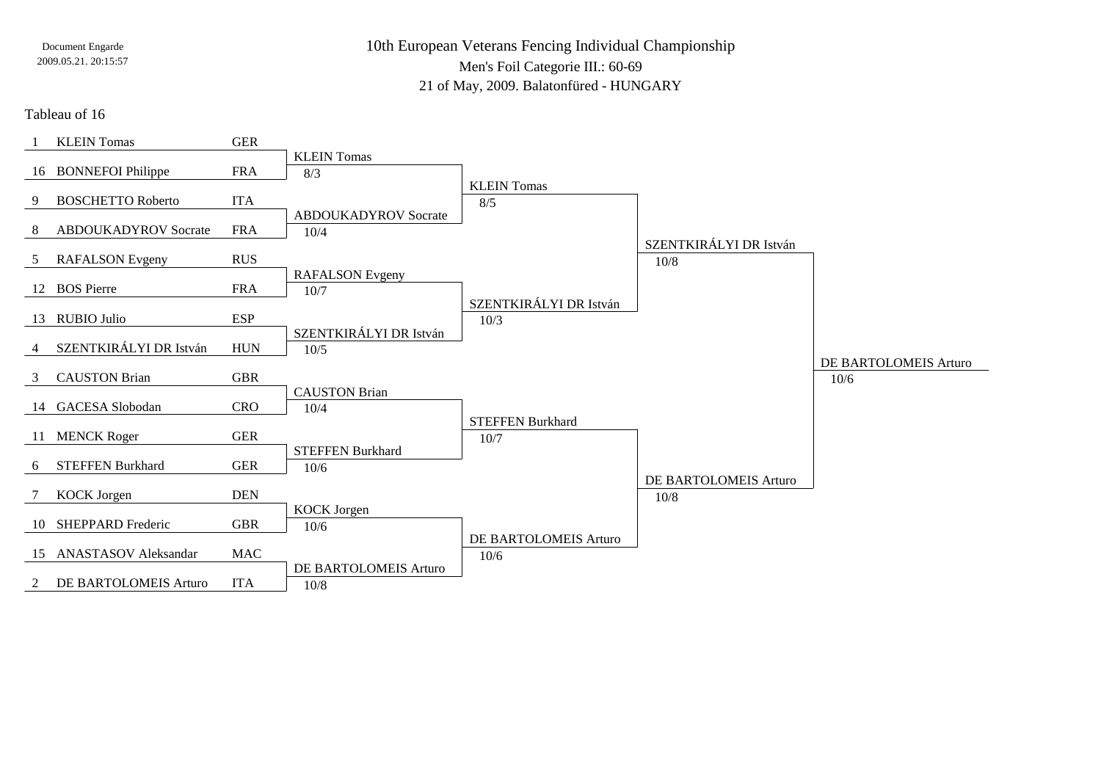10th European Veterans Fencing Individual ChampionshipMen's Foil Categorie III.: 60-6921 of May, 2009. Balatonfüred - HUNGARY

Tableau of 16

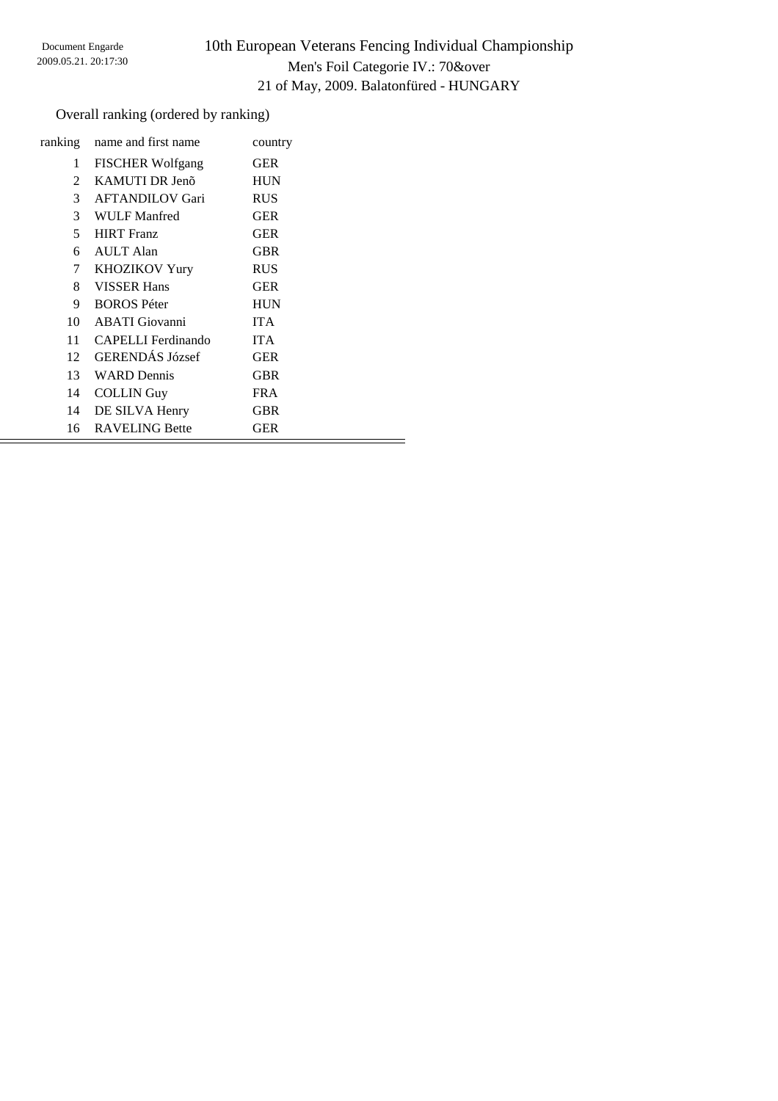# 10th European Veterans Fencing Individual Championship Men's Foil Categorie IV.: 70&over 21 of May, 2009. Balatonfüred - HUNGARY

### Overall ranking (ordered by ranking)

| ranking       | name and first name     | country    |
|---------------|-------------------------|------------|
| 1             | <b>FISCHER Wolfgang</b> | <b>GER</b> |
| $\mathcal{L}$ | KAMUTI DR Jenõ          | <b>HUN</b> |
| 3             | <b>AFTANDILOV Gari</b>  | <b>RUS</b> |
| 3             | WULF Manfred            | <b>GER</b> |
| 5             | <b>HIRT</b> Franz       | <b>GER</b> |
| 6             | <b>AULT</b> Alan        | <b>GBR</b> |
| 7             | <b>KHOZIKOV Yury</b>    | <b>RUS</b> |
| 8             | <b>VISSER Hans</b>      | <b>GER</b> |
| 9             | <b>BOROS</b> Péter      | <b>HUN</b> |
| 10            | <b>ABATI</b> Giovanni   | <b>ITA</b> |
| 11            | CAPELLI Ferdinando      | <b>ITA</b> |
| 12            | <b>GERENDÁS József</b>  | <b>GER</b> |
| 13            | <b>WARD</b> Dennis      | <b>GBR</b> |
| 14            | <b>COLLIN</b> Guy       | <b>FRA</b> |
| 14            | DE SILVA Henry          | GBR        |
| 16            | <b>RAVELING Bette</b>   | <b>GER</b> |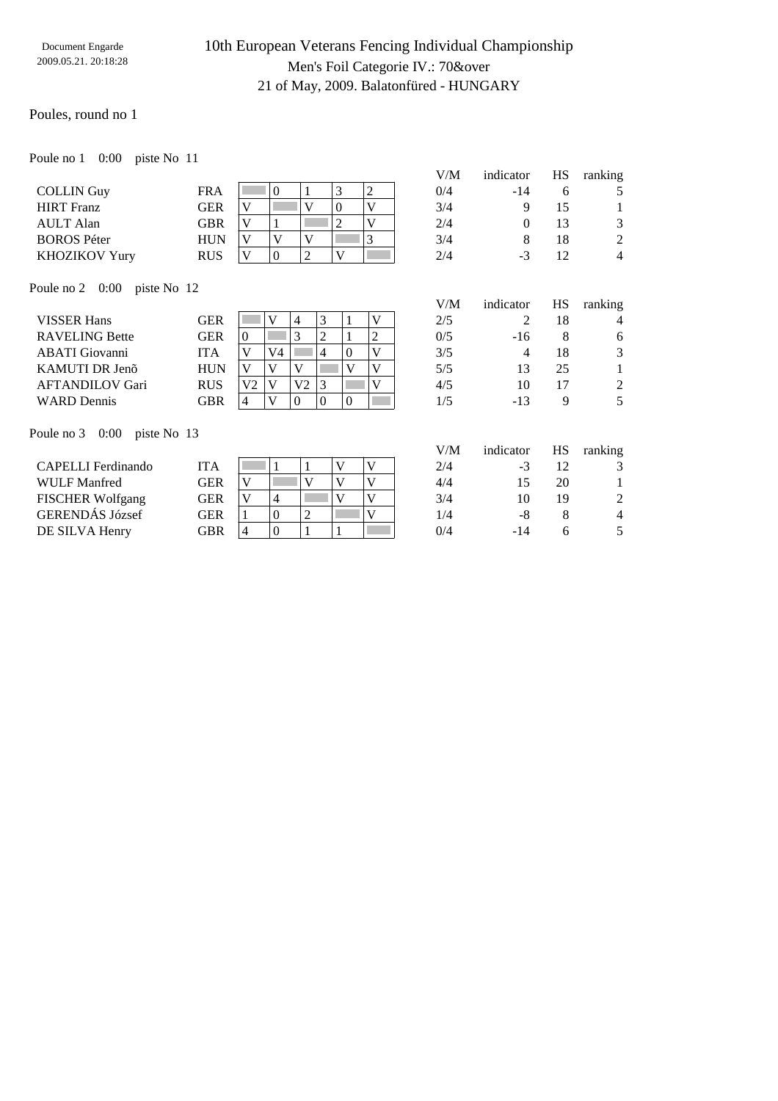### 10th European Veterans Fencing Individual Championship Men's Foil Categorie IV.: 70&over 21 of May, 2009. Balatonfüred - HUNGARY

V/M indicator HS ranking

#### Poules, round no 1

Poule no 1 0:00 piste No 11

|                    |            |  |   |  | V/M | indicator | HS | ranking |
|--------------------|------------|--|---|--|-----|-----------|----|---------|
| <b>COLLIN Guy</b>  | FRA        |  |   |  | 0/4 | -14       |    |         |
| <b>HIRT Franz</b>  | GER        |  |   |  | 3/4 |           |    |         |
| AULT Alan          | GBR        |  |   |  | 2/4 |           |    | 3       |
| <b>BOROS Péter</b> | HUN        |  |   |  | 3/4 |           | 18 | 2       |
| KHOZIKOV Yury      | <b>RUS</b> |  | ∸ |  | 2/4 | $-1$      |    | 4       |

Poule no 2 0:00 piste No 12

|                        |            |     |    |      |   |     |     |    | $\tilde{\phantom{a}}$ |
|------------------------|------------|-----|----|------|---|-----|-----|----|-----------------------|
| <b>VISSER Hans</b>     | GER        |     |    |      |   | 2/5 |     | 18 | $\overline{4}$        |
| <b>RAVELING Bette</b>  | GER        |     |    |      |   | 0/5 | -16 |    |                       |
| <b>ABATI</b> Giovanni  | ITA        |     | V4 |      |   | 3/5 |     | 18 | 3                     |
| KAMUTI DR Jenõ         | HUN        |     |    |      |   | 5/5 |     | 25 |                       |
| <b>AFTANDILOV Gari</b> | <b>RUS</b> | 170 |    | 37 T |   | 4/5 | 10  |    | $\overline{2}$        |
| <b>WARD</b> Dennis     | GBR        | 4   |    |      | O | 75، | -13 |    |                       |

Poule no 3 0:00 piste No 13

|                         |            |   |   |  | V/M | indicator | НS | ranking        |
|-------------------------|------------|---|---|--|-----|-----------|----|----------------|
| CAPELLI Ferdinando      | ITA        |   |   |  | 2/4 | - 1       |    |                |
| WULF Manfred            | GER        |   |   |  | 4/4 |           | 20 |                |
| <b>FISCHER Wolfgang</b> | <b>GER</b> |   |   |  | 3/4 |           | 19 | $\mathcal{L}$  |
| GERENDÁS József         | GER        |   | U |  | 1/4 | -8        |    | $\overline{4}$ |
| DE SILVA Henry          | GBR        | 4 | 0 |  | 0/4 | -14       |    | .5             |
|                         |            |   |   |  |     |           |    |                |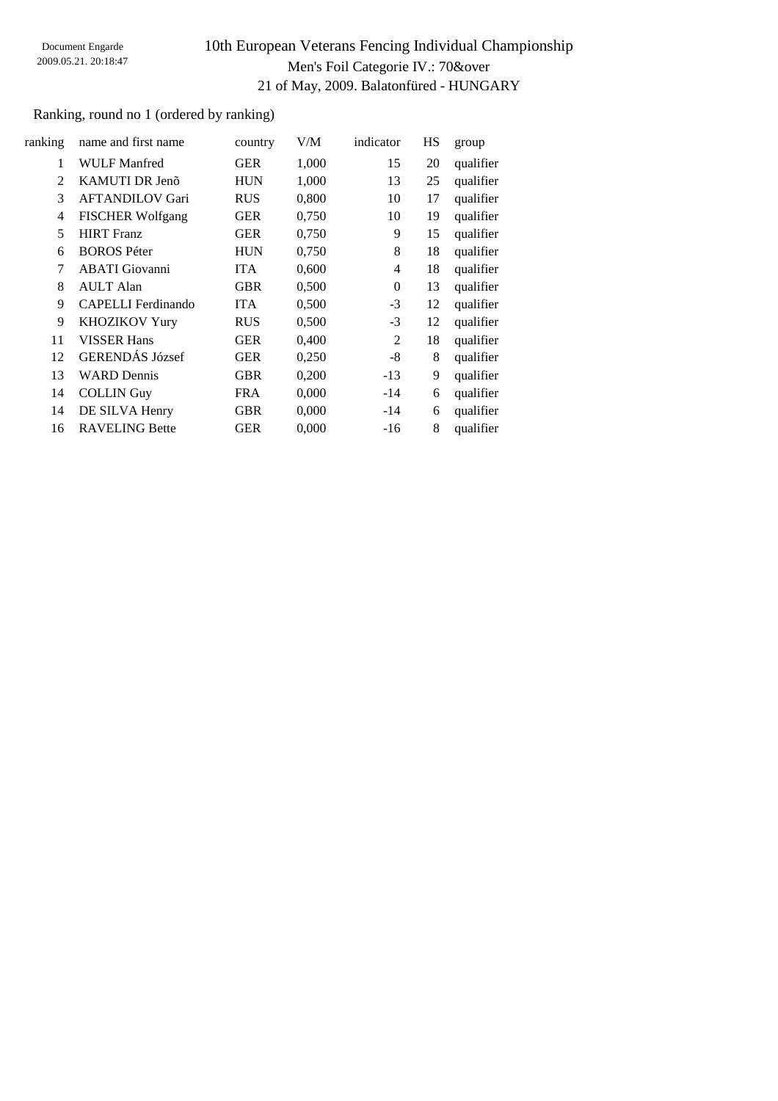# 10th European Veterans Fencing Individual Championship Men's Foil Categorie IV.: 70&over 21 of May, 2009. Balatonfüred - HUNGARY

### Ranking, round no 1 (ordered by ranking)

| ranking        | name and first name       | country    | V/M   | indicator        | HS | group     |
|----------------|---------------------------|------------|-------|------------------|----|-----------|
| 1              | WULF Manfred              | <b>GER</b> | 1,000 | 15               | 20 | qualifier |
| $\overline{2}$ | KAMUTI DR Jenõ            | <b>HUN</b> | 1,000 | 13               | 25 | qualifier |
| 3              | <b>AFTANDILOV Gari</b>    | <b>RUS</b> | 0,800 | 10               | 17 | qualifier |
| 4              | <b>FISCHER Wolfgang</b>   | <b>GER</b> | 0,750 | 10               | 19 | qualifier |
| 5              | <b>HIRT</b> Franz         | <b>GER</b> | 0,750 | 9                | 15 | qualifier |
| 6              | <b>BOROS</b> Péter        | <b>HUN</b> | 0,750 | 8                | 18 | qualifier |
| 7              | <b>ABATI</b> Giovanni     | <b>ITA</b> | 0,600 | 4                | 18 | qualifier |
| 8              | <b>AULT</b> Alan          | <b>GBR</b> | 0,500 | $\boldsymbol{0}$ | 13 | qualifier |
| 9              | <b>CAPELLI</b> Ferdinando | <b>ITA</b> | 0,500 | $-3$             | 12 | qualifier |
| 9              | <b>KHOZIKOV Yury</b>      | <b>RUS</b> | 0,500 | $-3$             | 12 | qualifier |
| 11             | <b>VISSER Hans</b>        | <b>GER</b> | 0,400 | $\overline{2}$   | 18 | qualifier |
| 12             | <b>GERENDÁS József</b>    | <b>GER</b> | 0,250 | $-8$             | 8  | qualifier |
| 13             | <b>WARD</b> Dennis        | <b>GBR</b> | 0,200 | $-13$            | 9  | qualifier |
| 14             | <b>COLLIN</b> Guy         | <b>FRA</b> | 0,000 | $-14$            | 6  | qualifier |
| 14             | DE SILVA Henry            | <b>GBR</b> | 0,000 | $-14$            | 6  | qualifier |
| 16             | <b>RAVELING Bette</b>     | <b>GER</b> | 0,000 | $-16$            | 8  | qualifier |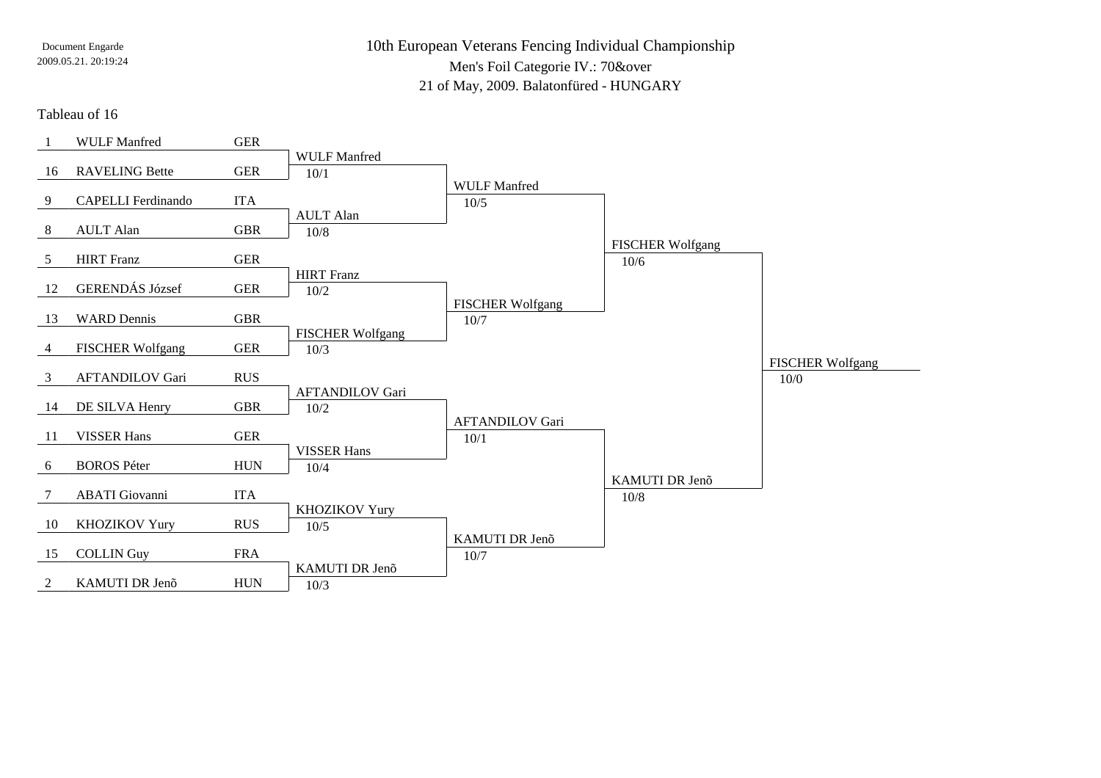10th European Veterans Fencing Individual ChampionshipMen's Foil Categorie IV.: 70&over21 of May, 2009. Balatonfüred - HUNGARY

#### Tableau of 16

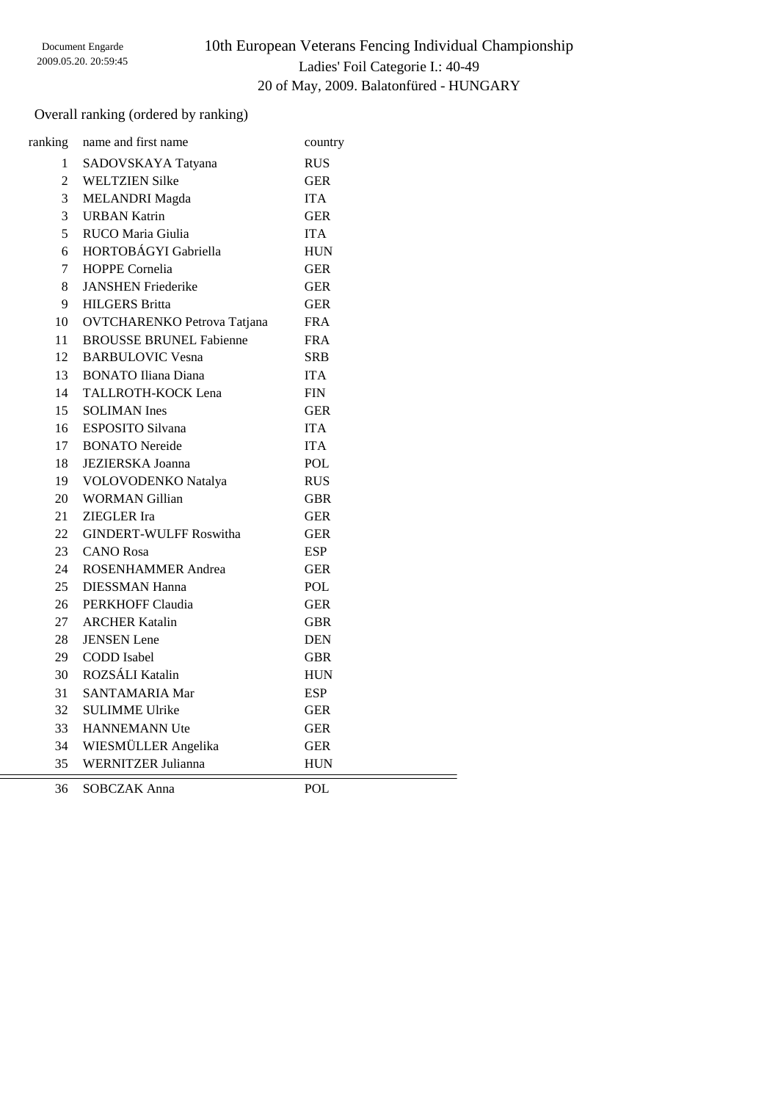### Overall ranking (ordered by ranking)

| ranking        | name and first name            | country    |  |
|----------------|--------------------------------|------------|--|
| $1 \quad$      | SADOVSKAYA Tatyana             | <b>RUS</b> |  |
| $\overline{2}$ | <b>WELTZIEN Silke</b>          | <b>GER</b> |  |
| 3              | <b>MELANDRI</b> Magda          | <b>ITA</b> |  |
| 3              | <b>URBAN Katrin</b>            | <b>GER</b> |  |
| 5              | RUCO Maria Giulia              | <b>ITA</b> |  |
| 6              | HORTOBÁGYI Gabriella           | <b>HUN</b> |  |
| $\overline{7}$ | <b>HOPPE Cornelia</b>          | <b>GER</b> |  |
| 8              | <b>JANSHEN Friederike</b>      | <b>GER</b> |  |
| 9              | <b>HILGERS</b> Britta          | <b>GER</b> |  |
| 10             | OVTCHARENKO Petrova Tatjana    | <b>FRA</b> |  |
| 11             | <b>BROUSSE BRUNEL Fabienne</b> | <b>FRA</b> |  |
| 12             | <b>BARBULOVIC Vesna</b>        | <b>SRB</b> |  |
| 13             | <b>BONATO</b> Iliana Diana     | <b>ITA</b> |  |
| 14             | TALLROTH-KOCK Lena             | <b>FIN</b> |  |
| 15             | <b>SOLIMAN</b> Ines            | <b>GER</b> |  |
| 16             | <b>ESPOSITO Silvana</b>        | <b>ITA</b> |  |
| 17             | <b>BONATO</b> Nereide          | <b>ITA</b> |  |
| 18             | <b>JEZIERSKA Joanna</b>        | POL        |  |
| 19             | VOLOVODENKO Natalya            | <b>RUS</b> |  |
| 20             | <b>WORMAN Gillian</b>          | <b>GBR</b> |  |
| 21             | ZIEGLER Ira                    | <b>GER</b> |  |
| 22             | <b>GINDERT-WULFF Roswitha</b>  | <b>GER</b> |  |
| 23             | <b>CANO</b> Rosa               | <b>ESP</b> |  |
| 24             | <b>ROSENHAMMER Andrea</b>      | <b>GER</b> |  |
| 25             | <b>DIESSMAN Hanna</b>          | POL        |  |
| 26             | PERKHOFF Claudia               | <b>GER</b> |  |
|                | 27 ARCHER Katalin              | <b>GBR</b> |  |
| 28             | <b>JENSEN</b> Lene             | <b>DEN</b> |  |
| 29             | <b>CODD</b> Isabel             | <b>GBR</b> |  |
|                | 30 ROZSÁLI Katalin             | <b>HUN</b> |  |
| 31             | <b>SANTAMARIA Mar</b>          | <b>ESP</b> |  |
| 32             | <b>SULIMME Ulrike</b>          | <b>GER</b> |  |
| 33             | <b>HANNEMANN Ute</b>           | <b>GER</b> |  |
| 34             | WIESMÜLLER Angelika            | <b>GER</b> |  |
| 35             | <b>WERNITZER Julianna</b>      | <b>HUN</b> |  |
|                |                                |            |  |

SOBCZAK Anna POL

 $=$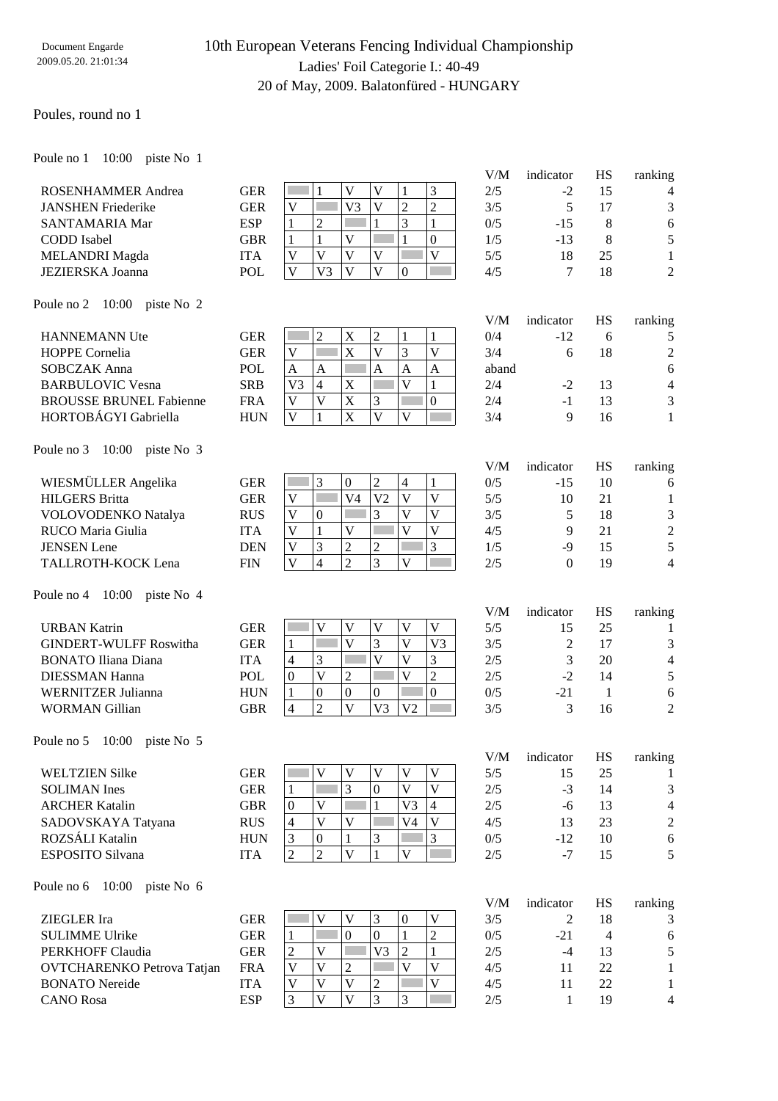# 10th European Veterans Fencing Individual Championship Ladies' Foil Categorie I.: 40-49 20 of May, 2009. Balatonfüred - HUNGARY

#### Poules, round no 1

Poule no 1 10:00 piste No 1

|                                       |            |                                                 |                                                    |                                                    | V/M   | indicator        | HS             | ranking          |
|---------------------------------------|------------|-------------------------------------------------|----------------------------------------------------|----------------------------------------------------|-------|------------------|----------------|------------------|
| <b>ROSENHAMMER Andrea</b>             | <b>GER</b> | 1                                               | $\mathbf V$<br>$\mathbf{V}$                        | 3<br>1                                             | 2/5   | $-2$             | 15             | 4                |
| <b>JANSHEN Friederike</b>             | <b>GER</b> | $\bar{V}$                                       | V <sub>3</sub><br>$\mathbf{V}$                     | $\overline{2}$<br>$\overline{2}$                   | 3/5   | 5                | 17             | $\mathfrak{Z}$   |
| SANTAMARIA Mar                        | <b>ESP</b> | $\overline{2}$<br>1                             | 1                                                  | 3<br>$\mathbf{1}$                                  | 0/5   | $-15$            | $\,8\,$        | 6                |
| CODD Isabel                           | <b>GBR</b> | $\mathbf{1}$<br>$\mathbf{1}$                    | $\mathbf V$                                        | $\boldsymbol{0}$<br>$\mathbf{1}$                   | 1/5   | $-13$            | $\,8\,$        | 5                |
| <b>MELANDRI</b> Magda                 | <b>ITA</b> | $\mathbf{V}$<br>$\mathbf V$                     | $\overline{\mathsf{V}}$<br>$\mathbf V$             | $\overline{\mathsf{V}}$                            | 5/5   | 18               | 25             | $\mathbf{1}$     |
| <b>JEZIERSKA Joanna</b>               | POL        | $\overline{\mathsf{V}}$<br>V <sub>3</sub>       | $\overline{\mathsf{V}}$<br>$\overline{\mathsf{V}}$ | $\mathbf{0}$                                       | 4/5   | 7                | 18             | $\overline{2}$   |
|                                       |            |                                                 |                                                    |                                                    |       |                  |                |                  |
| Poule no 2 10:00 piste No 2           |            |                                                 |                                                    |                                                    | V/M   | indicator        | HS             | ranking          |
| <b>HANNEMANN Ute</b>                  | <b>GER</b> | $\overline{c}$                                  | $\sqrt{2}$<br>X                                    | $\mathbf{1}$<br>1                                  | 0/4   | $-12$            | 6              | 5                |
| HOPPE Cornelia                        | <b>GER</b> | $\ensuremath{\mathsf{V}}$<br>k.                 | $\mathbf X$<br>V                                   | $\overline{\mathsf{V}}$<br>3                       | 3/4   | 6                | 18             | $\boldsymbol{2}$ |
| <b>SOBCZAK Anna</b>                   | POL        | $\mathbf{A}$<br>$\mathbf{A}$                    | $\mathbf{A}$                                       | $\overline{A}$<br>$\mathbf{A}$                     | aband |                  |                | 6                |
| <b>BARBULOVIC Vesna</b>               | <b>SRB</b> | V <sub>3</sub><br>$\overline{4}$                | $\mathbf X$                                        | $\overline{\mathbf{V}}$<br>$\mathbf{1}$            | 2/4   | $-2$             | 13             | $\overline{4}$   |
| <b>BROUSSE BRUNEL Fabienne</b>        | <b>FRA</b> | $\overline{V}$<br>$\mathbf V$                   | $\mathbf X$<br>3                                   | $\boldsymbol{0}$                                   | 2/4   | $-1$             | 13             | 3                |
| HORTOBÁGYI Gabriella                  |            | $\mathbf V$<br>$\mathbf{1}$                     | X<br>$\overline{V}$                                | $\overline{\mathbf{V}}$                            |       | 9                |                |                  |
|                                       | <b>HUN</b> |                                                 |                                                    |                                                    | 3/4   |                  | 16             | 1                |
| Poule no 3 10:00 piste No 3           |            |                                                 |                                                    |                                                    |       |                  |                |                  |
|                                       |            |                                                 |                                                    |                                                    | V/M   | indicator        | HS             | ranking          |
| WIESMÜLLER Angelika                   | <b>GER</b> | 3                                               | $\boldsymbol{0}$<br>$\overline{2}$                 | $\mathbf{1}$<br>$\overline{4}$                     | 0/5   | $-15$            | 10             | 6                |
| <b>HILGERS</b> Britta                 | <b>GER</b> | $\mathbf V$<br>Г                                | V <sub>4</sub><br>V <sub>2</sub>                   | $\overline{\mathsf{V}}$<br>$\overline{\mathsf{V}}$ | 5/5   | 10               | 21             | 1                |
| VOLOVODENKO Natalya                   | <b>RUS</b> | $\mathbf V$<br>$\mathbf{0}$                     | $\overline{3}$                                     | $\overline{V}$<br>$\overline{V}$                   | 3/5   | 5                | 18             | 3                |
| RUCO Maria Giulia                     | <b>ITA</b> | $\overline{\mathsf{V}}$<br>$\mathbf{1}$         | $\mathbf V$                                        | $\overline{V}$<br>$\overline{\mathsf{V}}$          | 4/5   | 9                | 21             | $\sqrt{2}$       |
| <b>JENSEN</b> Lene                    | <b>DEN</b> | 3<br>$\ensuremath{\mathbf{V}}$                  | $\overline{c}$<br>$\boldsymbol{2}$                 | $\overline{3}$                                     | 1/5   | $-9$             | 15             | 5                |
| TALLROTH-KOCK Lena                    | <b>FIN</b> | $\overline{\mathbf{V}}$<br>$\overline{4}$       | $\overline{2}$<br>3                                | п<br>$\overline{\mathbf{V}}$                       | 2/5   | $\boldsymbol{0}$ | 19             | $\overline{4}$   |
| 10:00 piste No 4<br>Poule no 4        |            |                                                 |                                                    |                                                    |       |                  |                |                  |
|                                       |            |                                                 |                                                    |                                                    | V/M   | indicator        | HS             | ranking          |
| <b>URBAN Katrin</b>                   | <b>GER</b> | $\mathbf{V}$                                    | $\mathbf V$<br>$\ensuremath{\mathsf{V}}$           | $\mathbf V$<br>$\mathbf V$                         | 5/5   | 15               | 25             | 1                |
| <b>GINDERT-WULFF Roswitha</b>         | <b>GER</b> | $\mathbf{1}$                                    | $\overline{V}$<br>3                                | V<br>V <sub>3</sub>                                | 3/5   | $\overline{2}$   | 17             | $\mathfrak{Z}$   |
| <b>BONATO Iliana Diana</b>            | <b>ITA</b> | 3<br>$\overline{4}$                             | $\overline{\mathbf{V}}$                            | $\mathbf{V}$<br>3                                  | 2/5   | 3                | 20             | $\overline{4}$   |
| <b>DIESSMAN Hanna</b>                 | <b>POL</b> | $\overline{\mathsf{V}}$<br>$\boldsymbol{0}$     | $\mathfrak{2}$<br>П                                | $\overline{c}$<br>$\overline{\mathbf{V}}$          | 2/5   | $-2$             | 14             | 5                |
| <b>WERNITZER Julianna</b>             | <b>HUN</b> | $\boldsymbol{0}$<br>$\mathbf{1}$                | $\boldsymbol{0}$<br>$\boldsymbol{0}$               | $\boldsymbol{0}$                                   | 0/5   | $-21$            | $\mathbf{1}$   | 6                |
| <b>WORMAN Gillian</b>                 | <b>GBR</b> | $\overline{2}$<br>$\overline{4}$                | $\overline{\mathsf{V}}$<br>V <sub>3</sub>          | V <sub>2</sub>                                     | 3/5   | 3                | 16             | $\overline{2}$   |
| Poule no $5 \quad 10:00$ piste No $5$ |            |                                                 |                                                    |                                                    |       |                  |                |                  |
|                                       |            |                                                 |                                                    |                                                    |       | V/M indicator    |                | HS ranking       |
| <b>WELTZIEN Silke</b>                 | <b>GER</b> | V                                               | V<br>V                                             | V<br>V                                             | 5/5   | 15               | 25             | 1                |
| <b>SOLIMAN</b> Ines                   | <b>GER</b> | 1                                               | 3<br>$\boldsymbol{0}$                              | $\overline{\mathsf{V}}$<br>V                       | $2/5$ | $-3$             | 14             | $\mathfrak{Z}$   |
| <b>ARCHER Katalin</b>                 | <b>GBR</b> | $\boldsymbol{0}$<br>V                           | $\mathbf{1}$                                       | $\overline{4}$<br>V <sub>3</sub>                   | 2/5   | $-6$             | 13             | $\overline{4}$   |
| SADOVSKAYA Tatyana                    | <b>RUS</b> | $\overline{V}$<br>$\overline{4}$                | $\overline{\mathsf{V}}$                            | $\mathbf{V}$<br>V <sub>4</sub>                     | 4/5   | 13               | 23             | $\boldsymbol{2}$ |
| ROZSÁLI Katalin                       | <b>HUN</b> | $\ensuremath{\mathfrak{Z}}$<br>$\boldsymbol{0}$ | $\mathfrak{Z}$<br>$\mathbf{1}$                     | $\mathfrak{Z}$                                     | 0/5   | $-12$            | 10             | $\sqrt{6}$       |
| ESPOSITO Silvana                      | <b>ITA</b> | $\overline{2}$<br>$\overline{2}$                | $\overline{\mathsf{V}}$<br>1                       | $\mathbf V$                                        | 2/5   | $-7$             | 15             | 5                |
|                                       |            |                                                 |                                                    |                                                    |       |                  |                |                  |
| Poule no $6\quad 10:00$ piste No $6$  |            |                                                 |                                                    |                                                    |       |                  |                |                  |
|                                       |            | $\mathbf{V}$                                    |                                                    |                                                    | V/M   | indicator        | HS             | ranking          |
| ZIEGLER Ira                           | <b>GER</b> |                                                 | $\mathfrak{Z}$<br>V                                | $\boldsymbol{0}$<br>V                              | 3/5   | 2                | 18             | 3                |
| <b>SULIMME Ulrike</b>                 | <b>GER</b> | $\mathbf{1}$                                    | $\overline{0}$<br>$\overline{0}$                   | $\overline{c}$<br>$\mathbf{1}$                     | 0/5   | $-21$            | $\overline{4}$ | 6                |
| PERKHOFF Claudia                      | <b>GER</b> | $\sqrt{2}$<br>$\mathbf V$                       | V <sub>3</sub>                                     | $\sqrt{2}$<br>$\mathbf{1}$                         | 2/5   | $-4$             | 13             | 5                |
| <b>OVTCHARENKO Petrova Tatjan</b>     | <b>FRA</b> | $\overline{\mathsf{V}}$<br>$\overline{V}$       | $\overline{c}$                                     | $\overline{V}$<br>$\overline{\mathsf{V}}$          | 4/5   | 11               | $22\,$         | $\mathbf{1}$     |
| <b>BONATO</b> Nereide                 | <b>ITA</b> | V<br>$\mathbf V$                                | $\overline{\mathsf{V}}$<br>$\sqrt{2}$              | $\overline{\mathsf{V}}$                            | 4/5   | 11               | $22\,$         | 1                |
| <b>CANO</b> Rosa                      | <b>ESP</b> | 3<br>$\overline{V}$                             | $\overline{V}$<br>$\overline{3}$                   | 3                                                  | 2/5   | $\mathbf{1}$     | 19             | $\overline{4}$   |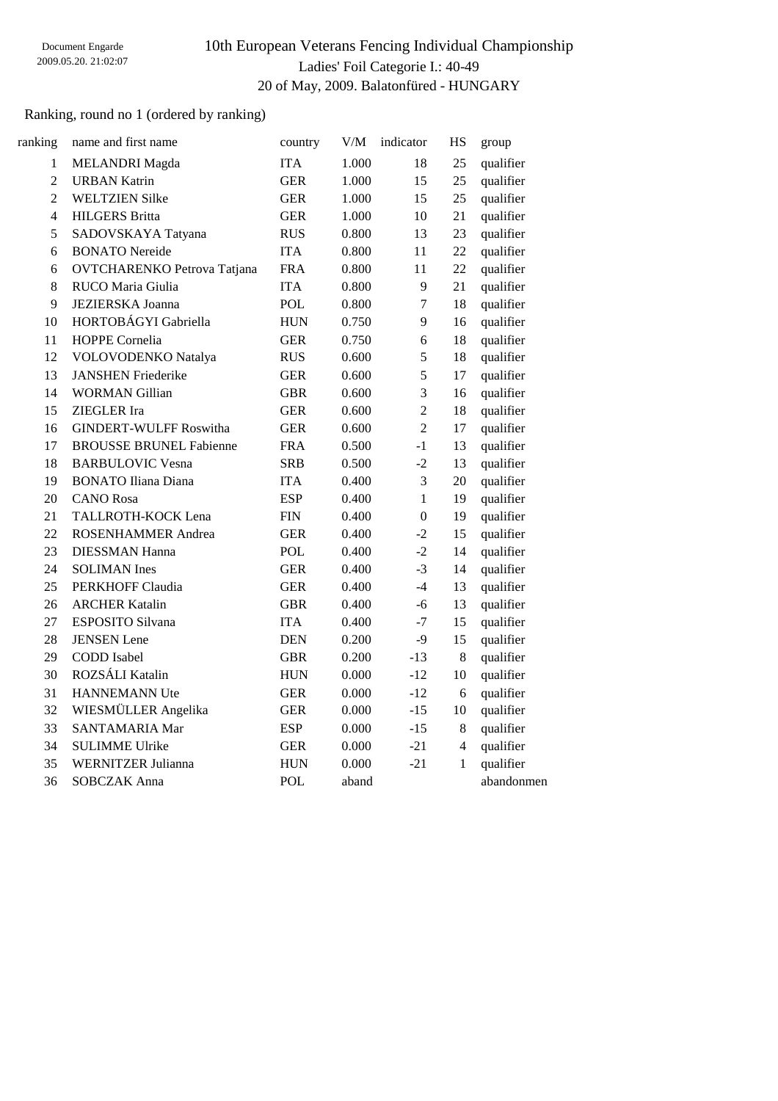# 10th European Veterans Fencing Individual Championship Ladies' Foil Categorie I.: 40-49 20 of May, 2009. Balatonfüred - HUNGARY

## Ranking, round no 1 (ordered by ranking)

| ranking        | name and first name                | country     | V/M   | indicator      | HS             | group      |
|----------------|------------------------------------|-------------|-------|----------------|----------------|------------|
| $\mathbf{1}$   | <b>MELANDRI</b> Magda              | <b>ITA</b>  | 1.000 | 18             | 25             | qualifier  |
| $\overline{2}$ | <b>URBAN Katrin</b>                | <b>GER</b>  | 1.000 | 15             | 25             | qualifier  |
| $\overline{2}$ | <b>WELTZIEN Silke</b>              | <b>GER</b>  | 1.000 | 15             | 25             | qualifier  |
| 4              | <b>HILGERS Britta</b>              | <b>GER</b>  | 1.000 | 10             | 21             | qualifier  |
| 5              | SADOVSKAYA Tatyana                 | <b>RUS</b>  | 0.800 | 13             | 23             | qualifier  |
| 6              | <b>BONATO</b> Nereide              | <b>ITA</b>  | 0.800 | 11             | 22             | qualifier  |
| 6              | <b>OVTCHARENKO Petrova Tatjana</b> | <b>FRA</b>  | 0.800 | 11             | 22             | qualifier  |
| 8              | RUCO Maria Giulia                  | <b>ITA</b>  | 0.800 | 9              | 21             | qualifier  |
| 9              | <b>JEZIERSKA Joanna</b>            | <b>POL</b>  | 0.800 | 7              | 18             | qualifier  |
| 10             | HORTOBÁGYI Gabriella               | <b>HUN</b>  | 0.750 | 9              | 16             | qualifier  |
| 11             | HOPPE Cornelia                     | <b>GER</b>  | 0.750 | 6              | 18             | qualifier  |
| 12             | VOLOVODENKO Natalya                | <b>RUS</b>  | 0.600 | 5              | 18             | qualifier  |
| 13             | <b>JANSHEN Friederike</b>          | <b>GER</b>  | 0.600 | 5              | 17             | qualifier  |
| 14             | <b>WORMAN Gillian</b>              | <b>GBR</b>  | 0.600 | 3              | 16             | qualifier  |
| 15             | ZIEGLER Ira                        | <b>GER</b>  | 0.600 | $\overline{2}$ | 18             | qualifier  |
| 16             | <b>GINDERT-WULFF Roswitha</b>      | <b>GER</b>  | 0.600 | $\overline{2}$ | 17             | qualifier  |
| 17             | <b>BROUSSE BRUNEL Fabienne</b>     | <b>FRA</b>  | 0.500 | $-1$           | 13             | qualifier  |
| 18             | <b>BARBULOVIC Vesna</b>            | <b>SRB</b>  | 0.500 | $-2$           | 13             | qualifier  |
| 19             | <b>BONATO Iliana Diana</b>         | <b>ITA</b>  | 0.400 | 3              | 20             | qualifier  |
| 20             | <b>CANO</b> Rosa                   | <b>ESP</b>  | 0.400 | $\mathbf{1}$   | 19             | qualifier  |
| 21             | TALLROTH-KOCK Lena                 | ${\rm FIN}$ | 0.400 | $\overline{0}$ | 19             | qualifier  |
| 22             | <b>ROSENHAMMER Andrea</b>          | <b>GER</b>  | 0.400 | $-2$           | 15             | qualifier  |
| 23             | <b>DIESSMAN Hanna</b>              | <b>POL</b>  | 0.400 | $-2$           | 14             | qualifier  |
| 24             | <b>SOLIMAN</b> Ines                | <b>GER</b>  | 0.400 | $-3$           | 14             | qualifier  |
| 25             | PERKHOFF Claudia                   | <b>GER</b>  | 0.400 | $-4$           | 13             | qualifier  |
| 26             | <b>ARCHER Katalin</b>              | <b>GBR</b>  | 0.400 | $-6$           | 13             | qualifier  |
| 27             | ESPOSITO Silvana                   | <b>ITA</b>  | 0.400 | $-7$           | 15             | qualifier  |
| 28             | <b>JENSEN</b> Lene                 | <b>DEN</b>  | 0.200 | $-9$           | 15             | qualifier  |
| 29             | <b>CODD</b> Isabel                 | <b>GBR</b>  | 0.200 | $-13$          | 8              | qualifier  |
| 30             | ROZSÁLI Katalin                    | <b>HUN</b>  | 0.000 | $-12$          | 10             | qualifier  |
| 31             | <b>HANNEMANN Ute</b>               | <b>GER</b>  | 0.000 | $-12$          | 6              | qualifier  |
| 32             | WIESMÜLLER Angelika                | <b>GER</b>  | 0.000 | $-15$          | $10\,$         | qualifier  |
| 33             | <b>SANTAMARIA Mar</b>              | <b>ESP</b>  | 0.000 | $-15$          | $8\,$          | qualifier  |
| 34             | <b>SULIMME Ulrike</b>              | <b>GER</b>  | 0.000 | $-21$          | $\overline{4}$ | qualifier  |
| 35             | <b>WERNITZER Julianna</b>          | <b>HUN</b>  | 0.000 | $-21$          | $\mathbf{1}$   | qualifier  |
| 36             | <b>SOBCZAK Anna</b>                | POL         | aband |                |                | abandonmen |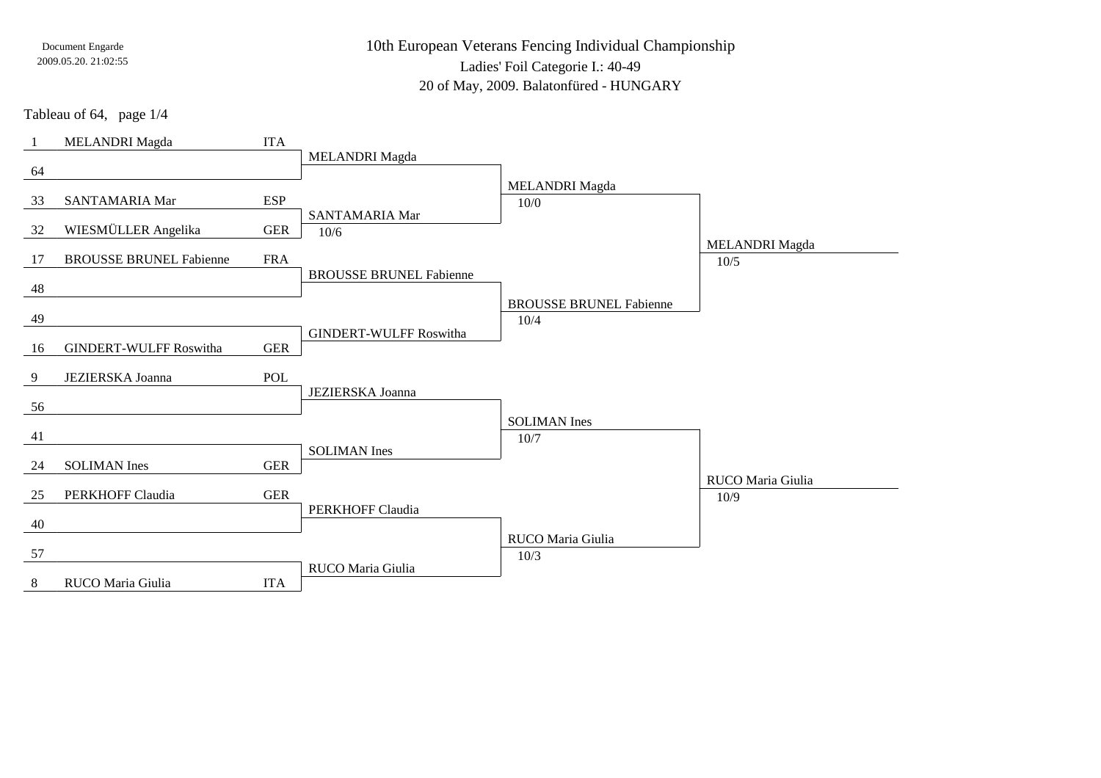10th European Veterans Fencing Individual ChampionshipLadies' Foil Categorie I.: 40-49

20 of May, 2009. Balatonfüred - HUNGARY

Tableau of 64, page 1/4

| $\overline{1}$ | <b>MELANDRI</b> Magda          | <b>ITA</b>  |                                |                                |                       |
|----------------|--------------------------------|-------------|--------------------------------|--------------------------------|-----------------------|
|                |                                |             | <b>MELANDRI</b> Magda          |                                |                       |
| 64             |                                |             |                                |                                |                       |
|                |                                |             |                                | <b>MELANDRI</b> Magda          |                       |
| 33             | SANTAMARIA Mar                 | <b>ESP</b>  | SANTAMARIA Mar                 | 10/0                           |                       |
| 32             | WIESMÜLLER Angelika            | <b>GER</b>  | 10/6                           |                                |                       |
|                |                                |             |                                |                                | <b>MELANDRI</b> Magda |
| 17             | <b>BROUSSE BRUNEL Fabienne</b> | <b>FRA</b>  |                                |                                | 10/5                  |
|                |                                |             | <b>BROUSSE BRUNEL Fabienne</b> |                                |                       |
| 48             |                                |             |                                |                                |                       |
|                |                                |             |                                | <b>BROUSSE BRUNEL Fabienne</b> |                       |
| 49             |                                |             |                                | 10/4                           |                       |
|                |                                |             | <b>GINDERT-WULFF Roswitha</b>  |                                |                       |
| 16             | <b>GINDERT-WULFF Roswitha</b>  | <b>GER</b>  |                                |                                |                       |
|                |                                |             |                                |                                |                       |
|                |                                |             |                                |                                |                       |
| 9              | <b>JEZIERSKA Joanna</b>        | <b>POL</b>  | JEZIERSKA Joanna               |                                |                       |
| 56             |                                |             |                                |                                |                       |
|                |                                |             |                                | <b>SOLIMAN</b> Ines            |                       |
| 41             |                                |             |                                | 10/7                           |                       |
|                |                                |             | <b>SOLIMAN</b> Ines            |                                |                       |
| 24             | <b>SOLIMAN</b> Ines            | <b>GER</b>  |                                |                                |                       |
|                |                                |             |                                |                                | RUCO Maria Giulia     |
| 25             | PERKHOFF Claudia               | ${\tt GER}$ |                                |                                | 10/9                  |
|                |                                |             | PERKHOFF Claudia               |                                |                       |
| 40             |                                |             |                                | RUCO Maria Giulia              |                       |
| 57             |                                |             |                                | 10/3                           |                       |
| 8              | RUCO Maria Giulia              | <b>ITA</b>  | RUCO Maria Giulia              |                                |                       |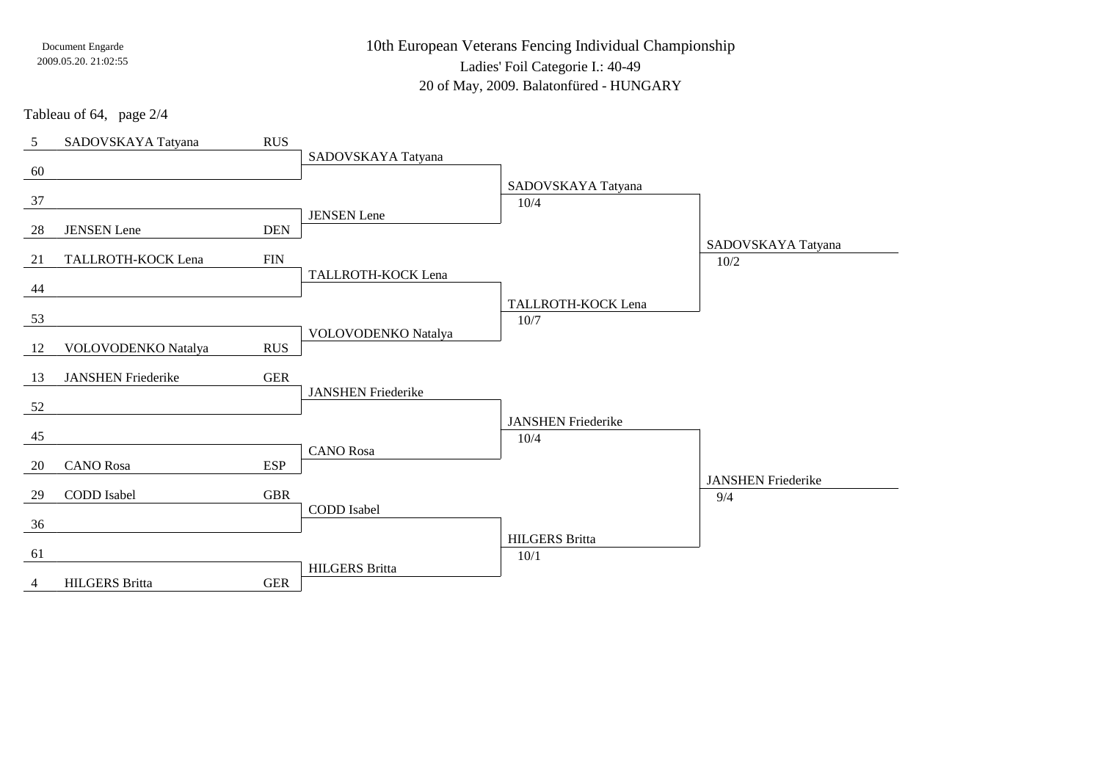10th European Veterans Fencing Individual ChampionshipLadies' Foil Categorie I.: 40-49

20 of May, 2009. Balatonfüred - HUNGARY

Tableau of 64, page 2/4

| 5  | SADOVSKAYA Tatyana        | <b>RUS</b>  |                           |                               |                                  |
|----|---------------------------|-------------|---------------------------|-------------------------------|----------------------------------|
|    |                           |             | SADOVSKAYA Tatyana        |                               |                                  |
| 60 |                           |             |                           | SADOVSKAYA Tatyana            |                                  |
| 37 |                           |             |                           | 10/4                          |                                  |
|    |                           |             | <b>JENSEN</b> Lene        |                               |                                  |
| 28 | <b>JENSEN</b> Lene        | <b>DEN</b>  |                           |                               | SADOVSKAYA Tatyana               |
| 21 | TALLROTH-KOCK Lena        | <b>FIN</b>  |                           |                               | 10/2                             |
|    |                           |             | TALLROTH-KOCK Lena        |                               |                                  |
| 44 |                           |             |                           | TALLROTH-KOCK Lena            |                                  |
| 53 |                           |             |                           | 10/7                          |                                  |
|    |                           |             | VOLOVODENKO Natalya       |                               |                                  |
| 12 | VOLOVODENKO Natalya       | <b>RUS</b>  |                           |                               |                                  |
| 13 | <b>JANSHEN Friederike</b> | ${\tt GER}$ |                           |                               |                                  |
|    |                           |             | <b>JANSHEN Friederike</b> |                               |                                  |
| 52 |                           |             |                           | <b>JANSHEN Friederike</b>     |                                  |
| 45 |                           |             |                           | 10/4                          |                                  |
|    |                           |             | <b>CANO</b> Rosa          |                               |                                  |
| 20 | <b>CANO</b> Rosa          | <b>ESP</b>  |                           |                               |                                  |
| 29 | CODD Isabel               | <b>GBR</b>  |                           |                               | <b>JANSHEN Friederike</b><br>9/4 |
|    |                           |             | CODD Isabel               |                               |                                  |
| 36 |                           |             |                           |                               |                                  |
| 61 |                           |             |                           | <b>HILGERS Britta</b><br>10/1 |                                  |
|    |                           |             | <b>HILGERS</b> Britta     |                               |                                  |
| 4  | <b>HILGERS</b> Britta     | <b>GER</b>  |                           |                               |                                  |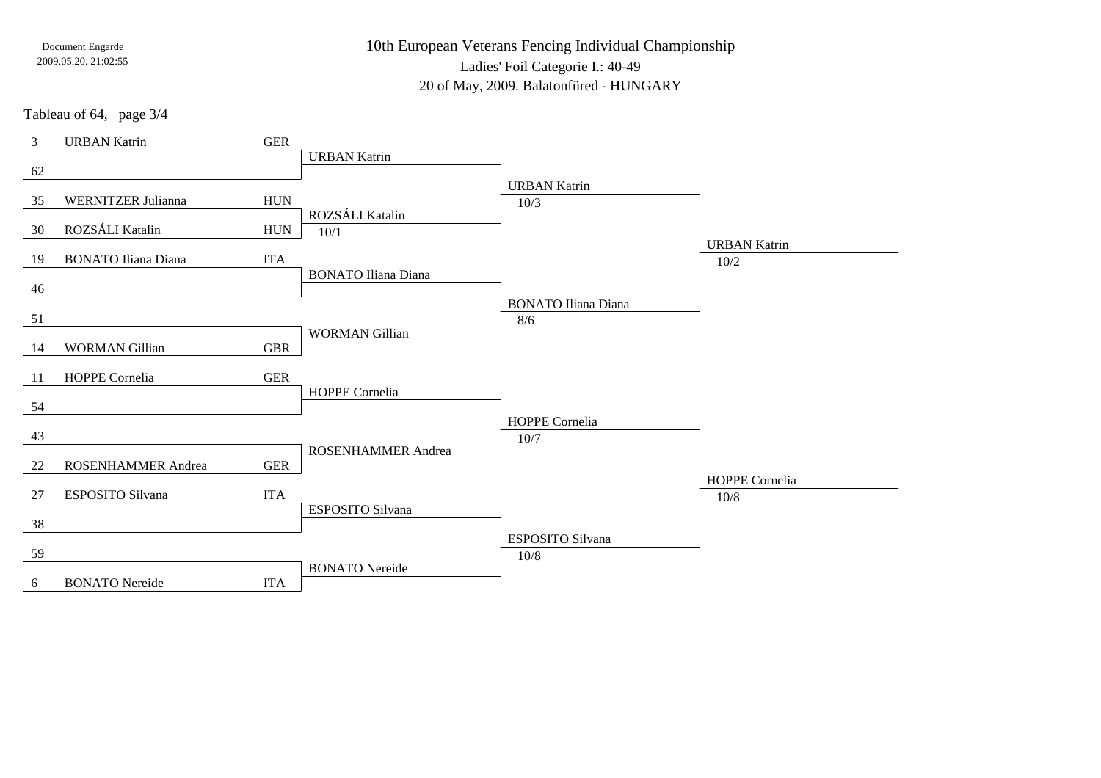10th European Veterans Fencing Individual Championship

Ladies' Foil Categorie I.: 40-49

20 of May, 2009. Balatonfüred - HUNGARY

Tableau of 64, page 3/4

| $\mathfrak{Z}$ | <b>URBAN Katrin</b>        | ${\tt GER}$ |                            |                                   |                     |
|----------------|----------------------------|-------------|----------------------------|-----------------------------------|---------------------|
|                |                            |             | <b>URBAN Katrin</b>        |                                   |                     |
| 62             |                            |             |                            |                                   |                     |
| 35             | <b>WERNITZER Julianna</b>  | ${\rm HUN}$ |                            | <b>URBAN Katrin</b>               |                     |
|                |                            |             | ROZSÁLI Katalin            | 10/3                              |                     |
| 30             | ROZSÁLI Katalin            | <b>HUN</b>  | 10/1                       |                                   |                     |
|                |                            |             |                            |                                   | <b>URBAN Katrin</b> |
| 19             | <b>BONATO Iliana Diana</b> | <b>ITA</b>  |                            |                                   | 10/2                |
|                |                            |             | <b>BONATO Iliana Diana</b> |                                   |                     |
| 46             |                            |             |                            |                                   |                     |
| 51             |                            |             |                            | <b>BONATO Iliana Diana</b><br>8/6 |                     |
|                |                            |             | <b>WORMAN Gillian</b>      |                                   |                     |
| 14             | <b>WORMAN Gillian</b>      | <b>GBR</b>  |                            |                                   |                     |
|                |                            |             |                            |                                   |                     |
| 11             | HOPPE Cornelia             | <b>GER</b>  |                            |                                   |                     |
|                |                            |             | HOPPE Cornelia             |                                   |                     |
| 54             |                            |             |                            | HOPPE Cornelia                    |                     |
| 43             |                            |             |                            | $10/7$                            |                     |
|                |                            |             | ROSENHAMMER Andrea         |                                   |                     |
| 22             | <b>ROSENHAMMER Andrea</b>  | <b>GER</b>  |                            |                                   |                     |
|                |                            |             |                            |                                   | HOPPE Cornelia      |
| 27             | ESPOSITO Silvana           | <b>ITA</b>  |                            |                                   | 10/8                |
|                |                            |             | <b>ESPOSITO Silvana</b>    |                                   |                     |
| 38             |                            |             |                            | ESPOSITO Silvana                  |                     |
| 59             |                            |             |                            | $10/8$                            |                     |
|                |                            |             | <b>BONATO</b> Nereide      |                                   |                     |
| 6              | <b>BONATO</b> Nereide      | <b>ITA</b>  |                            |                                   |                     |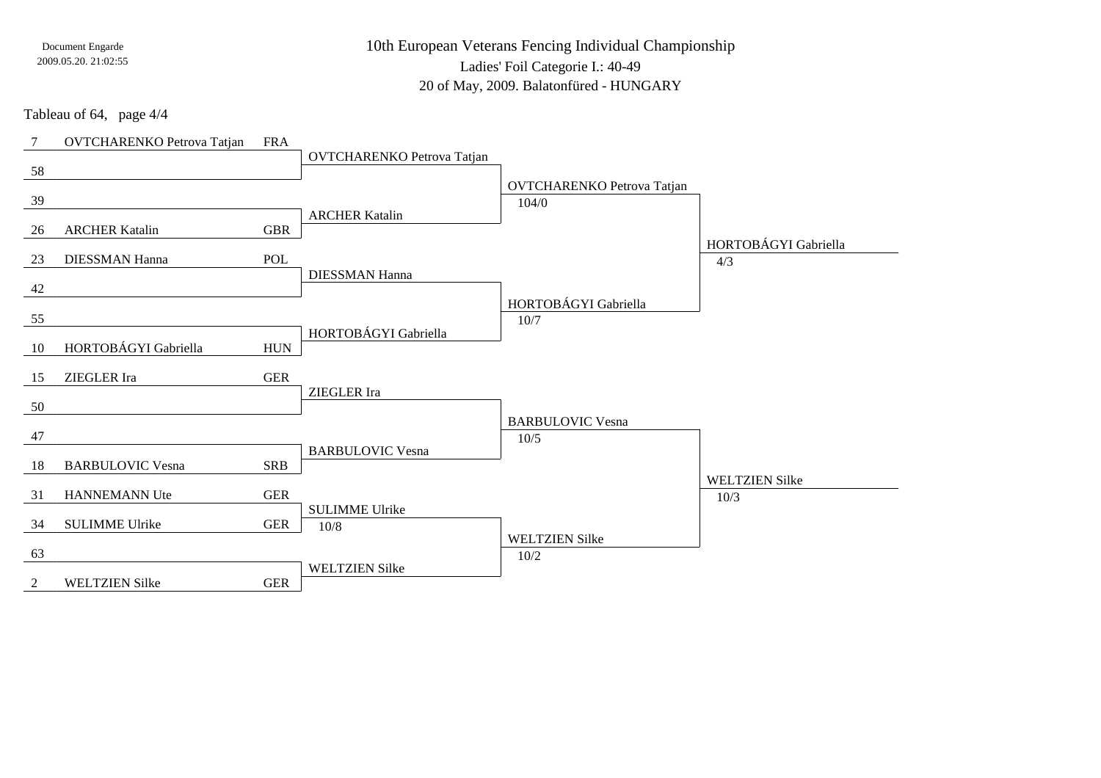10th European Veterans Fencing Individual ChampionshipLadies' Foil Categorie I.: 40-4920 of May, 2009. Balatonfüred - HUNGARY

Tableau of 64, page 4/4

| $7\phantom{.0}$ | <b>OVTCHARENKO Petrova Tatjan</b> | <b>FRA</b>  |                                   |                                   |                       |
|-----------------|-----------------------------------|-------------|-----------------------------------|-----------------------------------|-----------------------|
|                 |                                   |             | <b>OVTCHARENKO Petrova Tatjan</b> |                                   |                       |
| 58              |                                   |             |                                   |                                   |                       |
| 39              |                                   |             |                                   | <b>OVTCHARENKO Petrova Tatjan</b> |                       |
|                 |                                   |             | <b>ARCHER Katalin</b>             | 104/0                             |                       |
| 26              | <b>ARCHER Katalin</b>             | <b>GBR</b>  |                                   |                                   |                       |
|                 |                                   |             |                                   |                                   | HORTOBÁGYI Gabriella  |
| 23              | <b>DIESSMAN Hanna</b>             | POL         |                                   |                                   | 4/3                   |
|                 |                                   |             | <b>DIESSMAN Hanna</b>             |                                   |                       |
| 42              |                                   |             |                                   | HORTOBÁGYI Gabriella              |                       |
| 55              |                                   |             |                                   | 10/7                              |                       |
|                 |                                   |             | HORTOBÁGYI Gabriella              |                                   |                       |
| 10              | HORTOBÁGYI Gabriella              | ${\rm HUN}$ |                                   |                                   |                       |
|                 |                                   |             |                                   |                                   |                       |
| 15              | ZIEGLER Ira                       | <b>GER</b>  |                                   |                                   |                       |
| 50              |                                   |             | ZIEGLER Ira                       |                                   |                       |
|                 |                                   |             |                                   | <b>BARBULOVIC Vesna</b>           |                       |
| 47              |                                   |             |                                   | 10/5                              |                       |
|                 |                                   |             | <b>BARBULOVIC Vesna</b>           |                                   |                       |
| 18              | <b>BARBULOVIC Vesna</b>           | <b>SRB</b>  |                                   |                                   |                       |
|                 |                                   |             |                                   |                                   | <b>WELTZIEN Silke</b> |
| 31              | HANNEMANN Ute                     | <b>GER</b>  | <b>SULIMME Ulrike</b>             |                                   | 10/3                  |
| 34              | <b>SULIMME Ulrike</b>             | <b>GER</b>  | $10/8$                            |                                   |                       |
|                 |                                   |             |                                   | <b>WELTZIEN Silke</b>             |                       |
| 63              |                                   |             |                                   | 10/2                              |                       |
|                 |                                   |             | <b>WELTZIEN Silke</b>             |                                   |                       |
| 2               | <b>WELTZIEN Silke</b>             | <b>GER</b>  |                                   |                                   |                       |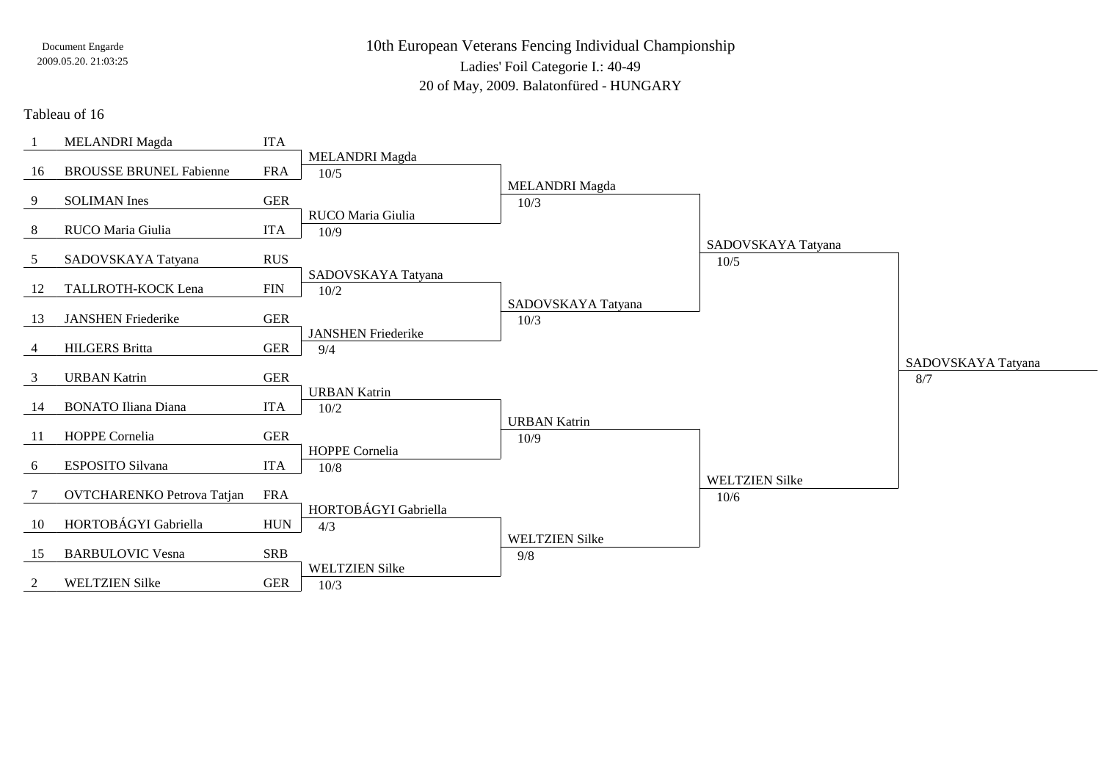10th European Veterans Fencing Individual ChampionshipLadies' Foil Categorie I.: 40-49

20 of May, 2009. Balatonfüred - HUNGARY

### Tableau of 16

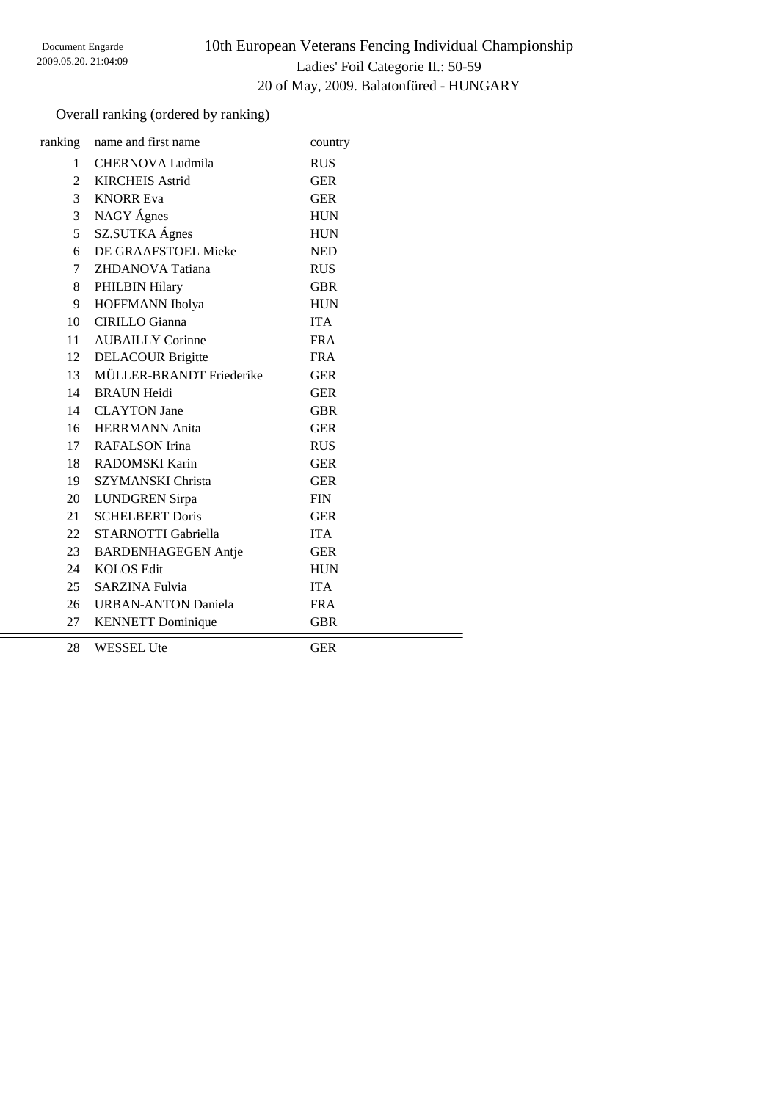# 10th European Veterans Fencing Individual Championship Ladies' Foil Categorie II.: 50-59 20 of May, 2009. Balatonfüred - HUNGARY

## Overall ranking (ordered by ranking)

| ranking        | name and first name        | country    |  |
|----------------|----------------------------|------------|--|
| 1              | CHERNOVA Ludmila           | <b>RUS</b> |  |
| $\overline{2}$ | <b>KIRCHEIS Astrid</b>     | <b>GER</b> |  |
| 3              | <b>KNORR Eva</b>           | <b>GER</b> |  |
| 3              | NAGY Ágnes                 | <b>HUN</b> |  |
| 5              | SZ.SUTKA Ágnes             | <b>HUN</b> |  |
| 6              | DE GRAAFSTOEL Mieke        | <b>NED</b> |  |
| $\tau$         | ZHDANOVA Tatiana           | <b>RUS</b> |  |
| 8              | <b>PHILBIN Hilary</b>      | <b>GBR</b> |  |
| 9              | HOFFMANN Ibolya            | <b>HUN</b> |  |
| 10             | <b>CIRILLO</b> Gianna      | <b>ITA</b> |  |
| 11             | <b>AUBAILLY Corinne</b>    | <b>FRA</b> |  |
| 12             | <b>DELACOUR Brigitte</b>   | <b>FRA</b> |  |
| 13             | MÜLLER-BRANDT Friederike   | <b>GER</b> |  |
| 14             | <b>BRAUN Heidi</b>         | <b>GER</b> |  |
| 14             | <b>CLAYTON</b> Jane        | <b>GBR</b> |  |
| 16             | <b>HERRMANN</b> Anita      | <b>GER</b> |  |
| 17             | RAFALSON Irina             | <b>RUS</b> |  |
| 18             | RADOMSKI Karin             | <b>GER</b> |  |
| 19             | <b>SZYMANSKI Christa</b>   | <b>GER</b> |  |
| 20             | <b>LUNDGREN</b> Sirpa      | <b>FIN</b> |  |
| 21             | <b>SCHELBERT Doris</b>     | <b>GER</b> |  |
| 22             | STARNOTTI Gabriella        | <b>ITA</b> |  |
| 23             | <b>BARDENHAGEGEN Antje</b> | <b>GER</b> |  |
| 24             | <b>KOLOS Edit</b>          | <b>HUN</b> |  |
| 25             | <b>SARZINA Fulvia</b>      | <b>ITA</b> |  |
| 26             | <b>URBAN-ANTON Daniela</b> | <b>FRA</b> |  |
| 27             | <b>KENNETT</b> Dominique   | <b>GBR</b> |  |
| 28             | <b>WESSEL Ute</b>          | <b>GER</b> |  |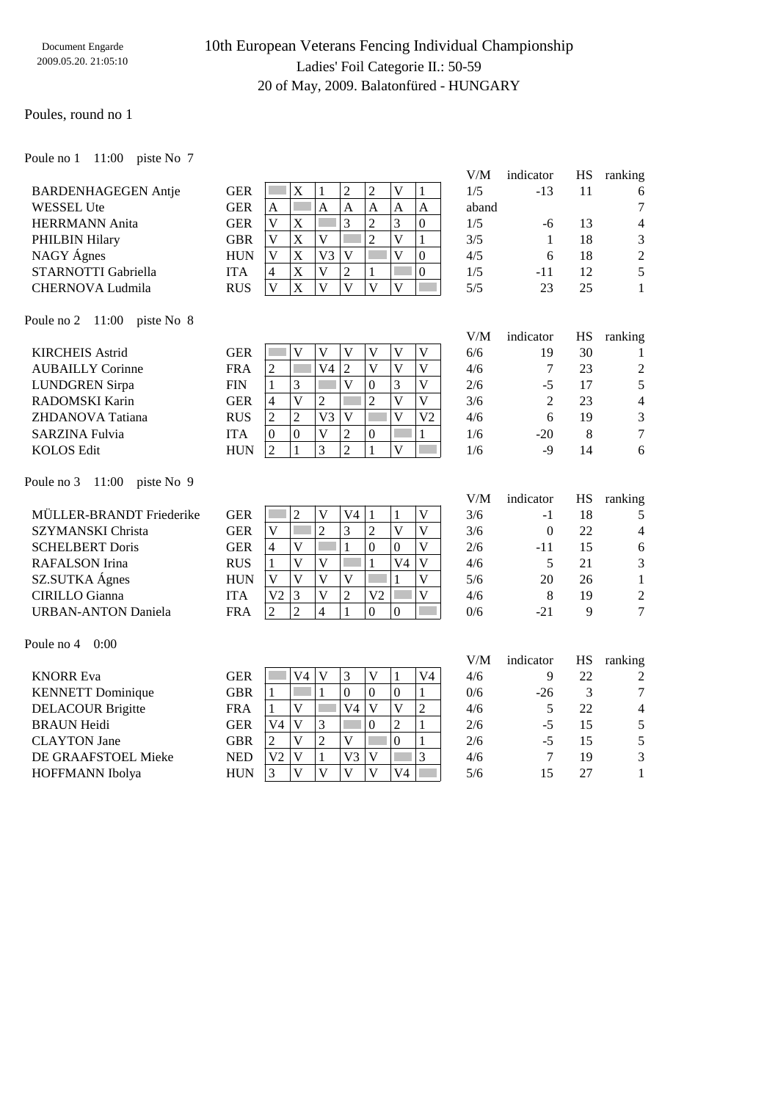## 10th European Veterans Fencing Individual Championship Ladies' Foil Categorie II.: 50-59 20 of May, 2009. Balatonfüred - HUNGARY

### Poules, round no 1

WESSEL Ute HERRMANN Anita PHILBIN Hilary NAGY Ágnes

Poule no 1 11:00 piste No 7

BARDENHAGEGEN Antje

| <b>GER</b> | X |    | 2 |   |   |   |
|------------|---|----|---|---|---|---|
| <b>GER</b> |   |    | A | A | A | A |
| <b>GER</b> | X |    | 3 | 2 | 3 |   |
| <b>GBR</b> | X |    |   |   |   |   |
| <b>HUN</b> | X | V3 |   |   |   |   |
| <b>ITA</b> | X |    |   |   |   |   |
| <b>RUS</b> | X |    |   |   |   |   |

| V/M   | indicator | HS | ranking |
|-------|-----------|----|---------|
| 1/5   | $-13$     | 11 |         |
| aband |           |    | 7       |
| 1/5   | -6        | 13 | 4       |
| 3/5   | 1         | 18 | 3       |
| 4/5   | 6         | 18 | 2       |
| 1/5   | -11       | 12 | 5       |
| 5/5   | 23        | 25 |         |

V/M indicator HS ranking

V/M indicator HS ranking

V/M indicator HS ranking

#### Poule no 2 11:00 piste No 8

STARNOTTI Gabriella CHERNOVA Ludmila

| <b>KIRCHEIS Astrid</b>  | GER        |          |          |    |   |          | V              | 6/6 | 19    | 30 |                |
|-------------------------|------------|----------|----------|----|---|----------|----------------|-----|-------|----|----------------|
| <b>AUBAILLY Corinne</b> | <b>FRA</b> | ∍        |          | V4 | ∍ |          | V              | 4/6 |       | 23 | $\overline{2}$ |
| <b>LUNDGREN</b> Sirpa   | <b>FIN</b> |          |          |    |   | $\Omega$ | V              | 2/6 | -5    | 17 |                |
| RADOMSKI Karin          | GER        | 4        |          | ◠  |   |          |                | 3/6 |       | 23 | 4              |
| ZHDANOVA Tatiana        | <b>RUS</b> | ↑        |          | V3 |   |          | V <sub>2</sub> | 4/6 | h     | 19 | 3              |
| <b>SARZINA Fulvia</b>   | ITA        | $\Omega$ | $\Omega$ |    | ◠ | $\theta$ |                | 1/6 | $-20$ | 8  | 7              |
| <b>KOLOS</b> Edit       | <b>HUN</b> | ↑        |          |    |   |          |                | 1/6 | -9    | 14 | 6              |
|                         |            |          |          |    |   |          |                |     |       |    |                |

Poule no 3 11:00 piste No 9

| MÜLLER-BRANDT Friederike | <b>GER</b> |    |  | V4 |    |          | 3/6 | - 1   | 18 |                |
|--------------------------|------------|----|--|----|----|----------|-----|-------|----|----------------|
| SZYMANSKI Christa        | <b>GER</b> |    |  |    |    |          | 3/6 |       | 22 | $\overline{4}$ |
| <b>SCHELBERT Doris</b>   | <b>GER</b> |    |  |    |    | $\theta$ | 2/6 |       | 15 | 6              |
| RAFALSON Irina           | <b>RUS</b> |    |  |    |    | V4       | 4/6 |       | 21 | 3              |
| SZ.SUTKA Ágnes           | <b>HUN</b> |    |  |    |    |          | 5/6 | 20    | 26 |                |
| CIRILLO Gianna           | <b>ITA</b> | V2 |  |    | V2 |          | 4/6 |       | 19 | $\mathcal{D}$  |
| URBAN-ANTON Daniela      | <b>FRA</b> |    |  |    |    | $\theta$ | 0/6 | $-21$ |    | 7              |
|                          |            |    |  |    |    |          |     |       |    |                |

### Poule no 4 0:00

| <b>KNORR Eva</b>         | GER        |                | V4 |    |          |    | V4 | 4/6 |     | 22 | $\overline{2}$ |
|--------------------------|------------|----------------|----|----|----------|----|----|-----|-----|----|----------------|
| <b>KENNETT</b> Dominique | GBR        |                |    |    | $\theta$ | O  |    | 0/6 | -26 |    | 7              |
| <b>DELACOUR Brigitte</b> | FRA        |                |    | V4 |          |    |    | 4/6 |     | 22 | $\overline{4}$ |
| <b>BRAUN Heidi</b>       | GER        | V4             |    |    | $\theta$ |    |    | 2/6 | -5  | 15 | 5              |
| <b>CLAYTON</b> Jane      | GBR        |                |    |    |          |    |    | 2/6 | -5  | 15 |                |
| DE GRAAFSTOEL Mieke      | <b>NED</b> | V <sub>2</sub> |    | V3 | V        |    |    | 4/6 |     | 19 | 3              |
| <b>HOFFMANN</b> Ibolya   | <b>HUN</b> |                |    |    |          | V4 |    | 5/6 |     | 27 |                |
|                          |            |                |    |    |          |    |    |     |     |    |                |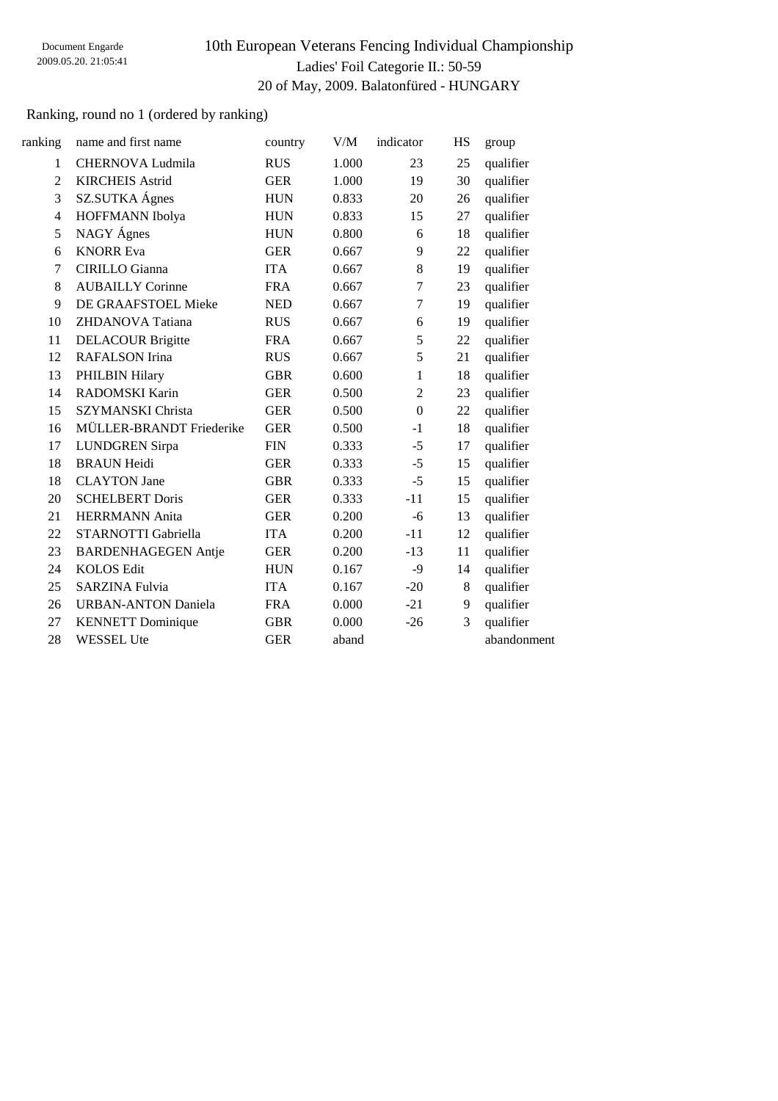# 10th European Veterans Fencing Individual Championship Ladies' Foil Categorie II.: 50-59 20 of May, 2009. Balatonfüred - HUNGARY

## Ranking, round no 1 (ordered by ranking)

| ranking        | name and first name        | country    | V/M   | indicator      | HS      | group       |
|----------------|----------------------------|------------|-------|----------------|---------|-------------|
| $\mathbf{1}$   | <b>CHERNOVA Ludmila</b>    | <b>RUS</b> | 1.000 | 23             | 25      | qualifier   |
| $\overline{2}$ | <b>KIRCHEIS Astrid</b>     | <b>GER</b> | 1.000 | 19             | 30      | qualifier   |
| 3              | SZ.SUTKA Ágnes             | <b>HUN</b> | 0.833 | 20             | 26      | qualifier   |
| $\overline{4}$ | HOFFMANN Ibolya            | <b>HUN</b> | 0.833 | 15             | 27      | qualifier   |
| 5              | NAGY Ágnes                 | <b>HUN</b> | 0.800 | 6              | 18      | qualifier   |
| 6              | <b>KNORR Eva</b>           | <b>GER</b> | 0.667 | 9              | 22      | qualifier   |
| 7              | <b>CIRILLO</b> Gianna      | <b>ITA</b> | 0.667 | 8              | 19      | qualifier   |
| 8              | <b>AUBAILLY Corinne</b>    | <b>FRA</b> | 0.667 | 7              | 23      | qualifier   |
| 9              | DE GRAAFSTOEL Mieke        | <b>NED</b> | 0.667 | 7              | 19      | qualifier   |
| 10             | ZHDANOVA Tatiana           | <b>RUS</b> | 0.667 | 6              | 19      | qualifier   |
| 11             | <b>DELACOUR Brigitte</b>   | <b>FRA</b> | 0.667 | 5              | 22      | qualifier   |
| 12             | RAFALSON Irina             | <b>RUS</b> | 0.667 | 5              | 21      | qualifier   |
| 13             | PHILBIN Hilary             | <b>GBR</b> | 0.600 | $\mathbf{1}$   | 18      | qualifier   |
| 14             | RADOMSKI Karin             | <b>GER</b> | 0.500 | $\overline{2}$ | 23      | qualifier   |
| 15             | <b>SZYMANSKI</b> Christa   | <b>GER</b> | 0.500 | $\Omega$       | 22      | qualifier   |
| 16             | MÜLLER-BRANDT Friederike   | <b>GER</b> | 0.500 | $-1$           | 18      | qualifier   |
| 17             | <b>LUNDGREN</b> Sirpa      | <b>FIN</b> | 0.333 | $-5$           | 17      | qualifier   |
| 18             | <b>BRAUN Heidi</b>         | <b>GER</b> | 0.333 | $-5$           | 15      | qualifier   |
| 18             | <b>CLAYTON</b> Jane        | <b>GBR</b> | 0.333 | $-5$           | 15      | qualifier   |
| 20             | <b>SCHELBERT Doris</b>     | <b>GER</b> | 0.333 | $-11$          | 15      | qualifier   |
| 21             | <b>HERRMANN</b> Anita      | <b>GER</b> | 0.200 | $-6$           | 13      | qualifier   |
| 22             | STARNOTTI Gabriella        | <b>ITA</b> | 0.200 | $-11$          | 12      | qualifier   |
| 23             | <b>BARDENHAGEGEN Antje</b> | <b>GER</b> | 0.200 | $-13$          | 11      | qualifier   |
| 24             | <b>KOLOS Edit</b>          | <b>HUN</b> | 0.167 | $-9$           | 14      | qualifier   |
| 25             | <b>SARZINA Fulvia</b>      | <b>ITA</b> | 0.167 | $-20$          | $\,8\,$ | qualifier   |
| 26             | <b>URBAN-ANTON Daniela</b> | <b>FRA</b> | 0.000 | $-21$          | 9       | qualifier   |
| 27             | <b>KENNETT</b> Dominique   | <b>GBR</b> | 0.000 | $-26$          | 3       | qualifier   |
| 28             | <b>WESSEL Ute</b>          | <b>GER</b> | aband |                |         | abandonment |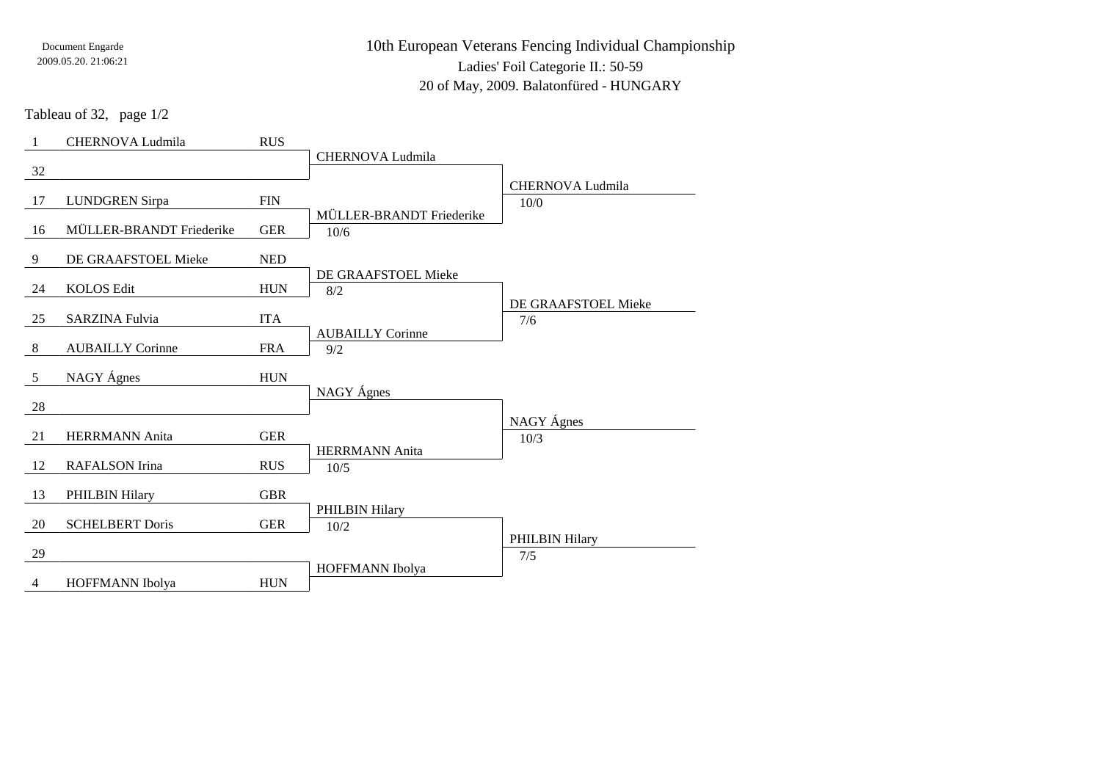10th European Veterans Fencing Individual ChampionshipLadies' Foil Categorie II.: 50-5920 of May, 2009. Balatonfüred - HUNGARY

Tableau of 32, page 1/2

| -1             | CHERNOVA Ludmila         | <b>RUS</b>  |                                |                       |
|----------------|--------------------------|-------------|--------------------------------|-----------------------|
| 32             |                          |             | <b>CHERNOVA Ludmila</b>        |                       |
|                |                          |             |                                | CHERNOVA Ludmila      |
| 17             | <b>LUNDGREN Sirpa</b>    | ${\rm FIN}$ | MÜLLER-BRANDT Friederike       | 10/0                  |
| 16             | MÜLLER-BRANDT Friederike | <b>GER</b>  | 10/6                           |                       |
| 9              | DE GRAAFSTOEL Mieke      | <b>NED</b>  |                                |                       |
| 24             | <b>KOLOS Edit</b>        | <b>HUN</b>  | DE GRAAFSTOEL Mieke<br>8/2     |                       |
|                |                          |             |                                | DE GRAAFSTOEL Mieke   |
| 25             | <b>SARZINA Fulvia</b>    | <b>ITA</b>  |                                | 7/6                   |
| 8              | <b>AUBAILLY Corinne</b>  | <b>FRA</b>  | <b>AUBAILLY Corinne</b><br>9/2 |                       |
| 5              | NAGY Ágnes               | <b>HUN</b>  |                                |                       |
| 28             |                          |             | NAGY Ágnes                     |                       |
|                |                          |             |                                | NAGY Ágnes            |
| 21             | <b>HERRMANN</b> Anita    | <b>GER</b>  |                                | 10/3                  |
| 12             | <b>RAFALSON</b> Irina    | <b>RUS</b>  | <b>HERRMANN</b> Anita<br>10/5  |                       |
| 13             | PHILBIN Hilary           | <b>GBR</b>  |                                |                       |
|                |                          |             | PHILBIN Hilary                 |                       |
| 20             | <b>SCHELBERT Doris</b>   | <b>GER</b>  | 10/2                           |                       |
| 29             |                          |             |                                | PHILBIN Hilary<br>7/5 |
|                |                          |             | HOFFMANN Ibolya                |                       |
| $\overline{4}$ | HOFFMANN Ibolya          | <b>HUN</b>  |                                |                       |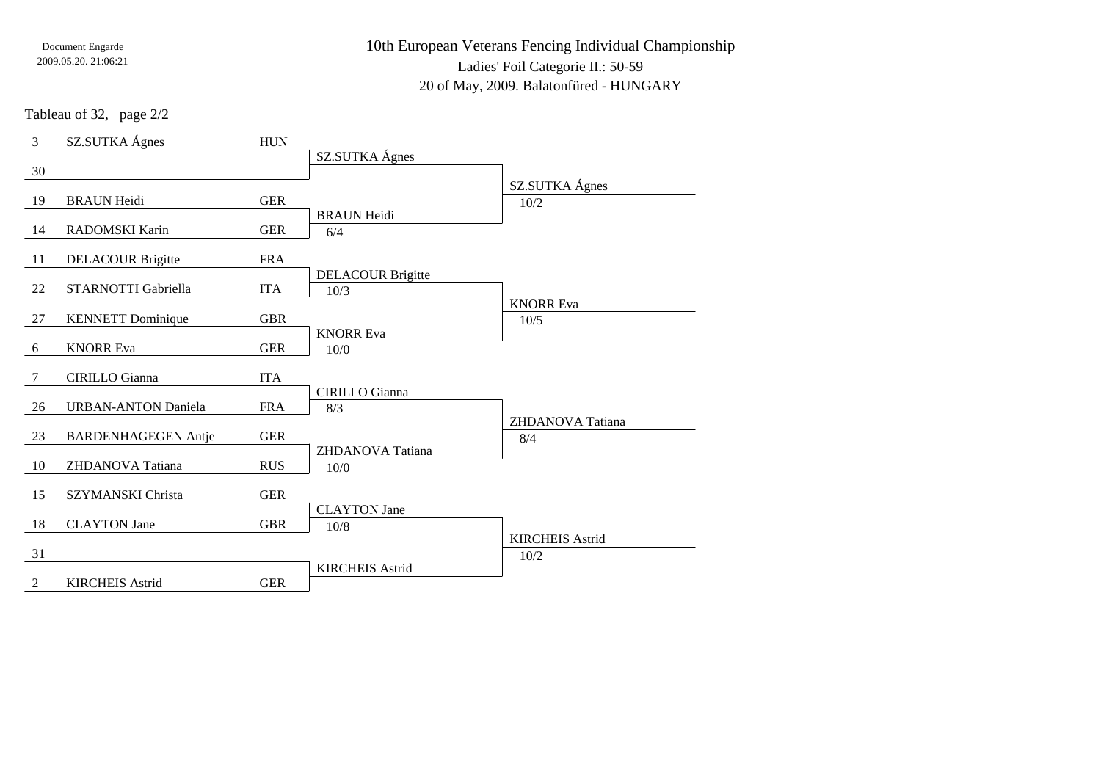10th European Veterans Fencing Individual ChampionshipLadies' Foil Categorie II.: 50-59

20 of May, 2009. Balatonfüred - HUNGARY

Tableau of 32, page 2/2

| $\mathfrak{Z}$ | SZ.SUTKA Ágnes             | <b>HUN</b> |                              |                          |
|----------------|----------------------------|------------|------------------------------|--------------------------|
| 30             |                            |            | SZ.SUTKA Ágnes               |                          |
|                |                            |            |                              | SZ.SUTKA Ágnes           |
| 19             | <b>BRAUN Heidi</b>         | <b>GER</b> |                              | 10/2                     |
| 14             | RADOMSKI Karin             | <b>GER</b> | <b>BRAUN Heidi</b><br>6/4    |                          |
| -11            | <b>DELACOUR Brigitte</b>   | <b>FRA</b> |                              |                          |
|                |                            |            | <b>DELACOUR Brigitte</b>     |                          |
| 22             | STARNOTTI Gabriella        | <b>ITA</b> | 10/3                         |                          |
| 27             | <b>KENNETT</b> Dominique   | <b>GBR</b> |                              | <b>KNORR Eva</b><br>10/5 |
| 6              | <b>KNORR Eva</b>           | <b>GER</b> | <b>KNORR Eva</b><br>10/0     |                          |
| 7              | <b>CIRILLO</b> Gianna      | <b>ITA</b> |                              |                          |
| 26             | <b>URBAN-ANTON Daniela</b> | <b>FRA</b> | <b>CIRILLO</b> Gianna<br>8/3 |                          |
|                |                            |            |                              | ZHDANOVA Tatiana         |
| 23             | <b>BARDENHAGEGEN Antie</b> | <b>GER</b> |                              | 8/4                      |
| 10             | ZHDANOVA Tatiana           | <b>RUS</b> | ZHDANOVA Tatiana<br>10/0     |                          |
| 15             | SZYMANSKI Christa          | <b>GER</b> |                              |                          |
|                |                            |            | <b>CLAYTON</b> Jane          |                          |
| 18             | <b>CLAYTON</b> Jane        | <b>GBR</b> | 10/8                         |                          |
| 31             |                            |            |                              | <b>KIRCHEIS Astrid</b>   |
|                |                            |            | <b>KIRCHEIS Astrid</b>       | 10/2                     |
| $\overline{2}$ | <b>KIRCHEIS Astrid</b>     | <b>GER</b> |                              |                          |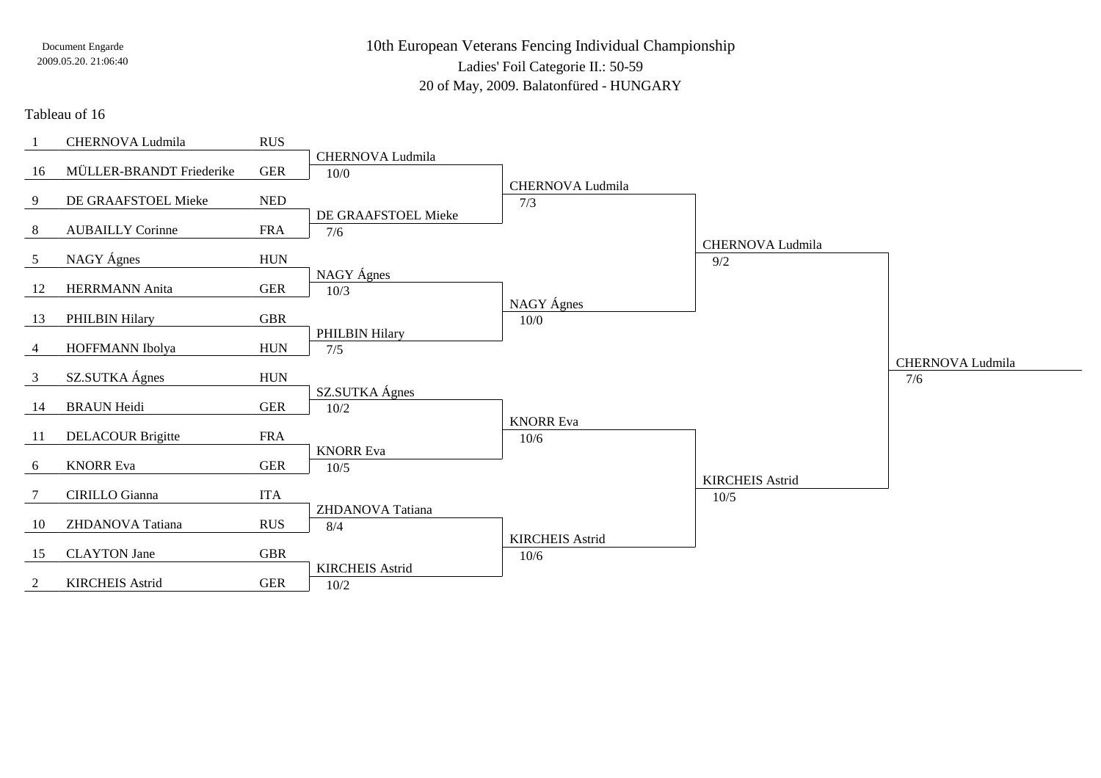10th European Veterans Fencing Individual ChampionshipLadies' Foil Categorie II.: 50-5920 of May, 2009. Balatonfüred - HUNGARY

### Tableau of 16

|                | CHERNOVA Ludmila         | <b>RUS</b>  |                        |                        |                         |                         |
|----------------|--------------------------|-------------|------------------------|------------------------|-------------------------|-------------------------|
|                |                          |             | CHERNOVA Ludmila       |                        |                         |                         |
| 16             | MÜLLER-BRANDT Friederike | <b>GER</b>  | 10/0                   |                        |                         |                         |
|                |                          |             |                        | CHERNOVA Ludmila       |                         |                         |
| 9              | DE GRAAFSTOEL Mieke      | <b>NED</b>  |                        | 7/3                    |                         |                         |
|                |                          |             | DE GRAAFSTOEL Mieke    |                        |                         |                         |
| 8              | <b>AUBAILLY Corinne</b>  | <b>FRA</b>  | 7/6                    |                        |                         |                         |
|                |                          |             |                        |                        | <b>CHERNOVA Ludmila</b> |                         |
| 5 <sup>5</sup> | NAGY Ágnes               | <b>HUN</b>  |                        |                        | 9/2                     |                         |
|                |                          |             | NAGY Ágnes             |                        |                         |                         |
| 12             | <b>HERRMANN</b> Anita    | <b>GER</b>  | 10/3                   |                        |                         |                         |
|                |                          |             |                        | NAGY Ágnes             |                         |                         |
| 13             | PHILBIN Hilary           | <b>GBR</b>  |                        | 10/0                   |                         |                         |
|                |                          |             | PHILBIN Hilary         |                        |                         |                         |
| $\overline{4}$ | HOFFMANN Ibolya          | ${\rm HUN}$ | 7/5                    |                        |                         |                         |
|                |                          |             |                        |                        |                         | <b>CHERNOVA Ludmila</b> |
| $\mathfrak{Z}$ | SZ.SUTKA Ágnes           | <b>HUN</b>  |                        |                        |                         | 7/6                     |
|                |                          |             | SZ.SUTKA Ágnes         |                        |                         |                         |
| 14             | <b>BRAUN Heidi</b>       | <b>GER</b>  | 10/2                   |                        |                         |                         |
|                |                          |             |                        | <b>KNORR Eva</b>       |                         |                         |
| 11             | <b>DELACOUR Brigitte</b> | <b>FRA</b>  |                        | 10/6                   |                         |                         |
|                | <b>KNORR Eva</b>         | ${\tt GER}$ | <b>KNORR Eva</b>       |                        |                         |                         |
| 6              |                          |             | 10/5                   |                        | <b>KIRCHEIS Astrid</b>  |                         |
| 7              | <b>CIRILLO</b> Gianna    | <b>ITA</b>  |                        |                        |                         |                         |
|                |                          |             | ZHDANOVA Tatiana       |                        | 10/5                    |                         |
| 10             | ZHDANOVA Tatiana         | <b>RUS</b>  | 8/4                    |                        |                         |                         |
|                |                          |             |                        | <b>KIRCHEIS Astrid</b> |                         |                         |
| 15             | <b>CLAYTON</b> Jane      | <b>GBR</b>  |                        | 10/6                   |                         |                         |
|                |                          |             | <b>KIRCHEIS Astrid</b> |                        |                         |                         |
| 2              | <b>KIRCHEIS Astrid</b>   | <b>GER</b>  | 10/2                   |                        |                         |                         |
|                |                          |             |                        |                        |                         |                         |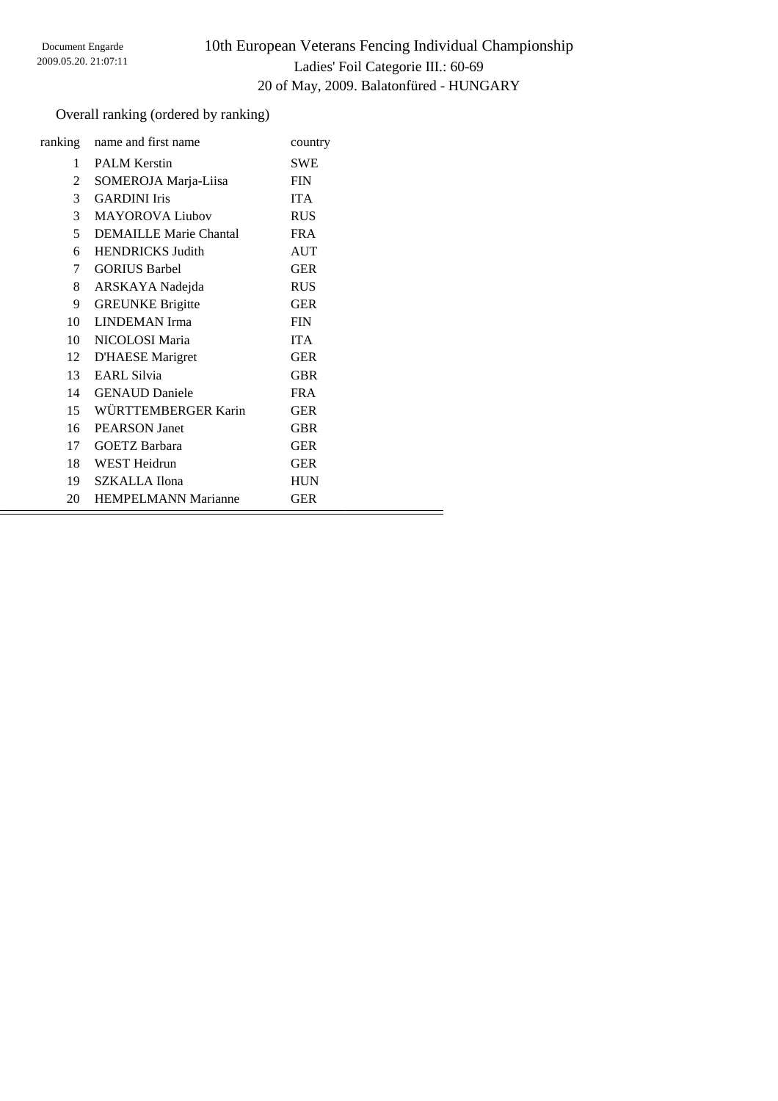# 10th European Veterans Fencing Individual Championship Ladies' Foil Categorie III.: 60-69 20 of May, 2009. Balatonfüred - HUNGARY

Ξ

## Overall ranking (ordered by ranking)

| ranking         | name and first name           | country    |
|-----------------|-------------------------------|------------|
| 1               | <b>PALM Kerstin</b>           | <b>SWE</b> |
| 2               | SOMEROJA Marja-Liisa          | <b>FIN</b> |
| $\mathcal{E}$   | <b>GARDINI</b> Iris           | <b>ITA</b> |
| 3 <sup>7</sup>  | <b>MAYOROVA Liubov</b>        | <b>RUS</b> |
| 5               | <b>DEMAILLE Marie Chantal</b> | <b>FRA</b> |
| 6               | <b>HENDRICKS Judith</b>       | <b>AUT</b> |
| 7               | <b>GORIUS Barbel</b>          | <b>GER</b> |
| 8               | ARSKAYA Nadejda               | <b>RUS</b> |
| 9               | <b>GREUNKE Brigitte</b>       | <b>GER</b> |
| $10-10$         | <b>LINDEMAN</b> Irma          | <b>FIN</b> |
| 10              | NICOLOSI Maria                | <b>ITA</b> |
| 12              | <b>D'HAESE</b> Marigret       | <b>GER</b> |
| 13              | <b>EARL Silvia</b>            | <b>GBR</b> |
| 14              | <b>GENAUD</b> Daniele         | <b>FRA</b> |
| 15              | WÜRTTEMBERGER Karin           | <b>GER</b> |
| 16 <sup>1</sup> | <b>PEARSON</b> Janet          | <b>GBR</b> |
| 17              | <b>GOETZ Barbara</b>          | <b>GER</b> |
|                 | 18 WEST Heidrun               | <b>GER</b> |
|                 | 19 SZKALLA Ilona              | <b>HUN</b> |
| 20              | <b>HEMPELMANN Marianne</b>    | <b>GER</b> |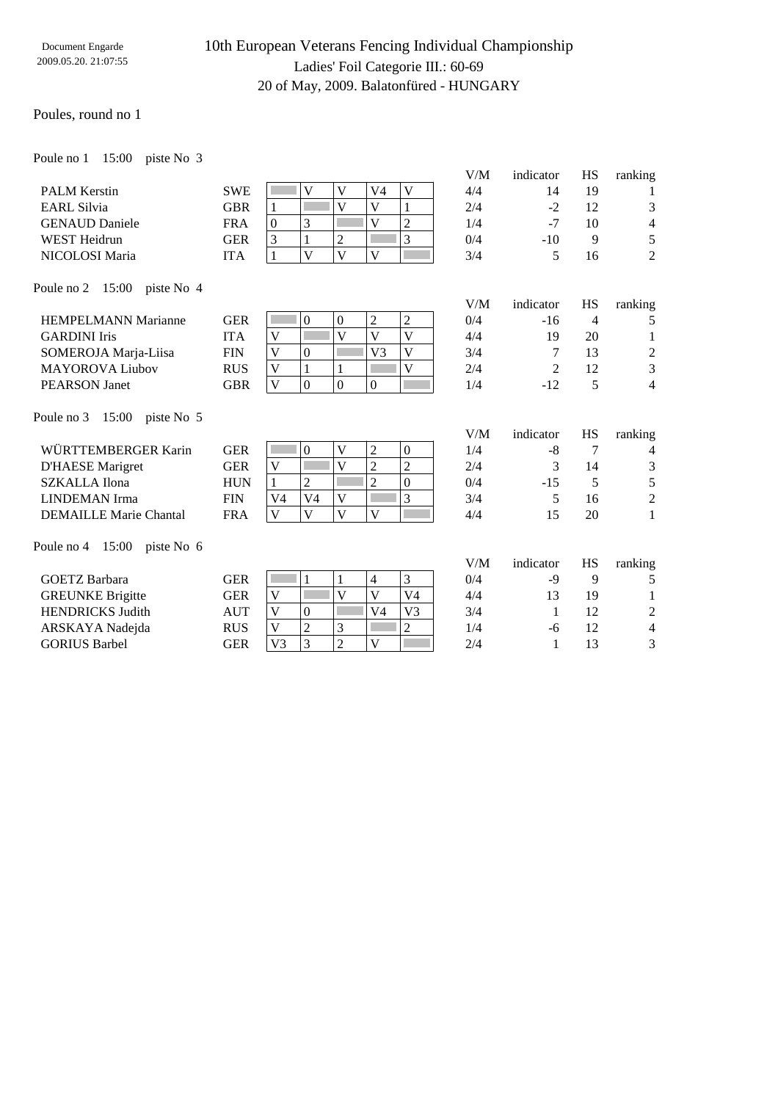# 10th European Veterans Fencing Individual Championship Ladies' Foil Categorie III.: 60-69 20 of May, 2009. Balatonfüred - HUNGARY

### Poules, round no 1

Poule no 1 15:00 piste No 3

|                                  |            |                                                             |                         |                         | V/M | indicator | HS             | ranking          |
|----------------------------------|------------|-------------------------------------------------------------|-------------------------|-------------------------|-----|-----------|----------------|------------------|
| <b>PALM Kerstin</b>              | <b>SWE</b> | $\mathbf{V}$<br>V                                           | V <sub>4</sub>          | $\mathbf{V}$            | 4/4 | 14        | 19             | 1                |
| <b>EARL Silvia</b>               | <b>GBR</b> | $\overline{\mathsf{V}}$<br>$\mathbf{1}$                     | $\overline{V}$          | $\mathbf{1}$            | 2/4 | $-2$      | 12             | 3                |
| <b>GENAUD</b> Daniele            | <b>FRA</b> | 3<br>$\boldsymbol{0}$                                       | V                       | $\overline{2}$          | 1/4 | $-7$      | 10             | 4                |
| <b>WEST Heidrun</b>              | <b>GER</b> | 3<br>$\overline{2}$<br>1                                    |                         | $\overline{3}$          | 0/4 | $-10$     | 9              | 5                |
| NICOLOSI Maria                   | <b>ITA</b> | $\overline{\mathsf{V}}$<br>$\mathbf{V}$<br>$\mathbf{1}$     | $\mathbf{V}$            |                         | 3/4 | 5         | 16             | $\overline{2}$   |
| Poule no 2 15:00 piste No 4      |            |                                                             |                         |                         |     |           |                |                  |
|                                  |            |                                                             |                         |                         | V/M | indicator | <b>HS</b>      | ranking          |
| <b>HEMPELMANN Marianne</b>       | <b>GER</b> | $\boldsymbol{0}$<br>$\boldsymbol{0}$                        | $\overline{2}$          | $\overline{c}$          | 0/4 | $-16$     | $\overline{4}$ | 5                |
| <b>GARDINI Iris</b>              | <b>ITA</b> | $\overline{\mathsf{V}}$<br>V                                | $\overline{V}$          | $\overline{V}$          | 4/4 | 19        | 20             | $\mathbf{1}$     |
| SOMEROJA Marja-Liisa             | <b>FIN</b> | V<br>$\boldsymbol{0}$                                       | V <sub>3</sub>          | $\overline{V}$          | 3/4 | 7         | 13             | $\boldsymbol{2}$ |
| <b>MAYOROVA Liubov</b>           | <b>RUS</b> | $\mathbf{1}$<br>$\mathbf V$<br>$\mathbf{1}$                 |                         | $\overline{\mathsf{V}}$ | 2/4 | 2         | 12             | 3                |
| <b>PEARSON</b> Janet             | <b>GBR</b> | $\overline{\mathsf{V}}$<br>$\overline{0}$<br>$\overline{0}$ | $\overline{0}$          |                         | 1/4 | $-12$     | 5              | $\overline{4}$   |
| Poule no 3 15:00<br>piste No 5   |            |                                                             |                         |                         |     |           |                |                  |
|                                  |            |                                                             |                         |                         | V/M | indicator | <b>HS</b>      | ranking          |
| WÜRTTEMBERGER Karin              | <b>GER</b> | V<br>$\mathbf{0}$                                           | 2                       | $\boldsymbol{0}$        | 1/4 | $-8$      | 7              | $\overline{4}$   |
| <b>D'HAESE</b> Marigret          | <b>GER</b> | $\overline{V}$<br>$\mathbf V$                               | $\overline{2}$          | $\overline{2}$          | 2/4 | 3         | 14             | $\mathfrak{Z}$   |
| <b>SZKALLA</b> Ilona             | <b>HUN</b> | $\overline{2}$<br>$\mathbf{1}$                              | $\overline{2}$          | $\overline{0}$          | 0/4 | $-15$     | 5              | 5                |
| <b>LINDEMAN</b> Irma             | <b>FIN</b> | V <sub>4</sub><br>$\overline{\mathbf{V}}$<br>V <sub>4</sub> |                         | 3                       | 3/4 | 5         | 16             | $\overline{c}$   |
| <b>DEMAILLE Marie Chantal</b>    | <b>FRA</b> | $\overline{\mathsf{V}}$<br>$\mathbf{V}$<br>$\mathbf{V}$     | $\overline{\mathsf{V}}$ |                         | 4/4 | 15        | 20             | $\mathbf{1}$     |
| Poule no $4$ 15:00<br>piste No 6 |            |                                                             |                         |                         |     |           |                |                  |
|                                  |            |                                                             |                         |                         | V/M | indicator | <b>HS</b>      | ranking          |
| <b>GOETZ Barbara</b>             | <b>GER</b> | 1<br>$\mathbf{1}$                                           | $\overline{4}$          | 3                       | 0/4 | $-9$      | 9              | 5                |
| <b>GREUNKE Brigitte</b>          | <b>GER</b> | $\mathbf V$<br>V                                            | $\overline{V}$          | V <sub>4</sub>          | 4/4 | 13        | 19             | 1                |
| <b>HENDRICKS Judith</b>          | <b>AUT</b> | V<br>$\boldsymbol{0}$                                       | V4                      | V <sub>3</sub>          | 3/4 | 1         | 12             | $\overline{c}$   |
| ARSKAYA Nadejda                  | <b>RUS</b> | $\overline{c}$<br>3<br>V                                    |                         | $\overline{c}$          | 1/4 | -6        | 12             | $\overline{4}$   |
| <b>GORIUS Barbel</b>             | <b>GER</b> | 3<br>$\overline{2}$<br>V <sub>3</sub>                       | V                       |                         | 2/4 | 1         | 13             | 3                |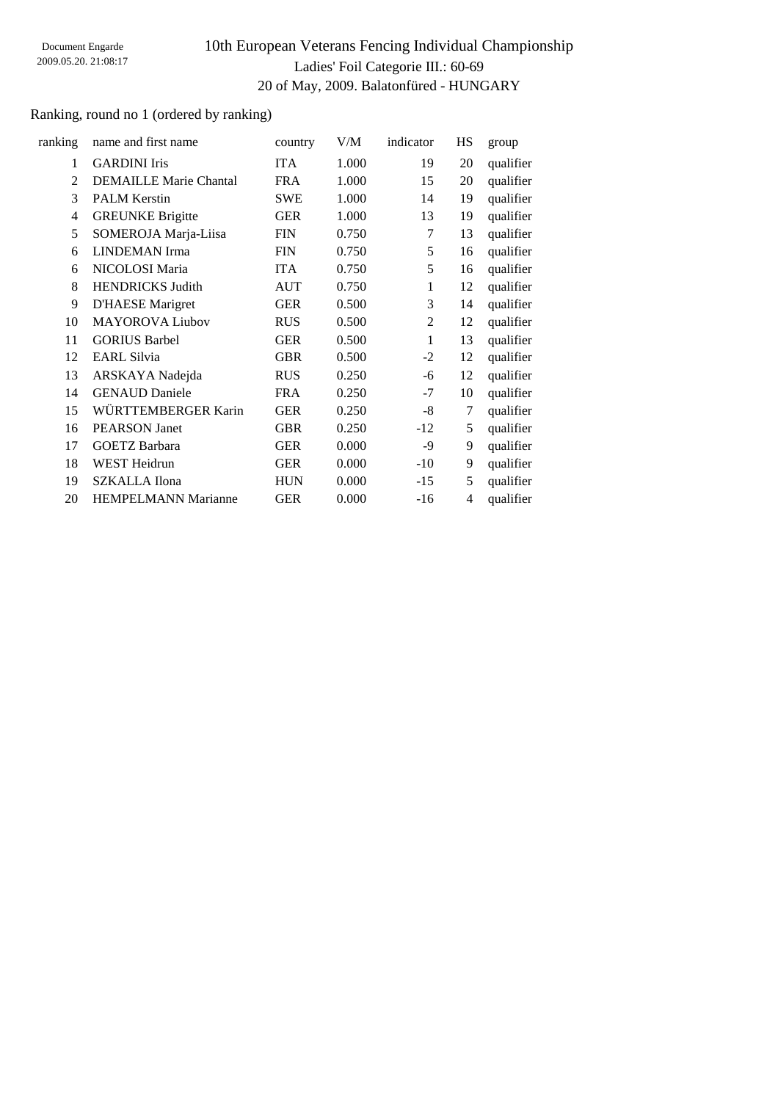# 10th European Veterans Fencing Individual Championship Ladies' Foil Categorie III.: 60-69 20 of May, 2009. Balatonfüred - HUNGARY

## Ranking, round no 1 (ordered by ranking)

| ranking        | name and first name           | country    | V/M   | indicator      | HS | group     |
|----------------|-------------------------------|------------|-------|----------------|----|-----------|
| 1              | <b>GARDINI</b> Iris           | <b>ITA</b> | 1.000 | 19             | 20 | qualifier |
| $\mathfrak{D}$ | <b>DEMAILLE Marie Chantal</b> | <b>FRA</b> | 1.000 | 15             | 20 | qualifier |
| 3              | <b>PALM Kerstin</b>           | <b>SWE</b> | 1.000 | 14             | 19 | qualifier |
| 4              | <b>GREUNKE Brigitte</b>       | <b>GER</b> | 1.000 | 13             | 19 | qualifier |
| 5              | SOMEROJA Marja-Liisa          | <b>FIN</b> | 0.750 | 7              | 13 | qualifier |
| 6              | <b>LINDEMAN</b> Irma          | <b>FIN</b> | 0.750 | 5              | 16 | qualifier |
| 6              | NICOLOSI Maria                | <b>ITA</b> | 0.750 | 5              | 16 | qualifier |
| 8              | <b>HENDRICKS Judith</b>       | <b>AUT</b> | 0.750 | 1              | 12 | qualifier |
| 9              | <b>D'HAESE</b> Marigret       | <b>GER</b> | 0.500 | 3              | 14 | qualifier |
| 10             | <b>MAYOROVA Liubov</b>        | <b>RUS</b> | 0.500 | $\overline{2}$ | 12 | qualifier |
| 11             | <b>GORIUS Barbel</b>          | <b>GER</b> | 0.500 | $\mathbf{1}$   | 13 | qualifier |
| 12             | <b>EARL Silvia</b>            | <b>GBR</b> | 0.500 | $-2$           | 12 | qualifier |
| 13             | ARSKAYA Nadejda               | <b>RUS</b> | 0.250 | -6             | 12 | qualifier |
| 14             | <b>GENAUD Daniele</b>         | <b>FRA</b> | 0.250 | $-7$           | 10 | qualifier |
| 15             | WÜRTTEMBERGER Karin           | <b>GER</b> | 0.250 | -8             | 7  | qualifier |
| 16             | <b>PEARSON Janet</b>          | <b>GBR</b> | 0.250 | $-12$          | 5  | qualifier |
| 17             | <b>GOETZ Barbara</b>          | <b>GER</b> | 0.000 | -9             | 9  | qualifier |
| 18             | WEST Heidrun                  | <b>GER</b> | 0.000 | $-10$          | 9  | qualifier |
| 19             | <b>SZKALLA Ilona</b>          | <b>HUN</b> | 0.000 | $-15$          | 5  | qualifier |
| 20             | <b>HEMPELMANN Marianne</b>    | <b>GER</b> | 0.000 | $-16$          | 4  | qualifier |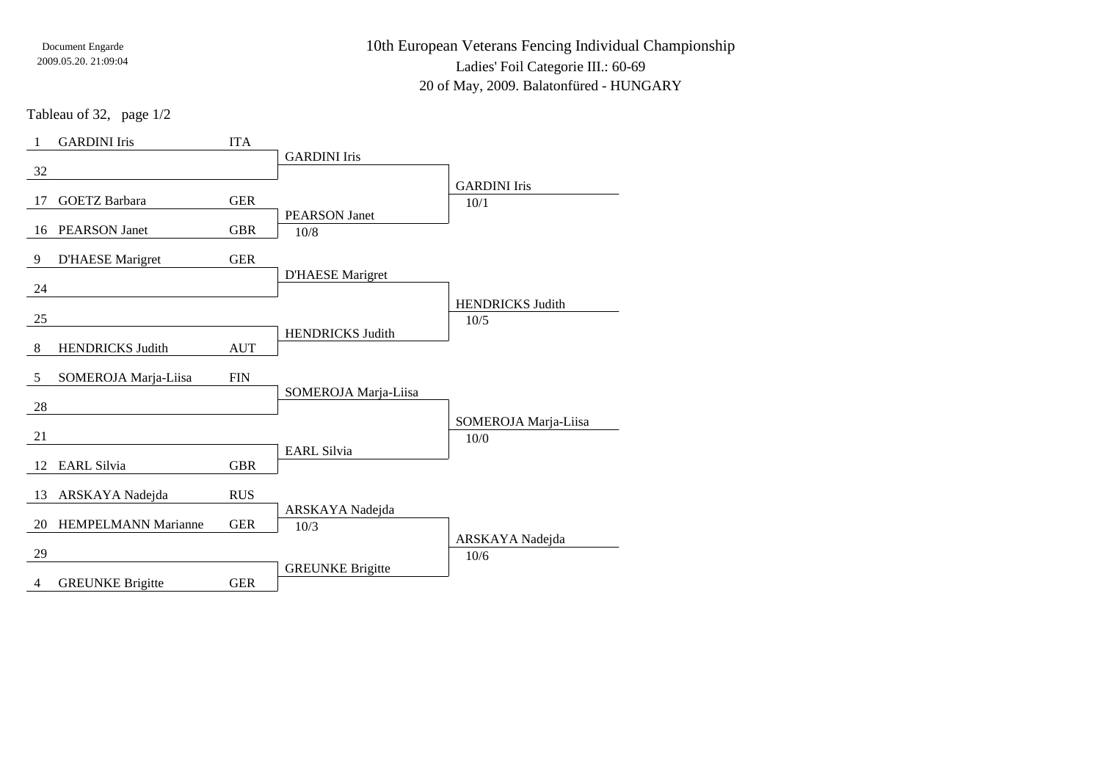10th European Veterans Fencing Individual ChampionshipLadies' Foil Categorie III.: 60-69

20 of May, 2009. Balatonfüred - HUNGARY

Tableau of 32, page 1/2

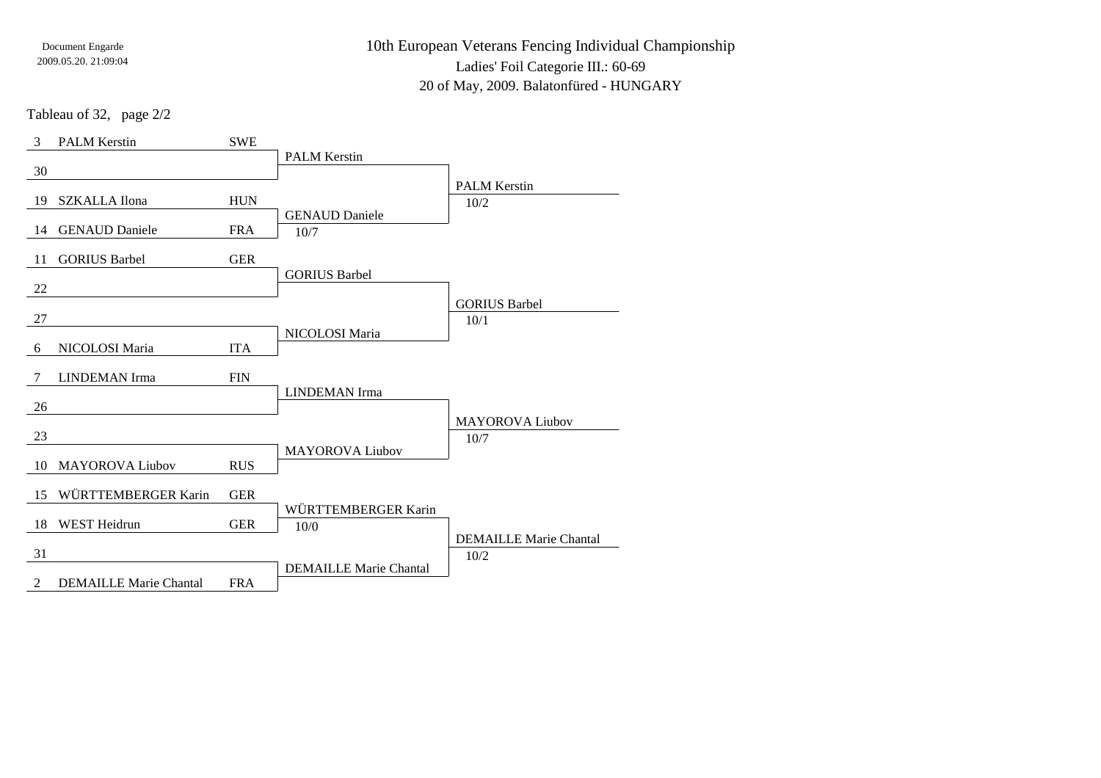10th European Veterans Fencing Individual ChampionshipLadies' Foil Categorie III.: 60-69

20 of May, 2009. Balatonfüred - HUNGARY

Tableau of 32, page 2/2

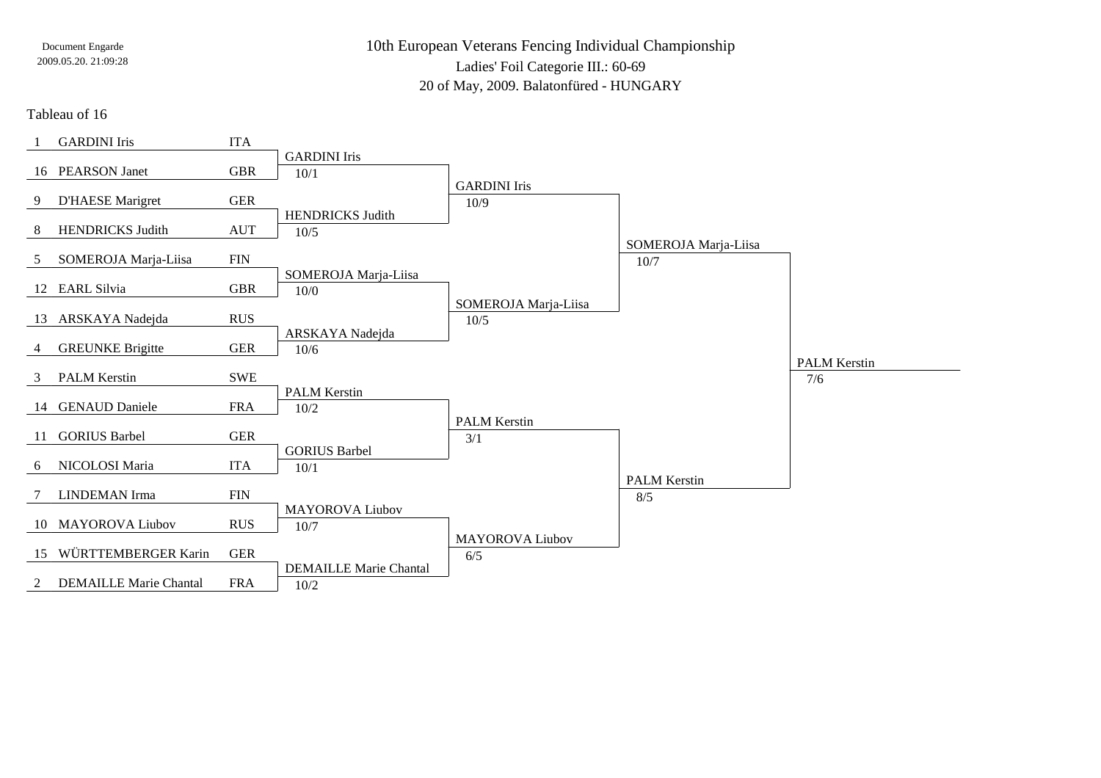10th European Veterans Fencing Individual ChampionshipLadies' Foil Categorie III.: 60-6920 of May, 2009. Balatonfüred - HUNGARY

Tableau of 16

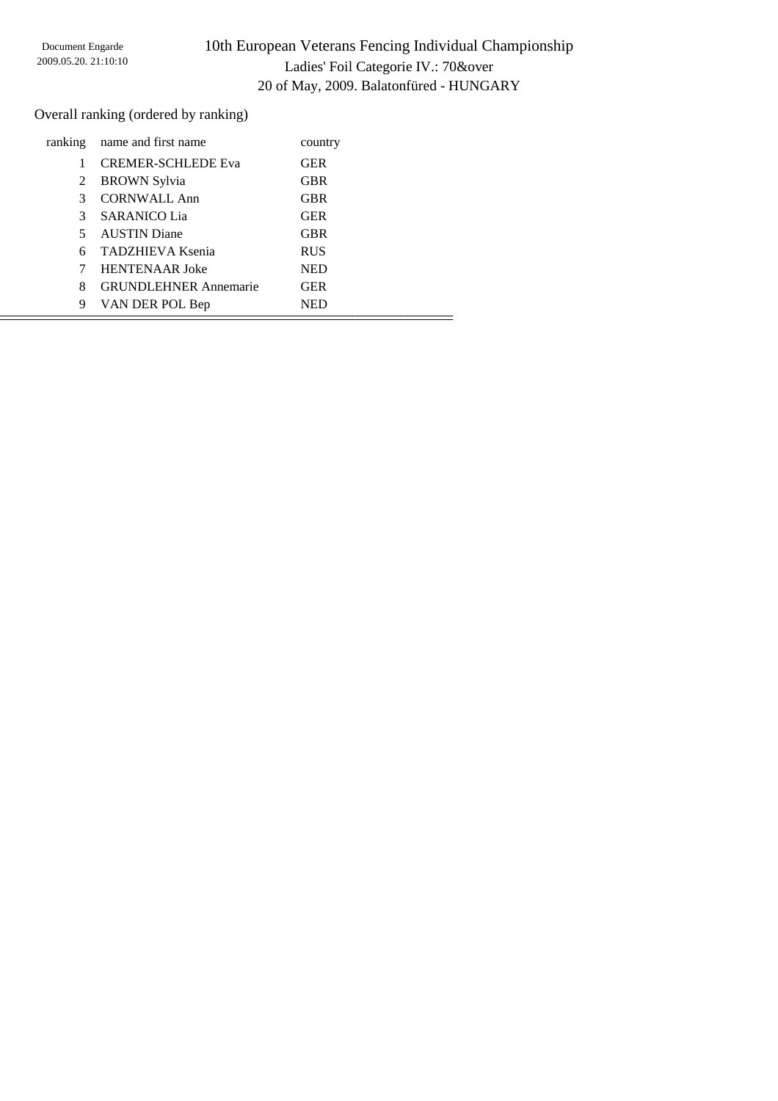## 10th European Veterans Fencing Individual Championship Ladies' Foil Categorie IV.: 70&over 20 of May, 2009. Balatonfüred - HUNGARY

Overall ranking (ordered by ranking)

| ranking | name and first name          | country    |  |
|---------|------------------------------|------------|--|
|         | <b>CREMER-SCHLEDE Eva</b>    | <b>GER</b> |  |
| 2       | <b>BROWN Sylvia</b>          | <b>GBR</b> |  |
| 3       | <b>CORNWALL Ann</b>          | <b>GBR</b> |  |
| 3       | <b>SARANICO Lia</b>          | <b>GER</b> |  |
| 5.      | <b>AUSTIN</b> Diane          | <b>GBR</b> |  |
|         | <b>TADZHIEVA Ksenia</b>      | <b>RUS</b> |  |
|         | <b>HENTENAAR</b> Joke        | <b>NED</b> |  |
| 8       | <b>GRUNDLEHNER Annemarie</b> | <b>GER</b> |  |
| 9       | VAN DER POL Bep              | <b>NED</b> |  |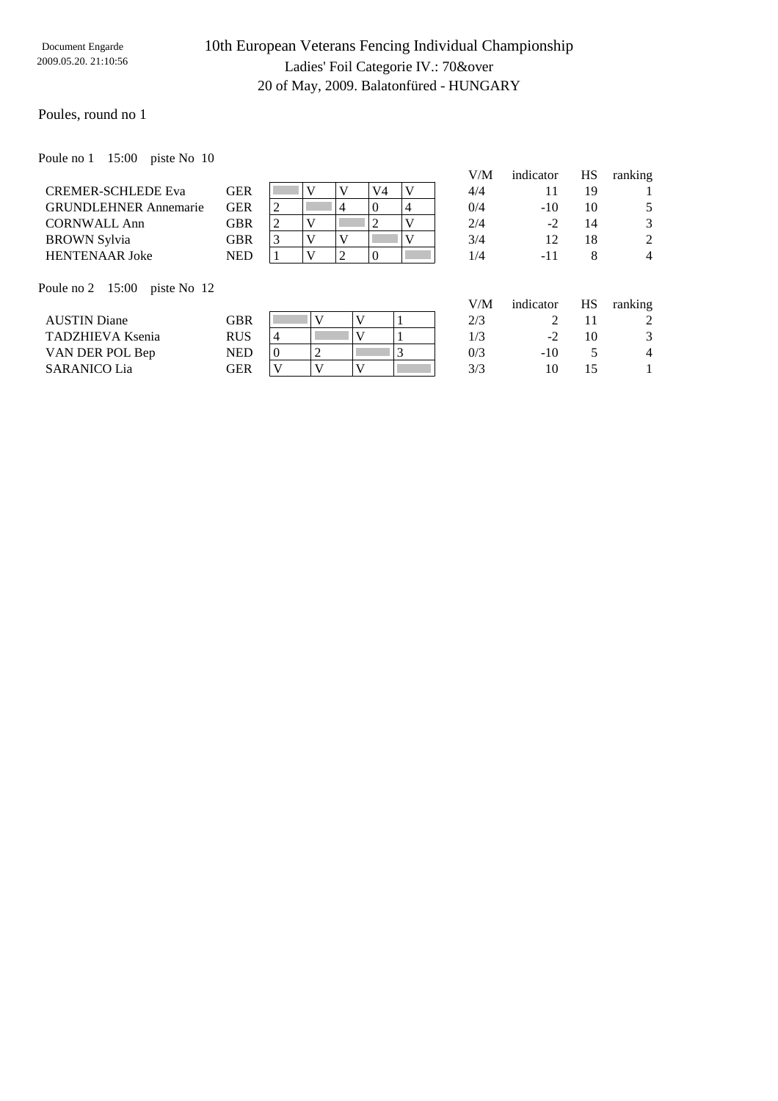## 10th European Veterans Fencing Individual Championship Ladies' Foil Categorie IV.: 70&over 20 of May, 2009. Balatonfüred - HUNGARY

### Poules, round no 1

Poule no 1 15:00 piste No 10

|                                 |            |          |   |   |          |   | V/M | indicator | HS | ranking        |
|---------------------------------|------------|----------|---|---|----------|---|-----|-----------|----|----------------|
| <b>CREMER-SCHLEDE Eva</b>       | <b>GER</b> |          |   |   | V4       | V | 4/4 | 11        | 19 |                |
| <b>GRUNDLEHNER Annemarie</b>    | <b>GER</b> | 2        |   | 4 | $\Omega$ | 4 | 0/4 | $-10^{-}$ | 10 | 5              |
| <b>CORNWALL Ann</b>             | <b>GBR</b> | 2        | V |   | 2        | V | 2/4 | $-2$      | 14 | 3              |
| <b>BROWN</b> Sylvia             | <b>GBR</b> | 3        |   |   |          | V | 3/4 | 12        | 18 | 2              |
| <b>HENTENAAR Joke</b>           | <b>NED</b> |          |   | 2 | $\Omega$ |   | 1/4 | $-11$     | 8  | $\overline{4}$ |
| Poule no 2 15:00<br>piste No 12 |            |          |   |   |          |   | V/M | indicator | HS | ranking        |
| <b>AUSTIN Diane</b>             | <b>GBR</b> |          |   | V |          |   | 2/3 | 2         | 11 | 2              |
| <b>TADZHIEVA Ksenia</b>         | <b>RUS</b> | 4        |   |   |          |   | 1/3 | $-2$      | 10 | 3              |
| VAN DER POL Bep                 | <b>NED</b> | $\Omega$ | 2 |   |          | 3 | 0/3 | $-10$     | 5  | $\overline{4}$ |
| <b>SARANICO Lia</b>             | <b>GER</b> | V        |   |   |          |   | 3/3 | 10        | 15 |                |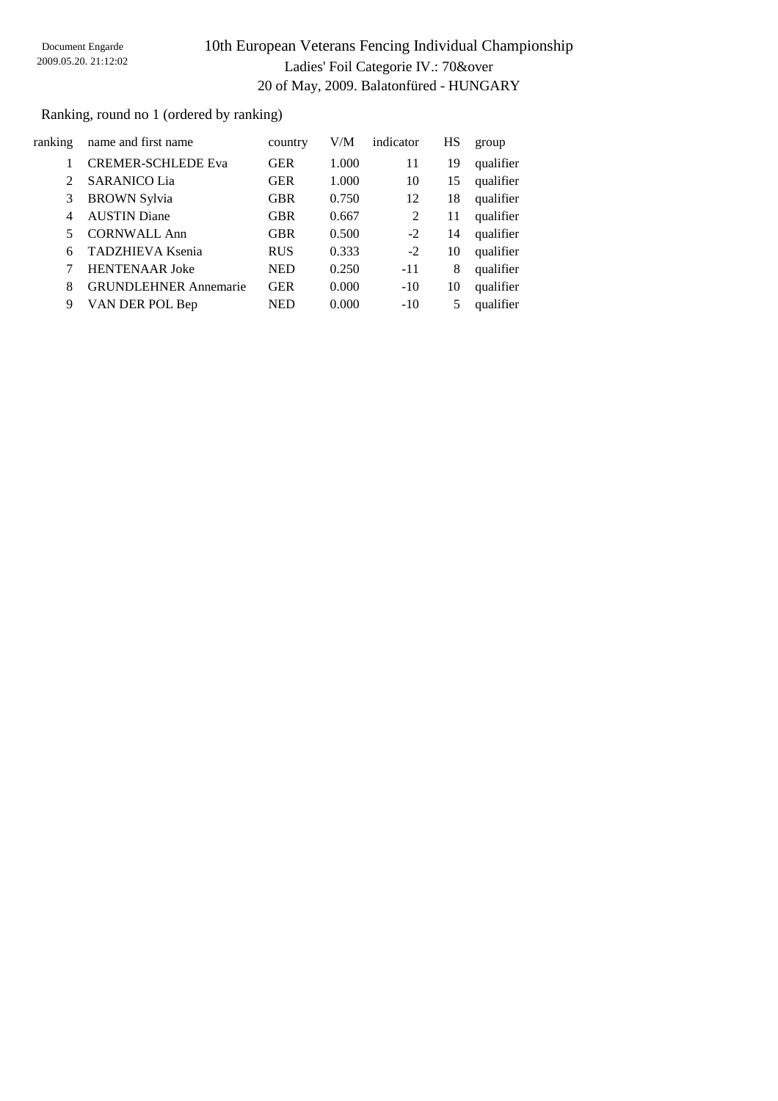# 10th European Veterans Fencing Individual Championship Ladies' Foil Categorie IV.: 70&over 20 of May, 2009. Balatonfüred - HUNGARY

Ranking, round no 1 (ordered by ranking)

| ranking        | name and first name          | country    | V/M   | indicator | HS | group     |
|----------------|------------------------------|------------|-------|-----------|----|-----------|
|                |                              |            |       |           |    |           |
|                | <b>CREMER-SCHLEDE Eva</b>    | <b>GER</b> | 1.000 | 11        | 19 | qualifier |
| $\mathfrak{D}$ | <b>SARANICO Lia</b>          | <b>GER</b> | 1.000 | 10        | 15 | qualifier |
| 3              | <b>BROWN</b> Sylvia          | <b>GBR</b> | 0.750 | 12        | 18 | qualifier |
| 4              | <b>AUSTIN</b> Diane          | <b>GBR</b> | 0.667 | 2         | 11 | qualifier |
| 5              | <b>CORNWALL Ann</b>          | <b>GBR</b> | 0.500 | $-2$      | 14 | qualifier |
| 6              | <b>TADZHIEVA Ksenia</b>      | <b>RUS</b> | 0.333 | $-2$      | 10 | qualifier |
|                | <b>HENTENAAR Joke</b>        | <b>NED</b> | 0.250 | $-11$     | 8  | qualifier |
| 8              | <b>GRUNDLEHNER Annemarie</b> | <b>GER</b> | 0.000 | $-10$     | 10 | qualifier |
| 9              | VAN DER POL Bep              | <b>NED</b> | 0.000 | $-10$     | 5  | qualifier |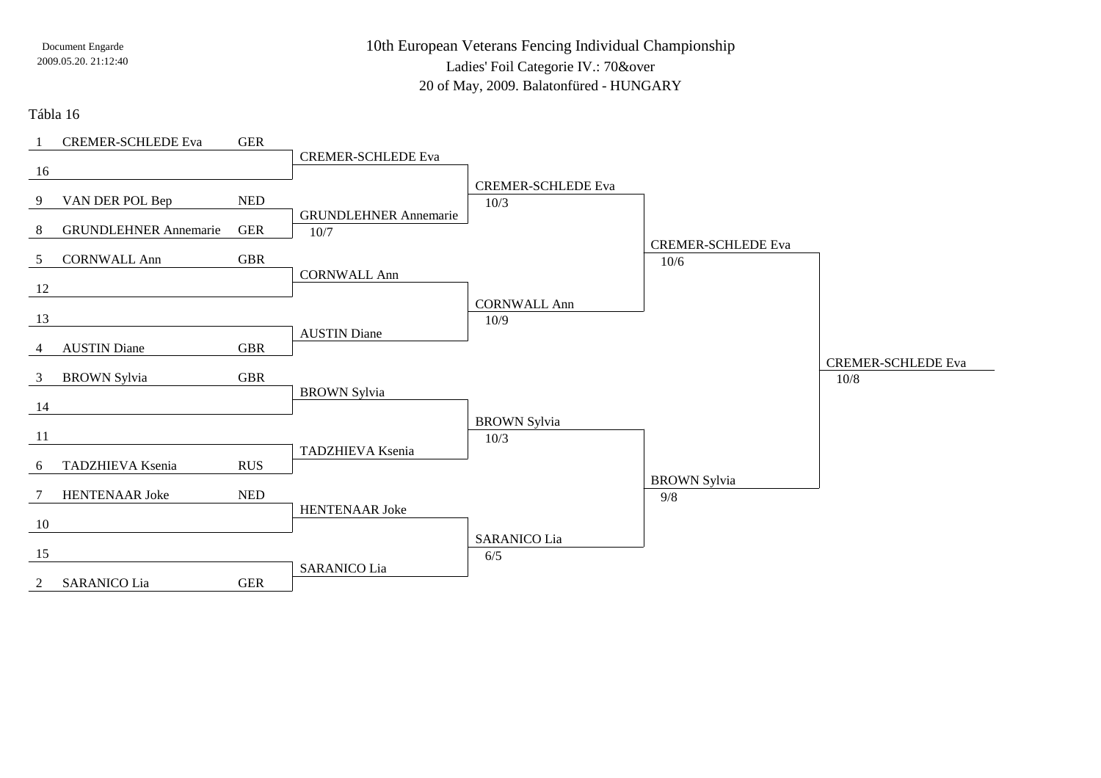10th European Veterans Fencing Individual ChampionshipLadies' Foil Categorie IV.: 70&over20 of May, 2009. Balatonfüred - HUNGARY

### Tábla 16

|                | <b>CREMER-SCHLEDE Eva</b>    | <b>GER</b> |                              |                           |                           |                           |
|----------------|------------------------------|------------|------------------------------|---------------------------|---------------------------|---------------------------|
|                |                              |            | <b>CREMER-SCHLEDE Eva</b>    |                           |                           |                           |
| 16             |                              |            |                              |                           |                           |                           |
|                |                              |            |                              | <b>CREMER-SCHLEDE Eva</b> |                           |                           |
| 9              | VAN DER POL Bep              | <b>NED</b> | <b>GRUNDLEHNER Annemarie</b> | 10/3                      |                           |                           |
| 8              | <b>GRUNDLEHNER Annemarie</b> | <b>GER</b> | 10/7                         |                           |                           |                           |
|                |                              |            |                              |                           | <b>CREMER-SCHLEDE Eva</b> |                           |
| 5 <sup>5</sup> | <b>CORNWALL Ann</b>          | <b>GBR</b> |                              |                           | 10/6                      |                           |
|                |                              |            | <b>CORNWALL Ann</b>          |                           |                           |                           |
| 12             |                              |            |                              | <b>CORNWALL Ann</b>       |                           |                           |
| 13             |                              |            |                              | 10/9                      |                           |                           |
|                |                              |            | <b>AUSTIN Diane</b>          |                           |                           |                           |
| 4              | <b>AUSTIN Diane</b>          | <b>GBR</b> |                              |                           |                           |                           |
|                |                              |            |                              |                           |                           | <b>CREMER-SCHLEDE Eva</b> |
| $\mathfrak{Z}$ | <b>BROWN Sylvia</b>          | <b>GBR</b> |                              |                           |                           | 10/8                      |
| 14             |                              |            | <b>BROWN</b> Sylvia          |                           |                           |                           |
|                |                              |            |                              | <b>BROWN</b> Sylvia       |                           |                           |
| 11             |                              |            |                              | 10/3                      |                           |                           |
|                |                              |            | TADZHIEVA Ksenia             |                           |                           |                           |
| 6              | TADZHIEVA Ksenia             | <b>RUS</b> |                              |                           |                           |                           |
|                |                              |            |                              |                           | <b>BROWN Sylvia</b>       |                           |
| 7              | HENTENAAR Joke               | <b>NED</b> | HENTENAAR Joke               |                           | 9/8                       |                           |
| 10             |                              |            |                              |                           |                           |                           |
|                |                              |            |                              | <b>SARANICO Lia</b>       |                           |                           |
| 15             |                              |            |                              | 6/5                       |                           |                           |
|                |                              |            | <b>SARANICO Lia</b>          |                           |                           |                           |
| 2              | <b>SARANICO Lia</b>          | <b>GER</b> |                              |                           |                           |                           |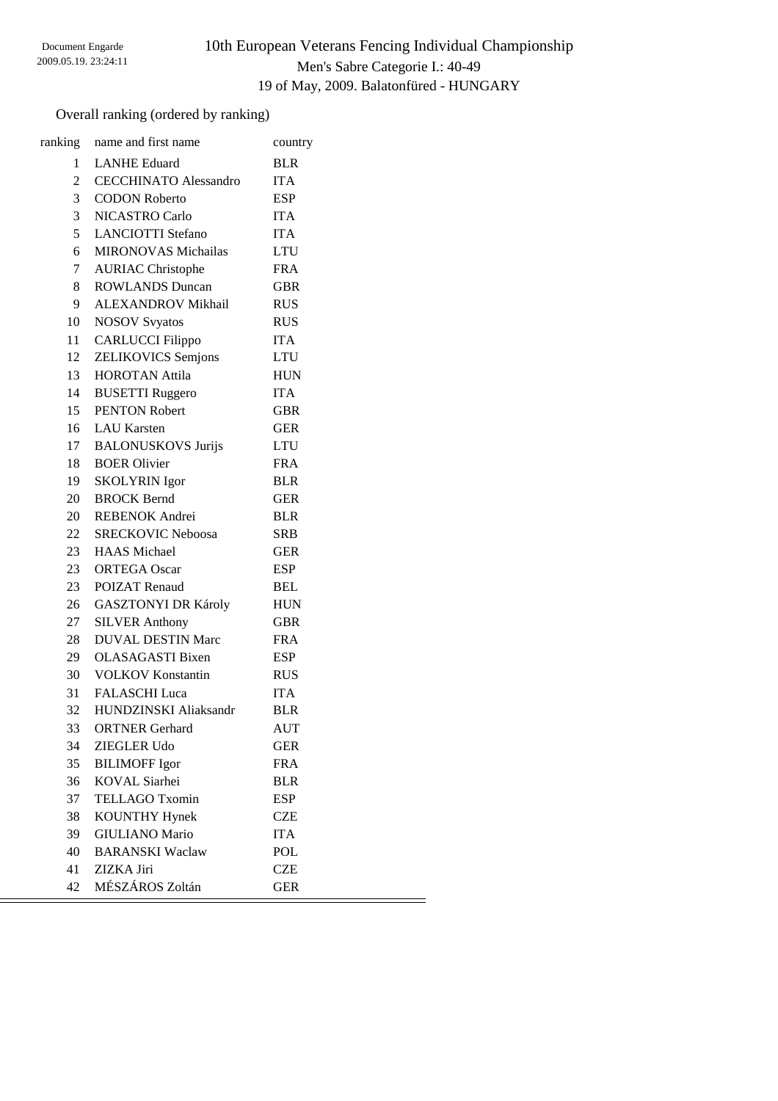# 10th European Veterans Fencing Individual Championship Men's Sabre Categorie I.: 40-49 19 of May, 2009. Balatonfüred - HUNGARY

 $=$ 

## Overall ranking (ordered by ranking)

|                 | ranking name and first name  | country    |
|-----------------|------------------------------|------------|
| 1               | <b>LANHE Eduard</b>          | <b>BLR</b> |
| $\overline{2}$  | <b>CECCHINATO Alessandro</b> | <b>ITA</b> |
| $\overline{3}$  | <b>CODON Roberto</b>         | <b>ESP</b> |
| 3               | NICASTRO Carlo               | <b>ITA</b> |
| 5               | <b>LANCIOTTI</b> Stefano     | <b>ITA</b> |
| 6               | <b>MIRONOVAS Michailas</b>   | <b>LTU</b> |
| $7\overline{ }$ | <b>AURIAC Christophe</b>     | <b>FRA</b> |
| 8               | <b>ROWLANDS Duncan</b>       | <b>GBR</b> |
| 9               | ALEXANDROV Mikhail           | <b>RUS</b> |
| 10              | <b>NOSOV Svyatos</b>         | <b>RUS</b> |
| 11              | <b>CARLUCCI</b> Filippo      | <b>ITA</b> |
| 12              | <b>ZELIKOVICS</b> Semjons    | <b>LTU</b> |
|                 | 13 HOROTAN Attila            | <b>HUN</b> |
| 14              | <b>BUSETTI Ruggero</b>       | <b>ITA</b> |
| 15              | <b>PENTON Robert</b>         | <b>GBR</b> |
|                 | 16 LAU Karsten               | <b>GER</b> |
|                 | 17 BALONUSKOVS Jurijs        | <b>LTU</b> |
|                 | 18 BOER Olivier              | <b>FRA</b> |
| 19              | <b>SKOLYRIN</b> Igor         | <b>BLR</b> |
| 20              | <b>BROCK Bernd</b>           | <b>GER</b> |
|                 | 20 REBENOK Andrei            | <b>BLR</b> |
|                 | 22 SRECKOVIC Neboosa         | <b>SRB</b> |
| 23              | <b>HAAS</b> Michael          | <b>GER</b> |
| 23              | <b>ORTEGA Oscar</b>          | <b>ESP</b> |
| 23              | <b>POIZAT Renaud</b>         | <b>BEL</b> |
| 26              | <b>GASZTONYI DR Károly</b>   | <b>HUN</b> |
| 27              | <b>SILVER Anthony</b>        | <b>GBR</b> |
| 28              | <b>DUVAL DESTIN Marc</b>     | <b>FRA</b> |
| 29              | <b>OLASAGASTI Bixen</b>      | <b>ESP</b> |
| 30              | <b>VOLKOV Konstantin</b>     | <b>RUS</b> |
| 31              | <b>FALASCHI</b> Luca         | <b>ITA</b> |
| 32              | HUNDZINSKI Aliaksandr        | <b>BLR</b> |
| 33              | <b>ORTNER</b> Gerhard        | AUT        |
| 34              | <b>ZIEGLER Udo</b>           | GER        |
| 35              | <b>BILIMOFF Igor</b>         | <b>FRA</b> |
| 36              | <b>KOVAL</b> Siarhei         | <b>BLR</b> |
| 37              | <b>TELLAGO Txomin</b>        | ESP        |
| 38              | <b>KOUNTHY Hynek</b>         | <b>CZE</b> |
| 39              | <b>GIULIANO</b> Mario        | <b>ITA</b> |
| 40              | <b>BARANSKI</b> Waclaw       | POL        |
| 41              | ZIZKA Jiri                   | <b>CZE</b> |
| 42              | MÉSZÁROS Zoltán              | <b>GER</b> |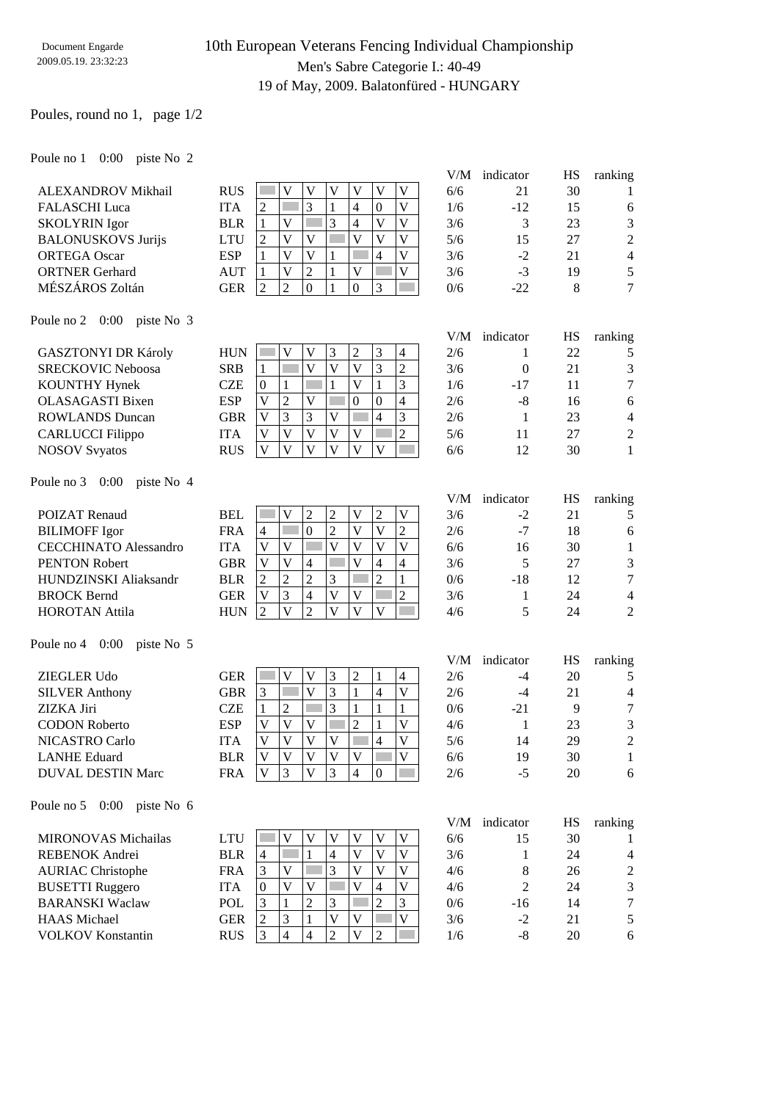## 10th European Veterans Fencing Individual Championship Men's Sabre Categorie I.: 40-49 19 of May, 2009. Balatonfüred - HUNGARY

V/M indicator HS ranking

V/M indicator HS ranking

### Poules, round no 1, page 1/2

### Poule no 1 0:00 piste No 2

|                           |            |                |   |              |          |          |   | V/M | indicator | <b>HS</b> | ranking |
|---------------------------|------------|----------------|---|--------------|----------|----------|---|-----|-----------|-----------|---------|
| <b>ALEXANDROV Mikhail</b> | <b>RUS</b> |                |   | $\mathbf{V}$ |          |          | V | 6/6 | 21        | 30        |         |
| <b>FALASCHI</b> Luca      | ITA        | 2              |   | J.           | 4        | $\Omega$ | V | 1/6 | $-12$     | 15        | 6       |
| <b>SKOLYRIN</b> Igor      | <b>BLR</b> |                |   |              | 4        |          | V | 3/6 |           | 23        | 3       |
| <b>BALONUSKOVS Jurijs</b> | LTU        | 2              |   | V            |          |          | V | 5/6 | 15        | 27        | 2       |
| <b>ORTEGA Oscar</b>       | <b>ESP</b> |                |   | V            |          | 4        | V | 3/6 | $-2$      | 21        | 4       |
| <b>ORTNER</b> Gerhard     | AUT        |                |   | ↑            | V        |          |   | 3/6 | $-3$      | 19        |         |
| MÉSZÁROS Zoltán           | <b>GER</b> | $\overline{2}$ | C | $\Omega$     | $\theta$ | 3        |   | 0/6 | $-22$     | 8         | ⇁       |
|                           |            |                |   |              |          |          |   |     |           |           |         |

### Poule no 2 0:00 piste No 3

| <b>GASZTONYI DR Károly</b> | <b>HUN</b> |   |   |  | 2 |          | 4              | 2/6 |       | 22 |                |
|----------------------------|------------|---|---|--|---|----------|----------------|-----|-------|----|----------------|
| <b>SRECKOVIC Neboosa</b>   | <b>SRB</b> |   |   |  | V |          | ↑<br>∠         | 3/6 |       | 21 | 3              |
| KOUNTHY Hynek              | CZE        |   |   |  | V |          | 3              | 1/6 | $-17$ |    | $\mathcal{I}$  |
| <b>OLASAGASTI Bixen</b>    | <b>ESP</b> | V |   |  | 0 | $\Omega$ | $\overline{4}$ | 2/6 | -8    | 16 | 6              |
| <b>ROWLANDS</b> Duncan     | GBR        | V | 3 |  |   |          | 3              | 2/6 |       | 23 | $\overline{4}$ |
| <b>CARLUCCI</b> Filippo    | <b>ITA</b> |   |   |  | V |          | ↑              | 5/6 |       | 27 | $\mathfrak{D}$ |
| <b>NOSOV Syyatos</b>       | <b>RUS</b> |   |   |  | V |          |                | 6/6 |       | 30 |                |
|                            |            |   |   |  |   |          |                |     |       |    |                |

### Poule no 3 0:00 piste No 4

| <b>POIZAT Renaud</b>         | <b>BEL</b> |                |   |          | ∸  |    |   |        | 3/6 | $-2$ | 21 |                |
|------------------------------|------------|----------------|---|----------|----|----|---|--------|-----|------|----|----------------|
| <b>BILIMOFF Igor</b>         | <b>FRA</b> | $\overline{4}$ |   | $\theta$ | ∼  | V) |   | ∍<br>∠ | 2/6 | $-7$ | 18 | 6              |
| <b>CECCHINATO Alessandro</b> | <b>ITA</b> |                |   |          | V  | V  |   |        | 6/6 | 16   | 30 |                |
| <b>PENTON Robert</b>         | GBR        |                |   |          |    |    | 4 | 4      | 3/6 |      | 27 | 3              |
| HUNDZINSKI Aliaksandr        | <b>BLR</b> |                |   |          |    |    |   |        | 0/6 | -18  | 12 | 7              |
| <b>BROCK Bernd</b>           | GER        |                | 3 |          | V) | V  |   | ∍      | 3/6 |      | 24 | 4              |
| <b>HOROTAN Attila</b>        | HUN        |                |   |          | V) |    |   |        | 4/6 |      | 24 | $\overline{2}$ |
|                              |            |                |   |          |    |    |   |        |     |      |    |                |

### Poule no 4 0:00 piste No 5

|                          |            |   |   |    |   |   |          |              | V/M | indicator | HS | ranking        |
|--------------------------|------------|---|---|----|---|---|----------|--------------|-----|-----------|----|----------------|
| <b>ZIEGLER Udo</b>       | GER        |   |   | V) |   | 2 |          | 4            | 2/6 | -4        | 20 |                |
| <b>SILVER Anthony</b>    | <b>GBR</b> |   |   | V  |   |   | 4        | $\mathbf{V}$ | 2/6 | -4        | 21 | 4              |
| ZIZKA Jiri               | CZE        |   |   |    | 3 |   |          |              | 0/6 | $-21$     | 9  | $\tau$         |
| <b>CODON Roberto</b>     | <b>ESP</b> | V |   | V  |   | 2 |          | V            | 4/6 |           | 23 | 3              |
| <b>NICASTRO Carlo</b>    | <b>ITA</b> | V |   | V) |   |   | 4        | V            | 5/6 | 14        | 29 | $\overline{2}$ |
| <b>LANHE Eduard</b>      | <b>BLR</b> | V |   | V  | V | V |          | V            | 6/6 | 19        | 30 |                |
| <b>DUVAL DESTIN Marc</b> | <b>FRA</b> | v | 3 | V  |   | 4 | $\Omega$ |              | 2/6 | -5        | 20 | 6              |
|                          |            |   |   |    |   |   |          |              |     |           |    |                |

#### Poule no 5 0:00 piste No 6

|                            |            |          |   |   |   |   |   | V/M | indicator | HS | ranking        |
|----------------------------|------------|----------|---|---|---|---|---|-----|-----------|----|----------------|
| <b>MIRONOVAS Michailas</b> | LTU        |          | v |   | V |   | V | 6/6 | 15        | 30 |                |
| <b>REBENOK Andrei</b>      | <b>BLR</b> | 4        |   | 4 | V | v | V | 3/6 |           | 24 | $\overline{4}$ |
| <b>AURIAC Christophe</b>   | <b>FRA</b> | 3        |   | 3 | V |   | V | 4/6 | 8         | 26 | 2              |
| <b>BUSETTI Ruggero</b>     | ITA        | $\Omega$ | V |   | V |   | V | 4/6 |           | 24 | 3              |
| <b>BARANSKI</b> Waclaw     | <b>POL</b> |          | 2 | 3 |   |   | 3 | 0/6 | -16       | 14 |                |
| <b>HAAS</b> Michael        | <b>GER</b> | ∍        |   |   | V |   | V | 3/6 | $-2$      | 21 | 5              |
| <b>VOLKOV Konstantin</b>   | <b>RUS</b> |          | 4 | ◠ | V |   |   | 1/6 | -8        | 20 | 6              |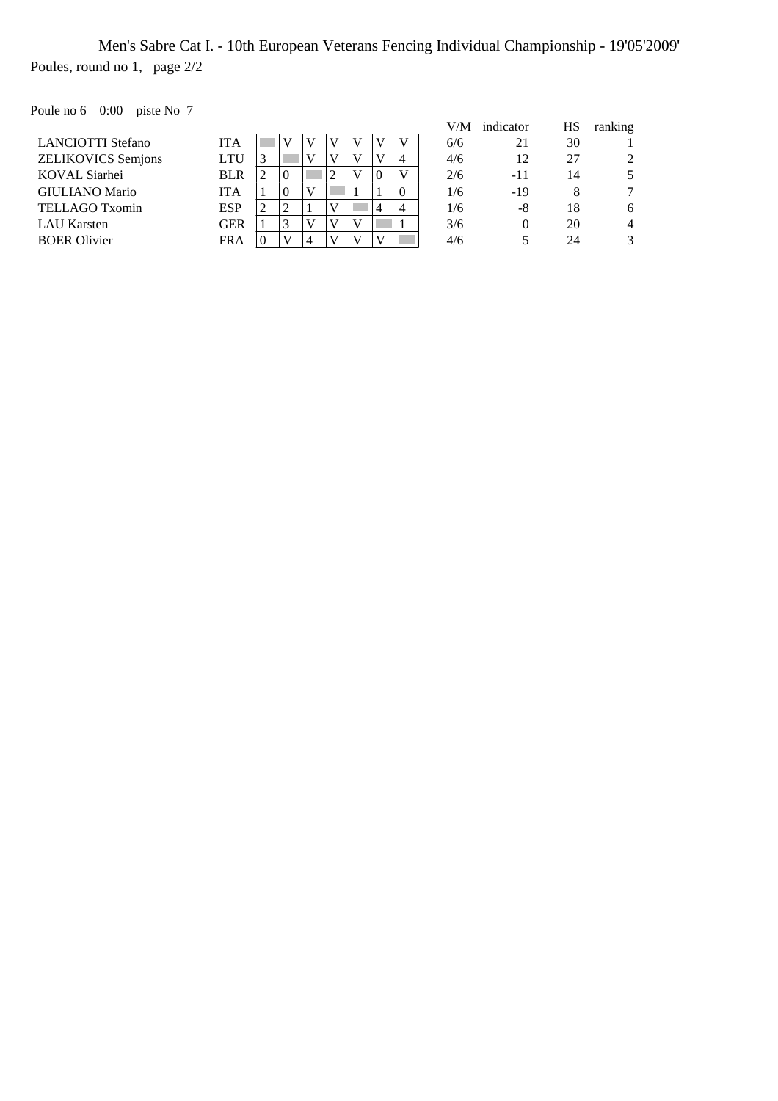Men's Sabre Cat I. - 10th European Veterans Fencing Individual Championship - 19'05'2009' Poules, round no 1, page 2/2

Poule no 6 0:00 piste No 7

| 5.41                      |            |          |          |   |    |   |          |          |      |           |    |         |
|---------------------------|------------|----------|----------|---|----|---|----------|----------|------|-----------|----|---------|
|                           |            |          |          |   |    |   |          |          | V/M- | indicator | HS | ranking |
| <b>LANCIOTTI Stefano</b>  | <b>ITA</b> |          |          |   |    |   |          | v        | 6/6  | 21        | 30 |         |
| <b>ZELIKOVICS Semjons</b> | <b>LTU</b> | 3        |          |   |    | V |          | 4        | 4/6  | 12        | 27 | 2       |
| KOVAL Siarhei             | <b>BLR</b> | 2        | $\theta$ |   |    | V | $\Omega$ | v        | 2/6  | -11       | 14 |         |
| <b>GIULIANO Mario</b>     | <b>ITA</b> |          | $\theta$ | V |    |   |          | $\Omega$ | 1/6  | -19       | 8  |         |
| TELLAGO Txomin            | <b>ESP</b> | 2        |          |   | V) |   | 4        | 4        | 1/6  | -8        | 18 | 6       |
| LAU Karsten               | <b>GER</b> |          |          |   |    | V |          |          | 3/6  | $\theta$  | 20 | 4       |
| <b>BOER Olivier</b>       | <b>FRA</b> | $\Omega$ |          |   |    |   |          |          | 4/6  |           | 24 |         |
|                           |            |          |          |   |    |   |          |          |      |           |    |         |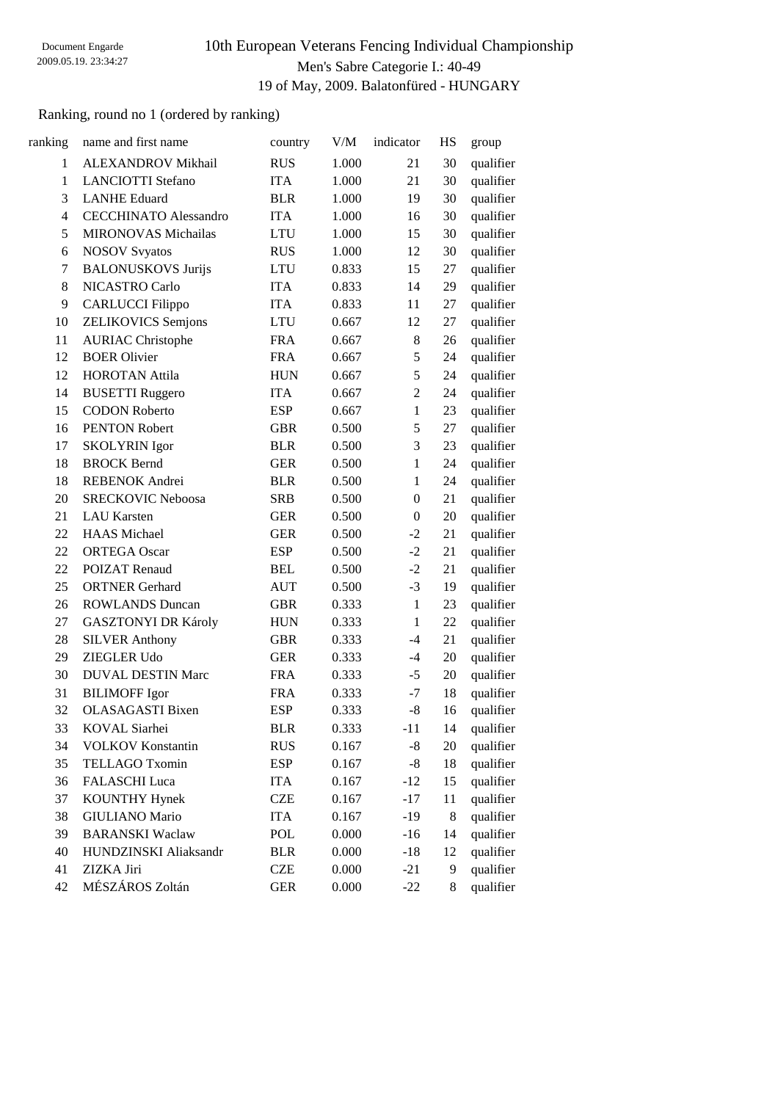# 10th European Veterans Fencing Individual Championship Men's Sabre Categorie I.: 40-49 19 of May, 2009. Balatonfüred - HUNGARY

## Ranking, round no 1 (ordered by ranking)

| ranking      | name and first name          | country    | V/M   | indicator        | HS | group     |
|--------------|------------------------------|------------|-------|------------------|----|-----------|
| $\mathbf{1}$ | ALEXANDROV Mikhail           | <b>RUS</b> | 1.000 | 21               | 30 | qualifier |
| $\mathbf{1}$ | <b>LANCIOTTI Stefano</b>     | <b>ITA</b> | 1.000 | 21               | 30 | qualifier |
| 3            | <b>LANHE Eduard</b>          | <b>BLR</b> | 1.000 | 19               | 30 | qualifier |
| 4            | <b>CECCHINATO Alessandro</b> | <b>ITA</b> | 1.000 | 16               | 30 | qualifier |
| 5            | <b>MIRONOVAS Michailas</b>   | <b>LTU</b> | 1.000 | 15               | 30 | qualifier |
| 6            | <b>NOSOV Svyatos</b>         | <b>RUS</b> | 1.000 | 12               | 30 | qualifier |
| 7            | <b>BALONUSKOVS Jurijs</b>    | <b>LTU</b> | 0.833 | 15               | 27 | qualifier |
| 8            | NICASTRO Carlo               | <b>ITA</b> | 0.833 | 14               | 29 | qualifier |
| 9            | <b>CARLUCCI Filippo</b>      | <b>ITA</b> | 0.833 | 11               | 27 | qualifier |
| 10           | <b>ZELIKOVICS</b> Semjons    | <b>LTU</b> | 0.667 | 12               | 27 | qualifier |
| 11           | <b>AURIAC Christophe</b>     | <b>FRA</b> | 0.667 | 8                | 26 | qualifier |
| 12           | <b>BOER Olivier</b>          | <b>FRA</b> | 0.667 | 5                | 24 | qualifier |
| 12           | <b>HOROTAN Attila</b>        | <b>HUN</b> | 0.667 | 5                | 24 | qualifier |
| 14           | <b>BUSETTI Ruggero</b>       | <b>ITA</b> | 0.667 | $\overline{2}$   | 24 | qualifier |
| 15           | <b>CODON Roberto</b>         | <b>ESP</b> | 0.667 | $\mathbf{1}$     | 23 | qualifier |
| 16           | <b>PENTON Robert</b>         | <b>GBR</b> | 0.500 | 5                | 27 | qualifier |
| 17           | <b>SKOLYRIN</b> Igor         | <b>BLR</b> | 0.500 | 3                | 23 | qualifier |
| 18           | <b>BROCK Bernd</b>           | <b>GER</b> | 0.500 | $\mathbf{1}$     | 24 | qualifier |
| 18           | REBENOK Andrei               | <b>BLR</b> | 0.500 | $\mathbf{1}$     | 24 | qualifier |
| 20           | <b>SRECKOVIC Neboosa</b>     | <b>SRB</b> | 0.500 | $\boldsymbol{0}$ | 21 | qualifier |
| 21           | <b>LAU</b> Karsten           | <b>GER</b> | 0.500 | $\boldsymbol{0}$ | 20 | qualifier |
| 22           | <b>HAAS</b> Michael          | <b>GER</b> | 0.500 | $-2$             | 21 | qualifier |
| 22           | <b>ORTEGA Oscar</b>          | <b>ESP</b> | 0.500 | $-2$             | 21 | qualifier |
| 22           | <b>POIZAT Renaud</b>         | <b>BEL</b> | 0.500 | $-2$             | 21 | qualifier |
| 25           | <b>ORTNER Gerhard</b>        | <b>AUT</b> | 0.500 | $-3$             | 19 | qualifier |
| 26           | <b>ROWLANDS Duncan</b>       | <b>GBR</b> | 0.333 | $\mathbf{1}$     | 23 | qualifier |
| 27           | <b>GASZTONYI DR Károly</b>   | <b>HUN</b> | 0.333 | $\mathbf{1}$     | 22 | qualifier |
| 28           | <b>SILVER Anthony</b>        | <b>GBR</b> | 0.333 | $-4$             | 21 | qualifier |
| 29           | <b>ZIEGLER Udo</b>           | <b>GER</b> | 0.333 | $-4$             | 20 | qualifier |
| 30           | <b>DUVAL DESTIN Marc</b>     | <b>FRA</b> | 0.333 | $-5$             | 20 | qualifier |
| 31           | <b>BILIMOFF Igor</b>         | <b>FRA</b> | 0.333 | $-7$             | 18 | qualifier |
| 32           | <b>OLASAGASTI</b> Bixen      | <b>ESP</b> | 0.333 | $-8$             | 16 | qualifier |
| 33           | KOVAL Siarhei                | <b>BLR</b> | 0.333 | $-11$            | 14 | qualifier |
| 34           | <b>VOLKOV</b> Konstantin     | <b>RUS</b> | 0.167 | $-8$             | 20 | qualifier |
| 35           | <b>TELLAGO Txomin</b>        | <b>ESP</b> | 0.167 | $-8$             | 18 | qualifier |
| 36           | <b>FALASCHI</b> Luca         | <b>ITA</b> | 0.167 | $-12$            | 15 | qualifier |
| 37           | <b>KOUNTHY Hynek</b>         | <b>CZE</b> | 0.167 | $-17$            | 11 | qualifier |
| 38           | <b>GIULIANO</b> Mario        | <b>ITA</b> | 0.167 | $-19$            | 8  | qualifier |
| 39           | <b>BARANSKI</b> Waclaw       | <b>POL</b> | 0.000 | $-16$            | 14 | qualifier |
| 40           | HUNDZINSKI Aliaksandr        | <b>BLR</b> | 0.000 | $-18$            | 12 | qualifier |
| 41           | ZIZKA Jiri                   | <b>CZE</b> | 0.000 | $-21$            | 9  | qualifier |
| 42           | MÉSZÁROS Zoltán              | <b>GER</b> | 0.000 | $-22$            | 8  | qualifier |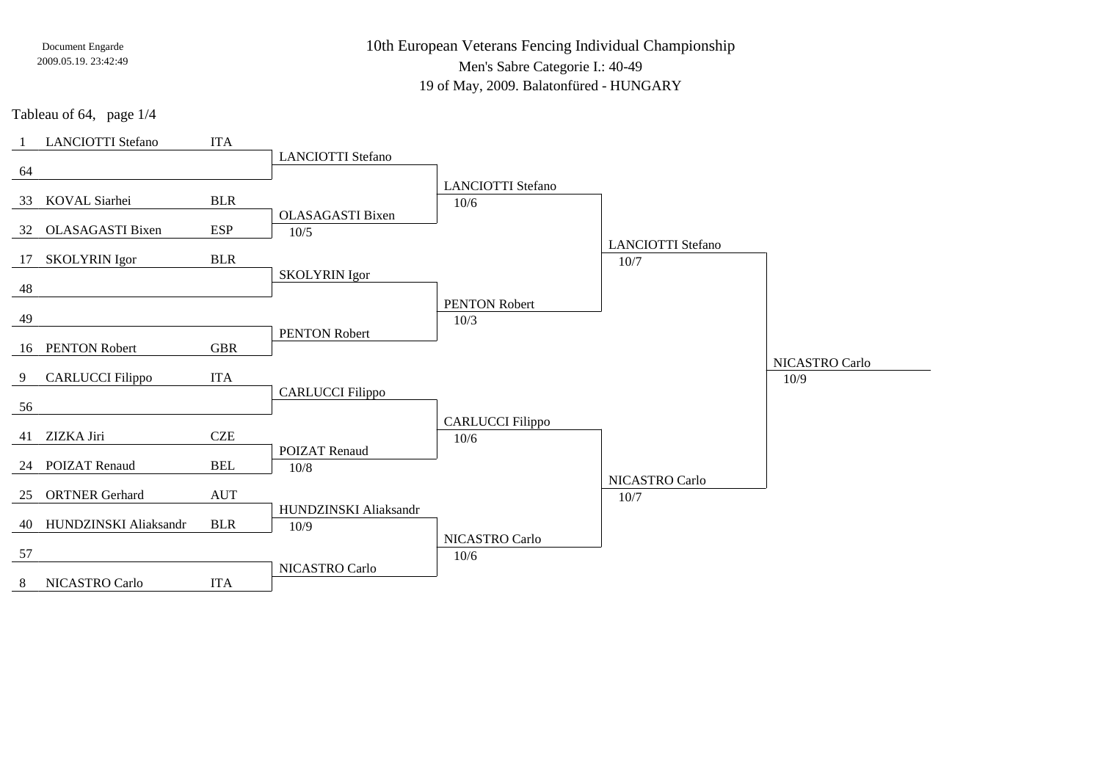10th European Veterans Fencing Individual Championship

Men's Sabre Categorie I.: 40-49

19 of May, 2009. Balatonfüred - HUNGARY

Tableau of 64, page 1/4

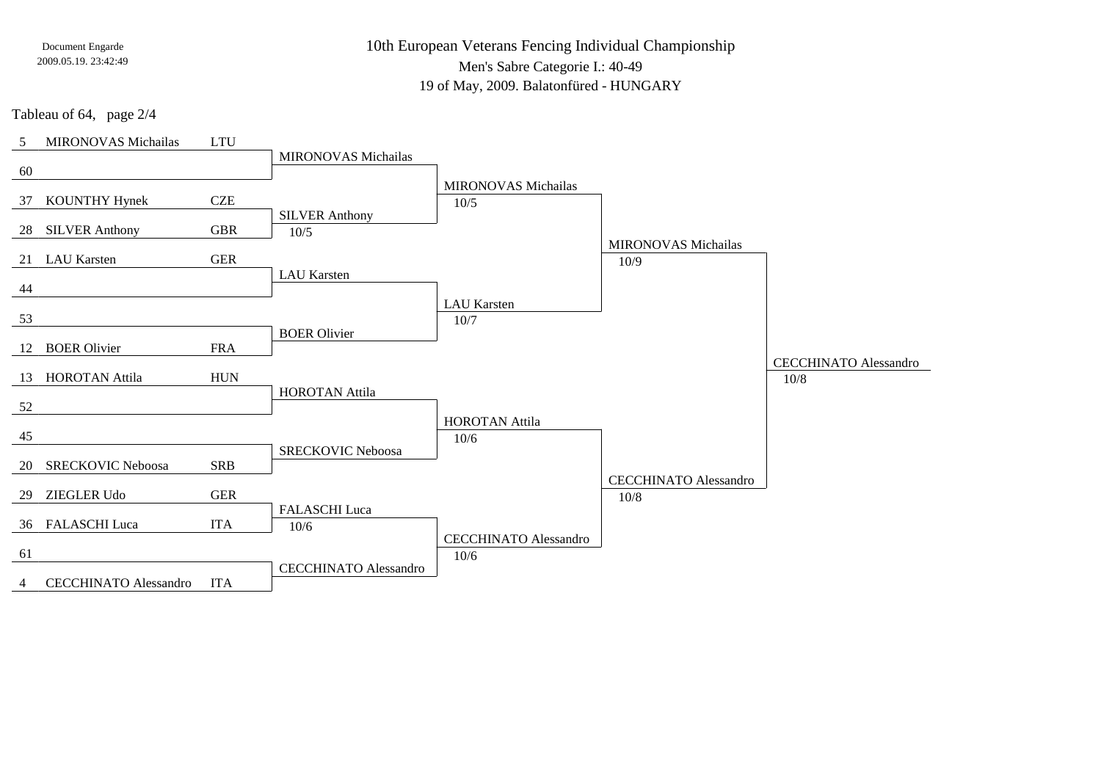10th European Veterans Fencing Individual ChampionshipMen's Sabre Categorie I.: 40-49

19 of May, 2009. Balatonfüred - HUNGARY

Tableau of 64, page 2/4

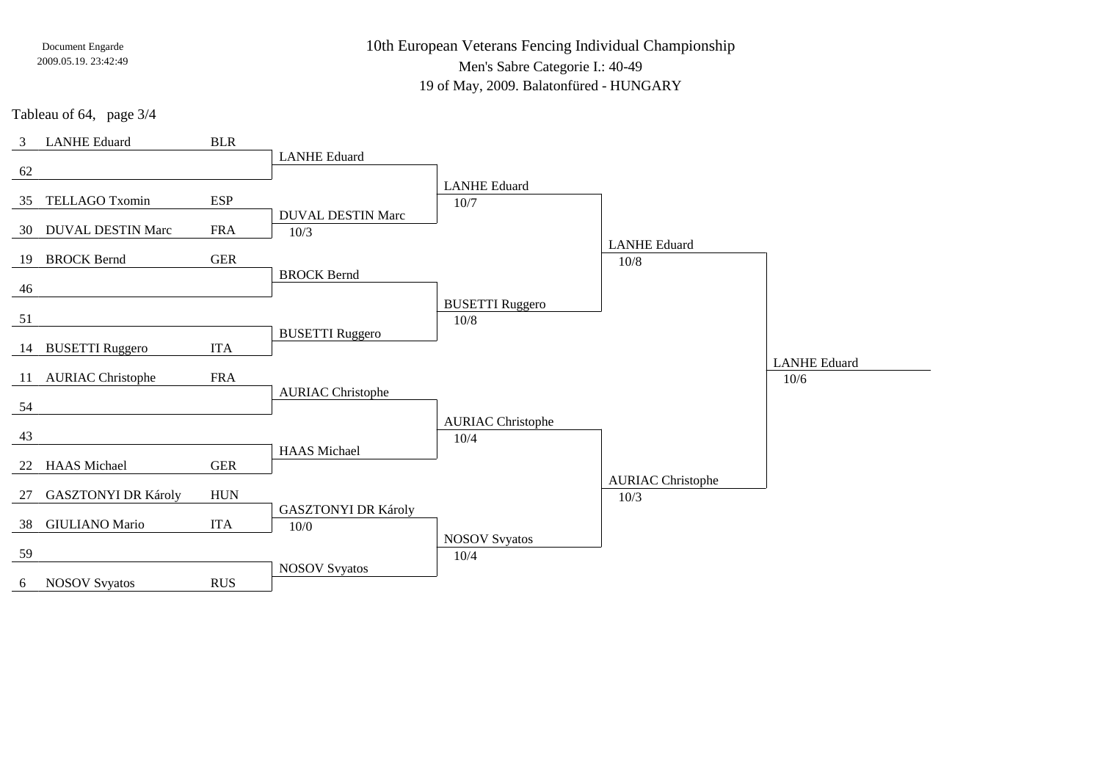10th European Veterans Fencing Individual Championship

Men's Sabre Categorie I.: 40-49

19 of May, 2009. Balatonfüred - HUNGARY

Tableau of 64, page 3/4

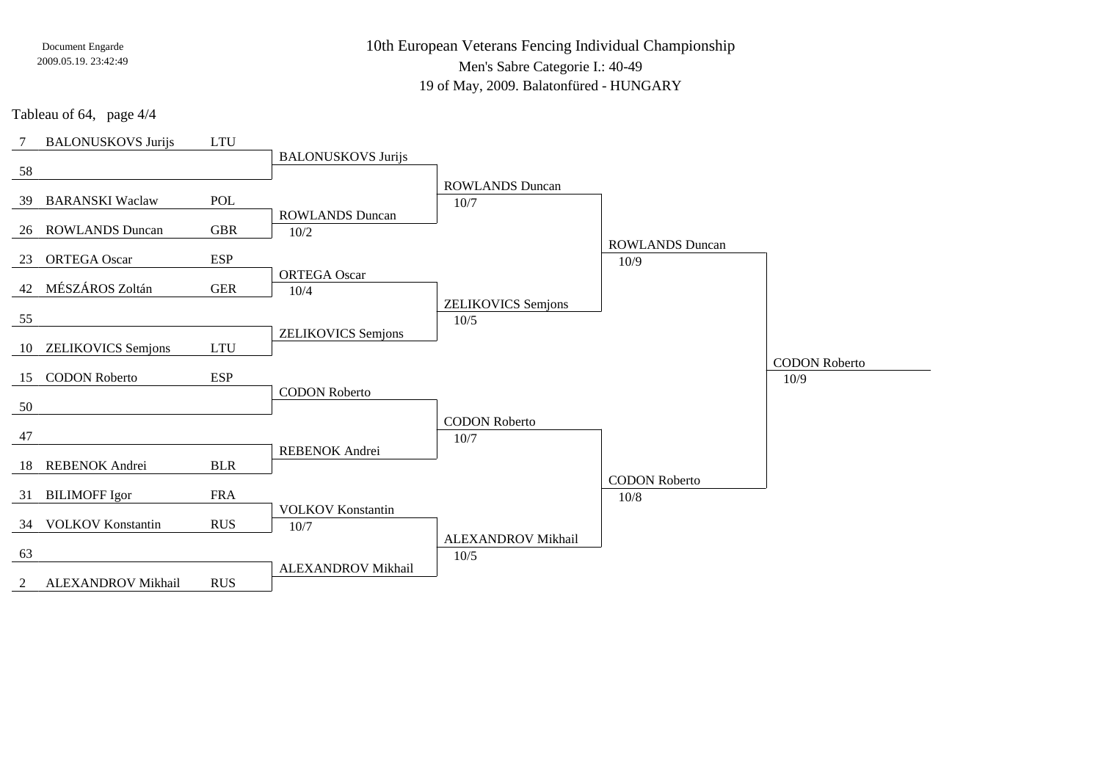10th European Veterans Fencing Individual Championship

Men's Sabre Categorie I.: 40-49

19 of May, 2009. Balatonfüred - HUNGARY

Tableau of 64, page 4/4

| 7   | <b>BALONUSKOVS Jurijs</b> | <b>LTU</b> |                           |                              |                        |                              |
|-----|---------------------------|------------|---------------------------|------------------------------|------------------------|------------------------------|
|     |                           |            | <b>BALONUSKOVS Jurijs</b> |                              |                        |                              |
| 58  |                           |            |                           | <b>ROWLANDS Duncan</b>       |                        |                              |
| 39  | <b>BARANSKI</b> Waclaw    | POL        |                           | 10/7                         |                        |                              |
|     |                           |            | <b>ROWLANDS</b> Duncan    |                              |                        |                              |
| 26  | <b>ROWLANDS Duncan</b>    | <b>GBR</b> | 10/2                      |                              | <b>ROWLANDS</b> Duncan |                              |
| 23  | <b>ORTEGA Oscar</b>       | <b>ESP</b> |                           |                              | 10/9                   |                              |
|     |                           |            | <b>ORTEGA Oscar</b>       |                              |                        |                              |
| 42  | MÉSZÁROS Zoltán           | <b>GER</b> | 10/4                      | <b>ZELIKOVICS</b> Semjons    |                        |                              |
| 55  |                           |            |                           | 10/5                         |                        |                              |
|     |                           |            | <b>ZELIKOVICS</b> Semjons |                              |                        |                              |
| 10  | <b>ZELIKOVICS</b> Semjons | <b>LTU</b> |                           |                              |                        |                              |
| 15  | <b>CODON Roberto</b>      | <b>ESP</b> |                           |                              |                        | <b>CODON Roberto</b><br>10/9 |
|     |                           |            | <b>CODON Roberto</b>      |                              |                        |                              |
| 50  |                           |            |                           |                              |                        |                              |
| 47  |                           |            |                           | <b>CODON Roberto</b><br>10/7 |                        |                              |
|     |                           |            | <b>REBENOK</b> Andrei     |                              |                        |                              |
| -18 | REBENOK Andrei            | <b>BLR</b> |                           |                              |                        |                              |
| 31  | <b>BILIMOFF Igor</b>      | <b>FRA</b> |                           |                              | <b>CODON Roberto</b>   |                              |
|     |                           |            | <b>VOLKOV</b> Konstantin  |                              | $10/8$                 |                              |
| 34  | <b>VOLKOV</b> Konstantin  | <b>RUS</b> | 10/7                      |                              |                        |                              |
| 63  |                           |            |                           | ALEXANDROV Mikhail           |                        |                              |
|     |                           |            | ALEXANDROV Mikhail        | 10/5                         |                        |                              |
| 2   | ALEXANDROV Mikhail        | <b>RUS</b> |                           |                              |                        |                              |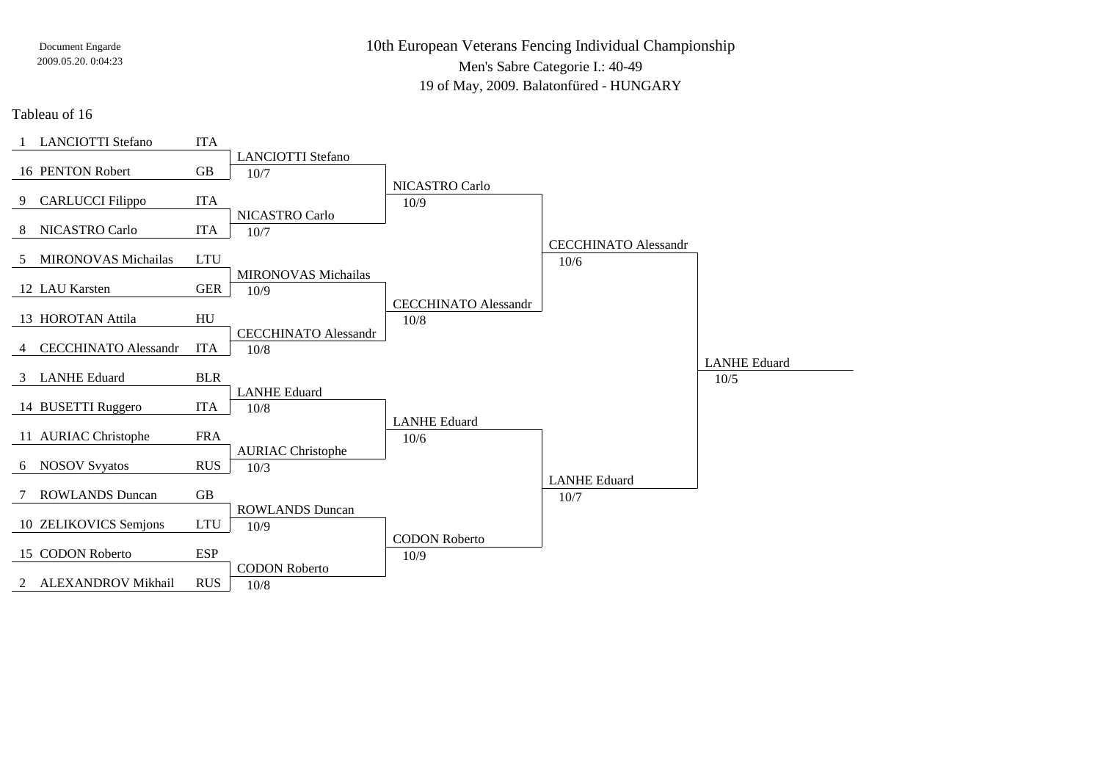10th European Veterans Fencing Individual ChampionshipMen's Sabre Categorie I.: 40-49

19 of May, 2009. Balatonfüred - HUNGARY

Tableau of 16

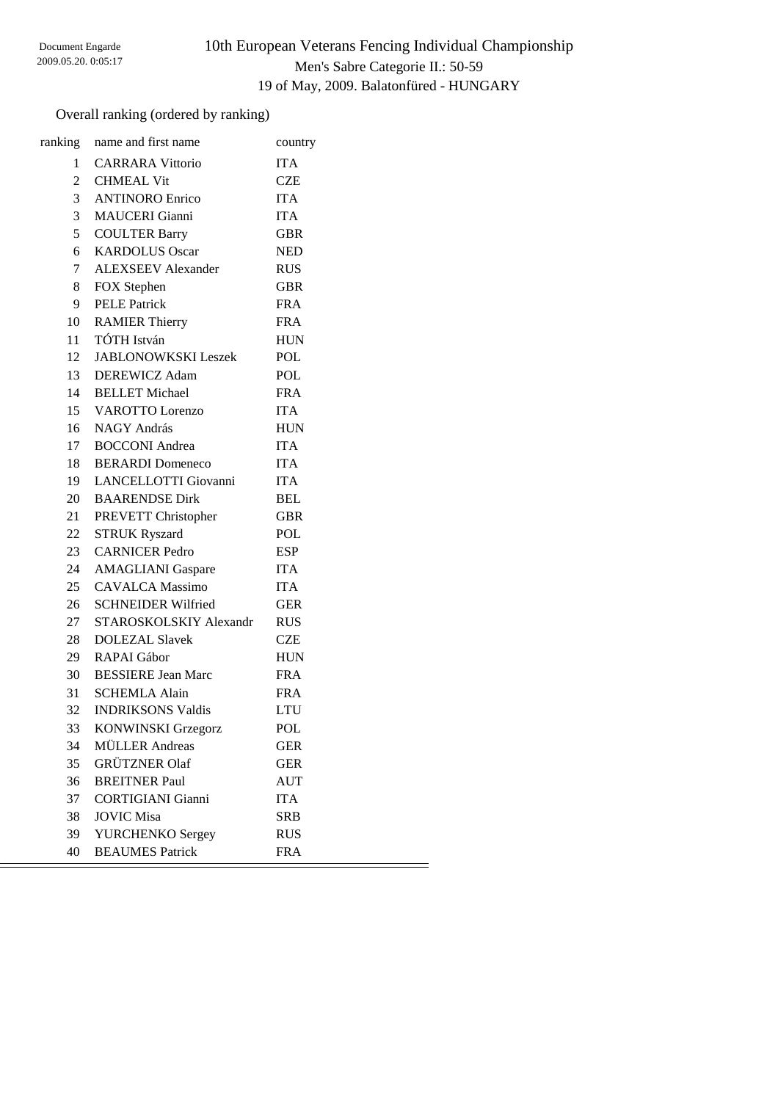# 10th European Veterans Fencing Individual Championship Men's Sabre Categorie II.: 50-59 19 of May, 2009. Balatonfüred - HUNGARY

## Overall ranking (ordered by ranking)

|                | ranking name and first name | country    |
|----------------|-----------------------------|------------|
|                | 1 CARRARA Vittorio          | <b>ITA</b> |
|                | 2 CHMEAL Vit                | <b>CZE</b> |
|                | 3 ANTINORO Enrico           | <b>ITA</b> |
|                | 3 MAUCERI Gianni            | <b>ITA</b> |
| 5 <sup>5</sup> | <b>COULTER Barry</b>        | <b>GBR</b> |
|                | 6 KARDOLUS Oscar            | <b>NED</b> |
|                | 7 ALEXSEEV Alexander        | <b>RUS</b> |
| 8              | FOX Stephen                 | <b>GBR</b> |
| 9              | <b>PELE Patrick</b>         | <b>FRA</b> |
|                | 10 RAMIER Thierry           | <b>FRA</b> |
|                | 11 TÓTH István              | <b>HUN</b> |
|                | 12 JABLONOWKSKI Leszek      | <b>POL</b> |
|                | 13 DEREWICZ Adam            | POL        |
|                | 14 BELLET Michael           | <b>FRA</b> |
|                | 15 VAROTTO Lorenzo          | <b>ITA</b> |
|                | 16 NAGY András              | <b>HUN</b> |
|                | 17 BOCCONI Andrea           | <b>ITA</b> |
|                | 18 BERARDI Domeneco         | <b>ITA</b> |
|                | 19 LANCELLOTTI Giovanni     | <b>ITA</b> |
|                | 20 BAARENDSE Dirk           | <b>BEL</b> |
|                | 21 PREVETT Christopher      | <b>GBR</b> |
| 22             | <b>STRUK Ryszard</b>        | POL        |
|                | 23 CARNICER Pedro           | <b>ESP</b> |
|                | 24 AMAGLIANI Gaspare        | <b>ITA</b> |
| 25             | <b>CAVALCA Massimo</b>      | <b>ITA</b> |
|                | 26 SCHNEIDER Wilfried       | <b>GER</b> |
|                | 27 STAROSKOLSKIY Alexandr   | <b>RUS</b> |
|                | 28 DOLEZAL Slavek           | <b>CZE</b> |
|                | 29 RAPAI Gábor              | <b>HUN</b> |
|                | 30 BESSIERE Jean Marc       | <b>FRA</b> |
|                | 31 SCHEMLA Alain            | <b>FRA</b> |
| 32             | <b>INDRIKSONS Valdis</b>    | <b>LTU</b> |
| 33             | <b>KONWINSKI Grzegorz</b>   | <b>POL</b> |
| 34             | <b>MÜLLER</b> Andreas       | <b>GER</b> |
| 35             | <b>GRÜTZNER Olaf</b>        | <b>GER</b> |
| 36             | <b>BREITNER Paul</b>        | <b>AUT</b> |
| 37             | <b>CORTIGIANI</b> Gianni    | <b>ITA</b> |
| 38             | <b>JOVIC Misa</b>           | <b>SRB</b> |
| 39             | YURCHENKO Sergey            | <b>RUS</b> |
| 40             | <b>BEAUMES</b> Patrick      | <b>FRA</b> |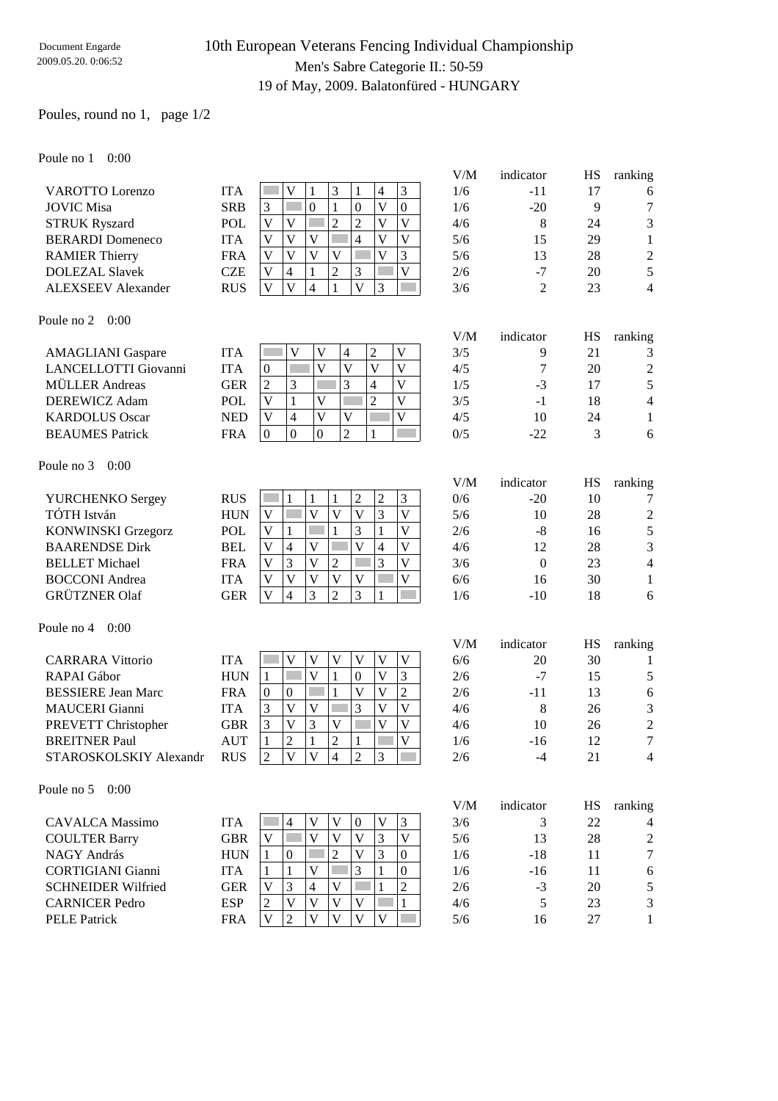## 10th European Veterans Fencing Individual Championship Men's Sabre Categorie II.: 50-59 19 of May, 2009. Balatonfüred - HUNGARY

### Poules, round no 1, page 1/2

Poule no 1 0:00

|                           |            |                                                        | V/M | indicator | HS | ranking |
|---------------------------|------------|--------------------------------------------------------|-----|-----------|----|---------|
| <b>VAROTTO</b> Lorenzo    | <b>ITA</b> | 3<br>3<br>V<br>1<br>$\overline{4}$                     | 1/6 | $-11$     | 17 | 6       |
| <b>JOVIC Misa</b>         | <b>SRB</b> | 3<br>$\boldsymbol{0}$<br>$\theta$<br>V<br>$\mathbf{0}$ | 1/6 | $-20$     | 9  | $\tau$  |
| <b>STRUK Ryszard</b>      | <b>POL</b> | V<br>V<br>V<br>$\overline{c}$<br>2<br>V                | 4/6 | 8         | 24 | 3       |
| <b>BERARDI</b> Domeneco   | <b>ITA</b> | V<br>V<br>V<br>V<br>V<br>4                             | 5/6 | 15        | 29 |         |
| <b>RAMIER Thierry</b>     | <b>FRA</b> | 3<br>V<br>V<br>V<br>V<br>V                             | 5/6 | 13        | 28 | 2       |
| <b>DOLEZAL Slavek</b>     | <b>CZE</b> | 3<br>V<br>V<br>2<br>4                                  | 2/6 | $-7$      | 20 | 5       |
| <b>ALEXSEEV</b> Alexander | <b>RUS</b> | V<br>$\mathbf{V}$<br>V<br>3<br>4                       | 3/6 | 2         | 23 | 4       |
| 0:00<br>Poule no 2        |            |                                                        | V/M | indicator | HS | ranking |
| <b>AMAGLIANI</b> Gaspare  | <b>ITA</b> | V<br>V<br>V<br>2<br>4                                  | 3/5 | 9         | 21 | 3       |
| LANCELLOTTI Giovanni      | <b>ITA</b> | V<br>V<br>$\Omega$<br>V<br>V                           | 4/5 | 7         | 20 | 2       |
| <b>MÜLLER</b> Andreas     | <b>GER</b> | 3<br>3<br>2<br>V<br>$\overline{4}$                     | 1/5 | $-3$      | 17 | 5       |
| DEREWICZ Adam             | <b>POL</b> | V<br>V<br>$\overline{c}$<br>V                          | 3/5 | $-1$      | 18 | 4       |
| <b>KARDOLUS Oscar</b>     | <b>NED</b> | V<br>V<br>V<br>V<br>$\overline{4}$                     | 4/5 | 10        | 24 | 1       |
| <b>BEAUMES</b> Patrick    | <b>FRA</b> | $\boldsymbol{0}$<br>$\mathbf{0}$<br>$\mathbf{0}$<br>2  | 0/5 | $-22$     | 3  | 6       |
| 0:00<br>Poule no 3        |            |                                                        |     |           |    |         |

V/M indicator HS ranking

V/M indicator HS ranking

|                           |            |   |              |   |   |   |     |       |    | ັ              |
|---------------------------|------------|---|--------------|---|---|---|-----|-------|----|----------------|
| YURCHENKO Sergey          | <b>RUS</b> |   |              |   | ∠ | 3 | 0/6 | $-20$ | 10 | $\mathcal{I}$  |
| TÓTH István               | HUN        |   |              |   |   |   | 5/6 | 10    | 28 | $\overline{2}$ |
| <b>KONWINSKI Grzegorz</b> | POL        |   |              |   |   |   | 2/6 | -8    | 16 | 5              |
| <b>BAARENDSE Dirk</b>     | <b>BEL</b> | 4 |              |   |   | V | 4/6 |       | 28 | 3              |
| <b>BELLET</b> Michael     | <b>FRA</b> | 3 | $\mathbf{V}$ |   |   | V | 3/6 |       | 23 | 4              |
| <b>BOCCONI</b> Andrea     | <b>ITA</b> | V |              | V |   |   | 6/6 | 16    | 30 |                |
| <b>GRÜTZNER Olaf</b>      | GER        | 4 |              |   |   |   | /6  | $-10$ | 18 | 6              |

#### Poule no 4 0:00

| <b>CARRARA Vittorio</b>   | <b>ITA</b> |        |    |   | V        |    | 6/6 | 20    | 30 |             |
|---------------------------|------------|--------|----|---|----------|----|-----|-------|----|-------------|
| RAPAI Gábor               | <b>HUN</b> |        |    |   | $\theta$ |    | 2/6 | $-7$  |    |             |
| <b>BESSIERE Jean Marc</b> | <b>FRA</b> | $\cup$ | 0  |   |          |    | 2/6 | -11   |    | 6           |
| <b>MAUCERI</b> Gianni     | ITA        |        | V) |   |          | V) | 4/6 |       | 26 |             |
| PREVETT Christopher       | GBR        |        | V  |   |          | V  | 4/6 | 10    | 26 | $2^{\circ}$ |
| <b>BREITNER Paul</b>      | AUT        |        |    | ∠ |          |    | 1/6 | $-16$ |    | ⇁           |
| STAROSKOLSKIY Alexandr    | <b>RUS</b> |        | V  |   |          |    | 2/6 | -4    |    | 4           |
|                           |            |        |    |   |          |    |     |       |    |             |

Poule no 5 0:00

|                           |            |   |          |   |   |          |   |          | V/M | indicator | НS | ranking |
|---------------------------|------------|---|----------|---|---|----------|---|----------|-----|-----------|----|---------|
| <b>CAVALCA</b> Massimo    | <b>ITA</b> |   | 4        |   |   | $\Omega$ |   |          | 3/6 |           | 22 | 4       |
| <b>COULTER Barry</b>      | <b>GBR</b> |   |          |   | V | V        |   | V        | 5/6 | 13        | 28 | 2       |
| NAGY András               | <b>HUN</b> |   | $\theta$ |   |   | V        | 3 | $\Omega$ | 1/6 | -18       |    | $\tau$  |
| <b>CORTIGIANI</b> Gianni  | <b>ITA</b> |   |          | V |   | 3        |   | $\Omega$ | 1/6 | $-16$     |    | 6       |
| <b>SCHNEIDER Wilfried</b> | <b>GER</b> | V | 3        | 4 | V |          |   | 2        | 2/6 | $-3$      | 20 |         |
| <b>CARNICER Pedro</b>     | <b>ESP</b> | ∍ | V        | V | V | V        |   |          | 4/6 |           | 23 | 3       |
| <b>PELE</b> Patrick       | <b>FRA</b> |   | っ        |   | V | V        |   |          | 5/6 | 16        | 27 |         |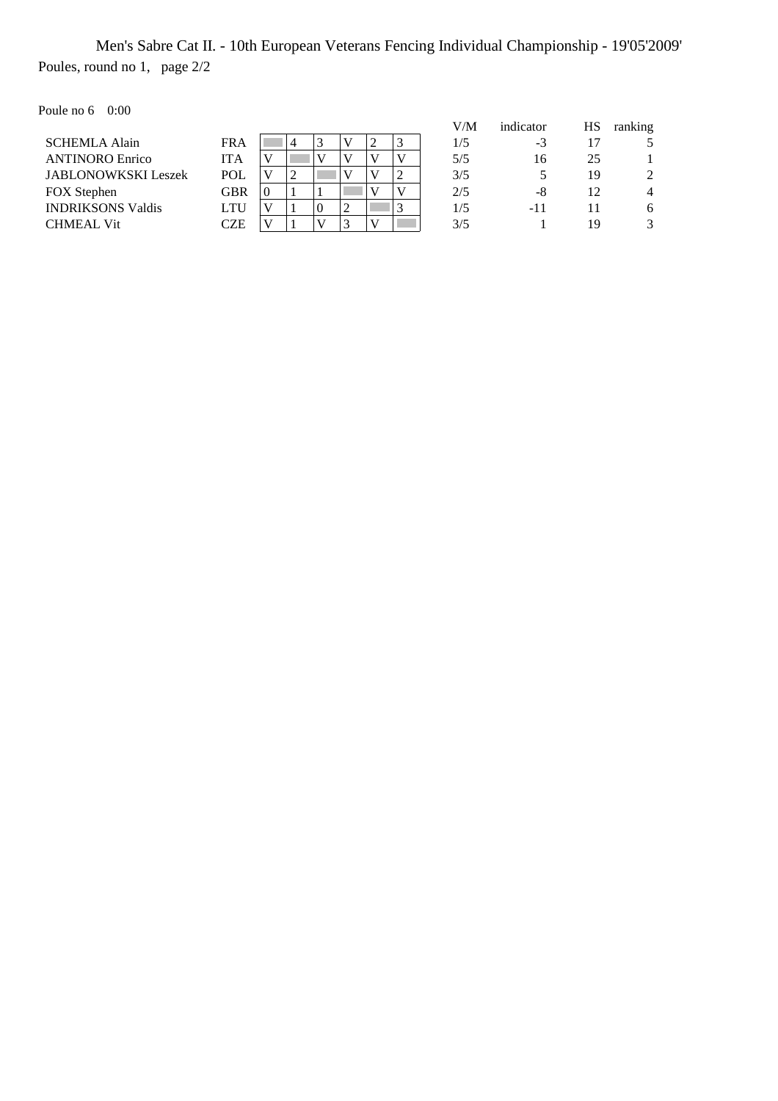Men's Sabre Cat II. - 10th European Veterans Fencing Individual Championship - 19'05'2009' Poules, round no 1, page 2/2

Poule no 6 0:00

| vuiv 110 v<br>,,,,,,,      |            |          |   |          |  |   |   |     |           |    |                |
|----------------------------|------------|----------|---|----------|--|---|---|-----|-----------|----|----------------|
|                            |            |          |   |          |  |   |   | V/M | indicator | НS | ranking        |
| <b>SCHEMLA Alain</b>       | <b>FRA</b> |          |   |          |  |   | 3 | 1/5 | -3        |    |                |
| <b>ANTINORO Enrico</b>     | ITA        |          |   |          |  |   |   | 5/5 | 16        | 25 |                |
| <b>JABLONOWKSKI Leszek</b> | <b>POL</b> |          | ∠ |          |  |   |   | 3/5 |           | 19 | 2              |
| <b>FOX</b> Stephen         | GBR        | $\theta$ |   |          |  |   |   | 2/5 | -8        | 12 | $\overline{4}$ |
| <b>INDRIKSONS Valdis</b>   | LTU        |          |   | $\Omega$ |  |   | 3 | 1/5 | -11       |    | 6              |
| <b>CHMEAL Vit</b>          | CZE        |          |   |          |  | V |   | 3/5 |           | 19 | 3              |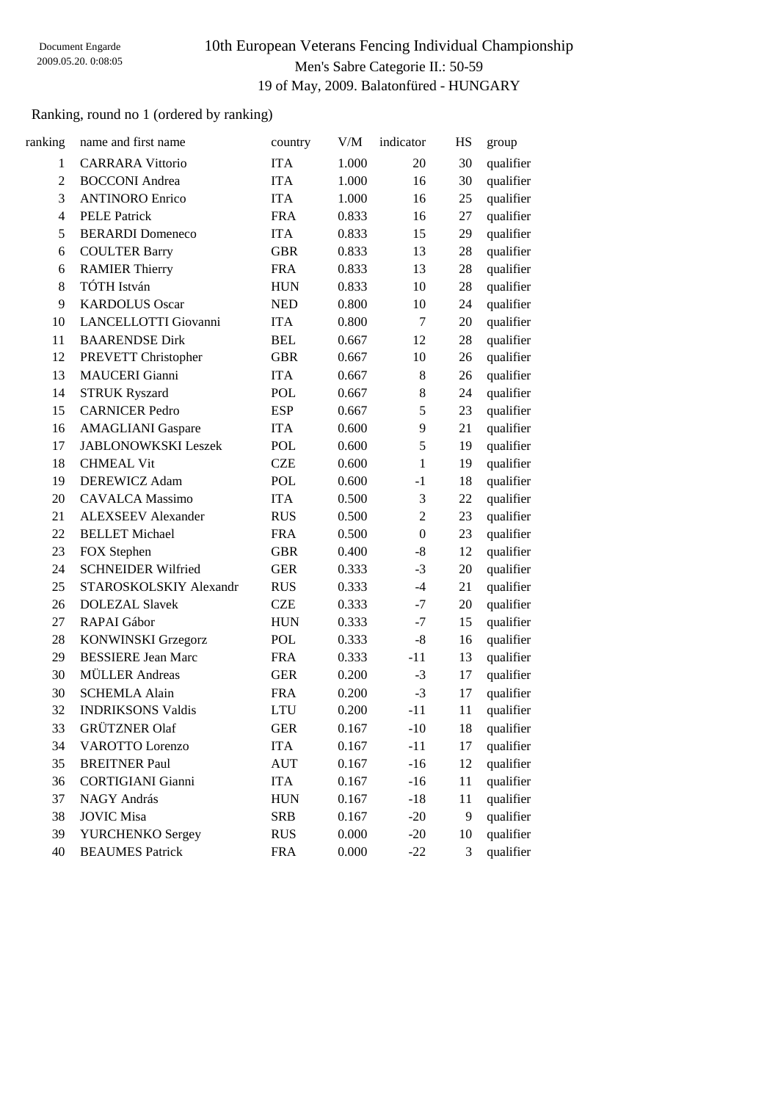# 10th European Veterans Fencing Individual Championship Men's Sabre Categorie II.: 50-59 19 of May, 2009. Balatonfüred - HUNGARY

## Ranking, round no 1 (ordered by ranking)

| ranking        | name and first name        | country    | V/M   | indicator        | HS | group     |
|----------------|----------------------------|------------|-------|------------------|----|-----------|
| $\mathbf{1}$   | <b>CARRARA Vittorio</b>    | <b>ITA</b> | 1.000 | 20               | 30 | qualifier |
| $\overline{2}$ | <b>BOCCONI</b> Andrea      | <b>ITA</b> | 1.000 | 16               | 30 | qualifier |
| 3              | <b>ANTINORO Enrico</b>     | <b>ITA</b> | 1.000 | 16               | 25 | qualifier |
| $\overline{4}$ | <b>PELE Patrick</b>        | <b>FRA</b> | 0.833 | 16               | 27 | qualifier |
| 5              | <b>BERARDI</b> Domeneco    | <b>ITA</b> | 0.833 | 15               | 29 | qualifier |
| 6              | <b>COULTER Barry</b>       | <b>GBR</b> | 0.833 | 13               | 28 | qualifier |
| 6              | <b>RAMIER Thierry</b>      | <b>FRA</b> | 0.833 | 13               | 28 | qualifier |
| 8              | TÓTH István                | <b>HUN</b> | 0.833 | 10               | 28 | qualifier |
| 9              | <b>KARDOLUS Oscar</b>      | <b>NED</b> | 0.800 | 10               | 24 | qualifier |
| 10             | LANCELLOTTI Giovanni       | <b>ITA</b> | 0.800 | 7                | 20 | qualifier |
| 11             | <b>BAARENDSE Dirk</b>      | <b>BEL</b> | 0.667 | 12               | 28 | qualifier |
| 12             | PREVETT Christopher        | <b>GBR</b> | 0.667 | 10               | 26 | qualifier |
| 13             | <b>MAUCERI</b> Gianni      | <b>ITA</b> | 0.667 | 8                | 26 | qualifier |
| 14             | <b>STRUK Ryszard</b>       | POL        | 0.667 | 8                | 24 | qualifier |
| 15             | <b>CARNICER Pedro</b>      | <b>ESP</b> | 0.667 | 5                | 23 | qualifier |
| 16             | <b>AMAGLIANI</b> Gaspare   | <b>ITA</b> | 0.600 | 9                | 21 | qualifier |
| 17             | <b>JABLONOWKSKI Leszek</b> | <b>POL</b> | 0.600 | 5                | 19 | qualifier |
| 18             | <b>CHMEAL Vit</b>          | <b>CZE</b> | 0.600 | 1                | 19 | qualifier |
| 19             | <b>DEREWICZ Adam</b>       | <b>POL</b> | 0.600 | $-1$             | 18 | qualifier |
| 20             | <b>CAVALCA Massimo</b>     | <b>ITA</b> | 0.500 | 3                | 22 | qualifier |
| 21             | <b>ALEXSEEV</b> Alexander  | <b>RUS</b> | 0.500 | $\overline{2}$   | 23 | qualifier |
| 22             | <b>BELLET</b> Michael      | <b>FRA</b> | 0.500 | $\boldsymbol{0}$ | 23 | qualifier |
| 23             | FOX Stephen                | <b>GBR</b> | 0.400 | $-8$             | 12 | qualifier |
| 24             | <b>SCHNEIDER Wilfried</b>  | <b>GER</b> | 0.333 | $-3$             | 20 | qualifier |
| 25             | STAROSKOLSKIY Alexandr     | <b>RUS</b> | 0.333 | $-4$             | 21 | qualifier |
| 26             | <b>DOLEZAL Slavek</b>      | <b>CZE</b> | 0.333 | $-7$             | 20 | qualifier |
| 27             | RAPAI Gábor                | <b>HUN</b> | 0.333 | $-7$             | 15 | qualifier |
| 28             | <b>KONWINSKI Grzegorz</b>  | <b>POL</b> | 0.333 | $-8$             | 16 | qualifier |
| 29             | <b>BESSIERE Jean Marc</b>  | <b>FRA</b> | 0.333 | $-11$            | 13 | qualifier |
| 30             | <b>MÜLLER</b> Andreas      | <b>GER</b> | 0.200 | $-3$             | 17 | qualifier |
| 30             | <b>SCHEMLA Alain</b>       | <b>FRA</b> | 0.200 | $-3$             | 17 | qualifier |
| 32             | <b>INDRIKSONS Valdis</b>   | <b>LTU</b> | 0.200 | $-11$            | 11 | qualifier |
| 33             | <b>GRÜTZNER Olaf</b>       | <b>GER</b> | 0.167 | $-10$            | 18 | qualifier |
| 34             | <b>VAROTTO Lorenzo</b>     | <b>ITA</b> | 0.167 | $-11$            | 17 | qualifier |
| 35             | <b>BREITNER Paul</b>       | <b>AUT</b> | 0.167 | $-16$            | 12 | qualifier |
| 36             | <b>CORTIGIANI</b> Gianni   | <b>ITA</b> | 0.167 | $-16$            | 11 | qualifier |
| 37             | NAGY András                | <b>HUN</b> | 0.167 | $-18$            | 11 | qualifier |
| 38             | <b>JOVIC Misa</b>          | <b>SRB</b> | 0.167 | $-20$            | 9  | qualifier |
| 39             | YURCHENKO Sergey           | <b>RUS</b> | 0.000 | $-20$            | 10 | qualifier |
| 40             | <b>BEAUMES Patrick</b>     | <b>FRA</b> | 0.000 | $-22$            | 3  | qualifier |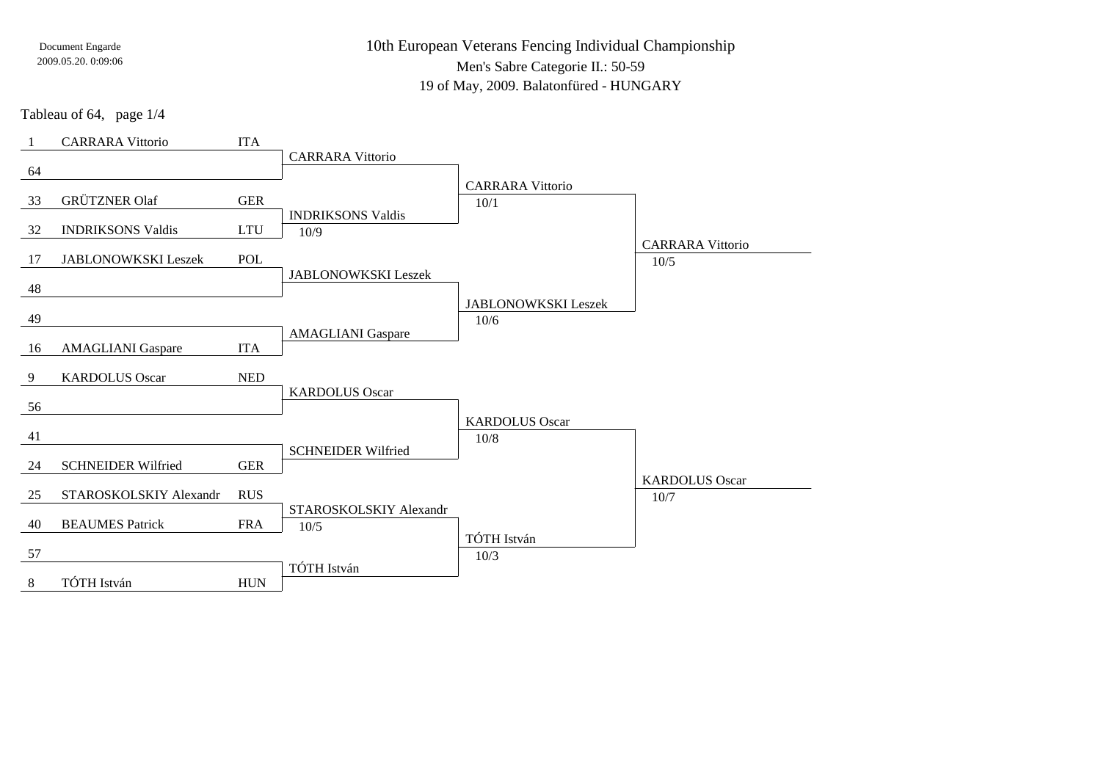10th European Veterans Fencing Individual ChampionshipMen's Sabre Categorie II.: 50-59

19 of May, 2009. Balatonfüred - HUNGARY

Tableau of 64, page 1/4

|    | <b>CARRARA Vittorio</b>   | <b>ITA</b>                                                  |                            |                            |                         |
|----|---------------------------|-------------------------------------------------------------|----------------------------|----------------------------|-------------------------|
|    |                           |                                                             | <b>CARRARA Vittorio</b>    |                            |                         |
| 64 |                           |                                                             |                            | <b>CARRARA Vittorio</b>    |                         |
| 33 | <b>GRÜTZNER Olaf</b>      | <b>GER</b>                                                  |                            | 10/1                       |                         |
|    |                           |                                                             | <b>INDRIKSONS Valdis</b>   |                            |                         |
| 32 | <b>INDRIKSONS Valdis</b>  | $\ensuremath{\text{L}\text{T}}\xspace\ensuremath{\text{U}}$ | 10/9                       |                            | <b>CARRARA Vittorio</b> |
| 17 | JABLONOWKSKI Leszek       | POL                                                         |                            |                            | 10/5                    |
|    |                           |                                                             | <b>JABLONOWKSKI Leszek</b> |                            |                         |
| 48 |                           |                                                             |                            | <b>JABLONOWKSKI Leszek</b> |                         |
| 49 |                           |                                                             |                            | 10/6                       |                         |
|    |                           |                                                             | <b>AMAGLIANI</b> Gaspare   |                            |                         |
| 16 | <b>AMAGLIANI</b> Gaspare  | <b>ITA</b>                                                  |                            |                            |                         |
| 9  | <b>KARDOLUS Oscar</b>     | $\ensuremath{\mathsf{NED}}$                                 |                            |                            |                         |
|    |                           |                                                             | <b>KARDOLUS Oscar</b>      |                            |                         |
| 56 |                           |                                                             |                            | <b>KARDOLUS Oscar</b>      |                         |
| 41 |                           |                                                             |                            | 10/8                       |                         |
|    |                           |                                                             | <b>SCHNEIDER Wilfried</b>  |                            |                         |
| 24 | <b>SCHNEIDER Wilfried</b> | <b>GER</b>                                                  |                            |                            | <b>KARDOLUS Oscar</b>   |
| 25 | STAROSKOLSKIY Alexandr    | <b>RUS</b>                                                  |                            |                            | 10/7                    |
|    |                           |                                                             | STAROSKOLSKIY Alexandr     |                            |                         |
| 40 | <b>BEAUMES Patrick</b>    | <b>FRA</b>                                                  | 10/5                       |                            |                         |
| 57 |                           |                                                             |                            | TÓTH István<br>10/3        |                         |
|    |                           |                                                             | TÓTH István                |                            |                         |
| 8  | TÓTH István               | <b>HUN</b>                                                  |                            |                            |                         |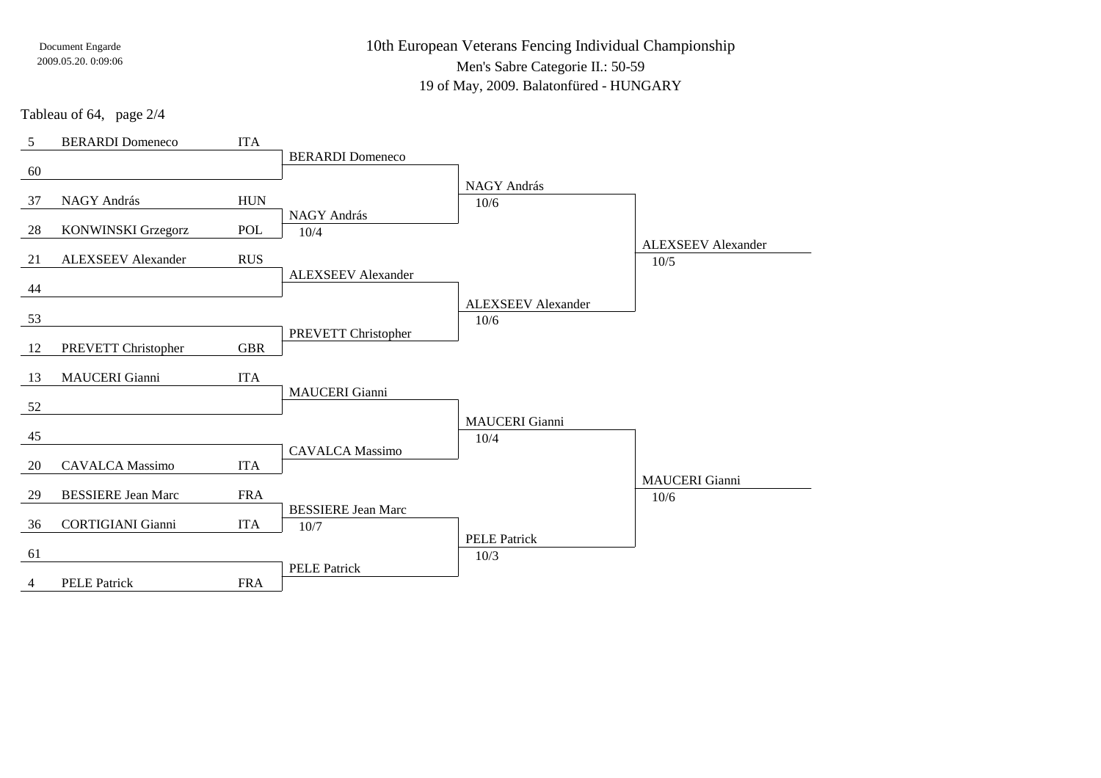10th European Veterans Fencing Individual ChampionshipMen's Sabre Categorie II.: 50-59

19 of May, 2009. Balatonfüred - HUNGARY

Tableau of 64, page 2/4

| 5  | <b>BERARDI</b> Domeneco   | <b>ITA</b>  |                           |                           |                           |
|----|---------------------------|-------------|---------------------------|---------------------------|---------------------------|
|    |                           |             | <b>BERARDI</b> Domeneco   |                           |                           |
| 60 |                           |             |                           | NAGY András               |                           |
| 37 | NAGY András               | ${\rm HUN}$ |                           | $10/6$                    |                           |
|    |                           |             | NAGY András               |                           |                           |
| 28 | <b>KONWINSKI Grzegorz</b> | POL         | 10/4                      |                           |                           |
|    |                           |             |                           |                           | <b>ALEXSEEV</b> Alexander |
| 21 | <b>ALEXSEEV Alexander</b> | <b>RUS</b>  | <b>ALEXSEEV Alexander</b> |                           | 10/5                      |
| 44 |                           |             |                           |                           |                           |
|    |                           |             |                           | <b>ALEXSEEV</b> Alexander |                           |
| 53 |                           |             |                           | 10/6                      |                           |
|    |                           |             | PREVETT Christopher       |                           |                           |
| 12 | PREVETT Christopher       | <b>GBR</b>  |                           |                           |                           |
| 13 | MAUCERI Gianni            | <b>ITA</b>  |                           |                           |                           |
|    |                           |             | <b>MAUCERI</b> Gianni     |                           |                           |
| 52 |                           |             |                           |                           |                           |
|    |                           |             |                           | <b>MAUCERI</b> Gianni     |                           |
| 45 |                           |             | <b>CAVALCA</b> Massimo    | 10/4                      |                           |
| 20 | <b>CAVALCA Massimo</b>    | <b>ITA</b>  |                           |                           |                           |
|    |                           |             |                           |                           | <b>MAUCERI</b> Gianni     |
| 29 | <b>BESSIERE Jean Marc</b> | <b>FRA</b>  |                           |                           | 10/6                      |
|    |                           |             | <b>BESSIERE Jean Marc</b> |                           |                           |
| 36 | <b>CORTIGIANI</b> Gianni  | <b>ITA</b>  | $10/7$                    | <b>PELE Patrick</b>       |                           |
| 61 |                           |             |                           | 10/3                      |                           |
|    |                           |             | <b>PELE Patrick</b>       |                           |                           |
| 4  | <b>PELE Patrick</b>       | <b>FRA</b>  |                           |                           |                           |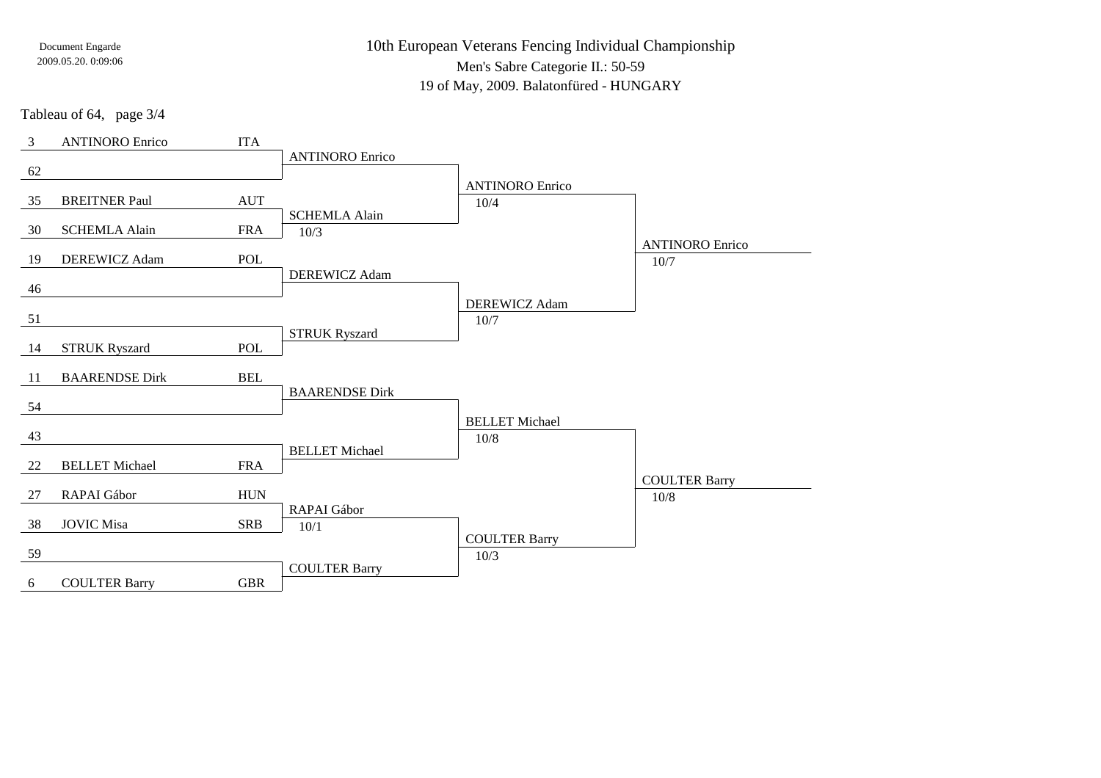10th European Veterans Fencing Individual ChampionshipMen's Sabre Categorie II.: 50-59

19 of May, 2009. Balatonfüred - HUNGARY

Tableau of 64, page 3/4

| 3  | <b>ANTINORO</b> Enrico | <b>ITA</b> |                        |                               |                        |
|----|------------------------|------------|------------------------|-------------------------------|------------------------|
|    |                        |            | <b>ANTINORO</b> Enrico |                               |                        |
| 62 |                        |            |                        | <b>ANTINORO Enrico</b>        |                        |
| 35 | <b>BREITNER Paul</b>   | <b>AUT</b> |                        | 10/4                          |                        |
|    |                        |            | <b>SCHEMLA Alain</b>   |                               |                        |
| 30 | <b>SCHEMLA Alain</b>   | <b>FRA</b> | 10/3                   |                               |                        |
|    |                        |            |                        |                               | <b>ANTINORO Enrico</b> |
| 19 | DEREWICZ Adam          | <b>POL</b> | DEREWICZ Adam          |                               | 10/7                   |
| 46 |                        |            |                        |                               |                        |
|    |                        |            |                        | DEREWICZ Adam                 |                        |
| 51 |                        |            |                        | 10/7                          |                        |
|    |                        |            | <b>STRUK Ryszard</b>   |                               |                        |
| 14 | <b>STRUK Ryszard</b>   | POL        |                        |                               |                        |
| 11 | <b>BAARENDSE Dirk</b>  | <b>BEL</b> |                        |                               |                        |
|    |                        |            | <b>BAARENDSE Dirk</b>  |                               |                        |
| 54 |                        |            |                        |                               |                        |
| 43 |                        |            |                        | <b>BELLET</b> Michael<br>10/8 |                        |
|    |                        |            | <b>BELLET</b> Michael  |                               |                        |
| 22 | <b>BELLET Michael</b>  | <b>FRA</b> |                        |                               |                        |
|    |                        |            |                        |                               | <b>COULTER Barry</b>   |
| 27 | RAPAI Gábor            | <b>HUN</b> |                        |                               | 10/8                   |
| 38 | <b>JOVIC Misa</b>      | <b>SRB</b> | RAPAI Gábor<br>10/1    |                               |                        |
|    |                        |            |                        | <b>COULTER Barry</b>          |                        |
| 59 |                        |            |                        | 10/3                          |                        |
|    |                        |            | <b>COULTER Barry</b>   |                               |                        |
| 6  | <b>COULTER Barry</b>   | <b>GBR</b> |                        |                               |                        |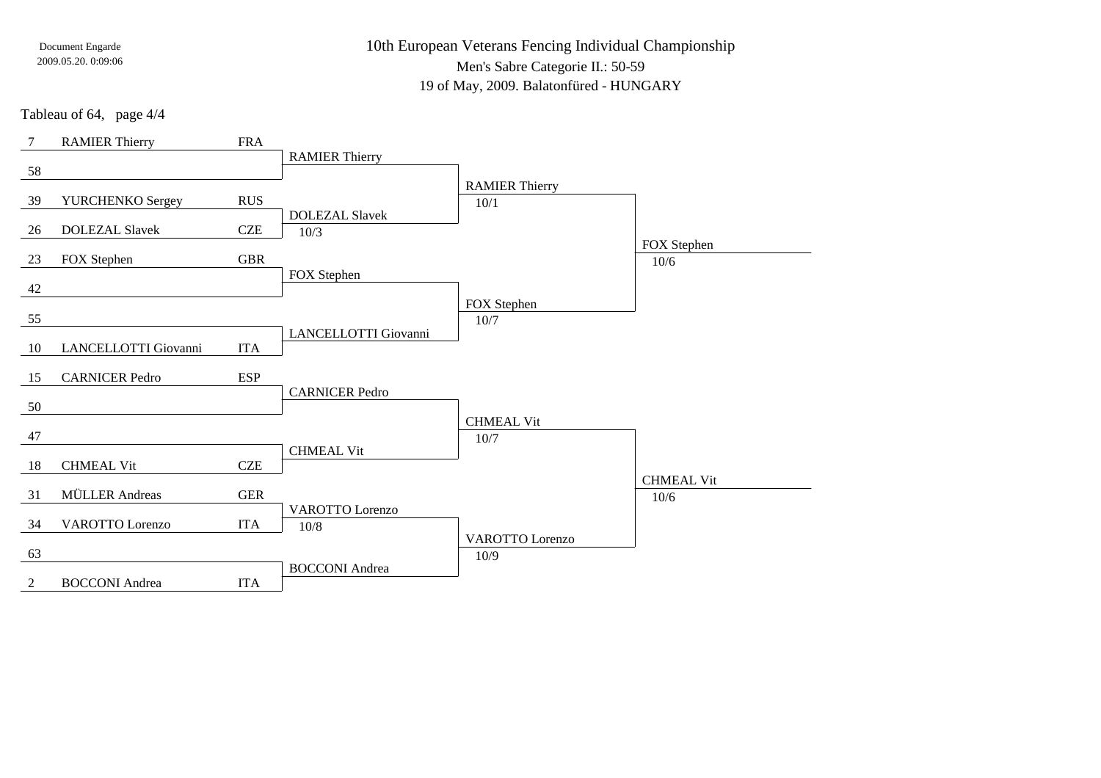10th European Veterans Fencing Individual ChampionshipMen's Sabre Categorie II.: 50-59

19 of May, 2009. Balatonfüred - HUNGARY

Tableau of 64, page 4/4

| $\overline{7}$ | <b>RAMIER Thierry</b>  | <b>FRA</b> |                        |                        |                   |
|----------------|------------------------|------------|------------------------|------------------------|-------------------|
|                |                        |            | <b>RAMIER Thierry</b>  |                        |                   |
| 58             |                        |            |                        | <b>RAMIER Thierry</b>  |                   |
| 39             | YURCHENKO Sergey       | <b>RUS</b> |                        | 10/1                   |                   |
|                |                        |            | <b>DOLEZAL Slavek</b>  |                        |                   |
| 26             | <b>DOLEZAL Slavek</b>  | <b>CZE</b> | 10/3                   |                        |                   |
|                |                        |            |                        |                        | FOX Stephen       |
| 23             | FOX Stephen            | <b>GBR</b> |                        |                        | $10/6$            |
| 42             |                        |            | FOX Stephen            |                        |                   |
|                |                        |            |                        | FOX Stephen            |                   |
| 55             |                        |            |                        | 10/7                   |                   |
|                |                        |            | LANCELLOTTI Giovanni   |                        |                   |
| 10             | LANCELLOTTI Giovanni   | <b>ITA</b> |                        |                        |                   |
| 15             | <b>CARNICER Pedro</b>  | <b>ESP</b> |                        |                        |                   |
|                |                        |            | <b>CARNICER Pedro</b>  |                        |                   |
| 50             |                        |            |                        |                        |                   |
|                |                        |            |                        | <b>CHMEAL Vit</b>      |                   |
| 47             |                        |            |                        | $10/7$                 |                   |
| 18             | <b>CHMEAL Vit</b>      | <b>CZE</b> | <b>CHMEAL Vit</b>      |                        |                   |
|                |                        |            |                        |                        | <b>CHMEAL Vit</b> |
| 31             | <b>MÜLLER</b> Andreas  | <b>GER</b> |                        |                        | 10/6              |
|                |                        |            | <b>VAROTTO</b> Lorenzo |                        |                   |
| 34             | <b>VAROTTO Lorenzo</b> | <b>ITA</b> | 10/8                   |                        |                   |
|                |                        |            |                        | <b>VAROTTO</b> Lorenzo |                   |
| 63             |                        |            | <b>BOCCONI</b> Andrea  | 10/9                   |                   |
| 2              | <b>BOCCONI</b> Andrea  | <b>ITA</b> |                        |                        |                   |
|                |                        |            |                        |                        |                   |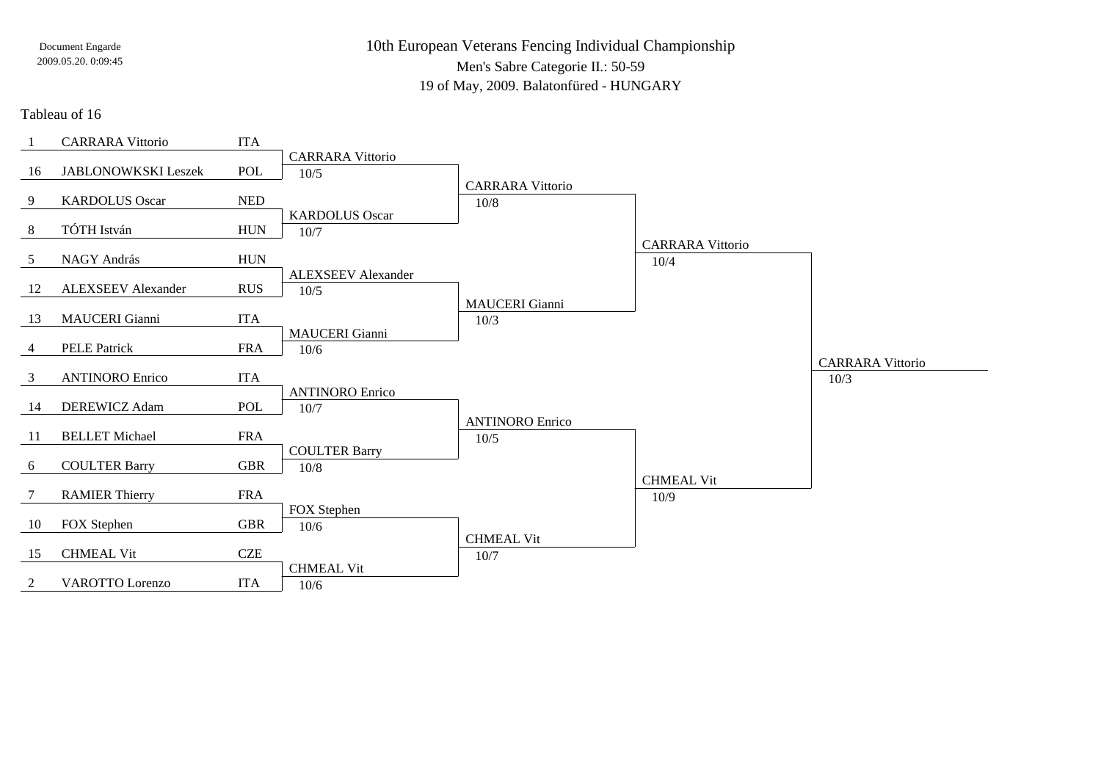10th European Veterans Fencing Individual ChampionshipMen's Sabre Categorie II.: 50-59

19 of May, 2009. Balatonfüred - HUNGARY

### Tableau of 16

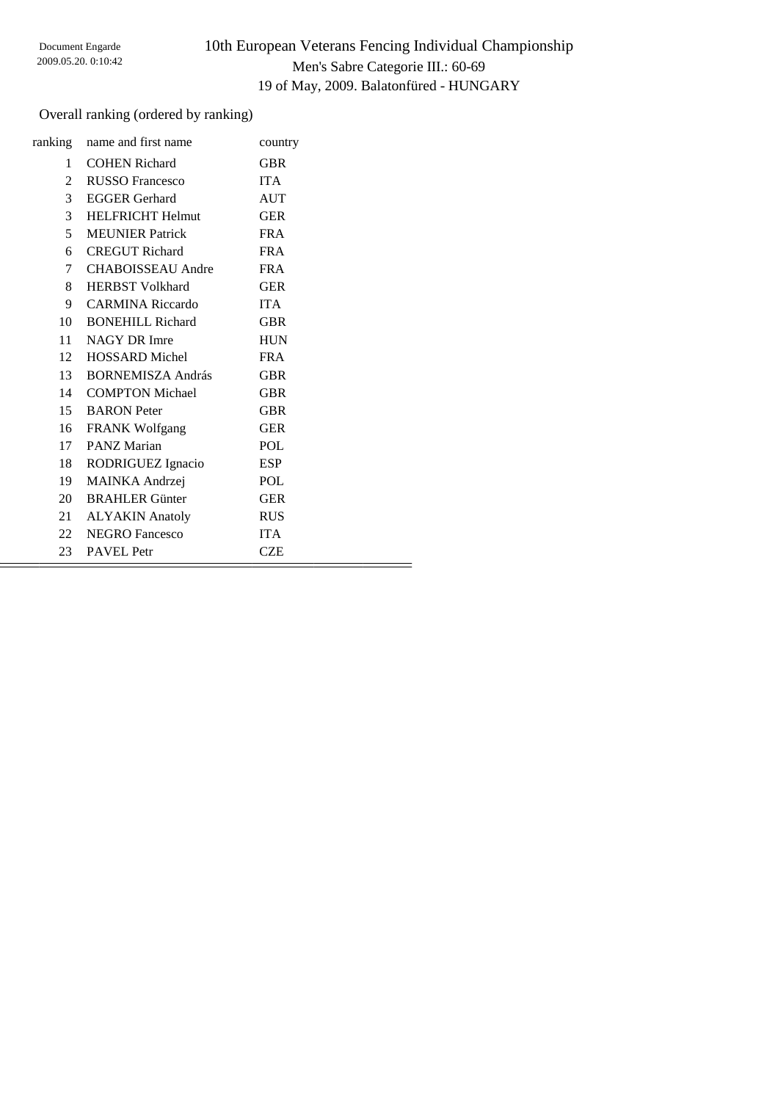### Overall ranking (ordered by ranking)

|                 | ranking name and first name | country    |  |
|-----------------|-----------------------------|------------|--|
| 1               | <b>COHEN Richard</b>        | GBR        |  |
| 2               | RUSSO Francesco             | <b>ITA</b> |  |
| $\mathfrak{Z}$  | <b>EGGER</b> Gerhard        | <b>AUT</b> |  |
| 3 <sup>1</sup>  | <b>HELFRICHT Helmut</b>     | <b>GER</b> |  |
| 5               | <b>MEUNIER</b> Patrick      | <b>FRA</b> |  |
| 6               | <b>CREGUT Richard</b>       | <b>FRA</b> |  |
| $7\overline{ }$ | <b>CHABOISSEAU</b> Andre    | <b>FRA</b> |  |
| 8               | <b>HERBST Volkhard</b>      | <b>GER</b> |  |
| 9               | <b>CARMINA Riccardo</b>     | <b>ITA</b> |  |
| 10              | <b>BONEHILL Richard</b>     | <b>GBR</b> |  |
|                 | 11 NAGY DR Imre             | <b>HUN</b> |  |
|                 | 12 HOSSARD Michel           | <b>FRA</b> |  |
|                 | 13 BORNEMISZA András        | <b>GBR</b> |  |
|                 | 14 COMPTON Michael          | <b>GBR</b> |  |
|                 | 15 BARON Peter              | <b>GBR</b> |  |
|                 | 16 FRANK Wolfgang           | <b>GER</b> |  |
|                 | 17 PANZ Marian              | POL        |  |
| 18              | RODRIGUEZ Ignacio           | ESP        |  |
| 19              | <b>MAINKA</b> Andrzej       | POL        |  |
| 20              | <b>BRAHLER Günter</b>       | <b>GER</b> |  |
|                 | 21 ALYAKIN Anatoly          | <b>RUS</b> |  |
|                 | 22 NEGRO Fancesco           | <b>ITA</b> |  |
| 23              | <b>PAVEL Petr</b>           | <b>CZE</b> |  |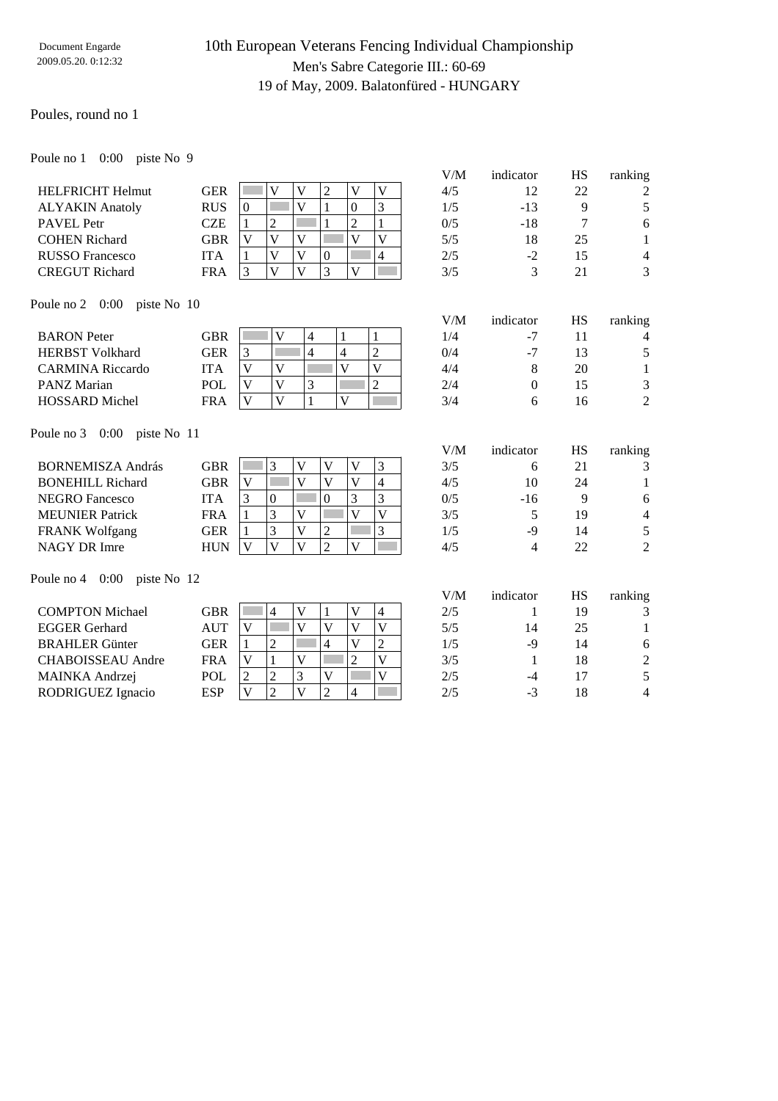### Poules, round no 1

Poule no 1 0:00 piste No 9

|                         |            |          |  |  | V/M | indicator | нs | ranking |
|-------------------------|------------|----------|--|--|-----|-----------|----|---------|
| <b>HELFRICHT Helmut</b> | GER        |          |  |  | 4/5 |           | 22 | 2       |
| <b>ALYAKIN Anatoly</b>  | <b>RUS</b> | $\Omega$ |  |  | 1/5 | $-13$     |    |         |
| <b>PAVEL Petr</b>       | CZE        |          |  |  | 0/5 | $-18$     |    | 6       |
| <b>COHEN Richard</b>    | GBR        |          |  |  | 5/5 | 18        | 25 |         |
| <b>RUSSO Francesco</b>  | ľТА        |          |  |  | 2/5 | -2        |    | 4       |
| <b>CREGUT Richard</b>   | FRA        | 2        |  |  | 3/5 |           |    | 3       |

| V/M | indicator | HS | ranking |
|-----|-----------|----|---------|
| 4/5 | 12        | 22 | 2       |
| 1/5 | $-13$     | 9  | 5       |
| 0/5 | $-18$     | 7  | 6       |
| 5/5 | 18        | 25 | 1       |
| 2/5 | $-2$      | 15 | 4       |
| 3/5 | 3         | 21 | 3       |
|     |           |    |         |

V/M indicator HS ranking

Poule no 2 0:00 piste No 10

| <b>BARON</b> Peter      | ${\rm GBR}$ | v            |  | 1/4 | ۰.   |    | Λ      |
|-------------------------|-------------|--------------|--|-----|------|----|--------|
| <b>HERBST Volkhard</b>  | GER         |              |  | 0/4 | $-7$ |    |        |
| <b>CARMINA Riccardo</b> | 'TA         | $\mathbf{V}$ |  | 4/4 |      | 20 |        |
| <b>PANZ Marian</b>      | POL         | $\mathbf{V}$ |  | 2/4 |      |    | ◠      |
| <b>HOSSARD</b> Michel   | FRA         | $\mathbf{V}$ |  | 3/4 |      |    | ◠<br>∠ |

Poule no 3 0:00 piste No 11

|     |   |          |   |   |   | V/M | indicator | <b>HS</b> | ranking        |
|-----|---|----------|---|---|---|-----|-----------|-----------|----------------|
| GBR |   |          | V |   | ⌒ | 3/5 | h         | 21        |                |
| GBR | V |          | V |   | 4 | 4/5 | 10        | 24        |                |
| ITA |   | $\theta$ |   |   |   | 0/5 | $-16$     | Q         | 6              |
| FRA |   |          | V |   | V | 3/5 |           | 19        | $\overline{4}$ |
| GER |   |          | V |   |   | 1/5 | -9        | 14        | 5              |
| HUN |   |          | V | V |   | 4/5 | 4         | 22        | 2              |
|     |   |          |   |   |   |     |           |           |                |

Poule no 4 0:00 piste No 12

|                          |            |              |   |   |   | V/M | indicator | HS | ranking |
|--------------------------|------------|--------------|---|---|---|-----|-----------|----|---------|
| <b>COMPTON Michael</b>   | <b>GBR</b> |              | 4 |   | 4 | 2/5 |           | 19 | 3       |
| <b>EGGER Gerhard</b>     | AUT        | V            |   |   |   | 5/5 | 14        | 25 |         |
| <b>BRAHLER</b> Günter    | <b>GER</b> |              |   | 4 | 2 | 1/5 | -9        | 14 | 6       |
| <b>CHABOISSEAU</b> Andre | <b>FRA</b> | V            |   |   |   | 3/5 |           | 18 | 2       |
| MAINKA Andrzej           | <b>POL</b> |              |   |   |   | 2/5 | -4        | 17 |         |
| RODRIGUEZ Ignacio        | <b>ESP</b> | $\mathbf{V}$ |   |   |   | 2/5 | - 1       | 18 | 4       |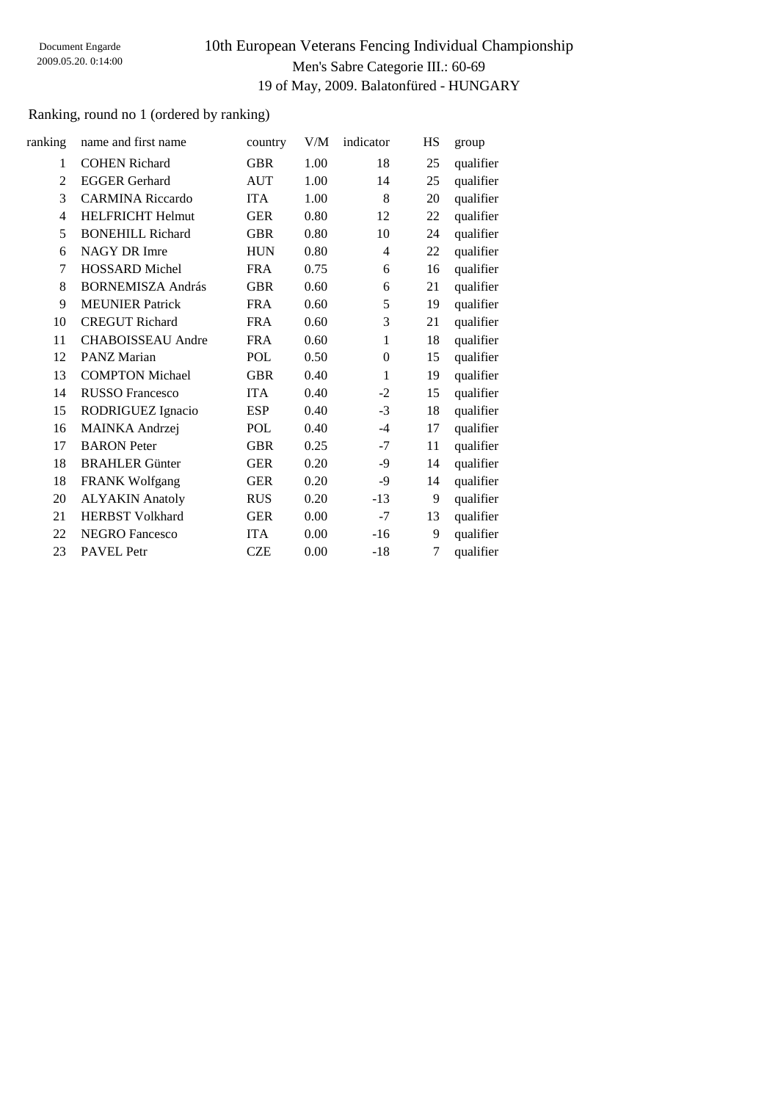### Ranking, round no 1 (ordered by ranking)

| ranking        | name and first name      | country    | V/M  | indicator        | HS | group     |
|----------------|--------------------------|------------|------|------------------|----|-----------|
| 1              | <b>COHEN Richard</b>     | <b>GBR</b> | 1.00 | 18               | 25 | qualifier |
| 2              | <b>EGGER Gerhard</b>     | <b>AUT</b> | 1.00 | 14               | 25 | qualifier |
| 3              | <b>CARMINA Riccardo</b>  | <b>ITA</b> | 1.00 | 8                | 20 | qualifier |
| $\overline{4}$ | <b>HELFRICHT Helmut</b>  | <b>GER</b> | 0.80 | 12               | 22 | qualifier |
| 5              | <b>BONEHILL Richard</b>  | <b>GBR</b> | 0.80 | 10               | 24 | qualifier |
| 6              | NAGY DR Imre             | <b>HUN</b> | 0.80 | $\overline{4}$   | 22 | qualifier |
| 7              | <b>HOSSARD</b> Michel    | <b>FRA</b> | 0.75 | 6                | 16 | qualifier |
| 8              | <b>BORNEMISZA András</b> | <b>GBR</b> | 0.60 | 6                | 21 | qualifier |
| 9              | <b>MEUNIER Patrick</b>   | <b>FRA</b> | 0.60 | 5                | 19 | qualifier |
| 10             | <b>CREGUT Richard</b>    | <b>FRA</b> | 0.60 | 3                | 21 | qualifier |
| 11             | <b>CHABOISSEAU</b> Andre | <b>FRA</b> | 0.60 | 1                | 18 | qualifier |
| 12             | <b>PANZ Marian</b>       | <b>POL</b> | 0.50 | $\boldsymbol{0}$ | 15 | qualifier |
| 13             | <b>COMPTON Michael</b>   | <b>GBR</b> | 0.40 | 1                | 19 | qualifier |
| 14             | <b>RUSSO</b> Francesco   | <b>ITA</b> | 0.40 | $-2$             | 15 | qualifier |
| 15             | RODRIGUEZ Ignacio        | <b>ESP</b> | 0.40 | $-3$             | 18 | qualifier |
| 16             | MAINKA Andrzej           | <b>POL</b> | 0.40 | $-4$             | 17 | qualifier |
| 17             | <b>BARON</b> Peter       | <b>GBR</b> | 0.25 | $-7$             | 11 | qualifier |
| 18             | <b>BRAHLER Günter</b>    | <b>GER</b> | 0.20 | -9               | 14 | qualifier |
| 18             | <b>FRANK Wolfgang</b>    | <b>GER</b> | 0.20 | $-9$             | 14 | qualifier |
| 20             | <b>ALYAKIN</b> Anatoly   | <b>RUS</b> | 0.20 | $-13$            | 9  | qualifier |
| 21             | <b>HERBST Volkhard</b>   | <b>GER</b> | 0.00 | $-7$             | 13 | qualifier |
| 22             | <b>NEGRO Fancesco</b>    | <b>ITA</b> | 0.00 | $-16$            | 9  | qualifier |
| 23             | <b>PAVEL</b> Petr        | <b>CZE</b> | 0.00 | $-18$            | 7  | qualifier |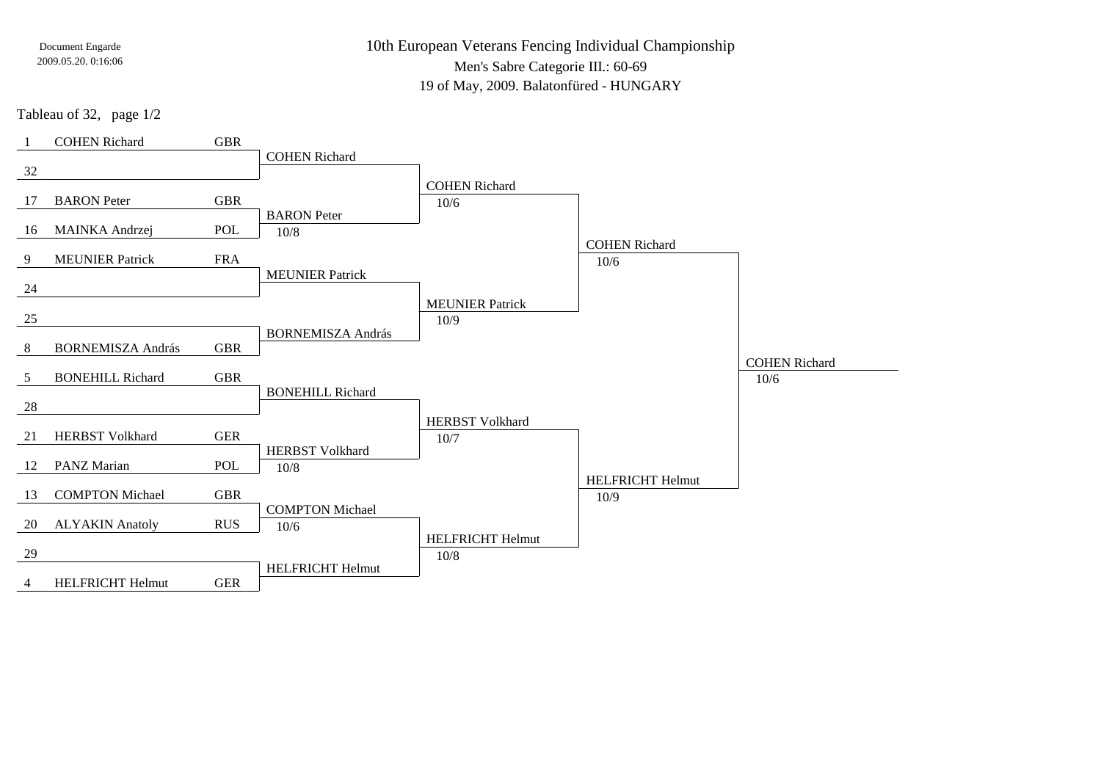10th European Veterans Fencing Individual ChampionshipMen's Sabre Categorie III.: 60-69

19 of May, 2009. Balatonfüred - HUNGARY

Tableau of 32, page 1/2

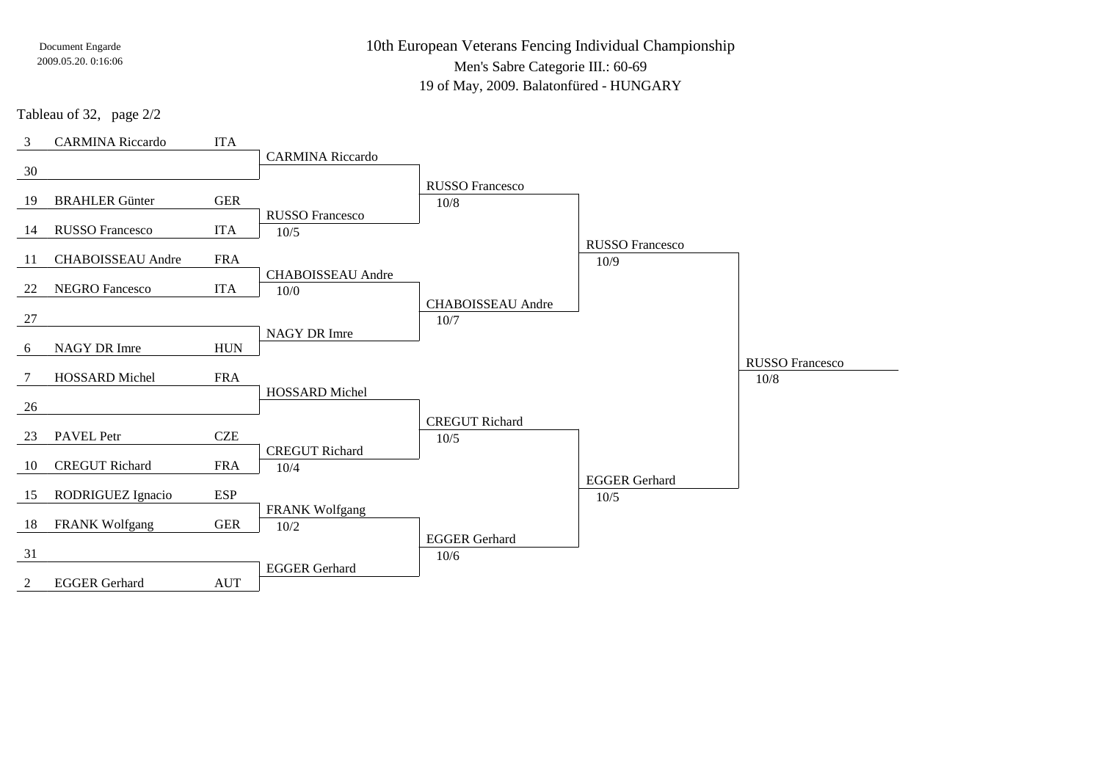10th European Veterans Fencing Individual ChampionshipMen's Sabre Categorie III.: 60-69

19 of May, 2009. Balatonfüred - HUNGARY

Tableau of 32, page 2/2

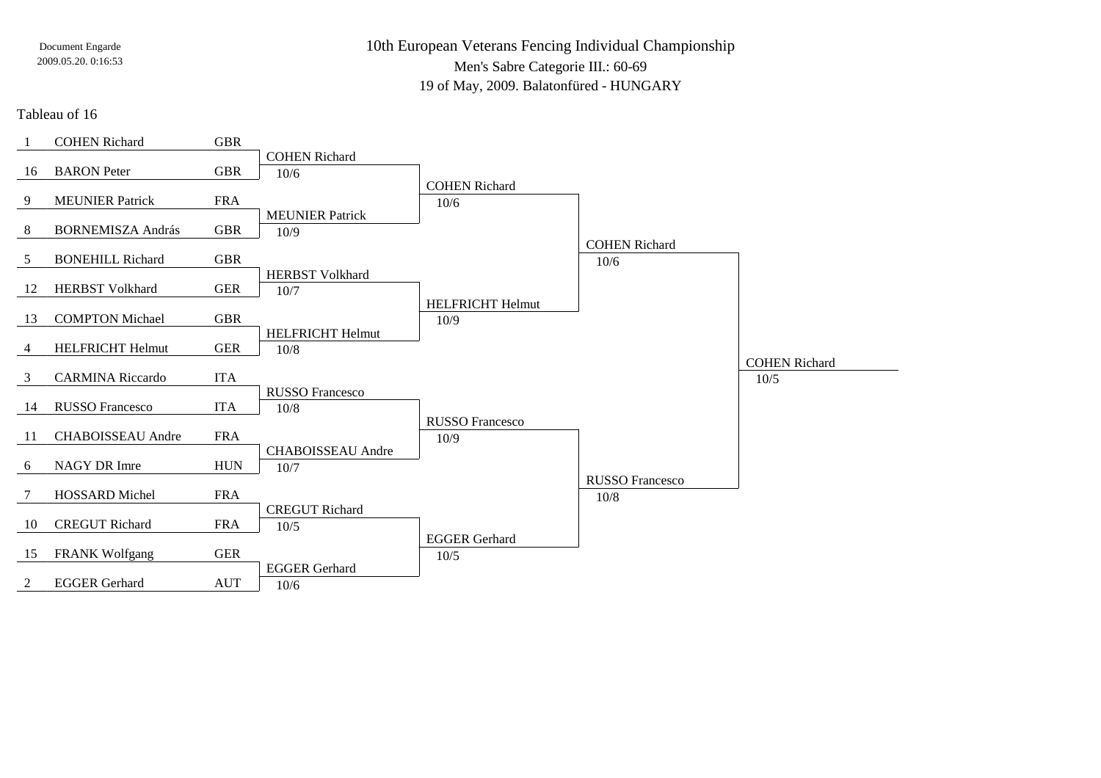10th European Veterans Fencing Individual ChampionshipMen's Sabre Categorie III.: 60-6919 of May, 2009. Balatonfüred - HUNGARY

Tableau of 16

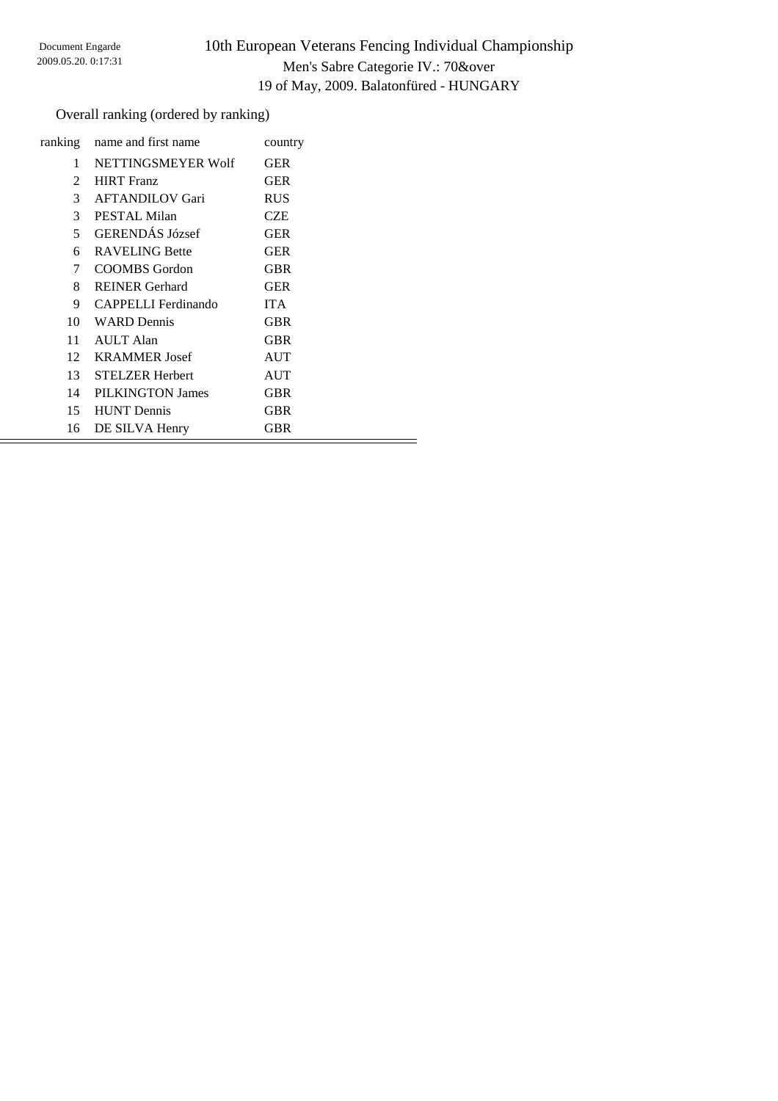### Overall ranking (ordered by ranking)

| ranking         | name and first name    | country    |  |
|-----------------|------------------------|------------|--|
| 1               | NETTINGSMEYER Wolf     | <b>GER</b> |  |
| $\mathcal{L}$   | <b>HIRT</b> Franz      | <b>GER</b> |  |
| 3               | <b>AFTANDILOV Gari</b> | <b>RUS</b> |  |
| 3               | PESTAL Milan           | CZE        |  |
| 5               | <b>GERENDÁS József</b> | <b>GER</b> |  |
| 6               | <b>RAVELING Bette</b>  | <b>GER</b> |  |
| 7               | COOMBS Gordon          | <b>GBR</b> |  |
| 8               | <b>REINER</b> Gerhard  | <b>GER</b> |  |
| 9               | CAPPELLI Ferdinando    | <b>ITA</b> |  |
|                 | 10 WARD Dennis         | <b>GBR</b> |  |
| 11              | AULT Alan              | <b>GBR</b> |  |
| 12 <sup>7</sup> | <b>KRAMMER</b> Josef   | <b>AUT</b> |  |
| 13              | <b>STELZER Herbert</b> | <b>AUT</b> |  |
| 14              | PILKINGTON James       | <b>GBR</b> |  |
| 15              | <b>HUNT</b> Dennis     | <b>GBR</b> |  |
| 16              | DE SILVA Henry         | <b>GBR</b> |  |
|                 |                        |            |  |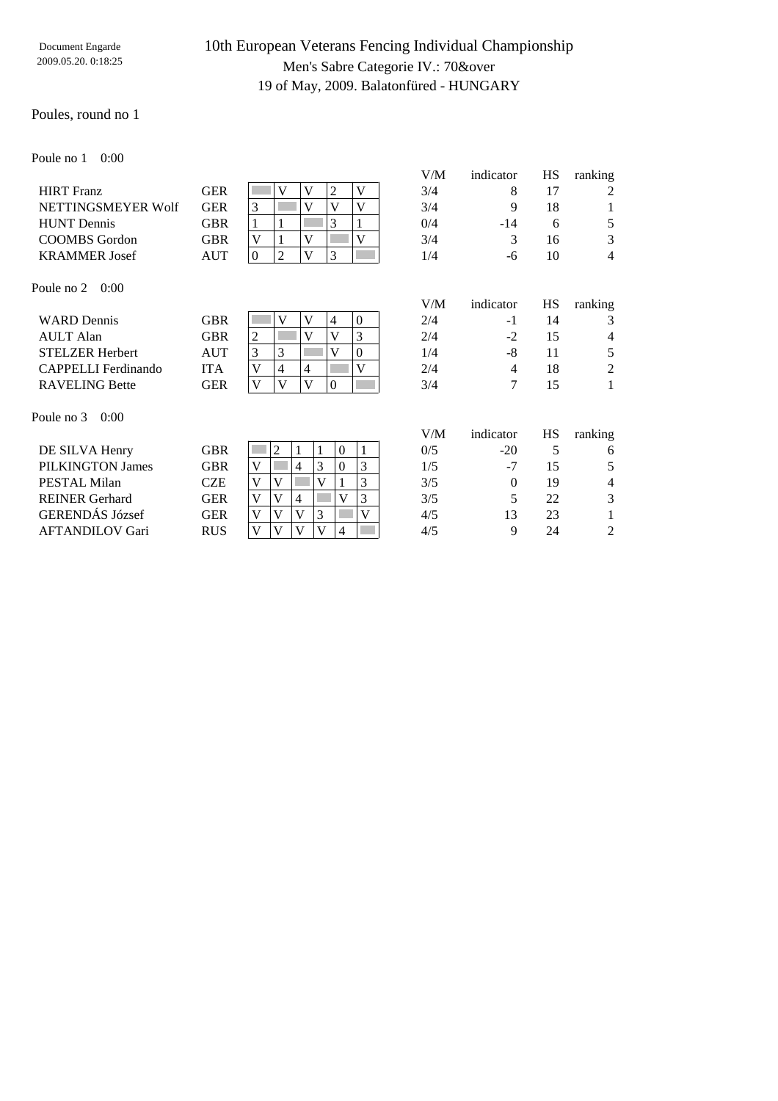#### Poules, round no 1

Poule no 1 0:00

|                            |            |                                                         | V/M | indicator      | HS | ranking        |
|----------------------------|------------|---------------------------------------------------------|-----|----------------|----|----------------|
| <b>HIRT</b> Franz          | <b>GER</b> | $\overline{c}$<br>V<br>V<br>V                           | 3/4 | 8              | 17 | 2              |
| NETTINGSMEYER Wolf         | <b>GER</b> | 3<br>V<br>V<br>V                                        | 3/4 | 9              | 18 | 1              |
| <b>HUNT</b> Dennis         | <b>GBR</b> | 3<br>1                                                  | 0/4 | $-14$          | 6  | 5              |
| <b>COOMBS</b> Gordon       | <b>GBR</b> | V<br>V<br>V                                             | 3/4 | 3              | 16 | 3              |
| <b>KRAMMER</b> Josef       | <b>AUT</b> | 3<br>$\boldsymbol{0}$<br>$\overline{2}$<br>$\mathbf{V}$ | 1/4 | -6             | 10 | $\overline{4}$ |
| Poule no 2<br>0:00         |            |                                                         |     |                |    |                |
|                            |            |                                                         | V/M | indicator      | HS | ranking        |
| <b>WARD</b> Dennis         | <b>GBR</b> | V<br>V<br>$\overline{4}$<br>$\theta$                    | 2/4 | $-1$           | 14 | 3              |
| <b>AULT</b> Alan           | <b>GBR</b> | V<br>3<br>$\mathbf{V}$<br>$\overline{2}$                | 2/4 | $-2$           | 15 | 4              |
| <b>STELZER Herbert</b>     | AUT        | 3<br>3<br>V<br>$\Omega$                                 | 1/4 | -8             | 11 | 5              |
| <b>CAPPELLI</b> Ferdinando | <b>ITA</b> | V<br>V<br>4<br>$\overline{4}$                           | 2/4 | $\overline{4}$ | 18 | $\overline{2}$ |
| <b>RAVELING Bette</b>      | <b>GER</b> | $\mathbf{0}$<br>$\mathbf{V}$<br>V<br>V                  | 3/4 | 7              | 15 | 1              |
| Poule no 3<br>0:00         |            |                                                         |     |                |    |                |
|                            |            |                                                         | V/M | indicator      | HS | ranking        |
| DE SILVA Henry             | <b>GBR</b> | 2<br>$\overline{0}$<br>1<br>1                           | 0/5 | $-20$          | 5  | 6              |
| PILKINGTON James           | <b>GBR</b> | 3<br>3<br>$\theta$<br>V<br>4                            | 1/5 | $-7$           | 15 | 5              |
| PESTAL Milan               | <b>CZE</b> | 3<br>V<br>V<br>V<br>1                                   | 3/5 | $\Omega$       | 19 | 4              |
| <b>REINER</b> Gerhard      | <b>GER</b> | 3<br>V<br>V<br>4<br>$\mathbf{V}$                        | 3/5 | 5              | 22 | 3              |
| GERENDÁS József            | <b>GER</b> | $\overline{\mathsf{V}}$<br>3<br>V<br>V<br>V             | 4/5 | 13             | 23 | 1              |
| <b>AFTANDILOV Gari</b>     | <b>RUS</b> | V<br>V<br>V<br>V<br>4                                   | 4/5 | 9              | 24 | 2              |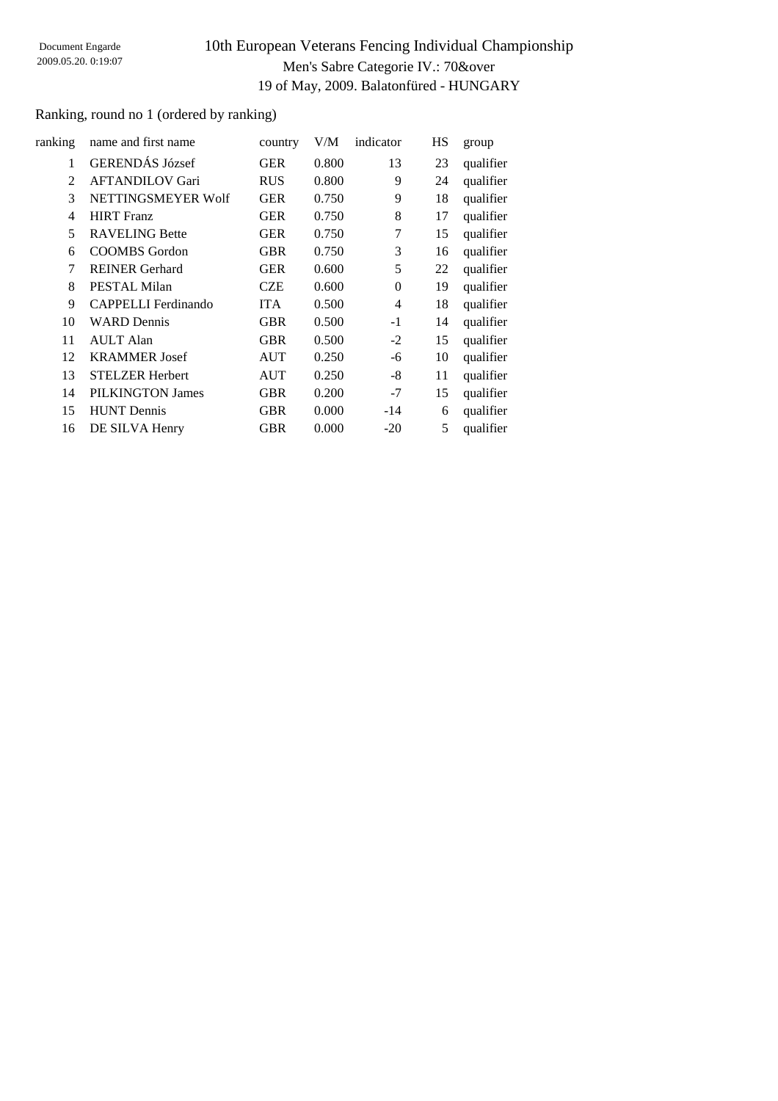### Ranking, round no 1 (ordered by ranking)

| ranking | name and first name    | country    | V/M   | indicator      | <b>HS</b> | group     |
|---------|------------------------|------------|-------|----------------|-----------|-----------|
| 1       | <b>GERENDÁS József</b> | <b>GER</b> | 0.800 | 13             | 23        | qualifier |
| 2       | <b>AFTANDILOV Gari</b> | <b>RUS</b> | 0.800 | 9              | 24        | qualifier |
| 3       | NETTINGSMEYER Wolf     | <b>GER</b> | 0.750 | 9              | 18        | qualifier |
| 4       | <b>HIRT</b> Franz      | <b>GER</b> | 0.750 | 8              | 17        | qualifier |
| 5       | <b>RAVELING Bette</b>  | <b>GER</b> | 0.750 | 7              | 15        | qualifier |
| 6       | <b>COOMBS</b> Gordon   | <b>GBR</b> | 0.750 | 3              | 16        | qualifier |
| 7       | <b>REINER Gerhard</b>  | <b>GER</b> | 0.600 | 5              | 22        | qualifier |
| 8       | <b>PESTAL Milan</b>    | <b>CZE</b> | 0.600 | $\theta$       | 19        | qualifier |
| 9       | CAPPELLI Ferdinando    | <b>ITA</b> | 0.500 | $\overline{4}$ | 18        | qualifier |
| 10      | <b>WARD Dennis</b>     | <b>GBR</b> | 0.500 | $-1$           | 14        | qualifier |
| 11      | <b>AULT</b> Alan       | <b>GBR</b> | 0.500 | $-2$           | 15        | qualifier |
| 12      | <b>KRAMMER</b> Josef   | AUT        | 0.250 | -6             | 10        | qualifier |
| 13      | <b>STELZER Herbert</b> | <b>AUT</b> | 0.250 | -8             | 11        | qualifier |
| 14      | PILKINGTON James       | <b>GBR</b> | 0.200 | $-7$           | 15        | qualifier |
| 15      | <b>HUNT</b> Dennis     | <b>GBR</b> | 0.000 | $-14$          | 6         | qualifier |
| 16      | DE SILVA Henry         | <b>GBR</b> | 0.000 | $-20$          | 5         | qualifier |
|         |                        |            |       |                |           |           |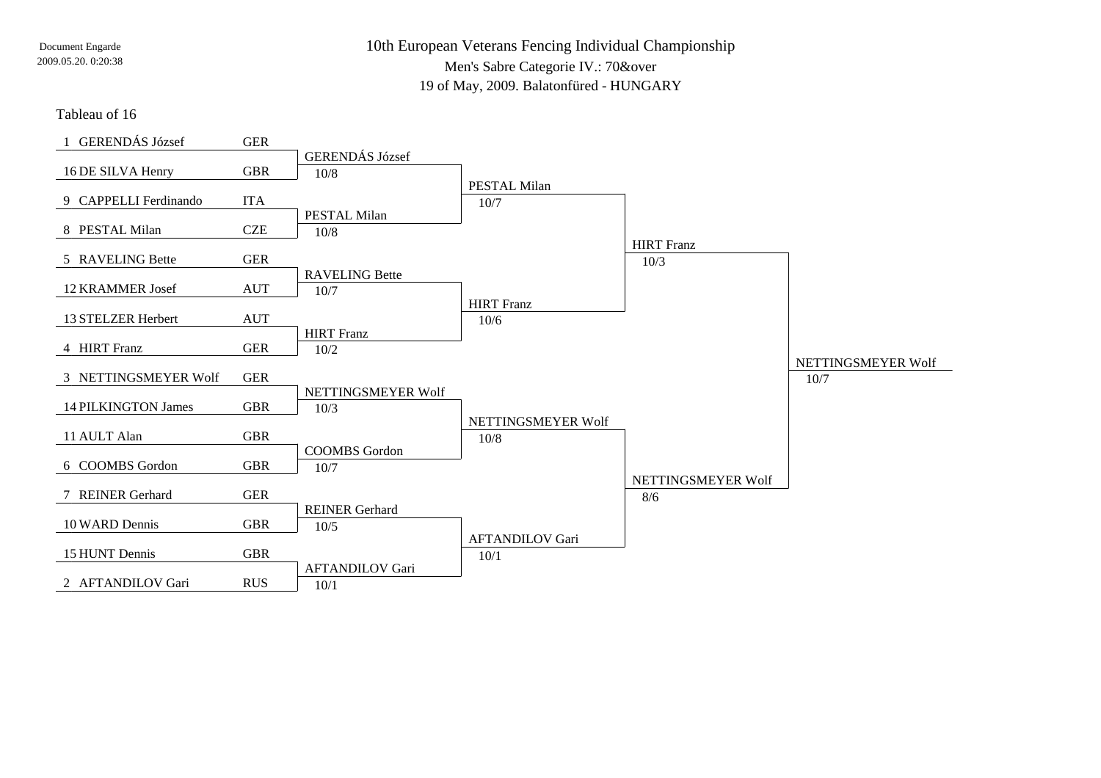#### Tableau of 16

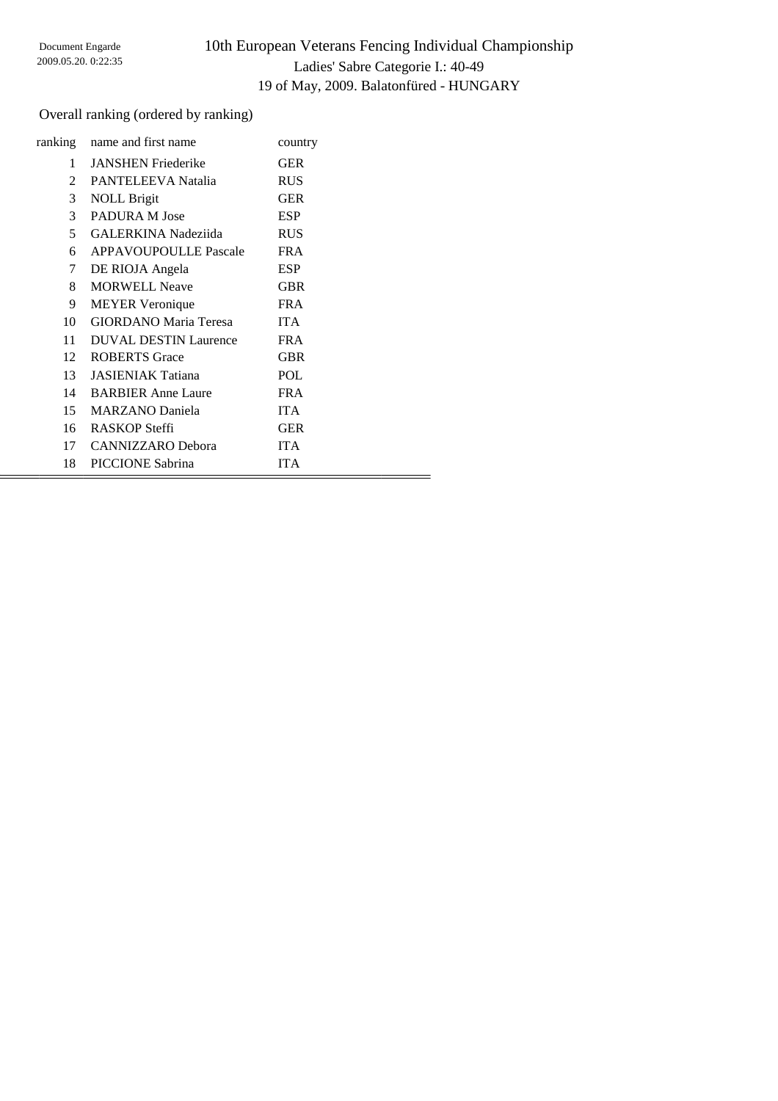### Overall ranking (ordered by ranking)

| ranking       | name and first name          | country    |
|---------------|------------------------------|------------|
| 1             | <b>JANSHEN Friederike</b>    | <b>GER</b> |
| $\mathcal{L}$ | <b>PANTELEEVA Natalia</b>    | <b>RUS</b> |
| 3             | <b>NOLL Brigit</b>           | <b>GER</b> |
| 3             | PADURA M Jose                | <b>ESP</b> |
| 5             | <b>GALERKINA</b> Nadeziida   | <b>RUS</b> |
| 6             | <b>APPAVOUPOULLE Pascale</b> | <b>FRA</b> |
| 7             | DE RIOJA Angela              | <b>ESP</b> |
| 8             | <b>MORWELL Neave</b>         | <b>GBR</b> |
| 9             | <b>MEYER</b> Veronique       | <b>FRA</b> |
| 10            | <b>GIORDANO</b> Maria Teresa | <b>ITA</b> |
| 11            | <b>DUVAL DESTIN Laurence</b> | <b>FRA</b> |
| $12 -$        | <b>ROBERTS</b> Grace         | <b>GBR</b> |
| 13            | <b>JASIENIAK Tatiana</b>     | <b>POL</b> |
| 14            | <b>BARBIER Anne Laure</b>    | FR A       |
| 15            | <b>MARZANO</b> Daniela       | <b>ITA</b> |
| 16            | RASKOP Steffi                | <b>GER</b> |
| 17            | <b>CANNIZZARO</b> Debora     | <b>ITA</b> |
| 18            | PICCIONE Sabrina             | <b>ITA</b> |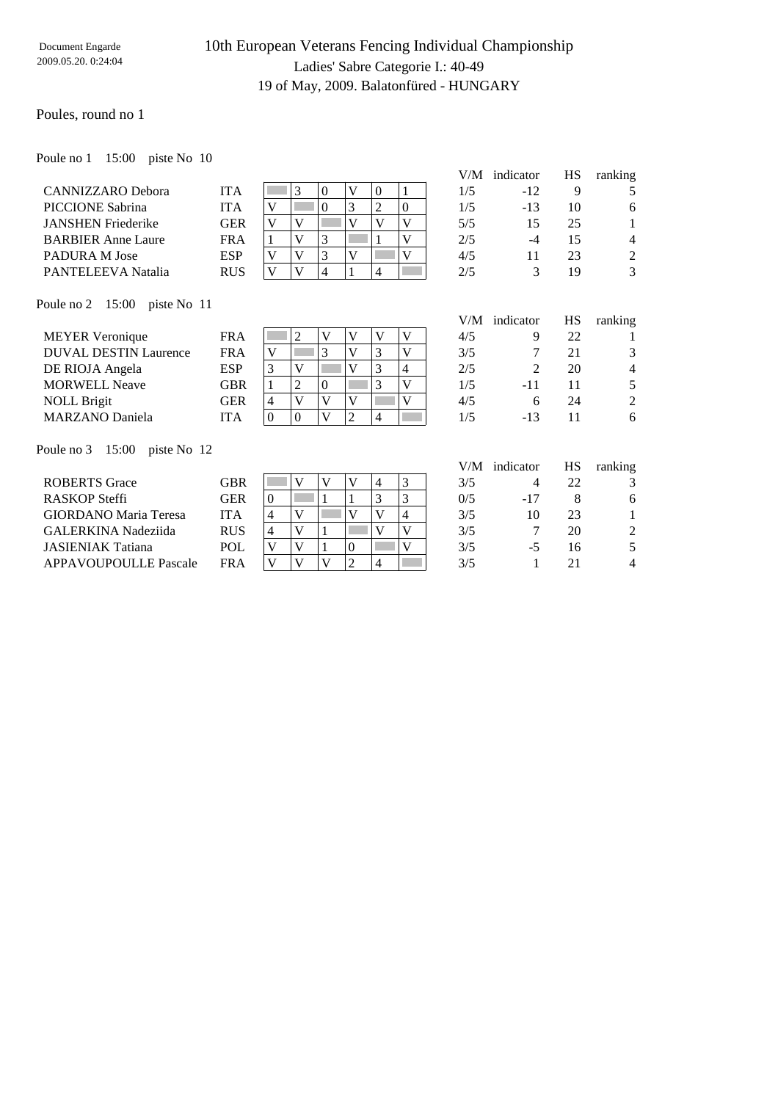### Poules, round no 1

Poule no 1 15:00 piste No 10

CANNIZZARO Debora PICCIONE Sabrina JANSHEN Friederike BARBIER Anne Laure PADURA M Jose PANTELEEVA Natalia

| <b>ITA</b> |              |              |   |   | 0 |  |
|------------|--------------|--------------|---|---|---|--|
| <b>ITA</b> |              |              |   | P |   |  |
| <b>GER</b> |              | Ū            |   |   |   |  |
| <b>FRA</b> |              |              | 3 |   |   |  |
| <b>ESP</b> | $\mathbf{7}$ | $\mathbf{7}$ | 3 |   |   |  |
| <b>RUS</b> |              |              |   |   |   |  |

|     | V/M indicator | HS | ranking        |
|-----|---------------|----|----------------|
| 1/5 | $-12$         | 9  | 5              |
| 1/5 | $-13$         | 10 | 6              |
| 5/5 | 15            | 25 | 1              |
| 2/5 | -4            | 15 | 4              |
| 4/5 | 11            | 23 | $\mathfrak{D}$ |
| 2/5 | 3             | 19 | 3              |

Poule no 2 15:00 piste No 11

|                                         |            |          |   |          |   |   |   | V/M | indicator | HS | ranking        |
|-----------------------------------------|------------|----------|---|----------|---|---|---|-----|-----------|----|----------------|
| <b>MEYER Veronique</b>                  | <b>FRA</b> |          | 2 |          | V | V | V | 4/5 | 9         | 22 |                |
| <b>DUVAL DESTIN Laurence</b>            | <b>FRA</b> | V        |   | 3        | V | 3 | V | 3/5 |           | 21 | 3              |
| DE RIOJA Angela                         | <b>ESP</b> | 3        | V |          | V | 3 | 4 | 2/5 | 2         | 20 | $\overline{4}$ |
| <b>MORWELL Neave</b>                    | <b>GBR</b> |          |   | $\Omega$ |   | 3 | V | 1/5 | $-11$     |    | 5              |
| <b>NOLL Brigit</b>                      | <b>GER</b> | 4        | V |          | V |   | v | 4/5 | 6         | 24 | $\overline{2}$ |
| <b>MARZANO</b> Daniela                  | <b>ITA</b> | $\Omega$ |   | V        |   | 4 |   | 1/5 | -13       | 11 | 6              |
|                                         |            |          |   |          |   |   |   |     |           |    |                |
| Poule no $3 \quad 15:00$<br>piste No 12 |            |          |   |          |   |   |   |     |           |    |                |

|                              |            |   |   |                  |  | V/M | indicator | НS | ranking |
|------------------------------|------------|---|---|------------------|--|-----|-----------|----|---------|
| <b>ROBERTS</b> Grace         | GBR        |   |   |                  |  | 3/5 |           | 22 |         |
| RASKOP Steffi                | GER        | 0 |   |                  |  | 0/5 | $-17$     |    | 6       |
| <b>GIORDANO</b> Maria Teresa | ITA        | 4 |   |                  |  | 3/5 | 10        | 23 |         |
| GALERKINA Nadeziida          | <b>RUS</b> | 4 | V |                  |  | 3/5 |           | 20 | 2       |
| <b>JASIENIAK Tatiana</b>     | POL        |   |   | $\left( \right)$ |  | 3/5 | -5        | 16 |         |
| <b>APPAVOUPOULLE Pascale</b> | FR A       |   |   |                  |  | 3/5 |           |    | 4       |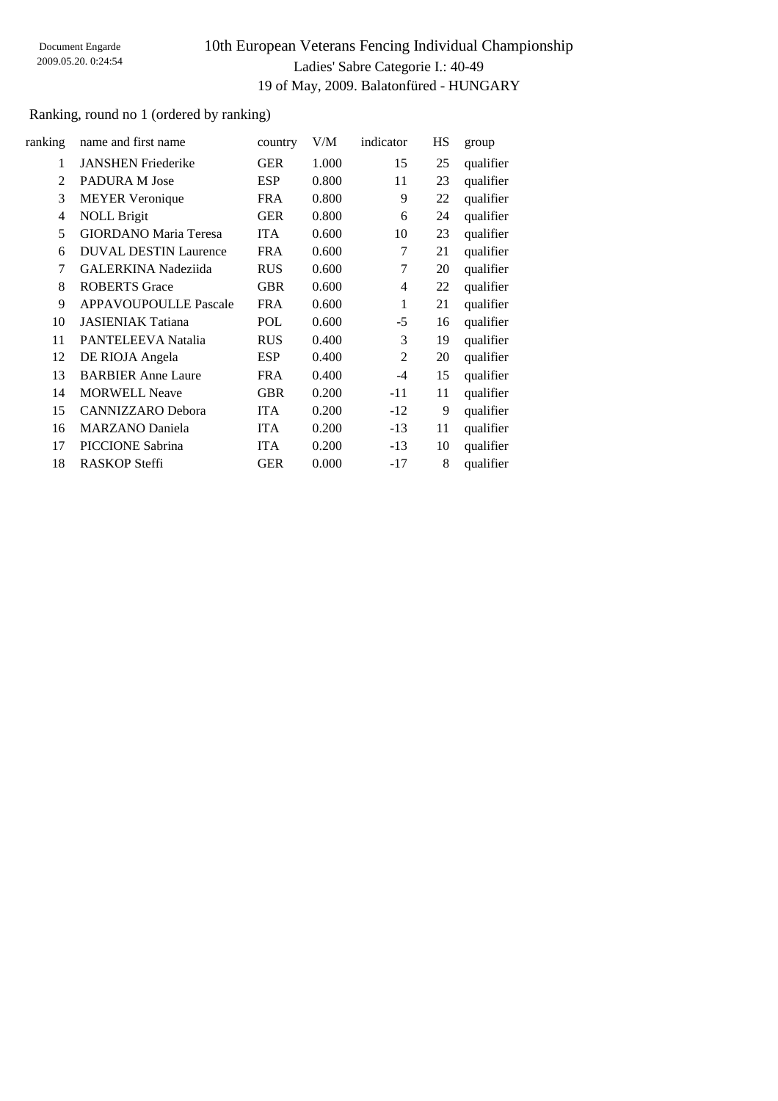### Ranking, round no 1 (ordered by ranking)

| ranking        | name and first name          | country    | V/M   | indicator      | HS | group     |
|----------------|------------------------------|------------|-------|----------------|----|-----------|
| 1              | <b>JANSHEN Friederike</b>    | <b>GER</b> | 1.000 | 15             | 25 | qualifier |
| $\mathfrak{D}$ | PADURA M Jose                | <b>ESP</b> | 0.800 | 11             | 23 | qualifier |
| 3              | <b>MEYER Veronique</b>       | <b>FRA</b> | 0.800 | 9              | 22 | qualifier |
| 4              | <b>NOLL Brigit</b>           | <b>GER</b> | 0.800 | 6              | 24 | qualifier |
| 5              | <b>GIORDANO Maria Teresa</b> | <b>ITA</b> | 0.600 | 10             | 23 | qualifier |
| 6              | <b>DUVAL DESTIN Laurence</b> | <b>FRA</b> | 0.600 | 7              | 21 | qualifier |
| 7              | <b>GALERKINA Nadeziida</b>   | <b>RUS</b> | 0.600 | 7              | 20 | qualifier |
| 8              | <b>ROBERTS</b> Grace         | <b>GBR</b> | 0.600 | 4              | 22 | qualifier |
| 9              | <b>APPAVOUPOULLE Pascale</b> | <b>FRA</b> | 0.600 | 1              | 21 | qualifier |
| 10             | <b>JASIENIAK Tatiana</b>     | POL        | 0.600 | $-5$           | 16 | qualifier |
| 11             | PANTELEEVA Natalia           | <b>RUS</b> | 0.400 | 3              | 19 | qualifier |
| 12             | DE RIOJA Angela              | <b>ESP</b> | 0.400 | $\overline{2}$ | 20 | qualifier |
| 13             | <b>BARBIER Anne Laure</b>    | <b>FRA</b> | 0.400 | $-4$           | 15 | qualifier |
| 14             | <b>MORWELL Neave</b>         | <b>GBR</b> | 0.200 | $-11$          | 11 | qualifier |
| 15             | <b>CANNIZZARO</b> Debora     | <b>ITA</b> | 0.200 | $-12$          | 9  | qualifier |
| 16             | <b>MARZANO</b> Daniela       | <b>ITA</b> | 0.200 | $-13$          | 11 | qualifier |
| 17             | PICCIONE Sabrina             | <b>ITA</b> | 0.200 | $-13$          | 10 | qualifier |
| 18             | <b>RASKOP Steffi</b>         | <b>GER</b> | 0.000 | $-17$          | 8  | qualifier |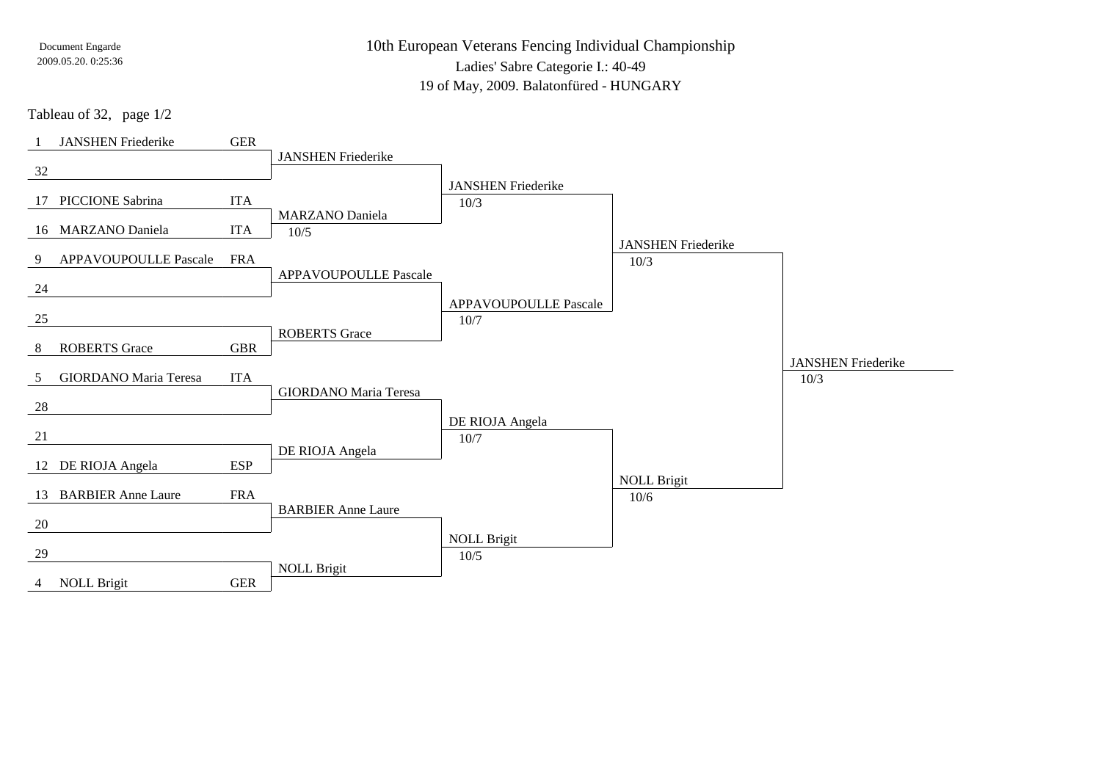10th European Veterans Fencing Individual Championship

Ladies' Sabre Categorie I.: 40-49

19 of May, 2009. Balatonfüred - HUNGARY

Tableau of 32, page 1/2

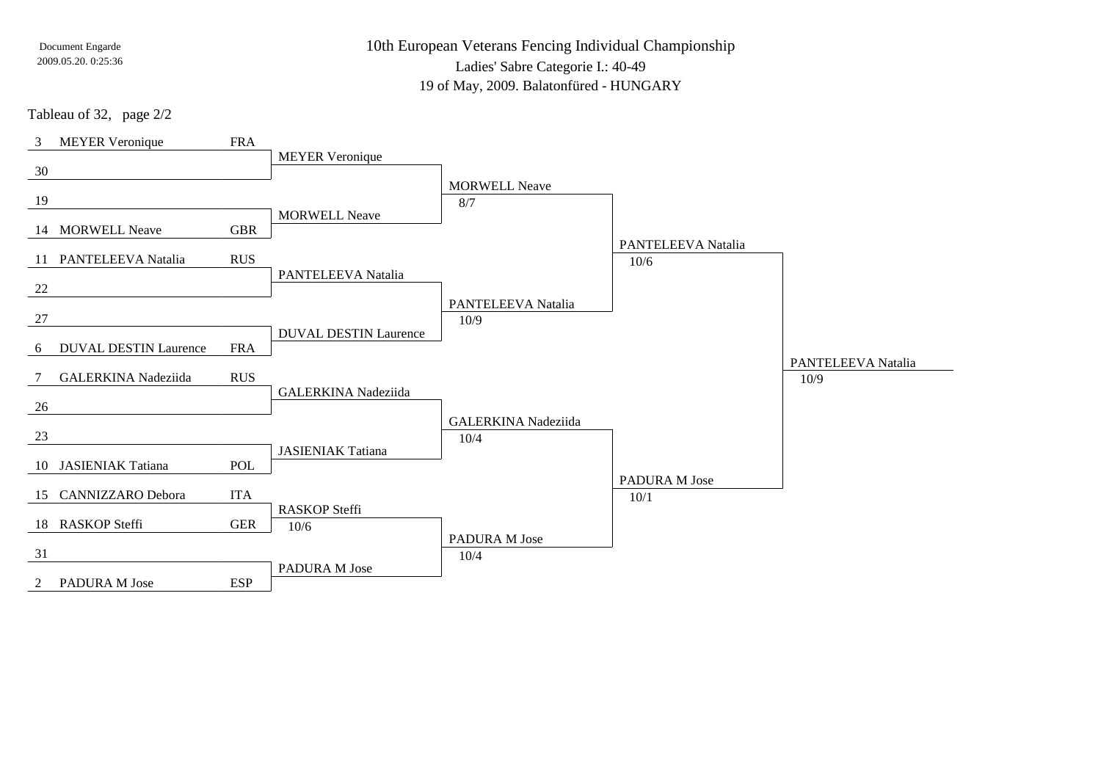10th European Veterans Fencing Individual Championship

Ladies' Sabre Categorie I.: 40-49

19 of May, 2009. Balatonfüred - HUNGARY

Tableau of 32, page 2/2

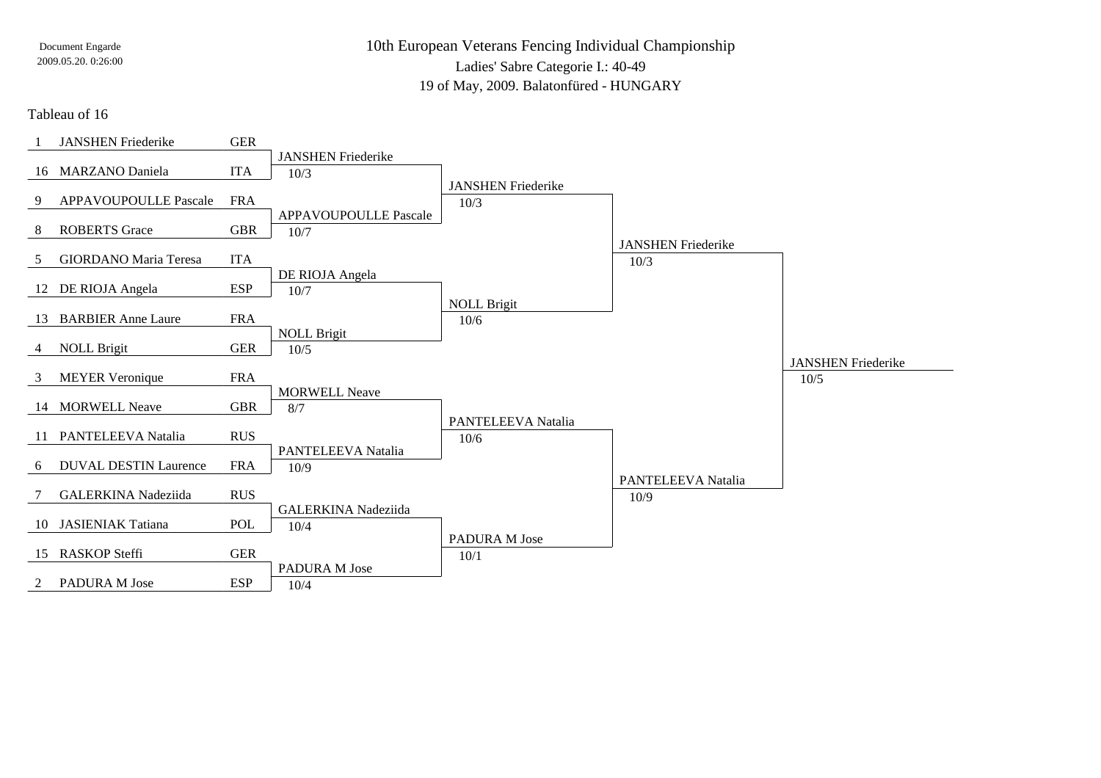10th European Veterans Fencing Individual Championship

Ladies' Sabre Categorie I.: 40-49

19 of May, 2009. Balatonfüred - HUNGARY

### Tableau of 16

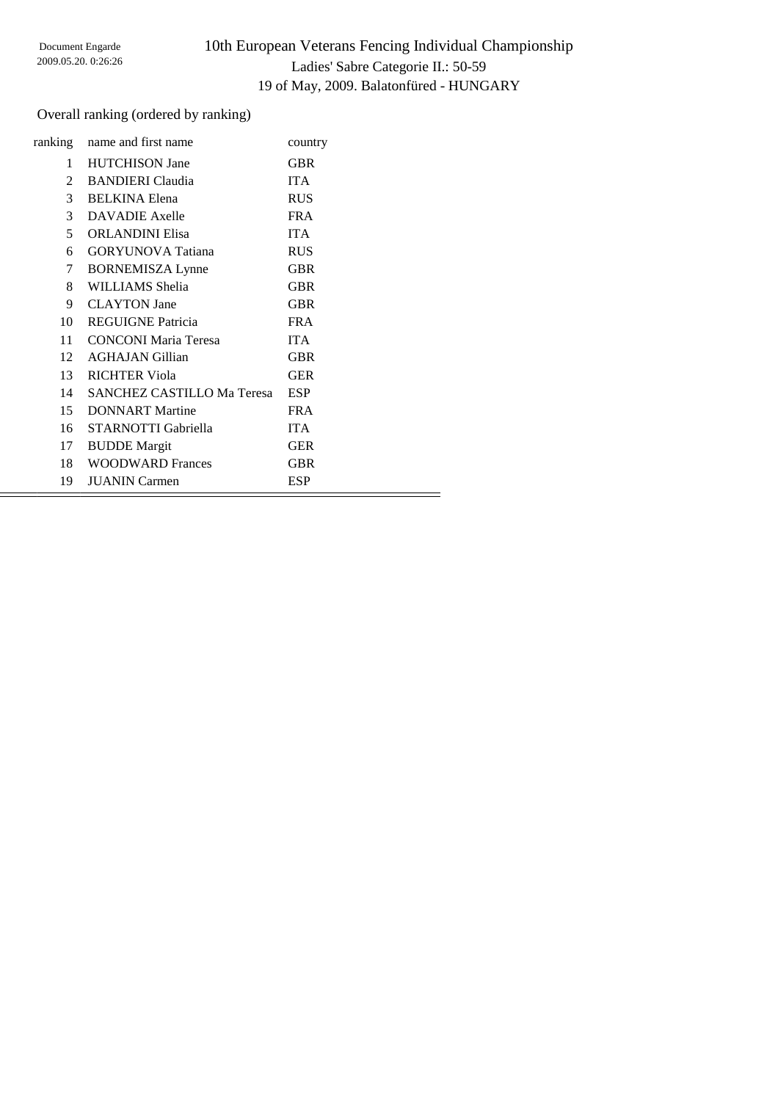### Overall ranking (ordered by ranking)

|                | ranking name and first name       | country    |
|----------------|-----------------------------------|------------|
| 1              | <b>HUTCHISON Jane</b>             | <b>GBR</b> |
| $\overline{2}$ | <b>BANDIERI</b> Claudia           | <b>ITA</b> |
| $\mathfrak{Z}$ | <b>BELKINA Elena</b>              | <b>RUS</b> |
| 3              | <b>DAVADIE</b> Axelle             | <b>FRA</b> |
| 5              | <b>ORLANDINI Elisa</b>            | <b>ITA</b> |
| 6              | <b>GORYUNOVA</b> Tatiana          | <b>RUS</b> |
| 7              | <b>BORNEMISZA Lynne</b>           | <b>GBR</b> |
| 8              | WILLIAMS Shelia                   | <b>GBR</b> |
| 9              | <b>CLAYTON</b> Jane               | <b>GBR</b> |
| 10             | <b>REGUIGNE Patricia</b>          | <b>FRA</b> |
| 11             | <b>CONCONI Maria Teresa</b>       | <b>ITA</b> |
| 12             | <b>AGHAJAN Gillian</b>            | GBR        |
| 13             | <b>RICHTER Viola</b>              | <b>GER</b> |
| 14             | <b>SANCHEZ CASTILLO Ma Teresa</b> | <b>ESP</b> |
| 15             | <b>DONNART</b> Martine            | FR A       |
| 16             | STARNOTTI Gabriella               | <b>ITA</b> |
| 17             | <b>BUDDE</b> Margit               | <b>GER</b> |
|                | 18 WOODWARD Frances               | <b>GBR</b> |
| 19             | <b>JUANIN</b> Carmen              | ESP        |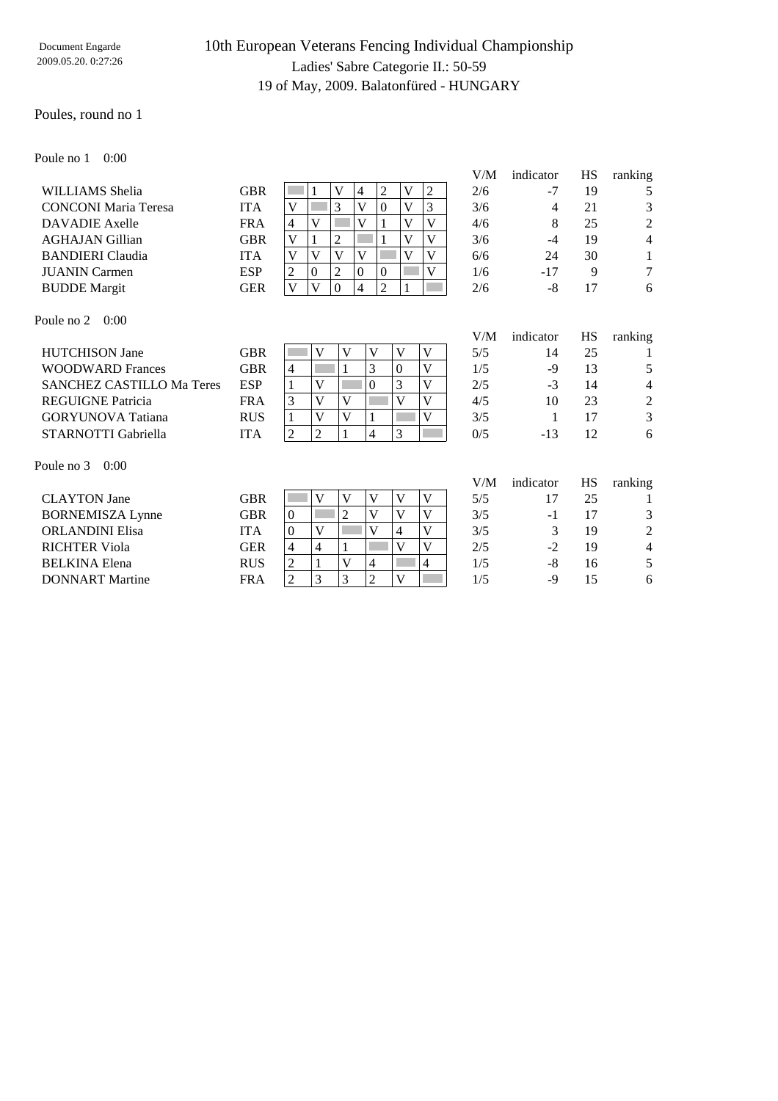### Poules, round no 1

Poule no 1 0:00

| WILLIAMS Shelia             | <b>GBR</b> |   |  | 4 |  | $\mathfrak{D}$ |
|-----------------------------|------------|---|--|---|--|----------------|
| <b>CONCONI</b> Maria Teresa | <b>ITA</b> |   |  |   |  | 3              |
| DAVADIE Axelle              | <b>FRA</b> | 4 |  |   |  | $\overline{4}$ |
| <b>AGHAJAN Gillian</b>      | <b>GBR</b> |   |  |   |  | 3              |
| <b>BANDIERI</b> Claudia     | <b>ITA</b> |   |  |   |  | 6              |
| <b>JUANIN</b> Carmen        | <b>ESP</b> |   |  |   |  |                |
| <b>BUDDE</b> Margit         | GER        |   |  |   |  | $\mathfrak{D}$ |

| V/M | indicator | HS          | ranking |
|-----|-----------|-------------|---------|
| 2/6 | $-7$      | 19          | 5       |
| 3/6 | 4         | 21          | 3       |
| 4/6 | 8         | 25          | 2       |
| 3/6 | $-4$      | 19          | 4       |
| 6/6 | 24        | 30          | 1       |
| 1/6 | $-17$     | $\mathbf Q$ | 7       |
| 2/6 | -8        | 17          |         |

V/M indicator HS ranking

Poule no 2 0:00

|                                                |   |   |  |              | V/M | indicator | НS | ranking        |
|------------------------------------------------|---|---|--|--------------|-----|-----------|----|----------------|
| GBR                                            |   |   |  |              | 5/5 | 14        | 25 |                |
| GBR                                            | 4 |   |  |              | 1/5 | -9        | 13 | 5              |
| <b>SANCHEZ CASTILLO Ma Teres</b><br><b>ESP</b> |   |   |  |              | 2/5 | -3        | 14 | $\overline{4}$ |
| <b>FRA</b>                                     |   | V |  |              | 4/5 | 10        | 23 | 2              |
| <b>RUS</b>                                     |   |   |  |              | 3/5 |           |    | 3              |
| ITA                                            |   |   |  | $\mathbf{z}$ | 0/5 | $-13$     | 12 | 6              |
|                                                |   |   |  |              |     |           |    |                |

Poule no 3 0:00

| <b>CLAYTON</b> Jane     | GBR        |                |  | $\mathbf{V}$ |          | 5/5 |      | 25 |  |
|-------------------------|------------|----------------|--|--------------|----------|-----|------|----|--|
| <b>BORNEMISZA Lynne</b> | GBR        | $\theta$       |  | V            |          | 3/5 | - 1  | 17 |  |
| <b>ORLANDINI Elisa</b>  | ITA        | υ              |  | V            |          | 3/5 |      | 19 |  |
| <b>RICHTER Viola</b>    | GER        | $\overline{4}$ |  |              |          | 2/5 | $-2$ | 19 |  |
| <b>BELKINA Elena</b>    | <b>RUS</b> | ◠<br>∠         |  | 4            |          | 1/5 | -8   | 16 |  |
| <b>DONNART</b> Martine  | FRA        |                |  |              | $\bf{T}$ | 1/5 | -9   | 15 |  |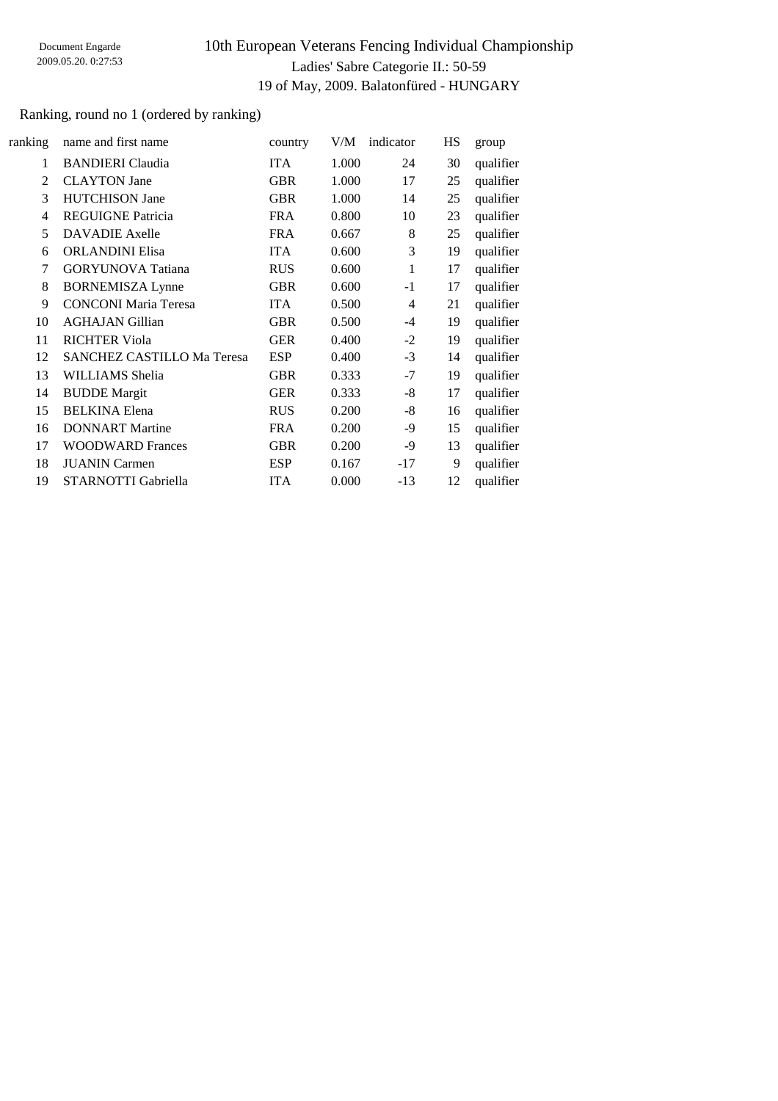### Ranking, round no 1 (ordered by ranking)

| ranking | name and first name         | country    | V/M   | indicator | HS | group     |
|---------|-----------------------------|------------|-------|-----------|----|-----------|
| 1       | <b>BANDIERI</b> Claudia     | <b>ITA</b> | 1.000 | 24        | 30 | qualifier |
| 2       | <b>CLAYTON</b> Jane         | <b>GBR</b> | 1.000 | 17        | 25 | qualifier |
| 3       | <b>HUTCHISON Jane</b>       | <b>GBR</b> | 1.000 | 14        | 25 | qualifier |
| 4       | <b>REGUIGNE Patricia</b>    | <b>FRA</b> | 0.800 | 10        | 23 | qualifier |
| 5       | <b>DAVADIE</b> Axelle       | <b>FRA</b> | 0.667 | 8         | 25 | qualifier |
| 6       | <b>ORLANDINI Elisa</b>      | <b>ITA</b> | 0.600 | 3         | 19 | qualifier |
| 7       | <b>GORYUNOVA</b> Tatiana    | <b>RUS</b> | 0.600 | 1         | 17 | qualifier |
| 8       | <b>BORNEMISZA Lynne</b>     | <b>GBR</b> | 0.600 | $-1$      | 17 | qualifier |
| 9       | <b>CONCONI</b> Maria Teresa | <b>ITA</b> | 0.500 | 4         | 21 | qualifier |
| 10      | <b>AGHAJAN Gillian</b>      | <b>GBR</b> | 0.500 | $-4$      | 19 | qualifier |
| 11      | <b>RICHTER Viola</b>        | <b>GER</b> | 0.400 | $-2$      | 19 | qualifier |
| 12      | SANCHEZ CASTILLO Ma Teresa  | <b>ESP</b> | 0.400 | $-3$      | 14 | qualifier |
| 13      | WILLIAMS Shelia             | <b>GBR</b> | 0.333 | $-7$      | 19 | qualifier |
| 14      | <b>BUDDE</b> Margit         | <b>GER</b> | 0.333 | -8        | 17 | qualifier |
| 15      | <b>BELKINA</b> Elena        | <b>RUS</b> | 0.200 | -8        | 16 | qualifier |
| 16      | <b>DONNART</b> Martine      | <b>FRA</b> | 0.200 | -9        | 15 | qualifier |
| 17      | <b>WOODWARD Frances</b>     | <b>GBR</b> | 0.200 | -9        | 13 | qualifier |
| 18      | <b>JUANIN</b> Carmen        | <b>ESP</b> | 0.167 | $-17$     | 9  | qualifier |
| 19      | STARNOTTI Gabriella         | <b>ITA</b> | 0.000 | $-13$     | 12 | qualifier |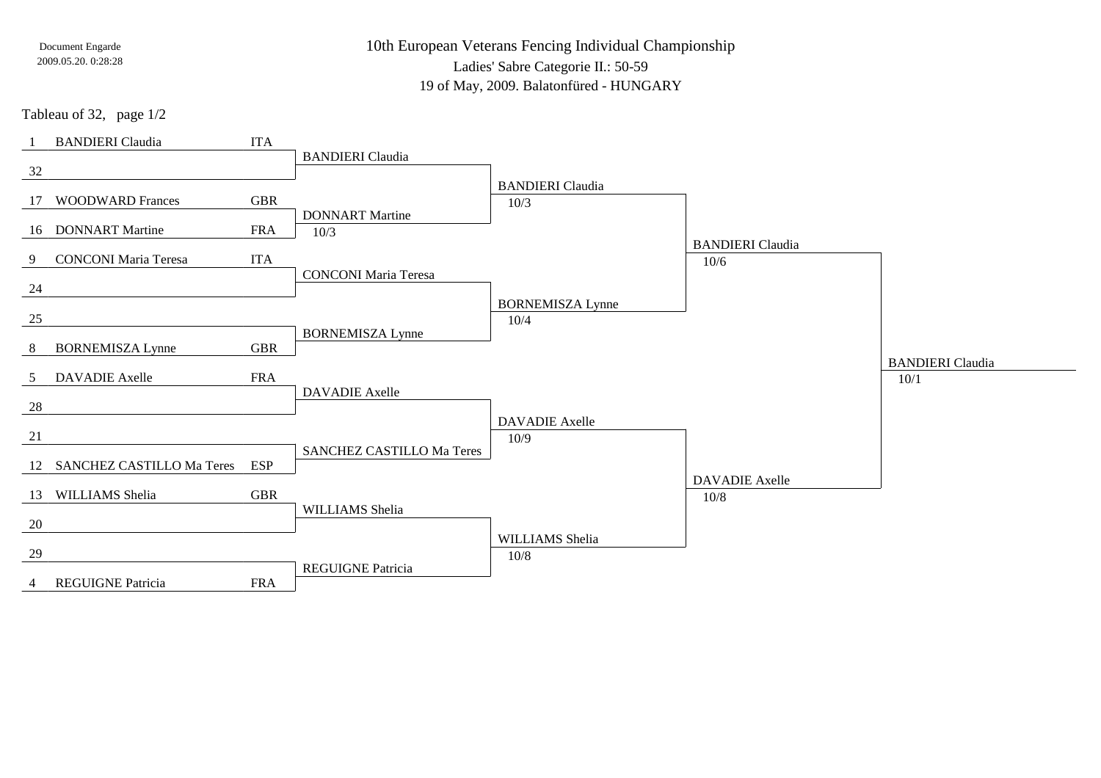10th European Veterans Fencing Individual Championship

Ladies' Sabre Categorie II.: 50-59

19 of May, 2009. Balatonfüred - HUNGARY

Tableau of 32, page 1/2

|                 | <b>BANDIERI</b> Claudia      | <b>ITA</b> |                                  |                         |                         |                                 |
|-----------------|------------------------------|------------|----------------------------------|-------------------------|-------------------------|---------------------------------|
| 32              |                              |            | <b>BANDIERI</b> Claudia          |                         |                         |                                 |
|                 |                              |            |                                  | <b>BANDIERI</b> Claudia |                         |                                 |
| 17              | <b>WOODWARD Frances</b>      | <b>GBR</b> |                                  | 10/3                    |                         |                                 |
|                 | 16 DONNART Martine           | <b>FRA</b> | <b>DONNART</b> Martine<br>10/3   |                         |                         |                                 |
|                 |                              |            |                                  |                         | <b>BANDIERI</b> Claudia |                                 |
| 9               | <b>CONCONI Maria Teresa</b>  | <b>ITA</b> | <b>CONCONI Maria Teresa</b>      |                         | 10/6                    |                                 |
| 24              |                              |            |                                  |                         |                         |                                 |
|                 |                              |            |                                  | <b>BORNEMISZA Lynne</b> |                         |                                 |
| 25              |                              |            | <b>BORNEMISZA Lynne</b>          | 10/4                    |                         |                                 |
| 8               | <b>BORNEMISZA Lynne</b>      | <b>GBR</b> |                                  |                         |                         |                                 |
| $5\overline{)}$ | <b>DAVADIE</b> Axelle        | <b>FRA</b> |                                  |                         |                         | <b>BANDIERI</b> Claudia<br>10/1 |
|                 |                              |            | <b>DAVADIE</b> Axelle            |                         |                         |                                 |
| 28              |                              |            |                                  | <b>DAVADIE</b> Axelle   |                         |                                 |
| 21              |                              |            |                                  | 10/9                    |                         |                                 |
|                 | 12 SANCHEZ CASTILLO Ma Teres | <b>ESP</b> | <b>SANCHEZ CASTILLO Ma Teres</b> |                         |                         |                                 |
|                 |                              |            |                                  |                         | <b>DAVADIE</b> Axelle   |                                 |
|                 | 13 WILLIAMS Shelia           | <b>GBR</b> |                                  |                         | 10/8                    |                                 |
| 20              |                              |            | WILLIAMS Shelia                  |                         |                         |                                 |
|                 |                              |            |                                  | WILLIAMS Shelia         |                         |                                 |
| 29              |                              |            | <b>REGUIGNE Patricia</b>         | $10/8$                  |                         |                                 |
| 4               | <b>REGUIGNE Patricia</b>     | <b>FRA</b> |                                  |                         |                         |                                 |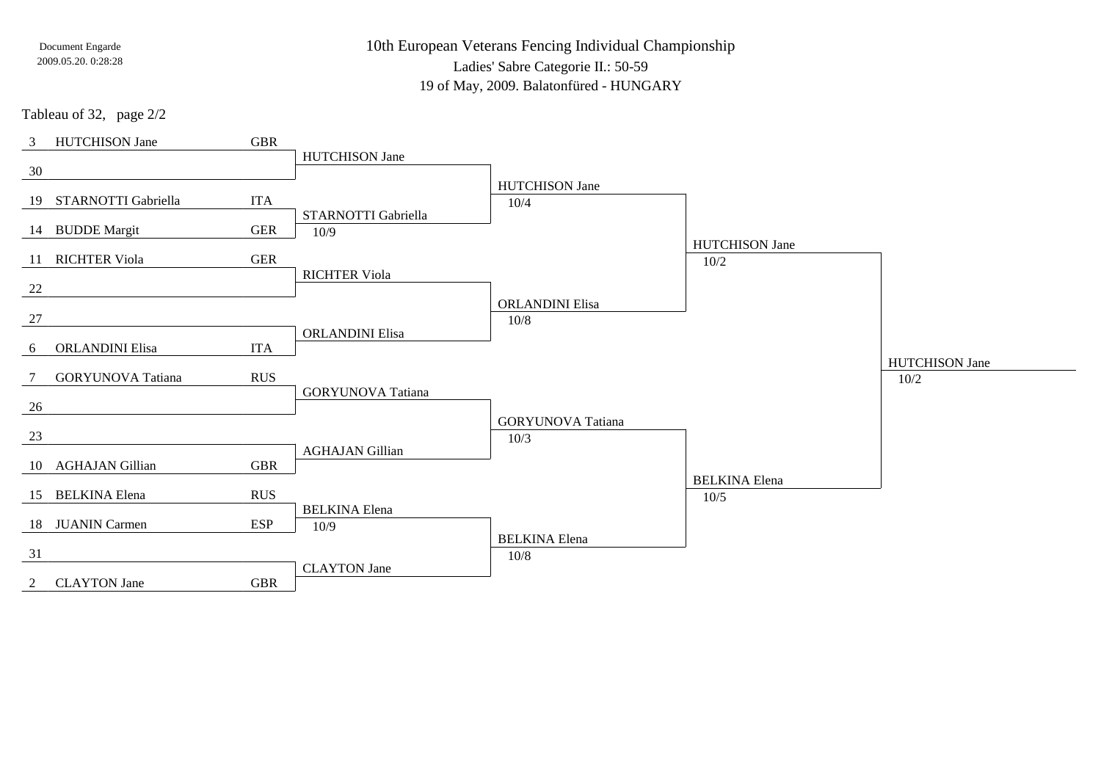10th European Veterans Fencing Individual Championship

Ladies' Sabre Categorie II.: 50-59

19 of May, 2009. Balatonfüred - HUNGARY

Tableau of 32, page 2/2

| 3              | <b>HUTCHISON Jane</b>    | <b>GBR</b> |                          |                                  |                       |                               |
|----------------|--------------------------|------------|--------------------------|----------------------------------|-----------------------|-------------------------------|
| 30             |                          |            | <b>HUTCHISON Jane</b>    |                                  |                       |                               |
|                |                          |            |                          | <b>HUTCHISON Jane</b>            |                       |                               |
|                | 19 STARNOTTI Gabriella   | <b>ITA</b> |                          | 10/4                             |                       |                               |
|                |                          |            | STARNOTTI Gabriella      |                                  |                       |                               |
|                | 14 BUDDE Margit          | <b>GER</b> | 10/9                     |                                  | <b>HUTCHISON Jane</b> |                               |
|                | 11 RICHTER Viola         | <b>GER</b> |                          |                                  | 10/2                  |                               |
|                |                          |            | <b>RICHTER Viola</b>     |                                  |                       |                               |
| 22             |                          |            |                          | <b>ORLANDINI Elisa</b>           |                       |                               |
| 27             |                          |            |                          | $10/8$                           |                       |                               |
|                |                          |            | <b>ORLANDINI Elisa</b>   |                                  |                       |                               |
| 6              | <b>ORLANDINI Elisa</b>   | <b>ITA</b> |                          |                                  |                       |                               |
|                | <b>GORYUNOVA</b> Tatiana | <b>RUS</b> |                          |                                  |                       | <b>HUTCHISON Jane</b><br>10/2 |
|                |                          |            | <b>GORYUNOVA</b> Tatiana |                                  |                       |                               |
| 26             |                          |            |                          |                                  |                       |                               |
| 23             |                          |            |                          | <b>GORYUNOVA</b> Tatiana<br>10/3 |                       |                               |
|                |                          |            | <b>AGHAJAN Gillian</b>   |                                  |                       |                               |
|                | 10 AGHAJAN Gillian       | <b>GBR</b> |                          |                                  |                       |                               |
|                | 15 BELKINA Elena         | <b>RUS</b> |                          |                                  | <b>BELKINA</b> Elena  |                               |
|                |                          |            | <b>BELKINA</b> Elena     |                                  | 10/5                  |                               |
|                | 18 JUANIN Carmen         | <b>ESP</b> | 10/9                     |                                  |                       |                               |
|                |                          |            |                          | <b>BELKINA</b> Elena             |                       |                               |
| 31             |                          |            | <b>CLAYTON</b> Jane      | 10/8                             |                       |                               |
| $\overline{2}$ | <b>CLAYTON Jane</b>      | <b>GBR</b> |                          |                                  |                       |                               |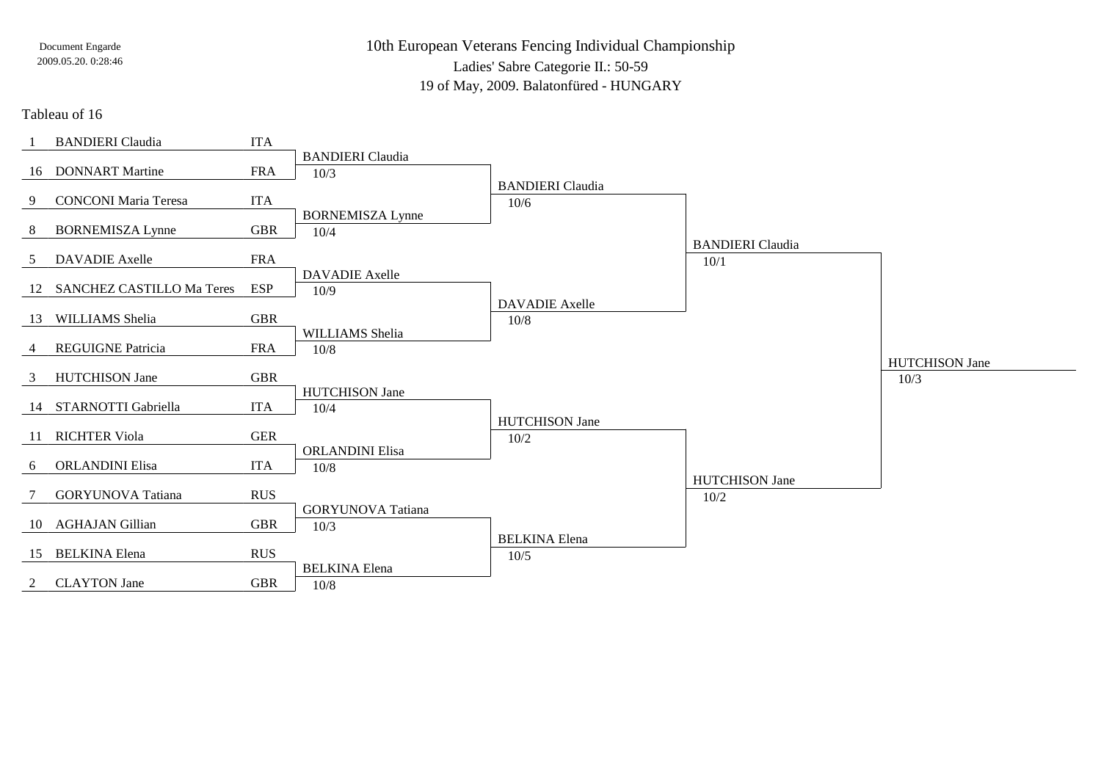10th European Veterans Fencing Individual ChampionshipLadies' Sabre Categorie II.: 50-59

19 of May, 2009. Balatonfüred - HUNGARY

#### Tableau of 16

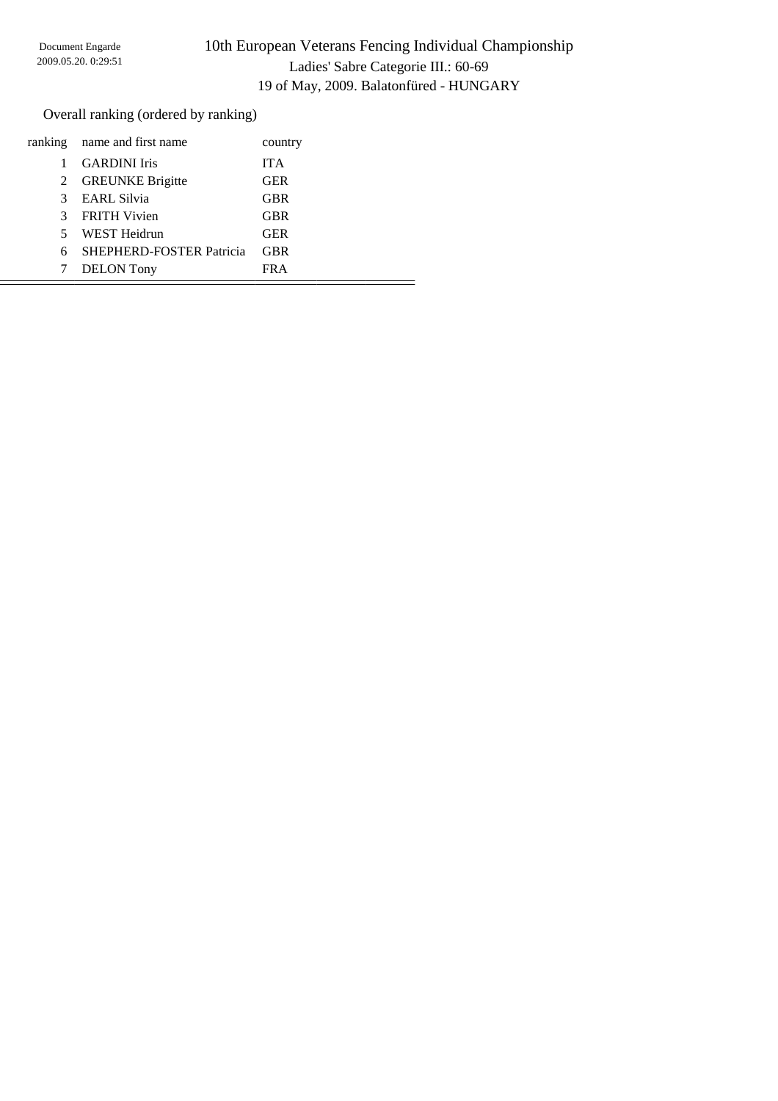Overall ranking (ordered by ranking)

|             | ranking name and first name     | country    |
|-------------|---------------------------------|------------|
|             | <b>GARDINI</b> Iris             | <b>ITA</b> |
| 2           | <b>GREUNKE Brigitte</b>         | <b>GER</b> |
| 3           | <b>EARL Silvia</b>              | <b>GBR</b> |
| 3           | <b>FRITH Vivien</b>             | <b>GBR</b> |
| $5^{\circ}$ | WEST Heidrun                    | <b>GER</b> |
| 6           | <b>SHEPHERD-FOSTER Patricia</b> | <b>GBR</b> |
|             | <b>DELON</b> Tony               | FR A       |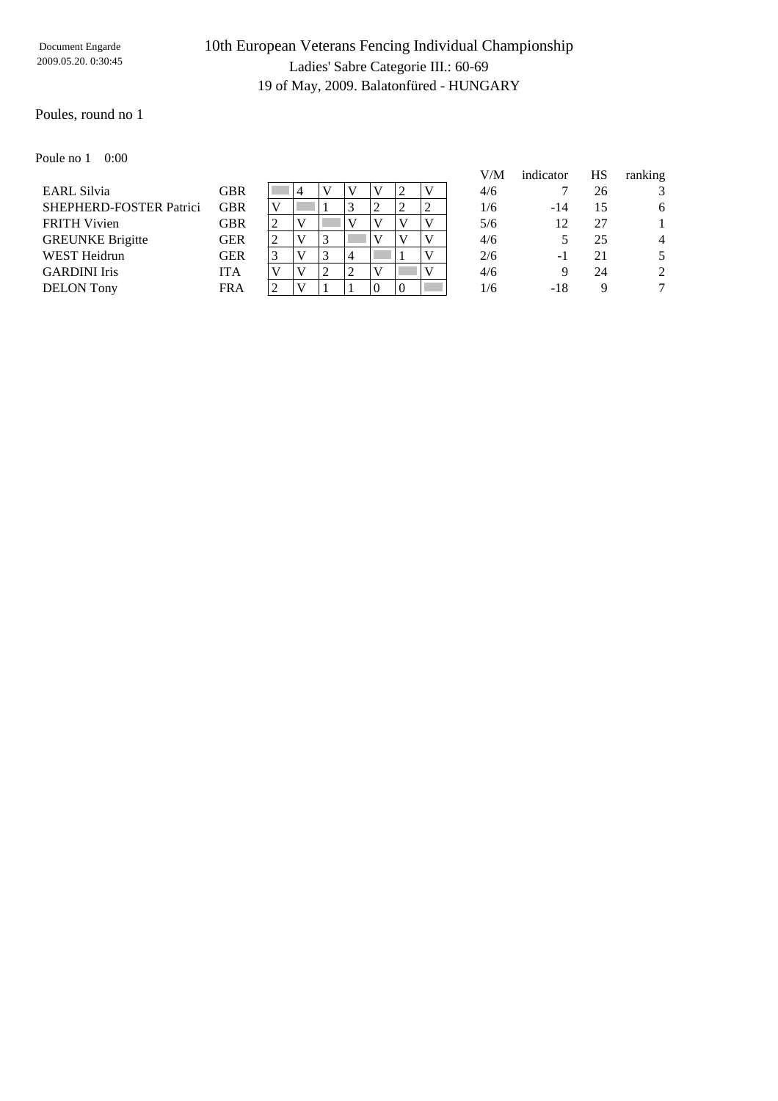### Poules, round no 1

Poule no 1 0:00

|                         |            |                |   |   |          |          |   | V/M | indicator | HS | ranking        |
|-------------------------|------------|----------------|---|---|----------|----------|---|-----|-----------|----|----------------|
| <b>EARL Silvia</b>      | <b>GBR</b> |                |   | V | V        |          |   | 4/6 |           | 26 | 3              |
| SHEPHERD-FOSTER Patrici | <b>GBR</b> | V              |   |   | ∍        |          | 2 | 1/6 | $-14$     | 15 | 6              |
| <b>FRITH Vivien</b>     | GBR        | $\overline{2}$ |   |   | V        |          | v | 5/6 | 12        | 27 |                |
| <b>GREUNKE Brigitte</b> | <b>GER</b> | 2              |   | 3 | V        |          | V | 4/6 |           | 25 | $\overline{4}$ |
| <b>WEST Heidrun</b>     | <b>GER</b> | 3              |   | ⌒ |          |          | V | 2/6 | - 1       | 21 | 5              |
| <b>GARDINI</b> Iris     | <b>ITA</b> | V              | V | ↑ | V        |          | V | 4/6 | 9         | 24 | 2              |
| <b>DELON</b> Tony       | <b>FRA</b> | ↑              |   |   | $\Omega$ | $\Omega$ |   | 1/6 | $-18$     | Q  | $\tau$         |
|                         |            |                |   |   |          |          |   |     |           |    |                |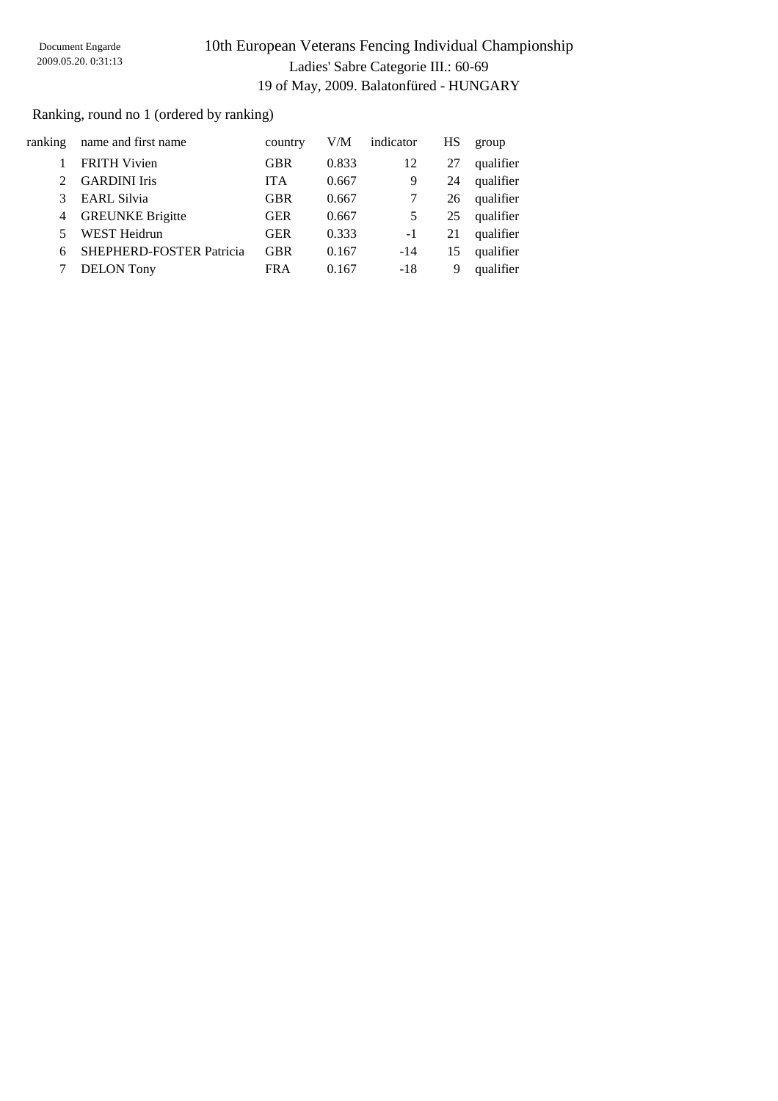### Ranking, round no 1 (ordered by ranking)

| ranking        | name and first name      | country    | V/M   | indicator | HS | group     |
|----------------|--------------------------|------------|-------|-----------|----|-----------|
|                | <b>FRITH Vivien</b>      | <b>GBR</b> | 0.833 | 12        | 27 | qualifier |
|                | <b>GARDINI</b> Iris      | <b>ITA</b> | 0.667 | 9         | 24 | qualifier |
|                | <b>EARL Silvia</b>       | <b>GBR</b> | 0.667 |           | 26 | qualifier |
| $\overline{4}$ | <b>GREUNKE Brigitte</b>  | <b>GER</b> | 0.667 | 5         | 25 | qualifier |
|                | <b>WEST Heidrun</b>      | <b>GER</b> | 0.333 | -1        | 21 | qualifier |
| 6              | SHEPHERD-FOSTER Patricia | <b>GBR</b> | 0.167 | $-14$     | 15 | qualifier |
|                | <b>DELON</b> Tony        | <b>FRA</b> | 0.167 | $-18$     | 9  | qualifier |
|                |                          |            |       |           |    |           |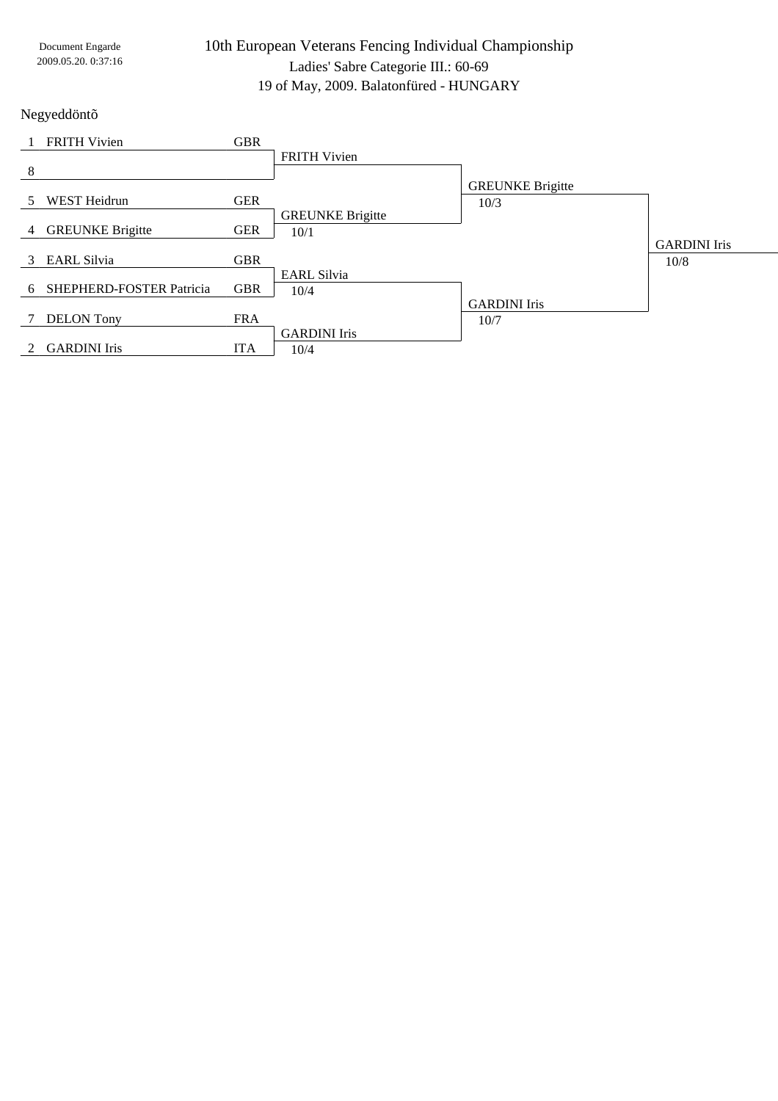| Document Engarde    |
|---------------------|
| 2009.05.20. 0:37:16 |

Negyeddöntõ

|               | <b>FRITH Vivien</b>      | <b>GBR</b> |                         |                         |                     |
|---------------|--------------------------|------------|-------------------------|-------------------------|---------------------|
|               |                          |            | <b>FRITH Vivien</b>     |                         |                     |
| 8             |                          |            |                         |                         |                     |
|               |                          |            |                         | <b>GREUNKE Brigitte</b> |                     |
| 5             | <b>WEST Heidrun</b>      | <b>GER</b> |                         | 10/3                    |                     |
|               |                          |            | <b>GREUNKE Brigitte</b> |                         |                     |
| 4             | <b>GREUNKE Brigitte</b>  | <b>GER</b> | 10/1                    |                         |                     |
|               |                          |            |                         |                         | <b>GARDINI</b> Iris |
| $\mathcal{E}$ | <b>EARL Silvia</b>       | <b>GBR</b> |                         |                         | 10/8                |
|               |                          |            | <b>EARL Silvia</b>      |                         |                     |
| 6             | SHEPHERD-FOSTER Patricia | <b>GBR</b> | 10/4                    |                         |                     |
|               |                          |            |                         | <b>GARDINI</b> Iris     |                     |
|               | <b>DELON</b> Tony        | <b>FRA</b> |                         | 10/7                    |                     |
|               |                          |            | <b>GARDINI</b> Iris     |                         |                     |
|               | <b>GARDINI</b> Iris      | <b>ITA</b> | 10/4                    |                         |                     |
|               |                          |            |                         |                         |                     |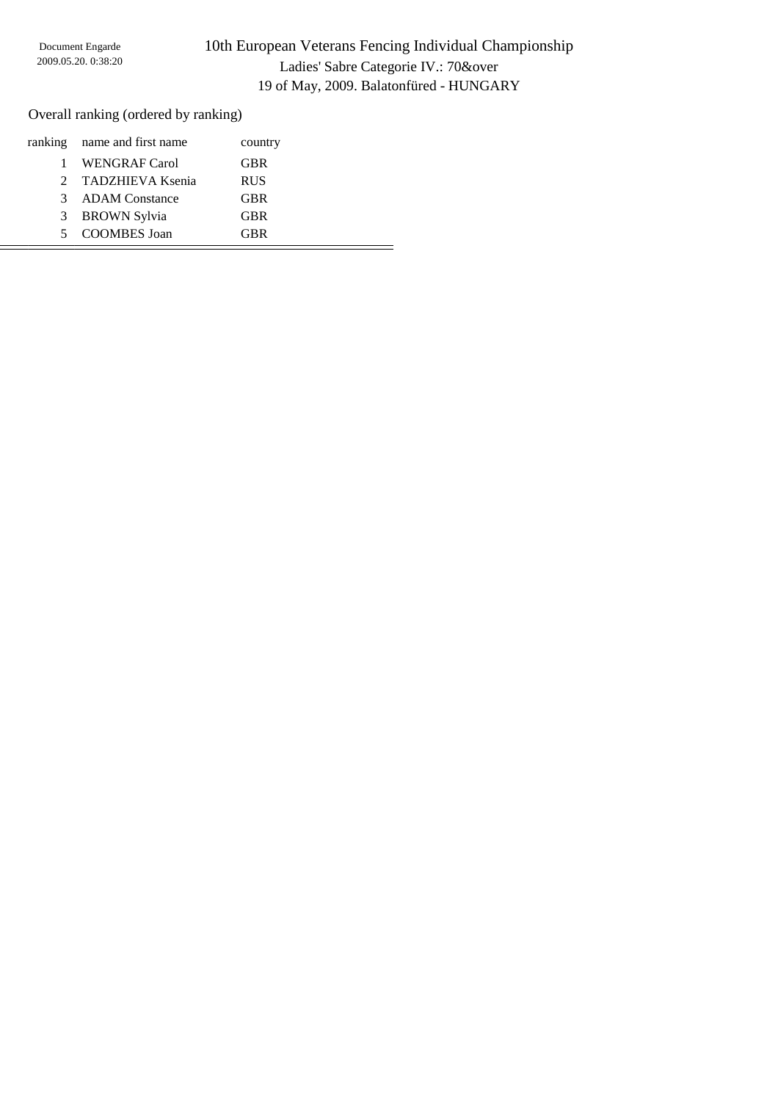Overall ranking (ordered by ranking)

|    | ranking name and first name | country    |  |
|----|-----------------------------|------------|--|
|    | <b>WENGRAF Carol</b>        | <b>GBR</b> |  |
|    | 2 TADZHIEVA Ksenia          | <b>RUS</b> |  |
| 3  | <b>ADAM Constance</b>       | <b>GBR</b> |  |
| 3  | <b>BROWN Sylvia</b>         | <b>GBR</b> |  |
| 5. | COOMBES Joan                | <b>GBR</b> |  |
|    |                             |            |  |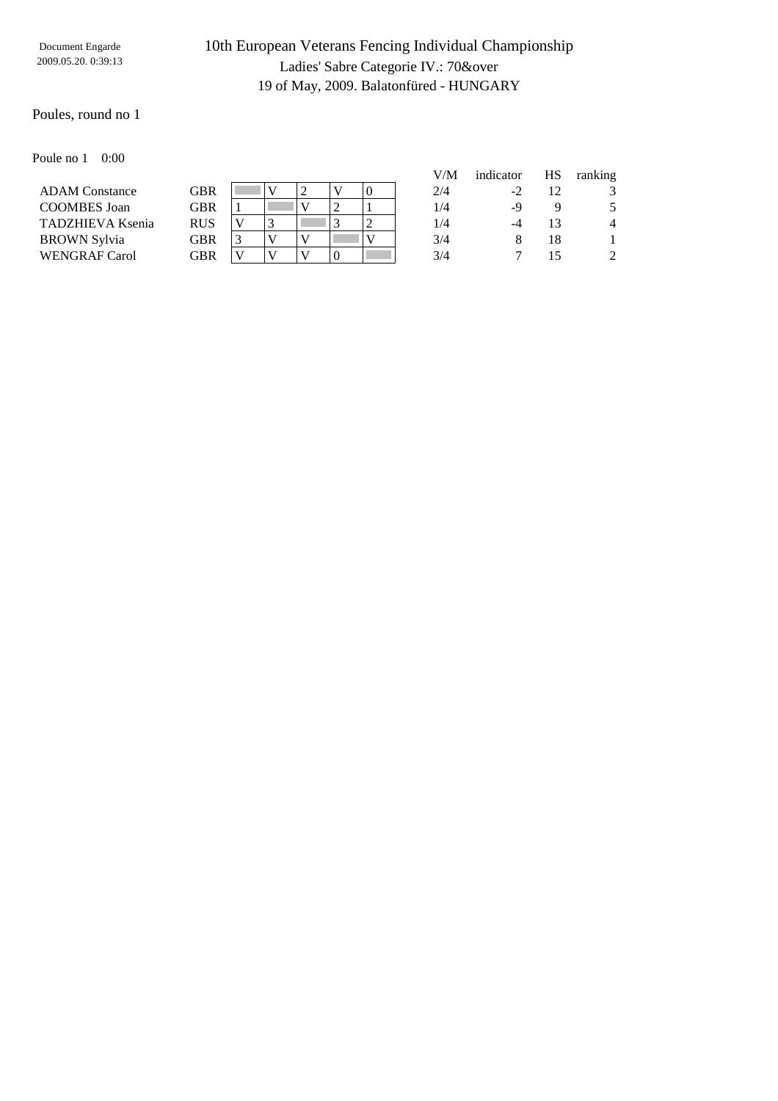## 10th European Veterans Fencing Individual Championship Ladies' Sabre Categorie IV.: 70&over 19 of May, 2009. Balatonfüred - HUNGARY

### Poules, round no 1

#### Poule no 1 0:00

|                       |            |  |  |   | V/M | indicator | HS | ranking        |
|-----------------------|------------|--|--|---|-----|-----------|----|----------------|
| <b>ADAM Constance</b> | GBR        |  |  |   | 2/4 | $-2$      |    |                |
| COOMBES Joan          | GBR        |  |  |   | 1/4 | -9        |    | 5              |
| TADZHIEVA Ksenia      | <b>RUS</b> |  |  | ∼ | 1/4 |           |    | 4              |
| BROWN Sylvia          | GBR        |  |  |   | 3/4 |           | 18 |                |
| <b>WENGRAF Carol</b>  | GBR        |  |  |   | 3/4 |           |    | $\mathfrak{D}$ |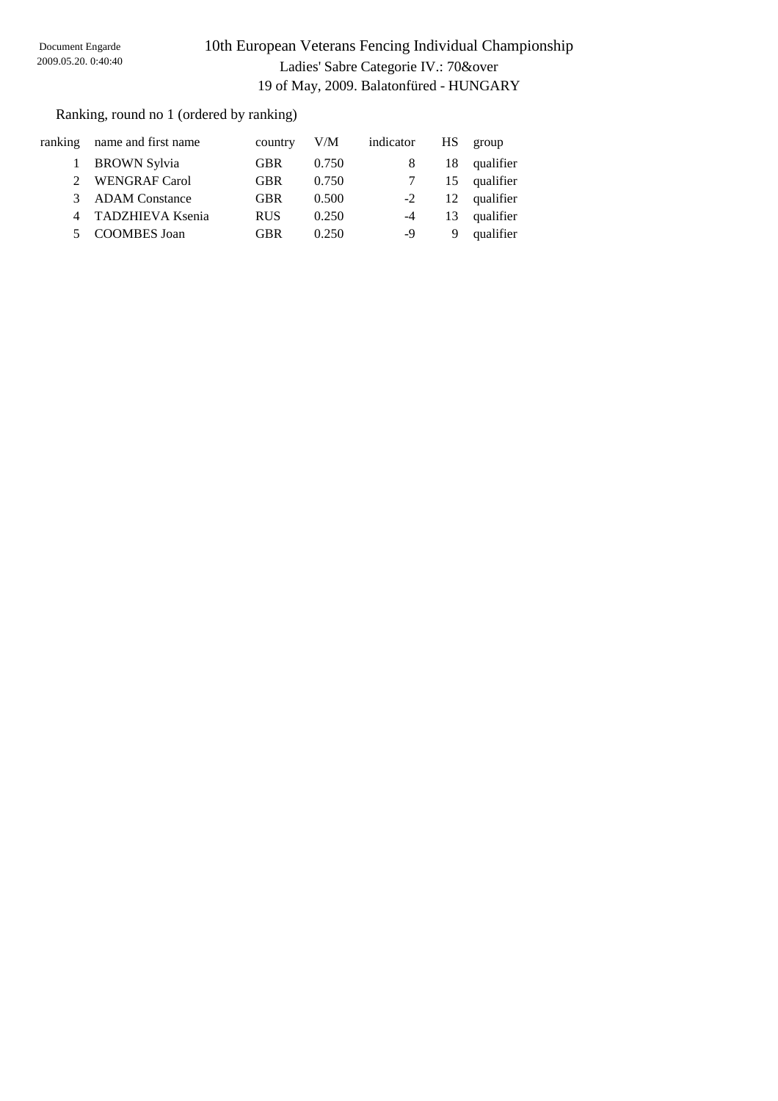Ranking, round no 1 (ordered by ranking)

|                             | ranking name and first name | country    | V/M   | indicator | HS – | group        |
|-----------------------------|-----------------------------|------------|-------|-----------|------|--------------|
|                             | 1 BROWN Sylvia              | <b>GBR</b> | 0.750 |           | 18   | qualifier    |
| $\mathcal{D}_{\mathcal{L}}$ | <b>WENGRAF Carol</b>        | <b>GBR</b> | 0.750 |           |      | 15 qualifier |
| $\mathcal{R}$               | <b>ADAM</b> Constance       | <b>GBR</b> | 0.500 | $-2$      |      | 12 qualifier |
|                             | 4 TADZHIEVA Ksenia          | <b>RUS</b> | 0.250 | $-4$      | 13   | qualifier    |
|                             | 5 COOMBES Joan              | <b>GBR</b> | 0.250 | -9        | 9    | qualifier    |